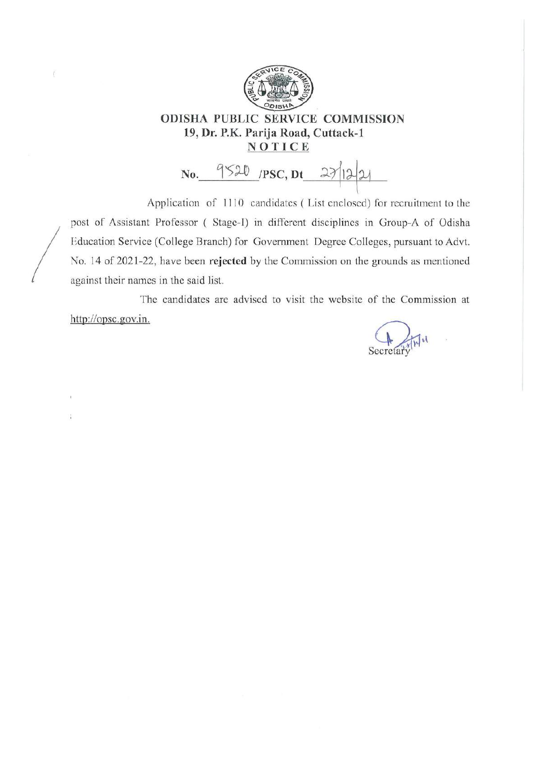

ö

# **ODISHA PUBLIC SERVICE COMMISSION** 19, Dr. P.K. Parija Road, Cuttack-1 NOTICE

No. 9520 /PSC, Dt 27/12/21

Application of 1110 candidates (List enclosed) for recruitment to the post of Assistant Professor (Stage-I) in different disciplines in Group-A of Odisha Education Service (College Branch) for Government Degree Colleges, pursuant to Advt. No. 14 of 2021-22, have been rejected by the Commission on the grounds as mentioned against their names in the said list.

The candidates are advised to visit the website of the Commission at http://opsc.gov.in.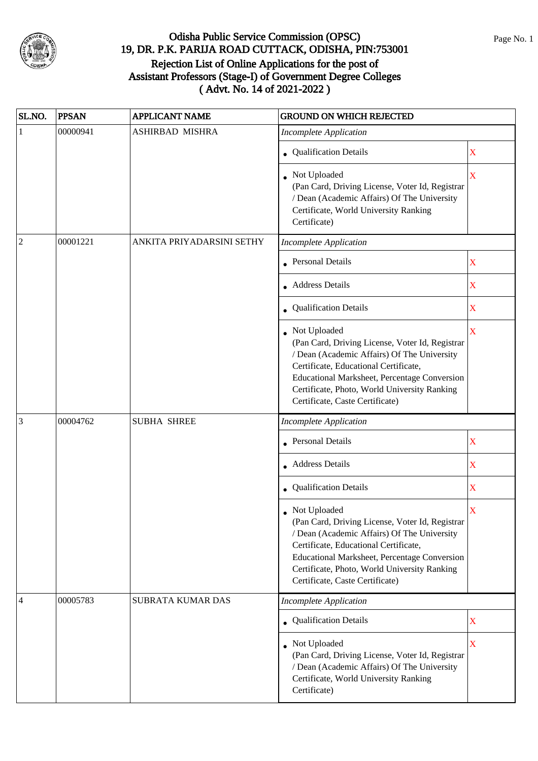

| SL.NO.         | <b>PPSAN</b> | <b>APPLICANT NAME</b>     | <b>GROUND ON WHICH REJECTED</b>                                                                                                                                                                                                                                                            |                         |
|----------------|--------------|---------------------------|--------------------------------------------------------------------------------------------------------------------------------------------------------------------------------------------------------------------------------------------------------------------------------------------|-------------------------|
| 1              | 00000941     | ASHIRBAD MISHRA           | <b>Incomplete Application</b>                                                                                                                                                                                                                                                              |                         |
|                |              |                           | Qualification Details                                                                                                                                                                                                                                                                      | X                       |
|                |              |                           | Not Uploaded<br>(Pan Card, Driving License, Voter Id, Registrar<br>/ Dean (Academic Affairs) Of The University<br>Certificate, World University Ranking<br>Certificate)                                                                                                                    | $\overline{\mathbf{X}}$ |
| $\overline{2}$ | 00001221     | ANKITA PRIYADARSINI SETHY | <b>Incomplete Application</b>                                                                                                                                                                                                                                                              |                         |
|                |              |                           | Personal Details                                                                                                                                                                                                                                                                           | X                       |
|                |              |                           | <b>Address Details</b>                                                                                                                                                                                                                                                                     | X                       |
|                |              |                           | Qualification Details                                                                                                                                                                                                                                                                      | X                       |
|                |              |                           | Not Uploaded<br>(Pan Card, Driving License, Voter Id, Registrar<br>/ Dean (Academic Affairs) Of The University<br>Certificate, Educational Certificate,<br>Educational Marksheet, Percentage Conversion<br>Certificate, Photo, World University Ranking<br>Certificate, Caste Certificate) | X                       |
| 3              | 00004762     | <b>SUBHA SHREE</b>        | <b>Incomplete Application</b>                                                                                                                                                                                                                                                              |                         |
|                |              |                           | <b>Personal Details</b>                                                                                                                                                                                                                                                                    | X                       |
|                |              |                           | • Address Details                                                                                                                                                                                                                                                                          | X                       |
|                |              |                           | • Qualification Details                                                                                                                                                                                                                                                                    | X                       |
|                |              |                           | Not Uploaded<br>(Pan Card, Driving License, Voter Id, Registrar<br>/ Dean (Academic Affairs) Of The University<br>Certificate, Educational Certificate,<br>Educational Marksheet, Percentage Conversion<br>Certificate, Photo, World University Ranking<br>Certificate, Caste Certificate) | X                       |
| 4              | 00005783     | SUBRATA KUMAR DAS         | <b>Incomplete Application</b>                                                                                                                                                                                                                                                              |                         |
|                |              |                           | • Qualification Details                                                                                                                                                                                                                                                                    | X                       |
|                |              |                           | Not Uploaded<br>(Pan Card, Driving License, Voter Id, Registrar<br>/ Dean (Academic Affairs) Of The University<br>Certificate, World University Ranking<br>Certificate)                                                                                                                    | $\overline{\mathbf{X}}$ |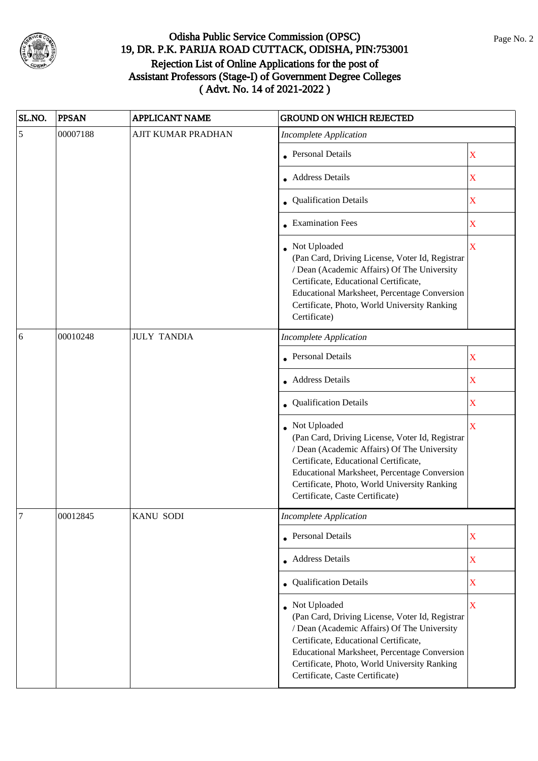

| SL.NO.          | <b>PPSAN</b> | <b>APPLICANT NAME</b> | <b>GROUND ON WHICH REJECTED</b>                                                                                                                                                                                                                                                                   |                         |
|-----------------|--------------|-----------------------|---------------------------------------------------------------------------------------------------------------------------------------------------------------------------------------------------------------------------------------------------------------------------------------------------|-------------------------|
| $\overline{5}$  | 00007188     | AJIT KUMAR PRADHAN    | <b>Incomplete Application</b>                                                                                                                                                                                                                                                                     |                         |
|                 |              |                       | <b>Personal Details</b>                                                                                                                                                                                                                                                                           | X                       |
|                 |              |                       | <b>Address Details</b>                                                                                                                                                                                                                                                                            | X                       |
|                 |              |                       | • Qualification Details                                                                                                                                                                                                                                                                           | X                       |
|                 |              |                       | • Examination Fees                                                                                                                                                                                                                                                                                | X                       |
|                 |              |                       | Not Uploaded<br>(Pan Card, Driving License, Voter Id, Registrar<br>/ Dean (Academic Affairs) Of The University<br>Certificate, Educational Certificate,<br>Educational Marksheet, Percentage Conversion<br>Certificate, Photo, World University Ranking<br>Certificate)                           | $\overline{\mathbf{X}}$ |
| $6\overline{6}$ | 00010248     | <b>JULY TANDIA</b>    | <b>Incomplete Application</b>                                                                                                                                                                                                                                                                     |                         |
|                 |              |                       | <b>Personal Details</b>                                                                                                                                                                                                                                                                           | X                       |
|                 |              |                       | • Address Details                                                                                                                                                                                                                                                                                 | X                       |
|                 |              |                       | Qualification Details                                                                                                                                                                                                                                                                             | $\mathbf X$             |
|                 |              |                       | Not Uploaded<br>(Pan Card, Driving License, Voter Id, Registrar<br>/ Dean (Academic Affairs) Of The University<br>Certificate, Educational Certificate,<br><b>Educational Marksheet, Percentage Conversion</b><br>Certificate, Photo, World University Ranking<br>Certificate, Caste Certificate) | X                       |
| 7               | 00012845     | <b>KANU SODI</b>      | Incomplete Application                                                                                                                                                                                                                                                                            |                         |
|                 |              |                       | • Personal Details                                                                                                                                                                                                                                                                                | X                       |
|                 |              |                       | • Address Details                                                                                                                                                                                                                                                                                 | X                       |
|                 |              |                       | • Qualification Details                                                                                                                                                                                                                                                                           | X                       |
|                 |              |                       | • Not Uploaded<br>(Pan Card, Driving License, Voter Id, Registrar<br>/ Dean (Academic Affairs) Of The University<br>Certificate, Educational Certificate,<br>Educational Marksheet, Percentage Conversion<br>Certificate, Photo, World University Ranking<br>Certificate, Caste Certificate)      | $\overline{\mathbf{X}}$ |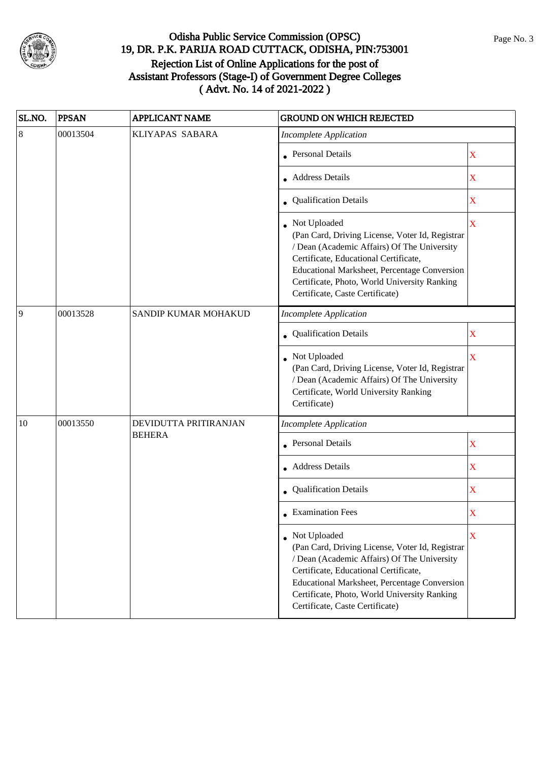

| SL.NO.  | <b>PPSAN</b> | <b>APPLICANT NAME</b> | <b>GROUND ON WHICH REJECTED</b>                                                                                                                                                                                                                                                            |                         |
|---------|--------------|-----------------------|--------------------------------------------------------------------------------------------------------------------------------------------------------------------------------------------------------------------------------------------------------------------------------------------|-------------------------|
| $\,8\,$ | 00013504     | KLIYAPAS SABARA       | <b>Incomplete Application</b>                                                                                                                                                                                                                                                              |                         |
|         |              |                       | Personal Details                                                                                                                                                                                                                                                                           | $\mathbf X$             |
|         |              |                       | Address Details                                                                                                                                                                                                                                                                            | X                       |
|         |              |                       | • Qualification Details                                                                                                                                                                                                                                                                    | X                       |
|         |              |                       | Not Uploaded<br>(Pan Card, Driving License, Voter Id, Registrar<br>/ Dean (Academic Affairs) Of The University<br>Certificate, Educational Certificate,<br>Educational Marksheet, Percentage Conversion<br>Certificate, Photo, World University Ranking<br>Certificate, Caste Certificate) | $\overline{\mathbf{X}}$ |
| 9       | 00013528     | SANDIP KUMAR MOHAKUD  | <b>Incomplete Application</b>                                                                                                                                                                                                                                                              |                         |
|         |              |                       | Qualification Details                                                                                                                                                                                                                                                                      | X                       |
|         |              |                       | Not Uploaded<br>(Pan Card, Driving License, Voter Id, Registrar<br>/ Dean (Academic Affairs) Of The University<br>Certificate, World University Ranking<br>Certificate)                                                                                                                    | X                       |
| 10      | 00013550     | DEVIDUTTA PRITIRANJAN | <b>Incomplete Application</b>                                                                                                                                                                                                                                                              |                         |
|         |              | <b>BEHERA</b>         | <b>Personal Details</b>                                                                                                                                                                                                                                                                    | $\mathbf X$             |
|         |              |                       | • Address Details                                                                                                                                                                                                                                                                          | X                       |
|         |              |                       | Qualification Details                                                                                                                                                                                                                                                                      | X                       |
|         |              |                       | <b>Examination Fees</b>                                                                                                                                                                                                                                                                    | X                       |
|         |              |                       | Not Uploaded<br>(Pan Card, Driving License, Voter Id, Registrar<br>/ Dean (Academic Affairs) Of The University<br>Certificate, Educational Certificate,<br>Educational Marksheet, Percentage Conversion<br>Certificate, Photo, World University Ranking<br>Certificate, Caste Certificate) | X                       |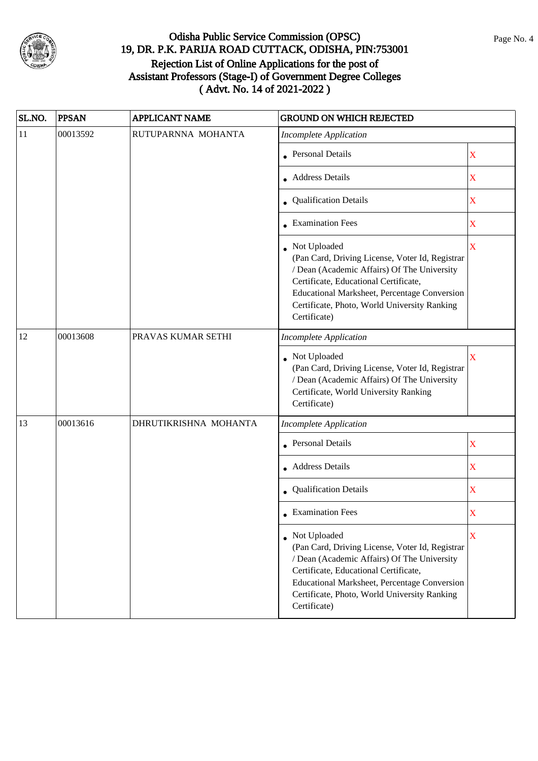

| SL.NO. | <b>PPSAN</b> | <b>APPLICANT NAME</b> | <b>GROUND ON WHICH REJECTED</b>                                                                                                                                                                                                                                           |                         |
|--------|--------------|-----------------------|---------------------------------------------------------------------------------------------------------------------------------------------------------------------------------------------------------------------------------------------------------------------------|-------------------------|
| 11     | 00013592     | RUTUPARNNA MOHANTA    | <b>Incomplete Application</b>                                                                                                                                                                                                                                             |                         |
|        |              |                       | Personal Details                                                                                                                                                                                                                                                          | X                       |
|        |              |                       | Address Details                                                                                                                                                                                                                                                           | X                       |
|        |              |                       | • Qualification Details                                                                                                                                                                                                                                                   | X                       |
|        |              |                       | <b>Examination Fees</b>                                                                                                                                                                                                                                                   | X                       |
|        |              |                       | Not Uploaded<br>(Pan Card, Driving License, Voter Id, Registrar<br>/ Dean (Academic Affairs) Of The University<br>Certificate, Educational Certificate,<br>Educational Marksheet, Percentage Conversion<br>Certificate, Photo, World University Ranking<br>Certificate)   | X                       |
| 12     | 00013608     | PRAVAS KUMAR SETHI    | <b>Incomplete Application</b>                                                                                                                                                                                                                                             |                         |
|        |              |                       | Not Uploaded<br>(Pan Card, Driving License, Voter Id, Registrar<br>/ Dean (Academic Affairs) Of The University<br>Certificate, World University Ranking<br>Certificate)                                                                                                   | X                       |
| 13     | 00013616     | DHRUTIKRISHNA MOHANTA | <b>Incomplete Application</b>                                                                                                                                                                                                                                             |                         |
|        |              |                       | <b>Personal Details</b>                                                                                                                                                                                                                                                   | X                       |
|        |              |                       | • Address Details                                                                                                                                                                                                                                                         | $\overline{\textbf{X}}$ |
|        |              |                       | Qualification Details                                                                                                                                                                                                                                                     | X                       |
|        |              |                       | <b>Examination Fees</b>                                                                                                                                                                                                                                                   | X                       |
|        |              |                       | • Not Uploaded<br>(Pan Card, Driving License, Voter Id, Registrar<br>/ Dean (Academic Affairs) Of The University<br>Certificate, Educational Certificate,<br>Educational Marksheet, Percentage Conversion<br>Certificate, Photo, World University Ranking<br>Certificate) | X                       |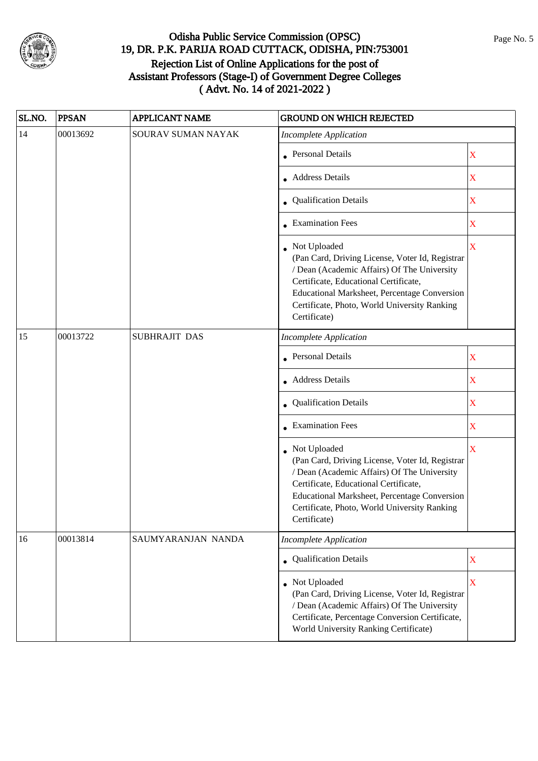

| SL.NO. | <b>PPSAN</b> | <b>APPLICANT NAME</b> | <b>GROUND ON WHICH REJECTED</b>                                                                                                                                                                                                                                           |             |
|--------|--------------|-----------------------|---------------------------------------------------------------------------------------------------------------------------------------------------------------------------------------------------------------------------------------------------------------------------|-------------|
| 14     | 00013692     | SOURAV SUMAN NAYAK    | <b>Incomplete Application</b>                                                                                                                                                                                                                                             |             |
|        |              |                       | Personal Details                                                                                                                                                                                                                                                          | X           |
|        |              |                       | • Address Details                                                                                                                                                                                                                                                         | X           |
|        |              |                       | • Qualification Details                                                                                                                                                                                                                                                   | X           |
|        |              |                       | • Examination Fees                                                                                                                                                                                                                                                        | X           |
|        |              |                       | • Not Uploaded<br>(Pan Card, Driving License, Voter Id, Registrar<br>/ Dean (Academic Affairs) Of The University<br>Certificate, Educational Certificate,<br>Educational Marksheet, Percentage Conversion<br>Certificate, Photo, World University Ranking<br>Certificate) | $\bar{X}$   |
| 15     | 00013722     | SUBHRAJIT DAS         | <b>Incomplete Application</b>                                                                                                                                                                                                                                             |             |
|        |              |                       | • Personal Details                                                                                                                                                                                                                                                        | X           |
|        |              |                       | • Address Details                                                                                                                                                                                                                                                         | $\mathbf X$ |
|        |              |                       | Qualification Details                                                                                                                                                                                                                                                     | X           |
|        |              |                       | <b>Examination Fees</b>                                                                                                                                                                                                                                                   | X           |
|        |              |                       | Not Uploaded<br>(Pan Card, Driving License, Voter Id, Registrar<br>/ Dean (Academic Affairs) Of The University<br>Certificate, Educational Certificate,<br>Educational Marksheet, Percentage Conversion<br>Certificate, Photo, World University Ranking<br>Certificate)   | X           |
| 16     | 00013814     | SAUMYARANJAN NANDA    | <b>Incomplete Application</b>                                                                                                                                                                                                                                             |             |
|        |              |                       | Qualification Details                                                                                                                                                                                                                                                     | $\mathbf X$ |
|        |              |                       | • Not Uploaded<br>(Pan Card, Driving License, Voter Id, Registrar<br>/ Dean (Academic Affairs) Of The University<br>Certificate, Percentage Conversion Certificate,<br>World University Ranking Certificate)                                                              | $\mathbf X$ |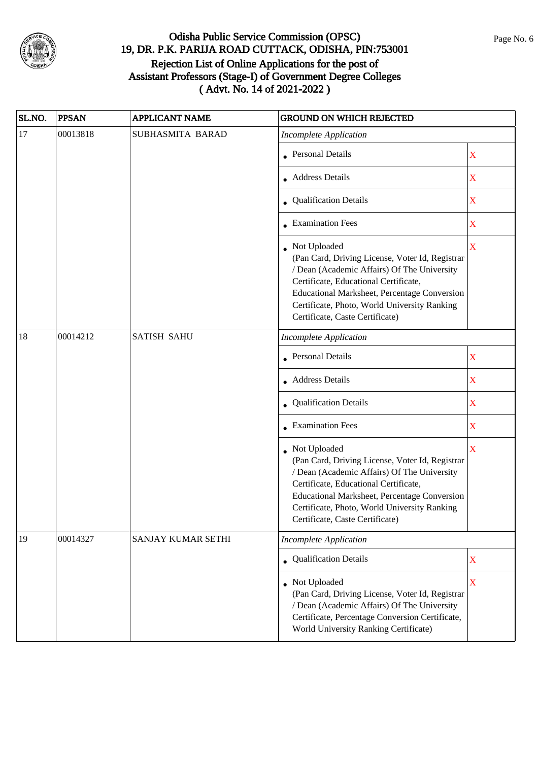

| SL.NO. | <b>PPSAN</b> | <b>APPLICANT NAME</b>     | <b>GROUND ON WHICH REJECTED</b>                                                                                                                                                                                                                                                            |                         |
|--------|--------------|---------------------------|--------------------------------------------------------------------------------------------------------------------------------------------------------------------------------------------------------------------------------------------------------------------------------------------|-------------------------|
| 17     | 00013818     | SUBHASMITA BARAD          | <b>Incomplete Application</b>                                                                                                                                                                                                                                                              |                         |
|        |              |                           | Personal Details                                                                                                                                                                                                                                                                           | $\mathbf X$             |
|        |              |                           | Address Details                                                                                                                                                                                                                                                                            | $\mathbf X$             |
|        |              |                           | • Qualification Details                                                                                                                                                                                                                                                                    | $\mathbf X$             |
|        |              |                           | <b>Examination Fees</b>                                                                                                                                                                                                                                                                    | X                       |
|        |              |                           | Not Uploaded<br>(Pan Card, Driving License, Voter Id, Registrar<br>/ Dean (Academic Affairs) Of The University<br>Certificate, Educational Certificate,<br>Educational Marksheet, Percentage Conversion<br>Certificate, Photo, World University Ranking<br>Certificate, Caste Certificate) | $\overline{\mathbf{X}}$ |
| 18     | 00014212     | <b>SATISH SAHU</b>        | <b>Incomplete Application</b>                                                                                                                                                                                                                                                              |                         |
|        |              |                           | • Personal Details                                                                                                                                                                                                                                                                         | $\mathbf X$             |
|        |              |                           | • Address Details                                                                                                                                                                                                                                                                          | X                       |
|        |              |                           | Qualification Details                                                                                                                                                                                                                                                                      | X                       |
|        |              |                           | • Examination Fees                                                                                                                                                                                                                                                                         | X                       |
|        |              |                           | Not Uploaded<br>(Pan Card, Driving License, Voter Id, Registrar<br>/ Dean (Academic Affairs) Of The University<br>Certificate, Educational Certificate,<br>Educational Marksheet, Percentage Conversion<br>Certificate, Photo, World University Ranking<br>Certificate, Caste Certificate) | X                       |
| 19     | 00014327     | <b>SANJAY KUMAR SETHI</b> | <b>Incomplete Application</b>                                                                                                                                                                                                                                                              |                         |
|        |              |                           | • Qualification Details                                                                                                                                                                                                                                                                    | $\mathbf X$             |
|        |              |                           | • Not Uploaded<br>(Pan Card, Driving License, Voter Id, Registrar<br>/ Dean (Academic Affairs) Of The University<br>Certificate, Percentage Conversion Certificate,<br>World University Ranking Certificate)                                                                               | $\mathbf X$             |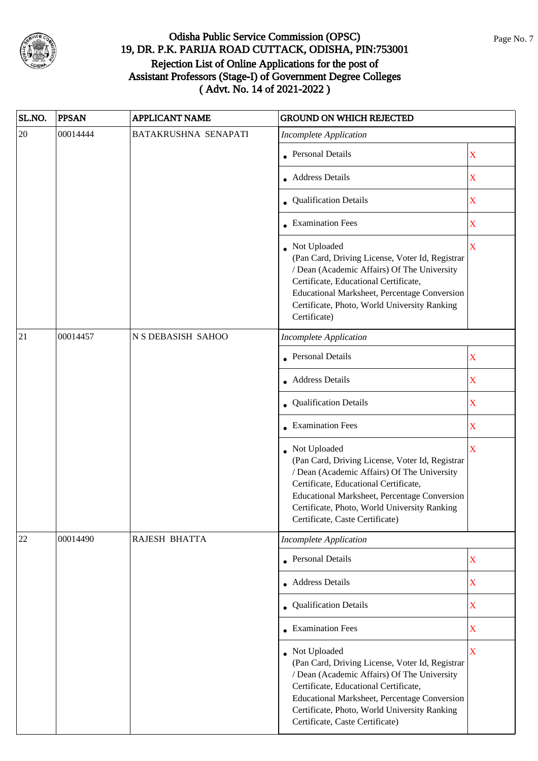

| SL.NO. | <b>PPSAN</b> | <b>APPLICANT NAME</b> | <b>GROUND ON WHICH REJECTED</b>                                                                                                                                                                                                                                                            |                         |
|--------|--------------|-----------------------|--------------------------------------------------------------------------------------------------------------------------------------------------------------------------------------------------------------------------------------------------------------------------------------------|-------------------------|
| 20     | 00014444     | BATAKRUSHNA SENAPATI  | <b>Incomplete Application</b>                                                                                                                                                                                                                                                              |                         |
|        |              |                       | <b>Personal Details</b>                                                                                                                                                                                                                                                                    | $\mathbf X$             |
|        |              |                       | <b>Address Details</b>                                                                                                                                                                                                                                                                     | $\mathbf X$             |
|        |              |                       | • Qualification Details                                                                                                                                                                                                                                                                    | $\mathbf X$             |
|        |              |                       | <b>Examination Fees</b>                                                                                                                                                                                                                                                                    | $\overline{\textbf{X}}$ |
|        |              |                       | Not Uploaded<br>(Pan Card, Driving License, Voter Id, Registrar<br>/ Dean (Academic Affairs) Of The University<br>Certificate, Educational Certificate,<br>Educational Marksheet, Percentage Conversion<br>Certificate, Photo, World University Ranking<br>Certificate)                    | $\overline{\mathbf{X}}$ |
| 21     | 00014457     | N S DEBASISH SAHOO    | <b>Incomplete Application</b>                                                                                                                                                                                                                                                              |                         |
|        |              |                       | <b>Personal Details</b>                                                                                                                                                                                                                                                                    | X                       |
|        |              |                       | • Address Details                                                                                                                                                                                                                                                                          | $\mathbf X$             |
|        |              |                       | • Qualification Details                                                                                                                                                                                                                                                                    | $\mathbf X$             |
|        |              |                       | <b>Examination Fees</b>                                                                                                                                                                                                                                                                    | $\overline{\mathbf{X}}$ |
|        |              |                       | Not Uploaded<br>(Pan Card, Driving License, Voter Id, Registrar<br>/ Dean (Academic Affairs) Of The University<br>Certificate, Educational Certificate,<br>Educational Marksheet, Percentage Conversion<br>Certificate, Photo, World University Ranking<br>Certificate, Caste Certificate) | $\overline{\mathbf{X}}$ |
| 22     | 00014490     | RAJESH BHATTA         | <b>Incomplete Application</b>                                                                                                                                                                                                                                                              |                         |
|        |              |                       | • Personal Details                                                                                                                                                                                                                                                                         | $\mathbf X$             |
|        |              |                       | Address Details                                                                                                                                                                                                                                                                            | X                       |
|        |              |                       | • Qualification Details                                                                                                                                                                                                                                                                    | $\overline{\textbf{X}}$ |
|        |              |                       | • Examination Fees                                                                                                                                                                                                                                                                         | X                       |
|        |              |                       | Not Uploaded<br>(Pan Card, Driving License, Voter Id, Registrar<br>/ Dean (Academic Affairs) Of The University<br>Certificate, Educational Certificate,<br>Educational Marksheet, Percentage Conversion<br>Certificate, Photo, World University Ranking<br>Certificate, Caste Certificate) | $\overline{\mathbf{X}}$ |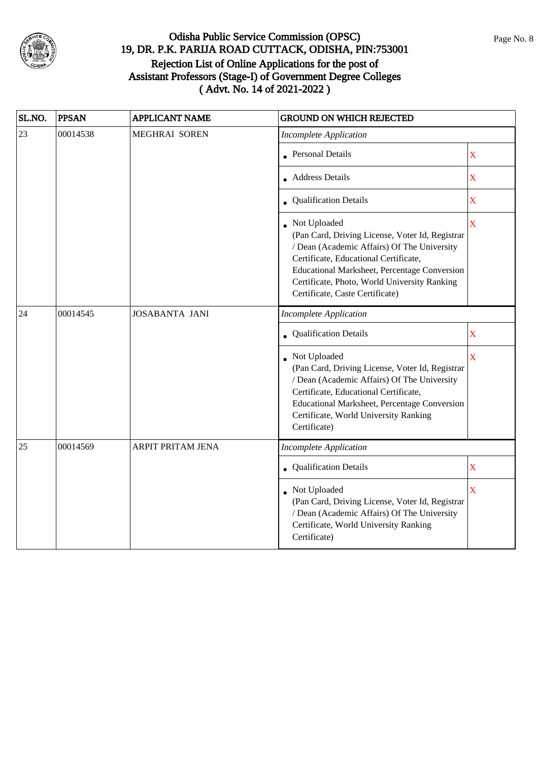

| SL.NO. | <b>PPSAN</b> | <b>APPLICANT NAME</b> | <b>GROUND ON WHICH REJECTED</b>                                                                                                                                                                                                                                                              |                         |
|--------|--------------|-----------------------|----------------------------------------------------------------------------------------------------------------------------------------------------------------------------------------------------------------------------------------------------------------------------------------------|-------------------------|
| 23     | 00014538     | <b>MEGHRAI SOREN</b>  | <b>Incomplete Application</b>                                                                                                                                                                                                                                                                |                         |
|        |              |                       | • Personal Details                                                                                                                                                                                                                                                                           | X                       |
|        |              |                       | • Address Details                                                                                                                                                                                                                                                                            | X                       |
|        |              |                       | • Qualification Details                                                                                                                                                                                                                                                                      | X                       |
|        |              |                       | • Not Uploaded<br>(Pan Card, Driving License, Voter Id, Registrar<br>/ Dean (Academic Affairs) Of The University<br>Certificate, Educational Certificate,<br>Educational Marksheet, Percentage Conversion<br>Certificate, Photo, World University Ranking<br>Certificate, Caste Certificate) | $\overline{\mathbf{X}}$ |
| 24     | 00014545     | <b>JOSABANTA JANI</b> | <b>Incomplete Application</b>                                                                                                                                                                                                                                                                |                         |
|        |              |                       | <b>Qualification Details</b>                                                                                                                                                                                                                                                                 | $\mathbf X$             |
|        |              |                       | • Not Uploaded<br>(Pan Card, Driving License, Voter Id, Registrar<br>/ Dean (Academic Affairs) Of The University<br>Certificate, Educational Certificate,<br>Educational Marksheet, Percentage Conversion<br>Certificate, World University Ranking<br>Certificate)                           | X                       |
| 25     | 00014569     | ARPIT PRITAM JENA     | <b>Incomplete Application</b>                                                                                                                                                                                                                                                                |                         |
|        |              |                       | <b>Qualification Details</b>                                                                                                                                                                                                                                                                 | $\overline{\mathbf{X}}$ |
|        |              |                       | Not Uploaded<br>(Pan Card, Driving License, Voter Id, Registrar<br>/ Dean (Academic Affairs) Of The University<br>Certificate, World University Ranking<br>Certificate)                                                                                                                      | X                       |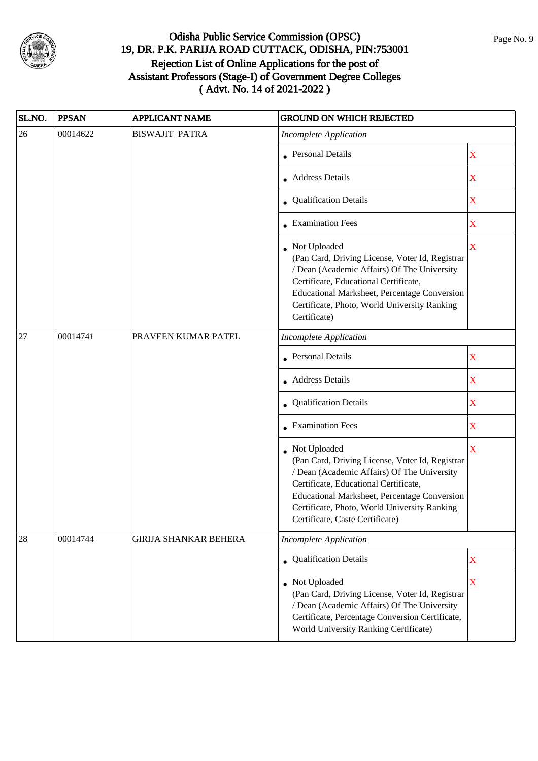

| SL.NO. | <b>PPSAN</b> | <b>APPLICANT NAME</b>        | <b>GROUND ON WHICH REJECTED</b>                                                                                                                                                                                                                                                            |                         |
|--------|--------------|------------------------------|--------------------------------------------------------------------------------------------------------------------------------------------------------------------------------------------------------------------------------------------------------------------------------------------|-------------------------|
| 26     | 00014622     | <b>BISWAJIT PATRA</b>        | <b>Incomplete Application</b>                                                                                                                                                                                                                                                              |                         |
|        |              |                              | Personal Details                                                                                                                                                                                                                                                                           | $\mathbf X$             |
|        |              |                              | Address Details                                                                                                                                                                                                                                                                            | X                       |
|        |              |                              | • Qualification Details                                                                                                                                                                                                                                                                    | $\mathbf X$             |
|        |              |                              | <b>Examination Fees</b>                                                                                                                                                                                                                                                                    | X                       |
|        |              |                              | Not Uploaded<br>(Pan Card, Driving License, Voter Id, Registrar<br>/ Dean (Academic Affairs) Of The University<br>Certificate, Educational Certificate,<br><b>Educational Marksheet, Percentage Conversion</b><br>Certificate, Photo, World University Ranking<br>Certificate)             | $\overline{\mathbf{X}}$ |
| 27     | 00014741     | PRAVEEN KUMAR PATEL          | <b>Incomplete Application</b>                                                                                                                                                                                                                                                              |                         |
|        |              |                              | <b>Personal Details</b>                                                                                                                                                                                                                                                                    | $\mathbf X$             |
|        |              |                              | <b>Address Details</b>                                                                                                                                                                                                                                                                     | X                       |
|        |              |                              | Qualification Details                                                                                                                                                                                                                                                                      | X                       |
|        |              |                              | <b>Examination Fees</b>                                                                                                                                                                                                                                                                    | $\mathbf X$             |
|        |              |                              | Not Uploaded<br>(Pan Card, Driving License, Voter Id, Registrar<br>/ Dean (Academic Affairs) Of The University<br>Certificate, Educational Certificate,<br>Educational Marksheet, Percentage Conversion<br>Certificate, Photo, World University Ranking<br>Certificate, Caste Certificate) | X                       |
| 28     | 00014744     | <b>GIRIJA SHANKAR BEHERA</b> | <b>Incomplete Application</b>                                                                                                                                                                                                                                                              |                         |
|        |              |                              | • Qualification Details                                                                                                                                                                                                                                                                    | $\mathbf X$             |
|        |              |                              | • Not Uploaded<br>(Pan Card, Driving License, Voter Id, Registrar<br>/ Dean (Academic Affairs) Of The University<br>Certificate, Percentage Conversion Certificate,<br>World University Ranking Certificate)                                                                               | $\overline{\mathbf{X}}$ |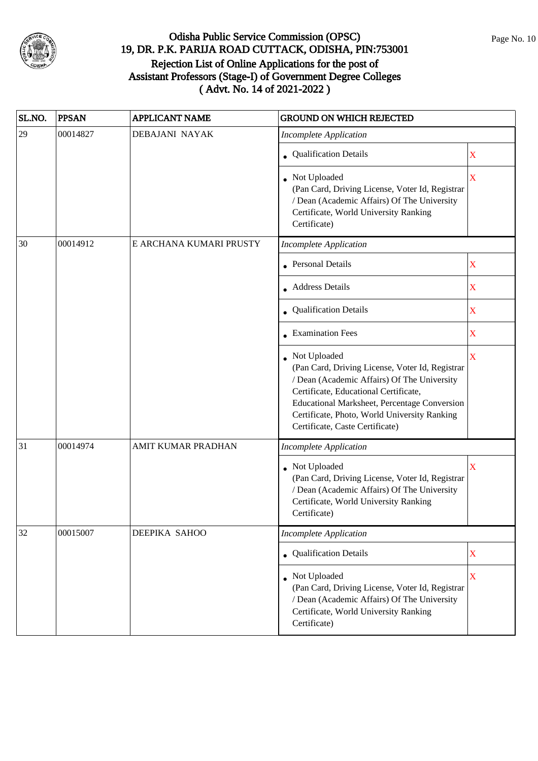

| SL.NO. | <b>PPSAN</b> | <b>APPLICANT NAME</b>   | <b>GROUND ON WHICH REJECTED</b>                                                                                                                                                                                                                                                              |             |
|--------|--------------|-------------------------|----------------------------------------------------------------------------------------------------------------------------------------------------------------------------------------------------------------------------------------------------------------------------------------------|-------------|
| 29     | 00014827     | DEBAJANI NAYAK          | <b>Incomplete Application</b>                                                                                                                                                                                                                                                                |             |
|        |              |                         | Qualification Details                                                                                                                                                                                                                                                                        | X           |
|        |              |                         | Not Uploaded<br>(Pan Card, Driving License, Voter Id, Registrar<br>/ Dean (Academic Affairs) Of The University<br>Certificate, World University Ranking<br>Certificate)                                                                                                                      | X           |
| 30     | 00014912     | E ARCHANA KUMARI PRUSTY | <b>Incomplete Application</b>                                                                                                                                                                                                                                                                |             |
|        |              |                         | • Personal Details                                                                                                                                                                                                                                                                           | X           |
|        |              |                         | • Address Details                                                                                                                                                                                                                                                                            | X           |
|        |              |                         | • Qualification Details                                                                                                                                                                                                                                                                      | X           |
|        |              |                         | • Examination Fees                                                                                                                                                                                                                                                                           | X           |
|        |              |                         | • Not Uploaded<br>(Pan Card, Driving License, Voter Id, Registrar<br>/ Dean (Academic Affairs) Of The University<br>Certificate, Educational Certificate,<br>Educational Marksheet, Percentage Conversion<br>Certificate, Photo, World University Ranking<br>Certificate, Caste Certificate) | X           |
| 31     | 00014974     | AMIT KUMAR PRADHAN      | <b>Incomplete Application</b>                                                                                                                                                                                                                                                                |             |
|        |              |                         | Not Uploaded<br>(Pan Card, Driving License, Voter Id, Registrar<br>/ Dean (Academic Affairs) Of The University<br>Certificate, World University Ranking<br>Certificate)                                                                                                                      | X           |
| 32     | 00015007     | DEEPIKA SAHOO           | <b>Incomplete Application</b>                                                                                                                                                                                                                                                                |             |
|        |              |                         | <b>Qualification Details</b>                                                                                                                                                                                                                                                                 | $\mathbf X$ |
|        |              |                         | Not Uploaded<br>(Pan Card, Driving License, Voter Id, Registrar<br>/ Dean (Academic Affairs) Of The University<br>Certificate, World University Ranking<br>Certificate)                                                                                                                      | $\mathbf X$ |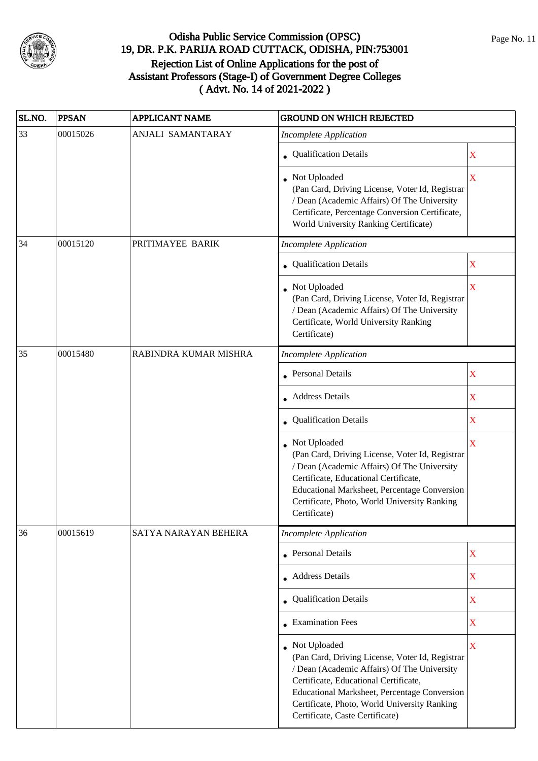

| SL.NO. | <b>PPSAN</b> | <b>APPLICANT NAME</b> | <b>GROUND ON WHICH REJECTED</b>                                                                                                                                                                                                                                                            |                           |
|--------|--------------|-----------------------|--------------------------------------------------------------------------------------------------------------------------------------------------------------------------------------------------------------------------------------------------------------------------------------------|---------------------------|
| 33     | 00015026     | ANJALI SAMANTARAY     | <b>Incomplete Application</b>                                                                                                                                                                                                                                                              |                           |
|        |              |                       | • Qualification Details                                                                                                                                                                                                                                                                    | $\mathbf X$               |
|        |              |                       | Not Uploaded<br>(Pan Card, Driving License, Voter Id, Registrar<br>/ Dean (Academic Affairs) Of The University<br>Certificate, Percentage Conversion Certificate,<br>World University Ranking Certificate)                                                                                 | X                         |
| 34     | 00015120     | PRITIMAYEE BARIK      | <b>Incomplete Application</b>                                                                                                                                                                                                                                                              |                           |
|        |              |                       | • Qualification Details                                                                                                                                                                                                                                                                    | X                         |
|        |              |                       | Not Uploaded<br>(Pan Card, Driving License, Voter Id, Registrar<br>/ Dean (Academic Affairs) Of The University<br>Certificate, World University Ranking<br>Certificate)                                                                                                                    | X                         |
| 35     | 00015480     | RABINDRA KUMAR MISHRA | <b>Incomplete Application</b>                                                                                                                                                                                                                                                              |                           |
|        |              |                       | Personal Details                                                                                                                                                                                                                                                                           | $\mathbf X$               |
|        |              |                       | • Address Details                                                                                                                                                                                                                                                                          | X                         |
|        |              |                       | <b>Qualification Details</b>                                                                                                                                                                                                                                                               | X                         |
|        |              |                       | Not Uploaded<br>(Pan Card, Driving License, Voter Id, Registrar<br>/ Dean (Academic Affairs) Of The University<br>Certificate, Educational Certificate,<br>Educational Marksheet, Percentage Conversion<br>Certificate, Photo, World University Ranking<br>Certificate)                    | $\overline{\mathbf{X}}$   |
| 36     | 00015619     | SATYA NARAYAN BEHERA  | <b>Incomplete Application</b>                                                                                                                                                                                                                                                              |                           |
|        |              |                       | Personal Details                                                                                                                                                                                                                                                                           | $\boldsymbol{\mathrm{X}}$ |
|        |              |                       | Address Details                                                                                                                                                                                                                                                                            | X                         |
|        |              |                       | Qualification Details                                                                                                                                                                                                                                                                      | X                         |
|        |              |                       | <b>Examination Fees</b>                                                                                                                                                                                                                                                                    | X                         |
|        |              |                       | Not Uploaded<br>(Pan Card, Driving License, Voter Id, Registrar<br>/ Dean (Academic Affairs) Of The University<br>Certificate, Educational Certificate,<br>Educational Marksheet, Percentage Conversion<br>Certificate, Photo, World University Ranking<br>Certificate, Caste Certificate) | $\overline{\mathbf{X}}$   |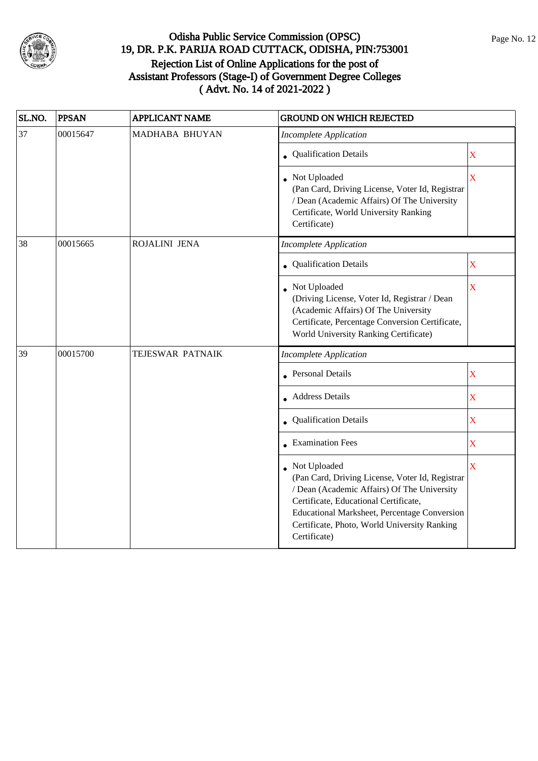

| SL.NO. | <b>PPSAN</b> | <b>APPLICANT NAME</b> | <b>GROUND ON WHICH REJECTED</b>                                                                                                                                                                                                                                                  |                         |
|--------|--------------|-----------------------|----------------------------------------------------------------------------------------------------------------------------------------------------------------------------------------------------------------------------------------------------------------------------------|-------------------------|
| 37     | 00015647     | MADHABA BHUYAN        | <b>Incomplete Application</b>                                                                                                                                                                                                                                                    |                         |
|        |              |                       | • Qualification Details                                                                                                                                                                                                                                                          | X                       |
|        |              |                       | • Not Uploaded<br>(Pan Card, Driving License, Voter Id, Registrar<br>/ Dean (Academic Affairs) Of The University<br>Certificate, World University Ranking<br>Certificate)                                                                                                        | X                       |
| 38     | 00015665     | ROJALINI JENA         | <b>Incomplete Application</b>                                                                                                                                                                                                                                                    |                         |
|        |              |                       | Qualification Details                                                                                                                                                                                                                                                            | $\mathbf X$             |
|        |              |                       | • Not Uploaded<br>(Driving License, Voter Id, Registrar / Dean<br>(Academic Affairs) Of The University<br>Certificate, Percentage Conversion Certificate,<br>World University Ranking Certificate)                                                                               | $\overline{\mathbf{X}}$ |
| 39     | 00015700     | TEJESWAR PATNAIK      | <b>Incomplete Application</b>                                                                                                                                                                                                                                                    |                         |
|        |              |                       | <b>Personal Details</b>                                                                                                                                                                                                                                                          | $\mathbf X$             |
|        |              |                       | <b>Address Details</b>                                                                                                                                                                                                                                                           | $\mathbf X$             |
|        |              |                       | • Qualification Details                                                                                                                                                                                                                                                          | $\mathbf X$             |
|        |              |                       | $\bullet$ Examination Fees                                                                                                                                                                                                                                                       | $\overline{\mathbf{X}}$ |
|        |              |                       | • Not Uploaded<br>(Pan Card, Driving License, Voter Id, Registrar<br>/ Dean (Academic Affairs) Of The University<br>Certificate, Educational Certificate,<br><b>Educational Marksheet, Percentage Conversion</b><br>Certificate, Photo, World University Ranking<br>Certificate) | $\overline{\mathbf{X}}$ |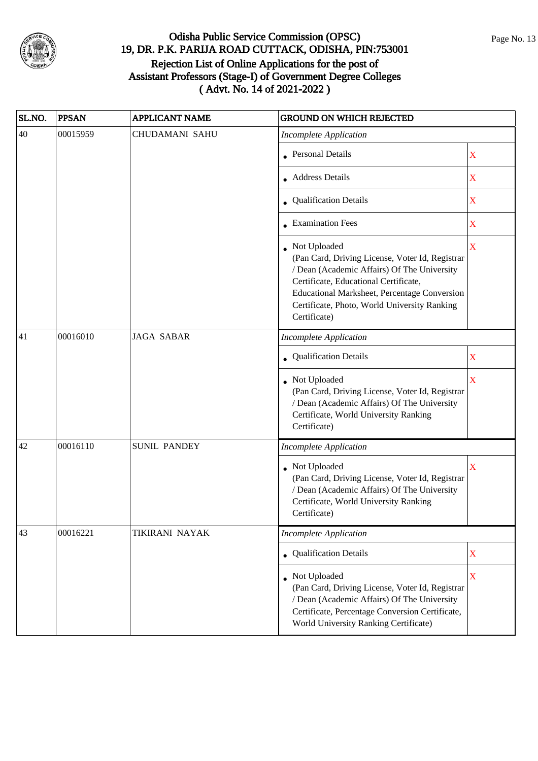

| SL.NO. | <b>PPSAN</b> | <b>APPLICANT NAME</b> | <b>GROUND ON WHICH REJECTED</b>                                                                                                                                                                                                                                         |                         |
|--------|--------------|-----------------------|-------------------------------------------------------------------------------------------------------------------------------------------------------------------------------------------------------------------------------------------------------------------------|-------------------------|
| 40     | 00015959     | <b>CHUDAMANI SAHU</b> | <b>Incomplete Application</b>                                                                                                                                                                                                                                           |                         |
|        |              |                       | Personal Details                                                                                                                                                                                                                                                        | $\mathbf X$             |
|        |              |                       | Address Details                                                                                                                                                                                                                                                         | X                       |
|        |              |                       | • Qualification Details                                                                                                                                                                                                                                                 | X                       |
|        |              |                       | • Examination Fees                                                                                                                                                                                                                                                      | X                       |
|        |              |                       | Not Uploaded<br>(Pan Card, Driving License, Voter Id, Registrar<br>/ Dean (Academic Affairs) Of The University<br>Certificate, Educational Certificate,<br>Educational Marksheet, Percentage Conversion<br>Certificate, Photo, World University Ranking<br>Certificate) | $\overline{\mathbf{X}}$ |
| 41     | 00016010     | <b>JAGA SABAR</b>     | <b>Incomplete Application</b>                                                                                                                                                                                                                                           |                         |
|        |              |                       | Qualification Details                                                                                                                                                                                                                                                   | X                       |
|        |              |                       | • Not Uploaded<br>(Pan Card, Driving License, Voter Id, Registrar<br>/ Dean (Academic Affairs) Of The University<br>Certificate, World University Ranking<br>Certificate)                                                                                               | X                       |
| 42     | 00016110     | <b>SUNIL PANDEY</b>   | <b>Incomplete Application</b>                                                                                                                                                                                                                                           |                         |
|        |              |                       | Not Uploaded<br>(Pan Card, Driving License, Voter Id, Registrar<br>/ Dean (Academic Affairs) Of The University<br>Certificate, World University Ranking<br>Certificate)                                                                                                 | X                       |
| 43     | 00016221     | <b>TIKIRANI NAYAK</b> | <b>Incomplete Application</b>                                                                                                                                                                                                                                           |                         |
|        |              |                       | • Qualification Details                                                                                                                                                                                                                                                 | X                       |
|        |              |                       | Not Uploaded<br>(Pan Card, Driving License, Voter Id, Registrar<br>/ Dean (Academic Affairs) Of The University<br>Certificate, Percentage Conversion Certificate,<br>World University Ranking Certificate)                                                              | $\mathbf X$             |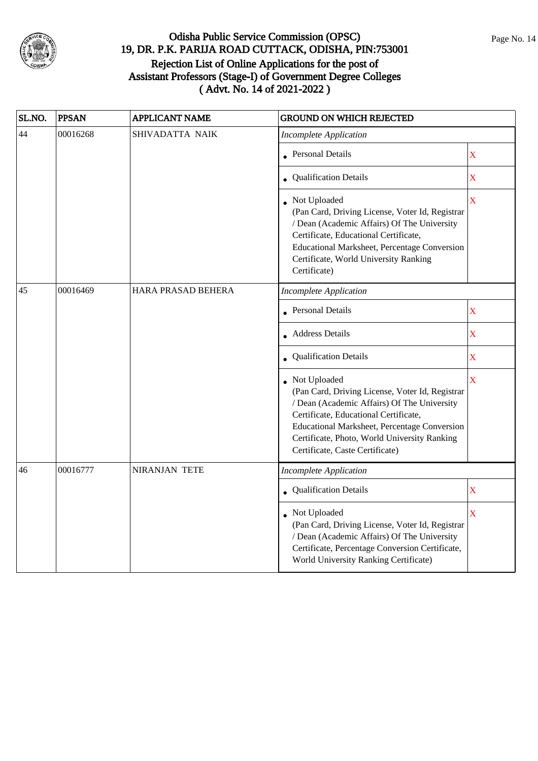

| SL.NO. | <b>PPSAN</b> | <b>APPLICANT NAME</b> | <b>GROUND ON WHICH REJECTED</b>                                                                                                                                                                                                                                                              |                         |
|--------|--------------|-----------------------|----------------------------------------------------------------------------------------------------------------------------------------------------------------------------------------------------------------------------------------------------------------------------------------------|-------------------------|
| 44     | 00016268     | SHIVADATTA NAIK       | <b>Incomplete Application</b>                                                                                                                                                                                                                                                                |                         |
|        |              |                       | <b>Personal Details</b>                                                                                                                                                                                                                                                                      | $\mathbf X$             |
|        |              |                       | • Qualification Details                                                                                                                                                                                                                                                                      | X                       |
|        |              |                       | • Not Uploaded<br>(Pan Card, Driving License, Voter Id, Registrar<br>/ Dean (Academic Affairs) Of The University<br>Certificate, Educational Certificate,<br>Educational Marksheet, Percentage Conversion<br>Certificate, World University Ranking<br>Certificate)                           | $\mathbf X$             |
| 45     | 00016469     | HARA PRASAD BEHERA    | <b>Incomplete Application</b>                                                                                                                                                                                                                                                                |                         |
|        |              |                       | <b>Personal Details</b>                                                                                                                                                                                                                                                                      | $\mathbf X$             |
|        |              |                       | • Address Details                                                                                                                                                                                                                                                                            | X                       |
|        |              |                       | Qualification Details                                                                                                                                                                                                                                                                        | $\mathbf X$             |
|        |              |                       | • Not Uploaded<br>(Pan Card, Driving License, Voter Id, Registrar<br>/ Dean (Academic Affairs) Of The University<br>Certificate, Educational Certificate,<br>Educational Marksheet, Percentage Conversion<br>Certificate, Photo, World University Ranking<br>Certificate, Caste Certificate) | X                       |
| 46     | 00016777     | NIRANJAN TETE         | <b>Incomplete Application</b>                                                                                                                                                                                                                                                                |                         |
|        |              |                       | • Qualification Details                                                                                                                                                                                                                                                                      | $\mathbf X$             |
|        |              |                       | • Not Uploaded<br>(Pan Card, Driving License, Voter Id, Registrar<br>/ Dean (Academic Affairs) Of The University<br>Certificate, Percentage Conversion Certificate,<br>World University Ranking Certificate)                                                                                 | $\overline{\mathbf{X}}$ |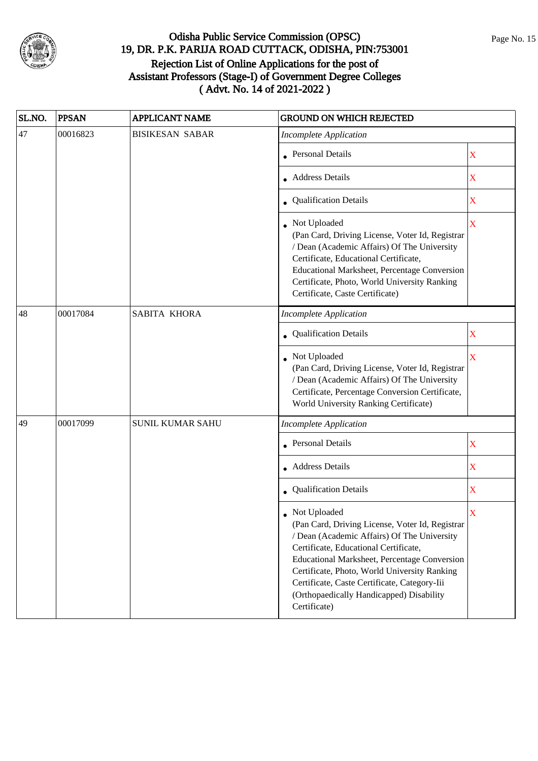

| SL.NO. | <b>PPSAN</b> | <b>APPLICANT NAME</b>                                                                                                                                                                                                                                                                                                                                               | <b>GROUND ON WHICH REJECTED</b>                                                                                                                                                                                                                                                              |                         |
|--------|--------------|---------------------------------------------------------------------------------------------------------------------------------------------------------------------------------------------------------------------------------------------------------------------------------------------------------------------------------------------------------------------|----------------------------------------------------------------------------------------------------------------------------------------------------------------------------------------------------------------------------------------------------------------------------------------------|-------------------------|
| 47     | 00016823     | <b>BISIKESAN SABAR</b>                                                                                                                                                                                                                                                                                                                                              | <b>Incomplete Application</b>                                                                                                                                                                                                                                                                |                         |
|        |              |                                                                                                                                                                                                                                                                                                                                                                     | Personal Details                                                                                                                                                                                                                                                                             | $\mathbf X$             |
|        |              |                                                                                                                                                                                                                                                                                                                                                                     | Address Details                                                                                                                                                                                                                                                                              | X                       |
|        |              |                                                                                                                                                                                                                                                                                                                                                                     | • Qualification Details                                                                                                                                                                                                                                                                      | X                       |
|        |              |                                                                                                                                                                                                                                                                                                                                                                     | • Not Uploaded<br>(Pan Card, Driving License, Voter Id, Registrar<br>/ Dean (Academic Affairs) Of The University<br>Certificate, Educational Certificate,<br>Educational Marksheet, Percentage Conversion<br>Certificate, Photo, World University Ranking<br>Certificate, Caste Certificate) | $\overline{\mathbf{X}}$ |
| 48     | 00017084     | SABITA KHORA                                                                                                                                                                                                                                                                                                                                                        | <b>Incomplete Application</b>                                                                                                                                                                                                                                                                |                         |
|        |              |                                                                                                                                                                                                                                                                                                                                                                     | Qualification Details                                                                                                                                                                                                                                                                        | X                       |
|        |              |                                                                                                                                                                                                                                                                                                                                                                     | • Not Uploaded<br>(Pan Card, Driving License, Voter Id, Registrar<br>/ Dean (Academic Affairs) Of The University<br>Certificate, Percentage Conversion Certificate,<br>World University Ranking Certificate)                                                                                 | X                       |
| 49     | 00017099     | <b>SUNIL KUMAR SAHU</b>                                                                                                                                                                                                                                                                                                                                             | <b>Incomplete Application</b>                                                                                                                                                                                                                                                                |                         |
|        |              |                                                                                                                                                                                                                                                                                                                                                                     | <b>Personal Details</b>                                                                                                                                                                                                                                                                      | $\mathbf X$             |
|        |              |                                                                                                                                                                                                                                                                                                                                                                     | • Address Details                                                                                                                                                                                                                                                                            | X                       |
|        |              |                                                                                                                                                                                                                                                                                                                                                                     | Qualification Details                                                                                                                                                                                                                                                                        | X                       |
|        |              | Not Uploaded<br>(Pan Card, Driving License, Voter Id, Registrar<br>/ Dean (Academic Affairs) Of The University<br>Certificate, Educational Certificate,<br>Educational Marksheet, Percentage Conversion<br>Certificate, Photo, World University Ranking<br>Certificate, Caste Certificate, Category-Iii<br>(Orthopaedically Handicapped) Disability<br>Certificate) |                                                                                                                                                                                                                                                                                              |                         |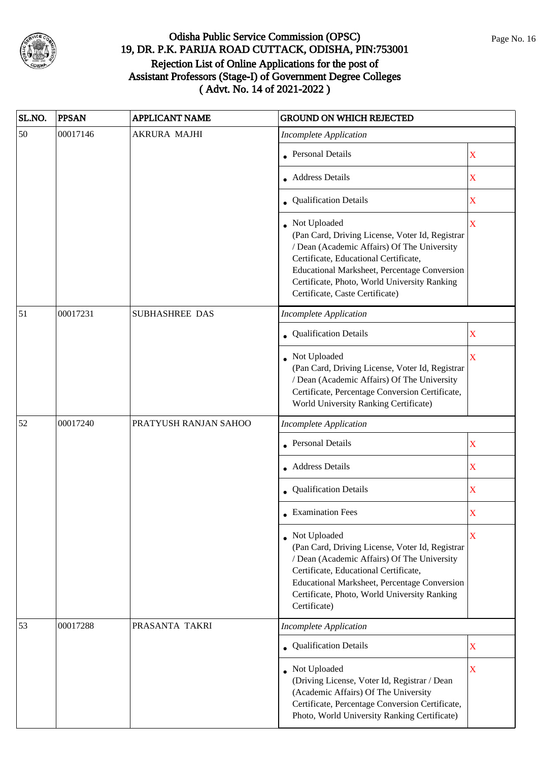

| SL.NO. | <b>PPSAN</b> | <b>APPLICANT NAME</b> | <b>GROUND ON WHICH REJECTED</b>                                                                                                                                                                                                                                                            |             |
|--------|--------------|-----------------------|--------------------------------------------------------------------------------------------------------------------------------------------------------------------------------------------------------------------------------------------------------------------------------------------|-------------|
| 50     | 00017146     | <b>AKRURA MAJHI</b>   | <b>Incomplete Application</b>                                                                                                                                                                                                                                                              |             |
|        |              |                       | <b>Personal Details</b>                                                                                                                                                                                                                                                                    | X           |
|        |              |                       | <b>Address Details</b>                                                                                                                                                                                                                                                                     | $\mathbf X$ |
|        |              |                       | • Qualification Details                                                                                                                                                                                                                                                                    | X           |
|        |              |                       | Not Uploaded<br>(Pan Card, Driving License, Voter Id, Registrar<br>/ Dean (Academic Affairs) Of The University<br>Certificate, Educational Certificate,<br>Educational Marksheet, Percentage Conversion<br>Certificate, Photo, World University Ranking<br>Certificate, Caste Certificate) | X           |
| 51     | 00017231     | SUBHASHREE DAS        | <b>Incomplete Application</b>                                                                                                                                                                                                                                                              |             |
|        |              |                       | Qualification Details                                                                                                                                                                                                                                                                      | X           |
|        |              |                       | Not Uploaded<br>(Pan Card, Driving License, Voter Id, Registrar<br>/ Dean (Academic Affairs) Of The University<br>Certificate, Percentage Conversion Certificate,<br>World University Ranking Certificate)                                                                                 | X           |
| 52     | 00017240     | PRATYUSH RANJAN SAHOO | <b>Incomplete Application</b>                                                                                                                                                                                                                                                              |             |
|        |              |                       | <b>Personal Details</b>                                                                                                                                                                                                                                                                    | X           |
|        |              |                       | • Address Details                                                                                                                                                                                                                                                                          | $\mathbf X$ |
|        |              |                       | Qualification Details                                                                                                                                                                                                                                                                      | X           |
|        |              |                       | • Examination Fees                                                                                                                                                                                                                                                                         | X           |
|        |              |                       | • Not Uploaded<br>(Pan Card, Driving License, Voter Id, Registrar<br>/ Dean (Academic Affairs) Of The University<br>Certificate, Educational Certificate,<br>Educational Marksheet, Percentage Conversion<br>Certificate, Photo, World University Ranking<br>Certificate)                  | X           |
| 53     | 00017288     | PRASANTA TAKRI        | <b>Incomplete Application</b>                                                                                                                                                                                                                                                              |             |
|        |              |                       | <b>Qualification Details</b>                                                                                                                                                                                                                                                               | $\mathbf X$ |
|        |              |                       | • Not Uploaded<br>(Driving License, Voter Id, Registrar / Dean<br>(Academic Affairs) Of The University<br>Certificate, Percentage Conversion Certificate,<br>Photo, World University Ranking Certificate)                                                                                  | $\mathbf X$ |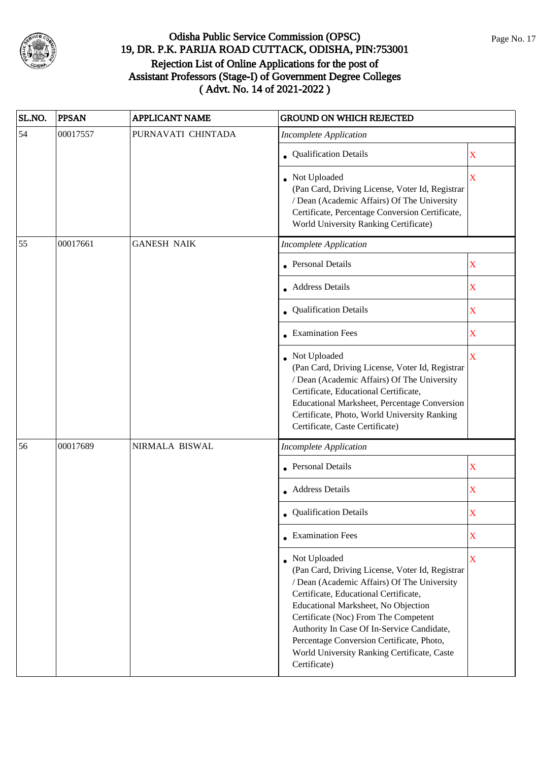

| SL.NO. | <b>PPSAN</b> | <b>APPLICANT NAME</b> | <b>GROUND ON WHICH REJECTED</b>                                                                                                                                                                                                                                                                                                                                                                  |                           |
|--------|--------------|-----------------------|--------------------------------------------------------------------------------------------------------------------------------------------------------------------------------------------------------------------------------------------------------------------------------------------------------------------------------------------------------------------------------------------------|---------------------------|
| 54     | 00017557     | PURNAVATI CHINTADA    | <b>Incomplete Application</b>                                                                                                                                                                                                                                                                                                                                                                    |                           |
|        |              |                       | • Qualification Details                                                                                                                                                                                                                                                                                                                                                                          | X                         |
|        |              |                       | • Not Uploaded<br>(Pan Card, Driving License, Voter Id, Registrar<br>/ Dean (Academic Affairs) Of The University<br>Certificate, Percentage Conversion Certificate,<br>World University Ranking Certificate)                                                                                                                                                                                     | X                         |
| 55     | 00017661     | <b>GANESH NAIK</b>    | <b>Incomplete Application</b>                                                                                                                                                                                                                                                                                                                                                                    |                           |
|        |              |                       | <b>Personal Details</b>                                                                                                                                                                                                                                                                                                                                                                          | X                         |
|        |              |                       | • Address Details                                                                                                                                                                                                                                                                                                                                                                                | X                         |
|        |              |                       | • Qualification Details                                                                                                                                                                                                                                                                                                                                                                          | X                         |
|        |              |                       | • Examination Fees                                                                                                                                                                                                                                                                                                                                                                               | X                         |
|        |              |                       | Not Uploaded<br>(Pan Card, Driving License, Voter Id, Registrar<br>/ Dean (Academic Affairs) Of The University<br>Certificate, Educational Certificate,<br>Educational Marksheet, Percentage Conversion<br>Certificate, Photo, World University Ranking<br>Certificate, Caste Certificate)                                                                                                       | X                         |
| 56     | 00017689     | NIRMALA BISWAL        | <b>Incomplete Application</b>                                                                                                                                                                                                                                                                                                                                                                    |                           |
|        |              |                       | • Personal Details                                                                                                                                                                                                                                                                                                                                                                               | $\boldsymbol{\mathrm{X}}$ |
|        |              |                       | • Address Details                                                                                                                                                                                                                                                                                                                                                                                | X                         |
|        |              |                       | Qualification Details                                                                                                                                                                                                                                                                                                                                                                            | X                         |
|        |              |                       | $\bullet$ Examination Fees                                                                                                                                                                                                                                                                                                                                                                       | $\mathbf X$               |
|        |              |                       | Not Uploaded<br>(Pan Card, Driving License, Voter Id, Registrar<br>/ Dean (Academic Affairs) Of The University<br>Certificate, Educational Certificate,<br>Educational Marksheet, No Objection<br>Certificate (Noc) From The Competent<br>Authority In Case Of In-Service Candidate,<br>Percentage Conversion Certificate, Photo,<br>World University Ranking Certificate, Caste<br>Certificate) | X                         |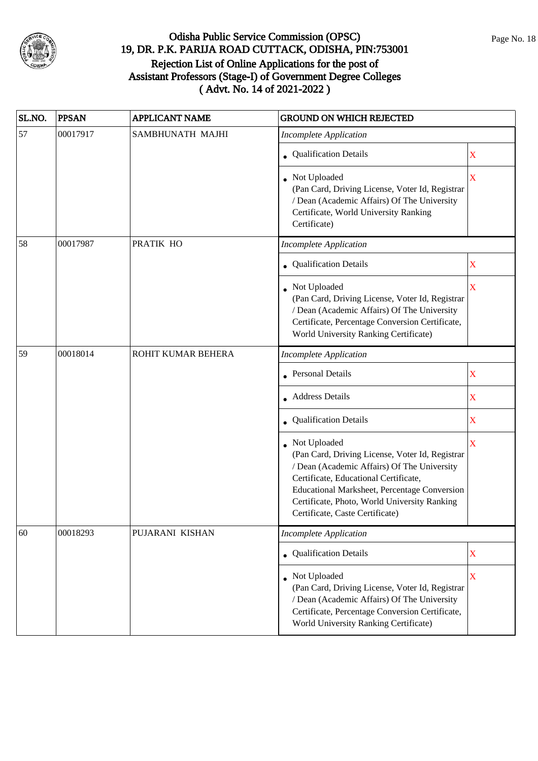

| SL.NO. | <b>PPSAN</b> | <b>APPLICANT NAME</b> | <b>GROUND ON WHICH REJECTED</b>                                                                                                                                                                                                                                                            |                         |
|--------|--------------|-----------------------|--------------------------------------------------------------------------------------------------------------------------------------------------------------------------------------------------------------------------------------------------------------------------------------------|-------------------------|
| 57     | 00017917     | SAMBHUNATH MAJHI      | <b>Incomplete Application</b>                                                                                                                                                                                                                                                              |                         |
|        |              |                       | • Qualification Details                                                                                                                                                                                                                                                                    | $\mathbf X$             |
|        |              |                       | • Not Uploaded<br>(Pan Card, Driving License, Voter Id, Registrar<br>/ Dean (Academic Affairs) Of The University<br>Certificate, World University Ranking<br>Certificate)                                                                                                                  | $\overline{\textbf{X}}$ |
| 58     | 00017987     | PRATIK HO             | <b>Incomplete Application</b>                                                                                                                                                                                                                                                              |                         |
|        |              |                       | <b>Qualification Details</b>                                                                                                                                                                                                                                                               | X                       |
|        |              |                       | Not Uploaded<br>(Pan Card, Driving License, Voter Id, Registrar<br>/ Dean (Academic Affairs) Of The University<br>Certificate, Percentage Conversion Certificate,<br>World University Ranking Certificate)                                                                                 | X                       |
| 59     | 00018014     | ROHIT KUMAR BEHERA    | <b>Incomplete Application</b>                                                                                                                                                                                                                                                              |                         |
|        |              |                       | <b>Personal Details</b>                                                                                                                                                                                                                                                                    | $\mathbf X$             |
|        |              |                       | Address Details                                                                                                                                                                                                                                                                            | X                       |
|        |              |                       | Qualification Details                                                                                                                                                                                                                                                                      | X                       |
|        |              |                       | Not Uploaded<br>(Pan Card, Driving License, Voter Id, Registrar<br>/ Dean (Academic Affairs) Of The University<br>Certificate, Educational Certificate,<br>Educational Marksheet, Percentage Conversion<br>Certificate, Photo, World University Ranking<br>Certificate, Caste Certificate) | $\overline{\mathbf{X}}$ |
| 60     | 00018293     | PUJARANI KISHAN       | <b>Incomplete Application</b>                                                                                                                                                                                                                                                              |                         |
|        |              |                       | <b>Qualification Details</b>                                                                                                                                                                                                                                                               | $\mathbf X$             |
|        |              |                       | Not Uploaded<br>(Pan Card, Driving License, Voter Id, Registrar<br>/ Dean (Academic Affairs) Of The University<br>Certificate, Percentage Conversion Certificate,<br>World University Ranking Certificate)                                                                                 | $\mathbf X$             |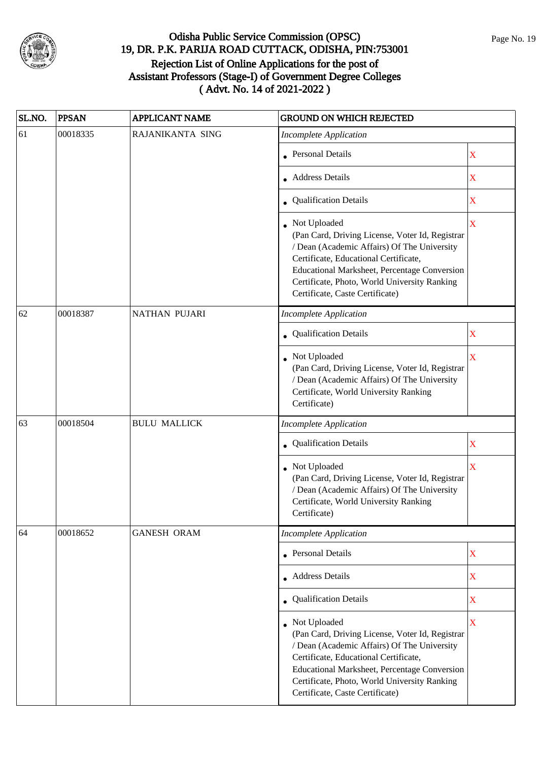

| SL.NO. | <b>PPSAN</b> | <b>APPLICANT NAME</b> | <b>GROUND ON WHICH REJECTED</b>                                                                                                                                                                                                                                                            |                         |
|--------|--------------|-----------------------|--------------------------------------------------------------------------------------------------------------------------------------------------------------------------------------------------------------------------------------------------------------------------------------------|-------------------------|
| 61     | 00018335     | RAJANIKANTA SING      | <b>Incomplete Application</b>                                                                                                                                                                                                                                                              |                         |
|        |              |                       | <b>Personal Details</b>                                                                                                                                                                                                                                                                    | X                       |
|        |              |                       | <b>Address Details</b>                                                                                                                                                                                                                                                                     | $\mathbf X$             |
|        |              |                       | • Qualification Details                                                                                                                                                                                                                                                                    | X                       |
|        |              |                       | Not Uploaded<br>(Pan Card, Driving License, Voter Id, Registrar<br>/ Dean (Academic Affairs) Of The University<br>Certificate, Educational Certificate,<br>Educational Marksheet, Percentage Conversion<br>Certificate, Photo, World University Ranking<br>Certificate, Caste Certificate) | $\overline{\mathbf{X}}$ |
| 62     | 00018387     | <b>NATHAN PUJARI</b>  | <b>Incomplete Application</b>                                                                                                                                                                                                                                                              |                         |
|        |              |                       | Qualification Details                                                                                                                                                                                                                                                                      | X                       |
|        |              |                       | Not Uploaded<br>(Pan Card, Driving License, Voter Id, Registrar<br>/ Dean (Academic Affairs) Of The University<br>Certificate, World University Ranking<br>Certificate)                                                                                                                    | $\overline{\mathbf{X}}$ |
| 63     | 00018504     | <b>BULU MALLICK</b>   | <b>Incomplete Application</b>                                                                                                                                                                                                                                                              |                         |
|        |              |                       | Qualification Details                                                                                                                                                                                                                                                                      | X                       |
|        |              |                       | Not Uploaded<br>(Pan Card, Driving License, Voter Id, Registrar<br>/ Dean (Academic Affairs) Of The University<br>Certificate, World University Ranking<br>Certificate)                                                                                                                    | X                       |
| 64     | 00018652     | <b>GANESH ORAM</b>    | <b>Incomplete Application</b>                                                                                                                                                                                                                                                              |                         |
|        |              |                       | <b>Personal Details</b>                                                                                                                                                                                                                                                                    | $\mathbf X$             |
|        |              |                       | • Address Details                                                                                                                                                                                                                                                                          | X                       |
|        |              |                       | • Qualification Details                                                                                                                                                                                                                                                                    | X                       |
|        |              |                       | Not Uploaded<br>(Pan Card, Driving License, Voter Id, Registrar<br>/ Dean (Academic Affairs) Of The University<br>Certificate, Educational Certificate,<br>Educational Marksheet, Percentage Conversion<br>Certificate, Photo, World University Ranking<br>Certificate, Caste Certificate) | $\overline{\mathbf{X}}$ |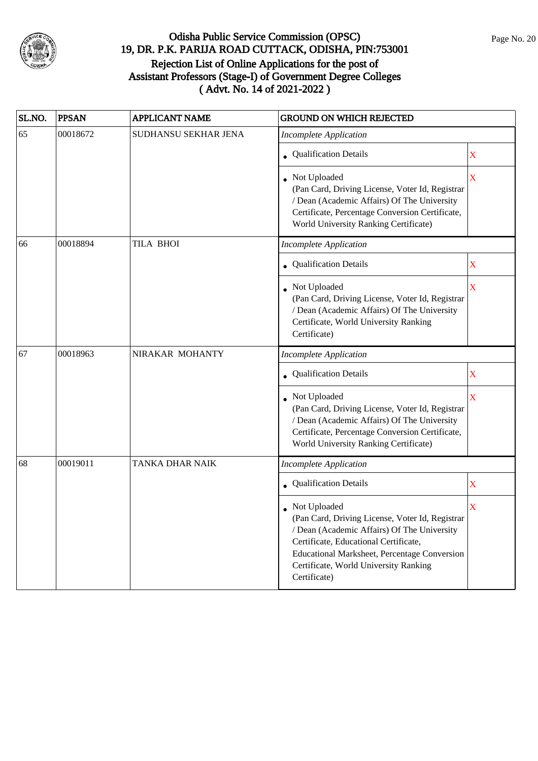

| SL.NO. | <b>PPSAN</b> | <b>APPLICANT NAME</b> | <b>GROUND ON WHICH REJECTED</b>                                                                                                                                                                                                                                  |                         |
|--------|--------------|-----------------------|------------------------------------------------------------------------------------------------------------------------------------------------------------------------------------------------------------------------------------------------------------------|-------------------------|
| 65     | 00018672     | SUDHANSU SEKHAR JENA  | <b>Incomplete Application</b>                                                                                                                                                                                                                                    |                         |
|        |              |                       | <b>Qualification Details</b>                                                                                                                                                                                                                                     | X                       |
|        |              |                       | Not Uploaded<br>(Pan Card, Driving License, Voter Id, Registrar<br>/ Dean (Academic Affairs) Of The University<br>Certificate, Percentage Conversion Certificate,<br>World University Ranking Certificate)                                                       | X                       |
| 66     | 00018894     | <b>TILA BHOI</b>      | <b>Incomplete Application</b>                                                                                                                                                                                                                                    |                         |
|        |              |                       | • Qualification Details                                                                                                                                                                                                                                          | X                       |
|        |              |                       | Not Uploaded<br>(Pan Card, Driving License, Voter Id, Registrar<br>/ Dean (Academic Affairs) Of The University<br>Certificate, World University Ranking<br>Certificate)                                                                                          | X                       |
| 67     | 00018963     | NIRAKAR MOHANTY       | Incomplete Application                                                                                                                                                                                                                                           |                         |
|        |              |                       | <b>Qualification Details</b>                                                                                                                                                                                                                                     | X                       |
|        |              |                       | Not Uploaded<br>(Pan Card, Driving License, Voter Id, Registrar<br>/ Dean (Academic Affairs) Of The University<br>Certificate, Percentage Conversion Certificate,<br>World University Ranking Certificate)                                                       | $\overline{\mathbf{X}}$ |
| 68     | 00019011     | TANKA DHAR NAIK       | <b>Incomplete Application</b>                                                                                                                                                                                                                                    |                         |
|        |              |                       | Qualification Details                                                                                                                                                                                                                                            | X                       |
|        |              |                       | Not Uploaded<br>(Pan Card, Driving License, Voter Id, Registrar<br>/ Dean (Academic Affairs) Of The University<br>Certificate, Educational Certificate,<br>Educational Marksheet, Percentage Conversion<br>Certificate, World University Ranking<br>Certificate) | X                       |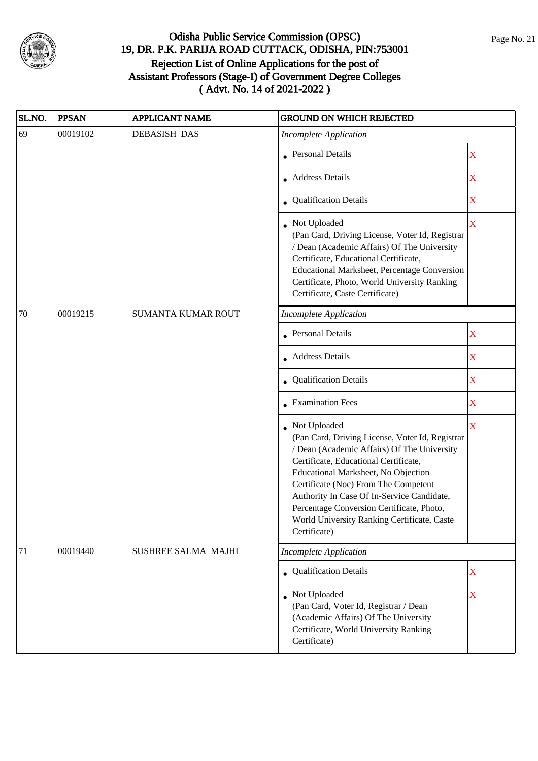

| SL.NO. | <b>PPSAN</b> | <b>APPLICANT NAME</b>      | <b>GROUND ON WHICH REJECTED</b>                                                                                                                                                                                                                                                                                                                                                                    |                         |
|--------|--------------|----------------------------|----------------------------------------------------------------------------------------------------------------------------------------------------------------------------------------------------------------------------------------------------------------------------------------------------------------------------------------------------------------------------------------------------|-------------------------|
| 69     | 00019102     | <b>DEBASISH DAS</b>        | <b>Incomplete Application</b>                                                                                                                                                                                                                                                                                                                                                                      |                         |
|        |              |                            | <b>Personal Details</b>                                                                                                                                                                                                                                                                                                                                                                            | $\mathbf X$             |
|        |              |                            | <b>Address Details</b>                                                                                                                                                                                                                                                                                                                                                                             | X                       |
|        |              |                            | • Qualification Details                                                                                                                                                                                                                                                                                                                                                                            | X                       |
|        |              |                            | Not Uploaded<br>(Pan Card, Driving License, Voter Id, Registrar<br>/ Dean (Academic Affairs) Of The University<br>Certificate, Educational Certificate,<br>Educational Marksheet, Percentage Conversion<br>Certificate, Photo, World University Ranking<br>Certificate, Caste Certificate)                                                                                                         | $\overline{\mathbf{X}}$ |
| 70     | 00019215     | SUMANTA KUMAR ROUT         | <b>Incomplete Application</b>                                                                                                                                                                                                                                                                                                                                                                      |                         |
|        |              |                            | <b>Personal Details</b>                                                                                                                                                                                                                                                                                                                                                                            | $\overline{\textbf{X}}$ |
|        |              |                            | • Address Details                                                                                                                                                                                                                                                                                                                                                                                  | X                       |
|        |              |                            | Qualification Details                                                                                                                                                                                                                                                                                                                                                                              | X                       |
|        |              |                            | $\bullet$ Examination Fees                                                                                                                                                                                                                                                                                                                                                                         | X                       |
|        |              |                            | • Not Uploaded<br>(Pan Card, Driving License, Voter Id, Registrar<br>/ Dean (Academic Affairs) Of The University<br>Certificate, Educational Certificate,<br>Educational Marksheet, No Objection<br>Certificate (Noc) From The Competent<br>Authority In Case Of In-Service Candidate,<br>Percentage Conversion Certificate, Photo,<br>World University Ranking Certificate, Caste<br>Certificate) | $\bar{X}$               |
| 71     | 00019440     | <b>SUSHREE SALMA MAJHI</b> | <b>Incomplete Application</b>                                                                                                                                                                                                                                                                                                                                                                      |                         |
|        |              |                            | • Qualification Details                                                                                                                                                                                                                                                                                                                                                                            | $\mathbf X$             |
|        |              |                            | • Not Uploaded<br>(Pan Card, Voter Id, Registrar / Dean<br>(Academic Affairs) Of The University<br>Certificate, World University Ranking<br>Certificate)                                                                                                                                                                                                                                           | $\mathbf X$             |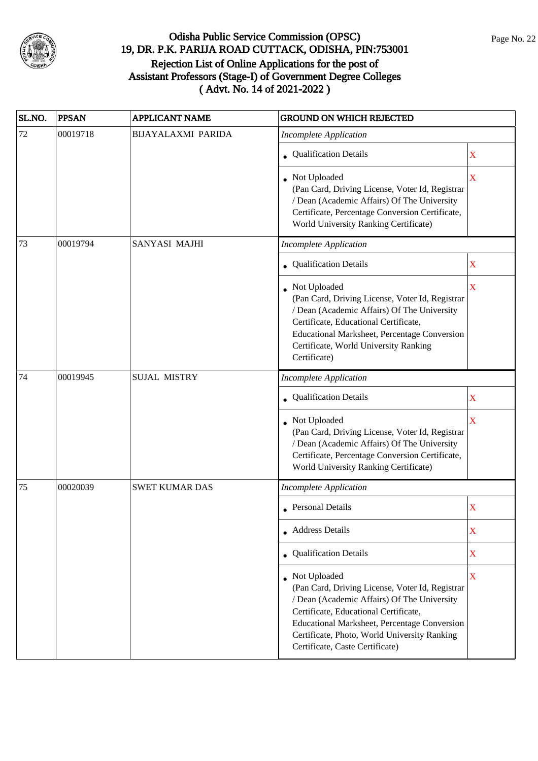

| SL.NO. | <b>PPSAN</b> | <b>APPLICANT NAME</b>     | <b>GROUND ON WHICH REJECTED</b>                                                                                                                                                                                                                                                                   |                         |
|--------|--------------|---------------------------|---------------------------------------------------------------------------------------------------------------------------------------------------------------------------------------------------------------------------------------------------------------------------------------------------|-------------------------|
| 72     | 00019718     | <b>BIJAYALAXMI PARIDA</b> | <b>Incomplete Application</b>                                                                                                                                                                                                                                                                     |                         |
|        |              |                           | • Qualification Details                                                                                                                                                                                                                                                                           | X                       |
|        |              |                           | • Not Uploaded<br>(Pan Card, Driving License, Voter Id, Registrar<br>/ Dean (Academic Affairs) Of The University<br>Certificate, Percentage Conversion Certificate,<br>World University Ranking Certificate)                                                                                      | $\overline{\textbf{X}}$ |
| 73     | 00019794     | SANYASI MAJHI             | <b>Incomplete Application</b>                                                                                                                                                                                                                                                                     |                         |
|        |              |                           | • Qualification Details                                                                                                                                                                                                                                                                           | $\mathbf X$             |
|        |              |                           | Not Uploaded<br>(Pan Card, Driving License, Voter Id, Registrar<br>/ Dean (Academic Affairs) Of The University<br>Certificate, Educational Certificate,<br>Educational Marksheet, Percentage Conversion<br>Certificate, World University Ranking<br>Certificate)                                  | $\mathbf X$             |
| 74     | 00019945     | <b>SUJAL MISTRY</b>       | <b>Incomplete Application</b>                                                                                                                                                                                                                                                                     |                         |
|        |              |                           | Qualification Details                                                                                                                                                                                                                                                                             | X                       |
|        |              |                           | Not Uploaded<br>(Pan Card, Driving License, Voter Id, Registrar<br>/ Dean (Academic Affairs) Of The University<br>Certificate, Percentage Conversion Certificate,<br>World University Ranking Certificate)                                                                                        | $\overline{\mathbf{X}}$ |
| 75     | 00020039     | <b>SWET KUMAR DAS</b>     | <b>Incomplete Application</b>                                                                                                                                                                                                                                                                     |                         |
|        |              |                           | <b>Personal Details</b>                                                                                                                                                                                                                                                                           | X                       |
|        |              |                           | • Address Details                                                                                                                                                                                                                                                                                 | $\mathbf X$             |
|        |              |                           | Qualification Details                                                                                                                                                                                                                                                                             | $\mathbf X$             |
|        |              |                           | Not Uploaded<br>(Pan Card, Driving License, Voter Id, Registrar<br>/ Dean (Academic Affairs) Of The University<br>Certificate, Educational Certificate,<br><b>Educational Marksheet, Percentage Conversion</b><br>Certificate, Photo, World University Ranking<br>Certificate, Caste Certificate) | $\overline{\mathbf{X}}$ |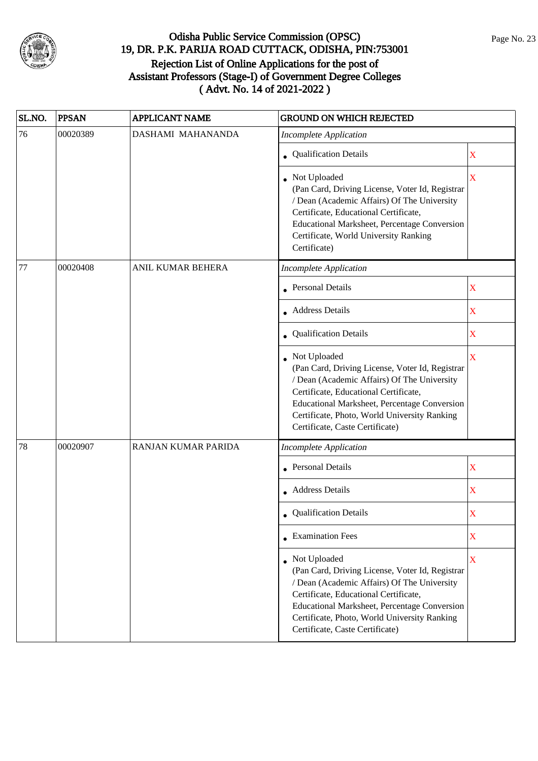

| SL.NO. | <b>PPSAN</b> | <b>APPLICANT NAME</b> | <b>GROUND ON WHICH REJECTED</b>                                                                                                                                                                                                                                                              |             |
|--------|--------------|-----------------------|----------------------------------------------------------------------------------------------------------------------------------------------------------------------------------------------------------------------------------------------------------------------------------------------|-------------|
| 76     | 00020389     | DASHAMI MAHANANDA     | <b>Incomplete Application</b>                                                                                                                                                                                                                                                                |             |
|        |              |                       | • Qualification Details                                                                                                                                                                                                                                                                      | X           |
|        |              |                       | Not Uploaded<br>(Pan Card, Driving License, Voter Id, Registrar<br>/ Dean (Academic Affairs) Of The University<br>Certificate, Educational Certificate,<br>Educational Marksheet, Percentage Conversion<br>Certificate, World University Ranking<br>Certificate)                             | X           |
| 77     | 00020408     | ANIL KUMAR BEHERA     | <b>Incomplete Application</b>                                                                                                                                                                                                                                                                |             |
|        |              |                       | <b>Personal Details</b>                                                                                                                                                                                                                                                                      | X           |
|        |              |                       | <b>Address Details</b>                                                                                                                                                                                                                                                                       | X           |
|        |              |                       | Qualification Details                                                                                                                                                                                                                                                                        | X           |
|        |              |                       | • Not Uploaded<br>(Pan Card, Driving License, Voter Id, Registrar<br>/ Dean (Academic Affairs) Of The University<br>Certificate, Educational Certificate,<br>Educational Marksheet, Percentage Conversion<br>Certificate, Photo, World University Ranking<br>Certificate, Caste Certificate) | X           |
| 78     | 00020907     | RANJAN KUMAR PARIDA   | <b>Incomplete Application</b>                                                                                                                                                                                                                                                                |             |
|        |              |                       | <b>Personal Details</b>                                                                                                                                                                                                                                                                      | X           |
|        |              |                       | <b>Address Details</b>                                                                                                                                                                                                                                                                       | $\mathbf X$ |
|        |              |                       | • Qualification Details                                                                                                                                                                                                                                                                      | X           |
|        |              |                       | • Examination Fees                                                                                                                                                                                                                                                                           | X           |
|        |              |                       | • Not Uploaded<br>(Pan Card, Driving License, Voter Id, Registrar<br>/ Dean (Academic Affairs) Of The University<br>Certificate, Educational Certificate,<br>Educational Marksheet, Percentage Conversion<br>Certificate, Photo, World University Ranking<br>Certificate, Caste Certificate) | X           |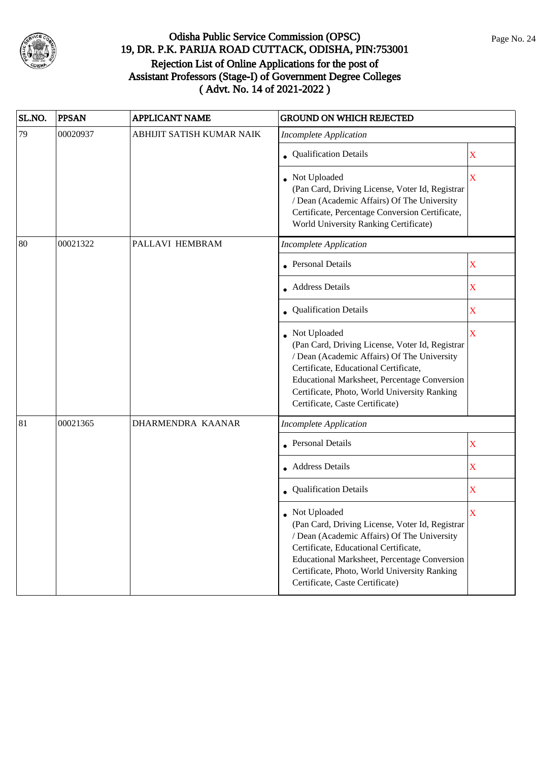

| SL.NO. | <b>PPSAN</b> | <b>APPLICANT NAME</b>     | <b>GROUND ON WHICH REJECTED</b>                                                                                                                                                                                                                                                            |                           |
|--------|--------------|---------------------------|--------------------------------------------------------------------------------------------------------------------------------------------------------------------------------------------------------------------------------------------------------------------------------------------|---------------------------|
| 79     | 00020937     | ABHIJIT SATISH KUMAR NAIK | <b>Incomplete Application</b>                                                                                                                                                                                                                                                              |                           |
|        |              |                           | Qualification Details                                                                                                                                                                                                                                                                      | X                         |
|        |              |                           | Not Uploaded<br>(Pan Card, Driving License, Voter Id, Registrar<br>/ Dean (Academic Affairs) Of The University<br>Certificate, Percentage Conversion Certificate,<br>World University Ranking Certificate)                                                                                 | X                         |
| 80     | 00021322     | PALLAVI HEMBRAM           | <b>Incomplete Application</b>                                                                                                                                                                                                                                                              |                           |
|        |              |                           | <b>Personal Details</b>                                                                                                                                                                                                                                                                    | $\mathbf X$               |
|        |              |                           | • Address Details                                                                                                                                                                                                                                                                          | X                         |
|        |              |                           | <b>Qualification Details</b>                                                                                                                                                                                                                                                               | X                         |
|        |              |                           | Not Uploaded<br>(Pan Card, Driving License, Voter Id, Registrar<br>/ Dean (Academic Affairs) Of The University<br>Certificate, Educational Certificate,<br>Educational Marksheet, Percentage Conversion<br>Certificate, Photo, World University Ranking<br>Certificate, Caste Certificate) | $\overline{\mathbf{X}}$   |
| 81     | 00021365     | DHARMENDRA KAANAR         | <b>Incomplete Application</b>                                                                                                                                                                                                                                                              |                           |
|        |              |                           | <b>Personal Details</b>                                                                                                                                                                                                                                                                    | $\boldsymbol{\mathrm{X}}$ |
|        |              |                           | <b>Address Details</b>                                                                                                                                                                                                                                                                     | X                         |
|        |              |                           | Qualification Details                                                                                                                                                                                                                                                                      | X                         |
|        |              |                           | Not Uploaded<br>(Pan Card, Driving License, Voter Id, Registrar<br>/ Dean (Academic Affairs) Of The University<br>Certificate, Educational Certificate,<br>Educational Marksheet, Percentage Conversion<br>Certificate, Photo, World University Ranking<br>Certificate, Caste Certificate) | X                         |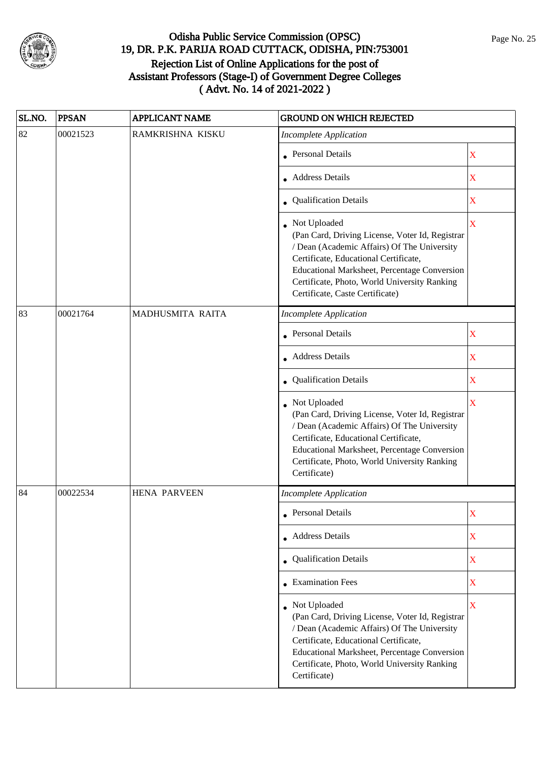

| SL.NO. | <b>PPSAN</b> | <b>APPLICANT NAME</b> | <b>GROUND ON WHICH REJECTED</b>                                                                                                                                                                                                                                                              |                         |  |
|--------|--------------|-----------------------|----------------------------------------------------------------------------------------------------------------------------------------------------------------------------------------------------------------------------------------------------------------------------------------------|-------------------------|--|
| 82     | 00021523     | RAMKRISHNA KISKU      | <b>Incomplete Application</b>                                                                                                                                                                                                                                                                |                         |  |
|        |              |                       | • Personal Details                                                                                                                                                                                                                                                                           | X                       |  |
|        |              |                       | • Address Details                                                                                                                                                                                                                                                                            | X                       |  |
|        |              |                       | • Qualification Details                                                                                                                                                                                                                                                                      | X                       |  |
|        |              |                       | • Not Uploaded<br>(Pan Card, Driving License, Voter Id, Registrar<br>/ Dean (Academic Affairs) Of The University<br>Certificate, Educational Certificate,<br>Educational Marksheet, Percentage Conversion<br>Certificate, Photo, World University Ranking<br>Certificate, Caste Certificate) | $\overline{\mathbf{X}}$ |  |
| 83     | 00021764     | MADHUSMITA RAITA      | <b>Incomplete Application</b>                                                                                                                                                                                                                                                                |                         |  |
|        |              |                       | <b>Personal Details</b>                                                                                                                                                                                                                                                                      | X                       |  |
|        |              |                       | • Address Details                                                                                                                                                                                                                                                                            | $\mathbf X$             |  |
|        |              |                       | • Qualification Details                                                                                                                                                                                                                                                                      | X                       |  |
|        |              |                       | • Not Uploaded<br>(Pan Card, Driving License, Voter Id, Registrar<br>/ Dean (Academic Affairs) Of The University<br>Certificate, Educational Certificate,<br>Educational Marksheet, Percentage Conversion<br>Certificate, Photo, World University Ranking<br>Certificate)                    | $\overline{\mathbf{X}}$ |  |
| 84     | 00022534     | <b>HENA PARVEEN</b>   | <b>Incomplete Application</b>                                                                                                                                                                                                                                                                |                         |  |
|        |              |                       | • Personal Details                                                                                                                                                                                                                                                                           | $\rm X$                 |  |
|        |              |                       | • Address Details                                                                                                                                                                                                                                                                            | X                       |  |
|        |              |                       | • Qualification Details                                                                                                                                                                                                                                                                      | $\mathbf X$             |  |
|        |              |                       | • Examination Fees                                                                                                                                                                                                                                                                           | X                       |  |
|        |              |                       | • Not Uploaded<br>(Pan Card, Driving License, Voter Id, Registrar<br>/ Dean (Academic Affairs) Of The University<br>Certificate, Educational Certificate,<br>Educational Marksheet, Percentage Conversion<br>Certificate, Photo, World University Ranking<br>Certificate)                    | $\mathbf X$             |  |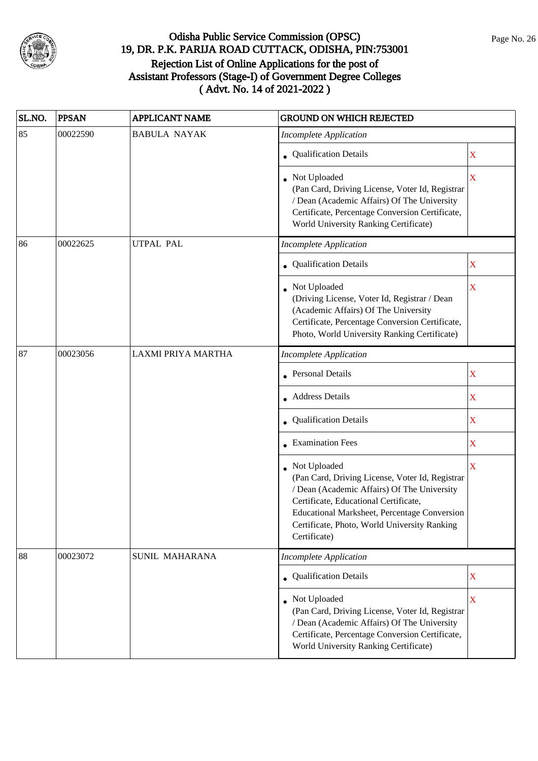

| SL.NO. | <b>PPSAN</b> | <b>APPLICANT NAME</b>     | <b>GROUND ON WHICH REJECTED</b>                                                                                                                                                                                                                                                |                         |
|--------|--------------|---------------------------|--------------------------------------------------------------------------------------------------------------------------------------------------------------------------------------------------------------------------------------------------------------------------------|-------------------------|
| 85     | 00022590     | <b>BABULA NAYAK</b>       | <b>Incomplete Application</b>                                                                                                                                                                                                                                                  |                         |
|        |              |                           | • Qualification Details                                                                                                                                                                                                                                                        | X                       |
|        |              |                           | Not Uploaded<br>(Pan Card, Driving License, Voter Id, Registrar<br>/ Dean (Academic Affairs) Of The University<br>Certificate, Percentage Conversion Certificate,<br>World University Ranking Certificate)                                                                     | $\overline{\mathbf{X}}$ |
| 86     | 00022625     | <b>UTPAL PAL</b>          | Incomplete Application                                                                                                                                                                                                                                                         |                         |
|        |              |                           | • Qualification Details                                                                                                                                                                                                                                                        | X                       |
|        |              |                           | Not Uploaded<br>(Driving License, Voter Id, Registrar / Dean<br>(Academic Affairs) Of The University<br>Certificate, Percentage Conversion Certificate,<br>Photo, World University Ranking Certificate)                                                                        | $\mathbf X$             |
| 87     | 00023056     | <b>LAXMI PRIYA MARTHA</b> | <b>Incomplete Application</b>                                                                                                                                                                                                                                                  |                         |
|        |              |                           | Personal Details                                                                                                                                                                                                                                                               | X                       |
|        |              |                           | • Address Details                                                                                                                                                                                                                                                              | X                       |
|        |              |                           | <b>Qualification Details</b>                                                                                                                                                                                                                                                   | X                       |
|        |              |                           | • Examination Fees                                                                                                                                                                                                                                                             | X                       |
|        |              |                           | Not Uploaded<br>(Pan Card, Driving License, Voter Id, Registrar<br>/ Dean (Academic Affairs) Of The University<br>Certificate, Educational Certificate,<br><b>Educational Marksheet, Percentage Conversion</b><br>Certificate, Photo, World University Ranking<br>Certificate) | X                       |
| 88     | 00023072     | SUNIL MAHARANA            | <b>Incomplete Application</b>                                                                                                                                                                                                                                                  |                         |
|        |              |                           | <b>Qualification Details</b>                                                                                                                                                                                                                                                   | $\mathbf X$             |
|        |              |                           | Not Uploaded<br>(Pan Card, Driving License, Voter Id, Registrar<br>/ Dean (Academic Affairs) Of The University<br>Certificate, Percentage Conversion Certificate,<br>World University Ranking Certificate)                                                                     | X                       |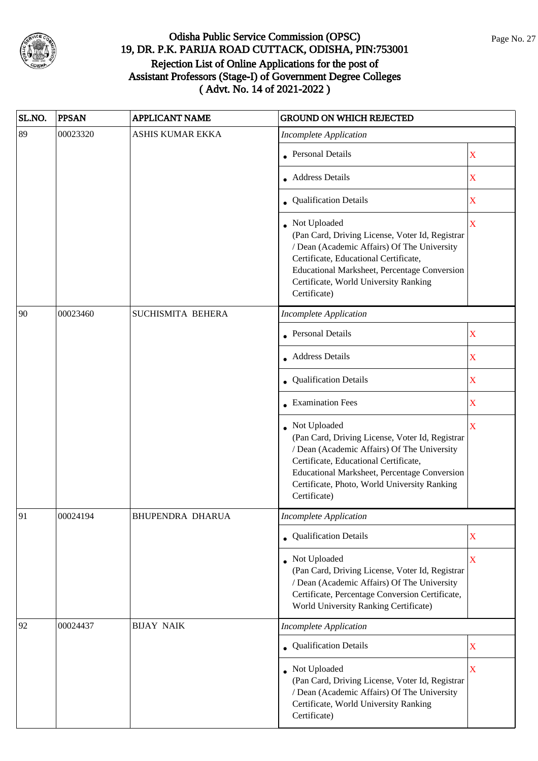

| SL.NO. | <b>PPSAN</b> | <b>APPLICANT NAME</b>   | <b>GROUND ON WHICH REJECTED</b>                                                                                                                                                                                                                                         |                         |  |
|--------|--------------|-------------------------|-------------------------------------------------------------------------------------------------------------------------------------------------------------------------------------------------------------------------------------------------------------------------|-------------------------|--|
| 89     | 00023320     | <b>ASHIS KUMAR EKKA</b> | <b>Incomplete Application</b>                                                                                                                                                                                                                                           |                         |  |
|        |              |                         | <b>Personal Details</b>                                                                                                                                                                                                                                                 | X                       |  |
|        |              |                         | <b>Address Details</b>                                                                                                                                                                                                                                                  | $\mathbf X$             |  |
|        |              |                         | • Qualification Details                                                                                                                                                                                                                                                 | X                       |  |
|        |              |                         | Not Uploaded<br>(Pan Card, Driving License, Voter Id, Registrar<br>/ Dean (Academic Affairs) Of The University<br>Certificate, Educational Certificate,<br>Educational Marksheet, Percentage Conversion<br>Certificate, World University Ranking<br>Certificate)        | $\overline{\mathbf{X}}$ |  |
| 90     | 00023460     | SUCHISMITA BEHERA       | <b>Incomplete Application</b>                                                                                                                                                                                                                                           |                         |  |
|        |              |                         | <b>Personal Details</b>                                                                                                                                                                                                                                                 | X                       |  |
|        |              |                         | <b>Address Details</b>                                                                                                                                                                                                                                                  | X                       |  |
|        |              |                         | • Qualification Details                                                                                                                                                                                                                                                 | X                       |  |
|        |              |                         | $\bullet$ Examination Fees                                                                                                                                                                                                                                              | $\mathbf X$             |  |
|        |              |                         | Not Uploaded<br>(Pan Card, Driving License, Voter Id, Registrar<br>/ Dean (Academic Affairs) Of The University<br>Certificate, Educational Certificate,<br>Educational Marksheet, Percentage Conversion<br>Certificate, Photo, World University Ranking<br>Certificate) | X                       |  |
| 91     | 00024194     | <b>BHUPENDRA DHARUA</b> | Incomplete Application                                                                                                                                                                                                                                                  |                         |  |
|        |              |                         | • Qualification Details                                                                                                                                                                                                                                                 | X                       |  |
|        |              |                         | Not Uploaded<br>(Pan Card, Driving License, Voter Id, Registrar<br>/ Dean (Academic Affairs) Of The University<br>Certificate, Percentage Conversion Certificate,<br>World University Ranking Certificate)                                                              | $\overline{\mathbf{X}}$ |  |
| 92     | 00024437     | <b>BIJAY NAIK</b>       | <b>Incomplete Application</b>                                                                                                                                                                                                                                           |                         |  |
|        |              |                         | • Qualification Details                                                                                                                                                                                                                                                 | X                       |  |
|        |              |                         | Not Uploaded<br>(Pan Card, Driving License, Voter Id, Registrar<br>/ Dean (Academic Affairs) Of The University<br>Certificate, World University Ranking<br>Certificate)                                                                                                 | $\overline{\mathbf{X}}$ |  |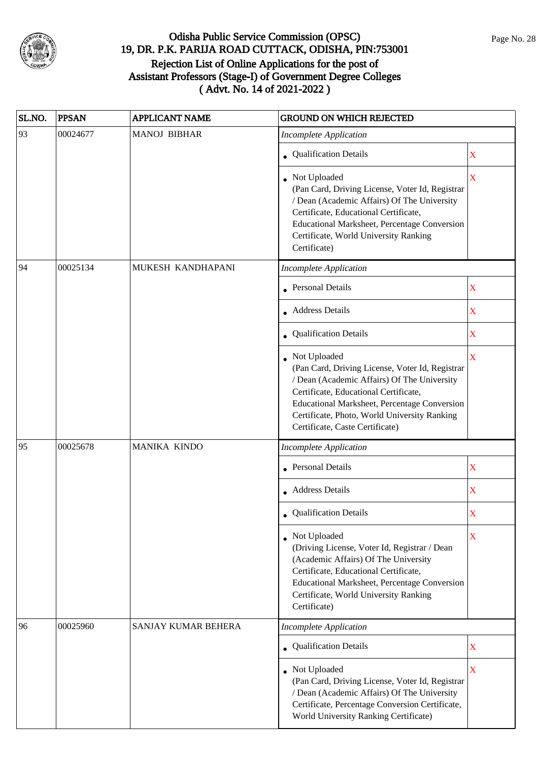

| SL.NO. | <b>PPSAN</b> | <b>APPLICANT NAME</b>      | <b>GROUND ON WHICH REJECTED</b>                                                                                                                                                                                                                                                                   |                         |
|--------|--------------|----------------------------|---------------------------------------------------------------------------------------------------------------------------------------------------------------------------------------------------------------------------------------------------------------------------------------------------|-------------------------|
| 93     | 00024677     | <b>MANOJ BIBHAR</b>        | <b>Incomplete Application</b>                                                                                                                                                                                                                                                                     |                         |
|        |              |                            | • Qualification Details                                                                                                                                                                                                                                                                           | X                       |
|        |              |                            | Not Uploaded<br>(Pan Card, Driving License, Voter Id, Registrar<br>/ Dean (Academic Affairs) Of The University<br>Certificate, Educational Certificate,<br>Educational Marksheet, Percentage Conversion<br>Certificate, World University Ranking<br>Certificate)                                  | $\overline{\mathbf{X}}$ |
| 94     | 00025134     | MUKESH KANDHAPANI          | <b>Incomplete Application</b>                                                                                                                                                                                                                                                                     |                         |
|        |              |                            | <b>Personal Details</b>                                                                                                                                                                                                                                                                           | $\mathbf X$             |
|        |              |                            | <b>Address Details</b>                                                                                                                                                                                                                                                                            | $\overline{\mathbf{X}}$ |
|        |              |                            | Qualification Details                                                                                                                                                                                                                                                                             | $\mathbf X$             |
|        |              |                            | Not Uploaded<br>(Pan Card, Driving License, Voter Id, Registrar<br>/ Dean (Academic Affairs) Of The University<br>Certificate, Educational Certificate,<br><b>Educational Marksheet, Percentage Conversion</b><br>Certificate, Photo, World University Ranking<br>Certificate, Caste Certificate) | X                       |
| 95     | 00025678     | MANIKA KINDO               | <b>Incomplete Application</b>                                                                                                                                                                                                                                                                     |                         |
|        |              |                            | • Personal Details                                                                                                                                                                                                                                                                                | X                       |
|        |              |                            | • Address Details                                                                                                                                                                                                                                                                                 | $\mathbf X$             |
|        |              |                            | • Qualification Details                                                                                                                                                                                                                                                                           | X                       |
|        |              |                            | • Not Uploaded<br>(Driving License, Voter Id, Registrar / Dean<br>(Academic Affairs) Of The University<br>Certificate, Educational Certificate,<br>Educational Marksheet, Percentage Conversion<br>Certificate, World University Ranking<br>Certificate)                                          | X                       |
| 96     | 00025960     | <b>SANJAY KUMAR BEHERA</b> | <b>Incomplete Application</b>                                                                                                                                                                                                                                                                     |                         |
|        |              |                            | Qualification Details                                                                                                                                                                                                                                                                             | X                       |
|        |              |                            | Not Uploaded<br>(Pan Card, Driving License, Voter Id, Registrar<br>/ Dean (Academic Affairs) Of The University<br>Certificate, Percentage Conversion Certificate,<br>World University Ranking Certificate)                                                                                        | $\overline{\mathbf{X}}$ |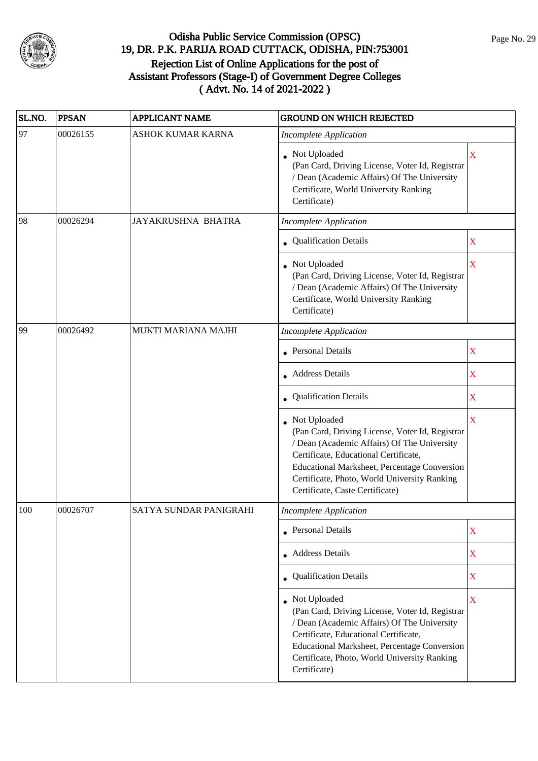

| SL.NO. | <b>PPSAN</b> | <b>APPLICANT NAME</b>    | <b>GROUND ON WHICH REJECTED</b>                                                                                                                                                                                                                                                            |                         |
|--------|--------------|--------------------------|--------------------------------------------------------------------------------------------------------------------------------------------------------------------------------------------------------------------------------------------------------------------------------------------|-------------------------|
| 97     | 00026155     | <b>ASHOK KUMAR KARNA</b> | <b>Incomplete Application</b>                                                                                                                                                                                                                                                              |                         |
|        |              |                          | Not Uploaded<br>(Pan Card, Driving License, Voter Id, Registrar<br>/ Dean (Academic Affairs) Of The University<br>Certificate, World University Ranking<br>Certificate)                                                                                                                    | X                       |
| 98     | 00026294     | JAYAKRUSHNA BHATRA       | <b>Incomplete Application</b>                                                                                                                                                                                                                                                              |                         |
|        |              |                          | Qualification Details                                                                                                                                                                                                                                                                      | X                       |
|        |              |                          | Not Uploaded<br>(Pan Card, Driving License, Voter Id, Registrar<br>/ Dean (Academic Affairs) Of The University<br>Certificate, World University Ranking<br>Certificate)                                                                                                                    | X                       |
| 99     | 00026492     | MUKTI MARIANA MAJHI      | <b>Incomplete Application</b>                                                                                                                                                                                                                                                              |                         |
|        |              |                          | <b>Personal Details</b>                                                                                                                                                                                                                                                                    | X                       |
|        |              |                          | <b>Address Details</b>                                                                                                                                                                                                                                                                     | X                       |
|        |              |                          | Qualification Details                                                                                                                                                                                                                                                                      | X                       |
|        |              |                          | Not Uploaded<br>(Pan Card, Driving License, Voter Id, Registrar<br>/ Dean (Academic Affairs) Of The University<br>Certificate, Educational Certificate,<br>Educational Marksheet, Percentage Conversion<br>Certificate, Photo, World University Ranking<br>Certificate, Caste Certificate) | $\overline{\mathbf{X}}$ |
| 100    | 00026707     | SATYA SUNDAR PANIGRAHI   | <b>Incomplete Application</b>                                                                                                                                                                                                                                                              |                         |
|        |              |                          | <b>Personal Details</b>                                                                                                                                                                                                                                                                    | X                       |
|        |              |                          | Address Details                                                                                                                                                                                                                                                                            | $\mathbf X$             |
|        |              |                          | Qualification Details                                                                                                                                                                                                                                                                      | X                       |
|        |              |                          | Not Uploaded<br>(Pan Card, Driving License, Voter Id, Registrar<br>/ Dean (Academic Affairs) Of The University<br>Certificate, Educational Certificate,<br>Educational Marksheet, Percentage Conversion<br>Certificate, Photo, World University Ranking<br>Certificate)                    | $\overline{\mathbf{X}}$ |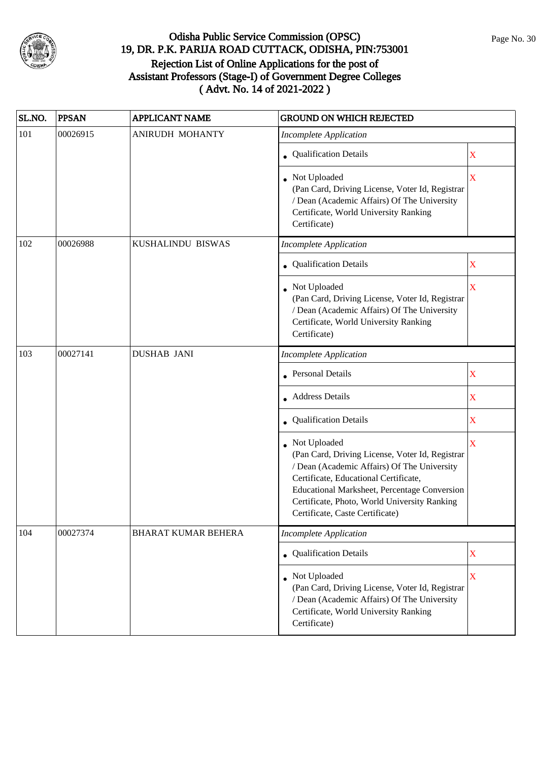

| SL.NO. | <b>PPSAN</b> | <b>APPLICANT NAME</b>      | <b>GROUND ON WHICH REJECTED</b>                                                                                                                                                                                                                                                              |             |
|--------|--------------|----------------------------|----------------------------------------------------------------------------------------------------------------------------------------------------------------------------------------------------------------------------------------------------------------------------------------------|-------------|
| 101    | 00026915     | <b>ANIRUDH MOHANTY</b>     | <b>Incomplete Application</b>                                                                                                                                                                                                                                                                |             |
|        |              |                            | • Qualification Details                                                                                                                                                                                                                                                                      | X           |
|        |              |                            | • Not Uploaded<br>(Pan Card, Driving License, Voter Id, Registrar<br>/ Dean (Academic Affairs) Of The University<br>Certificate, World University Ranking<br>Certificate)                                                                                                                    | X           |
| 102    | 00026988     | KUSHALINDU BISWAS          | <b>Incomplete Application</b>                                                                                                                                                                                                                                                                |             |
|        |              |                            | • Qualification Details                                                                                                                                                                                                                                                                      | X           |
|        |              |                            | Not Uploaded<br>(Pan Card, Driving License, Voter Id, Registrar<br>/ Dean (Academic Affairs) Of The University<br>Certificate, World University Ranking<br>Certificate)                                                                                                                      | X           |
| 103    | 00027141     | <b>DUSHAB JANI</b>         | <b>Incomplete Application</b>                                                                                                                                                                                                                                                                |             |
|        |              |                            | <b>Personal Details</b>                                                                                                                                                                                                                                                                      | X           |
|        |              |                            | <b>Address Details</b>                                                                                                                                                                                                                                                                       | X           |
|        |              |                            | <b>Qualification Details</b>                                                                                                                                                                                                                                                                 | X           |
|        |              |                            | • Not Uploaded<br>(Pan Card, Driving License, Voter Id, Registrar<br>/ Dean (Academic Affairs) Of The University<br>Certificate, Educational Certificate,<br>Educational Marksheet, Percentage Conversion<br>Certificate, Photo, World University Ranking<br>Certificate, Caste Certificate) | X           |
| 104    | 00027374     | <b>BHARAT KUMAR BEHERA</b> | <b>Incomplete Application</b>                                                                                                                                                                                                                                                                |             |
|        |              |                            | Qualification Details                                                                                                                                                                                                                                                                        | $\mathbf X$ |
|        |              |                            | Not Uploaded<br>(Pan Card, Driving License, Voter Id, Registrar<br>/ Dean (Academic Affairs) Of The University<br>Certificate, World University Ranking<br>Certificate)                                                                                                                      | $\mathbf X$ |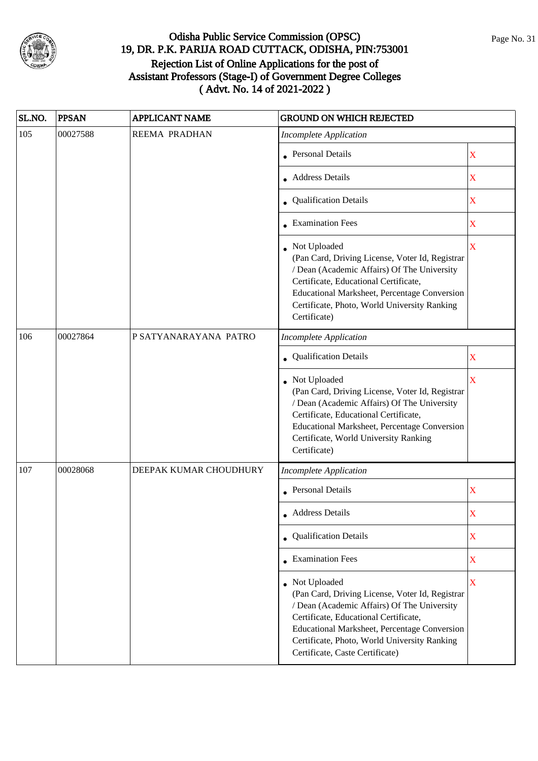

| SL.NO. | <b>PPSAN</b> | <b>APPLICANT NAME</b>  | <b>GROUND ON WHICH REJECTED</b>                                                                                                                                                                                                                                                              |                         |
|--------|--------------|------------------------|----------------------------------------------------------------------------------------------------------------------------------------------------------------------------------------------------------------------------------------------------------------------------------------------|-------------------------|
| 105    | 00027588     | REEMA PRADHAN          | <b>Incomplete Application</b>                                                                                                                                                                                                                                                                |                         |
|        |              |                        | Personal Details                                                                                                                                                                                                                                                                             | X                       |
|        |              |                        | <b>Address Details</b>                                                                                                                                                                                                                                                                       | X                       |
|        |              |                        | • Qualification Details                                                                                                                                                                                                                                                                      | X                       |
|        |              |                        | <b>Examination Fees</b>                                                                                                                                                                                                                                                                      | $\mathbf X$             |
|        |              |                        | Not Uploaded<br>(Pan Card, Driving License, Voter Id, Registrar<br>/ Dean (Academic Affairs) Of The University<br>Certificate, Educational Certificate,<br>Educational Marksheet, Percentage Conversion<br>Certificate, Photo, World University Ranking<br>Certificate)                      | $\overline{\mathbf{X}}$ |
| 106    | 00027864     | P SATYANARAYANA PATRO  | <b>Incomplete Application</b>                                                                                                                                                                                                                                                                |                         |
|        |              |                        | <b>Qualification Details</b>                                                                                                                                                                                                                                                                 | X                       |
|        |              |                        | Not Uploaded<br>(Pan Card, Driving License, Voter Id, Registrar<br>/ Dean (Academic Affairs) Of The University<br>Certificate, Educational Certificate,<br>Educational Marksheet, Percentage Conversion<br>Certificate, World University Ranking<br>Certificate)                             | X                       |
| 107    | 00028068     | DEEPAK KUMAR CHOUDHURY | <b>Incomplete Application</b>                                                                                                                                                                                                                                                                |                         |
|        |              |                        | • Personal Details                                                                                                                                                                                                                                                                           | X                       |
|        |              |                        | <b>Address Details</b>                                                                                                                                                                                                                                                                       | X                       |
|        |              |                        | • Qualification Details                                                                                                                                                                                                                                                                      | $\mathbf X$             |
|        |              |                        | • Examination Fees                                                                                                                                                                                                                                                                           | X                       |
|        |              |                        | • Not Uploaded<br>(Pan Card, Driving License, Voter Id, Registrar<br>/ Dean (Academic Affairs) Of The University<br>Certificate, Educational Certificate,<br>Educational Marksheet, Percentage Conversion<br>Certificate, Photo, World University Ranking<br>Certificate, Caste Certificate) | $\mathbf X$             |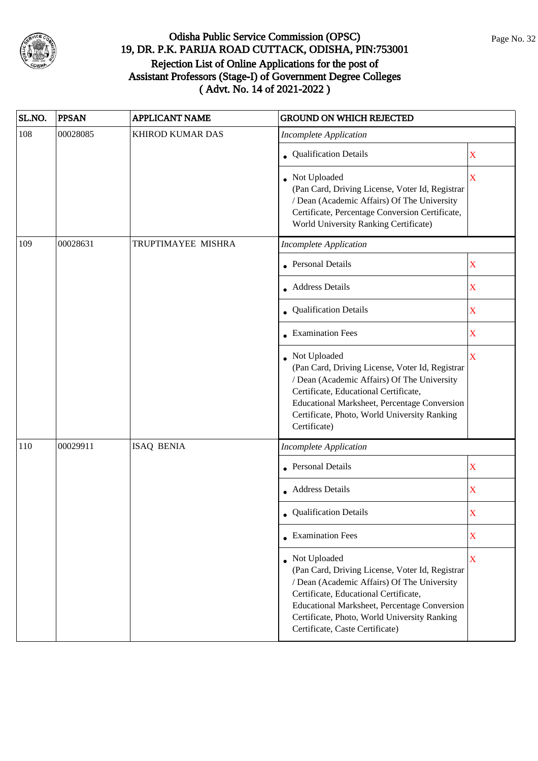

| SL.NO. | <b>PPSAN</b> | <b>APPLICANT NAME</b>   | <b>GROUND ON WHICH REJECTED</b>                                                                                                                                                                                                                                                            |                         |
|--------|--------------|-------------------------|--------------------------------------------------------------------------------------------------------------------------------------------------------------------------------------------------------------------------------------------------------------------------------------------|-------------------------|
| 108    | 00028085     | <b>KHIROD KUMAR DAS</b> | <b>Incomplete Application</b>                                                                                                                                                                                                                                                              |                         |
|        |              |                         | • Qualification Details                                                                                                                                                                                                                                                                    | X                       |
|        |              |                         | • Not Uploaded<br>(Pan Card, Driving License, Voter Id, Registrar<br>/ Dean (Academic Affairs) Of The University<br>Certificate, Percentage Conversion Certificate,<br>World University Ranking Certificate)                                                                               | X                       |
| 109    | 00028631     | TRUPTIMAYEE MISHRA      | <b>Incomplete Application</b>                                                                                                                                                                                                                                                              |                         |
|        |              |                         | Personal Details                                                                                                                                                                                                                                                                           | X                       |
|        |              |                         | • Address Details                                                                                                                                                                                                                                                                          | X                       |
|        |              |                         | • Qualification Details                                                                                                                                                                                                                                                                    | $\overline{\mathbf{X}}$ |
|        |              |                         | <b>Examination Fees</b>                                                                                                                                                                                                                                                                    | X                       |
|        |              |                         | Not Uploaded<br>(Pan Card, Driving License, Voter Id, Registrar<br>/ Dean (Academic Affairs) Of The University<br>Certificate, Educational Certificate,<br>Educational Marksheet, Percentage Conversion<br>Certificate, Photo, World University Ranking<br>Certificate)                    | X                       |
| 110    | 00029911     | <b>ISAQ BENIA</b>       | <b>Incomplete Application</b>                                                                                                                                                                                                                                                              |                         |
|        |              |                         | <b>Personal Details</b>                                                                                                                                                                                                                                                                    | $\mathbf X$             |
|        |              |                         | • Address Details                                                                                                                                                                                                                                                                          | $\mathbf X$             |
|        |              |                         | • Qualification Details                                                                                                                                                                                                                                                                    | X                       |
|        |              |                         | $\bullet$ Examination Fees                                                                                                                                                                                                                                                                 | X                       |
|        |              |                         | Not Uploaded<br>(Pan Card, Driving License, Voter Id, Registrar<br>/ Dean (Academic Affairs) Of The University<br>Certificate, Educational Certificate,<br>Educational Marksheet, Percentage Conversion<br>Certificate, Photo, World University Ranking<br>Certificate, Caste Certificate) | X                       |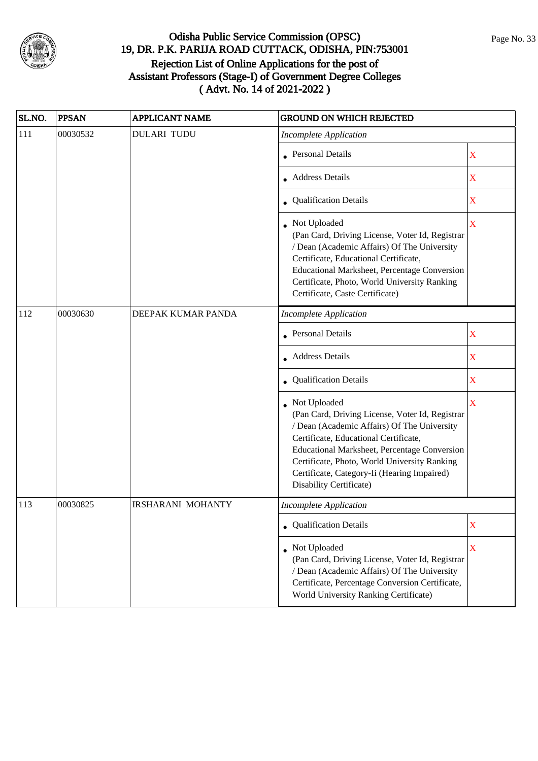

| SL.NO. | <b>PPSAN</b> | <b>APPLICANT NAME</b>    | <b>GROUND ON WHICH REJECTED</b>                                                                                                                                                                                                                                                                                                   |                         |
|--------|--------------|--------------------------|-----------------------------------------------------------------------------------------------------------------------------------------------------------------------------------------------------------------------------------------------------------------------------------------------------------------------------------|-------------------------|
| 111    | 00030532     | <b>DULARI TUDU</b>       | <b>Incomplete Application</b>                                                                                                                                                                                                                                                                                                     |                         |
|        |              |                          | Personal Details                                                                                                                                                                                                                                                                                                                  | $\mathbf X$             |
|        |              |                          | <b>Address Details</b>                                                                                                                                                                                                                                                                                                            | X                       |
|        |              |                          | • Qualification Details                                                                                                                                                                                                                                                                                                           | $\mathbf X$             |
|        |              |                          | Not Uploaded<br>(Pan Card, Driving License, Voter Id, Registrar<br>/ Dean (Academic Affairs) Of The University<br>Certificate, Educational Certificate,<br>Educational Marksheet, Percentage Conversion<br>Certificate, Photo, World University Ranking<br>Certificate, Caste Certificate)                                        | $\overline{\mathbf{X}}$ |
| 112    | 00030630     | DEEPAK KUMAR PANDA       | <b>Incomplete Application</b>                                                                                                                                                                                                                                                                                                     |                         |
|        |              |                          | <b>Personal Details</b>                                                                                                                                                                                                                                                                                                           | $\overline{\textbf{X}}$ |
|        |              |                          | <b>Address Details</b>                                                                                                                                                                                                                                                                                                            | X                       |
|        |              |                          | Qualification Details                                                                                                                                                                                                                                                                                                             | X                       |
|        |              |                          | Not Uploaded<br>(Pan Card, Driving License, Voter Id, Registrar<br>/ Dean (Academic Affairs) Of The University<br>Certificate, Educational Certificate,<br>Educational Marksheet, Percentage Conversion<br>Certificate, Photo, World University Ranking<br>Certificate, Category-Ii (Hearing Impaired)<br>Disability Certificate) | X                       |
| 113    | 00030825     | <b>IRSHARANI MOHANTY</b> | <b>Incomplete Application</b>                                                                                                                                                                                                                                                                                                     |                         |
|        |              |                          | <b>Qualification Details</b>                                                                                                                                                                                                                                                                                                      | X                       |
|        |              |                          | • Not Uploaded<br>(Pan Card, Driving License, Voter Id, Registrar<br>/ Dean (Academic Affairs) Of The University<br>Certificate, Percentage Conversion Certificate,<br>World University Ranking Certificate)                                                                                                                      | $\overline{\mathbf{X}}$ |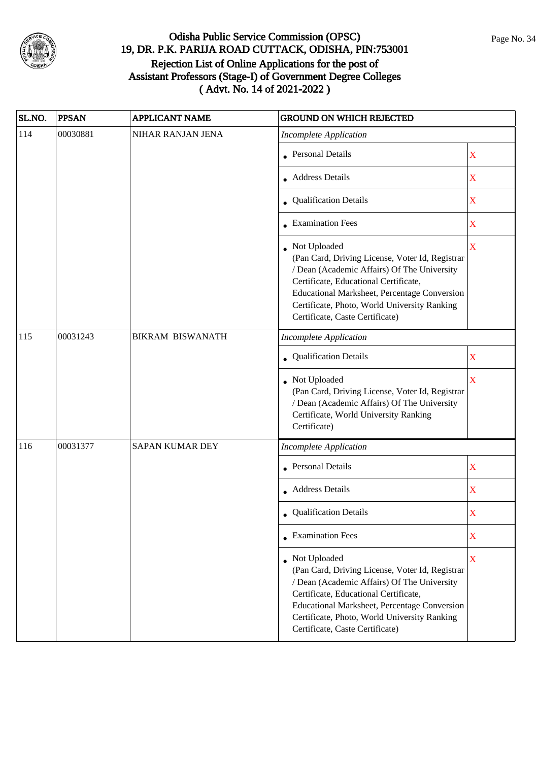

| SL.NO. | <b>PPSAN</b> | <b>APPLICANT NAME</b>   | <b>GROUND ON WHICH REJECTED</b>                                                                                                                                                                                                                                                            |   |
|--------|--------------|-------------------------|--------------------------------------------------------------------------------------------------------------------------------------------------------------------------------------------------------------------------------------------------------------------------------------------|---|
| 114    | 00030881     | NIHAR RANJAN JENA       | <b>Incomplete Application</b>                                                                                                                                                                                                                                                              |   |
|        |              |                         | Personal Details                                                                                                                                                                                                                                                                           | X |
|        |              |                         | Address Details                                                                                                                                                                                                                                                                            | X |
|        |              |                         | • Qualification Details                                                                                                                                                                                                                                                                    | X |
|        |              |                         | <b>Examination Fees</b>                                                                                                                                                                                                                                                                    | X |
|        |              |                         | Not Uploaded<br>(Pan Card, Driving License, Voter Id, Registrar<br>/ Dean (Academic Affairs) Of The University<br>Certificate, Educational Certificate,<br>Educational Marksheet, Percentage Conversion<br>Certificate, Photo, World University Ranking<br>Certificate, Caste Certificate) | X |
| 115    | 00031243     | <b>BIKRAM BISWANATH</b> | <b>Incomplete Application</b>                                                                                                                                                                                                                                                              |   |
|        |              |                         | Qualification Details                                                                                                                                                                                                                                                                      | X |
|        |              |                         | Not Uploaded<br>(Pan Card, Driving License, Voter Id, Registrar<br>/ Dean (Academic Affairs) Of The University<br>Certificate, World University Ranking<br>Certificate)                                                                                                                    | X |
| 116    | 00031377     | <b>SAPAN KUMAR DEY</b>  | <b>Incomplete Application</b>                                                                                                                                                                                                                                                              |   |
|        |              |                         | Personal Details                                                                                                                                                                                                                                                                           | X |
|        |              |                         | <b>Address Details</b>                                                                                                                                                                                                                                                                     | X |
|        |              |                         | Qualification Details                                                                                                                                                                                                                                                                      | X |
|        |              |                         | $\bullet$ Examination Fees                                                                                                                                                                                                                                                                 | X |
|        |              |                         | Not Uploaded<br>(Pan Card, Driving License, Voter Id, Registrar<br>/ Dean (Academic Affairs) Of The University<br>Certificate, Educational Certificate,<br>Educational Marksheet, Percentage Conversion<br>Certificate, Photo, World University Ranking<br>Certificate, Caste Certificate) | X |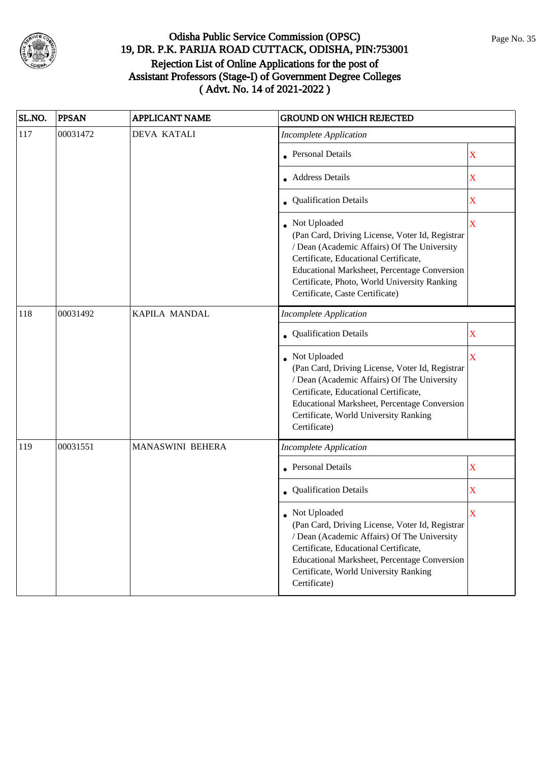

| SL.NO. | <b>PPSAN</b> | <b>APPLICANT NAME</b> | <b>GROUND ON WHICH REJECTED</b>                                                                                                                                                                                                                                                            |                         |
|--------|--------------|-----------------------|--------------------------------------------------------------------------------------------------------------------------------------------------------------------------------------------------------------------------------------------------------------------------------------------|-------------------------|
| 117    | 00031472     | <b>DEVA KATALI</b>    | <b>Incomplete Application</b>                                                                                                                                                                                                                                                              |                         |
|        |              |                       | Personal Details                                                                                                                                                                                                                                                                           | $\mathbf X$             |
|        |              |                       | Address Details                                                                                                                                                                                                                                                                            | X                       |
|        |              |                       | • Qualification Details                                                                                                                                                                                                                                                                    | X                       |
|        |              |                       | Not Uploaded<br>(Pan Card, Driving License, Voter Id, Registrar<br>/ Dean (Academic Affairs) Of The University<br>Certificate, Educational Certificate,<br>Educational Marksheet, Percentage Conversion<br>Certificate, Photo, World University Ranking<br>Certificate, Caste Certificate) | $\overline{\mathbf{X}}$ |
| 118    | 00031492     | KAPILA MANDAL         | <b>Incomplete Application</b>                                                                                                                                                                                                                                                              |                         |
|        |              |                       | Qualification Details                                                                                                                                                                                                                                                                      | X                       |
|        |              |                       | Not Uploaded<br>(Pan Card, Driving License, Voter Id, Registrar<br>/ Dean (Academic Affairs) Of The University<br>Certificate, Educational Certificate,<br>Educational Marksheet, Percentage Conversion<br>Certificate, World University Ranking<br>Certificate)                           | X                       |
| 119    | 00031551     | MANASWINI BEHERA      | <b>Incomplete Application</b>                                                                                                                                                                                                                                                              |                         |
|        |              |                       | Personal Details                                                                                                                                                                                                                                                                           | X                       |
|        |              |                       | • Qualification Details                                                                                                                                                                                                                                                                    | X                       |
|        |              |                       | Not Uploaded<br>(Pan Card, Driving License, Voter Id, Registrar<br>/ Dean (Academic Affairs) Of The University<br>Certificate, Educational Certificate,<br><b>Educational Marksheet, Percentage Conversion</b><br>Certificate, World University Ranking<br>Certificate)                    | X                       |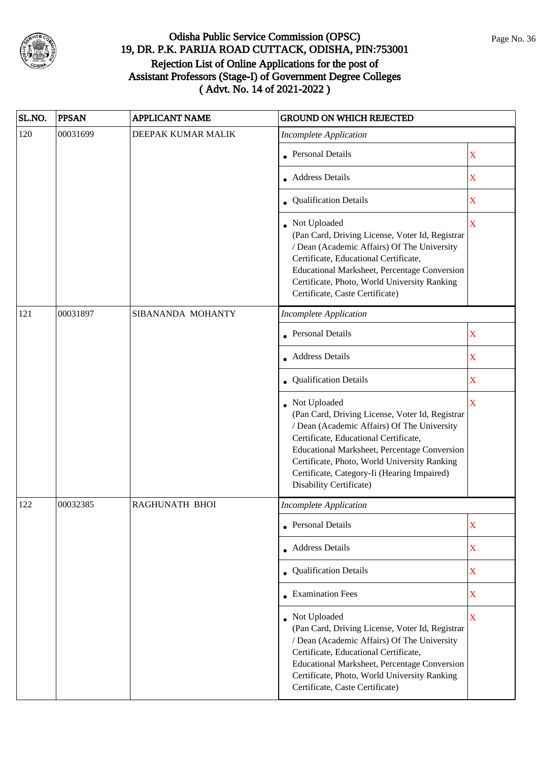

| SL.NO. | <b>PPSAN</b> | <b>APPLICANT NAME</b> | <b>GROUND ON WHICH REJECTED</b>                                                                                                                                                                                                                                                                                                   |                         |
|--------|--------------|-----------------------|-----------------------------------------------------------------------------------------------------------------------------------------------------------------------------------------------------------------------------------------------------------------------------------------------------------------------------------|-------------------------|
| 120    | 00031699     | DEEPAK KUMAR MALIK    | <b>Incomplete Application</b>                                                                                                                                                                                                                                                                                                     |                         |
|        |              |                       | <b>Personal Details</b>                                                                                                                                                                                                                                                                                                           | X                       |
|        |              |                       | <b>Address Details</b>                                                                                                                                                                                                                                                                                                            | $\mathbf X$             |
|        |              |                       | • Qualification Details                                                                                                                                                                                                                                                                                                           | X                       |
|        |              |                       | Not Uploaded<br>(Pan Card, Driving License, Voter Id, Registrar<br>/ Dean (Academic Affairs) Of The University<br>Certificate, Educational Certificate,<br>Educational Marksheet, Percentage Conversion<br>Certificate, Photo, World University Ranking<br>Certificate, Caste Certificate)                                        | $\overline{\mathbf{X}}$ |
| 121    | 00031897     | SIBANANDA MOHANTY     | <b>Incomplete Application</b>                                                                                                                                                                                                                                                                                                     |                         |
|        |              |                       | <b>Personal Details</b>                                                                                                                                                                                                                                                                                                           | X                       |
|        |              |                       | <b>Address Details</b>                                                                                                                                                                                                                                                                                                            | X                       |
|        |              |                       | • Qualification Details                                                                                                                                                                                                                                                                                                           | X                       |
|        |              |                       | Not Uploaded<br>(Pan Card, Driving License, Voter Id, Registrar<br>/ Dean (Academic Affairs) Of The University<br>Certificate, Educational Certificate,<br>Educational Marksheet, Percentage Conversion<br>Certificate, Photo, World University Ranking<br>Certificate, Category-Ii (Hearing Impaired)<br>Disability Certificate) | $\overline{\mathbf{X}}$ |
| 122    | 00032385     | RAGHUNATH BHOI        | <b>Incomplete Application</b>                                                                                                                                                                                                                                                                                                     |                         |
|        |              |                       | <b>Personal Details</b>                                                                                                                                                                                                                                                                                                           | X                       |
|        |              |                       | • Address Details                                                                                                                                                                                                                                                                                                                 | $\mathbf X$             |
|        |              |                       | Qualification Details                                                                                                                                                                                                                                                                                                             | $\mathbf X$             |
|        |              |                       | <b>Examination Fees</b>                                                                                                                                                                                                                                                                                                           | $\mathbf X$             |
|        |              |                       | Not Uploaded<br>(Pan Card, Driving License, Voter Id, Registrar<br>/ Dean (Academic Affairs) Of The University<br>Certificate, Educational Certificate,<br>Educational Marksheet, Percentage Conversion<br>Certificate, Photo, World University Ranking<br>Certificate, Caste Certificate)                                        | $\bar{X}$               |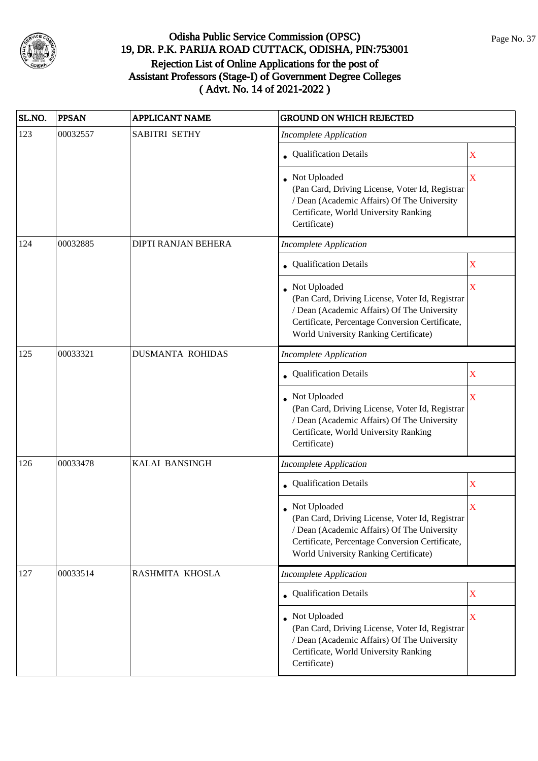

| SL.NO. | <b>PPSAN</b> | <b>APPLICANT NAME</b>      | <b>GROUND ON WHICH REJECTED</b>                                                                                                                                                                              |                         |
|--------|--------------|----------------------------|--------------------------------------------------------------------------------------------------------------------------------------------------------------------------------------------------------------|-------------------------|
| 123    | 00032557     | SABITRI SETHY              | <b>Incomplete Application</b>                                                                                                                                                                                |                         |
|        |              |                            | • Qualification Details                                                                                                                                                                                      | X                       |
|        |              |                            | Not Uploaded<br>(Pan Card, Driving License, Voter Id, Registrar<br>/ Dean (Academic Affairs) Of The University<br>Certificate, World University Ranking<br>Certificate)                                      | X                       |
| 124    | 00032885     | <b>DIPTI RANJAN BEHERA</b> | <b>Incomplete Application</b>                                                                                                                                                                                |                         |
|        |              |                            | Qualification Details                                                                                                                                                                                        | X                       |
|        |              |                            | Not Uploaded<br>(Pan Card, Driving License, Voter Id, Registrar<br>/ Dean (Academic Affairs) Of The University<br>Certificate, Percentage Conversion Certificate,<br>World University Ranking Certificate)   | $\overline{\mathbf{X}}$ |
| 125    | 00033321     | <b>DUSMANTA ROHIDAS</b>    | <b>Incomplete Application</b>                                                                                                                                                                                |                         |
|        |              |                            | • Qualification Details                                                                                                                                                                                      | X                       |
|        |              |                            | Not Uploaded<br>(Pan Card, Driving License, Voter Id, Registrar<br>/ Dean (Academic Affairs) Of The University<br>Certificate, World University Ranking<br>Certificate)                                      | X                       |
| 126    | 00033478     | <b>KALAI BANSINGH</b>      | <b>Incomplete Application</b>                                                                                                                                                                                |                         |
|        |              |                            | • Qualification Details                                                                                                                                                                                      | X                       |
|        |              |                            | • Not Uploaded<br>(Pan Card, Driving License, Voter Id, Registrar<br>/ Dean (Academic Affairs) Of The University<br>Certificate, Percentage Conversion Certificate,<br>World University Ranking Certificate) | X                       |
| 127    | 00033514     | RASHMITA KHOSLA            | <b>Incomplete Application</b>                                                                                                                                                                                |                         |
|        |              |                            | Qualification Details                                                                                                                                                                                        | X                       |
|        |              |                            | • Not Uploaded<br>(Pan Card, Driving License, Voter Id, Registrar<br>/ Dean (Academic Affairs) Of The University<br>Certificate, World University Ranking<br>Certificate)                                    | $\mathbf X$             |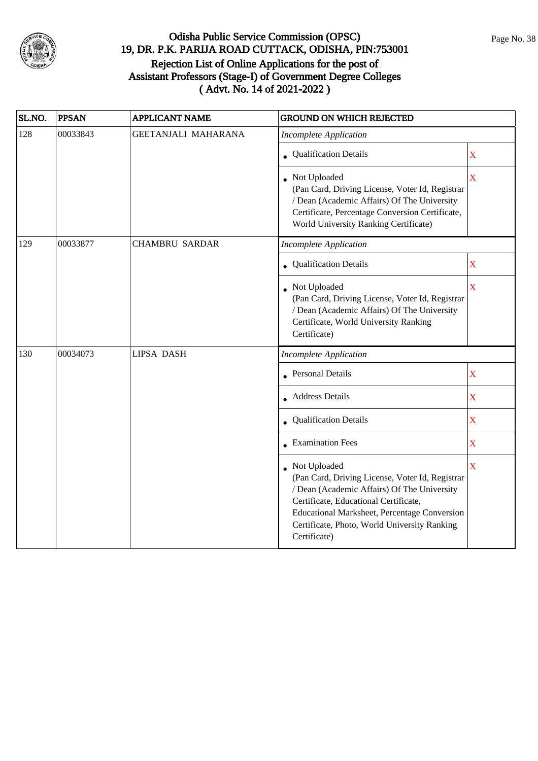

| SL.NO. | <b>PPSAN</b> | <b>APPLICANT NAME</b>      | <b>GROUND ON WHICH REJECTED</b>                                                                                                                                                                                                                                                |                         |
|--------|--------------|----------------------------|--------------------------------------------------------------------------------------------------------------------------------------------------------------------------------------------------------------------------------------------------------------------------------|-------------------------|
| 128    | 00033843     | <b>GEETANJALI MAHARANA</b> | <b>Incomplete Application</b>                                                                                                                                                                                                                                                  |                         |
|        |              |                            | • Qualification Details                                                                                                                                                                                                                                                        | X                       |
|        |              |                            | Not Uploaded<br>(Pan Card, Driving License, Voter Id, Registrar<br>/ Dean (Academic Affairs) Of The University<br>Certificate, Percentage Conversion Certificate,<br>World University Ranking Certificate)                                                                     | X                       |
| 129    | 00033877     | <b>CHAMBRU SARDAR</b>      | Incomplete Application                                                                                                                                                                                                                                                         |                         |
|        |              |                            | Qualification Details                                                                                                                                                                                                                                                          | $\mathbf X$             |
|        |              |                            | • Not Uploaded<br>(Pan Card, Driving License, Voter Id, Registrar<br>/ Dean (Academic Affairs) Of The University<br>Certificate, World University Ranking<br>Certificate)                                                                                                      | $\overline{\mathbf{X}}$ |
| 130    | 00034073     | <b>LIPSA DASH</b>          | <b>Incomplete Application</b>                                                                                                                                                                                                                                                  |                         |
|        |              |                            | <b>Personal Details</b>                                                                                                                                                                                                                                                        | $\mathbf X$             |
|        |              |                            | <b>Address Details</b>                                                                                                                                                                                                                                                         | $\mathbf X$             |
|        |              |                            | • Qualification Details                                                                                                                                                                                                                                                        | $\mathbf X$             |
|        |              |                            | • Examination Fees                                                                                                                                                                                                                                                             | $\overline{\mathbf{X}}$ |
|        |              |                            | Not Uploaded<br>(Pan Card, Driving License, Voter Id, Registrar<br>/ Dean (Academic Affairs) Of The University<br>Certificate, Educational Certificate,<br><b>Educational Marksheet, Percentage Conversion</b><br>Certificate, Photo, World University Ranking<br>Certificate) | X                       |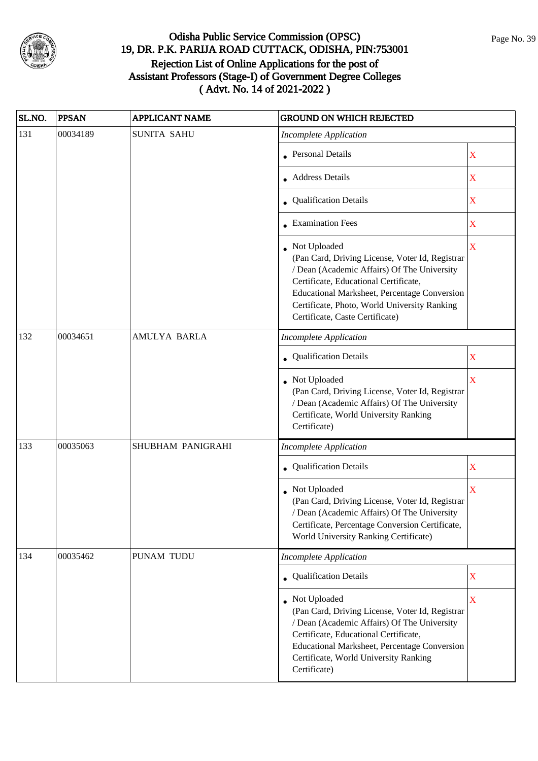

| SL.NO. | <b>PPSAN</b> | <b>APPLICANT NAME</b> | <b>GROUND ON WHICH REJECTED</b>                                                                                                                                                                                                                                                                     |                         |
|--------|--------------|-----------------------|-----------------------------------------------------------------------------------------------------------------------------------------------------------------------------------------------------------------------------------------------------------------------------------------------------|-------------------------|
| 131    | 00034189     | <b>SUNITA SAHU</b>    | <b>Incomplete Application</b>                                                                                                                                                                                                                                                                       |                         |
|        |              |                       | <b>Personal Details</b>                                                                                                                                                                                                                                                                             | X                       |
|        |              |                       | <b>Address Details</b>                                                                                                                                                                                                                                                                              | X                       |
|        |              |                       | • Qualification Details                                                                                                                                                                                                                                                                             | X                       |
|        |              |                       | <b>Examination Fees</b>                                                                                                                                                                                                                                                                             | X                       |
|        |              |                       | • Not Uploaded<br>(Pan Card, Driving License, Voter Id, Registrar<br>/ Dean (Academic Affairs) Of The University<br>Certificate, Educational Certificate,<br><b>Educational Marksheet, Percentage Conversion</b><br>Certificate, Photo, World University Ranking<br>Certificate, Caste Certificate) | X                       |
| 132    | 00034651     | AMULYA BARLA          | <b>Incomplete Application</b>                                                                                                                                                                                                                                                                       |                         |
|        |              |                       | Qualification Details                                                                                                                                                                                                                                                                               | X                       |
|        |              |                       | • Not Uploaded<br>(Pan Card, Driving License, Voter Id, Registrar<br>/ Dean (Academic Affairs) Of The University<br>Certificate, World University Ranking<br>Certificate)                                                                                                                           | X                       |
| 133    | 00035063     | SHUBHAM PANIGRAHI     | <b>Incomplete Application</b>                                                                                                                                                                                                                                                                       |                         |
|        |              |                       | • Qualification Details                                                                                                                                                                                                                                                                             | $\mathbf X$             |
|        |              |                       | Not Uploaded<br>(Pan Card, Driving License, Voter Id, Registrar<br>/ Dean (Academic Affairs) Of The University<br>Certificate, Percentage Conversion Certificate,<br>World University Ranking Certificate)                                                                                          | $\mathbf X$             |
| 134    | 00035462     | PUNAM TUDU            | <b>Incomplete Application</b>                                                                                                                                                                                                                                                                       |                         |
|        |              |                       | • Qualification Details                                                                                                                                                                                                                                                                             | X                       |
|        |              |                       | Not Uploaded<br>(Pan Card, Driving License, Voter Id, Registrar<br>/ Dean (Academic Affairs) Of The University<br>Certificate, Educational Certificate,<br>Educational Marksheet, Percentage Conversion<br>Certificate, World University Ranking<br>Certificate)                                    | $\overline{\mathbf{X}}$ |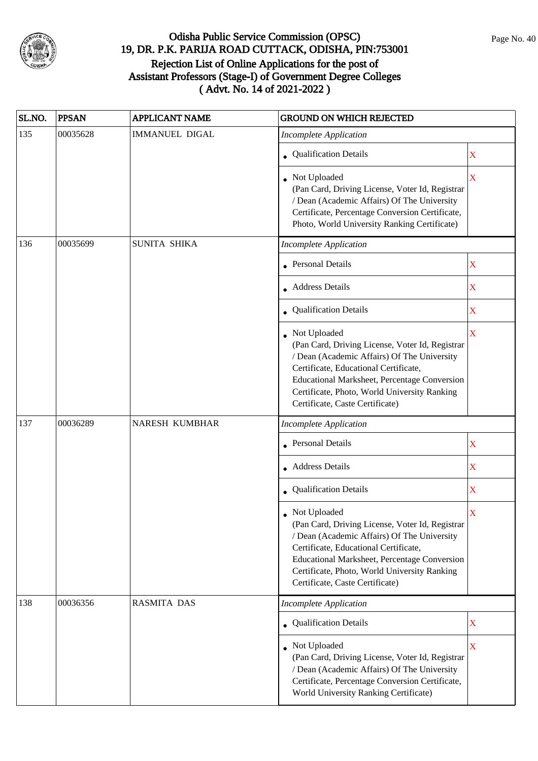

| SL.NO. | <b>PPSAN</b> | <b>APPLICANT NAME</b> | <b>GROUND ON WHICH REJECTED</b>                                                                                                                                                                                                                                                                   |                         |
|--------|--------------|-----------------------|---------------------------------------------------------------------------------------------------------------------------------------------------------------------------------------------------------------------------------------------------------------------------------------------------|-------------------------|
| 135    | 00035628     | <b>IMMANUEL DIGAL</b> | <b>Incomplete Application</b>                                                                                                                                                                                                                                                                     |                         |
|        |              |                       | • Qualification Details                                                                                                                                                                                                                                                                           | X                       |
|        |              |                       | Not Uploaded<br>(Pan Card, Driving License, Voter Id, Registrar<br>/ Dean (Academic Affairs) Of The University<br>Certificate, Percentage Conversion Certificate,<br>Photo, World University Ranking Certificate)                                                                                 | $\overline{\textbf{X}}$ |
| 136    | 00035699     | <b>SUNITA SHIKA</b>   | <b>Incomplete Application</b>                                                                                                                                                                                                                                                                     |                         |
|        |              |                       | Personal Details                                                                                                                                                                                                                                                                                  | $\mathbf X$             |
|        |              |                       | • Address Details                                                                                                                                                                                                                                                                                 | $\mathbf X$             |
|        |              |                       | • Qualification Details                                                                                                                                                                                                                                                                           | X                       |
|        |              |                       | Not Uploaded<br>(Pan Card, Driving License, Voter Id, Registrar<br>/ Dean (Academic Affairs) Of The University<br>Certificate, Educational Certificate,<br>Educational Marksheet, Percentage Conversion<br>Certificate, Photo, World University Ranking<br>Certificate, Caste Certificate)        | $\overline{\mathbf{X}}$ |
| 137    | 00036289     | NARESH KUMBHAR        | <b>Incomplete Application</b>                                                                                                                                                                                                                                                                     |                         |
|        |              |                       | <b>Personal Details</b>                                                                                                                                                                                                                                                                           | X                       |
|        |              |                       | Address Details                                                                                                                                                                                                                                                                                   | $\mathbf X$             |
|        |              |                       | Qualification Details                                                                                                                                                                                                                                                                             | X                       |
|        |              |                       | Not Uploaded<br>(Pan Card, Driving License, Voter Id, Registrar<br>/ Dean (Academic Affairs) Of The University<br>Certificate, Educational Certificate,<br><b>Educational Marksheet, Percentage Conversion</b><br>Certificate, Photo, World University Ranking<br>Certificate, Caste Certificate) | X                       |
| 138    | 00036356     | <b>RASMITA DAS</b>    | <b>Incomplete Application</b>                                                                                                                                                                                                                                                                     |                         |
|        |              |                       | <b>Qualification Details</b>                                                                                                                                                                                                                                                                      | X                       |
|        |              |                       | Not Uploaded<br>(Pan Card, Driving License, Voter Id, Registrar<br>/ Dean (Academic Affairs) Of The University<br>Certificate, Percentage Conversion Certificate,<br>World University Ranking Certificate)                                                                                        | X                       |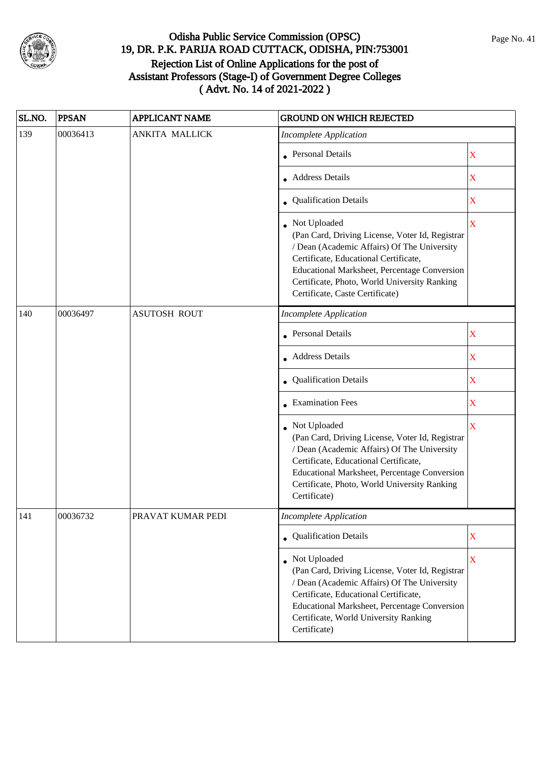

| SL.NO. | <b>PPSAN</b> | <b>APPLICANT NAME</b> | <b>GROUND ON WHICH REJECTED</b>                                                                                                                                                                                                                                                            |                         |
|--------|--------------|-----------------------|--------------------------------------------------------------------------------------------------------------------------------------------------------------------------------------------------------------------------------------------------------------------------------------------|-------------------------|
| 139    | 00036413     | <b>ANKITA MALLICK</b> | <b>Incomplete Application</b>                                                                                                                                                                                                                                                              |                         |
|        |              |                       | <b>Personal Details</b>                                                                                                                                                                                                                                                                    | X                       |
|        |              |                       | Address Details                                                                                                                                                                                                                                                                            | $\mathbf X$             |
|        |              |                       | • Qualification Details                                                                                                                                                                                                                                                                    | $\mathbf X$             |
|        |              |                       | Not Uploaded<br>(Pan Card, Driving License, Voter Id, Registrar<br>/ Dean (Academic Affairs) Of The University<br>Certificate, Educational Certificate,<br>Educational Marksheet, Percentage Conversion<br>Certificate, Photo, World University Ranking<br>Certificate, Caste Certificate) | $\overline{\mathbf{X}}$ |
| 140    | 00036497     | <b>ASUTOSH ROUT</b>   | <b>Incomplete Application</b>                                                                                                                                                                                                                                                              |                         |
|        |              |                       | Personal Details                                                                                                                                                                                                                                                                           | X                       |
|        |              |                       | <b>Address Details</b>                                                                                                                                                                                                                                                                     | X                       |
|        |              |                       | • Qualification Details                                                                                                                                                                                                                                                                    | $\mathbf X$             |
|        |              |                       | • Examination Fees                                                                                                                                                                                                                                                                         | X                       |
|        |              |                       | Not Uploaded<br>(Pan Card, Driving License, Voter Id, Registrar<br>/ Dean (Academic Affairs) Of The University<br>Certificate, Educational Certificate,<br>Educational Marksheet, Percentage Conversion<br>Certificate, Photo, World University Ranking<br>Certificate)                    | $\overline{\textbf{X}}$ |
| 141    | 00036732     | PRAVAT KUMAR PEDI     | <b>Incomplete Application</b>                                                                                                                                                                                                                                                              |                         |
|        |              |                       | • Qualification Details                                                                                                                                                                                                                                                                    | X                       |
|        |              |                       | Not Uploaded<br>(Pan Card, Driving License, Voter Id, Registrar<br>/ Dean (Academic Affairs) Of The University<br>Certificate, Educational Certificate,<br>Educational Marksheet, Percentage Conversion<br>Certificate, World University Ranking<br>Certificate)                           | $\overline{\mathbf{X}}$ |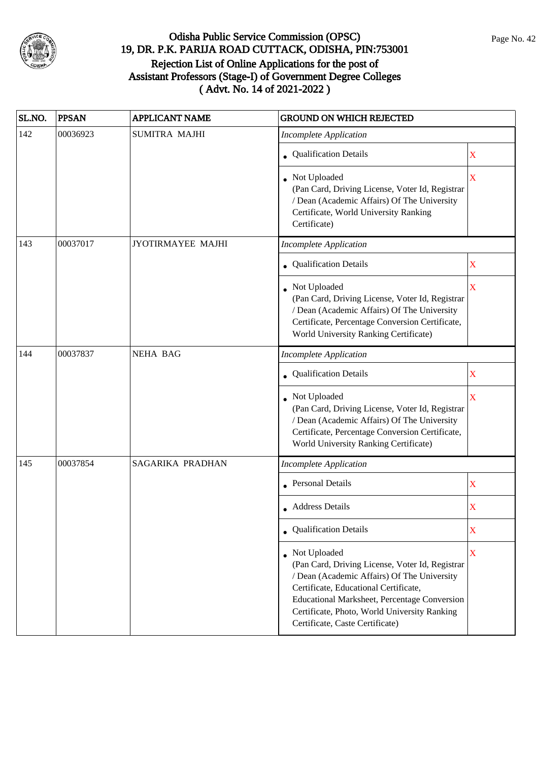

| SL.NO. | <b>PPSAN</b> | <b>APPLICANT NAME</b>    | <b>GROUND ON WHICH REJECTED</b>                                                                                                                                                                                                                                                              |                         |
|--------|--------------|--------------------------|----------------------------------------------------------------------------------------------------------------------------------------------------------------------------------------------------------------------------------------------------------------------------------------------|-------------------------|
| 142    | 00036923     | <b>SUMITRA MAJHI</b>     | <b>Incomplete Application</b>                                                                                                                                                                                                                                                                |                         |
|        |              |                          | • Qualification Details                                                                                                                                                                                                                                                                      | X                       |
|        |              |                          | Not Uploaded<br>(Pan Card, Driving License, Voter Id, Registrar<br>/ Dean (Academic Affairs) Of The University<br>Certificate, World University Ranking<br>Certificate)                                                                                                                      | $\overline{\mathbf{X}}$ |
| 143    | 00037017     | <b>JYOTIRMAYEE MAJHI</b> | <b>Incomplete Application</b>                                                                                                                                                                                                                                                                |                         |
|        |              |                          | • Qualification Details                                                                                                                                                                                                                                                                      | X                       |
|        |              |                          | Not Uploaded<br>(Pan Card, Driving License, Voter Id, Registrar<br>/ Dean (Academic Affairs) Of The University<br>Certificate, Percentage Conversion Certificate,<br>World University Ranking Certificate)                                                                                   | X                       |
| 144    | 00037837     | <b>NEHA BAG</b>          | <b>Incomplete Application</b>                                                                                                                                                                                                                                                                |                         |
|        |              |                          | • Qualification Details                                                                                                                                                                                                                                                                      | X                       |
|        |              |                          | Not Uploaded<br>(Pan Card, Driving License, Voter Id, Registrar<br>/ Dean (Academic Affairs) Of The University<br>Certificate, Percentage Conversion Certificate,<br>World University Ranking Certificate)                                                                                   | $\mathbf X$             |
| 145    | 00037854     | SAGARIKA PRADHAN         | <b>Incomplete Application</b>                                                                                                                                                                                                                                                                |                         |
|        |              |                          | <b>Personal Details</b>                                                                                                                                                                                                                                                                      | X                       |
|        |              |                          | • Address Details                                                                                                                                                                                                                                                                            | X                       |
|        |              |                          | • Qualification Details                                                                                                                                                                                                                                                                      | X                       |
|        |              |                          | • Not Uploaded<br>(Pan Card, Driving License, Voter Id, Registrar<br>/ Dean (Academic Affairs) Of The University<br>Certificate, Educational Certificate,<br>Educational Marksheet, Percentage Conversion<br>Certificate, Photo, World University Ranking<br>Certificate, Caste Certificate) | X                       |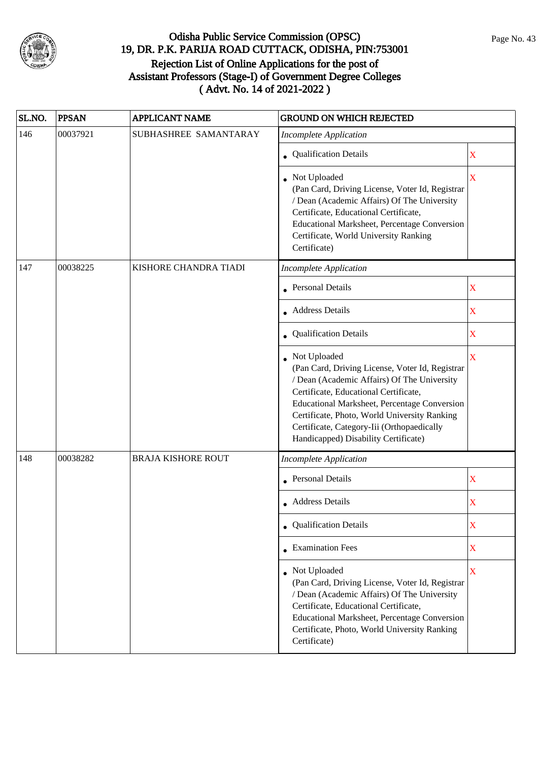

| SL.NO. | <b>PPSAN</b> | <b>APPLICANT NAME</b>     | <b>GROUND ON WHICH REJECTED</b>                                                                                                                                                                                                                                                                                                                 |                         |
|--------|--------------|---------------------------|-------------------------------------------------------------------------------------------------------------------------------------------------------------------------------------------------------------------------------------------------------------------------------------------------------------------------------------------------|-------------------------|
| 146    | 00037921     | SUBHASHREE SAMANTARAY     | <b>Incomplete Application</b>                                                                                                                                                                                                                                                                                                                   |                         |
|        |              |                           | • Qualification Details                                                                                                                                                                                                                                                                                                                         | X                       |
|        |              |                           | • Not Uploaded<br>(Pan Card, Driving License, Voter Id, Registrar<br>/ Dean (Academic Affairs) Of The University<br>Certificate, Educational Certificate,<br>Educational Marksheet, Percentage Conversion<br>Certificate, World University Ranking<br>Certificate)                                                                              | $\overline{\mathbf{X}}$ |
| 147    | 00038225     | KISHORE CHANDRA TIADI     | <b>Incomplete Application</b>                                                                                                                                                                                                                                                                                                                   |                         |
|        |              |                           | <b>Personal Details</b>                                                                                                                                                                                                                                                                                                                         | $\mathbf X$             |
|        |              |                           | <b>Address Details</b>                                                                                                                                                                                                                                                                                                                          | $\mathbf X$             |
|        |              |                           | Qualification Details                                                                                                                                                                                                                                                                                                                           | X                       |
|        |              |                           | • Not Uploaded<br>(Pan Card, Driving License, Voter Id, Registrar<br>/ Dean (Academic Affairs) Of The University<br>Certificate, Educational Certificate,<br>Educational Marksheet, Percentage Conversion<br>Certificate, Photo, World University Ranking<br>Certificate, Category-Iii (Orthopaedically<br>Handicapped) Disability Certificate) | X                       |
| 148    | 00038282     | <b>BRAJA KISHORE ROUT</b> | <b>Incomplete Application</b>                                                                                                                                                                                                                                                                                                                   |                         |
|        |              |                           | <b>Personal Details</b>                                                                                                                                                                                                                                                                                                                         | $\mathbf X$             |
|        |              |                           | <b>Address Details</b>                                                                                                                                                                                                                                                                                                                          | X                       |
|        |              |                           | <b>Qualification Details</b>                                                                                                                                                                                                                                                                                                                    | $\mathbf X$             |
|        |              |                           | • Examination Fees                                                                                                                                                                                                                                                                                                                              | X                       |
|        |              |                           | Not Uploaded<br>(Pan Card, Driving License, Voter Id, Registrar<br>/ Dean (Academic Affairs) Of The University<br>Certificate, Educational Certificate,<br>Educational Marksheet, Percentage Conversion<br>Certificate, Photo, World University Ranking<br>Certificate)                                                                         | $\overline{\mathbf{X}}$ |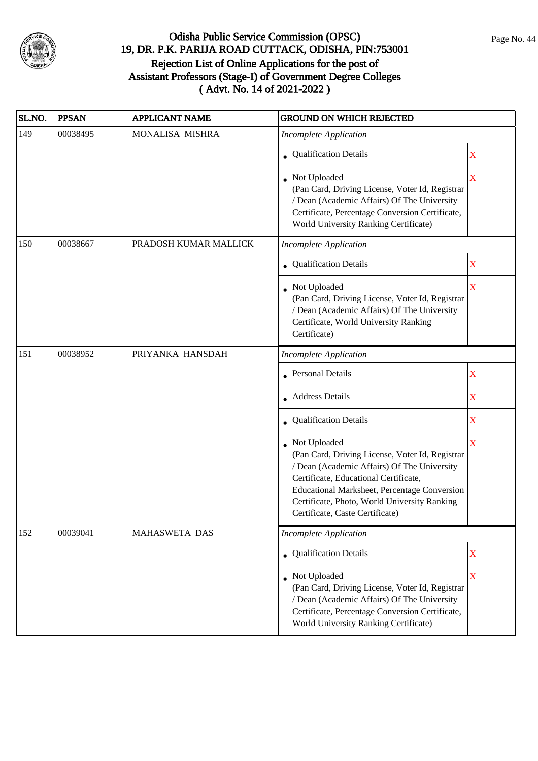

| SL.NO. | <b>PPSAN</b> | <b>APPLICANT NAME</b> | <b>GROUND ON WHICH REJECTED</b>                                                                                                                                                                                                                                                            |                         |
|--------|--------------|-----------------------|--------------------------------------------------------------------------------------------------------------------------------------------------------------------------------------------------------------------------------------------------------------------------------------------|-------------------------|
| 149    | 00038495     | MONALISA MISHRA       | <b>Incomplete Application</b>                                                                                                                                                                                                                                                              |                         |
|        |              |                       | • Qualification Details                                                                                                                                                                                                                                                                    | X                       |
|        |              |                       | • Not Uploaded<br>(Pan Card, Driving License, Voter Id, Registrar<br>/ Dean (Academic Affairs) Of The University<br>Certificate, Percentage Conversion Certificate,<br>World University Ranking Certificate)                                                                               | $\overline{\textbf{X}}$ |
| 150    | 00038667     | PRADOSH KUMAR MALLICK | <b>Incomplete Application</b>                                                                                                                                                                                                                                                              |                         |
|        |              |                       | • Qualification Details                                                                                                                                                                                                                                                                    | X                       |
|        |              |                       | Not Uploaded<br>(Pan Card, Driving License, Voter Id, Registrar<br>/ Dean (Academic Affairs) Of The University<br>Certificate, World University Ranking<br>Certificate)                                                                                                                    | X                       |
| 151    | 00038952     | PRIYANKA HANSDAH      | <b>Incomplete Application</b>                                                                                                                                                                                                                                                              |                         |
|        |              |                       | <b>Personal Details</b>                                                                                                                                                                                                                                                                    | X                       |
|        |              |                       | <b>Address Details</b>                                                                                                                                                                                                                                                                     | X                       |
|        |              |                       | • Qualification Details                                                                                                                                                                                                                                                                    | X                       |
|        |              |                       | Not Uploaded<br>(Pan Card, Driving License, Voter Id, Registrar<br>/ Dean (Academic Affairs) Of The University<br>Certificate, Educational Certificate,<br>Educational Marksheet, Percentage Conversion<br>Certificate, Photo, World University Ranking<br>Certificate, Caste Certificate) | X                       |
| 152    | 00039041     | <b>MAHASWETA DAS</b>  | <b>Incomplete Application</b>                                                                                                                                                                                                                                                              |                         |
|        |              |                       | • Qualification Details                                                                                                                                                                                                                                                                    | $\mathbf X$             |
|        |              |                       | Not Uploaded<br>(Pan Card, Driving License, Voter Id, Registrar<br>/ Dean (Academic Affairs) Of The University<br>Certificate, Percentage Conversion Certificate,<br>World University Ranking Certificate)                                                                                 | $\mathbf X$             |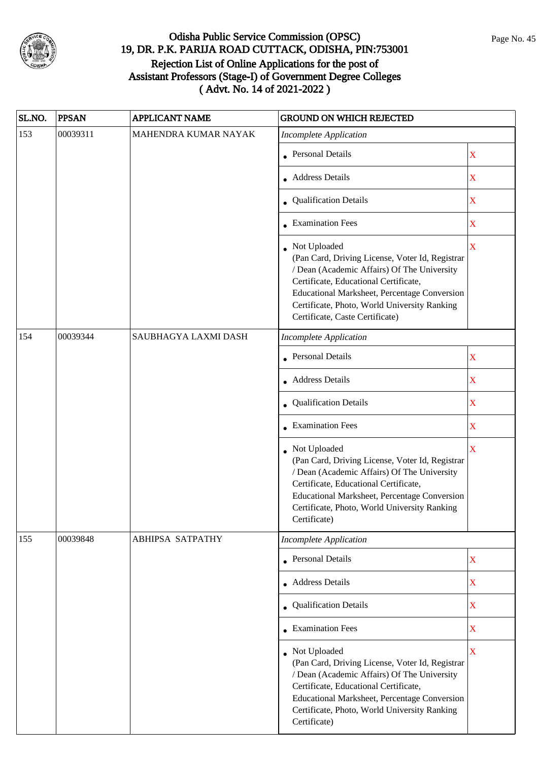

| SL.NO. | <b>PPSAN</b> | <b>APPLICANT NAME</b>   | <b>GROUND ON WHICH REJECTED</b>                                                                                                                                                                                                                                                            |                         |
|--------|--------------|-------------------------|--------------------------------------------------------------------------------------------------------------------------------------------------------------------------------------------------------------------------------------------------------------------------------------------|-------------------------|
| 153    | 00039311     | MAHENDRA KUMAR NAYAK    | <b>Incomplete Application</b>                                                                                                                                                                                                                                                              |                         |
|        |              |                         | <b>Personal Details</b>                                                                                                                                                                                                                                                                    | $\mathbf X$             |
|        |              |                         | <b>Address Details</b>                                                                                                                                                                                                                                                                     | $\mathbf X$             |
|        |              |                         | • Qualification Details                                                                                                                                                                                                                                                                    | $\mathbf X$             |
|        |              |                         | • Examination Fees                                                                                                                                                                                                                                                                         | $\overline{\textbf{X}}$ |
|        |              |                         | Not Uploaded<br>(Pan Card, Driving License, Voter Id, Registrar<br>/ Dean (Academic Affairs) Of The University<br>Certificate, Educational Certificate,<br>Educational Marksheet, Percentage Conversion<br>Certificate, Photo, World University Ranking<br>Certificate, Caste Certificate) | $\overline{\mathbf{X}}$ |
| 154    | 00039344     | SAUBHAGYA LAXMI DASH    | <b>Incomplete Application</b>                                                                                                                                                                                                                                                              |                         |
|        |              |                         | <b>Personal Details</b>                                                                                                                                                                                                                                                                    | $\mathbf X$             |
|        |              |                         | • Address Details                                                                                                                                                                                                                                                                          | $\mathbf X$             |
|        |              |                         | • Qualification Details                                                                                                                                                                                                                                                                    | $\mathbf X$             |
|        |              |                         | <b>Examination Fees</b>                                                                                                                                                                                                                                                                    | $\overline{\mathbf{X}}$ |
|        |              |                         | Not Uploaded<br>(Pan Card, Driving License, Voter Id, Registrar<br>/ Dean (Academic Affairs) Of The University<br>Certificate, Educational Certificate,<br>Educational Marksheet, Percentage Conversion<br>Certificate, Photo, World University Ranking<br>Certificate)                    | $\overline{\mathbf{X}}$ |
| 155    | 00039848     | <b>ABHIPSA SATPATHY</b> | <b>Incomplete Application</b>                                                                                                                                                                                                                                                              |                         |
|        |              |                         | • Personal Details                                                                                                                                                                                                                                                                         | $\mathbf X$             |
|        |              |                         | • Address Details                                                                                                                                                                                                                                                                          | X                       |
|        |              |                         | • Qualification Details                                                                                                                                                                                                                                                                    | $\overline{\textbf{X}}$ |
|        |              |                         | • Examination Fees                                                                                                                                                                                                                                                                         | X                       |
|        |              |                         | Not Uploaded<br>(Pan Card, Driving License, Voter Id, Registrar<br>/ Dean (Academic Affairs) Of The University<br>Certificate, Educational Certificate,<br>Educational Marksheet, Percentage Conversion<br>Certificate, Photo, World University Ranking<br>Certificate)                    | $\overline{\mathbf{X}}$ |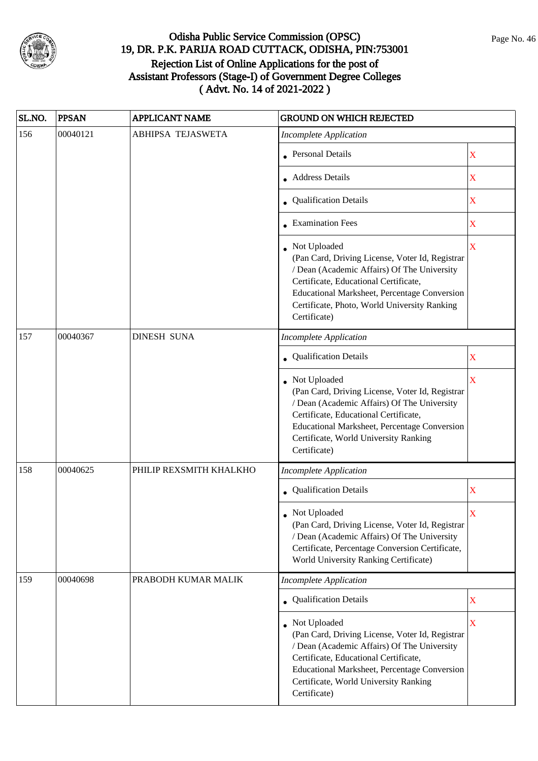

| SL.NO. | <b>PPSAN</b> | <b>APPLICANT NAME</b>   | <b>GROUND ON WHICH REJECTED</b>                                                                                                                                                                                                                                                  |                         |
|--------|--------------|-------------------------|----------------------------------------------------------------------------------------------------------------------------------------------------------------------------------------------------------------------------------------------------------------------------------|-------------------------|
| 156    | 00040121     | ABHIPSA TEJASWETA       | <b>Incomplete Application</b>                                                                                                                                                                                                                                                    |                         |
|        |              |                         | <b>Personal Details</b>                                                                                                                                                                                                                                                          | X                       |
|        |              |                         | <b>Address Details</b>                                                                                                                                                                                                                                                           | X                       |
|        |              |                         | • Qualification Details                                                                                                                                                                                                                                                          | X                       |
|        |              |                         | <b>Examination Fees</b>                                                                                                                                                                                                                                                          | X                       |
|        |              |                         | • Not Uploaded<br>(Pan Card, Driving License, Voter Id, Registrar<br>/ Dean (Academic Affairs) Of The University<br>Certificate, Educational Certificate,<br><b>Educational Marksheet, Percentage Conversion</b><br>Certificate, Photo, World University Ranking<br>Certificate) | $\overline{\mathbf{X}}$ |
| 157    | 00040367     | <b>DINESH SUNA</b>      | <b>Incomplete Application</b>                                                                                                                                                                                                                                                    |                         |
|        |              |                         | Qualification Details                                                                                                                                                                                                                                                            | X                       |
|        |              |                         | • Not Uploaded<br>(Pan Card, Driving License, Voter Id, Registrar<br>/ Dean (Academic Affairs) Of The University<br>Certificate, Educational Certificate,<br>Educational Marksheet, Percentage Conversion<br>Certificate, World University Ranking<br>Certificate)               | X                       |
| 158    | 00040625     | PHILIP REXSMITH KHALKHO | <b>Incomplete Application</b>                                                                                                                                                                                                                                                    |                         |
|        |              |                         | • Qualification Details                                                                                                                                                                                                                                                          | X                       |
|        |              |                         | • Not Uploaded<br>(Pan Card, Driving License, Voter Id, Registrar<br>/ Dean (Academic Affairs) Of The University<br>Certificate, Percentage Conversion Certificate,<br>World University Ranking Certificate)                                                                     | X                       |
| 159    | 00040698     | PRABODH KUMAR MALIK     | <b>Incomplete Application</b>                                                                                                                                                                                                                                                    |                         |
|        |              |                         | • Qualification Details                                                                                                                                                                                                                                                          | X                       |
|        |              |                         | Not Uploaded<br>(Pan Card, Driving License, Voter Id, Registrar<br>/ Dean (Academic Affairs) Of The University<br>Certificate, Educational Certificate,<br>Educational Marksheet, Percentage Conversion<br>Certificate, World University Ranking<br>Certificate)                 | $\overline{\mathbf{X}}$ |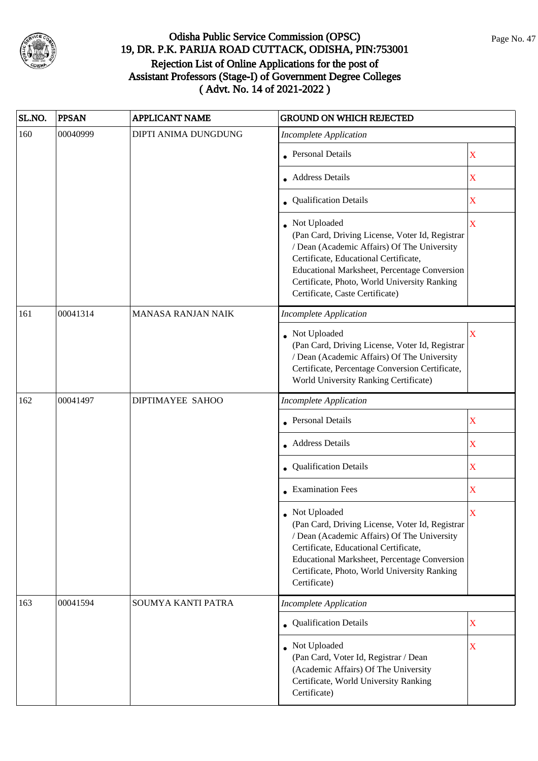

| SL.NO. | <b>PPSAN</b> | <b>APPLICANT NAME</b>     | <b>GROUND ON WHICH REJECTED</b>                                                                                                                                                                                                                                                            |                           |
|--------|--------------|---------------------------|--------------------------------------------------------------------------------------------------------------------------------------------------------------------------------------------------------------------------------------------------------------------------------------------|---------------------------|
| 160    | 00040999     | DIPTI ANIMA DUNGDUNG      | <b>Incomplete Application</b>                                                                                                                                                                                                                                                              |                           |
|        |              |                           | <b>Personal Details</b>                                                                                                                                                                                                                                                                    | X                         |
|        |              |                           | <b>Address Details</b>                                                                                                                                                                                                                                                                     | X                         |
|        |              |                           | • Qualification Details                                                                                                                                                                                                                                                                    | X                         |
|        |              |                           | Not Uploaded<br>(Pan Card, Driving License, Voter Id, Registrar<br>/ Dean (Academic Affairs) Of The University<br>Certificate, Educational Certificate,<br>Educational Marksheet, Percentage Conversion<br>Certificate, Photo, World University Ranking<br>Certificate, Caste Certificate) | $\overline{\mathbf{X}}$   |
| 161    | 00041314     | <b>MANASA RANJAN NAIK</b> | <b>Incomplete Application</b>                                                                                                                                                                                                                                                              |                           |
|        |              |                           | Not Uploaded<br>(Pan Card, Driving License, Voter Id, Registrar<br>/ Dean (Academic Affairs) Of The University<br>Certificate, Percentage Conversion Certificate,<br>World University Ranking Certificate)                                                                                 | X                         |
| 162    | 00041497     | DIPTIMAYEE SAHOO          | <b>Incomplete Application</b>                                                                                                                                                                                                                                                              |                           |
|        |              |                           | <b>Personal Details</b>                                                                                                                                                                                                                                                                    | X                         |
|        |              |                           | <b>Address Details</b>                                                                                                                                                                                                                                                                     | X                         |
|        |              |                           | • Qualification Details                                                                                                                                                                                                                                                                    | X                         |
|        |              |                           | • Examination Fees                                                                                                                                                                                                                                                                         | $\mathbf X$               |
|        |              |                           | Not Uploaded<br>(Pan Card, Driving License, Voter Id, Registrar<br>/ Dean (Academic Affairs) Of The University<br>Certificate, Educational Certificate,<br><b>Educational Marksheet, Percentage Conversion</b><br>Certificate, Photo, World University Ranking<br>Certificate)             | X                         |
| 163    | 00041594     | SOUMYA KANTI PATRA        | <b>Incomplete Application</b>                                                                                                                                                                                                                                                              |                           |
|        |              |                           | <b>Qualification Details</b>                                                                                                                                                                                                                                                               | $\mathbf X$               |
|        |              |                           | • Not Uploaded<br>(Pan Card, Voter Id, Registrar / Dean<br>(Academic Affairs) Of The University<br>Certificate, World University Ranking<br>Certificate)                                                                                                                                   | $\boldsymbol{\mathrm{X}}$ |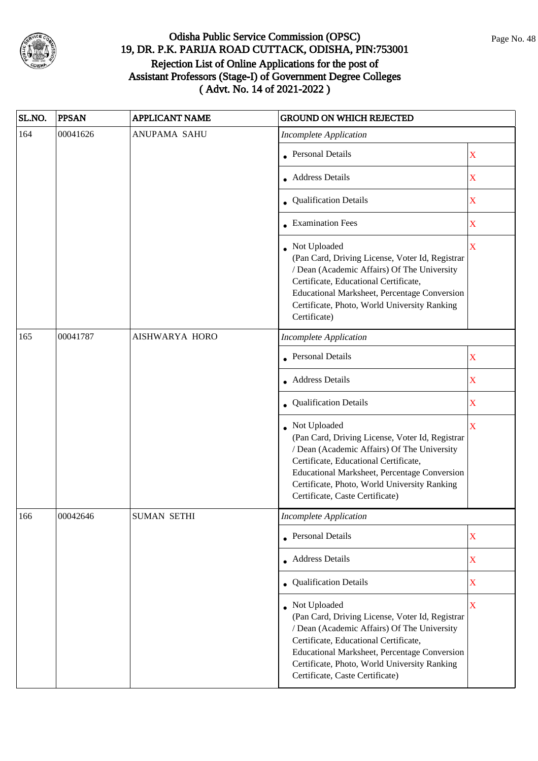

| SL.NO. | <b>PPSAN</b> | <b>APPLICANT NAME</b> | <b>GROUND ON WHICH REJECTED</b>                                                                                                                                                                                                                                                              |                         |   |
|--------|--------------|-----------------------|----------------------------------------------------------------------------------------------------------------------------------------------------------------------------------------------------------------------------------------------------------------------------------------------|-------------------------|---|
| 164    | 00041626     | ANUPAMA SAHU          | <b>Incomplete Application</b>                                                                                                                                                                                                                                                                |                         |   |
|        |              |                       | <b>Personal Details</b>                                                                                                                                                                                                                                                                      | X                       |   |
|        |              |                       | <b>Address Details</b>                                                                                                                                                                                                                                                                       | $\mathbf X$             |   |
|        |              |                       | • Qualification Details                                                                                                                                                                                                                                                                      | X                       |   |
|        |              |                       | • Examination Fees                                                                                                                                                                                                                                                                           | X                       |   |
|        |              |                       | Not Uploaded<br>(Pan Card, Driving License, Voter Id, Registrar<br>/ Dean (Academic Affairs) Of The University<br>Certificate, Educational Certificate,<br>Educational Marksheet, Percentage Conversion<br>Certificate, Photo, World University Ranking<br>Certificate)                      | $\overline{\mathbf{X}}$ |   |
| 165    | 00041787     | AISHWARYA HORO        | <b>Incomplete Application</b>                                                                                                                                                                                                                                                                |                         |   |
|        |              |                       | Personal Details                                                                                                                                                                                                                                                                             | X                       |   |
|        |              |                       |                                                                                                                                                                                                                                                                                              | • Address Details       | X |
|        |              |                       | Qualification Details                                                                                                                                                                                                                                                                        | X                       |   |
|        |              |                       | Not Uploaded<br>(Pan Card, Driving License, Voter Id, Registrar<br>/ Dean (Academic Affairs) Of The University<br>Certificate, Educational Certificate,<br>Educational Marksheet, Percentage Conversion<br>Certificate, Photo, World University Ranking<br>Certificate, Caste Certificate)   | X                       |   |
| 166    | 00042646     | <b>SUMAN SETHI</b>    | Incomplete Application                                                                                                                                                                                                                                                                       |                         |   |
|        |              |                       | • Personal Details                                                                                                                                                                                                                                                                           | X                       |   |
|        |              |                       | • Address Details                                                                                                                                                                                                                                                                            | X                       |   |
|        |              |                       | • Qualification Details                                                                                                                                                                                                                                                                      | X                       |   |
|        |              |                       | • Not Uploaded<br>(Pan Card, Driving License, Voter Id, Registrar<br>/ Dean (Academic Affairs) Of The University<br>Certificate, Educational Certificate,<br>Educational Marksheet, Percentage Conversion<br>Certificate, Photo, World University Ranking<br>Certificate, Caste Certificate) | $\mathbf X$             |   |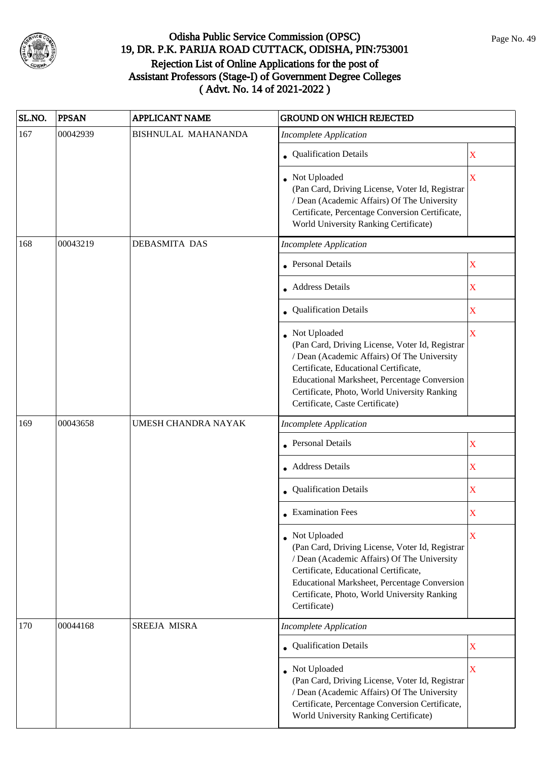

| SL.NO. | <b>PPSAN</b> | <b>APPLICANT NAME</b> | <b>GROUND ON WHICH REJECTED</b>                                                                                                                                                                                                                                                            |                         |
|--------|--------------|-----------------------|--------------------------------------------------------------------------------------------------------------------------------------------------------------------------------------------------------------------------------------------------------------------------------------------|-------------------------|
| 167    | 00042939     | BISHNULAL MAHANANDA   | <b>Incomplete Application</b>                                                                                                                                                                                                                                                              |                         |
|        |              |                       | • Qualification Details                                                                                                                                                                                                                                                                    | X                       |
|        |              |                       | • Not Uploaded<br>(Pan Card, Driving License, Voter Id, Registrar<br>/ Dean (Academic Affairs) Of The University<br>Certificate, Percentage Conversion Certificate,<br>World University Ranking Certificate)                                                                               | X                       |
| 168    | 00043219     | <b>DEBASMITA DAS</b>  | <b>Incomplete Application</b>                                                                                                                                                                                                                                                              |                         |
|        |              |                       | Personal Details                                                                                                                                                                                                                                                                           | X                       |
|        |              |                       | Address Details                                                                                                                                                                                                                                                                            | X                       |
|        |              |                       | Qualification Details                                                                                                                                                                                                                                                                      | X                       |
|        |              |                       | Not Uploaded<br>(Pan Card, Driving License, Voter Id, Registrar<br>/ Dean (Academic Affairs) Of The University<br>Certificate, Educational Certificate,<br>Educational Marksheet, Percentage Conversion<br>Certificate, Photo, World University Ranking<br>Certificate, Caste Certificate) | $\overline{\mathbf{X}}$ |
| 169    | 00043658     | UMESH CHANDRA NAYAK   | <b>Incomplete Application</b>                                                                                                                                                                                                                                                              |                         |
|        |              |                       | <b>Personal Details</b>                                                                                                                                                                                                                                                                    | X                       |
|        |              |                       | • Address Details                                                                                                                                                                                                                                                                          | X                       |
|        |              |                       | Qualification Details                                                                                                                                                                                                                                                                      | $\mathbf X$             |
|        |              |                       | <b>Examination Fees</b>                                                                                                                                                                                                                                                                    | X                       |
|        |              |                       | Not Uploaded<br>(Pan Card, Driving License, Voter Id, Registrar<br>/ Dean (Academic Affairs) Of The University<br>Certificate, Educational Certificate,<br><b>Educational Marksheet, Percentage Conversion</b><br>Certificate, Photo, World University Ranking<br>Certificate)             | X                       |
| 170    | 00044168     | SREEJA MISRA          | <b>Incomplete Application</b>                                                                                                                                                                                                                                                              |                         |
|        |              |                       | • Qualification Details                                                                                                                                                                                                                                                                    | X                       |
|        |              |                       | Not Uploaded<br>(Pan Card, Driving License, Voter Id, Registrar<br>/ Dean (Academic Affairs) Of The University<br>Certificate, Percentage Conversion Certificate,<br>World University Ranking Certificate)                                                                                 | $\overline{\mathbf{X}}$ |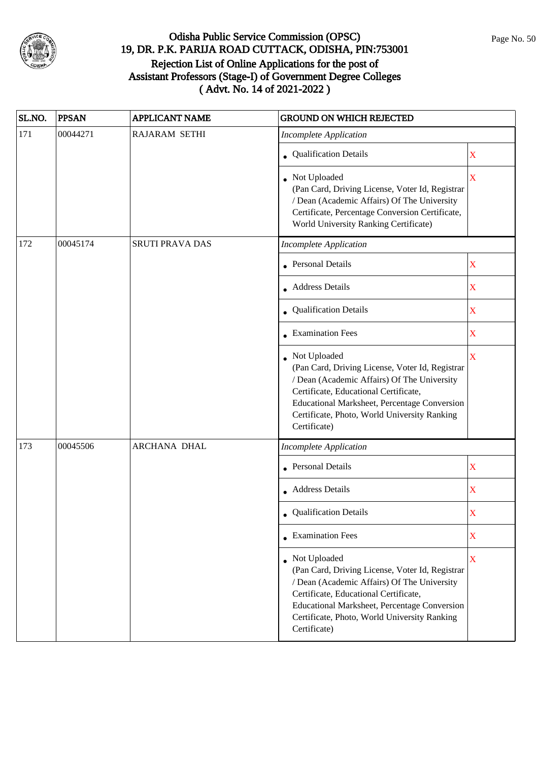

| SL.NO. | <b>PPSAN</b> | APPLICANT NAME         | <b>GROUND ON WHICH REJECTED</b>                                                                                                                                                                                                                                                |             |
|--------|--------------|------------------------|--------------------------------------------------------------------------------------------------------------------------------------------------------------------------------------------------------------------------------------------------------------------------------|-------------|
| 171    | 00044271     | <b>RAJARAM SETHI</b>   | <b>Incomplete Application</b>                                                                                                                                                                                                                                                  |             |
|        |              |                        | • Qualification Details                                                                                                                                                                                                                                                        | $\mathbf X$ |
|        |              |                        | • Not Uploaded<br>(Pan Card, Driving License, Voter Id, Registrar<br>/ Dean (Academic Affairs) Of The University<br>Certificate, Percentage Conversion Certificate,<br>World University Ranking Certificate)                                                                   | X           |
| 172    | 00045174     | <b>SRUTI PRAVA DAS</b> | <b>Incomplete Application</b>                                                                                                                                                                                                                                                  |             |
|        |              |                        | • Personal Details                                                                                                                                                                                                                                                             | X           |
|        |              |                        | • Address Details                                                                                                                                                                                                                                                              | X           |
|        |              |                        | Qualification Details                                                                                                                                                                                                                                                          | X           |
|        |              |                        | <b>Examination Fees</b>                                                                                                                                                                                                                                                        | X           |
|        |              |                        | Not Uploaded<br>(Pan Card, Driving License, Voter Id, Registrar<br>/ Dean (Academic Affairs) Of The University<br>Certificate, Educational Certificate,<br>Educational Marksheet, Percentage Conversion<br>Certificate, Photo, World University Ranking<br>Certificate)        | X           |
| 173    | 00045506     | ARCHANA DHAL           | <b>Incomplete Application</b>                                                                                                                                                                                                                                                  |             |
|        |              |                        | <b>Personal Details</b>                                                                                                                                                                                                                                                        | X           |
|        |              |                        | • Address Details                                                                                                                                                                                                                                                              | X           |
|        |              |                        | <b>Qualification Details</b>                                                                                                                                                                                                                                                   | X           |
|        |              |                        | $\bullet$ Examination Fees                                                                                                                                                                                                                                                     | X           |
|        |              |                        | Not Uploaded<br>(Pan Card, Driving License, Voter Id, Registrar<br>/ Dean (Academic Affairs) Of The University<br>Certificate, Educational Certificate,<br><b>Educational Marksheet, Percentage Conversion</b><br>Certificate, Photo, World University Ranking<br>Certificate) | X           |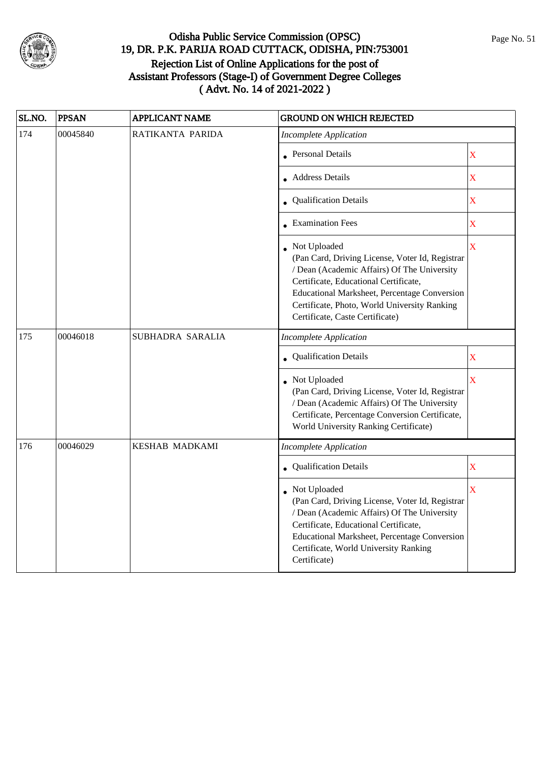

| SL.NO. | <b>PPSAN</b> | <b>APPLICANT NAME</b> | <b>GROUND ON WHICH REJECTED</b>                                                                                                                                                                                                                                                              |                         |
|--------|--------------|-----------------------|----------------------------------------------------------------------------------------------------------------------------------------------------------------------------------------------------------------------------------------------------------------------------------------------|-------------------------|
| 174    | 00045840     | RATIKANTA PARIDA      | <b>Incomplete Application</b>                                                                                                                                                                                                                                                                |                         |
|        |              |                       | • Personal Details                                                                                                                                                                                                                                                                           | $\overline{\textbf{X}}$ |
|        |              |                       | <b>Address Details</b>                                                                                                                                                                                                                                                                       | $\overline{\mathbf{X}}$ |
|        |              |                       | • Qualification Details                                                                                                                                                                                                                                                                      | $\overline{\textbf{X}}$ |
|        |              |                       | • Examination Fees                                                                                                                                                                                                                                                                           | $\overline{\mathbf{X}}$ |
|        |              |                       | • Not Uploaded<br>(Pan Card, Driving License, Voter Id, Registrar<br>/ Dean (Academic Affairs) Of The University<br>Certificate, Educational Certificate,<br>Educational Marksheet, Percentage Conversion<br>Certificate, Photo, World University Ranking<br>Certificate, Caste Certificate) | $\overline{\mathbf{X}}$ |
| 175    | 00046018     | SUBHADRA SARALIA      | <b>Incomplete Application</b>                                                                                                                                                                                                                                                                |                         |
|        |              |                       | Qualification Details                                                                                                                                                                                                                                                                        | X                       |
|        |              |                       | Not Uploaded<br>(Pan Card, Driving License, Voter Id, Registrar<br>/ Dean (Academic Affairs) Of The University<br>Certificate, Percentage Conversion Certificate,<br>World University Ranking Certificate)                                                                                   | $\bar{X}$               |
| 176    | 00046029     | <b>KESHAB MADKAMI</b> | <b>Incomplete Application</b>                                                                                                                                                                                                                                                                |                         |
|        |              |                       | Qualification Details                                                                                                                                                                                                                                                                        | $\overline{\mathbf{X}}$ |
|        |              |                       | Not Uploaded<br>(Pan Card, Driving License, Voter Id, Registrar<br>/ Dean (Academic Affairs) Of The University<br>Certificate, Educational Certificate,<br>Educational Marksheet, Percentage Conversion<br>Certificate, World University Ranking<br>Certificate)                             | $\overline{\mathbf{X}}$ |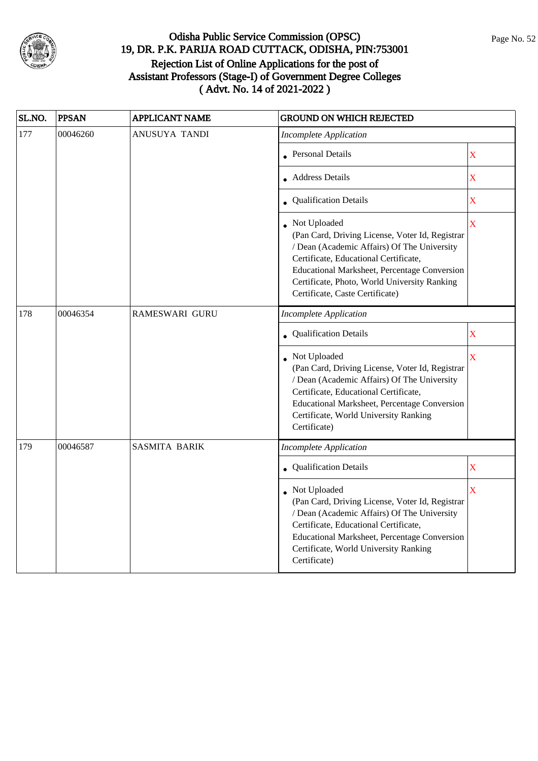

| SL.NO. | <b>PPSAN</b> | <b>APPLICANT NAME</b> | <b>GROUND ON WHICH REJECTED</b>                                                                                                                                                                                                                                                            |                         |
|--------|--------------|-----------------------|--------------------------------------------------------------------------------------------------------------------------------------------------------------------------------------------------------------------------------------------------------------------------------------------|-------------------------|
| 177    | 00046260     | ANUSUYA TANDI         | <b>Incomplete Application</b>                                                                                                                                                                                                                                                              |                         |
|        |              |                       | • Personal Details                                                                                                                                                                                                                                                                         | $\overline{\mathbf{X}}$ |
|        |              |                       | <b>Address Details</b>                                                                                                                                                                                                                                                                     | $\overline{\mathbf{X}}$ |
|        |              |                       | • Qualification Details                                                                                                                                                                                                                                                                    | $\mathbf X$             |
|        |              |                       | Not Uploaded<br>(Pan Card, Driving License, Voter Id, Registrar<br>/ Dean (Academic Affairs) Of The University<br>Certificate, Educational Certificate,<br>Educational Marksheet, Percentage Conversion<br>Certificate, Photo, World University Ranking<br>Certificate, Caste Certificate) | $\bar{X}$               |
| 178    | 00046354     | RAMESWARI GURU        | <b>Incomplete Application</b>                                                                                                                                                                                                                                                              |                         |
|        |              |                       | Qualification Details                                                                                                                                                                                                                                                                      | $\overline{\textbf{X}}$ |
|        |              |                       | • Not Uploaded<br>(Pan Card, Driving License, Voter Id, Registrar<br>/ Dean (Academic Affairs) Of The University<br>Certificate, Educational Certificate,<br>Educational Marksheet, Percentage Conversion<br>Certificate, World University Ranking<br>Certificate)                         | $\bar{X}$               |
| 179    | 00046587     | <b>SASMITA BARIK</b>  | <b>Incomplete Application</b>                                                                                                                                                                                                                                                              |                         |
|        |              |                       | • Qualification Details                                                                                                                                                                                                                                                                    | $\mathbf X$             |
|        |              |                       | Not Uploaded<br>(Pan Card, Driving License, Voter Id, Registrar<br>/ Dean (Academic Affairs) Of The University<br>Certificate, Educational Certificate,<br>Educational Marksheet, Percentage Conversion<br>Certificate, World University Ranking<br>Certificate)                           | $\overline{\mathbf{X}}$ |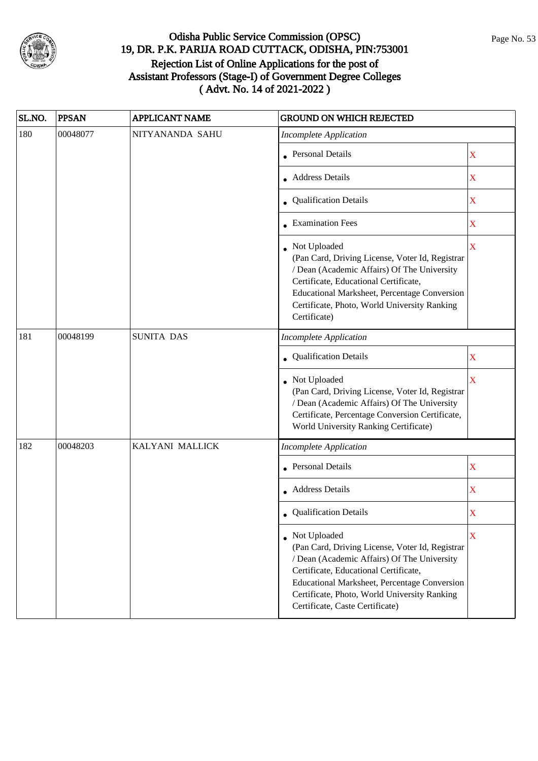

| SL.NO. | <b>PPSAN</b> | <b>APPLICANT NAME</b> | <b>GROUND ON WHICH REJECTED</b>                                                                                                                                                                                                                                                            |                         |
|--------|--------------|-----------------------|--------------------------------------------------------------------------------------------------------------------------------------------------------------------------------------------------------------------------------------------------------------------------------------------|-------------------------|
| 180    | 00048077     | NITYANANDA SAHU       | <b>Incomplete Application</b>                                                                                                                                                                                                                                                              |                         |
|        |              |                       | Personal Details                                                                                                                                                                                                                                                                           | $\mathbf X$             |
|        |              |                       | • Address Details                                                                                                                                                                                                                                                                          | X                       |
|        |              |                       | • Qualification Details                                                                                                                                                                                                                                                                    | X                       |
|        |              |                       | • Examination Fees                                                                                                                                                                                                                                                                         | X                       |
|        |              |                       | Not Uploaded<br>(Pan Card, Driving License, Voter Id, Registrar<br>/ Dean (Academic Affairs) Of The University<br>Certificate, Educational Certificate,<br>Educational Marksheet, Percentage Conversion<br>Certificate, Photo, World University Ranking<br>Certificate)                    | $\overline{\mathbf{X}}$ |
| 181    | 00048199     | <b>SUNITA DAS</b>     | <b>Incomplete Application</b>                                                                                                                                                                                                                                                              |                         |
|        |              |                       | • Qualification Details                                                                                                                                                                                                                                                                    | X                       |
|        |              |                       | Not Uploaded<br>(Pan Card, Driving License, Voter Id, Registrar<br>/ Dean (Academic Affairs) Of The University<br>Certificate, Percentage Conversion Certificate,<br>World University Ranking Certificate)                                                                                 | $\overline{\mathbf{X}}$ |
| 182    | 00048203     | KALYANI MALLICK       | <b>Incomplete Application</b>                                                                                                                                                                                                                                                              |                         |
|        |              |                       | • Personal Details                                                                                                                                                                                                                                                                         | X                       |
|        |              |                       | Address Details                                                                                                                                                                                                                                                                            | X                       |
|        |              |                       | <b>Qualification Details</b>                                                                                                                                                                                                                                                               | X                       |
|        |              |                       | Not Uploaded<br>(Pan Card, Driving License, Voter Id, Registrar<br>/ Dean (Academic Affairs) Of The University<br>Certificate, Educational Certificate,<br>Educational Marksheet, Percentage Conversion<br>Certificate, Photo, World University Ranking<br>Certificate, Caste Certificate) | X                       |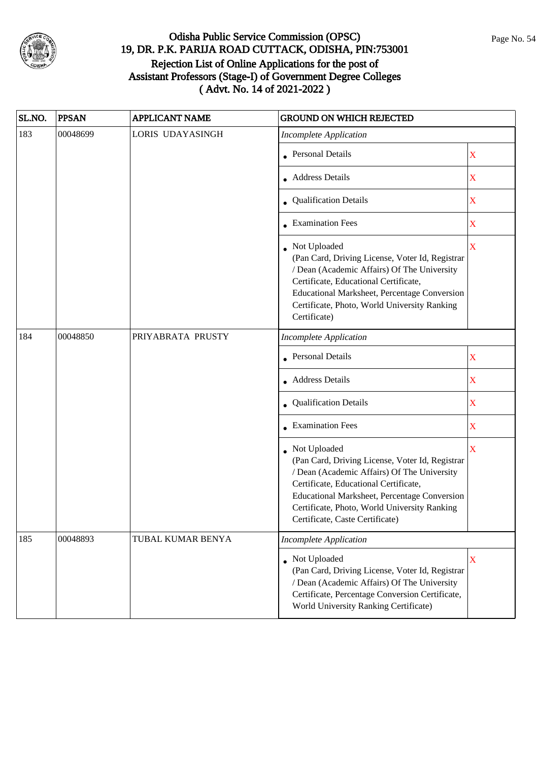

| SL.NO. | <b>PPSAN</b> | <b>APPLICANT NAME</b> | <b>GROUND ON WHICH REJECTED</b>                                                                                                                                                                                                                                                            |                         |
|--------|--------------|-----------------------|--------------------------------------------------------------------------------------------------------------------------------------------------------------------------------------------------------------------------------------------------------------------------------------------|-------------------------|
| 183    | 00048699     | LORIS UDAYASINGH      | <b>Incomplete Application</b>                                                                                                                                                                                                                                                              |                         |
|        |              |                       | Personal Details                                                                                                                                                                                                                                                                           | $\mathbf X$             |
|        |              |                       | Address Details                                                                                                                                                                                                                                                                            | X                       |
|        |              |                       | • Qualification Details                                                                                                                                                                                                                                                                    | $\mathbf X$             |
|        |              |                       | <b>Examination Fees</b>                                                                                                                                                                                                                                                                    | X                       |
|        |              |                       | Not Uploaded<br>(Pan Card, Driving License, Voter Id, Registrar<br>/ Dean (Academic Affairs) Of The University<br>Certificate, Educational Certificate,<br>Educational Marksheet, Percentage Conversion<br>Certificate, Photo, World University Ranking<br>Certificate)                    | $\overline{\mathbf{X}}$ |
| 184    | 00048850     | PRIYABRATA PRUSTY     | <b>Incomplete Application</b>                                                                                                                                                                                                                                                              |                         |
|        |              |                       | Personal Details                                                                                                                                                                                                                                                                           | $\mathbf X$             |
|        |              |                       | <b>Address Details</b>                                                                                                                                                                                                                                                                     | X                       |
|        |              |                       | Qualification Details                                                                                                                                                                                                                                                                      | X                       |
|        |              |                       | <b>Examination Fees</b>                                                                                                                                                                                                                                                                    | X                       |
|        |              |                       | Not Uploaded<br>(Pan Card, Driving License, Voter Id, Registrar<br>/ Dean (Academic Affairs) Of The University<br>Certificate, Educational Certificate,<br>Educational Marksheet, Percentage Conversion<br>Certificate, Photo, World University Ranking<br>Certificate, Caste Certificate) | X                       |
| 185    | 00048893     | TUBAL KUMAR BENYA     | <b>Incomplete Application</b>                                                                                                                                                                                                                                                              |                         |
|        |              |                       | Not Uploaded<br>(Pan Card, Driving License, Voter Id, Registrar<br>/ Dean (Academic Affairs) Of The University<br>Certificate, Percentage Conversion Certificate,<br>World University Ranking Certificate)                                                                                 | $\mathbf X$             |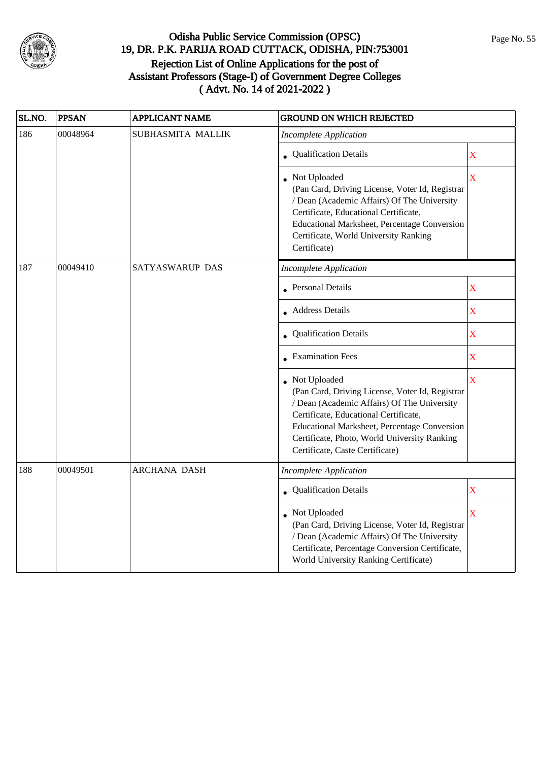

| SL.NO. | <b>PPSAN</b> | <b>APPLICANT NAME</b> | <b>GROUND ON WHICH REJECTED</b>                                                                                                                                                                                                                                                            |                         |
|--------|--------------|-----------------------|--------------------------------------------------------------------------------------------------------------------------------------------------------------------------------------------------------------------------------------------------------------------------------------------|-------------------------|
| 186    | 00048964     | SUBHASMITA MALLIK     | <b>Incomplete Application</b>                                                                                                                                                                                                                                                              |                         |
|        |              |                       | • Qualification Details                                                                                                                                                                                                                                                                    | $\mathbf X$             |
|        |              |                       | Not Uploaded<br>(Pan Card, Driving License, Voter Id, Registrar<br>/ Dean (Academic Affairs) Of The University<br>Certificate, Educational Certificate,<br><b>Educational Marksheet, Percentage Conversion</b><br>Certificate, World University Ranking<br>Certificate)                    | $\overline{\mathbf{X}}$ |
| 187    | 00049410     | SATYASWARUP DAS       | <b>Incomplete Application</b>                                                                                                                                                                                                                                                              |                         |
|        |              |                       | <b>Personal Details</b>                                                                                                                                                                                                                                                                    | $\mathbf X$             |
|        |              |                       | • Address Details                                                                                                                                                                                                                                                                          | $\mathbf X$             |
|        |              |                       | Qualification Details                                                                                                                                                                                                                                                                      | $\overline{\mathbf{X}}$ |
|        |              |                       | • Examination Fees                                                                                                                                                                                                                                                                         | $\overline{\mathbf{X}}$ |
|        |              |                       | Not Uploaded<br>(Pan Card, Driving License, Voter Id, Registrar<br>/ Dean (Academic Affairs) Of The University<br>Certificate, Educational Certificate,<br>Educational Marksheet, Percentage Conversion<br>Certificate, Photo, World University Ranking<br>Certificate, Caste Certificate) | X                       |
| 188    | 00049501     | <b>ARCHANA DASH</b>   | <b>Incomplete Application</b>                                                                                                                                                                                                                                                              |                         |
|        |              |                       | • Qualification Details                                                                                                                                                                                                                                                                    | $\mathbf X$             |
|        |              |                       | Not Uploaded<br>(Pan Card, Driving License, Voter Id, Registrar<br>/ Dean (Academic Affairs) Of The University<br>Certificate, Percentage Conversion Certificate,<br>World University Ranking Certificate)                                                                                 | $\overline{\mathbf{X}}$ |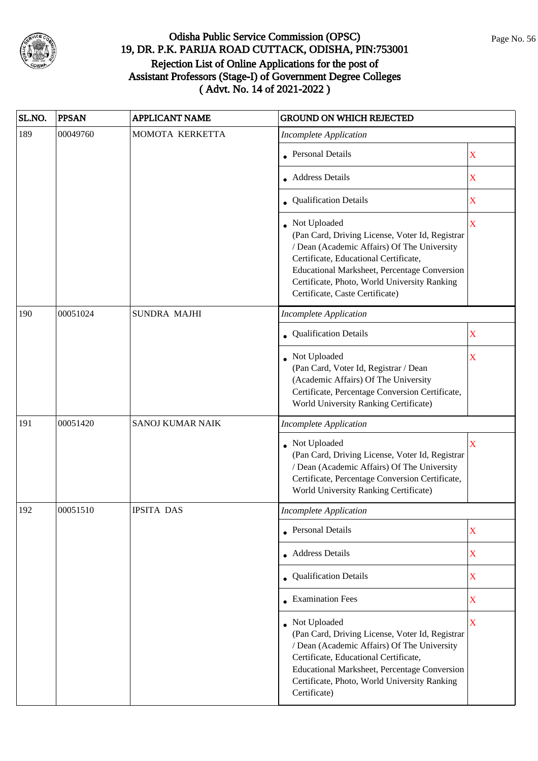

| SL.NO. | <b>PPSAN</b> | <b>APPLICANT NAME</b>   | <b>GROUND ON WHICH REJECTED</b>                                                                                                                                                                                                                                                              |             |
|--------|--------------|-------------------------|----------------------------------------------------------------------------------------------------------------------------------------------------------------------------------------------------------------------------------------------------------------------------------------------|-------------|
| 189    | 00049760     | MOMOTA KERKETTA         | <b>Incomplete Application</b>                                                                                                                                                                                                                                                                |             |
|        |              |                         | <b>Personal Details</b>                                                                                                                                                                                                                                                                      | X           |
|        |              |                         | <b>Address Details</b>                                                                                                                                                                                                                                                                       | $\mathbf X$ |
|        |              |                         | • Qualification Details                                                                                                                                                                                                                                                                      | X           |
|        |              |                         | • Not Uploaded<br>(Pan Card, Driving License, Voter Id, Registrar<br>/ Dean (Academic Affairs) Of The University<br>Certificate, Educational Certificate,<br>Educational Marksheet, Percentage Conversion<br>Certificate, Photo, World University Ranking<br>Certificate, Caste Certificate) | X           |
| 190    | 00051024     | <b>SUNDRA MAJHI</b>     | <b>Incomplete Application</b>                                                                                                                                                                                                                                                                |             |
|        |              |                         | Qualification Details                                                                                                                                                                                                                                                                        | X           |
|        |              |                         | • Not Uploaded<br>(Pan Card, Voter Id, Registrar / Dean<br>(Academic Affairs) Of The University<br>Certificate, Percentage Conversion Certificate,<br>World University Ranking Certificate)                                                                                                  | X           |
| 191    | 00051420     | <b>SANOJ KUMAR NAIK</b> | <b>Incomplete Application</b>                                                                                                                                                                                                                                                                |             |
|        |              |                         | • Not Uploaded<br>(Pan Card, Driving License, Voter Id, Registrar<br>/ Dean (Academic Affairs) Of The University<br>Certificate, Percentage Conversion Certificate,<br>World University Ranking Certificate)                                                                                 | X           |
| 192    | 00051510     | <b>IPSITA DAS</b>       | <b>Incomplete Application</b>                                                                                                                                                                                                                                                                |             |
|        |              |                         | • Personal Details                                                                                                                                                                                                                                                                           | X           |
|        |              |                         | Address Details                                                                                                                                                                                                                                                                              | $\mathbf X$ |
|        |              |                         | Qualification Details                                                                                                                                                                                                                                                                        | X           |
|        |              |                         | $\bullet$ Examination Fees                                                                                                                                                                                                                                                                   | X           |
|        |              |                         | Not Uploaded<br>(Pan Card, Driving License, Voter Id, Registrar<br>/ Dean (Academic Affairs) Of The University<br>Certificate, Educational Certificate,<br>Educational Marksheet, Percentage Conversion<br>Certificate, Photo, World University Ranking<br>Certificate)                      | X           |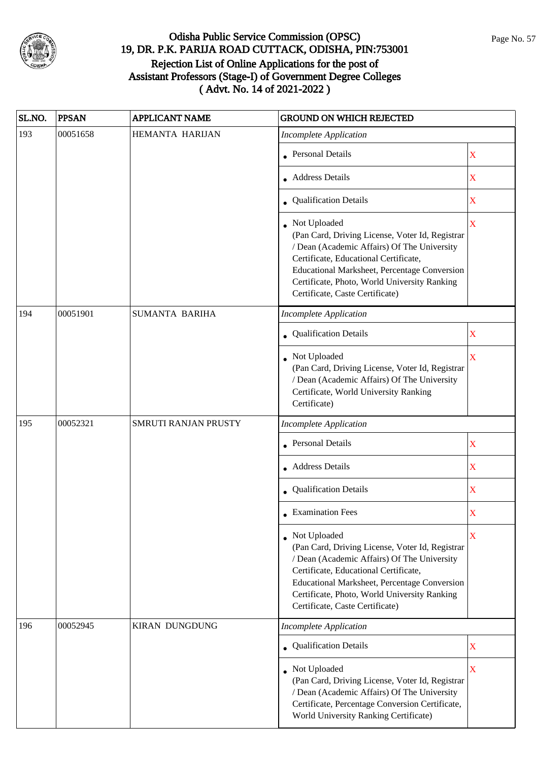

| SL.NO. | <b>PPSAN</b> | <b>APPLICANT NAME</b> | <b>GROUND ON WHICH REJECTED</b>                                                                                                                                                                                                                                                                   |                         |
|--------|--------------|-----------------------|---------------------------------------------------------------------------------------------------------------------------------------------------------------------------------------------------------------------------------------------------------------------------------------------------|-------------------------|
| 193    | 00051658     | HEMANTA HARIJAN       | <b>Incomplete Application</b>                                                                                                                                                                                                                                                                     |                         |
|        |              |                       | <b>Personal Details</b>                                                                                                                                                                                                                                                                           | X                       |
|        |              |                       | <b>Address Details</b>                                                                                                                                                                                                                                                                            | $\mathbf X$             |
|        |              |                       | • Qualification Details                                                                                                                                                                                                                                                                           | X                       |
|        |              |                       | Not Uploaded<br>(Pan Card, Driving License, Voter Id, Registrar<br>/ Dean (Academic Affairs) Of The University<br>Certificate, Educational Certificate,<br>Educational Marksheet, Percentage Conversion<br>Certificate, Photo, World University Ranking<br>Certificate, Caste Certificate)        | $\overline{\mathbf{X}}$ |
| 194    | 00051901     | <b>SUMANTA BARIHA</b> | <b>Incomplete Application</b>                                                                                                                                                                                                                                                                     |                         |
|        |              |                       | Qualification Details                                                                                                                                                                                                                                                                             | X                       |
|        |              |                       | Not Uploaded<br>(Pan Card, Driving License, Voter Id, Registrar<br>/ Dean (Academic Affairs) Of The University<br>Certificate, World University Ranking<br>Certificate)                                                                                                                           | $\overline{\mathbf{X}}$ |
| 195    | 00052321     | SMRUTI RANJAN PRUSTY  | <b>Incomplete Application</b>                                                                                                                                                                                                                                                                     |                         |
|        |              |                       | <b>Personal Details</b>                                                                                                                                                                                                                                                                           | X                       |
|        |              |                       | • Address Details                                                                                                                                                                                                                                                                                 | X                       |
|        |              |                       | Qualification Details                                                                                                                                                                                                                                                                             | $\mathbf X$             |
|        |              |                       | <b>Examination Fees</b>                                                                                                                                                                                                                                                                           | X                       |
|        |              |                       | Not Uploaded<br>(Pan Card, Driving License, Voter Id, Registrar<br>/ Dean (Academic Affairs) Of The University<br>Certificate, Educational Certificate,<br><b>Educational Marksheet, Percentage Conversion</b><br>Certificate, Photo, World University Ranking<br>Certificate, Caste Certificate) | X                       |
| 196    | 00052945     | <b>KIRAN DUNGDUNG</b> | <b>Incomplete Application</b>                                                                                                                                                                                                                                                                     |                         |
|        |              |                       | • Qualification Details                                                                                                                                                                                                                                                                           | X                       |
|        |              |                       | Not Uploaded<br>(Pan Card, Driving License, Voter Id, Registrar<br>/ Dean (Academic Affairs) Of The University<br>Certificate, Percentage Conversion Certificate,<br>World University Ranking Certificate)                                                                                        | $\overline{\mathbf{X}}$ |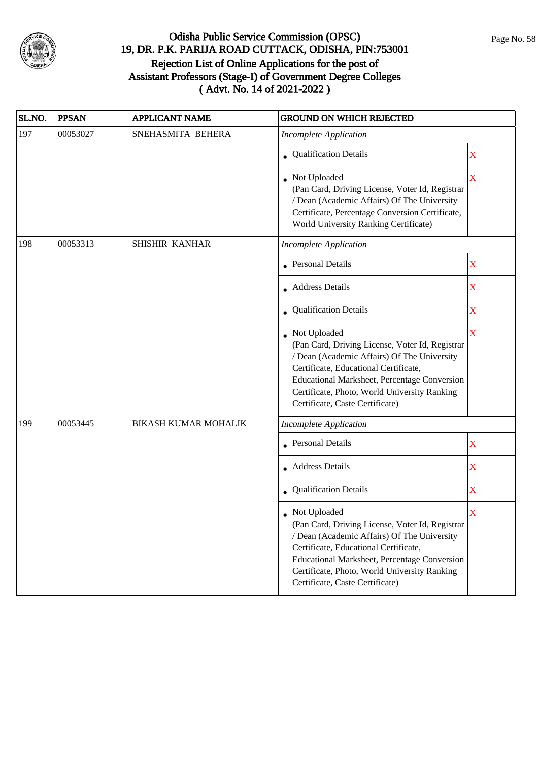

| SL.NO. | <b>PPSAN</b> | <b>APPLICANT NAME</b>       | <b>GROUND ON WHICH REJECTED</b>                                                                                                                                                                                                                                                            |                           |
|--------|--------------|-----------------------------|--------------------------------------------------------------------------------------------------------------------------------------------------------------------------------------------------------------------------------------------------------------------------------------------|---------------------------|
| 197    | 00053027     | SNEHASMITA BEHERA           | <b>Incomplete Application</b>                                                                                                                                                                                                                                                              |                           |
|        |              |                             | Qualification Details                                                                                                                                                                                                                                                                      | X                         |
|        |              |                             | Not Uploaded<br>(Pan Card, Driving License, Voter Id, Registrar<br>/ Dean (Academic Affairs) Of The University<br>Certificate, Percentage Conversion Certificate,<br>World University Ranking Certificate)                                                                                 | X                         |
| 198    | 00053313     | SHISHIR KANHAR              | <b>Incomplete Application</b>                                                                                                                                                                                                                                                              |                           |
|        |              |                             | <b>Personal Details</b>                                                                                                                                                                                                                                                                    | $\mathbf X$               |
|        |              |                             | <b>Address Details</b>                                                                                                                                                                                                                                                                     | X                         |
|        |              |                             | • Qualification Details                                                                                                                                                                                                                                                                    | X                         |
|        |              |                             | Not Uploaded<br>(Pan Card, Driving License, Voter Id, Registrar<br>/ Dean (Academic Affairs) Of The University<br>Certificate, Educational Certificate,<br>Educational Marksheet, Percentage Conversion<br>Certificate, Photo, World University Ranking<br>Certificate, Caste Certificate) | X                         |
| 199    | 00053445     | <b>BIKASH KUMAR MOHALIK</b> | <b>Incomplete Application</b>                                                                                                                                                                                                                                                              |                           |
|        |              |                             | • Personal Details                                                                                                                                                                                                                                                                         | $\boldsymbol{\mathrm{X}}$ |
|        |              |                             | <b>Address Details</b>                                                                                                                                                                                                                                                                     | $\mathbf X$               |
|        |              |                             | Qualification Details                                                                                                                                                                                                                                                                      | X                         |
|        |              |                             | Not Uploaded<br>(Pan Card, Driving License, Voter Id, Registrar<br>/ Dean (Academic Affairs) Of The University<br>Certificate, Educational Certificate,<br>Educational Marksheet, Percentage Conversion<br>Certificate, Photo, World University Ranking<br>Certificate, Caste Certificate) | X                         |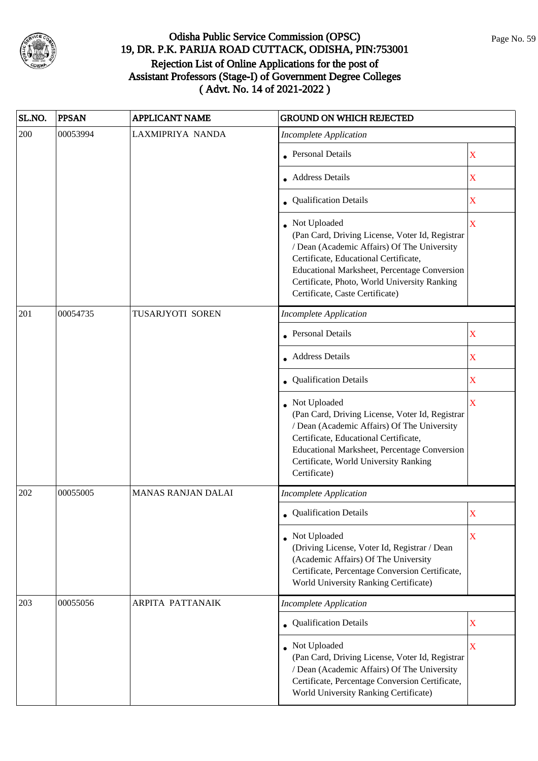

| SL.NO. | <b>PPSAN</b> | <b>APPLICANT NAME</b>     | <b>GROUND ON WHICH REJECTED</b>                                                                                                                                                                                                                                                            |                         |
|--------|--------------|---------------------------|--------------------------------------------------------------------------------------------------------------------------------------------------------------------------------------------------------------------------------------------------------------------------------------------|-------------------------|
| 200    | 00053994     | LAXMIPRIYA NANDA          | <b>Incomplete Application</b>                                                                                                                                                                                                                                                              |                         |
|        |              |                           | <b>Personal Details</b>                                                                                                                                                                                                                                                                    | X                       |
|        |              |                           | <b>Address Details</b>                                                                                                                                                                                                                                                                     | $\overline{\textbf{X}}$ |
|        |              |                           | • Qualification Details                                                                                                                                                                                                                                                                    | X                       |
|        |              |                           | Not Uploaded<br>(Pan Card, Driving License, Voter Id, Registrar<br>/ Dean (Academic Affairs) Of The University<br>Certificate, Educational Certificate,<br>Educational Marksheet, Percentage Conversion<br>Certificate, Photo, World University Ranking<br>Certificate, Caste Certificate) | $\mathbf X$             |
| 201    | 00054735     | TUSARJYOTI SOREN          | <b>Incomplete Application</b>                                                                                                                                                                                                                                                              |                         |
|        |              |                           | <b>Personal Details</b>                                                                                                                                                                                                                                                                    | X                       |
|        |              |                           | <b>Address Details</b>                                                                                                                                                                                                                                                                     | $\mathbf X$             |
|        |              |                           | • Qualification Details                                                                                                                                                                                                                                                                    | X                       |
|        |              |                           | Not Uploaded<br>(Pan Card, Driving License, Voter Id, Registrar<br>/ Dean (Academic Affairs) Of The University<br>Certificate, Educational Certificate,<br><b>Educational Marksheet, Percentage Conversion</b><br>Certificate, World University Ranking<br>Certificate)                    | $\bar{\mathbf{X}}$      |
| 202    | 00055005     | <b>MANAS RANJAN DALAI</b> | <b>Incomplete Application</b>                                                                                                                                                                                                                                                              |                         |
|        |              |                           | • Qualification Details                                                                                                                                                                                                                                                                    | X                       |
|        |              |                           | Not Uploaded<br>(Driving License, Voter Id, Registrar / Dean<br>(Academic Affairs) Of The University<br>Certificate, Percentage Conversion Certificate,<br>World University Ranking Certificate)                                                                                           | $\mathbf X$             |
| 203    | 00055056     | <b>ARPITA PATTANAIK</b>   | <b>Incomplete Application</b>                                                                                                                                                                                                                                                              |                         |
|        |              |                           | • Qualification Details                                                                                                                                                                                                                                                                    | X                       |
|        |              |                           | Not Uploaded<br>(Pan Card, Driving License, Voter Id, Registrar<br>/ Dean (Academic Affairs) Of The University<br>Certificate, Percentage Conversion Certificate,<br>World University Ranking Certificate)                                                                                 | X                       |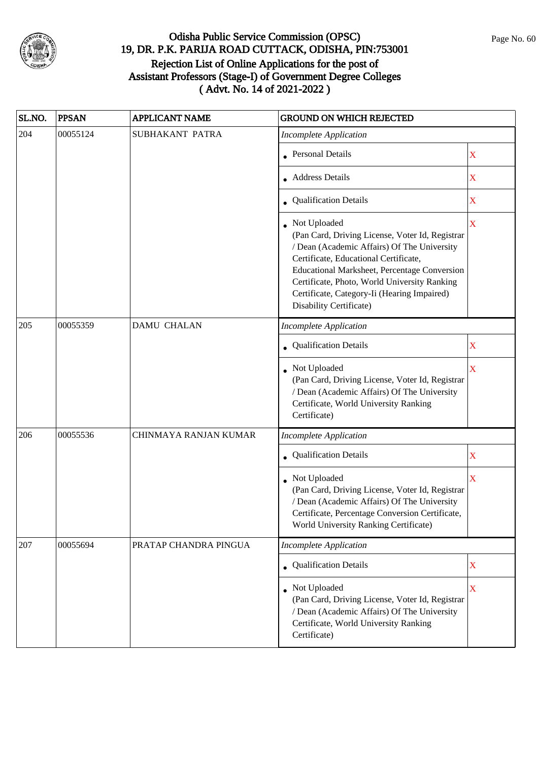

| SL.NO. | <b>PPSAN</b> | <b>APPLICANT NAME</b> | <b>GROUND ON WHICH REJECTED</b>                                                                                                                                                                                                                                                                                                   |                           |
|--------|--------------|-----------------------|-----------------------------------------------------------------------------------------------------------------------------------------------------------------------------------------------------------------------------------------------------------------------------------------------------------------------------------|---------------------------|
| 204    | 00055124     | SUBHAKANT PATRA       | <b>Incomplete Application</b>                                                                                                                                                                                                                                                                                                     |                           |
|        |              |                       | <b>Personal Details</b>                                                                                                                                                                                                                                                                                                           | X                         |
|        |              |                       | <b>Address Details</b>                                                                                                                                                                                                                                                                                                            | $\mathbf X$               |
|        |              |                       | • Qualification Details                                                                                                                                                                                                                                                                                                           | X                         |
|        |              |                       | Not Uploaded<br>(Pan Card, Driving License, Voter Id, Registrar<br>/ Dean (Academic Affairs) Of The University<br>Certificate, Educational Certificate,<br>Educational Marksheet, Percentage Conversion<br>Certificate, Photo, World University Ranking<br>Certificate, Category-Ii (Hearing Impaired)<br>Disability Certificate) | $\overline{\mathbf{X}}$   |
| 205    | 00055359     | <b>DAMU CHALAN</b>    | <b>Incomplete Application</b>                                                                                                                                                                                                                                                                                                     |                           |
|        |              |                       | Qualification Details                                                                                                                                                                                                                                                                                                             | X                         |
|        |              |                       | Not Uploaded<br>(Pan Card, Driving License, Voter Id, Registrar<br>/ Dean (Academic Affairs) Of The University<br>Certificate, World University Ranking<br>Certificate)                                                                                                                                                           | X                         |
| 206    | 00055536     | CHINMAYA RANJAN KUMAR | <b>Incomplete Application</b>                                                                                                                                                                                                                                                                                                     |                           |
|        |              |                       | • Qualification Details                                                                                                                                                                                                                                                                                                           | $\boldsymbol{\mathrm{X}}$ |
|        |              |                       | Not Uploaded<br>(Pan Card, Driving License, Voter Id, Registrar<br>/ Dean (Academic Affairs) Of The University<br>Certificate, Percentage Conversion Certificate,<br>World University Ranking Certificate)                                                                                                                        | $\overline{\textbf{X}}$   |
| 207    | 00055694     | PRATAP CHANDRA PINGUA | <b>Incomplete Application</b>                                                                                                                                                                                                                                                                                                     |                           |
|        |              |                       | <b>Qualification Details</b>                                                                                                                                                                                                                                                                                                      | $\mathbf X$               |
|        |              |                       | • Not Uploaded<br>(Pan Card, Driving License, Voter Id, Registrar<br>/ Dean (Academic Affairs) Of The University<br>Certificate, World University Ranking<br>Certificate)                                                                                                                                                         | $\overline{\mathbf{X}}$   |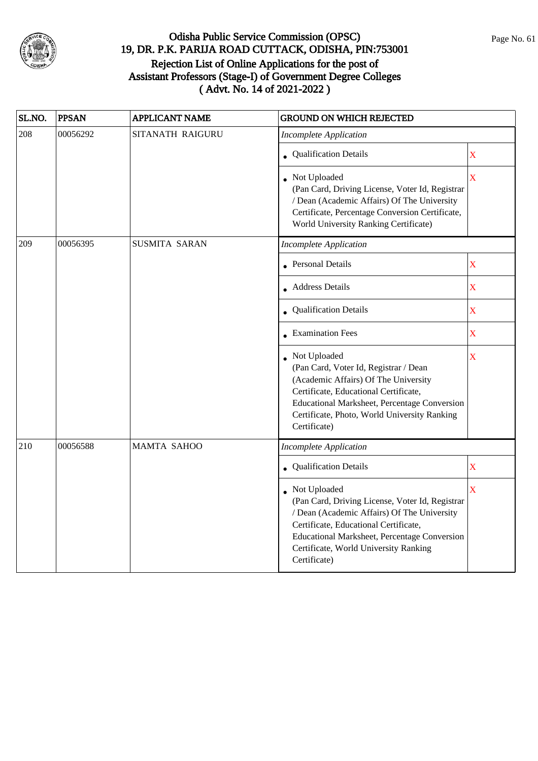

| SL.NO. | <b>PPSAN</b> | <b>APPLICANT NAME</b> | GROUND ON WHICH REJECTED                                                                                                                                                                                                                                         |                         |
|--------|--------------|-----------------------|------------------------------------------------------------------------------------------------------------------------------------------------------------------------------------------------------------------------------------------------------------------|-------------------------|
| 208    | 00056292     | SITANATH RAIGURU      | <b>Incomplete Application</b>                                                                                                                                                                                                                                    |                         |
|        |              |                       | • Qualification Details                                                                                                                                                                                                                                          | $\overline{\textbf{X}}$ |
|        |              |                       | Not Uploaded<br>(Pan Card, Driving License, Voter Id, Registrar<br>/ Dean (Academic Affairs) Of The University<br>Certificate, Percentage Conversion Certificate,<br>World University Ranking Certificate)                                                       | $\overline{\mathbf{X}}$ |
| 209    | 00056395     | <b>SUSMITA SARAN</b>  | <b>Incomplete Application</b>                                                                                                                                                                                                                                    |                         |
|        |              |                       | <b>Personal Details</b>                                                                                                                                                                                                                                          | $\bar{\textbf{X}}$      |
|        |              |                       | • Address Details                                                                                                                                                                                                                                                | $\overline{\mathbf{X}}$ |
|        |              |                       | • Qualification Details                                                                                                                                                                                                                                          | $\overline{\textbf{X}}$ |
|        |              |                       | <b>Examination Fees</b>                                                                                                                                                                                                                                          | $\overline{\textbf{X}}$ |
|        |              |                       | Not Uploaded<br>(Pan Card, Voter Id, Registrar / Dean<br>(Academic Affairs) Of The University<br>Certificate, Educational Certificate,<br><b>Educational Marksheet, Percentage Conversion</b><br>Certificate, Photo, World University Ranking<br>Certificate)    | X                       |
| 210    | 00056588     | <b>MAMTA SAHOO</b>    | <b>Incomplete Application</b>                                                                                                                                                                                                                                    |                         |
|        |              |                       | Qualification Details                                                                                                                                                                                                                                            | $\overline{\textbf{X}}$ |
|        |              |                       | Not Uploaded<br>(Pan Card, Driving License, Voter Id, Registrar<br>/ Dean (Academic Affairs) Of The University<br>Certificate, Educational Certificate,<br>Educational Marksheet, Percentage Conversion<br>Certificate, World University Ranking<br>Certificate) | $\overline{\mathbf{X}}$ |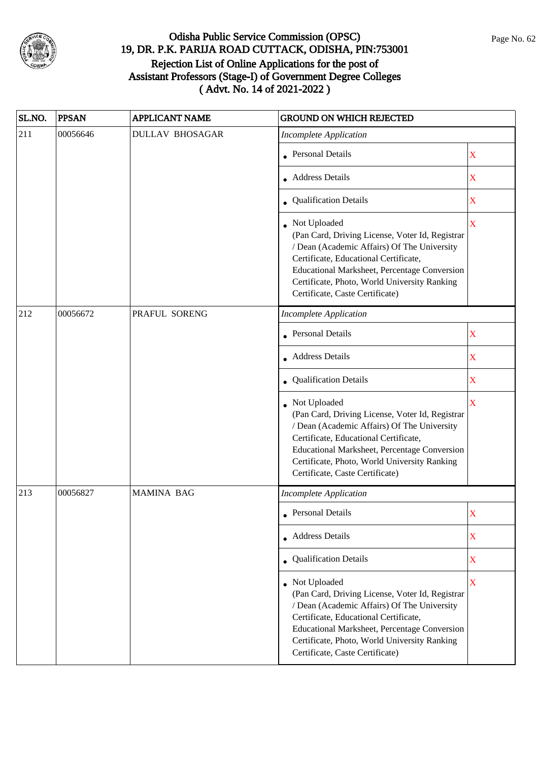

| SL.NO. | <b>PPSAN</b> | <b>APPLICANT NAME</b>  | <b>GROUND ON WHICH REJECTED</b>                                                                                                                                                                                                                                                                     |                         |
|--------|--------------|------------------------|-----------------------------------------------------------------------------------------------------------------------------------------------------------------------------------------------------------------------------------------------------------------------------------------------------|-------------------------|
| 211    | 00056646     | <b>DULLAV BHOSAGAR</b> | <b>Incomplete Application</b>                                                                                                                                                                                                                                                                       |                         |
|        |              |                        | • Personal Details                                                                                                                                                                                                                                                                                  | X                       |
|        |              |                        | • Address Details                                                                                                                                                                                                                                                                                   | X                       |
|        |              |                        | • Qualification Details                                                                                                                                                                                                                                                                             | X                       |
|        |              |                        | • Not Uploaded<br>(Pan Card, Driving License, Voter Id, Registrar<br>/ Dean (Academic Affairs) Of The University<br>Certificate, Educational Certificate,<br>Educational Marksheet, Percentage Conversion<br>Certificate, Photo, World University Ranking<br>Certificate, Caste Certificate)        | $\overline{\mathbf{X}}$ |
| 212    | 00056672     | PRAFUL SORENG          | <b>Incomplete Application</b>                                                                                                                                                                                                                                                                       |                         |
|        |              |                        | <b>Personal Details</b>                                                                                                                                                                                                                                                                             | X                       |
|        |              |                        | • Address Details                                                                                                                                                                                                                                                                                   | X                       |
|        |              |                        | • Qualification Details                                                                                                                                                                                                                                                                             | X                       |
|        |              |                        | • Not Uploaded<br>(Pan Card, Driving License, Voter Id, Registrar<br>/ Dean (Academic Affairs) Of The University<br>Certificate, Educational Certificate,<br>Educational Marksheet, Percentage Conversion<br>Certificate, Photo, World University Ranking<br>Certificate, Caste Certificate)        | $\overline{\mathbf{X}}$ |
| 213    | 00056827     | <b>MAMINA BAG</b>      | <b>Incomplete Application</b>                                                                                                                                                                                                                                                                       |                         |
|        |              |                        | <b>Personal Details</b>                                                                                                                                                                                                                                                                             | $\rm X$                 |
|        |              |                        | • Address Details                                                                                                                                                                                                                                                                                   | X                       |
|        |              |                        | • Qualification Details                                                                                                                                                                                                                                                                             | X                       |
|        |              |                        | • Not Uploaded<br>(Pan Card, Driving License, Voter Id, Registrar<br>/ Dean (Academic Affairs) Of The University<br>Certificate, Educational Certificate,<br><b>Educational Marksheet, Percentage Conversion</b><br>Certificate, Photo, World University Ranking<br>Certificate, Caste Certificate) | $\mathbf X$             |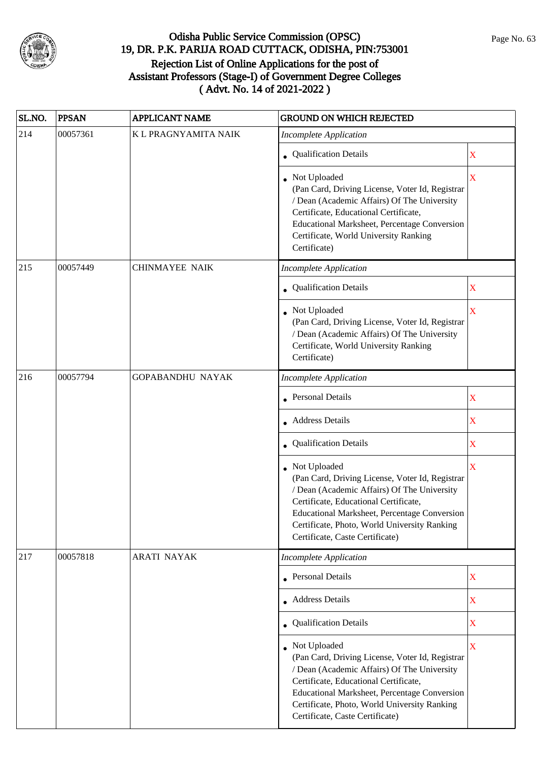

| SL.NO. | <b>PPSAN</b> | <b>APPLICANT NAME</b>   | <b>GROUND ON WHICH REJECTED</b>                                                                                                                                                                                                                                                                   |   |
|--------|--------------|-------------------------|---------------------------------------------------------------------------------------------------------------------------------------------------------------------------------------------------------------------------------------------------------------------------------------------------|---|
| 214    | 00057361     | K L PRAGNYAMITA NAIK    | <b>Incomplete Application</b>                                                                                                                                                                                                                                                                     |   |
|        |              |                         | • Qualification Details                                                                                                                                                                                                                                                                           | X |
|        |              |                         | • Not Uploaded<br>(Pan Card, Driving License, Voter Id, Registrar<br>/ Dean (Academic Affairs) Of The University<br>Certificate, Educational Certificate,<br>Educational Marksheet, Percentage Conversion<br>Certificate, World University Ranking<br>Certificate)                                | X |
| 215    | 00057449     | <b>CHINMAYEE NAIK</b>   | <b>Incomplete Application</b>                                                                                                                                                                                                                                                                     |   |
|        |              |                         | Qualification Details                                                                                                                                                                                                                                                                             | X |
|        |              |                         | • Not Uploaded<br>(Pan Card, Driving License, Voter Id, Registrar<br>/ Dean (Academic Affairs) Of The University<br>Certificate, World University Ranking<br>Certificate)                                                                                                                         | X |
| 216    | 00057794     | <b>GOPABANDHU NAYAK</b> | Incomplete Application                                                                                                                                                                                                                                                                            |   |
|        |              |                         | <b>Personal Details</b>                                                                                                                                                                                                                                                                           | X |
|        |              |                         | <b>Address Details</b>                                                                                                                                                                                                                                                                            | X |
|        |              |                         | Qualification Details                                                                                                                                                                                                                                                                             | X |
|        |              |                         | Not Uploaded<br>(Pan Card, Driving License, Voter Id, Registrar<br>/ Dean (Academic Affairs) Of The University<br>Certificate, Educational Certificate,<br><b>Educational Marksheet, Percentage Conversion</b><br>Certificate, Photo, World University Ranking<br>Certificate, Caste Certificate) | X |
| 217    | 00057818     | <b>ARATI NAYAK</b>      | <b>Incomplete Application</b>                                                                                                                                                                                                                                                                     |   |
|        |              |                         | • Personal Details                                                                                                                                                                                                                                                                                | X |
|        |              |                         | <b>Address Details</b>                                                                                                                                                                                                                                                                            | X |
|        |              |                         | <b>Qualification Details</b>                                                                                                                                                                                                                                                                      | X |
|        |              |                         | • Not Uploaded<br>(Pan Card, Driving License, Voter Id, Registrar<br>/ Dean (Academic Affairs) Of The University<br>Certificate, Educational Certificate,<br>Educational Marksheet, Percentage Conversion<br>Certificate, Photo, World University Ranking<br>Certificate, Caste Certificate)      | X |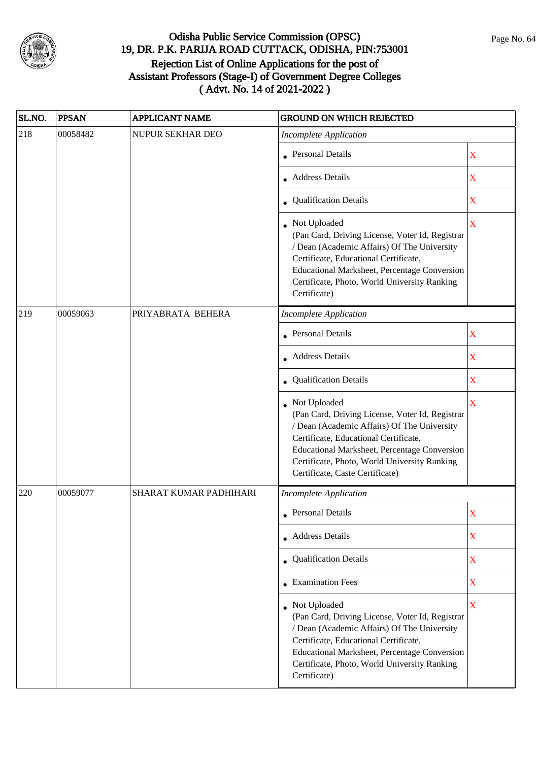

| SL.NO. | <b>PPSAN</b> | <b>APPLICANT NAME</b>  | <b>GROUND ON WHICH REJECTED</b>                                                                                                                                                                                                                                                            |                         |
|--------|--------------|------------------------|--------------------------------------------------------------------------------------------------------------------------------------------------------------------------------------------------------------------------------------------------------------------------------------------|-------------------------|
| 218    | 00058482     | NUPUR SEKHAR DEO       | <b>Incomplete Application</b>                                                                                                                                                                                                                                                              |                         |
|        |              |                        | <b>Personal Details</b>                                                                                                                                                                                                                                                                    | X                       |
|        |              |                        | <b>Address Details</b>                                                                                                                                                                                                                                                                     | $\overline{\textbf{X}}$ |
|        |              |                        | • Qualification Details                                                                                                                                                                                                                                                                    | X                       |
|        |              |                        | Not Uploaded<br>(Pan Card, Driving License, Voter Id, Registrar<br>/ Dean (Academic Affairs) Of The University<br>Certificate, Educational Certificate,<br>Educational Marksheet, Percentage Conversion<br>Certificate, Photo, World University Ranking<br>Certificate)                    | $\overline{\mathbf{X}}$ |
| 219    | 00059063     | PRIYABRATA BEHERA      | <b>Incomplete Application</b>                                                                                                                                                                                                                                                              |                         |
|        |              |                        | <b>Personal Details</b>                                                                                                                                                                                                                                                                    | X                       |
|        |              |                        | <b>Address Details</b>                                                                                                                                                                                                                                                                     | $\mathbf X$             |
|        |              |                        | • Qualification Details                                                                                                                                                                                                                                                                    | X                       |
|        |              |                        | Not Uploaded<br>(Pan Card, Driving License, Voter Id, Registrar<br>/ Dean (Academic Affairs) Of The University<br>Certificate, Educational Certificate,<br>Educational Marksheet, Percentage Conversion<br>Certificate, Photo, World University Ranking<br>Certificate, Caste Certificate) | $\overline{\mathbf{X}}$ |
| 220    | 00059077     | SHARAT KUMAR PADHIHARI | <b>Incomplete Application</b>                                                                                                                                                                                                                                                              |                         |
|        |              |                        | <b>Personal Details</b>                                                                                                                                                                                                                                                                    | X                       |
|        |              |                        | • Address Details                                                                                                                                                                                                                                                                          | X                       |
|        |              |                        | Qualification Details                                                                                                                                                                                                                                                                      | X                       |
|        |              |                        | • Examination Fees                                                                                                                                                                                                                                                                         | X                       |
|        |              |                        | • Not Uploaded<br>(Pan Card, Driving License, Voter Id, Registrar<br>/ Dean (Academic Affairs) Of The University<br>Certificate, Educational Certificate,<br>Educational Marksheet, Percentage Conversion<br>Certificate, Photo, World University Ranking<br>Certificate)                  | $\bar{X}$               |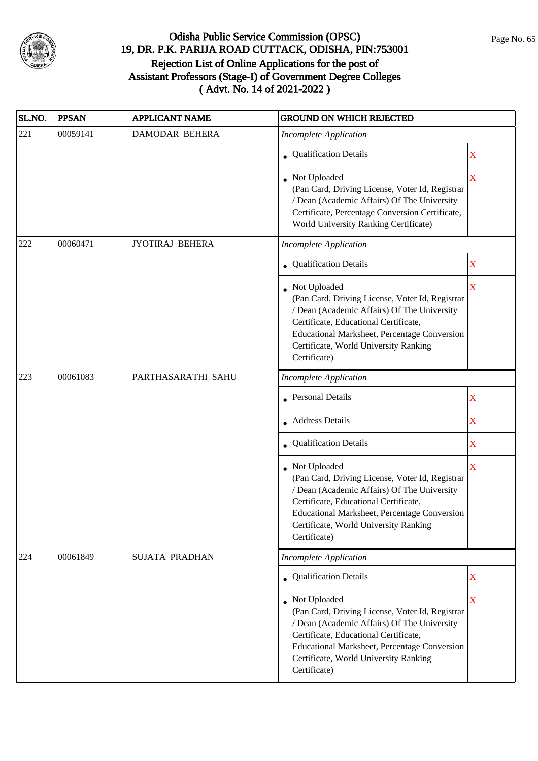

| SL.NO. | <b>PPSAN</b> | <b>APPLICANT NAME</b>  | <b>GROUND ON WHICH REJECTED</b>                                                                                                                                                                                                                                         |                         |
|--------|--------------|------------------------|-------------------------------------------------------------------------------------------------------------------------------------------------------------------------------------------------------------------------------------------------------------------------|-------------------------|
| 221    | 00059141     | <b>DAMODAR BEHERA</b>  | <b>Incomplete Application</b>                                                                                                                                                                                                                                           |                         |
|        |              |                        | • Qualification Details                                                                                                                                                                                                                                                 | $\mathbf X$             |
|        |              |                        | Not Uploaded<br>(Pan Card, Driving License, Voter Id, Registrar<br>/ Dean (Academic Affairs) Of The University<br>Certificate, Percentage Conversion Certificate,<br>World University Ranking Certificate)                                                              | $\overline{\mathbf{X}}$ |
| 222    | 00060471     | <b>JYOTIRAJ BEHERA</b> | Incomplete Application                                                                                                                                                                                                                                                  |                         |
|        |              |                        | • Qualification Details                                                                                                                                                                                                                                                 | X                       |
|        |              |                        | Not Uploaded<br>(Pan Card, Driving License, Voter Id, Registrar<br>/ Dean (Academic Affairs) Of The University<br>Certificate, Educational Certificate,<br>Educational Marksheet, Percentage Conversion<br>Certificate, World University Ranking<br>Certificate)        | X                       |
| 223    | 00061083     | PARTHASARATHI SAHU     | Incomplete Application                                                                                                                                                                                                                                                  |                         |
|        |              |                        | <b>Personal Details</b>                                                                                                                                                                                                                                                 | X                       |
|        |              |                        | <b>Address Details</b>                                                                                                                                                                                                                                                  | X                       |
|        |              |                        | Qualification Details                                                                                                                                                                                                                                                   | X                       |
|        |              |                        | Not Uploaded<br>(Pan Card, Driving License, Voter Id, Registrar<br>/ Dean (Academic Affairs) Of The University<br>Certificate, Educational Certificate,<br>Educational Marksheet, Percentage Conversion<br>Certificate, World University Ranking<br>Certificate)        | X                       |
| 224    | 00061849     | SUJATA PRADHAN         | <b>Incomplete Application</b>                                                                                                                                                                                                                                           |                         |
|        |              |                        | • Qualification Details                                                                                                                                                                                                                                                 | $\mathbf X$             |
|        |              |                        | Not Uploaded<br>(Pan Card, Driving License, Voter Id, Registrar<br>/ Dean (Academic Affairs) Of The University<br>Certificate, Educational Certificate,<br><b>Educational Marksheet, Percentage Conversion</b><br>Certificate, World University Ranking<br>Certificate) | $\overline{\mathbf{X}}$ |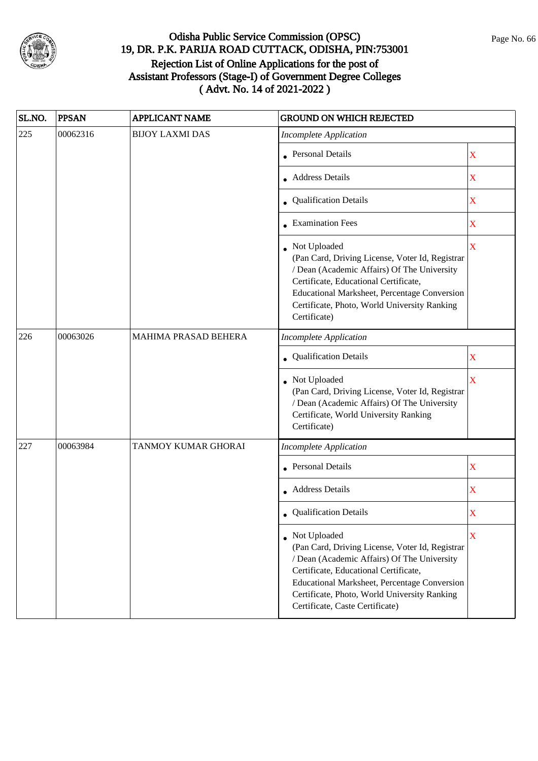

| SL.NO. | <b>PPSAN</b> | <b>APPLICANT NAME</b>  | <b>GROUND ON WHICH REJECTED</b>                                                                                                                                                                                                                                                            |                         |
|--------|--------------|------------------------|--------------------------------------------------------------------------------------------------------------------------------------------------------------------------------------------------------------------------------------------------------------------------------------------|-------------------------|
| 225    | 00062316     | <b>BIJOY LAXMI DAS</b> | <b>Incomplete Application</b>                                                                                                                                                                                                                                                              |                         |
|        |              |                        | Personal Details                                                                                                                                                                                                                                                                           | $\mathbf X$             |
|        |              |                        | Address Details                                                                                                                                                                                                                                                                            | X                       |
|        |              |                        | • Qualification Details                                                                                                                                                                                                                                                                    | X                       |
|        |              |                        | • Examination Fees                                                                                                                                                                                                                                                                         | X                       |
|        |              |                        | • Not Uploaded<br>(Pan Card, Driving License, Voter Id, Registrar<br>/ Dean (Academic Affairs) Of The University<br>Certificate, Educational Certificate,<br>Educational Marksheet, Percentage Conversion<br>Certificate, Photo, World University Ranking<br>Certificate)                  | $\overline{\mathbf{X}}$ |
| 226    | 00063026     | MAHIMA PRASAD BEHERA   | <b>Incomplete Application</b>                                                                                                                                                                                                                                                              |                         |
|        |              |                        | • Qualification Details                                                                                                                                                                                                                                                                    | X                       |
|        |              |                        | • Not Uploaded<br>(Pan Card, Driving License, Voter Id, Registrar<br>/ Dean (Academic Affairs) Of The University<br>Certificate, World University Ranking<br>Certificate)                                                                                                                  | $\overline{\mathbf{X}}$ |
| 227    | 00063984     | TANMOY KUMAR GHORAI    | <b>Incomplete Application</b>                                                                                                                                                                                                                                                              |                         |
|        |              |                        | Personal Details                                                                                                                                                                                                                                                                           | X                       |
|        |              |                        | • Address Details                                                                                                                                                                                                                                                                          | X                       |
|        |              |                        | <b>Qualification Details</b>                                                                                                                                                                                                                                                               | X                       |
|        |              |                        | Not Uploaded<br>(Pan Card, Driving License, Voter Id, Registrar<br>/ Dean (Academic Affairs) Of The University<br>Certificate, Educational Certificate,<br>Educational Marksheet, Percentage Conversion<br>Certificate, Photo, World University Ranking<br>Certificate, Caste Certificate) | X                       |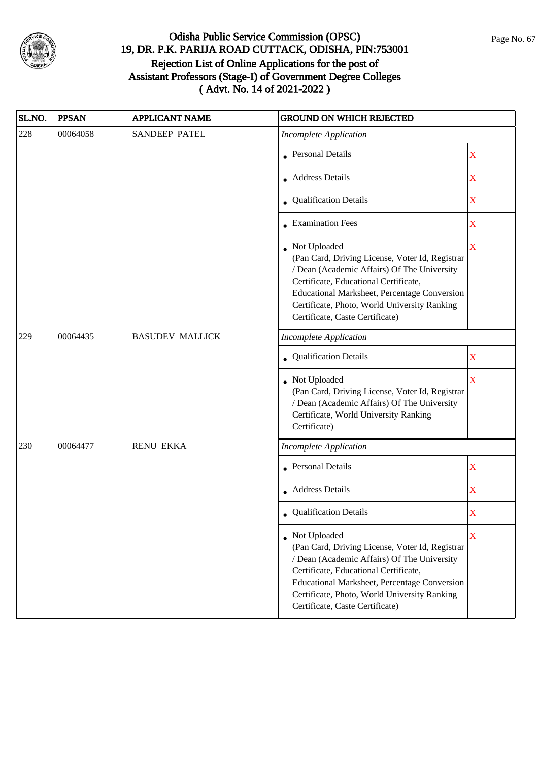

| SL.NO. | <b>PPSAN</b> | <b>APPLICANT NAME</b>  | <b>GROUND ON WHICH REJECTED</b>                                                                                                                                                                                                                                                              |                         |
|--------|--------------|------------------------|----------------------------------------------------------------------------------------------------------------------------------------------------------------------------------------------------------------------------------------------------------------------------------------------|-------------------------|
| 228    | 00064058     | <b>SANDEEP PATEL</b>   | <b>Incomplete Application</b>                                                                                                                                                                                                                                                                |                         |
|        |              |                        | Personal Details                                                                                                                                                                                                                                                                             | $\mathbf X$             |
|        |              |                        | Address Details                                                                                                                                                                                                                                                                              | X                       |
|        |              |                        | • Qualification Details                                                                                                                                                                                                                                                                      | X                       |
|        |              |                        | • Examination Fees                                                                                                                                                                                                                                                                           | X                       |
|        |              |                        | • Not Uploaded<br>(Pan Card, Driving License, Voter Id, Registrar<br>/ Dean (Academic Affairs) Of The University<br>Certificate, Educational Certificate,<br>Educational Marksheet, Percentage Conversion<br>Certificate, Photo, World University Ranking<br>Certificate, Caste Certificate) | $\overline{\mathbf{X}}$ |
| 229    | 00064435     | <b>BASUDEV MALLICK</b> | <b>Incomplete Application</b>                                                                                                                                                                                                                                                                |                         |
|        |              |                        | • Qualification Details                                                                                                                                                                                                                                                                      | X                       |
|        |              |                        | • Not Uploaded<br>(Pan Card, Driving License, Voter Id, Registrar<br>/ Dean (Academic Affairs) Of The University<br>Certificate, World University Ranking<br>Certificate)                                                                                                                    | $\overline{\mathbf{X}}$ |
| 230    | 00064477     | <b>RENU EKKA</b>       | <b>Incomplete Application</b>                                                                                                                                                                                                                                                                |                         |
|        |              |                        | <b>Personal Details</b>                                                                                                                                                                                                                                                                      | X                       |
|        |              |                        | • Address Details                                                                                                                                                                                                                                                                            | X                       |
|        |              |                        | <b>Qualification Details</b>                                                                                                                                                                                                                                                                 | X                       |
|        |              |                        | Not Uploaded<br>(Pan Card, Driving License, Voter Id, Registrar<br>/ Dean (Academic Affairs) Of The University<br>Certificate, Educational Certificate,<br>Educational Marksheet, Percentage Conversion<br>Certificate, Photo, World University Ranking<br>Certificate, Caste Certificate)   | X                       |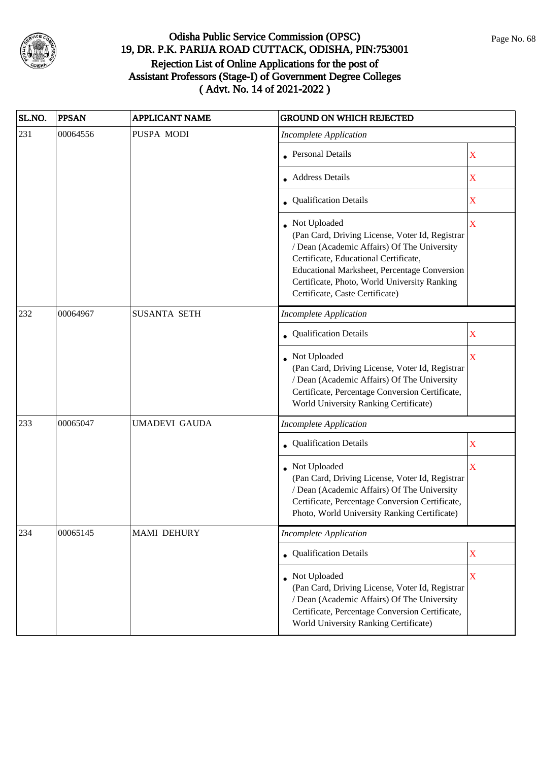

| SL.NO. | <b>PPSAN</b> | <b>APPLICANT NAME</b> | <b>GROUND ON WHICH REJECTED</b>                                                                                                                                                                                                                                                            |                         |
|--------|--------------|-----------------------|--------------------------------------------------------------------------------------------------------------------------------------------------------------------------------------------------------------------------------------------------------------------------------------------|-------------------------|
| 231    | 00064556     | PUSPA MODI            | <b>Incomplete Application</b>                                                                                                                                                                                                                                                              |                         |
|        |              |                       | Personal Details                                                                                                                                                                                                                                                                           | $\mathbf X$             |
|        |              |                       | <b>Address Details</b>                                                                                                                                                                                                                                                                     | X                       |
|        |              |                       | • Qualification Details                                                                                                                                                                                                                                                                    | X                       |
|        |              |                       | Not Uploaded<br>(Pan Card, Driving License, Voter Id, Registrar<br>/ Dean (Academic Affairs) Of The University<br>Certificate, Educational Certificate,<br>Educational Marksheet, Percentage Conversion<br>Certificate, Photo, World University Ranking<br>Certificate, Caste Certificate) | $\overline{\mathbf{X}}$ |
| 232    | 00064967     | <b>SUSANTA SETH</b>   | <b>Incomplete Application</b>                                                                                                                                                                                                                                                              |                         |
|        |              |                       | Qualification Details                                                                                                                                                                                                                                                                      | X                       |
|        |              |                       | Not Uploaded<br>(Pan Card, Driving License, Voter Id, Registrar<br>/ Dean (Academic Affairs) Of The University<br>Certificate, Percentage Conversion Certificate,<br>World University Ranking Certificate)                                                                                 | X                       |
| 233    | 00065047     | <b>UMADEVI GAUDA</b>  | <b>Incomplete Application</b>                                                                                                                                                                                                                                                              |                         |
|        |              |                       | • Qualification Details                                                                                                                                                                                                                                                                    | $\mathbf X$             |
|        |              |                       | Not Uploaded<br>(Pan Card, Driving License, Voter Id, Registrar<br>/ Dean (Academic Affairs) Of The University<br>Certificate, Percentage Conversion Certificate,<br>Photo, World University Ranking Certificate)                                                                          | X                       |
| 234    | 00065145     | <b>MAMI DEHURY</b>    | <b>Incomplete Application</b>                                                                                                                                                                                                                                                              |                         |
|        |              |                       | Qualification Details                                                                                                                                                                                                                                                                      | $\mathbf X$             |
|        |              |                       | Not Uploaded<br>(Pan Card, Driving License, Voter Id, Registrar<br>/ Dean (Academic Affairs) Of The University<br>Certificate, Percentage Conversion Certificate,<br>World University Ranking Certificate)                                                                                 | X                       |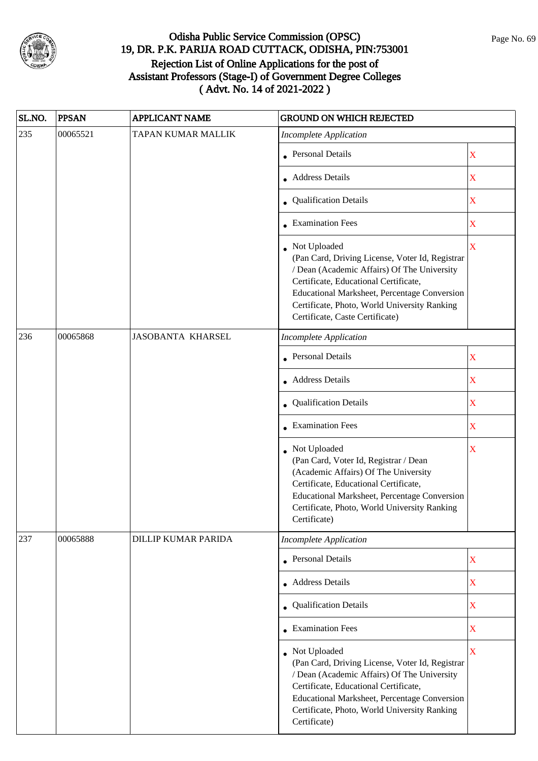

| SL.NO. | <b>PPSAN</b> | <b>APPLICANT NAME</b>      | <b>GROUND ON WHICH REJECTED</b>                                                                                                                                                                                                                                                            |                         |
|--------|--------------|----------------------------|--------------------------------------------------------------------------------------------------------------------------------------------------------------------------------------------------------------------------------------------------------------------------------------------|-------------------------|
| 235    | 00065521     | TAPAN KUMAR MALLIK         | <b>Incomplete Application</b>                                                                                                                                                                                                                                                              |                         |
|        |              |                            | • Personal Details                                                                                                                                                                                                                                                                         | $\mathbf X$             |
|        |              |                            | <b>Address Details</b>                                                                                                                                                                                                                                                                     | $\mathbf X$             |
|        |              |                            | • Qualification Details                                                                                                                                                                                                                                                                    | $\mathbf X$             |
|        |              |                            | • Examination Fees                                                                                                                                                                                                                                                                         | $\overline{\textbf{X}}$ |
|        |              |                            | Not Uploaded<br>(Pan Card, Driving License, Voter Id, Registrar<br>/ Dean (Academic Affairs) Of The University<br>Certificate, Educational Certificate,<br>Educational Marksheet, Percentage Conversion<br>Certificate, Photo, World University Ranking<br>Certificate, Caste Certificate) | $\overline{\mathbf{X}}$ |
| 236    | 00065868     | <b>JASOBANTA KHARSEL</b>   | <b>Incomplete Application</b>                                                                                                                                                                                                                                                              |                         |
|        |              |                            | <b>Personal Details</b>                                                                                                                                                                                                                                                                    | $\mathbf X$             |
|        |              |                            | • Address Details                                                                                                                                                                                                                                                                          | $\mathbf X$             |
|        |              |                            | • Qualification Details                                                                                                                                                                                                                                                                    | $\mathbf X$             |
|        |              |                            | <b>Examination Fees</b>                                                                                                                                                                                                                                                                    | $\overline{\mathbf{X}}$ |
|        |              |                            | Not Uploaded<br>(Pan Card, Voter Id, Registrar / Dean<br>(Academic Affairs) Of The University<br>Certificate, Educational Certificate,<br>Educational Marksheet, Percentage Conversion<br>Certificate, Photo, World University Ranking<br>Certificate)                                     | X                       |
| 237    | 00065888     | <b>DILLIP KUMAR PARIDA</b> | <b>Incomplete Application</b>                                                                                                                                                                                                                                                              |                         |
|        |              |                            | • Personal Details                                                                                                                                                                                                                                                                         | $\mathbf X$             |
|        |              |                            | • Address Details                                                                                                                                                                                                                                                                          | X                       |
|        |              |                            | <b>Qualification Details</b>                                                                                                                                                                                                                                                               | $\overline{\textbf{X}}$ |
|        |              |                            | • Examination Fees                                                                                                                                                                                                                                                                         | X                       |
|        |              |                            | Not Uploaded<br>(Pan Card, Driving License, Voter Id, Registrar<br>/ Dean (Academic Affairs) Of The University<br>Certificate, Educational Certificate,<br>Educational Marksheet, Percentage Conversion<br>Certificate, Photo, World University Ranking<br>Certificate)                    | $\overline{\mathbf{X}}$ |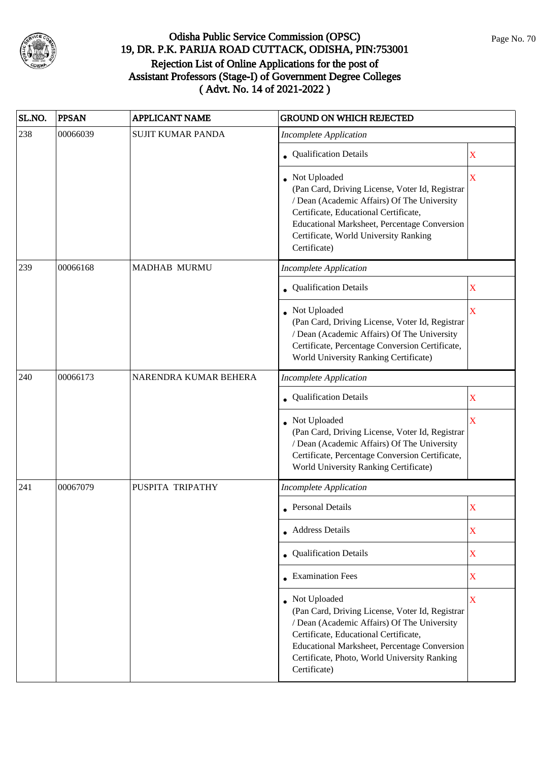

| SL.NO. | <b>PPSAN</b> | <b>APPLICANT NAME</b>    | <b>GROUND ON WHICH REJECTED</b>                                                                                                                                                                                                                                         |                         |
|--------|--------------|--------------------------|-------------------------------------------------------------------------------------------------------------------------------------------------------------------------------------------------------------------------------------------------------------------------|-------------------------|
| 238    | 00066039     | <b>SUJIT KUMAR PANDA</b> | <b>Incomplete Application</b>                                                                                                                                                                                                                                           |                         |
|        |              |                          | • Qualification Details                                                                                                                                                                                                                                                 | X                       |
|        |              |                          | • Not Uploaded<br>(Pan Card, Driving License, Voter Id, Registrar<br>/ Dean (Academic Affairs) Of The University<br>Certificate, Educational Certificate,<br>Educational Marksheet, Percentage Conversion<br>Certificate, World University Ranking<br>Certificate)      | $\overline{\mathbf{X}}$ |
| 239    | 00066168     | <b>MADHAB MURMU</b>      | <b>Incomplete Application</b>                                                                                                                                                                                                                                           |                         |
|        |              |                          | <b>Qualification Details</b>                                                                                                                                                                                                                                            | $\mathbf X$             |
|        |              |                          | Not Uploaded<br>(Pan Card, Driving License, Voter Id, Registrar<br>/ Dean (Academic Affairs) Of The University<br>Certificate, Percentage Conversion Certificate,<br>World University Ranking Certificate)                                                              | X                       |
| 240    | 00066173     | NARENDRA KUMAR BEHERA    | <b>Incomplete Application</b>                                                                                                                                                                                                                                           |                         |
|        |              |                          | • Qualification Details                                                                                                                                                                                                                                                 | X                       |
|        |              |                          | Not Uploaded<br>(Pan Card, Driving License, Voter Id, Registrar<br>/ Dean (Academic Affairs) Of The University<br>Certificate, Percentage Conversion Certificate,<br>World University Ranking Certificate)                                                              | $\overline{\mathbf{X}}$ |
| 241    | 00067079     | PUSPITA TRIPATHY         | <b>Incomplete Application</b>                                                                                                                                                                                                                                           |                         |
|        |              |                          | • Personal Details                                                                                                                                                                                                                                                      | $\mathbf X$             |
|        |              |                          | • Address Details                                                                                                                                                                                                                                                       | $\mathbf X$             |
|        |              |                          | • Qualification Details                                                                                                                                                                                                                                                 | $\mathbf X$             |
|        |              |                          | $\bullet$ Examination Fees                                                                                                                                                                                                                                              | $\mathbf X$             |
|        |              |                          | Not Uploaded<br>(Pan Card, Driving License, Voter Id, Registrar<br>/ Dean (Academic Affairs) Of The University<br>Certificate, Educational Certificate,<br>Educational Marksheet, Percentage Conversion<br>Certificate, Photo, World University Ranking<br>Certificate) | $\overline{\mathbf{X}}$ |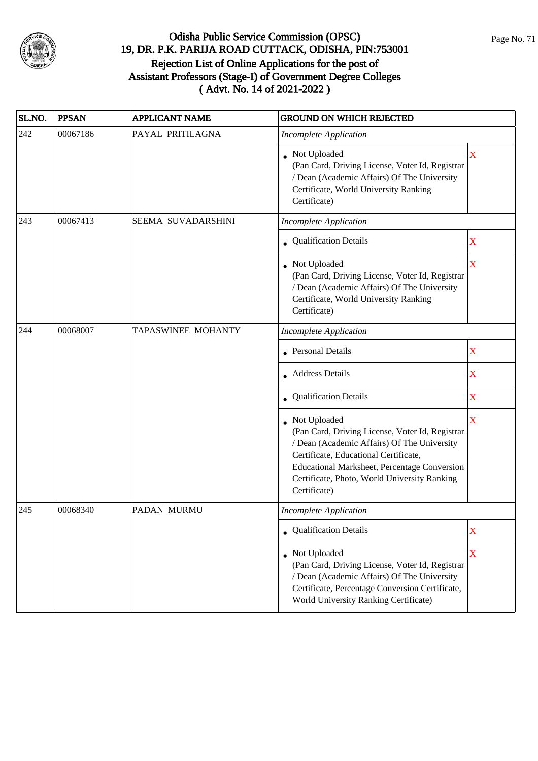

| SL.NO. | <b>PPSAN</b> | <b>APPLICANT NAME</b> | <b>GROUND ON WHICH REJECTED</b>                                                                                                                                                                                                                                                |                           |
|--------|--------------|-----------------------|--------------------------------------------------------------------------------------------------------------------------------------------------------------------------------------------------------------------------------------------------------------------------------|---------------------------|
| 242    | 00067186     | PAYAL PRITILAGNA      | <b>Incomplete Application</b>                                                                                                                                                                                                                                                  |                           |
|        |              |                       | • Not Uploaded<br>(Pan Card, Driving License, Voter Id, Registrar<br>/ Dean (Academic Affairs) Of The University<br>Certificate, World University Ranking<br>Certificate)                                                                                                      | X                         |
| 243    | 00067413     | SEEMA SUVADARSHINI    | <b>Incomplete Application</b>                                                                                                                                                                                                                                                  |                           |
|        |              |                       | • Qualification Details                                                                                                                                                                                                                                                        | X                         |
|        |              |                       | Not Uploaded<br>(Pan Card, Driving License, Voter Id, Registrar<br>/ Dean (Academic Affairs) Of The University<br>Certificate, World University Ranking<br>Certificate)                                                                                                        | X                         |
| 244    | 00068007     | TAPASWINEE MOHANTY    | <b>Incomplete Application</b>                                                                                                                                                                                                                                                  |                           |
|        |              |                       | Personal Details                                                                                                                                                                                                                                                               | X                         |
|        |              |                       | • Address Details                                                                                                                                                                                                                                                              | X                         |
|        |              |                       | <b>Qualification Details</b>                                                                                                                                                                                                                                                   | X                         |
|        |              |                       | Not Uploaded<br>(Pan Card, Driving License, Voter Id, Registrar<br>/ Dean (Academic Affairs) Of The University<br>Certificate, Educational Certificate,<br><b>Educational Marksheet, Percentage Conversion</b><br>Certificate, Photo, World University Ranking<br>Certificate) | X                         |
| 245    | 00068340     | PADAN MURMU           | Incomplete Application                                                                                                                                                                                                                                                         |                           |
|        |              |                       | • Qualification Details                                                                                                                                                                                                                                                        | $\boldsymbol{\mathrm{X}}$ |
|        |              |                       | • Not Uploaded<br>(Pan Card, Driving License, Voter Id, Registrar<br>/ Dean (Academic Affairs) Of The University<br>Certificate, Percentage Conversion Certificate,<br>World University Ranking Certificate)                                                                   | X                         |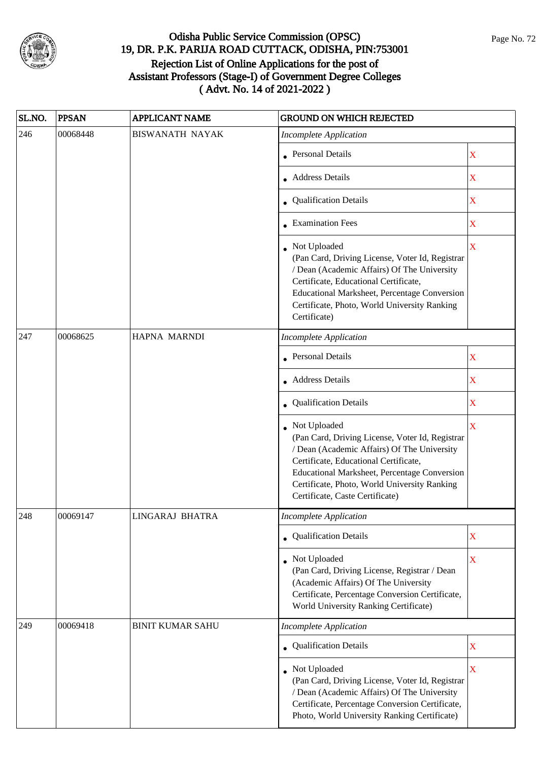

| SL.NO. | <b>PPSAN</b> | <b>APPLICANT NAME</b>   | <b>GROUND ON WHICH REJECTED</b>                                                                                                                                                                                                                                                            |                         |
|--------|--------------|-------------------------|--------------------------------------------------------------------------------------------------------------------------------------------------------------------------------------------------------------------------------------------------------------------------------------------|-------------------------|
| 246    | 00068448     | <b>BISWANATH NAYAK</b>  | <b>Incomplete Application</b>                                                                                                                                                                                                                                                              |                         |
|        |              |                         | <b>Personal Details</b>                                                                                                                                                                                                                                                                    | X                       |
|        |              |                         | Address Details                                                                                                                                                                                                                                                                            | X                       |
|        |              |                         | • Qualification Details                                                                                                                                                                                                                                                                    | X                       |
|        |              |                         | • Examination Fees                                                                                                                                                                                                                                                                         | X                       |
|        |              |                         | • Not Uploaded<br>(Pan Card, Driving License, Voter Id, Registrar<br>/ Dean (Academic Affairs) Of The University<br>Certificate, Educational Certificate,<br>Educational Marksheet, Percentage Conversion<br>Certificate, Photo, World University Ranking<br>Certificate)                  | $\overline{\mathbf{X}}$ |
| 247    | 00068625     | HAPNA MARNDI            | <b>Incomplete Application</b>                                                                                                                                                                                                                                                              |                         |
|        |              |                         | Personal Details                                                                                                                                                                                                                                                                           | X                       |
|        |              |                         | • Address Details                                                                                                                                                                                                                                                                          | X                       |
|        |              |                         | Qualification Details                                                                                                                                                                                                                                                                      | X                       |
|        |              |                         | Not Uploaded<br>(Pan Card, Driving License, Voter Id, Registrar<br>/ Dean (Academic Affairs) Of The University<br>Certificate, Educational Certificate,<br>Educational Marksheet, Percentage Conversion<br>Certificate, Photo, World University Ranking<br>Certificate, Caste Certificate) | $\overline{\mathbf{X}}$ |
| 248    | 00069147     | LINGARAJ BHATRA         | Incomplete Application                                                                                                                                                                                                                                                                     |                         |
|        |              |                         | • Qualification Details                                                                                                                                                                                                                                                                    | X                       |
|        |              |                         | Not Uploaded<br>(Pan Card, Driving License, Registrar / Dean<br>(Academic Affairs) Of The University<br>Certificate, Percentage Conversion Certificate,<br>World University Ranking Certificate)                                                                                           | X                       |
| 249    | 00069418     | <b>BINIT KUMAR SAHU</b> | <b>Incomplete Application</b>                                                                                                                                                                                                                                                              |                         |
|        |              |                         | • Qualification Details                                                                                                                                                                                                                                                                    | X                       |
|        |              |                         | • Not Uploaded<br>(Pan Card, Driving License, Voter Id, Registrar<br>/ Dean (Academic Affairs) Of The University<br>Certificate, Percentage Conversion Certificate,<br>Photo, World University Ranking Certificate)                                                                        | $\mathbf X$             |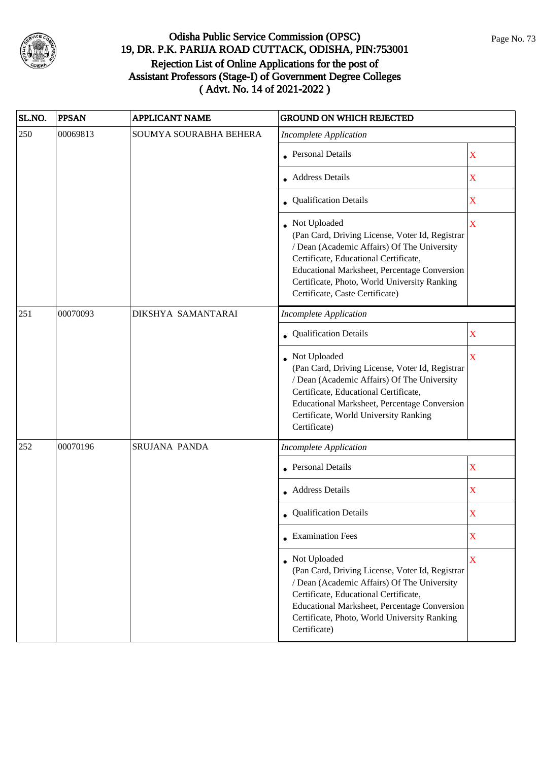

| SL.NO. | <b>PPSAN</b> | <b>APPLICANT NAME</b>  | <b>GROUND ON WHICH REJECTED</b>                                                                                                                                                                                                                                                            |                         |
|--------|--------------|------------------------|--------------------------------------------------------------------------------------------------------------------------------------------------------------------------------------------------------------------------------------------------------------------------------------------|-------------------------|
| 250    | 00069813     | SOUMYA SOURABHA BEHERA | Incomplete Application                                                                                                                                                                                                                                                                     |                         |
|        |              |                        | Personal Details                                                                                                                                                                                                                                                                           | $\mathbf X$             |
|        |              |                        | <b>Address Details</b>                                                                                                                                                                                                                                                                     | X                       |
|        |              |                        | • Qualification Details                                                                                                                                                                                                                                                                    | X                       |
|        |              |                        | Not Uploaded<br>(Pan Card, Driving License, Voter Id, Registrar<br>/ Dean (Academic Affairs) Of The University<br>Certificate, Educational Certificate,<br>Educational Marksheet, Percentage Conversion<br>Certificate, Photo, World University Ranking<br>Certificate, Caste Certificate) | $\overline{\mathbf{X}}$ |
| 251    | 00070093     | DIKSHYA SAMANTARAI     | <b>Incomplete Application</b>                                                                                                                                                                                                                                                              |                         |
|        |              |                        | Qualification Details                                                                                                                                                                                                                                                                      | X                       |
|        |              |                        | Not Uploaded<br>(Pan Card, Driving License, Voter Id, Registrar<br>/ Dean (Academic Affairs) Of The University<br>Certificate, Educational Certificate,<br>Educational Marksheet, Percentage Conversion<br>Certificate, World University Ranking<br>Certificate)                           | X                       |
| 252    | 00070196     | SRUJANA PANDA          | <b>Incomplete Application</b>                                                                                                                                                                                                                                                              |                         |
|        |              |                        | <b>Personal Details</b>                                                                                                                                                                                                                                                                    | $\overline{\textbf{X}}$ |
|        |              |                        | Address Details                                                                                                                                                                                                                                                                            | X                       |
|        |              |                        | <b>Qualification Details</b>                                                                                                                                                                                                                                                               | $\overline{\text{X}}$   |
|        |              |                        | • Examination Fees                                                                                                                                                                                                                                                                         | $\mathbf X$             |
|        |              |                        | Not Uploaded<br>(Pan Card, Driving License, Voter Id, Registrar<br>/ Dean (Academic Affairs) Of The University<br>Certificate, Educational Certificate,<br>Educational Marksheet, Percentage Conversion<br>Certificate, Photo, World University Ranking<br>Certificate)                    | $\overline{\mathbf{X}}$ |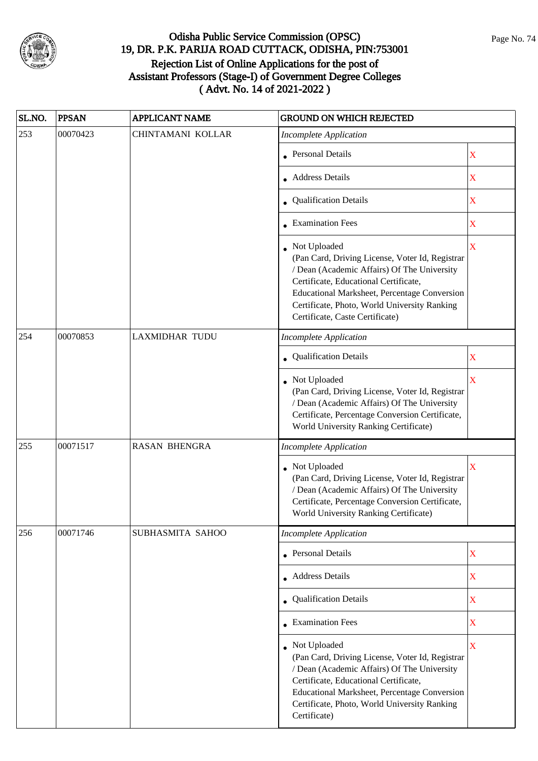

| SL.NO. | <b>PPSAN</b> | <b>APPLICANT NAME</b> | <b>GROUND ON WHICH REJECTED</b>                                                                                                                                                                                                                                                            |                         |
|--------|--------------|-----------------------|--------------------------------------------------------------------------------------------------------------------------------------------------------------------------------------------------------------------------------------------------------------------------------------------|-------------------------|
| 253    | 00070423     | CHINTAMANI KOLLAR     | <b>Incomplete Application</b>                                                                                                                                                                                                                                                              |                         |
|        |              |                       | <b>Personal Details</b>                                                                                                                                                                                                                                                                    | X                       |
|        |              |                       | <b>Address Details</b>                                                                                                                                                                                                                                                                     | $\mathbf X$             |
|        |              |                       | • Qualification Details                                                                                                                                                                                                                                                                    | X                       |
|        |              |                       | <b>Examination Fees</b>                                                                                                                                                                                                                                                                    | X                       |
|        |              |                       | Not Uploaded<br>(Pan Card, Driving License, Voter Id, Registrar<br>/ Dean (Academic Affairs) Of The University<br>Certificate, Educational Certificate,<br>Educational Marksheet, Percentage Conversion<br>Certificate, Photo, World University Ranking<br>Certificate, Caste Certificate) | $\overline{\mathbf{X}}$ |
| 254    | 00070853     | <b>LAXMIDHAR TUDU</b> | <b>Incomplete Application</b>                                                                                                                                                                                                                                                              |                         |
|        |              |                       | Qualification Details                                                                                                                                                                                                                                                                      | X                       |
|        |              |                       | Not Uploaded<br>(Pan Card, Driving License, Voter Id, Registrar<br>/ Dean (Academic Affairs) Of The University<br>Certificate, Percentage Conversion Certificate,<br>World University Ranking Certificate)                                                                                 | X                       |
| 255    | 00071517     | <b>RASAN BHENGRA</b>  | <b>Incomplete Application</b>                                                                                                                                                                                                                                                              |                         |
|        |              |                       | Not Uploaded<br>(Pan Card, Driving License, Voter Id, Registrar<br>/ Dean (Academic Affairs) Of The University<br>Certificate, Percentage Conversion Certificate,<br>World University Ranking Certificate)                                                                                 | $\mathbf X$             |
| 256    | 00071746     | SUBHASMITA SAHOO      | <b>Incomplete Application</b>                                                                                                                                                                                                                                                              |                         |
|        |              |                       | Personal Details                                                                                                                                                                                                                                                                           | $\mathbf X$             |
|        |              |                       | Address Details                                                                                                                                                                                                                                                                            | $\mathbf X$             |
|        |              |                       | Qualification Details                                                                                                                                                                                                                                                                      | $\mathbf X$             |
|        |              |                       | <b>Examination Fees</b>                                                                                                                                                                                                                                                                    | $\mathbf X$             |
|        |              |                       | Not Uploaded<br>(Pan Card, Driving License, Voter Id, Registrar<br>/ Dean (Academic Affairs) Of The University<br>Certificate, Educational Certificate,<br>Educational Marksheet, Percentage Conversion<br>Certificate, Photo, World University Ranking<br>Certificate)                    | X                       |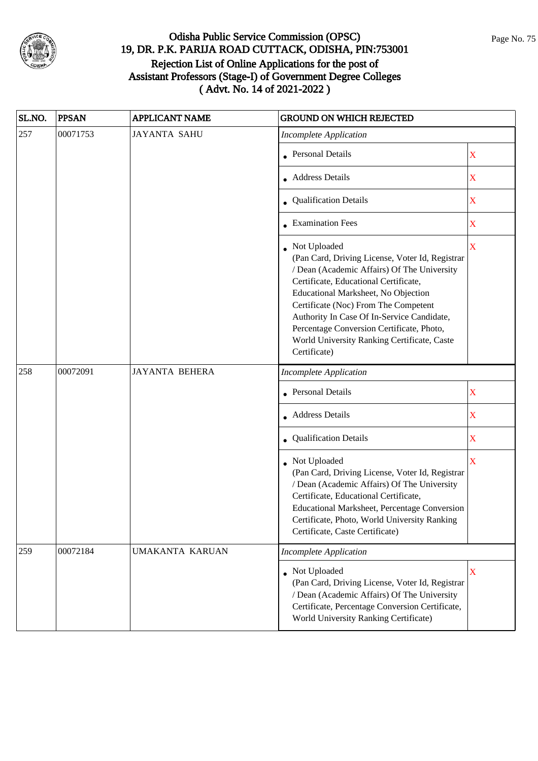

| SL.NO. | <b>PPSAN</b> | <b>APPLICANT NAME</b> | <b>GROUND ON WHICH REJECTED</b>                                                                                                                                                                                                                                                                                                                                                                  |                         |
|--------|--------------|-----------------------|--------------------------------------------------------------------------------------------------------------------------------------------------------------------------------------------------------------------------------------------------------------------------------------------------------------------------------------------------------------------------------------------------|-------------------------|
| 257    | 00071753     | <b>JAYANTA SAHU</b>   | <b>Incomplete Application</b>                                                                                                                                                                                                                                                                                                                                                                    |                         |
|        |              |                       | Personal Details                                                                                                                                                                                                                                                                                                                                                                                 | $\mathbf X$             |
|        |              |                       | Address Details                                                                                                                                                                                                                                                                                                                                                                                  | X                       |
|        |              |                       | • Qualification Details                                                                                                                                                                                                                                                                                                                                                                          | X                       |
|        |              |                       | • Examination Fees                                                                                                                                                                                                                                                                                                                                                                               | $\overline{\mathbf{X}}$ |
|        |              |                       | Not Uploaded<br>(Pan Card, Driving License, Voter Id, Registrar<br>/ Dean (Academic Affairs) Of The University<br>Certificate, Educational Certificate,<br>Educational Marksheet, No Objection<br>Certificate (Noc) From The Competent<br>Authority In Case Of In-Service Candidate,<br>Percentage Conversion Certificate, Photo,<br>World University Ranking Certificate, Caste<br>Certificate) | $\bar{\mathbf{X}}$      |
| 258    | 00072091     | <b>JAYANTA BEHERA</b> | <b>Incomplete Application</b>                                                                                                                                                                                                                                                                                                                                                                    |                         |
|        |              |                       | <b>Personal Details</b>                                                                                                                                                                                                                                                                                                                                                                          | X                       |
|        |              |                       | <b>Address Details</b>                                                                                                                                                                                                                                                                                                                                                                           | $\mathbf X$             |
|        |              |                       | Qualification Details                                                                                                                                                                                                                                                                                                                                                                            | X                       |
|        |              |                       | Not Uploaded<br>(Pan Card, Driving License, Voter Id, Registrar<br>/ Dean (Academic Affairs) Of The University<br>Certificate, Educational Certificate,<br>Educational Marksheet, Percentage Conversion<br>Certificate, Photo, World University Ranking<br>Certificate, Caste Certificate)                                                                                                       | $\overline{\mathbf{X}}$ |
| 259    | 00072184     | UMAKANTA KARUAN       | <b>Incomplete Application</b>                                                                                                                                                                                                                                                                                                                                                                    |                         |
|        |              |                       | • Not Uploaded<br>(Pan Card, Driving License, Voter Id, Registrar<br>/ Dean (Academic Affairs) Of The University<br>Certificate, Percentage Conversion Certificate,<br>World University Ranking Certificate)                                                                                                                                                                                     | $\mathbf X$             |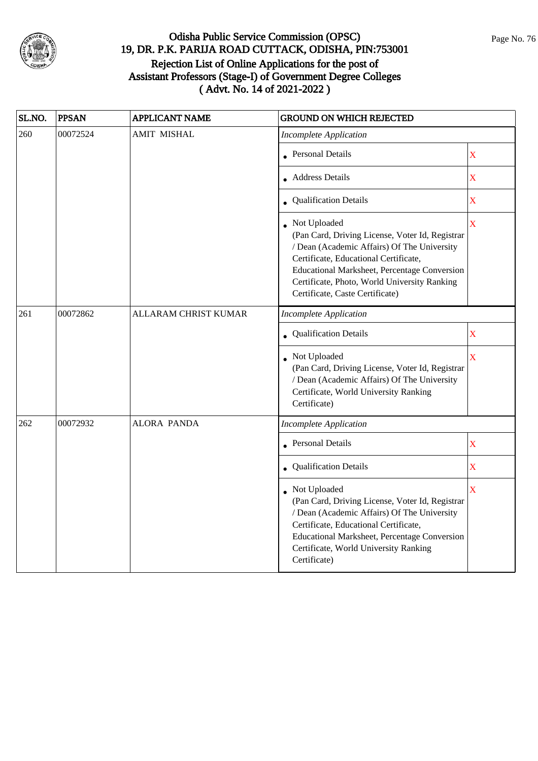

| SL.NO. | <b>PPSAN</b> | <b>APPLICANT NAME</b>       | <b>GROUND ON WHICH REJECTED</b>                                                                                                                                                                                                                                                            |                         |
|--------|--------------|-----------------------------|--------------------------------------------------------------------------------------------------------------------------------------------------------------------------------------------------------------------------------------------------------------------------------------------|-------------------------|
| 260    | 00072524     | <b>AMIT MISHAL</b>          | <b>Incomplete Application</b>                                                                                                                                                                                                                                                              |                         |
|        |              |                             | • Personal Details                                                                                                                                                                                                                                                                         | $\overline{\mathbf{X}}$ |
|        |              |                             | Address Details                                                                                                                                                                                                                                                                            | $\overline{\mathbf{X}}$ |
|        |              |                             | • Qualification Details                                                                                                                                                                                                                                                                    | $\overline{\textbf{X}}$ |
|        |              |                             | Not Uploaded<br>(Pan Card, Driving License, Voter Id, Registrar<br>/ Dean (Academic Affairs) Of The University<br>Certificate, Educational Certificate,<br>Educational Marksheet, Percentage Conversion<br>Certificate, Photo, World University Ranking<br>Certificate, Caste Certificate) | $\overline{\mathbf{X}}$ |
| 261    | 00072862     | <b>ALLARAM CHRIST KUMAR</b> | <b>Incomplete Application</b>                                                                                                                                                                                                                                                              |                         |
|        |              |                             | Qualification Details                                                                                                                                                                                                                                                                      | $\overline{\textbf{X}}$ |
|        |              |                             | Not Uploaded<br>(Pan Card, Driving License, Voter Id, Registrar<br>/ Dean (Academic Affairs) Of The University<br>Certificate, World University Ranking<br>Certificate)                                                                                                                    | $\bar{\mathbf{X}}$      |
| 262    | 00072932     | <b>ALORA PANDA</b>          | <b>Incomplete Application</b>                                                                                                                                                                                                                                                              |                         |
|        |              |                             | <b>Personal Details</b>                                                                                                                                                                                                                                                                    | $\bar{X}$               |
|        |              |                             | • Qualification Details                                                                                                                                                                                                                                                                    | $\overline{\mathbf{X}}$ |
|        |              |                             | Not Uploaded<br>(Pan Card, Driving License, Voter Id, Registrar<br>/ Dean (Academic Affairs) Of The University<br>Certificate, Educational Certificate,<br>Educational Marksheet, Percentage Conversion<br>Certificate, World University Ranking<br>Certificate)                           | X                       |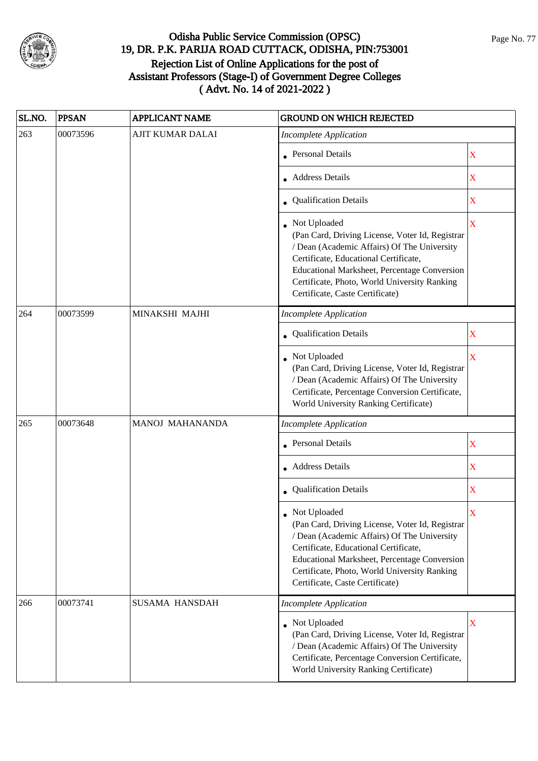

| SL.NO. | <b>PPSAN</b> | <b>APPLICANT NAME</b>   | <b>GROUND ON WHICH REJECTED</b>                                                                                                                                                                                                                                                            |                           |
|--------|--------------|-------------------------|--------------------------------------------------------------------------------------------------------------------------------------------------------------------------------------------------------------------------------------------------------------------------------------------|---------------------------|
| 263    | 00073596     | <b>AJIT KUMAR DALAI</b> | <b>Incomplete Application</b>                                                                                                                                                                                                                                                              |                           |
|        |              |                         | <b>Personal Details</b>                                                                                                                                                                                                                                                                    | X                         |
|        |              |                         | <b>Address Details</b>                                                                                                                                                                                                                                                                     | X                         |
|        |              |                         | • Qualification Details                                                                                                                                                                                                                                                                    | X                         |
|        |              |                         | Not Uploaded<br>(Pan Card, Driving License, Voter Id, Registrar<br>/ Dean (Academic Affairs) Of The University<br>Certificate, Educational Certificate,<br>Educational Marksheet, Percentage Conversion<br>Certificate, Photo, World University Ranking<br>Certificate, Caste Certificate) | $\overline{\mathbf{X}}$   |
| 264    | 00073599     | MINAKSHI MAJHI          | <b>Incomplete Application</b>                                                                                                                                                                                                                                                              |                           |
|        |              |                         | Qualification Details                                                                                                                                                                                                                                                                      | X                         |
|        |              |                         | Not Uploaded<br>(Pan Card, Driving License, Voter Id, Registrar<br>/ Dean (Academic Affairs) Of The University<br>Certificate, Percentage Conversion Certificate,<br>World University Ranking Certificate)                                                                                 | X                         |
| 265    | 00073648     | <b>MANOJ MAHANANDA</b>  | <b>Incomplete Application</b>                                                                                                                                                                                                                                                              |                           |
|        |              |                         | <b>Personal Details</b>                                                                                                                                                                                                                                                                    | X                         |
|        |              |                         | • Address Details                                                                                                                                                                                                                                                                          | $\boldsymbol{\mathrm{X}}$ |
|        |              |                         | Qualification Details                                                                                                                                                                                                                                                                      | $\mathbf X$               |
|        |              |                         | Not Uploaded<br>(Pan Card, Driving License, Voter Id, Registrar<br>/ Dean (Academic Affairs) Of The University<br>Certificate, Educational Certificate,<br>Educational Marksheet, Percentage Conversion<br>Certificate, Photo, World University Ranking<br>Certificate, Caste Certificate) | X                         |
| 266    | 00073741     | SUSAMA HANSDAH          | <b>Incomplete Application</b>                                                                                                                                                                                                                                                              |                           |
|        |              |                         | • Not Uploaded<br>(Pan Card, Driving License, Voter Id, Registrar<br>/ Dean (Academic Affairs) Of The University<br>Certificate, Percentage Conversion Certificate,<br>World University Ranking Certificate)                                                                               | $\mathbf X$               |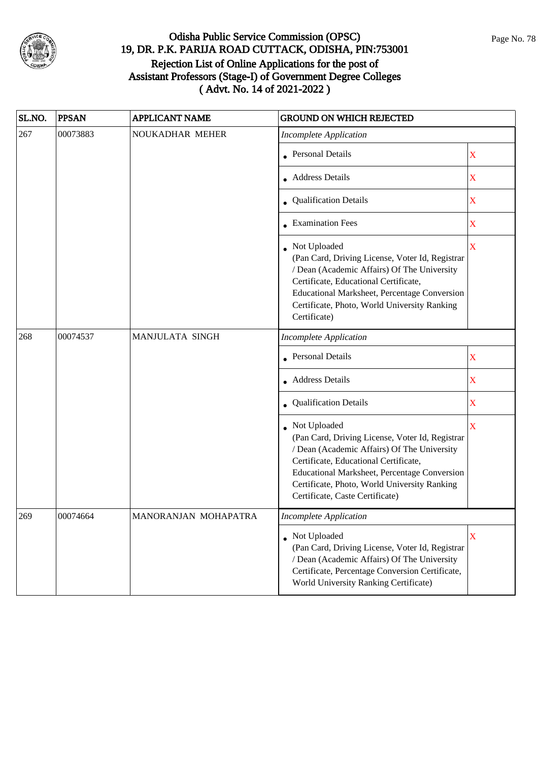

| SL.NO. | <b>PPSAN</b> | <b>APPLICANT NAME</b>  | <b>GROUND ON WHICH REJECTED</b>                                                                                                                                                                                                                                                            |                         |
|--------|--------------|------------------------|--------------------------------------------------------------------------------------------------------------------------------------------------------------------------------------------------------------------------------------------------------------------------------------------|-------------------------|
| 267    | 00073883     | NOUKADHAR MEHER        | <b>Incomplete Application</b>                                                                                                                                                                                                                                                              |                         |
|        |              |                        | <b>Personal Details</b>                                                                                                                                                                                                                                                                    | X                       |
|        |              |                        | • Address Details                                                                                                                                                                                                                                                                          | X                       |
|        |              |                        | • Qualification Details                                                                                                                                                                                                                                                                    | X                       |
|        |              |                        | <b>Examination Fees</b>                                                                                                                                                                                                                                                                    | $\mathbf X$             |
|        |              |                        | Not Uploaded<br>(Pan Card, Driving License, Voter Id, Registrar<br>/ Dean (Academic Affairs) Of The University<br>Certificate, Educational Certificate,<br>Educational Marksheet, Percentage Conversion<br>Certificate, Photo, World University Ranking<br>Certificate)                    | $\overline{\mathbf{X}}$ |
| 268    | 00074537     | <b>MANJULATA SINGH</b> | <b>Incomplete Application</b>                                                                                                                                                                                                                                                              |                         |
|        |              |                        | • Personal Details                                                                                                                                                                                                                                                                         | X                       |
|        |              |                        | • Address Details                                                                                                                                                                                                                                                                          | X                       |
|        |              |                        | Qualification Details                                                                                                                                                                                                                                                                      | X                       |
|        |              |                        | Not Uploaded<br>(Pan Card, Driving License, Voter Id, Registrar<br>/ Dean (Academic Affairs) Of The University<br>Certificate, Educational Certificate,<br>Educational Marksheet, Percentage Conversion<br>Certificate, Photo, World University Ranking<br>Certificate, Caste Certificate) | $\overline{\mathbf{X}}$ |
| 269    | 00074664     | MANORANJAN MOHAPATRA   | Incomplete Application                                                                                                                                                                                                                                                                     |                         |
|        |              |                        | • Not Uploaded<br>(Pan Card, Driving License, Voter Id, Registrar<br>/ Dean (Academic Affairs) Of The University<br>Certificate, Percentage Conversion Certificate,<br>World University Ranking Certificate)                                                                               | X                       |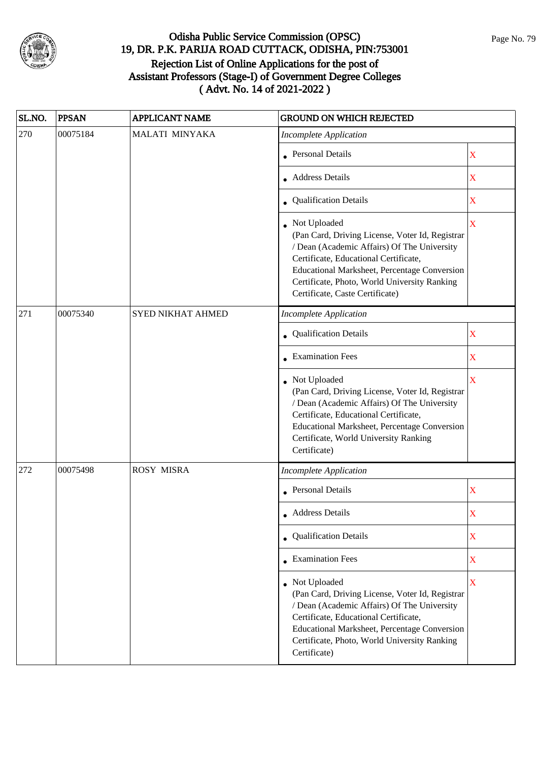

| SL.NO. | <b>PPSAN</b> | <b>APPLICANT NAME</b>    | <b>GROUND ON WHICH REJECTED</b>                                                                                                                                                                                                                                                              |                         |
|--------|--------------|--------------------------|----------------------------------------------------------------------------------------------------------------------------------------------------------------------------------------------------------------------------------------------------------------------------------------------|-------------------------|
| 270    | 00075184     | MALATI MINYAKA           | <b>Incomplete Application</b>                                                                                                                                                                                                                                                                |                         |
|        |              |                          | • Personal Details                                                                                                                                                                                                                                                                           | X                       |
|        |              |                          | • Address Details                                                                                                                                                                                                                                                                            | $\mathbf X$             |
|        |              |                          | • Qualification Details                                                                                                                                                                                                                                                                      | X                       |
|        |              |                          | • Not Uploaded<br>(Pan Card, Driving License, Voter Id, Registrar<br>/ Dean (Academic Affairs) Of The University<br>Certificate, Educational Certificate,<br>Educational Marksheet, Percentage Conversion<br>Certificate, Photo, World University Ranking<br>Certificate, Caste Certificate) | $\overline{\mathbf{X}}$ |
| 271    | 00075340     | <b>SYED NIKHAT AHMED</b> | <b>Incomplete Application</b>                                                                                                                                                                                                                                                                |                         |
|        |              |                          | Qualification Details                                                                                                                                                                                                                                                                        | $\mathbf X$             |
|        |              |                          | $\bullet$ Examination Fees                                                                                                                                                                                                                                                                   | X                       |
|        |              |                          | Not Uploaded<br>(Pan Card, Driving License, Voter Id, Registrar<br>/ Dean (Academic Affairs) Of The University<br>Certificate, Educational Certificate,<br>Educational Marksheet, Percentage Conversion<br>Certificate, World University Ranking<br>Certificate)                             | X                       |
| 272    | 00075498     | <b>ROSY MISRA</b>        | <b>Incomplete Application</b>                                                                                                                                                                                                                                                                |                         |
|        |              |                          | • Personal Details                                                                                                                                                                                                                                                                           | $\mathbf X$             |
|        |              |                          | • Address Details                                                                                                                                                                                                                                                                            | X                       |
|        |              |                          | Qualification Details                                                                                                                                                                                                                                                                        | X                       |
|        |              |                          | • Examination Fees                                                                                                                                                                                                                                                                           | X                       |
|        |              |                          | • Not Uploaded<br>(Pan Card, Driving License, Voter Id, Registrar<br>/ Dean (Academic Affairs) Of The University<br>Certificate, Educational Certificate,<br>Educational Marksheet, Percentage Conversion<br>Certificate, Photo, World University Ranking<br>Certificate)                    | $\overline{\mathbf{X}}$ |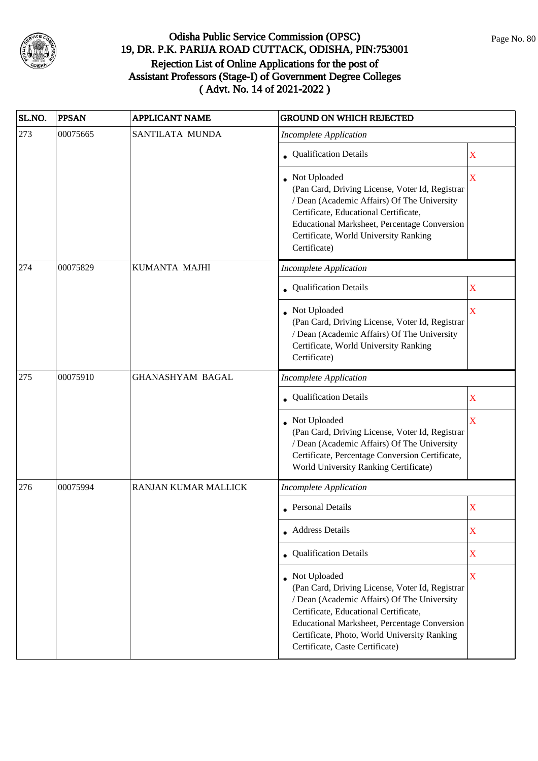

| SL.NO. | <b>PPSAN</b> | <b>APPLICANT NAME</b>   | <b>GROUND ON WHICH REJECTED</b>                                                                                                                                                                                                                                                                     |             |
|--------|--------------|-------------------------|-----------------------------------------------------------------------------------------------------------------------------------------------------------------------------------------------------------------------------------------------------------------------------------------------------|-------------|
| 273    | 00075665     | SANTILATA MUNDA         | <b>Incomplete Application</b>                                                                                                                                                                                                                                                                       |             |
|        |              |                         | <b>Qualification Details</b>                                                                                                                                                                                                                                                                        | X           |
|        |              |                         | • Not Uploaded<br>(Pan Card, Driving License, Voter Id, Registrar<br>/ Dean (Academic Affairs) Of The University<br>Certificate, Educational Certificate,<br>Educational Marksheet, Percentage Conversion<br>Certificate, World University Ranking<br>Certificate)                                  | X           |
| 274    | 00075829     | KUMANTA MAJHI           | <b>Incomplete Application</b>                                                                                                                                                                                                                                                                       |             |
|        |              |                         | Qualification Details                                                                                                                                                                                                                                                                               | X           |
|        |              |                         | • Not Uploaded<br>(Pan Card, Driving License, Voter Id, Registrar<br>/ Dean (Academic Affairs) Of The University<br>Certificate, World University Ranking<br>Certificate)                                                                                                                           | $\mathbf X$ |
| 275    | 00075910     | <b>GHANASHYAM BAGAL</b> | <b>Incomplete Application</b>                                                                                                                                                                                                                                                                       |             |
|        |              |                         | Qualification Details                                                                                                                                                                                                                                                                               | X           |
|        |              |                         | Not Uploaded<br>(Pan Card, Driving License, Voter Id, Registrar<br>/ Dean (Academic Affairs) Of The University<br>Certificate, Percentage Conversion Certificate,<br>World University Ranking Certificate)                                                                                          | X           |
| 276    | 00075994     | RANJAN KUMAR MALLICK    | <b>Incomplete Application</b>                                                                                                                                                                                                                                                                       |             |
|        |              |                         | <b>Personal Details</b>                                                                                                                                                                                                                                                                             | X           |
|        |              |                         | • Address Details                                                                                                                                                                                                                                                                                   | X           |
|        |              |                         | • Qualification Details                                                                                                                                                                                                                                                                             | X           |
|        |              |                         | • Not Uploaded<br>(Pan Card, Driving License, Voter Id, Registrar<br>/ Dean (Academic Affairs) Of The University<br>Certificate, Educational Certificate,<br><b>Educational Marksheet, Percentage Conversion</b><br>Certificate, Photo, World University Ranking<br>Certificate, Caste Certificate) | $\mathbf X$ |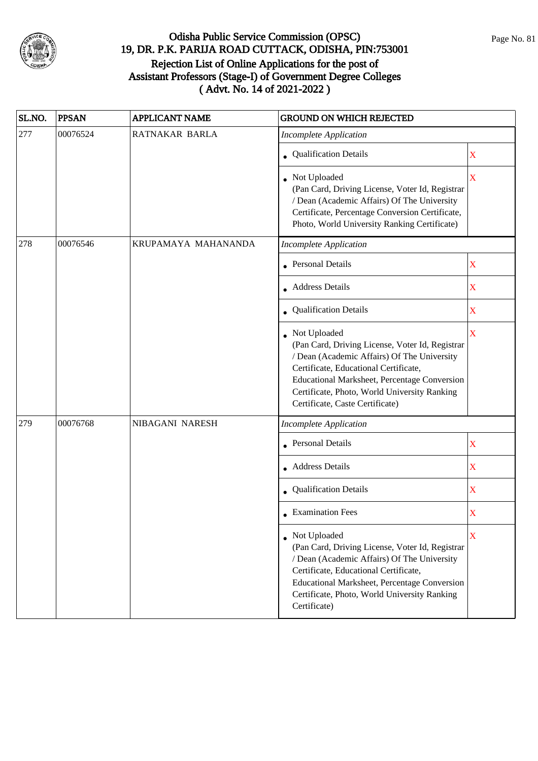

| SL.NO. | <b>PPSAN</b> | <b>APPLICANT NAME</b> | <b>GROUND ON WHICH REJECTED</b>                                                                                                                                                                                                                                                            |                           |
|--------|--------------|-----------------------|--------------------------------------------------------------------------------------------------------------------------------------------------------------------------------------------------------------------------------------------------------------------------------------------|---------------------------|
| 277    | 00076524     | RATNAKAR BARLA        | Incomplete Application                                                                                                                                                                                                                                                                     |                           |
|        |              |                       | Qualification Details                                                                                                                                                                                                                                                                      | X                         |
|        |              |                       | Not Uploaded<br>(Pan Card, Driving License, Voter Id, Registrar<br>/ Dean (Academic Affairs) Of The University<br>Certificate, Percentage Conversion Certificate,<br>Photo, World University Ranking Certificate)                                                                          | X                         |
| 278    | 00076546     | KRUPAMAYA MAHANANDA   | <b>Incomplete Application</b>                                                                                                                                                                                                                                                              |                           |
|        |              |                       | <b>Personal Details</b>                                                                                                                                                                                                                                                                    | X                         |
|        |              |                       | Address Details                                                                                                                                                                                                                                                                            | $\mathbf X$               |
|        |              |                       | Qualification Details                                                                                                                                                                                                                                                                      | X                         |
|        |              |                       | Not Uploaded<br>(Pan Card, Driving License, Voter Id, Registrar<br>/ Dean (Academic Affairs) Of The University<br>Certificate, Educational Certificate,<br>Educational Marksheet, Percentage Conversion<br>Certificate, Photo, World University Ranking<br>Certificate, Caste Certificate) | $\overline{\mathbf{X}}$   |
| 279    | 00076768     | NIBAGANI NARESH       | <b>Incomplete Application</b>                                                                                                                                                                                                                                                              |                           |
|        |              |                       | <b>Personal Details</b>                                                                                                                                                                                                                                                                    | $\boldsymbol{\mathrm{X}}$ |
|        |              |                       | • Address Details                                                                                                                                                                                                                                                                          | X                         |
|        |              |                       | Qualification Details                                                                                                                                                                                                                                                                      | X                         |
|        |              |                       | <b>Examination Fees</b>                                                                                                                                                                                                                                                                    | X                         |
|        |              |                       | • Not Uploaded<br>(Pan Card, Driving License, Voter Id, Registrar<br>/ Dean (Academic Affairs) Of The University<br>Certificate, Educational Certificate,<br>Educational Marksheet, Percentage Conversion<br>Certificate, Photo, World University Ranking<br>Certificate)                  | X                         |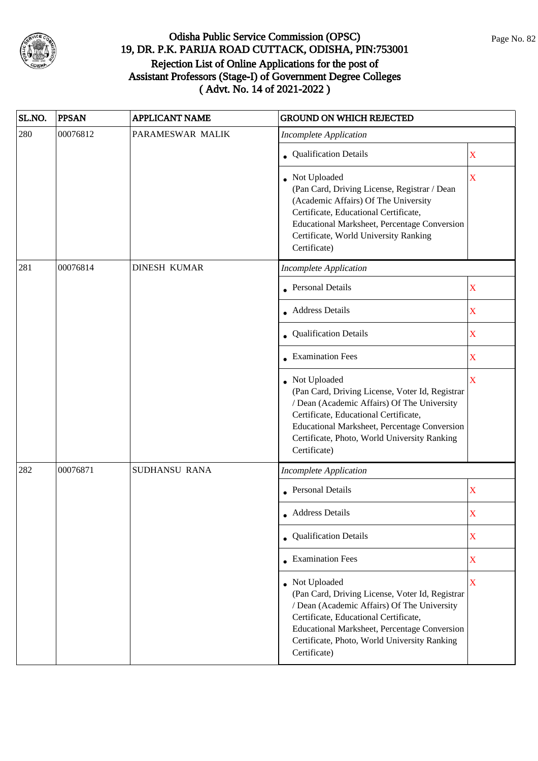

| SL.NO. | <b>PPSAN</b> | <b>APPLICANT NAME</b> | <b>GROUND ON WHICH REJECTED</b>                                                                                                                                                                                                                                           |                         |
|--------|--------------|-----------------------|---------------------------------------------------------------------------------------------------------------------------------------------------------------------------------------------------------------------------------------------------------------------------|-------------------------|
| 280    | 00076812     | PARAMESWAR MALIK      | <b>Incomplete Application</b>                                                                                                                                                                                                                                             |                         |
|        |              |                       | • Qualification Details                                                                                                                                                                                                                                                   | X                       |
|        |              |                       | Not Uploaded<br>(Pan Card, Driving License, Registrar / Dean<br>(Academic Affairs) Of The University<br>Certificate, Educational Certificate,<br>Educational Marksheet, Percentage Conversion<br>Certificate, World University Ranking<br>Certificate)                    | $\overline{\mathbf{X}}$ |
| 281    | 00076814     | <b>DINESH KUMAR</b>   | <b>Incomplete Application</b>                                                                                                                                                                                                                                             |                         |
|        |              |                       | <b>Personal Details</b>                                                                                                                                                                                                                                                   | $\mathbf X$             |
|        |              |                       | • Address Details                                                                                                                                                                                                                                                         | $\mathbf X$             |
|        |              |                       | • Qualification Details                                                                                                                                                                                                                                                   | $\mathbf X$             |
|        |              |                       | • Examination Fees                                                                                                                                                                                                                                                        | $\mathbf X$             |
|        |              |                       | • Not Uploaded<br>(Pan Card, Driving License, Voter Id, Registrar<br>/ Dean (Academic Affairs) Of The University<br>Certificate, Educational Certificate,<br>Educational Marksheet, Percentage Conversion<br>Certificate, Photo, World University Ranking<br>Certificate) | X                       |
| 282    | 00076871     | SUDHANSU RANA         | <b>Incomplete Application</b>                                                                                                                                                                                                                                             |                         |
|        |              |                       | • Personal Details                                                                                                                                                                                                                                                        | $\mathbf X$             |
|        |              |                       | • Address Details                                                                                                                                                                                                                                                         | X                       |
|        |              |                       | • Qualification Details                                                                                                                                                                                                                                                   | X                       |
|        |              |                       | $\bullet$ Examination Fees                                                                                                                                                                                                                                                | $\mathbf X$             |
|        |              |                       | Not Uploaded<br>(Pan Card, Driving License, Voter Id, Registrar<br>/ Dean (Academic Affairs) Of The University<br>Certificate, Educational Certificate,<br>Educational Marksheet, Percentage Conversion<br>Certificate, Photo, World University Ranking<br>Certificate)   | $\overline{\mathbf{X}}$ |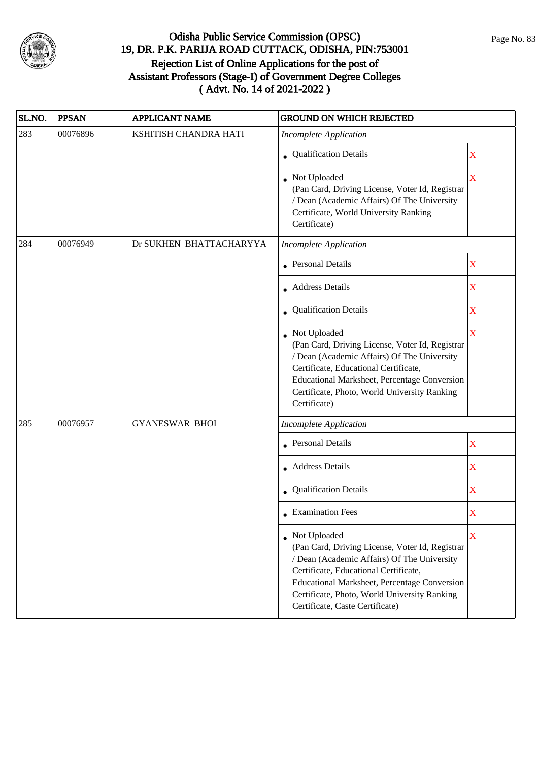

| SL.NO. | <b>PPSAN</b> | <b>APPLICANT NAME</b>   | <b>GROUND ON WHICH REJECTED</b>                                                                                                                                                                                                                                                                     |                         |
|--------|--------------|-------------------------|-----------------------------------------------------------------------------------------------------------------------------------------------------------------------------------------------------------------------------------------------------------------------------------------------------|-------------------------|
| 283    | 00076896     | KSHITISH CHANDRA HATI   | <b>Incomplete Application</b>                                                                                                                                                                                                                                                                       |                         |
|        |              |                         | • Qualification Details                                                                                                                                                                                                                                                                             | X                       |
|        |              |                         | Not Uploaded<br>(Pan Card, Driving License, Voter Id, Registrar<br>/ Dean (Academic Affairs) Of The University<br>Certificate, World University Ranking<br>Certificate)                                                                                                                             | X                       |
| 284    | 00076949     | Dr SUKHEN BHATTACHARYYA | <b>Incomplete Application</b>                                                                                                                                                                                                                                                                       |                         |
|        |              |                         | Personal Details                                                                                                                                                                                                                                                                                    | X                       |
|        |              |                         | • Address Details                                                                                                                                                                                                                                                                                   | X                       |
|        |              |                         | Qualification Details                                                                                                                                                                                                                                                                               | $\overline{\mathbf{X}}$ |
|        |              |                         | Not Uploaded<br>(Pan Card, Driving License, Voter Id, Registrar<br>/ Dean (Academic Affairs) Of The University<br>Certificate, Educational Certificate,<br>Educational Marksheet, Percentage Conversion<br>Certificate, Photo, World University Ranking<br>Certificate)                             | $\overline{\mathbf{X}}$ |
| 285    | 00076957     | <b>GYANESWAR BHOI</b>   | <b>Incomplete Application</b>                                                                                                                                                                                                                                                                       |                         |
|        |              |                         | <b>Personal Details</b>                                                                                                                                                                                                                                                                             | X                       |
|        |              |                         | • Address Details                                                                                                                                                                                                                                                                                   | $\mathbf X$             |
|        |              |                         | Qualification Details                                                                                                                                                                                                                                                                               | $\mathbf X$             |
|        |              |                         | $\bullet$ Examination Fees                                                                                                                                                                                                                                                                          | X                       |
|        |              |                         | • Not Uploaded<br>(Pan Card, Driving License, Voter Id, Registrar<br>/ Dean (Academic Affairs) Of The University<br>Certificate, Educational Certificate,<br><b>Educational Marksheet, Percentage Conversion</b><br>Certificate, Photo, World University Ranking<br>Certificate, Caste Certificate) | X                       |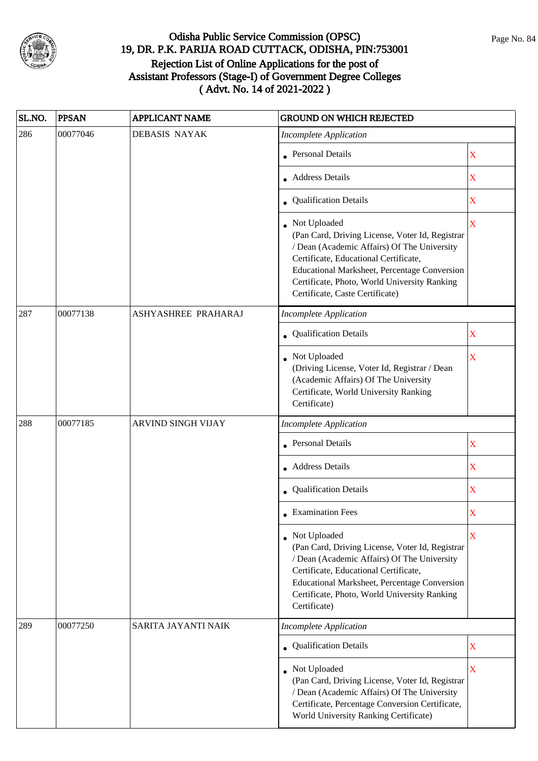

| SL.NO. | <b>PPSAN</b> | <b>APPLICANT NAME</b> | <b>GROUND ON WHICH REJECTED</b>                                                                                                                                                                                                                                                            |                         |
|--------|--------------|-----------------------|--------------------------------------------------------------------------------------------------------------------------------------------------------------------------------------------------------------------------------------------------------------------------------------------|-------------------------|
| 286    | 00077046     | <b>DEBASIS NAYAK</b>  | <b>Incomplete Application</b>                                                                                                                                                                                                                                                              |                         |
|        |              |                       | <b>Personal Details</b>                                                                                                                                                                                                                                                                    | X                       |
|        |              |                       | <b>Address Details</b>                                                                                                                                                                                                                                                                     | $\mathbf X$             |
|        |              |                       | • Qualification Details                                                                                                                                                                                                                                                                    | X                       |
|        |              |                       | Not Uploaded<br>(Pan Card, Driving License, Voter Id, Registrar<br>/ Dean (Academic Affairs) Of The University<br>Certificate, Educational Certificate,<br>Educational Marksheet, Percentage Conversion<br>Certificate, Photo, World University Ranking<br>Certificate, Caste Certificate) | $\overline{\mathbf{X}}$ |
| 287    | 00077138     | ASHYASHREE PRAHARAJ   | <b>Incomplete Application</b>                                                                                                                                                                                                                                                              |                         |
|        |              |                       | Qualification Details                                                                                                                                                                                                                                                                      | X                       |
|        |              |                       | Not Uploaded<br>(Driving License, Voter Id, Registrar / Dean<br>(Academic Affairs) Of The University<br>Certificate, World University Ranking<br>Certificate)                                                                                                                              | $\overline{\textbf{X}}$ |
| 288    | 00077185     | ARVIND SINGH VIJAY    | <b>Incomplete Application</b>                                                                                                                                                                                                                                                              |                         |
|        |              |                       | <b>Personal Details</b>                                                                                                                                                                                                                                                                    | X                       |
|        |              |                       | • Address Details                                                                                                                                                                                                                                                                          | X                       |
|        |              |                       | Qualification Details                                                                                                                                                                                                                                                                      | $\mathbf X$             |
|        |              |                       | <b>Examination Fees</b>                                                                                                                                                                                                                                                                    | X                       |
|        |              |                       | Not Uploaded<br>(Pan Card, Driving License, Voter Id, Registrar<br>/ Dean (Academic Affairs) Of The University<br>Certificate, Educational Certificate,<br><b>Educational Marksheet, Percentage Conversion</b><br>Certificate, Photo, World University Ranking<br>Certificate)             | X                       |
| 289    | 00077250     | SARITA JAYANTI NAIK   | <b>Incomplete Application</b>                                                                                                                                                                                                                                                              |                         |
|        |              |                       | • Qualification Details                                                                                                                                                                                                                                                                    | X                       |
|        |              |                       | Not Uploaded<br>(Pan Card, Driving License, Voter Id, Registrar<br>/ Dean (Academic Affairs) Of The University<br>Certificate, Percentage Conversion Certificate,<br>World University Ranking Certificate)                                                                                 | $\overline{\mathbf{X}}$ |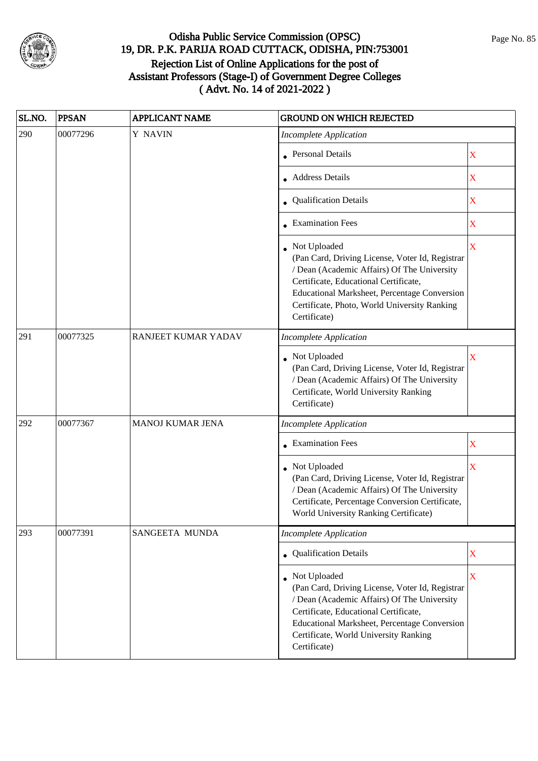

| SL.NO. | <b>PPSAN</b> | <b>APPLICANT NAME</b> | <b>GROUND ON WHICH REJECTED</b>                                                                                                                                                                                                                                         |                         |
|--------|--------------|-----------------------|-------------------------------------------------------------------------------------------------------------------------------------------------------------------------------------------------------------------------------------------------------------------------|-------------------------|
| 290    | 00077296     | Y NAVIN               | <b>Incomplete Application</b>                                                                                                                                                                                                                                           |                         |
|        |              |                       | <b>Personal Details</b>                                                                                                                                                                                                                                                 | X                       |
|        |              |                       | <b>Address Details</b>                                                                                                                                                                                                                                                  | $\mathbf X$             |
|        |              |                       | • Qualification Details                                                                                                                                                                                                                                                 | $\mathbf X$             |
|        |              |                       | $\bullet$ Examination Fees                                                                                                                                                                                                                                              | X                       |
|        |              |                       | Not Uploaded<br>(Pan Card, Driving License, Voter Id, Registrar<br>/ Dean (Academic Affairs) Of The University<br>Certificate, Educational Certificate,<br>Educational Marksheet, Percentage Conversion<br>Certificate, Photo, World University Ranking<br>Certificate) | $\overline{\mathbf{X}}$ |
| 291    | 00077325     | RANJEET KUMAR YADAV   | <b>Incomplete Application</b>                                                                                                                                                                                                                                           |                         |
|        |              |                       | Not Uploaded<br>(Pan Card, Driving License, Voter Id, Registrar<br>/ Dean (Academic Affairs) Of The University<br>Certificate, World University Ranking<br>Certificate)                                                                                                 | X                       |
| 292    | 00077367     | MANOJ KUMAR JENA      | <b>Incomplete Application</b>                                                                                                                                                                                                                                           |                         |
|        |              |                       | • Examination Fees                                                                                                                                                                                                                                                      | X                       |
|        |              |                       | Not Uploaded<br>(Pan Card, Driving License, Voter Id, Registrar<br>/ Dean (Academic Affairs) Of The University<br>Certificate, Percentage Conversion Certificate,<br>World University Ranking Certificate)                                                              | X                       |
| 293    | 00077391     | SANGEETA MUNDA        | <b>Incomplete Application</b>                                                                                                                                                                                                                                           |                         |
|        |              |                       | Qualification Details                                                                                                                                                                                                                                                   | $\mathbf X$             |
|        |              |                       | Not Uploaded<br>(Pan Card, Driving License, Voter Id, Registrar<br>/ Dean (Academic Affairs) Of The University<br>Certificate, Educational Certificate,<br><b>Educational Marksheet, Percentage Conversion</b><br>Certificate, World University Ranking<br>Certificate) | $\overline{\mathbf{X}}$ |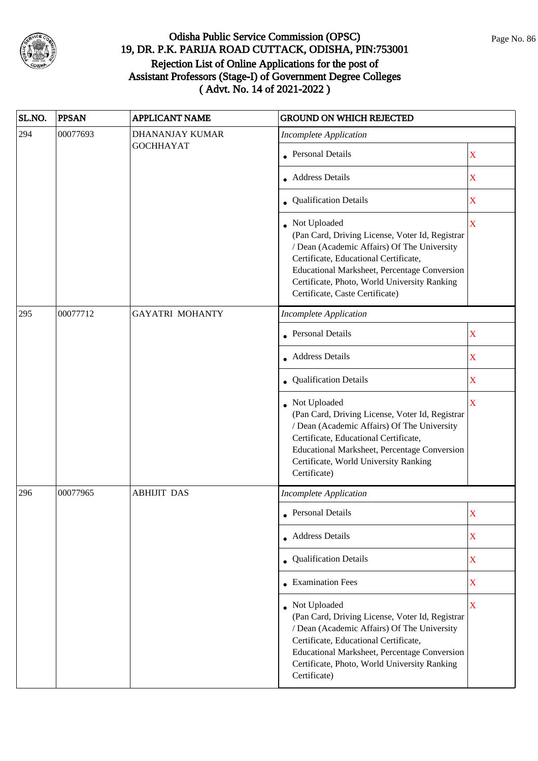

| SL.NO. | <b>PPSAN</b> | <b>APPLICANT NAME</b>  | <b>GROUND ON WHICH REJECTED</b>                                                                                                                                                                                                                                                            |                         |
|--------|--------------|------------------------|--------------------------------------------------------------------------------------------------------------------------------------------------------------------------------------------------------------------------------------------------------------------------------------------|-------------------------|
| 294    | 00077693     | DHANANJAY KUMAR        | <b>Incomplete Application</b>                                                                                                                                                                                                                                                              |                         |
|        |              | <b>GOCHHAYAT</b>       | <b>Personal Details</b>                                                                                                                                                                                                                                                                    | X                       |
|        |              |                        | <b>Address Details</b>                                                                                                                                                                                                                                                                     | $\mathbf X$             |
|        |              |                        | • Qualification Details                                                                                                                                                                                                                                                                    | X                       |
|        |              |                        | Not Uploaded<br>(Pan Card, Driving License, Voter Id, Registrar<br>/ Dean (Academic Affairs) Of The University<br>Certificate, Educational Certificate,<br>Educational Marksheet, Percentage Conversion<br>Certificate, Photo, World University Ranking<br>Certificate, Caste Certificate) | $\overline{\mathbf{X}}$ |
| 295    | 00077712     | <b>GAYATRI MOHANTY</b> | <b>Incomplete Application</b>                                                                                                                                                                                                                                                              |                         |
|        |              |                        | Personal Details                                                                                                                                                                                                                                                                           | X                       |
|        |              |                        | <b>Address Details</b>                                                                                                                                                                                                                                                                     | $\overline{\mathbf{X}}$ |
|        |              |                        | • Qualification Details                                                                                                                                                                                                                                                                    | X                       |
|        |              |                        | Not Uploaded<br>(Pan Card, Driving License, Voter Id, Registrar<br>/ Dean (Academic Affairs) Of The University<br>Certificate, Educational Certificate,<br>Educational Marksheet, Percentage Conversion<br>Certificate, World University Ranking<br>Certificate)                           | $\overline{\mathbf{X}}$ |
| 296    | 00077965     | <b>ABHIJIT DAS</b>     | <b>Incomplete Application</b>                                                                                                                                                                                                                                                              |                         |
|        |              |                        | Personal Details                                                                                                                                                                                                                                                                           | X                       |
|        |              |                        | • Address Details                                                                                                                                                                                                                                                                          | $\mathbf X$             |
|        |              |                        | • Qualification Details                                                                                                                                                                                                                                                                    | X                       |
|        |              |                        | • Examination Fees                                                                                                                                                                                                                                                                         | X                       |
|        |              |                        | • Not Uploaded<br>(Pan Card, Driving License, Voter Id, Registrar<br>/ Dean (Academic Affairs) Of The University<br>Certificate, Educational Certificate,<br>Educational Marksheet, Percentage Conversion<br>Certificate, Photo, World University Ranking<br>Certificate)                  | $\overline{\mathbf{X}}$ |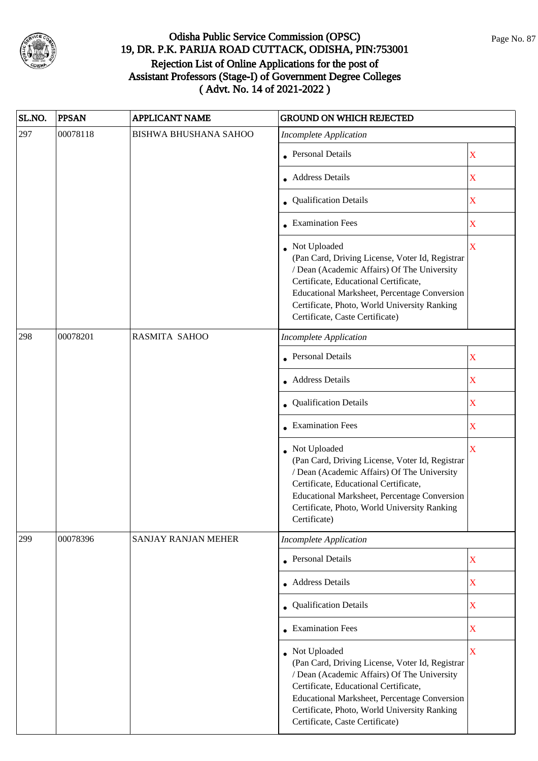

| SL.NO. | <b>PPSAN</b> | <b>APPLICANT NAME</b>        | <b>GROUND ON WHICH REJECTED</b>                                                                                                                                                                                                                                                            |                           |
|--------|--------------|------------------------------|--------------------------------------------------------------------------------------------------------------------------------------------------------------------------------------------------------------------------------------------------------------------------------------------|---------------------------|
| 297    | 00078118     | <b>BISHWA BHUSHANA SAHOO</b> | <b>Incomplete Application</b>                                                                                                                                                                                                                                                              |                           |
|        |              |                              | <b>Personal Details</b>                                                                                                                                                                                                                                                                    | X                         |
|        |              |                              | <b>Address Details</b>                                                                                                                                                                                                                                                                     | $\mathbf X$               |
|        |              |                              | • Qualification Details                                                                                                                                                                                                                                                                    | X                         |
|        |              |                              | <b>Examination Fees</b>                                                                                                                                                                                                                                                                    | X                         |
|        |              |                              | Not Uploaded<br>(Pan Card, Driving License, Voter Id, Registrar<br>/ Dean (Academic Affairs) Of The University<br>Certificate, Educational Certificate,<br>Educational Marksheet, Percentage Conversion<br>Certificate, Photo, World University Ranking<br>Certificate, Caste Certificate) | $\overline{\mathbf{X}}$   |
| 298    | 00078201     | <b>RASMITA SAHOO</b>         | <b>Incomplete Application</b>                                                                                                                                                                                                                                                              |                           |
|        |              |                              | Personal Details                                                                                                                                                                                                                                                                           | X                         |
|        |              |                              | • Address Details                                                                                                                                                                                                                                                                          | $\boldsymbol{\mathrm{X}}$ |
|        |              |                              | Qualification Details                                                                                                                                                                                                                                                                      | $\overline{\textbf{X}}$   |
|        |              |                              | • Examination Fees                                                                                                                                                                                                                                                                         | X                         |
|        |              |                              | Not Uploaded<br>(Pan Card, Driving License, Voter Id, Registrar<br>/ Dean (Academic Affairs) Of The University<br>Certificate, Educational Certificate,<br>Educational Marksheet, Percentage Conversion<br>Certificate, Photo, World University Ranking<br>Certificate)                    | $\overline{\mathbf{X}}$   |
| 299    | 00078396     | <b>SANJAY RANJAN MEHER</b>   | <b>Incomplete Application</b>                                                                                                                                                                                                                                                              |                           |
|        |              |                              | • Personal Details                                                                                                                                                                                                                                                                         | X                         |
|        |              |                              | <b>Address Details</b>                                                                                                                                                                                                                                                                     | X                         |
|        |              |                              | Qualification Details                                                                                                                                                                                                                                                                      | $\mathbf X$               |
|        |              |                              | • Examination Fees                                                                                                                                                                                                                                                                         | X                         |
|        |              |                              | Not Uploaded<br>(Pan Card, Driving License, Voter Id, Registrar<br>/ Dean (Academic Affairs) Of The University<br>Certificate, Educational Certificate,<br>Educational Marksheet, Percentage Conversion<br>Certificate, Photo, World University Ranking<br>Certificate, Caste Certificate) | $\overline{\mathbf{X}}$   |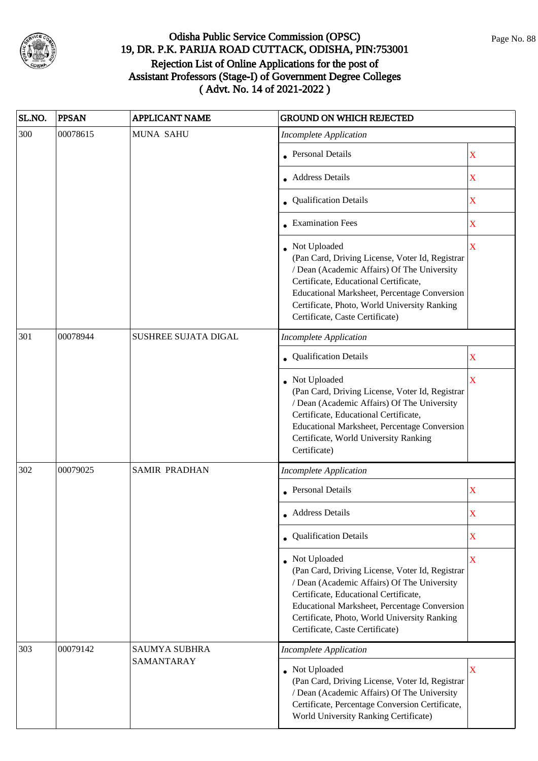

| SL.NO. | <b>PPSAN</b> | <b>APPLICANT NAME</b> | <b>GROUND ON WHICH REJECTED</b>                                                                                                                                                                                                                                                              |                         |
|--------|--------------|-----------------------|----------------------------------------------------------------------------------------------------------------------------------------------------------------------------------------------------------------------------------------------------------------------------------------------|-------------------------|
| 300    | 00078615     | <b>MUNA SAHU</b>      | <b>Incomplete Application</b>                                                                                                                                                                                                                                                                |                         |
|        |              |                       | <b>Personal Details</b>                                                                                                                                                                                                                                                                      | X                       |
|        |              |                       | <b>Address Details</b>                                                                                                                                                                                                                                                                       | X                       |
|        |              |                       | • Qualification Details                                                                                                                                                                                                                                                                      | X                       |
|        |              |                       | <b>Examination Fees</b>                                                                                                                                                                                                                                                                      | X                       |
|        |              |                       | • Not Uploaded<br>(Pan Card, Driving License, Voter Id, Registrar<br>/ Dean (Academic Affairs) Of The University<br>Certificate, Educational Certificate,<br>Educational Marksheet, Percentage Conversion<br>Certificate, Photo, World University Ranking<br>Certificate, Caste Certificate) | $\overline{\mathbf{X}}$ |
| 301    | 00078944     | SUSHREE SUJATA DIGAL  | <b>Incomplete Application</b>                                                                                                                                                                                                                                                                |                         |
|        |              |                       | Qualification Details                                                                                                                                                                                                                                                                        | X                       |
|        |              |                       | • Not Uploaded<br>(Pan Card, Driving License, Voter Id, Registrar<br>/ Dean (Academic Affairs) Of The University<br>Certificate, Educational Certificate,<br>Educational Marksheet, Percentage Conversion<br>Certificate, World University Ranking<br>Certificate)                           | X                       |
| 302    | 00079025     | <b>SAMIR PRADHAN</b>  | <b>Incomplete Application</b>                                                                                                                                                                                                                                                                |                         |
|        |              |                       | <b>Personal Details</b>                                                                                                                                                                                                                                                                      | X                       |
|        |              |                       | • Address Details                                                                                                                                                                                                                                                                            | X                       |
|        |              |                       | • Qualification Details                                                                                                                                                                                                                                                                      | X                       |
|        |              |                       | Not Uploaded<br>(Pan Card, Driving License, Voter Id, Registrar<br>/ Dean (Academic Affairs) Of The University<br>Certificate, Educational Certificate,<br>Educational Marksheet, Percentage Conversion<br>Certificate, Photo, World University Ranking<br>Certificate, Caste Certificate)   | X                       |
| 303    | 00079142     | <b>SAUMYA SUBHRA</b>  | <b>Incomplete Application</b>                                                                                                                                                                                                                                                                |                         |
|        |              | SAMANTARAY            | Not Uploaded<br>(Pan Card, Driving License, Voter Id, Registrar<br>/ Dean (Academic Affairs) Of The University<br>Certificate, Percentage Conversion Certificate,<br>World University Ranking Certificate)                                                                                   | X                       |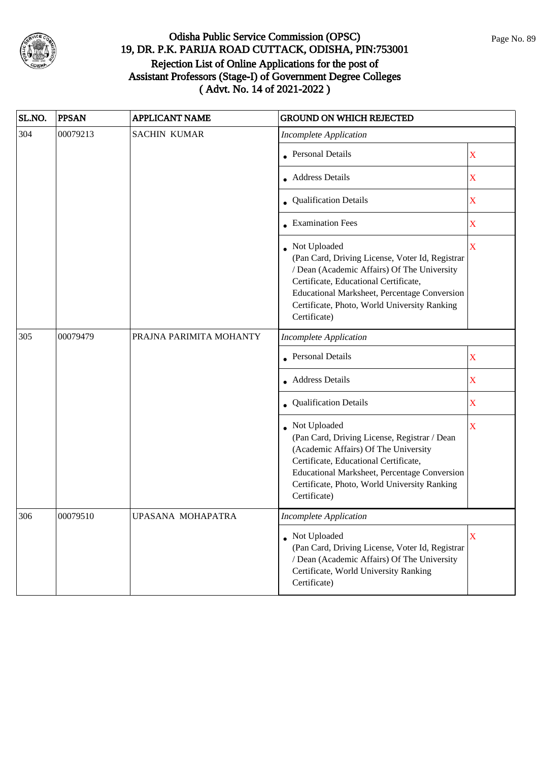

| SL.NO. | <b>PPSAN</b> | <b>APPLICANT NAME</b>   | <b>GROUND ON WHICH REJECTED</b>                                                                                                                                                                                                                                         |                         |
|--------|--------------|-------------------------|-------------------------------------------------------------------------------------------------------------------------------------------------------------------------------------------------------------------------------------------------------------------------|-------------------------|
| 304    | 00079213     | <b>SACHIN KUMAR</b>     | <b>Incomplete Application</b>                                                                                                                                                                                                                                           |                         |
|        |              |                         | <b>Personal Details</b>                                                                                                                                                                                                                                                 | $\mathbf X$             |
|        |              |                         | Address Details                                                                                                                                                                                                                                                         | X                       |
|        |              |                         | • Qualification Details                                                                                                                                                                                                                                                 | $\mathbf X$             |
|        |              |                         | • Examination Fees                                                                                                                                                                                                                                                      | $\mathbf X$             |
|        |              |                         | Not Uploaded<br>(Pan Card, Driving License, Voter Id, Registrar<br>/ Dean (Academic Affairs) Of The University<br>Certificate, Educational Certificate,<br>Educational Marksheet, Percentage Conversion<br>Certificate, Photo, World University Ranking<br>Certificate) | $\overline{\mathbf{X}}$ |
| 305    | 00079479     | PRAJNA PARIMITA MOHANTY | <b>Incomplete Application</b>                                                                                                                                                                                                                                           |                         |
|        |              |                         | • Personal Details                                                                                                                                                                                                                                                      | X                       |
|        |              |                         | • Address Details                                                                                                                                                                                                                                                       | X                       |
|        |              |                         | Qualification Details                                                                                                                                                                                                                                                   | X                       |
|        |              |                         | • Not Uploaded<br>(Pan Card, Driving License, Registrar / Dean<br>(Academic Affairs) Of The University<br>Certificate, Educational Certificate,<br><b>Educational Marksheet, Percentage Conversion</b><br>Certificate, Photo, World University Ranking<br>Certificate)  | X                       |
| 306    | 00079510     | UPASANA MOHAPATRA       | Incomplete Application                                                                                                                                                                                                                                                  |                         |
|        |              |                         | • Not Uploaded<br>(Pan Card, Driving License, Voter Id, Registrar<br>/ Dean (Academic Affairs) Of The University<br>Certificate, World University Ranking<br>Certificate)                                                                                               | X                       |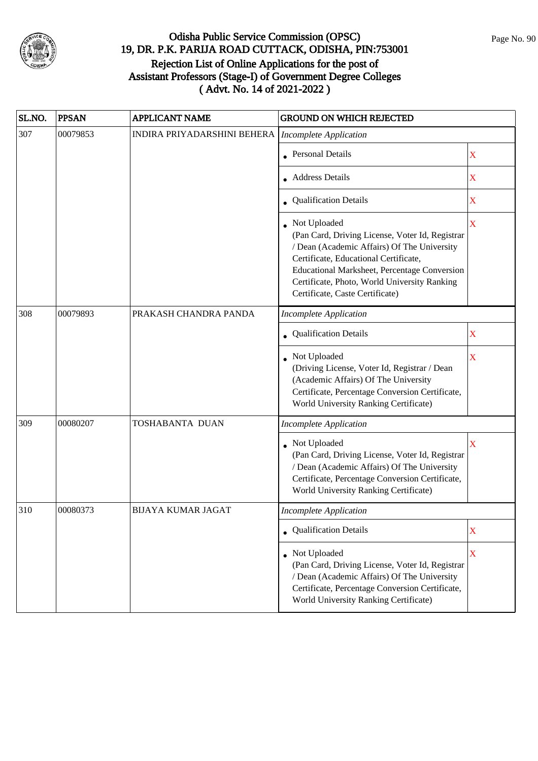

| SL.NO. | <b>PPSAN</b> | <b>APPLICANT NAME</b>       | <b>GROUND ON WHICH REJECTED</b>                                                                                                                                                                                                                                                            |                         |
|--------|--------------|-----------------------------|--------------------------------------------------------------------------------------------------------------------------------------------------------------------------------------------------------------------------------------------------------------------------------------------|-------------------------|
| 307    | 00079853     | INDIRA PRIYADARSHINI BEHERA | <b>Incomplete Application</b>                                                                                                                                                                                                                                                              |                         |
|        |              |                             | Personal Details                                                                                                                                                                                                                                                                           | X                       |
|        |              |                             | <b>Address Details</b>                                                                                                                                                                                                                                                                     | X                       |
|        |              |                             | • Qualification Details                                                                                                                                                                                                                                                                    | X                       |
|        |              |                             | Not Uploaded<br>(Pan Card, Driving License, Voter Id, Registrar<br>/ Dean (Academic Affairs) Of The University<br>Certificate, Educational Certificate,<br>Educational Marksheet, Percentage Conversion<br>Certificate, Photo, World University Ranking<br>Certificate, Caste Certificate) | $\overline{\mathbf{X}}$ |
| 308    | 00079893     | PRAKASH CHANDRA PANDA       | <b>Incomplete Application</b>                                                                                                                                                                                                                                                              |                         |
|        |              |                             | <b>Qualification Details</b>                                                                                                                                                                                                                                                               | X                       |
|        |              |                             | Not Uploaded<br>(Driving License, Voter Id, Registrar / Dean<br>(Academic Affairs) Of The University<br>Certificate, Percentage Conversion Certificate,<br>World University Ranking Certificate)                                                                                           | X                       |
| 309    | 00080207     | TOSHABANTA DUAN             | <b>Incomplete Application</b>                                                                                                                                                                                                                                                              |                         |
|        |              |                             | Not Uploaded<br>(Pan Card, Driving License, Voter Id, Registrar<br>/ Dean (Academic Affairs) Of The University<br>Certificate, Percentage Conversion Certificate,<br>World University Ranking Certificate)                                                                                 | $\mathbf X$             |
| 310    | 00080373     | <b>BIJAYA KUMAR JAGAT</b>   | <b>Incomplete Application</b>                                                                                                                                                                                                                                                              |                         |
|        |              |                             | Qualification Details                                                                                                                                                                                                                                                                      | $\mathbf X$             |
|        |              |                             | Not Uploaded<br>(Pan Card, Driving License, Voter Id, Registrar<br>/ Dean (Academic Affairs) Of The University<br>Certificate, Percentage Conversion Certificate,<br>World University Ranking Certificate)                                                                                 | $\overline{\mathbf{X}}$ |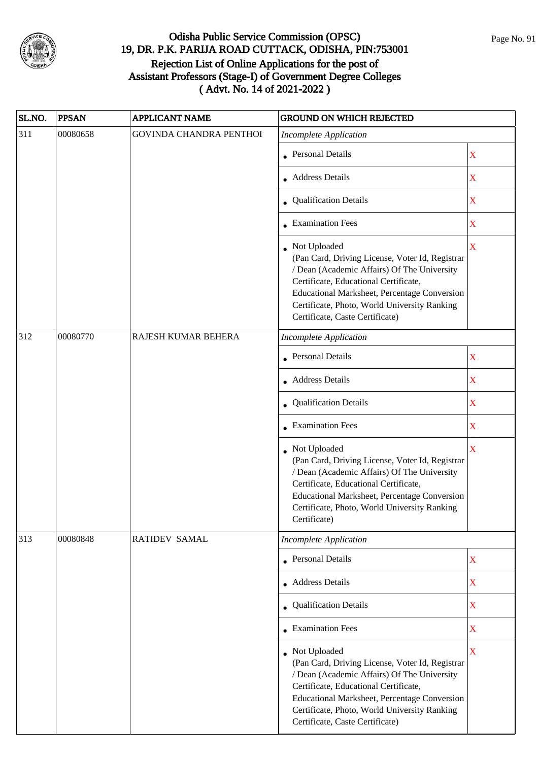

| SL.NO. | <b>PPSAN</b> | <b>APPLICANT NAME</b>          | <b>GROUND ON WHICH REJECTED</b>                                                                                                                                                                                                                                                              |                         |
|--------|--------------|--------------------------------|----------------------------------------------------------------------------------------------------------------------------------------------------------------------------------------------------------------------------------------------------------------------------------------------|-------------------------|
| 311    | 00080658     | <b>GOVINDA CHANDRA PENTHOI</b> | <b>Incomplete Application</b>                                                                                                                                                                                                                                                                |                         |
|        |              |                                | • Personal Details                                                                                                                                                                                                                                                                           | X                       |
|        |              |                                | <b>Address Details</b>                                                                                                                                                                                                                                                                       | $\overline{\text{X}}$   |
|        |              |                                | • Qualification Details                                                                                                                                                                                                                                                                      | X                       |
|        |              |                                | <b>Examination Fees</b>                                                                                                                                                                                                                                                                      | $\overline{\text{X}}$   |
|        |              |                                | Not Uploaded<br>(Pan Card, Driving License, Voter Id, Registrar<br>/ Dean (Academic Affairs) Of The University<br>Certificate, Educational Certificate,<br>Educational Marksheet, Percentage Conversion<br>Certificate, Photo, World University Ranking<br>Certificate, Caste Certificate)   | $\overline{\mathbf{X}}$ |
| 312    | 00080770     | RAJESH KUMAR BEHERA            | <b>Incomplete Application</b>                                                                                                                                                                                                                                                                |                         |
|        |              |                                | Personal Details                                                                                                                                                                                                                                                                             | $\mathbf X$             |
|        |              |                                | • Address Details                                                                                                                                                                                                                                                                            | $\mathbf X$             |
|        |              |                                | Qualification Details                                                                                                                                                                                                                                                                        | $\overline{\mathbf{X}}$ |
|        |              |                                | <b>Examination Fees</b>                                                                                                                                                                                                                                                                      | X                       |
|        |              |                                | Not Uploaded<br>(Pan Card, Driving License, Voter Id, Registrar<br>/ Dean (Academic Affairs) Of The University<br>Certificate, Educational Certificate,<br>Educational Marksheet, Percentage Conversion<br>Certificate, Photo, World University Ranking<br>Certificate)                      | $\overline{\mathbf{X}}$ |
| 313    | 00080848     | <b>RATIDEV SAMAL</b>           | Incomplete Application                                                                                                                                                                                                                                                                       |                         |
|        |              |                                | • Personal Details                                                                                                                                                                                                                                                                           | $\mathbf X$             |
|        |              |                                | <b>Address Details</b>                                                                                                                                                                                                                                                                       | X                       |
|        |              |                                | • Qualification Details                                                                                                                                                                                                                                                                      | $\overline{\textbf{X}}$ |
|        |              |                                | <b>Examination Fees</b>                                                                                                                                                                                                                                                                      | $\mathbf X$             |
|        |              |                                | • Not Uploaded<br>(Pan Card, Driving License, Voter Id, Registrar<br>/ Dean (Academic Affairs) Of The University<br>Certificate, Educational Certificate,<br>Educational Marksheet, Percentage Conversion<br>Certificate, Photo, World University Ranking<br>Certificate, Caste Certificate) | $\overline{\mathbf{X}}$ |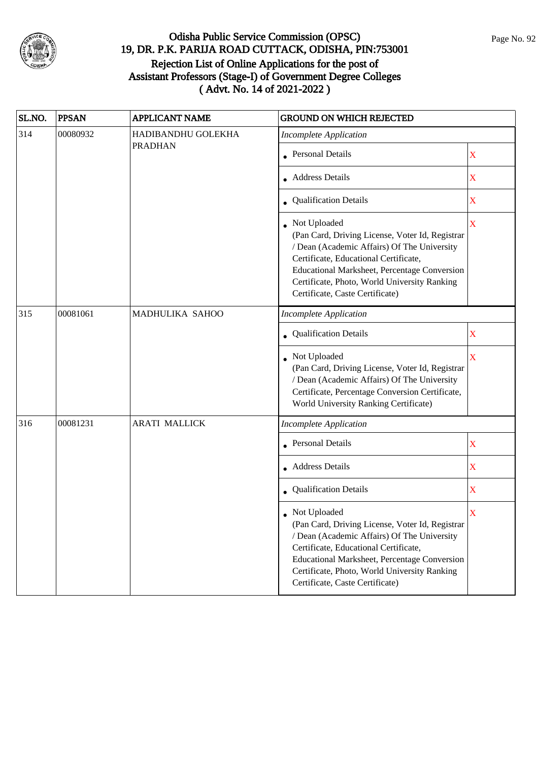

| SL.NO.     | <b>PPSAN</b> | <b>APPLICANT NAME</b> | <b>GROUND ON WHICH REJECTED</b>                                                                                                                                                                                                                                                            |                         |
|------------|--------------|-----------------------|--------------------------------------------------------------------------------------------------------------------------------------------------------------------------------------------------------------------------------------------------------------------------------------------|-------------------------|
| 314        | 00080932     | HADIBANDHU GOLEKHA    | <b>Incomplete Application</b>                                                                                                                                                                                                                                                              |                         |
| 315<br>316 |              | <b>PRADHAN</b>        | <b>Personal Details</b>                                                                                                                                                                                                                                                                    | $\mathbf X$             |
|            |              |                       | <b>Address Details</b>                                                                                                                                                                                                                                                                     | X                       |
|            |              |                       | • Qualification Details                                                                                                                                                                                                                                                                    | X                       |
|            |              |                       | Not Uploaded<br>(Pan Card, Driving License, Voter Id, Registrar<br>/ Dean (Academic Affairs) Of The University<br>Certificate, Educational Certificate,<br>Educational Marksheet, Percentage Conversion<br>Certificate, Photo, World University Ranking<br>Certificate, Caste Certificate) | $\overline{\mathbf{X}}$ |
|            | 00081061     | MADHULIKA SAHOO       | <b>Incomplete Application</b>                                                                                                                                                                                                                                                              |                         |
|            |              |                       | Qualification Details                                                                                                                                                                                                                                                                      | $\mathbf X$             |
|            |              |                       | Not Uploaded<br>(Pan Card, Driving License, Voter Id, Registrar<br>/ Dean (Academic Affairs) Of The University<br>Certificate, Percentage Conversion Certificate,<br>World University Ranking Certificate)                                                                                 | X                       |
|            | 00081231     | <b>ARATI MALLICK</b>  | <b>Incomplete Application</b>                                                                                                                                                                                                                                                              |                         |
|            |              |                       | <b>Personal Details</b>                                                                                                                                                                                                                                                                    | $\mathbf X$             |
|            |              |                       | <b>Address Details</b>                                                                                                                                                                                                                                                                     | $\mathbf X$             |
|            |              |                       | Qualification Details                                                                                                                                                                                                                                                                      | X                       |
|            |              |                       | Not Uploaded<br>(Pan Card, Driving License, Voter Id, Registrar<br>/ Dean (Academic Affairs) Of The University<br>Certificate, Educational Certificate,<br>Educational Marksheet, Percentage Conversion<br>Certificate, Photo, World University Ranking<br>Certificate, Caste Certificate) | $\overline{\text{X}}$   |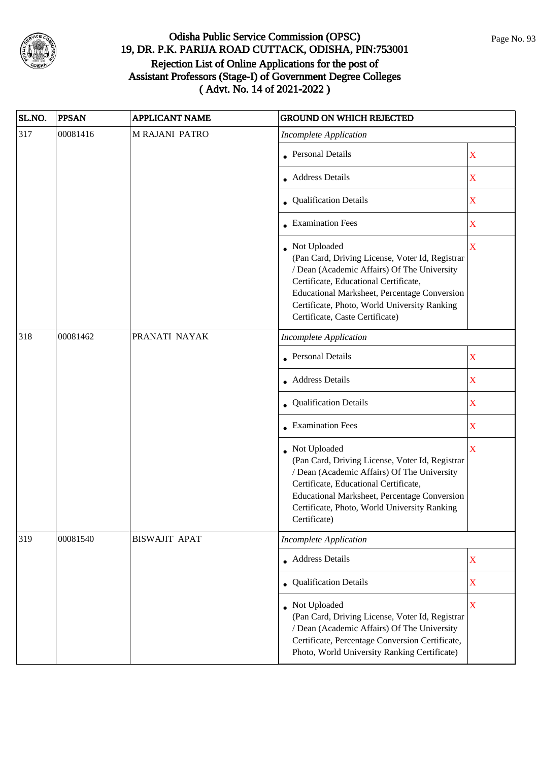

| SL.NO. | <b>PPSAN</b> | <b>APPLICANT NAME</b> | <b>GROUND ON WHICH REJECTED</b>                                                                                                                                                                                                                                                                                         |  |
|--------|--------------|-----------------------|-------------------------------------------------------------------------------------------------------------------------------------------------------------------------------------------------------------------------------------------------------------------------------------------------------------------------|--|
| 317    | 00081416     | <b>MRAJANI PATRO</b>  | <b>Incomplete Application</b>                                                                                                                                                                                                                                                                                           |  |
|        |              |                       | <b>Personal Details</b><br>X                                                                                                                                                                                                                                                                                            |  |
|        |              |                       | <b>Address Details</b><br>$\mathbf X$                                                                                                                                                                                                                                                                                   |  |
|        |              |                       | • Qualification Details<br>X                                                                                                                                                                                                                                                                                            |  |
|        |              |                       | • Examination Fees<br>$\mathbf X$                                                                                                                                                                                                                                                                                       |  |
|        |              |                       | • Not Uploaded<br>$\overline{\mathbf{X}}$<br>(Pan Card, Driving License, Voter Id, Registrar<br>/ Dean (Academic Affairs) Of The University<br>Certificate, Educational Certificate,<br>Educational Marksheet, Percentage Conversion<br>Certificate, Photo, World University Ranking<br>Certificate, Caste Certificate) |  |
| 318    | 00081462     | PRANATI NAYAK         | <b>Incomplete Application</b>                                                                                                                                                                                                                                                                                           |  |
|        |              |                       | <b>Personal Details</b><br>X                                                                                                                                                                                                                                                                                            |  |
|        |              |                       | • Address Details<br>X                                                                                                                                                                                                                                                                                                  |  |
|        |              |                       | • Qualification Details<br>$\mathbf X$                                                                                                                                                                                                                                                                                  |  |
|        |              |                       | • Examination Fees<br>X                                                                                                                                                                                                                                                                                                 |  |
|        |              |                       | • Not Uploaded<br>$\overline{\mathbf{X}}$<br>(Pan Card, Driving License, Voter Id, Registrar<br>/ Dean (Academic Affairs) Of The University<br>Certificate, Educational Certificate,<br>Educational Marksheet, Percentage Conversion<br>Certificate, Photo, World University Ranking<br>Certificate)                    |  |
| 319    | 00081540     | <b>BISWAJIT APAT</b>  | <b>Incomplete Application</b>                                                                                                                                                                                                                                                                                           |  |
|        |              |                       | • Address Details<br>X                                                                                                                                                                                                                                                                                                  |  |
|        |              |                       | • Qualification Details<br>X                                                                                                                                                                                                                                                                                            |  |
|        |              |                       | • Not Uploaded<br>X<br>(Pan Card, Driving License, Voter Id, Registrar<br>/ Dean (Academic Affairs) Of The University<br>Certificate, Percentage Conversion Certificate,<br>Photo, World University Ranking Certificate)                                                                                                |  |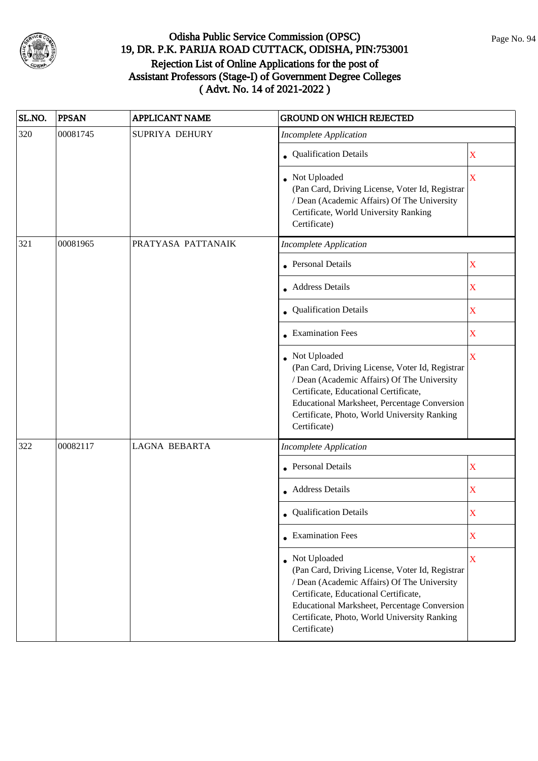

| SL.NO. | <b>PPSAN</b> | <b>APPLICANT NAME</b> | <b>GROUND ON WHICH REJECTED</b>                                                                                                                                                                                                                                           |                         |
|--------|--------------|-----------------------|---------------------------------------------------------------------------------------------------------------------------------------------------------------------------------------------------------------------------------------------------------------------------|-------------------------|
| 320    | 00081745     | SUPRIYA DEHURY        | <b>Incomplete Application</b>                                                                                                                                                                                                                                             |                         |
|        |              |                       | • Qualification Details                                                                                                                                                                                                                                                   | X                       |
|        |              |                       | • Not Uploaded<br>(Pan Card, Driving License, Voter Id, Registrar<br>/ Dean (Academic Affairs) Of The University<br>Certificate, World University Ranking<br>Certificate)                                                                                                 | X                       |
| 321    | 00081965     | PRATYASA PATTANAIK    | <b>Incomplete Application</b>                                                                                                                                                                                                                                             |                         |
|        |              |                       | <b>Personal Details</b>                                                                                                                                                                                                                                                   | X                       |
|        |              |                       | • Address Details                                                                                                                                                                                                                                                         | X                       |
|        |              |                       | Qualification Details                                                                                                                                                                                                                                                     | X                       |
|        |              |                       | • Examination Fees                                                                                                                                                                                                                                                        | X                       |
|        |              |                       | • Not Uploaded<br>(Pan Card, Driving License, Voter Id, Registrar<br>/ Dean (Academic Affairs) Of The University<br>Certificate, Educational Certificate,<br>Educational Marksheet, Percentage Conversion<br>Certificate, Photo, World University Ranking<br>Certificate) | $\overline{\mathbf{X}}$ |
| 322    | 00082117     | <b>LAGNA BEBARTA</b>  | <b>Incomplete Application</b>                                                                                                                                                                                                                                             |                         |
|        |              |                       | • Personal Details                                                                                                                                                                                                                                                        | X                       |
|        |              |                       | Address Details                                                                                                                                                                                                                                                           | X                       |
|        |              |                       | Qualification Details                                                                                                                                                                                                                                                     | X                       |
|        |              |                       | $\bullet$ Examination Fees                                                                                                                                                                                                                                                | X                       |
|        |              |                       | Not Uploaded<br>(Pan Card, Driving License, Voter Id, Registrar<br>/ Dean (Academic Affairs) Of The University<br>Certificate, Educational Certificate,<br>Educational Marksheet, Percentage Conversion<br>Certificate, Photo, World University Ranking<br>Certificate)   | X                       |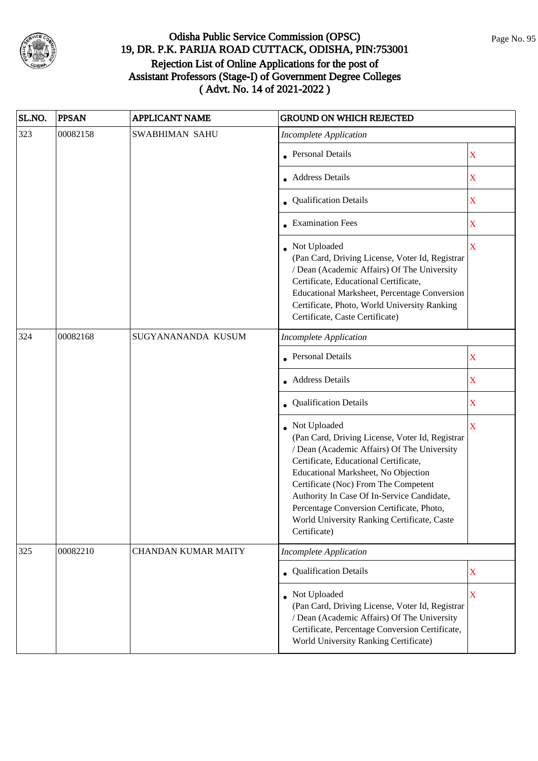

| SL.NO. | <b>PPSAN</b> | <b>APPLICANT NAME</b>      | <b>GROUND ON WHICH REJECTED</b>                                                                                                                                                                                                                                                                                                                                                                  |                         |
|--------|--------------|----------------------------|--------------------------------------------------------------------------------------------------------------------------------------------------------------------------------------------------------------------------------------------------------------------------------------------------------------------------------------------------------------------------------------------------|-------------------------|
| 323    | 00082158     | <b>SWABHIMAN SAHU</b>      | <b>Incomplete Application</b>                                                                                                                                                                                                                                                                                                                                                                    |                         |
|        |              |                            | Personal Details                                                                                                                                                                                                                                                                                                                                                                                 | $\overline{\text{X}}$   |
|        |              |                            | • Address Details                                                                                                                                                                                                                                                                                                                                                                                | $\overline{\text{X}}$   |
|        |              |                            | • Qualification Details                                                                                                                                                                                                                                                                                                                                                                          | $\overline{\text{X}}$   |
|        |              |                            | <b>Examination Fees</b>                                                                                                                                                                                                                                                                                                                                                                          | $\bar{\mathbf{X}}$      |
|        |              |                            | Not Uploaded<br>(Pan Card, Driving License, Voter Id, Registrar<br>/ Dean (Academic Affairs) Of The University<br>Certificate, Educational Certificate,<br><b>Educational Marksheet, Percentage Conversion</b><br>Certificate, Photo, World University Ranking<br>Certificate, Caste Certificate)                                                                                                | X                       |
| 324    | 00082168     | SUGYANANANDA KUSUM         | <b>Incomplete Application</b>                                                                                                                                                                                                                                                                                                                                                                    |                         |
|        |              |                            | <b>Personal Details</b>                                                                                                                                                                                                                                                                                                                                                                          | $\overline{\text{X}}$   |
|        |              |                            | • Address Details                                                                                                                                                                                                                                                                                                                                                                                | $\overline{\text{X}}$   |
|        |              |                            | Qualification Details                                                                                                                                                                                                                                                                                                                                                                            | $\overline{\text{X}}$   |
|        |              |                            | Not Uploaded<br>(Pan Card, Driving License, Voter Id, Registrar<br>/ Dean (Academic Affairs) Of The University<br>Certificate, Educational Certificate,<br>Educational Marksheet, No Objection<br>Certificate (Noc) From The Competent<br>Authority In Case Of In-Service Candidate,<br>Percentage Conversion Certificate, Photo,<br>World University Ranking Certificate, Caste<br>Certificate) | $\bar{\textbf{X}}$      |
| 325    | 00082210     | <b>CHANDAN KUMAR MAITY</b> | <b>Incomplete Application</b>                                                                                                                                                                                                                                                                                                                                                                    |                         |
|        |              |                            | • Qualification Details                                                                                                                                                                                                                                                                                                                                                                          | $\overline{\text{X}}$   |
|        |              |                            | • Not Uploaded<br>(Pan Card, Driving License, Voter Id, Registrar<br>/ Dean (Academic Affairs) Of The University<br>Certificate, Percentage Conversion Certificate,<br>World University Ranking Certificate)                                                                                                                                                                                     | $\overline{\mathbf{X}}$ |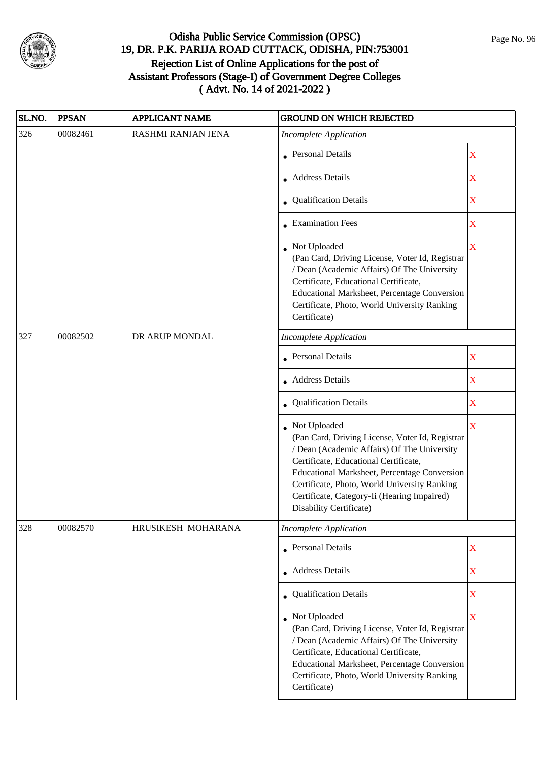

| SL.NO. | <b>PPSAN</b> | <b>APPLICANT NAME</b> | <b>GROUND ON WHICH REJECTED</b>                                                                                                                                                                                                                                                                                                   |                         |
|--------|--------------|-----------------------|-----------------------------------------------------------------------------------------------------------------------------------------------------------------------------------------------------------------------------------------------------------------------------------------------------------------------------------|-------------------------|
| 326    | 00082461     | RASHMI RANJAN JENA    | <b>Incomplete Application</b>                                                                                                                                                                                                                                                                                                     |                         |
|        |              |                       | <b>Personal Details</b>                                                                                                                                                                                                                                                                                                           | X                       |
|        |              |                       | <b>Address Details</b>                                                                                                                                                                                                                                                                                                            | $\mathbf X$             |
|        |              |                       | • Qualification Details                                                                                                                                                                                                                                                                                                           | $\mathbf X$             |
|        |              |                       | • Examination Fees                                                                                                                                                                                                                                                                                                                | $\overline{\textbf{X}}$ |
|        |              |                       | Not Uploaded<br>(Pan Card, Driving License, Voter Id, Registrar<br>/ Dean (Academic Affairs) Of The University<br>Certificate, Educational Certificate,<br>Educational Marksheet, Percentage Conversion<br>Certificate, Photo, World University Ranking<br>Certificate)                                                           | $\overline{\mathbf{X}}$ |
| 327    | 00082502     | DR ARUP MONDAL        | <b>Incomplete Application</b>                                                                                                                                                                                                                                                                                                     |                         |
|        |              |                       | <b>Personal Details</b>                                                                                                                                                                                                                                                                                                           | X                       |
|        |              |                       | • Address Details                                                                                                                                                                                                                                                                                                                 | $\mathbf X$             |
|        |              |                       | Qualification Details                                                                                                                                                                                                                                                                                                             | X                       |
|        |              |                       | Not Uploaded<br>(Pan Card, Driving License, Voter Id, Registrar<br>/ Dean (Academic Affairs) Of The University<br>Certificate, Educational Certificate,<br>Educational Marksheet, Percentage Conversion<br>Certificate, Photo, World University Ranking<br>Certificate, Category-Ii (Hearing Impaired)<br>Disability Certificate) | $\overline{\textbf{X}}$ |
| 328    | 00082570     | HRUSIKESH MOHARANA    | <b>Incomplete Application</b>                                                                                                                                                                                                                                                                                                     |                         |
|        |              |                       | <b>Personal Details</b>                                                                                                                                                                                                                                                                                                           | $\mathbf X$             |
|        |              |                       | <b>Address Details</b>                                                                                                                                                                                                                                                                                                            | $\mathbf X$             |
|        |              |                       | • Qualification Details                                                                                                                                                                                                                                                                                                           | $\mathbf X$             |
|        |              |                       | Not Uploaded<br>(Pan Card, Driving License, Voter Id, Registrar<br>/ Dean (Academic Affairs) Of The University<br>Certificate, Educational Certificate,<br>Educational Marksheet, Percentage Conversion<br>Certificate, Photo, World University Ranking<br>Certificate)                                                           | $\overline{\mathbf{X}}$ |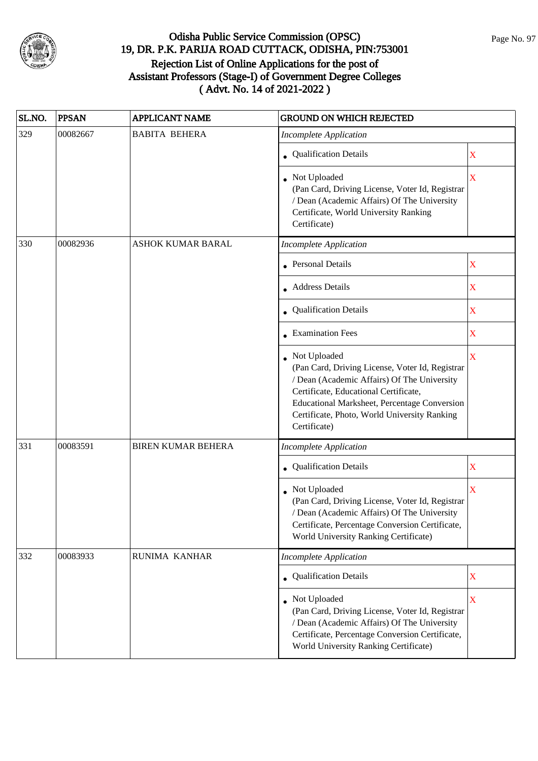

| SL.NO. | <b>PPSAN</b> | <b>APPLICANT NAME</b>     | <b>GROUND ON WHICH REJECTED</b>                                                                                                                                                                                                                                         |                         |
|--------|--------------|---------------------------|-------------------------------------------------------------------------------------------------------------------------------------------------------------------------------------------------------------------------------------------------------------------------|-------------------------|
| 329    | 00082667     | <b>BABITA BEHERA</b>      | <b>Incomplete Application</b>                                                                                                                                                                                                                                           |                         |
|        |              |                           | • Qualification Details                                                                                                                                                                                                                                                 | X                       |
|        |              |                           | Not Uploaded<br>(Pan Card, Driving License, Voter Id, Registrar<br>/ Dean (Academic Affairs) Of The University<br>Certificate, World University Ranking<br>Certificate)                                                                                                 | X                       |
| 330    | 00082936     | <b>ASHOK KUMAR BARAL</b>  | <b>Incomplete Application</b>                                                                                                                                                                                                                                           |                         |
|        |              |                           | Personal Details                                                                                                                                                                                                                                                        | X                       |
|        |              |                           | Address Details                                                                                                                                                                                                                                                         | X                       |
|        |              |                           | Qualification Details                                                                                                                                                                                                                                                   | X                       |
|        |              |                           | • Examination Fees                                                                                                                                                                                                                                                      | X                       |
|        |              |                           | Not Uploaded<br>(Pan Card, Driving License, Voter Id, Registrar<br>/ Dean (Academic Affairs) Of The University<br>Certificate, Educational Certificate,<br>Educational Marksheet, Percentage Conversion<br>Certificate, Photo, World University Ranking<br>Certificate) | X                       |
| 331    | 00083591     | <b>BIREN KUMAR BEHERA</b> | <b>Incomplete Application</b>                                                                                                                                                                                                                                           |                         |
|        |              |                           | • Qualification Details                                                                                                                                                                                                                                                 | $\mathbf X$             |
|        |              |                           | Not Uploaded<br>(Pan Card, Driving License, Voter Id, Registrar<br>/ Dean (Academic Affairs) Of The University<br>Certificate, Percentage Conversion Certificate,<br>World University Ranking Certificate)                                                              | X                       |
| 332    | 00083933     | RUNIMA KANHAR             | <b>Incomplete Application</b>                                                                                                                                                                                                                                           |                         |
|        |              |                           | <b>Qualification Details</b>                                                                                                                                                                                                                                            | X                       |
|        |              |                           | Not Uploaded<br>(Pan Card, Driving License, Voter Id, Registrar<br>/ Dean (Academic Affairs) Of The University<br>Certificate, Percentage Conversion Certificate,<br>World University Ranking Certificate)                                                              | $\overline{\mathbf{X}}$ |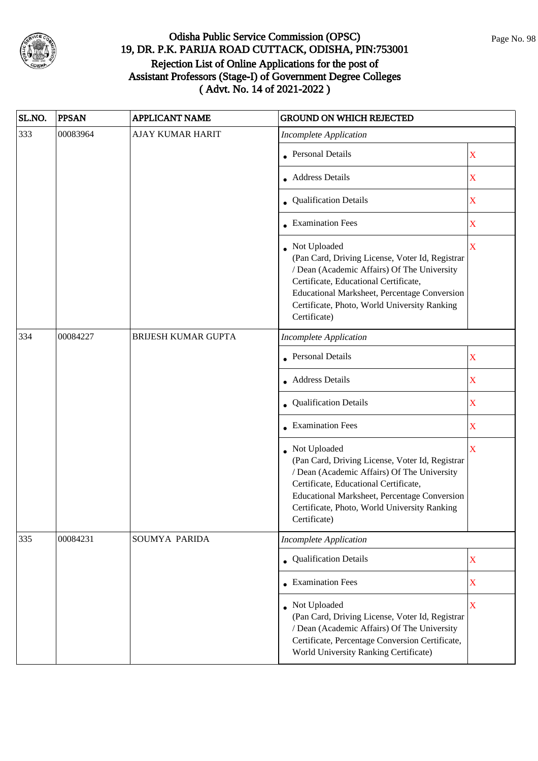

| SL.NO. | <b>PPSAN</b> | <b>APPLICANT NAME</b>   | <b>GROUND ON WHICH REJECTED</b>                                                                                                                                                                                                                                           |                         |
|--------|--------------|-------------------------|---------------------------------------------------------------------------------------------------------------------------------------------------------------------------------------------------------------------------------------------------------------------------|-------------------------|
| 333    | 00083964     | <b>AJAY KUMAR HARIT</b> | <b>Incomplete Application</b>                                                                                                                                                                                                                                             |                         |
|        |              |                         | <b>Personal Details</b>                                                                                                                                                                                                                                                   | X                       |
|        |              |                         | <b>Address Details</b>                                                                                                                                                                                                                                                    | $\mathbf X$             |
|        |              |                         | • Qualification Details                                                                                                                                                                                                                                                   | X                       |
|        |              |                         | • Examination Fees                                                                                                                                                                                                                                                        | $\mathbf X$             |
|        |              |                         | • Not Uploaded<br>(Pan Card, Driving License, Voter Id, Registrar<br>/ Dean (Academic Affairs) Of The University<br>Certificate, Educational Certificate,<br>Educational Marksheet, Percentage Conversion<br>Certificate, Photo, World University Ranking<br>Certificate) | $\overline{\mathbf{X}}$ |
| 334    | 00084227     | BRIJESH KUMAR GUPTA     | <b>Incomplete Application</b>                                                                                                                                                                                                                                             |                         |
|        |              |                         | <b>Personal Details</b>                                                                                                                                                                                                                                                   | X                       |
|        |              |                         | • Address Details                                                                                                                                                                                                                                                         | X                       |
|        |              |                         | • Qualification Details                                                                                                                                                                                                                                                   | $\mathbf X$             |
|        |              |                         | <b>Examination Fees</b>                                                                                                                                                                                                                                                   | X                       |
|        |              |                         | • Not Uploaded<br>(Pan Card, Driving License, Voter Id, Registrar<br>/ Dean (Academic Affairs) Of The University<br>Certificate, Educational Certificate,<br>Educational Marksheet, Percentage Conversion<br>Certificate, Photo, World University Ranking<br>Certificate) | $\overline{\mathbf{X}}$ |
| 335    | 00084231     | SOUMYA PARIDA           | <b>Incomplete Application</b>                                                                                                                                                                                                                                             |                         |
|        |              |                         | Qualification Details                                                                                                                                                                                                                                                     | X                       |
|        |              |                         | • Examination Fees                                                                                                                                                                                                                                                        | X                       |
|        |              |                         | • Not Uploaded<br>(Pan Card, Driving License, Voter Id, Registrar<br>/ Dean (Academic Affairs) Of The University<br>Certificate, Percentage Conversion Certificate,<br>World University Ranking Certificate)                                                              | X                       |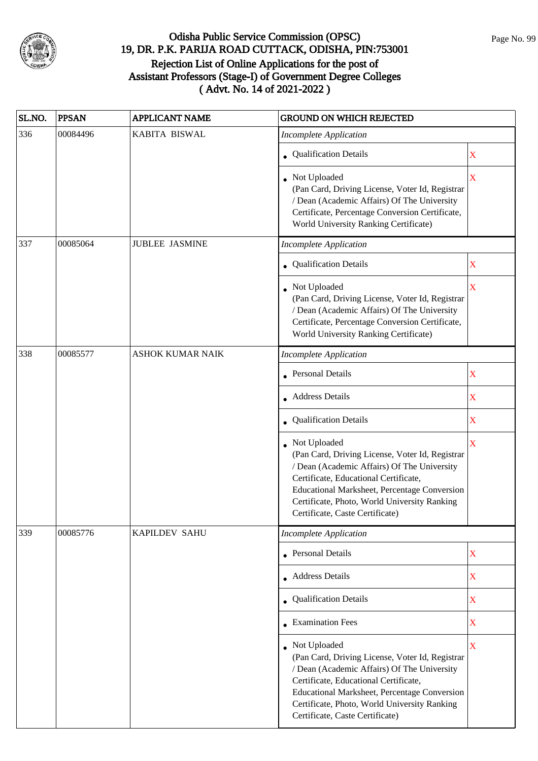

| SL.NO. | <b>PPSAN</b> | <b>APPLICANT NAME</b>   | <b>GROUND ON WHICH REJECTED</b>                                                                                                                                                                                                                                                                   |                         |
|--------|--------------|-------------------------|---------------------------------------------------------------------------------------------------------------------------------------------------------------------------------------------------------------------------------------------------------------------------------------------------|-------------------------|
| 336    | 00084496     | KABITA BISWAL           | <b>Incomplete Application</b>                                                                                                                                                                                                                                                                     |                         |
|        |              |                         | • Qualification Details                                                                                                                                                                                                                                                                           | X                       |
|        |              |                         | Not Uploaded<br>(Pan Card, Driving License, Voter Id, Registrar<br>/ Dean (Academic Affairs) Of The University<br>Certificate, Percentage Conversion Certificate,<br>World University Ranking Certificate)                                                                                        | $\overline{\textbf{X}}$ |
| 337    | 00085064     | <b>JUBLEE JASMINE</b>   | <b>Incomplete Application</b>                                                                                                                                                                                                                                                                     |                         |
|        |              |                         | • Qualification Details                                                                                                                                                                                                                                                                           | X                       |
|        |              |                         | Not Uploaded<br>(Pan Card, Driving License, Voter Id, Registrar<br>/ Dean (Academic Affairs) Of The University<br>Certificate, Percentage Conversion Certificate,<br>World University Ranking Certificate)                                                                                        | X                       |
| 338    | 00085577     | <b>ASHOK KUMAR NAIK</b> | <b>Incomplete Application</b>                                                                                                                                                                                                                                                                     |                         |
|        |              |                         | Personal Details                                                                                                                                                                                                                                                                                  | $\mathbf X$             |
|        |              |                         | • Address Details                                                                                                                                                                                                                                                                                 | X                       |
|        |              |                         | <b>Qualification Details</b>                                                                                                                                                                                                                                                                      | X                       |
|        |              |                         | Not Uploaded<br>(Pan Card, Driving License, Voter Id, Registrar<br>/ Dean (Academic Affairs) Of The University<br>Certificate, Educational Certificate,<br><b>Educational Marksheet, Percentage Conversion</b><br>Certificate, Photo, World University Ranking<br>Certificate, Caste Certificate) | X                       |
| 339    | 00085776     | KAPILDEV SAHU           | <b>Incomplete Application</b>                                                                                                                                                                                                                                                                     |                         |
|        |              |                         | Personal Details                                                                                                                                                                                                                                                                                  | $\mathbf X$             |
|        |              |                         | • Address Details                                                                                                                                                                                                                                                                                 | X                       |
|        |              |                         | Qualification Details                                                                                                                                                                                                                                                                             | X                       |
|        |              |                         | <b>Examination Fees</b>                                                                                                                                                                                                                                                                           | X                       |
|        |              |                         | Not Uploaded<br>(Pan Card, Driving License, Voter Id, Registrar<br>/ Dean (Academic Affairs) Of The University<br>Certificate, Educational Certificate,<br>Educational Marksheet, Percentage Conversion<br>Certificate, Photo, World University Ranking<br>Certificate, Caste Certificate)        | $\overline{\mathbf{X}}$ |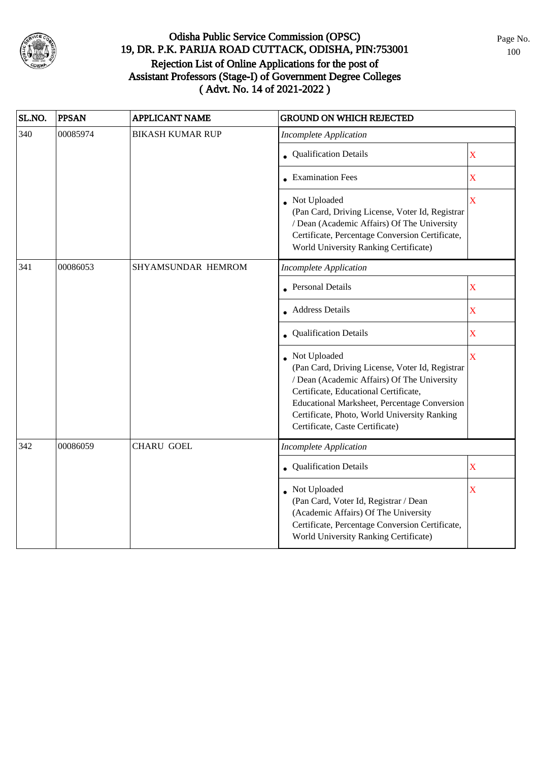

| SL.NO. | <b>PPSAN</b> | <b>APPLICANT NAME</b>   | <b>GROUND ON WHICH REJECTED</b>                                                                                                                                                                                                                                                            |                         |
|--------|--------------|-------------------------|--------------------------------------------------------------------------------------------------------------------------------------------------------------------------------------------------------------------------------------------------------------------------------------------|-------------------------|
| 340    | 00085974     | <b>BIKASH KUMAR RUP</b> | <b>Incomplete Application</b>                                                                                                                                                                                                                                                              |                         |
|        |              |                         | • Qualification Details                                                                                                                                                                                                                                                                    | $\mathbf X$             |
|        |              |                         | • Examination Fees                                                                                                                                                                                                                                                                         | $\bar{\textbf{X}}$      |
|        |              |                         | • Not Uploaded<br>(Pan Card, Driving License, Voter Id, Registrar<br>/ Dean (Academic Affairs) Of The University<br>Certificate, Percentage Conversion Certificate,<br>World University Ranking Certificate)                                                                               | $\overline{\mathbf{X}}$ |
| 341    | 00086053     | SHYAMSUNDAR HEMROM      | <b>Incomplete Application</b>                                                                                                                                                                                                                                                              |                         |
|        |              |                         | <b>Personal Details</b>                                                                                                                                                                                                                                                                    | X                       |
|        |              |                         | <b>Address Details</b>                                                                                                                                                                                                                                                                     | $\bar{X}$               |
|        |              |                         | <b>Qualification Details</b>                                                                                                                                                                                                                                                               | $\overline{\text{X}}$   |
|        |              |                         | Not Uploaded<br>(Pan Card, Driving License, Voter Id, Registrar<br>/ Dean (Academic Affairs) Of The University<br>Certificate, Educational Certificate,<br>Educational Marksheet, Percentage Conversion<br>Certificate, Photo, World University Ranking<br>Certificate, Caste Certificate) | $\bar{X}$               |
| 342    | 00086059     | <b>CHARU GOEL</b>       | <b>Incomplete Application</b>                                                                                                                                                                                                                                                              |                         |
|        |              |                         | <b>Qualification Details</b>                                                                                                                                                                                                                                                               | $\overline{\text{X}}$   |
|        |              |                         | Not Uploaded<br>(Pan Card, Voter Id, Registrar / Dean<br>(Academic Affairs) Of The University<br>Certificate, Percentage Conversion Certificate,<br>World University Ranking Certificate)                                                                                                  | $\overline{\text{X}}$   |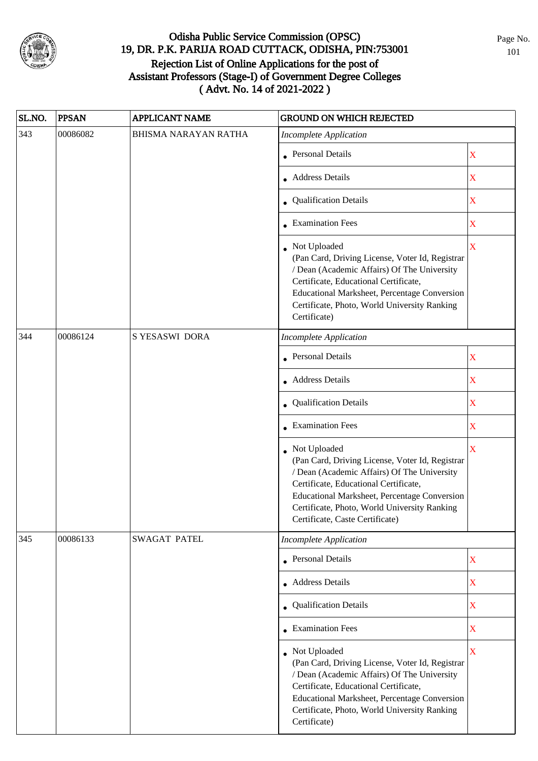

| SL.NO. | <b>PPSAN</b> | <b>APPLICANT NAME</b>       | <b>GROUND ON WHICH REJECTED</b>                                                                                                                                                                                                                                                            |                         |
|--------|--------------|-----------------------------|--------------------------------------------------------------------------------------------------------------------------------------------------------------------------------------------------------------------------------------------------------------------------------------------|-------------------------|
| 343    | 00086082     | <b>BHISMA NARAYAN RATHA</b> | <b>Incomplete Application</b>                                                                                                                                                                                                                                                              |                         |
|        |              |                             | • Personal Details                                                                                                                                                                                                                                                                         | $\mathbf X$             |
|        |              |                             | • Address Details                                                                                                                                                                                                                                                                          | $\overline{\text{X}}$   |
|        |              |                             | • Qualification Details                                                                                                                                                                                                                                                                    | $\overline{\text{X}}$   |
|        |              |                             | • Examination Fees                                                                                                                                                                                                                                                                         | $\mathbf X$             |
|        |              |                             | Not Uploaded<br>(Pan Card, Driving License, Voter Id, Registrar<br>/ Dean (Academic Affairs) Of The University<br>Certificate, Educational Certificate,<br>Educational Marksheet, Percentage Conversion<br>Certificate, Photo, World University Ranking<br>Certificate)                    | $\bar{\mathbf{X}}$      |
| 344    | 00086124     | S YESASWI DORA              | <b>Incomplete Application</b>                                                                                                                                                                                                                                                              |                         |
|        |              |                             | <b>Personal Details</b>                                                                                                                                                                                                                                                                    | $\mathbf X$             |
|        |              |                             | • Address Details                                                                                                                                                                                                                                                                          | $\overline{\text{X}}$   |
|        |              |                             | • Qualification Details                                                                                                                                                                                                                                                                    | $\overline{\text{X}}$   |
|        |              |                             | • Examination Fees                                                                                                                                                                                                                                                                         | $\overline{\text{X}}$   |
|        |              |                             | Not Uploaded<br>(Pan Card, Driving License, Voter Id, Registrar<br>/ Dean (Academic Affairs) Of The University<br>Certificate, Educational Certificate,<br>Educational Marksheet, Percentage Conversion<br>Certificate, Photo, World University Ranking<br>Certificate, Caste Certificate) | $\overline{\text{X}}$   |
| 345    | 00086133     | SWAGAT PATEL                | <b>Incomplete Application</b>                                                                                                                                                                                                                                                              |                         |
|        |              |                             | • Personal Details                                                                                                                                                                                                                                                                         | $\mathbf X$             |
|        |              |                             | • Address Details                                                                                                                                                                                                                                                                          | $\overline{\text{X}}$   |
|        |              |                             | • Qualification Details                                                                                                                                                                                                                                                                    | $\mathbf X$             |
|        |              |                             | • Examination Fees                                                                                                                                                                                                                                                                         | $\overline{\text{X}}$   |
|        |              |                             | • Not Uploaded<br>(Pan Card, Driving License, Voter Id, Registrar<br>/ Dean (Academic Affairs) Of The University<br>Certificate, Educational Certificate,<br>Educational Marksheet, Percentage Conversion<br>Certificate, Photo, World University Ranking<br>Certificate)                  | $\overline{\mathbf{X}}$ |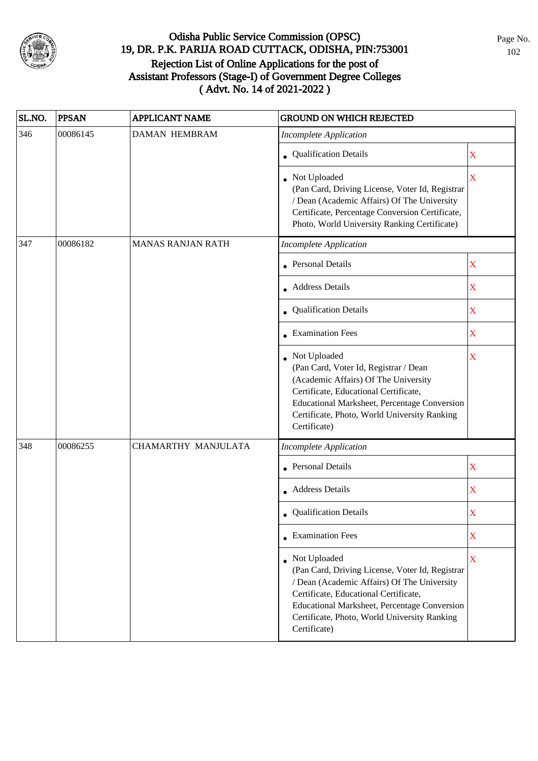

| SL.NO. | <b>PPSAN</b> | <b>APPLICANT NAME</b>    | <b>GROUND ON WHICH REJECTED</b>                                                                                                                                                                                                                                           |             |
|--------|--------------|--------------------------|---------------------------------------------------------------------------------------------------------------------------------------------------------------------------------------------------------------------------------------------------------------------------|-------------|
| 346    | 00086145     | <b>DAMAN HEMBRAM</b>     | <b>Incomplete Application</b>                                                                                                                                                                                                                                             |             |
|        |              |                          | • Qualification Details                                                                                                                                                                                                                                                   | $\mathbf X$ |
|        |              |                          | • Not Uploaded<br>(Pan Card, Driving License, Voter Id, Registrar<br>/ Dean (Academic Affairs) Of The University<br>Certificate, Percentage Conversion Certificate,<br>Photo, World University Ranking Certificate)                                                       | X           |
| 347    | 00086182     | <b>MANAS RANJAN RATH</b> | <b>Incomplete Application</b>                                                                                                                                                                                                                                             |             |
|        |              |                          | <b>Personal Details</b>                                                                                                                                                                                                                                                   | $\mathbf X$ |
|        |              |                          | • Address Details                                                                                                                                                                                                                                                         | $\mathbf X$ |
|        |              |                          | • Qualification Details                                                                                                                                                                                                                                                   | $\mathbf X$ |
|        |              |                          | • Examination Fees                                                                                                                                                                                                                                                        | $\mathbf X$ |
|        |              |                          | Not Uploaded<br>(Pan Card, Voter Id, Registrar / Dean<br>(Academic Affairs) Of The University<br>Certificate, Educational Certificate,<br>Educational Marksheet, Percentage Conversion<br>Certificate, Photo, World University Ranking<br>Certificate)                    | X           |
| 348    | 00086255     | CHAMARTHY MANJULATA      | <b>Incomplete Application</b>                                                                                                                                                                                                                                             |             |
|        |              |                          | <b>Personal Details</b>                                                                                                                                                                                                                                                   | $\mathbf X$ |
|        |              |                          | • Address Details                                                                                                                                                                                                                                                         | $\mathbf X$ |
|        |              |                          | • Qualification Details                                                                                                                                                                                                                                                   | X           |
|        |              |                          | $\bullet$ Examination Fees                                                                                                                                                                                                                                                | $\mathbf X$ |
|        |              |                          | • Not Uploaded<br>(Pan Card, Driving License, Voter Id, Registrar<br>/ Dean (Academic Affairs) Of The University<br>Certificate, Educational Certificate,<br>Educational Marksheet, Percentage Conversion<br>Certificate, Photo, World University Ranking<br>Certificate) | $\mathbf X$ |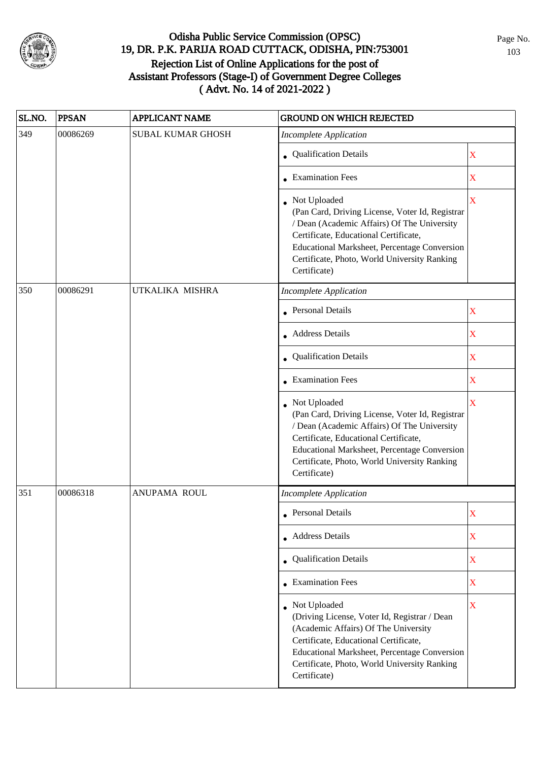

| SL.NO. | <b>PPSAN</b> | <b>APPLICANT NAME</b>    | <b>GROUND ON WHICH REJECTED</b>                                                                                                                                                                                                                                           |             |
|--------|--------------|--------------------------|---------------------------------------------------------------------------------------------------------------------------------------------------------------------------------------------------------------------------------------------------------------------------|-------------|
| 349    | 00086269     | <b>SUBAL KUMAR GHOSH</b> | <b>Incomplete Application</b>                                                                                                                                                                                                                                             |             |
|        |              |                          | • Qualification Details                                                                                                                                                                                                                                                   | $\mathbf X$ |
|        |              |                          | <b>Examination Fees</b>                                                                                                                                                                                                                                                   | $\mathbf X$ |
|        |              |                          | • Not Uploaded<br>(Pan Card, Driving License, Voter Id, Registrar<br>/ Dean (Academic Affairs) Of The University<br>Certificate, Educational Certificate,<br>Educational Marksheet, Percentage Conversion<br>Certificate, Photo, World University Ranking<br>Certificate) | X           |
| 350    | 00086291     | UTKALIKA MISHRA          | <b>Incomplete Application</b>                                                                                                                                                                                                                                             |             |
|        |              |                          | • Personal Details                                                                                                                                                                                                                                                        | X           |
|        |              |                          | • Address Details                                                                                                                                                                                                                                                         | X           |
|        |              |                          | • Qualification Details                                                                                                                                                                                                                                                   | X           |
|        |              |                          | • Examination Fees                                                                                                                                                                                                                                                        | $\mathbf X$ |
|        |              |                          | Not Uploaded<br>(Pan Card, Driving License, Voter Id, Registrar<br>/ Dean (Academic Affairs) Of The University<br>Certificate, Educational Certificate,<br>Educational Marksheet, Percentage Conversion<br>Certificate, Photo, World University Ranking<br>Certificate)   | X           |
| 351    | 00086318     | ANUPAMA ROUL             | <b>Incomplete Application</b>                                                                                                                                                                                                                                             |             |
|        |              |                          | • Personal Details                                                                                                                                                                                                                                                        | $\mathbf X$ |
|        |              |                          | • Address Details                                                                                                                                                                                                                                                         | X           |
|        |              |                          | • Qualification Details                                                                                                                                                                                                                                                   | $\mathbf X$ |
|        |              |                          | • Examination Fees                                                                                                                                                                                                                                                        | $\mathbf X$ |
|        |              |                          | Not Uploaded<br>(Driving License, Voter Id, Registrar / Dean<br>(Academic Affairs) Of The University<br>Certificate, Educational Certificate,<br>Educational Marksheet, Percentage Conversion<br>Certificate, Photo, World University Ranking<br>Certificate)             | $\mathbf X$ |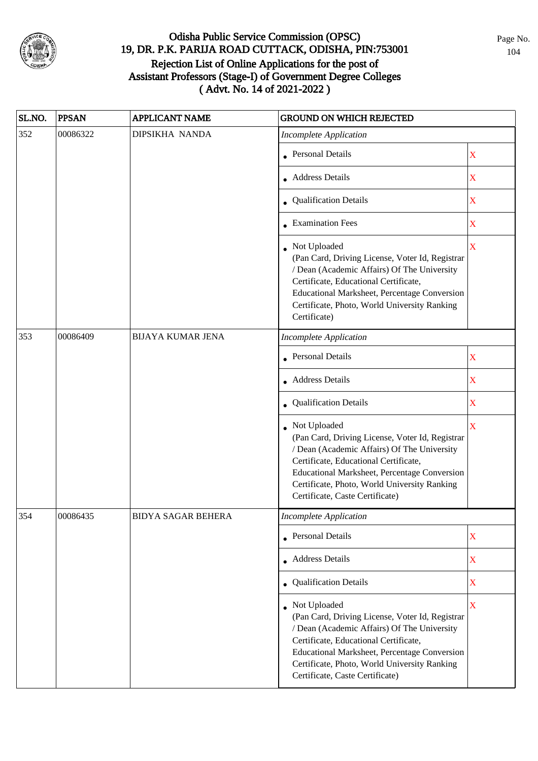

| SL.NO. | <b>PPSAN</b> | <b>APPLICANT NAME</b>     | <b>GROUND ON WHICH REJECTED</b>                                                                                                                                                                                                                                                              |                         |
|--------|--------------|---------------------------|----------------------------------------------------------------------------------------------------------------------------------------------------------------------------------------------------------------------------------------------------------------------------------------------|-------------------------|
| 352    | 00086322     | DIPSIKHA NANDA            | <b>Incomplete Application</b>                                                                                                                                                                                                                                                                |                         |
|        |              |                           | • Personal Details                                                                                                                                                                                                                                                                           | $\mathbf X$             |
|        |              |                           | Address Details                                                                                                                                                                                                                                                                              | $\mathbf X$             |
|        |              |                           | • Qualification Details                                                                                                                                                                                                                                                                      | $\mathbf X$             |
|        |              |                           | • Examination Fees                                                                                                                                                                                                                                                                           | $\mathbf X$             |
|        |              |                           | Not Uploaded<br>(Pan Card, Driving License, Voter Id, Registrar<br>/ Dean (Academic Affairs) Of The University<br>Certificate, Educational Certificate,<br><b>Educational Marksheet, Percentage Conversion</b><br>Certificate, Photo, World University Ranking<br>Certificate)               | $\mathbf X$             |
| 353    | 00086409     | <b>BIJAYA KUMAR JENA</b>  | <b>Incomplete Application</b>                                                                                                                                                                                                                                                                |                         |
|        |              |                           | • Personal Details                                                                                                                                                                                                                                                                           | $\mathbf X$             |
|        |              |                           | <b>Address Details</b>                                                                                                                                                                                                                                                                       | $\mathbf X$             |
|        |              |                           | • Qualification Details                                                                                                                                                                                                                                                                      | $\mathbf X$             |
|        |              |                           | Not Uploaded<br>(Pan Card, Driving License, Voter Id, Registrar<br>/ Dean (Academic Affairs) Of The University<br>Certificate, Educational Certificate,<br>Educational Marksheet, Percentage Conversion<br>Certificate, Photo, World University Ranking<br>Certificate, Caste Certificate)   | $\overline{\mathbf{X}}$ |
| 354    | 00086435     | <b>BIDYA SAGAR BEHERA</b> | Incomplete Application                                                                                                                                                                                                                                                                       |                         |
|        |              |                           | • Personal Details                                                                                                                                                                                                                                                                           | $\mathbf X$             |
|        |              |                           | • Address Details                                                                                                                                                                                                                                                                            | $\mathbf X$             |
|        |              |                           | • Qualification Details                                                                                                                                                                                                                                                                      | $\mathbf X$             |
|        |              |                           | • Not Uploaded<br>(Pan Card, Driving License, Voter Id, Registrar<br>/ Dean (Academic Affairs) Of The University<br>Certificate, Educational Certificate,<br>Educational Marksheet, Percentage Conversion<br>Certificate, Photo, World University Ranking<br>Certificate, Caste Certificate) | $\mathbf X$             |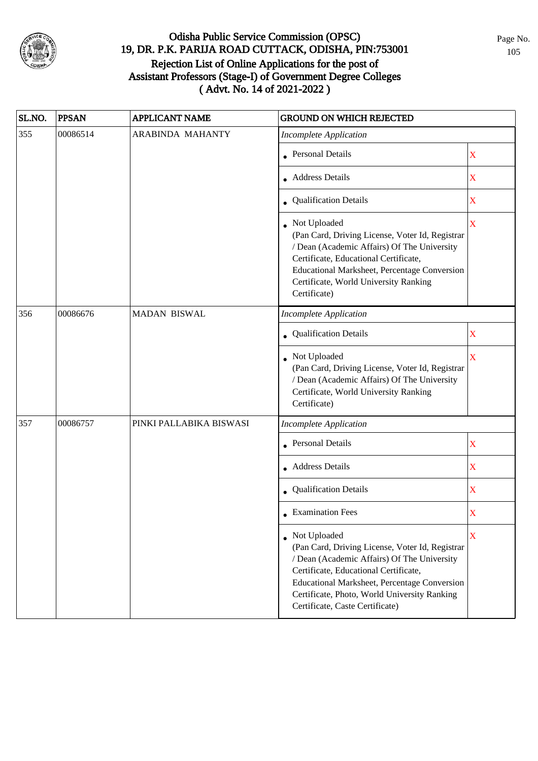

| SL.NO. | <b>PPSAN</b> | <b>APPLICANT NAME</b>   | <b>GROUND ON WHICH REJECTED</b>                                                                                                                                                                                                                                                              |                         |
|--------|--------------|-------------------------|----------------------------------------------------------------------------------------------------------------------------------------------------------------------------------------------------------------------------------------------------------------------------------------------|-------------------------|
| 355    | 00086514     | <b>ARABINDA MAHANTY</b> | <b>Incomplete Application</b>                                                                                                                                                                                                                                                                |                         |
|        |              |                         | <b>Personal Details</b>                                                                                                                                                                                                                                                                      | X                       |
|        |              |                         | <b>Address Details</b>                                                                                                                                                                                                                                                                       | $\mathbf X$             |
|        |              |                         | • Qualification Details                                                                                                                                                                                                                                                                      | $\mathbf X$             |
|        |              |                         | • Not Uploaded<br>(Pan Card, Driving License, Voter Id, Registrar<br>/ Dean (Academic Affairs) Of The University<br>Certificate, Educational Certificate,<br>Educational Marksheet, Percentage Conversion<br>Certificate, World University Ranking<br>Certificate)                           | $\overline{\mathbf{X}}$ |
| 356    | 00086676     | <b>MADAN BISWAL</b>     | <b>Incomplete Application</b>                                                                                                                                                                                                                                                                |                         |
|        |              |                         | Qualification Details                                                                                                                                                                                                                                                                        | X                       |
|        |              |                         | Not Uploaded<br>(Pan Card, Driving License, Voter Id, Registrar<br>/ Dean (Academic Affairs) Of The University<br>Certificate, World University Ranking<br>Certificate)                                                                                                                      | $\bar{X}$               |
| 357    | 00086757     | PINKI PALLABIKA BISWASI | <b>Incomplete Application</b>                                                                                                                                                                                                                                                                |                         |
|        |              |                         | Personal Details                                                                                                                                                                                                                                                                             | X                       |
|        |              |                         | <b>Address Details</b>                                                                                                                                                                                                                                                                       | $\mathbf X$             |
|        |              |                         | • Qualification Details                                                                                                                                                                                                                                                                      | $\mathbf X$             |
|        |              |                         | $\bullet$ Examination Fees                                                                                                                                                                                                                                                                   | X                       |
|        |              |                         | • Not Uploaded<br>(Pan Card, Driving License, Voter Id, Registrar<br>/ Dean (Academic Affairs) Of The University<br>Certificate, Educational Certificate,<br>Educational Marksheet, Percentage Conversion<br>Certificate, Photo, World University Ranking<br>Certificate, Caste Certificate) | X                       |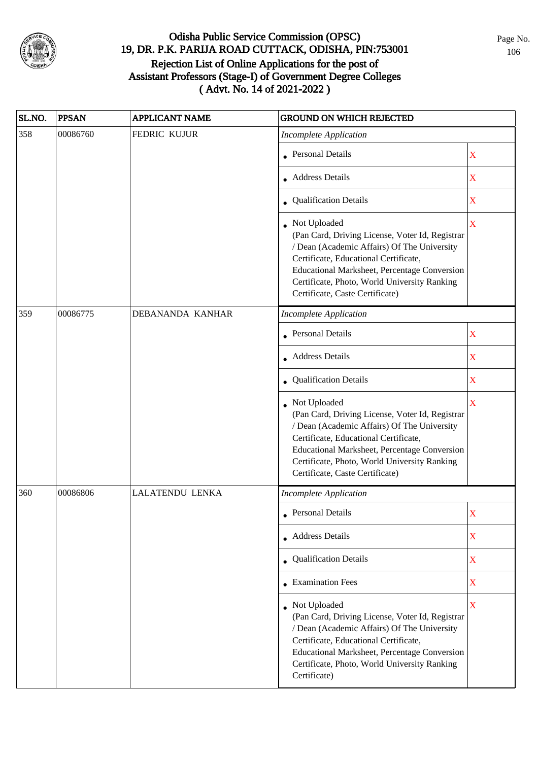

| SL.NO. | <b>PPSAN</b> | <b>APPLICANT NAME</b>  | <b>GROUND ON WHICH REJECTED</b>                                                                                                                                                                                                                                                            |                         |
|--------|--------------|------------------------|--------------------------------------------------------------------------------------------------------------------------------------------------------------------------------------------------------------------------------------------------------------------------------------------|-------------------------|
| 358    | 00086760     | FEDRIC KUJUR           | <b>Incomplete Application</b>                                                                                                                                                                                                                                                              |                         |
|        |              |                        | • Personal Details                                                                                                                                                                                                                                                                         | X                       |
|        |              |                        | • Address Details                                                                                                                                                                                                                                                                          | $\overline{\mathbf{X}}$ |
|        |              |                        | • Qualification Details                                                                                                                                                                                                                                                                    | $\overline{\textbf{X}}$ |
|        |              |                        | Not Uploaded<br>(Pan Card, Driving License, Voter Id, Registrar<br>/ Dean (Academic Affairs) Of The University<br>Certificate, Educational Certificate,<br>Educational Marksheet, Percentage Conversion<br>Certificate, Photo, World University Ranking<br>Certificate, Caste Certificate) | $\overline{\mathbf{X}}$ |
| 359    | 00086775     | DEBANANDA KANHAR       | <b>Incomplete Application</b>                                                                                                                                                                                                                                                              |                         |
|        |              |                        | <b>Personal Details</b>                                                                                                                                                                                                                                                                    | X                       |
|        |              |                        | <b>Address Details</b>                                                                                                                                                                                                                                                                     | X                       |
|        |              |                        | Qualification Details                                                                                                                                                                                                                                                                      | $\mathbf X$             |
|        |              |                        | Not Uploaded<br>(Pan Card, Driving License, Voter Id, Registrar<br>/ Dean (Academic Affairs) Of The University<br>Certificate, Educational Certificate,<br>Educational Marksheet, Percentage Conversion<br>Certificate, Photo, World University Ranking<br>Certificate, Caste Certificate) | $\overline{\mathbf{X}}$ |
| 360    | 00086806     | <b>LALATENDU LENKA</b> | <b>Incomplete Application</b>                                                                                                                                                                                                                                                              |                         |
|        |              |                        | • Personal Details                                                                                                                                                                                                                                                                         | $\mathbf X$             |
|        |              |                        | • Address Details                                                                                                                                                                                                                                                                          | $\mathbf X$             |
|        |              |                        | • Qualification Details                                                                                                                                                                                                                                                                    | $\mathbf X$             |
|        |              |                        | • Examination Fees                                                                                                                                                                                                                                                                         | $\overline{\textbf{X}}$ |
|        |              |                        | Not Uploaded<br>(Pan Card, Driving License, Voter Id, Registrar<br>/ Dean (Academic Affairs) Of The University<br>Certificate, Educational Certificate,<br>Educational Marksheet, Percentage Conversion<br>Certificate, Photo, World University Ranking<br>Certificate)                    | $\bar{\mathbf{X}}$      |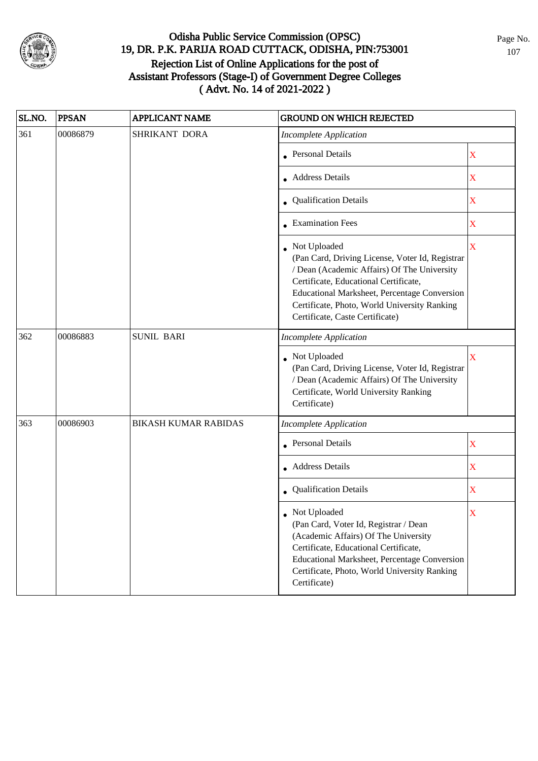

| SL.NO. | <b>PPSAN</b> | <b>APPLICANT NAME</b>       | <b>GROUND ON WHICH REJECTED</b>                                                                                                                                                                                                                                                            |             |
|--------|--------------|-----------------------------|--------------------------------------------------------------------------------------------------------------------------------------------------------------------------------------------------------------------------------------------------------------------------------------------|-------------|
| 361    | 00086879     | SHRIKANT DORA               | <b>Incomplete Application</b>                                                                                                                                                                                                                                                              |             |
|        |              |                             | <b>Personal Details</b>                                                                                                                                                                                                                                                                    | X           |
|        |              |                             | • Address Details                                                                                                                                                                                                                                                                          | X           |
|        |              |                             | • Qualification Details                                                                                                                                                                                                                                                                    | X           |
|        |              |                             | • Examination Fees                                                                                                                                                                                                                                                                         | X           |
|        |              |                             | Not Uploaded<br>(Pan Card, Driving License, Voter Id, Registrar<br>/ Dean (Academic Affairs) Of The University<br>Certificate, Educational Certificate,<br>Educational Marksheet, Percentage Conversion<br>Certificate, Photo, World University Ranking<br>Certificate, Caste Certificate) | $\mathbf X$ |
| 362    | 00086883     | <b>SUNIL BARI</b>           | <b>Incomplete Application</b>                                                                                                                                                                                                                                                              |             |
|        |              |                             | Not Uploaded<br>(Pan Card, Driving License, Voter Id, Registrar<br>/ Dean (Academic Affairs) Of The University<br>Certificate, World University Ranking<br>Certificate)                                                                                                                    | X           |
| 363    | 00086903     | <b>BIKASH KUMAR RABIDAS</b> | <b>Incomplete Application</b>                                                                                                                                                                                                                                                              |             |
|        |              |                             | <b>Personal Details</b>                                                                                                                                                                                                                                                                    | $\mathbf X$ |
|        |              |                             | • Address Details                                                                                                                                                                                                                                                                          | $\mathbf X$ |
|        |              |                             | Qualification Details                                                                                                                                                                                                                                                                      | $\mathbf X$ |
|        |              |                             | $\bullet~$ Not Uploaded<br>(Pan Card, Voter Id, Registrar / Dean<br>(Academic Affairs) Of The University<br>Certificate, Educational Certificate,<br>Educational Marksheet, Percentage Conversion<br>Certificate, Photo, World University Ranking<br>Certificate)                          | X           |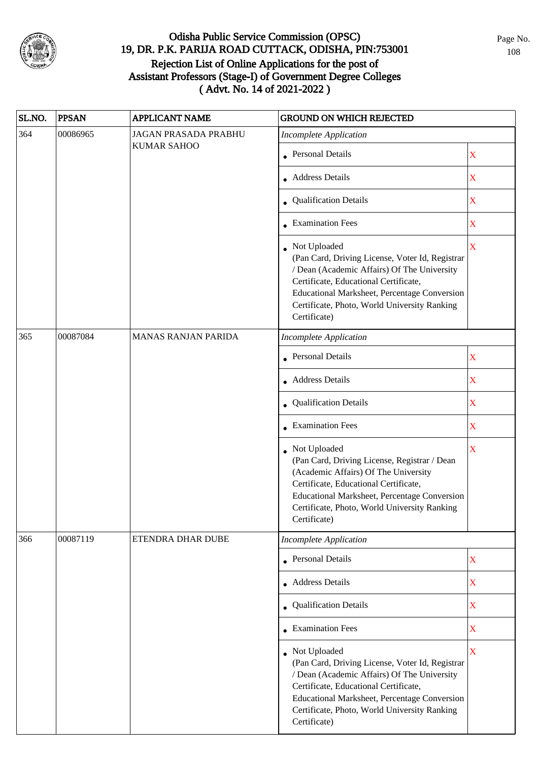

| SL.NO. | <b>PPSAN</b> | <b>APPLICANT NAME</b>       | <b>GROUND ON WHICH REJECTED</b>                                                                                                                                                                                                                                           |                       |
|--------|--------------|-----------------------------|---------------------------------------------------------------------------------------------------------------------------------------------------------------------------------------------------------------------------------------------------------------------------|-----------------------|
| 364    | 00086965     | <b>JAGAN PRASADA PRABHU</b> | <b>Incomplete Application</b>                                                                                                                                                                                                                                             |                       |
|        |              | <b>KUMAR SAHOO</b>          | • Personal Details                                                                                                                                                                                                                                                        | $\mathbf X$           |
|        |              |                             | • Address Details                                                                                                                                                                                                                                                         | X                     |
|        |              |                             | • Qualification Details                                                                                                                                                                                                                                                   | $\mathbf X$           |
|        |              |                             | • Examination Fees                                                                                                                                                                                                                                                        | X                     |
|        |              |                             | • Not Uploaded<br>(Pan Card, Driving License, Voter Id, Registrar<br>/ Dean (Academic Affairs) Of The University<br>Certificate, Educational Certificate,<br>Educational Marksheet, Percentage Conversion<br>Certificate, Photo, World University Ranking<br>Certificate) | $\mathbf X$           |
| 365    | 00087084     | <b>MANAS RANJAN PARIDA</b>  | <b>Incomplete Application</b>                                                                                                                                                                                                                                             |                       |
|        |              |                             | Personal Details                                                                                                                                                                                                                                                          | X                     |
|        |              |                             | • Address Details                                                                                                                                                                                                                                                         | X                     |
|        |              |                             | • Qualification Details                                                                                                                                                                                                                                                   | $\mathbf X$           |
|        |              |                             | $\bullet$ Examination Fees                                                                                                                                                                                                                                                | $\mathbf X$           |
|        |              |                             | Not Uploaded<br>(Pan Card, Driving License, Registrar / Dean<br>(Academic Affairs) Of The University<br>Certificate, Educational Certificate,<br>Educational Marksheet, Percentage Conversion<br>Certificate, Photo, World University Ranking<br>Certificate)             | X                     |
| 366    | 00087119     | ETENDRA DHAR DUBE           | <b>Incomplete Application</b>                                                                                                                                                                                                                                             |                       |
|        |              |                             | • Personal Details                                                                                                                                                                                                                                                        | $\mathbf X$           |
|        |              |                             | • Address Details                                                                                                                                                                                                                                                         | $\mathbf X$           |
|        |              |                             | • Qualification Details                                                                                                                                                                                                                                                   | X                     |
|        |              |                             | $\bullet$ Examination Fees                                                                                                                                                                                                                                                | $\mathbf X$           |
|        |              |                             | • Not Uploaded<br>(Pan Card, Driving License, Voter Id, Registrar<br>/ Dean (Academic Affairs) Of The University<br>Certificate, Educational Certificate,<br>Educational Marksheet, Percentage Conversion<br>Certificate, Photo, World University Ranking<br>Certificate) | $\overline{\text{X}}$ |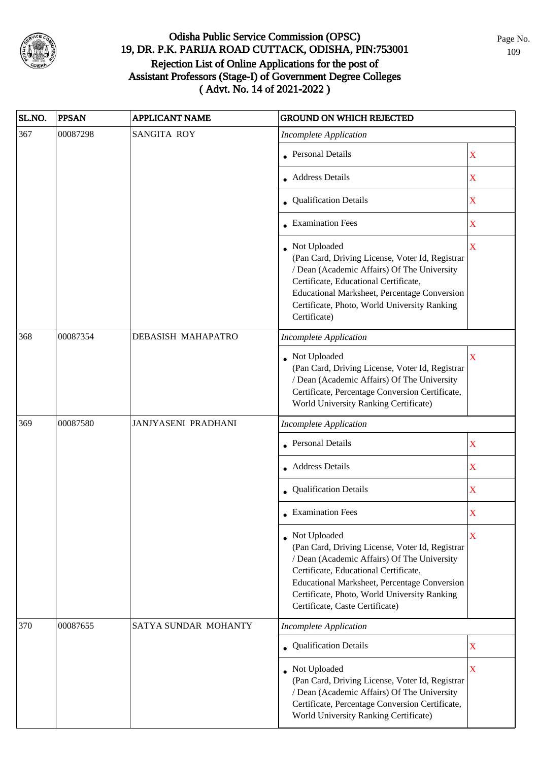

| SL.NO. | <b>PPSAN</b> | <b>APPLICANT NAME</b> | <b>GROUND ON WHICH REJECTED</b>                                                                                                                                                                                                                                                                     |                         |
|--------|--------------|-----------------------|-----------------------------------------------------------------------------------------------------------------------------------------------------------------------------------------------------------------------------------------------------------------------------------------------------|-------------------------|
| 367    | 00087298     | <b>SANGITA ROY</b>    | <b>Incomplete Application</b>                                                                                                                                                                                                                                                                       |                         |
|        |              |                       | <b>Personal Details</b>                                                                                                                                                                                                                                                                             | $\mathbf X$             |
|        |              |                       | <b>Address Details</b>                                                                                                                                                                                                                                                                              | $\mathbf X$             |
|        |              |                       | • Qualification Details                                                                                                                                                                                                                                                                             | $\mathbf X$             |
|        |              |                       | • Examination Fees                                                                                                                                                                                                                                                                                  | X                       |
|        |              |                       | • Not Uploaded<br>(Pan Card, Driving License, Voter Id, Registrar<br>/ Dean (Academic Affairs) Of The University<br>Certificate, Educational Certificate,<br>Educational Marksheet, Percentage Conversion<br>Certificate, Photo, World University Ranking<br>Certificate)                           | $\overline{\mathbf{X}}$ |
| 368    | 00087354     | DEBASISH MAHAPATRO    | <b>Incomplete Application</b>                                                                                                                                                                                                                                                                       |                         |
|        |              |                       | Not Uploaded<br>(Pan Card, Driving License, Voter Id, Registrar<br>/ Dean (Academic Affairs) Of The University<br>Certificate, Percentage Conversion Certificate,<br>World University Ranking Certificate)                                                                                          | $\overline{\mathbf{X}}$ |
| 369    | 00087580     | JANJYASENI PRADHANI   | <b>Incomplete Application</b>                                                                                                                                                                                                                                                                       |                         |
|        |              |                       | <b>Personal Details</b>                                                                                                                                                                                                                                                                             | X                       |
|        |              |                       | • Address Details                                                                                                                                                                                                                                                                                   | $\mathbf X$             |
|        |              |                       | Qualification Details                                                                                                                                                                                                                                                                               | $\mathbf X$             |
|        |              |                       | $\bullet$ Examination Fees                                                                                                                                                                                                                                                                          | $\mathbf X$             |
|        |              |                       | • Not Uploaded<br>(Pan Card, Driving License, Voter Id, Registrar<br>/ Dean (Academic Affairs) Of The University<br>Certificate, Educational Certificate,<br><b>Educational Marksheet, Percentage Conversion</b><br>Certificate, Photo, World University Ranking<br>Certificate, Caste Certificate) | X                       |
| 370    | 00087655     | SATYA SUNDAR MOHANTY  | <b>Incomplete Application</b>                                                                                                                                                                                                                                                                       |                         |
|        |              |                       | • Qualification Details                                                                                                                                                                                                                                                                             | $\mathbf X$             |
|        |              |                       | Not Uploaded<br>(Pan Card, Driving License, Voter Id, Registrar<br>/ Dean (Academic Affairs) Of The University<br>Certificate, Percentage Conversion Certificate,<br>World University Ranking Certificate)                                                                                          | $\overline{\mathbf{X}}$ |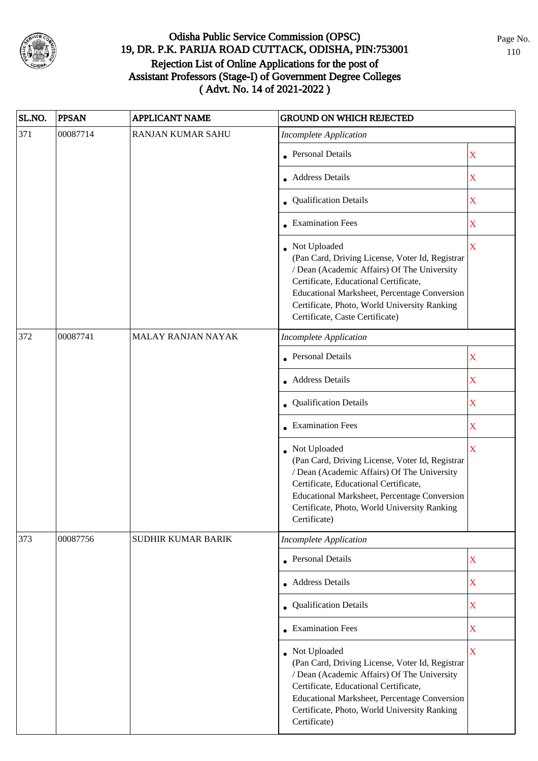

| SL.NO. | <b>PPSAN</b> | APPLICANT NAME           | <b>GROUND ON WHICH REJECTED</b>                                                                                                                                                                                                                                                              |                         |
|--------|--------------|--------------------------|----------------------------------------------------------------------------------------------------------------------------------------------------------------------------------------------------------------------------------------------------------------------------------------------|-------------------------|
| 371    | 00087714     | <b>RANJAN KUMAR SAHU</b> | <b>Incomplete Application</b>                                                                                                                                                                                                                                                                |                         |
|        |              |                          | <b>Personal Details</b>                                                                                                                                                                                                                                                                      | $\mathbf X$             |
|        |              |                          | • Address Details                                                                                                                                                                                                                                                                            | $\mathbf X$             |
|        |              |                          | • Qualification Details                                                                                                                                                                                                                                                                      | $\bar{\textbf{X}}$      |
|        |              |                          | • Examination Fees                                                                                                                                                                                                                                                                           | $\mathbf X$             |
|        |              |                          | • Not Uploaded<br>(Pan Card, Driving License, Voter Id, Registrar<br>/ Dean (Academic Affairs) Of The University<br>Certificate, Educational Certificate,<br>Educational Marksheet, Percentage Conversion<br>Certificate, Photo, World University Ranking<br>Certificate, Caste Certificate) | X                       |
| 372    | 00087741     | MALAY RANJAN NAYAK       | <b>Incomplete Application</b>                                                                                                                                                                                                                                                                |                         |
|        |              |                          | • Personal Details                                                                                                                                                                                                                                                                           | $\mathbf X$             |
|        |              |                          | • Address Details                                                                                                                                                                                                                                                                            | $\mathbf X$             |
|        |              |                          | <b>Qualification Details</b>                                                                                                                                                                                                                                                                 | $\mathbf X$             |
|        |              |                          | $\bullet$ Examination Fees                                                                                                                                                                                                                                                                   | $\mathbf X$             |
|        |              |                          | • Not Uploaded<br>(Pan Card, Driving License, Voter Id, Registrar<br>/ Dean (Academic Affairs) Of The University<br>Certificate, Educational Certificate,<br>Educational Marksheet, Percentage Conversion<br>Certificate, Photo, World University Ranking<br>Certificate)                    | $\overline{\mathbf{X}}$ |
| 373    | 00087756     | SUDHIR KUMAR BARIK       | <b>Incomplete Application</b>                                                                                                                                                                                                                                                                |                         |
|        |              |                          | • Personal Details                                                                                                                                                                                                                                                                           | $\mathbf X$             |
|        |              |                          | • Address Details                                                                                                                                                                                                                                                                            | $\mathbf X$             |
|        |              |                          | • Qualification Details                                                                                                                                                                                                                                                                      | $\mathbf X$             |
|        |              |                          | • Examination Fees                                                                                                                                                                                                                                                                           | $\mathbf X$             |
|        |              |                          | • Not Uploaded<br>(Pan Card, Driving License, Voter Id, Registrar<br>/ Dean (Academic Affairs) Of The University<br>Certificate, Educational Certificate,<br>Educational Marksheet, Percentage Conversion<br>Certificate, Photo, World University Ranking<br>Certificate)                    | $\mathbf X$             |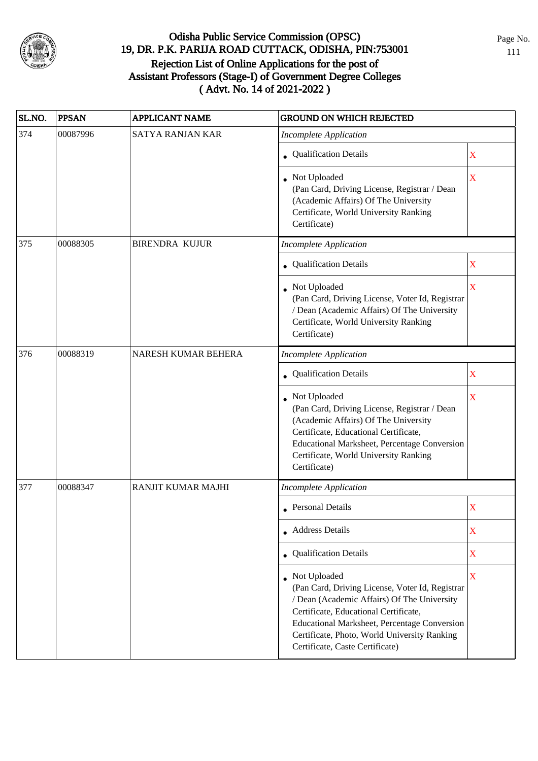

| SL.NO. | <b>PPSAN</b> | <b>APPLICANT NAME</b>     | <b>GROUND ON WHICH REJECTED</b>                                                                                                                                                                                                                                                            |                         |
|--------|--------------|---------------------------|--------------------------------------------------------------------------------------------------------------------------------------------------------------------------------------------------------------------------------------------------------------------------------------------|-------------------------|
| 374    | 00087996     | <b>SATYA RANJAN KAR</b>   | <b>Incomplete Application</b>                                                                                                                                                                                                                                                              |                         |
|        |              |                           | • Qualification Details                                                                                                                                                                                                                                                                    | X                       |
|        |              |                           | Not Uploaded<br>(Pan Card, Driving License, Registrar / Dean<br>(Academic Affairs) Of The University<br>Certificate, World University Ranking<br>Certificate)                                                                                                                              | X                       |
| 375    | 00088305     | <b>BIRENDRA KUJUR</b>     | <b>Incomplete Application</b>                                                                                                                                                                                                                                                              |                         |
|        |              |                           | • Qualification Details                                                                                                                                                                                                                                                                    | X                       |
|        |              |                           | • Not Uploaded<br>(Pan Card, Driving License, Voter Id, Registrar<br>/ Dean (Academic Affairs) Of The University<br>Certificate, World University Ranking<br>Certificate)                                                                                                                  | $\overline{\mathbf{X}}$ |
| 376    | 00088319     | NARESH KUMAR BEHERA       | <b>Incomplete Application</b>                                                                                                                                                                                                                                                              |                         |
|        |              |                           | • Qualification Details                                                                                                                                                                                                                                                                    | $\mathbf X$             |
|        |              |                           | • Not Uploaded<br>(Pan Card, Driving License, Registrar / Dean<br>(Academic Affairs) Of The University<br>Certificate, Educational Certificate,<br>Educational Marksheet, Percentage Conversion<br>Certificate, World University Ranking<br>Certificate)                                   | X                       |
| 377    | 00088347     | <b>RANJIT KUMAR MAJHI</b> | <b>Incomplete Application</b>                                                                                                                                                                                                                                                              |                         |
|        |              |                           | Personal Details                                                                                                                                                                                                                                                                           | $\mathbf X$             |
|        |              |                           | • Address Details                                                                                                                                                                                                                                                                          | X                       |
|        |              |                           | • Qualification Details                                                                                                                                                                                                                                                                    | $\mathbf X$             |
|        |              |                           | Not Uploaded<br>(Pan Card, Driving License, Voter Id, Registrar<br>/ Dean (Academic Affairs) Of The University<br>Certificate, Educational Certificate,<br>Educational Marksheet, Percentage Conversion<br>Certificate, Photo, World University Ranking<br>Certificate, Caste Certificate) | X                       |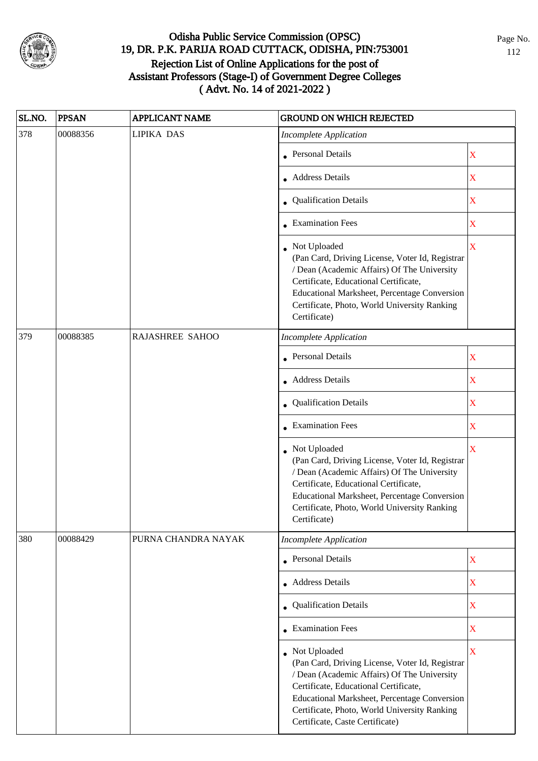

| SL.NO. | <b>PPSAN</b> | <b>APPLICANT NAME</b> | <b>GROUND ON WHICH REJECTED</b>                                                                                                                                                                                                                                                              |                         |
|--------|--------------|-----------------------|----------------------------------------------------------------------------------------------------------------------------------------------------------------------------------------------------------------------------------------------------------------------------------------------|-------------------------|
| 378    | 00088356     | <b>LIPIKA DAS</b>     | <b>Incomplete Application</b>                                                                                                                                                                                                                                                                |                         |
|        |              |                       | • Personal Details                                                                                                                                                                                                                                                                           | $\mathbf X$             |
|        |              |                       | • Address Details                                                                                                                                                                                                                                                                            | $\mathbf X$             |
|        |              |                       | • Qualification Details                                                                                                                                                                                                                                                                      | $\mathbf X$             |
|        |              |                       | • Examination Fees                                                                                                                                                                                                                                                                           | $\mathbf X$             |
|        |              |                       | • Not Uploaded<br>(Pan Card, Driving License, Voter Id, Registrar<br>/ Dean (Academic Affairs) Of The University<br>Certificate, Educational Certificate,<br><b>Educational Marksheet, Percentage Conversion</b><br>Certificate, Photo, World University Ranking<br>Certificate)             | $\mathbf X$             |
| 379    | 00088385     | RAJASHREE SAHOO       | <b>Incomplete Application</b>                                                                                                                                                                                                                                                                |                         |
|        |              |                       | <b>Personal Details</b>                                                                                                                                                                                                                                                                      | $\mathbf X$             |
|        |              |                       | • Address Details                                                                                                                                                                                                                                                                            | $\mathbf X$             |
|        |              |                       | • Qualification Details                                                                                                                                                                                                                                                                      | $\mathbf X$             |
|        |              |                       | $\bullet$ Examination Fees                                                                                                                                                                                                                                                                   | $\overline{\textbf{X}}$ |
|        |              |                       | • Not Uploaded<br>(Pan Card, Driving License, Voter Id, Registrar<br>/ Dean (Academic Affairs) Of The University<br>Certificate, Educational Certificate,<br>Educational Marksheet, Percentage Conversion<br>Certificate, Photo, World University Ranking<br>Certificate)                    | $\bar{X}$               |
| 380    | 00088429     | PURNA CHANDRA NAYAK   | <b>Incomplete Application</b>                                                                                                                                                                                                                                                                |                         |
|        |              |                       | • Personal Details                                                                                                                                                                                                                                                                           | $\mathbf X$             |
|        |              |                       | • Address Details                                                                                                                                                                                                                                                                            | $\mathbf X$             |
|        |              |                       | • Qualification Details                                                                                                                                                                                                                                                                      | $\mathbf X$             |
|        |              |                       | • Examination Fees                                                                                                                                                                                                                                                                           | $\mathbf X$             |
|        |              |                       | • Not Uploaded<br>(Pan Card, Driving License, Voter Id, Registrar<br>/ Dean (Academic Affairs) Of The University<br>Certificate, Educational Certificate,<br>Educational Marksheet, Percentage Conversion<br>Certificate, Photo, World University Ranking<br>Certificate, Caste Certificate) | X                       |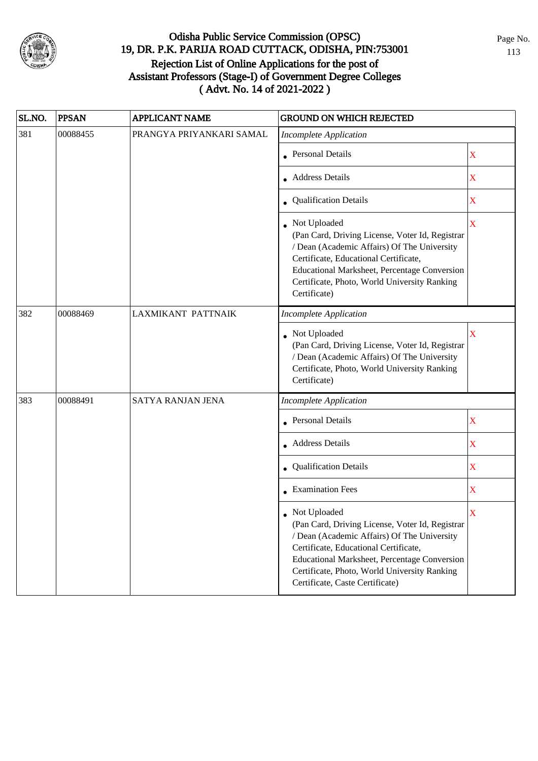

| SL.NO. | <b>PPSAN</b> | <b>APPLICANT NAME</b>    | <b>GROUND ON WHICH REJECTED</b>                                                                                                                                                                                                                                                            |                         |
|--------|--------------|--------------------------|--------------------------------------------------------------------------------------------------------------------------------------------------------------------------------------------------------------------------------------------------------------------------------------------|-------------------------|
| 381    | 00088455     | PRANGYA PRIYANKARI SAMAL | <b>Incomplete Application</b>                                                                                                                                                                                                                                                              |                         |
|        |              |                          | • Personal Details                                                                                                                                                                                                                                                                         | X                       |
|        |              |                          | • Address Details                                                                                                                                                                                                                                                                          | $\mathbf X$             |
|        |              |                          | • Qualification Details                                                                                                                                                                                                                                                                    | $\mathbf X$             |
|        |              |                          | • Not Uploaded<br>(Pan Card, Driving License, Voter Id, Registrar<br>/ Dean (Academic Affairs) Of The University<br>Certificate, Educational Certificate,<br>Educational Marksheet, Percentage Conversion<br>Certificate, Photo, World University Ranking<br>Certificate)                  | $\mathbf X$             |
| 382    | 00088469     | LAXMIKANT PATTNAIK       | <b>Incomplete Application</b>                                                                                                                                                                                                                                                              |                         |
|        |              |                          | • Not Uploaded<br>(Pan Card, Driving License, Voter Id, Registrar<br>/ Dean (Academic Affairs) Of The University<br>Certificate, Photo, World University Ranking<br>Certificate)                                                                                                           | $\bar{\mathbf{X}}$      |
| 383    | 00088491     | SATYA RANJAN JENA        | <b>Incomplete Application</b>                                                                                                                                                                                                                                                              |                         |
|        |              |                          | Personal Details                                                                                                                                                                                                                                                                           | X                       |
|        |              |                          | • Address Details                                                                                                                                                                                                                                                                          | $\mathbf X$             |
|        |              |                          | • Qualification Details                                                                                                                                                                                                                                                                    | X                       |
|        |              |                          | • Examination Fees                                                                                                                                                                                                                                                                         | $\overline{\textbf{X}}$ |
|        |              |                          | Not Uploaded<br>(Pan Card, Driving License, Voter Id, Registrar<br>/ Dean (Academic Affairs) Of The University<br>Certificate, Educational Certificate,<br>Educational Marksheet, Percentage Conversion<br>Certificate, Photo, World University Ranking<br>Certificate, Caste Certificate) | X                       |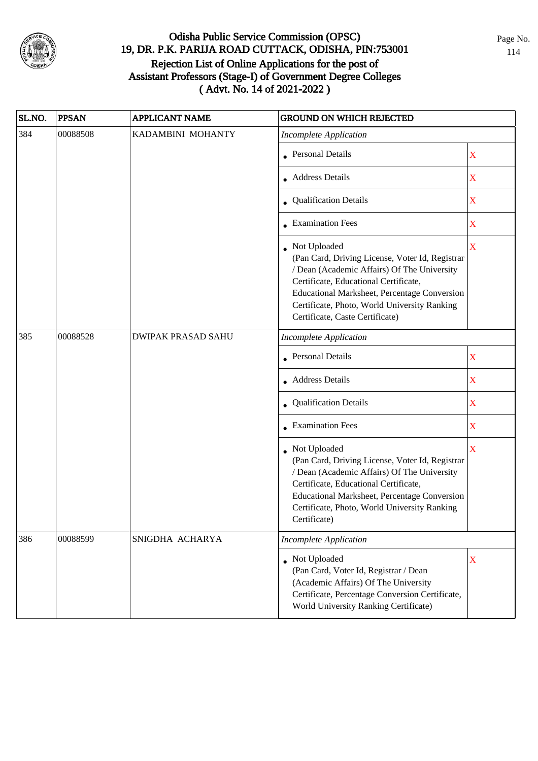

| SL.NO. | <b>PPSAN</b> | <b>APPLICANT NAME</b>     | <b>GROUND ON WHICH REJECTED</b>                                                                                                                                                                                                                                                            |                         |
|--------|--------------|---------------------------|--------------------------------------------------------------------------------------------------------------------------------------------------------------------------------------------------------------------------------------------------------------------------------------------|-------------------------|
| 384    | 00088508     | KADAMBINI MOHANTY         | <b>Incomplete Application</b>                                                                                                                                                                                                                                                              |                         |
|        |              |                           | <b>Personal Details</b>                                                                                                                                                                                                                                                                    | $\mathbf X$             |
|        |              |                           | Address Details                                                                                                                                                                                                                                                                            | $\mathbf X$             |
|        |              |                           | • Qualification Details                                                                                                                                                                                                                                                                    | $\mathbf X$             |
|        |              |                           | • Examination Fees                                                                                                                                                                                                                                                                         | $\mathbf X$             |
|        |              |                           | Not Uploaded<br>(Pan Card, Driving License, Voter Id, Registrar<br>/ Dean (Academic Affairs) Of The University<br>Certificate, Educational Certificate,<br>Educational Marksheet, Percentage Conversion<br>Certificate, Photo, World University Ranking<br>Certificate, Caste Certificate) | $\overline{\mathbf{X}}$ |
| 385    | 00088528     | <b>DWIPAK PRASAD SAHU</b> | <b>Incomplete Application</b>                                                                                                                                                                                                                                                              |                         |
|        |              |                           | <b>Personal Details</b>                                                                                                                                                                                                                                                                    | $\mathbf X$             |
|        |              |                           | • Address Details                                                                                                                                                                                                                                                                          | $\mathbf X$             |
|        |              |                           | • Qualification Details                                                                                                                                                                                                                                                                    | $\mathbf X$             |
|        |              |                           | • Examination Fees                                                                                                                                                                                                                                                                         | $\mathbf X$             |
|        |              |                           | • Not Uploaded<br>(Pan Card, Driving License, Voter Id, Registrar<br>/ Dean (Academic Affairs) Of The University<br>Certificate, Educational Certificate,<br>Educational Marksheet, Percentage Conversion<br>Certificate, Photo, World University Ranking<br>Certificate)                  | X                       |
| 386    | 00088599     | SNIGDHA ACHARYA           | <b>Incomplete Application</b>                                                                                                                                                                                                                                                              |                         |
|        |              |                           | • Not Uploaded<br>(Pan Card, Voter Id, Registrar / Dean<br>(Academic Affairs) Of The University<br>Certificate, Percentage Conversion Certificate,<br>World University Ranking Certificate)                                                                                                | $\mathbf X$             |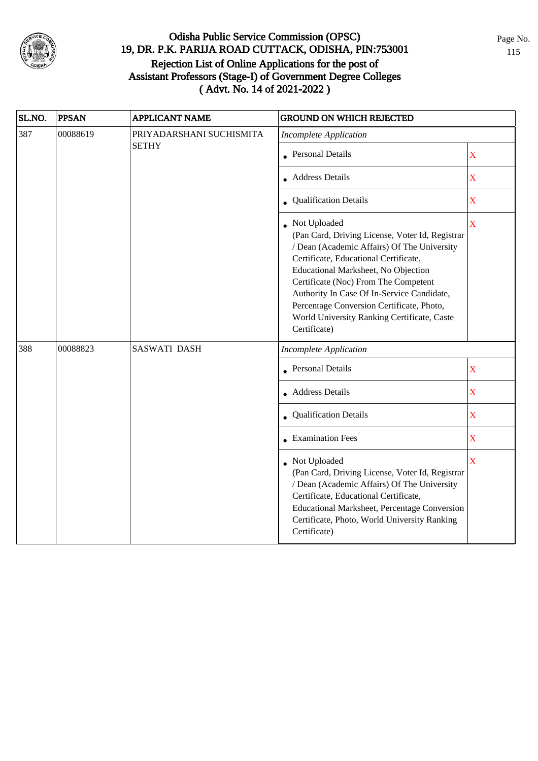

| SL.NO. | <b>PPSAN</b> | APPLICANT NAME           | <b>GROUND ON WHICH REJECTED</b>                                                                                                                                                                                                                                                                                                                                                                    |                         |  |
|--------|--------------|--------------------------|----------------------------------------------------------------------------------------------------------------------------------------------------------------------------------------------------------------------------------------------------------------------------------------------------------------------------------------------------------------------------------------------------|-------------------------|--|
| 387    | 00088619     | PRIYADARSHANI SUCHISMITA | <b>Incomplete Application</b>                                                                                                                                                                                                                                                                                                                                                                      |                         |  |
|        |              | <b>SETHY</b>             | • Personal Details                                                                                                                                                                                                                                                                                                                                                                                 | $\mathbf X$             |  |
|        |              |                          | • Address Details                                                                                                                                                                                                                                                                                                                                                                                  | $\mathbf X$             |  |
|        |              |                          | <b>Qualification Details</b>                                                                                                                                                                                                                                                                                                                                                                       | $\mathbf X$             |  |
|        |              |                          | • Not Uploaded<br>(Pan Card, Driving License, Voter Id, Registrar<br>/ Dean (Academic Affairs) Of The University<br>Certificate, Educational Certificate,<br>Educational Marksheet, No Objection<br>Certificate (Noc) From The Competent<br>Authority In Case Of In-Service Candidate,<br>Percentage Conversion Certificate, Photo,<br>World University Ranking Certificate, Caste<br>Certificate) | X                       |  |
| 388    | 00088823     | <b>SASWATI DASH</b>      | <b>Incomplete Application</b>                                                                                                                                                                                                                                                                                                                                                                      |                         |  |
|        |              |                          | <b>Personal Details</b>                                                                                                                                                                                                                                                                                                                                                                            | X                       |  |
|        |              |                          | • Address Details                                                                                                                                                                                                                                                                                                                                                                                  | $\mathbf X$             |  |
|        |              |                          | Qualification Details                                                                                                                                                                                                                                                                                                                                                                              | X                       |  |
|        |              |                          | • Examination Fees                                                                                                                                                                                                                                                                                                                                                                                 | $\mathbf X$             |  |
|        |              |                          | • Not Uploaded<br>(Pan Card, Driving License, Voter Id, Registrar<br>/ Dean (Academic Affairs) Of The University<br>Certificate, Educational Certificate,<br>Educational Marksheet, Percentage Conversion<br>Certificate, Photo, World University Ranking<br>Certificate)                                                                                                                          | $\overline{\mathbf{X}}$ |  |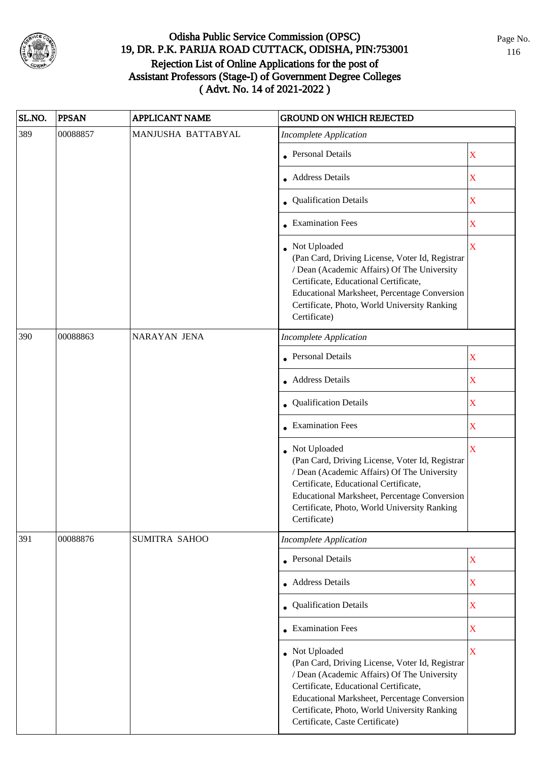

| SL.NO. | <b>PPSAN</b> | APPLICANT NAME     | <b>GROUND ON WHICH REJECTED</b>                                                                                                                                                                                                                                                              |                         |
|--------|--------------|--------------------|----------------------------------------------------------------------------------------------------------------------------------------------------------------------------------------------------------------------------------------------------------------------------------------------|-------------------------|
| 389    | 00088857     | MANJUSHA BATTABYAL | <b>Incomplete Application</b>                                                                                                                                                                                                                                                                |                         |
|        |              |                    | • Personal Details                                                                                                                                                                                                                                                                           | X                       |
|        |              |                    | • Address Details                                                                                                                                                                                                                                                                            | $\mathbf X$             |
|        |              |                    | • Qualification Details                                                                                                                                                                                                                                                                      | $\mathbf X$             |
|        |              |                    | • Examination Fees                                                                                                                                                                                                                                                                           | $\mathbf X$             |
|        |              |                    | • Not Uploaded<br>(Pan Card, Driving License, Voter Id, Registrar<br>/ Dean (Academic Affairs) Of The University<br>Certificate, Educational Certificate,<br>Educational Marksheet, Percentage Conversion<br>Certificate, Photo, World University Ranking<br>Certificate)                    | $\overline{\mathbf{X}}$ |
| 390    | 00088863     | NARAYAN JENA       | <b>Incomplete Application</b>                                                                                                                                                                                                                                                                |                         |
|        |              |                    | • Personal Details                                                                                                                                                                                                                                                                           | X                       |
|        |              |                    | • Address Details                                                                                                                                                                                                                                                                            | $\mathbf X$             |
|        |              |                    | • Qualification Details                                                                                                                                                                                                                                                                      | $\mathbf X$             |
|        |              |                    | • Examination Fees                                                                                                                                                                                                                                                                           | $\overline{\mathbf{X}}$ |
|        |              |                    | • Not Uploaded<br>(Pan Card, Driving License, Voter Id, Registrar<br>/ Dean (Academic Affairs) Of The University<br>Certificate, Educational Certificate,<br>Educational Marksheet, Percentage Conversion<br>Certificate, Photo, World University Ranking<br>Certificate)                    | $\overline{\mathbf{X}}$ |
| 391    | 00088876     | SUMITRA SAHOO      | <b>Incomplete Application</b>                                                                                                                                                                                                                                                                |                         |
|        |              |                    | • Personal Details                                                                                                                                                                                                                                                                           | $\mathbf X$             |
|        |              |                    | • Address Details                                                                                                                                                                                                                                                                            | $\mathbf X$             |
|        |              |                    | • Qualification Details                                                                                                                                                                                                                                                                      | $\mathbf X$             |
|        |              |                    | • Examination Fees                                                                                                                                                                                                                                                                           | $\mathbf X$             |
|        |              |                    | • Not Uploaded<br>(Pan Card, Driving License, Voter Id, Registrar<br>/ Dean (Academic Affairs) Of The University<br>Certificate, Educational Certificate,<br>Educational Marksheet, Percentage Conversion<br>Certificate, Photo, World University Ranking<br>Certificate, Caste Certificate) | $\mathbf X$             |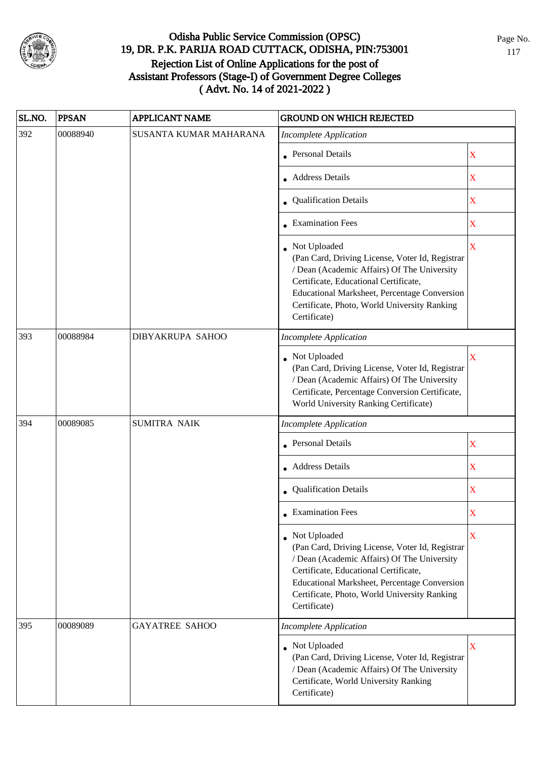

| SL.NO. | <b>PPSAN</b> | <b>APPLICANT NAME</b>  | <b>GROUND ON WHICH REJECTED</b>                                                                                                                                                                                                                                         |                         |
|--------|--------------|------------------------|-------------------------------------------------------------------------------------------------------------------------------------------------------------------------------------------------------------------------------------------------------------------------|-------------------------|
| 392    | 00088940     | SUSANTA KUMAR MAHARANA | <b>Incomplete Application</b>                                                                                                                                                                                                                                           |                         |
|        |              |                        | <b>Personal Details</b>                                                                                                                                                                                                                                                 | X                       |
|        |              |                        | • Address Details                                                                                                                                                                                                                                                       | X                       |
|        |              |                        | <b>Qualification Details</b>                                                                                                                                                                                                                                            | $\mathbf X$             |
|        |              |                        | • Examination Fees                                                                                                                                                                                                                                                      | X                       |
|        |              |                        | Not Uploaded<br>(Pan Card, Driving License, Voter Id, Registrar<br>/ Dean (Academic Affairs) Of The University<br>Certificate, Educational Certificate,<br>Educational Marksheet, Percentage Conversion<br>Certificate, Photo, World University Ranking<br>Certificate) | $\overline{\mathbf{X}}$ |
| 393    | 00088984     | DIBYAKRUPA SAHOO       | <b>Incomplete Application</b>                                                                                                                                                                                                                                           |                         |
|        |              |                        | Not Uploaded<br>(Pan Card, Driving License, Voter Id, Registrar<br>/ Dean (Academic Affairs) Of The University<br>Certificate, Percentage Conversion Certificate,<br>World University Ranking Certificate)                                                              | $\overline{\mathbf{X}}$ |
| 394    | 00089085     | <b>SUMITRA NAIK</b>    | <b>Incomplete Application</b>                                                                                                                                                                                                                                           |                         |
|        |              |                        | <b>Personal Details</b>                                                                                                                                                                                                                                                 | $\mathbf X$             |
|        |              |                        | • Address Details                                                                                                                                                                                                                                                       | $\mathbf X$             |
|        |              |                        | • Qualification Details                                                                                                                                                                                                                                                 | $\mathbf X$             |
|        |              |                        | $\bullet$ Examination Fees                                                                                                                                                                                                                                              | $\mathbf X$             |
|        |              |                        | Not Uploaded<br>(Pan Card, Driving License, Voter Id, Registrar<br>/ Dean (Academic Affairs) Of The University<br>Certificate, Educational Certificate,<br>Educational Marksheet, Percentage Conversion<br>Certificate, Photo, World University Ranking<br>Certificate) | X                       |
| 395    | 00089089     | <b>GAYATREE SAHOO</b>  | <b>Incomplete Application</b>                                                                                                                                                                                                                                           |                         |
|        |              |                        | • Not Uploaded<br>(Pan Card, Driving License, Voter Id, Registrar<br>/ Dean (Academic Affairs) Of The University<br>Certificate, World University Ranking<br>Certificate)                                                                                               | X                       |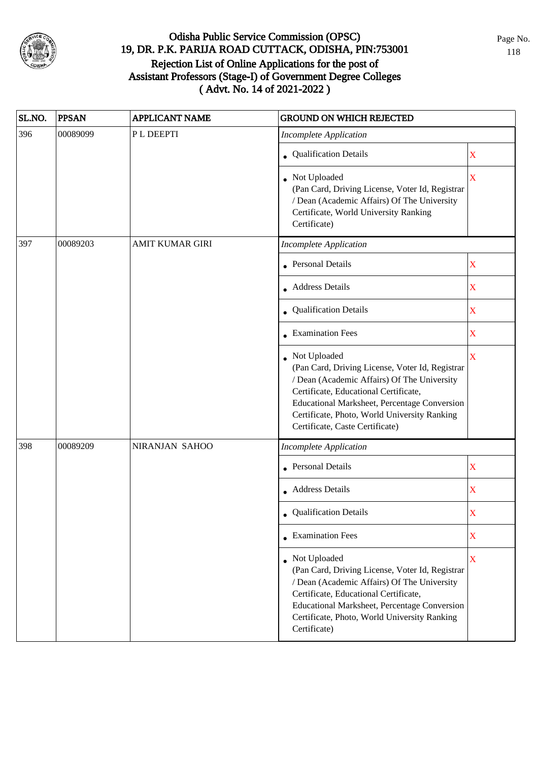

| SL.NO. | <b>PPSAN</b> | <b>APPLICANT NAME</b>  | <b>GROUND ON WHICH REJECTED</b>                                                                                                                                                                                                                                                            |             |
|--------|--------------|------------------------|--------------------------------------------------------------------------------------------------------------------------------------------------------------------------------------------------------------------------------------------------------------------------------------------|-------------|
| 396    | 00089099     | PL DEEPTI              | <b>Incomplete Application</b>                                                                                                                                                                                                                                                              |             |
|        |              |                        | • Qualification Details                                                                                                                                                                                                                                                                    | $\mathbf X$ |
|        |              |                        | • Not Uploaded<br>(Pan Card, Driving License, Voter Id, Registrar<br>/ Dean (Academic Affairs) Of The University<br>Certificate, World University Ranking<br>Certificate)                                                                                                                  | X           |
| 397    | 00089203     | <b>AMIT KUMAR GIRI</b> | <b>Incomplete Application</b>                                                                                                                                                                                                                                                              |             |
|        |              |                        | <b>Personal Details</b>                                                                                                                                                                                                                                                                    | $\mathbf X$ |
|        |              |                        | • Address Details                                                                                                                                                                                                                                                                          | $\mathbf X$ |
|        |              |                        | • Qualification Details                                                                                                                                                                                                                                                                    | $\mathbf X$ |
|        |              |                        | • Examination Fees                                                                                                                                                                                                                                                                         | $\mathbf X$ |
|        |              |                        | Not Uploaded<br>(Pan Card, Driving License, Voter Id, Registrar<br>/ Dean (Academic Affairs) Of The University<br>Certificate, Educational Certificate,<br>Educational Marksheet, Percentage Conversion<br>Certificate, Photo, World University Ranking<br>Certificate, Caste Certificate) | $\mathbf X$ |
| 398    | 00089209     | NIRANJAN SAHOO         | <b>Incomplete Application</b>                                                                                                                                                                                                                                                              |             |
|        |              |                        | <b>Personal Details</b>                                                                                                                                                                                                                                                                    | $\mathbf X$ |
|        |              |                        | • Address Details                                                                                                                                                                                                                                                                          | $\mathbf X$ |
|        |              |                        | • Qualification Details                                                                                                                                                                                                                                                                    | X           |
|        |              |                        | $\bullet$ Examination Fees                                                                                                                                                                                                                                                                 | $\mathbf X$ |
|        |              |                        | • Not Uploaded<br>(Pan Card, Driving License, Voter Id, Registrar<br>/ Dean (Academic Affairs) Of The University<br>Certificate, Educational Certificate,<br>Educational Marksheet, Percentage Conversion<br>Certificate, Photo, World University Ranking<br>Certificate)                  | $\mathbf X$ |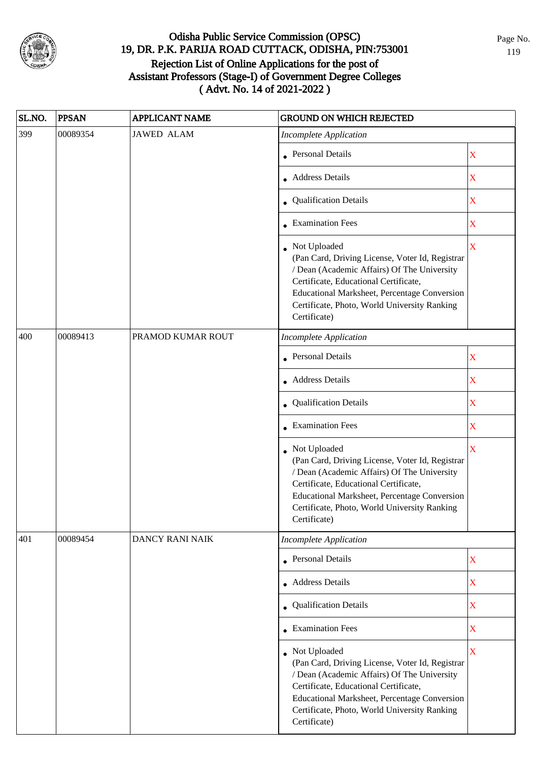

| SL.NO. | <b>PPSAN</b> | <b>APPLICANT NAME</b> | <b>GROUND ON WHICH REJECTED</b>                                                                                                                                                                                                                                           |                         |
|--------|--------------|-----------------------|---------------------------------------------------------------------------------------------------------------------------------------------------------------------------------------------------------------------------------------------------------------------------|-------------------------|
| 399    | 00089354     | <b>JAWED ALAM</b>     | <b>Incomplete Application</b>                                                                                                                                                                                                                                             |                         |
|        |              |                       | • Personal Details                                                                                                                                                                                                                                                        | $\mathbf X$             |
|        |              |                       | • Address Details                                                                                                                                                                                                                                                         | $\mathbf X$             |
|        |              |                       | • Qualification Details                                                                                                                                                                                                                                                   | $\mathbf X$             |
|        |              |                       | • Examination Fees                                                                                                                                                                                                                                                        | $\mathbf X$             |
|        |              |                       | • Not Uploaded<br>(Pan Card, Driving License, Voter Id, Registrar<br>/ Dean (Academic Affairs) Of The University<br>Certificate, Educational Certificate,<br>Educational Marksheet, Percentage Conversion<br>Certificate, Photo, World University Ranking<br>Certificate) | $\mathbf X$             |
| 400    | 00089413     | PRAMOD KUMAR ROUT     | <b>Incomplete Application</b>                                                                                                                                                                                                                                             |                         |
|        |              |                       | <b>Personal Details</b>                                                                                                                                                                                                                                                   | $\mathbf X$             |
|        |              |                       | • Address Details                                                                                                                                                                                                                                                         | $\mathbf X$             |
|        |              |                       | • Qualification Details                                                                                                                                                                                                                                                   | $\mathbf X$             |
|        |              |                       | • Examination Fees                                                                                                                                                                                                                                                        | $\overline{\textbf{X}}$ |
|        |              |                       | • Not Uploaded<br>(Pan Card, Driving License, Voter Id, Registrar<br>/ Dean (Academic Affairs) Of The University<br>Certificate, Educational Certificate,<br>Educational Marksheet, Percentage Conversion<br>Certificate, Photo, World University Ranking<br>Certificate) | $\bar{X}$               |
| 401    | 00089454     | DANCY RANI NAIK       | <b>Incomplete Application</b>                                                                                                                                                                                                                                             |                         |
|        |              |                       | • Personal Details                                                                                                                                                                                                                                                        | $\mathbf X$             |
|        |              |                       | • Address Details                                                                                                                                                                                                                                                         | $\mathbf X$             |
|        |              |                       | • Qualification Details                                                                                                                                                                                                                                                   | $\mathbf X$             |
|        |              |                       | • Examination Fees                                                                                                                                                                                                                                                        | $\mathbf X$             |
|        |              |                       | • Not Uploaded<br>(Pan Card, Driving License, Voter Id, Registrar<br>/ Dean (Academic Affairs) Of The University<br>Certificate, Educational Certificate,<br>Educational Marksheet, Percentage Conversion<br>Certificate, Photo, World University Ranking<br>Certificate) | X                       |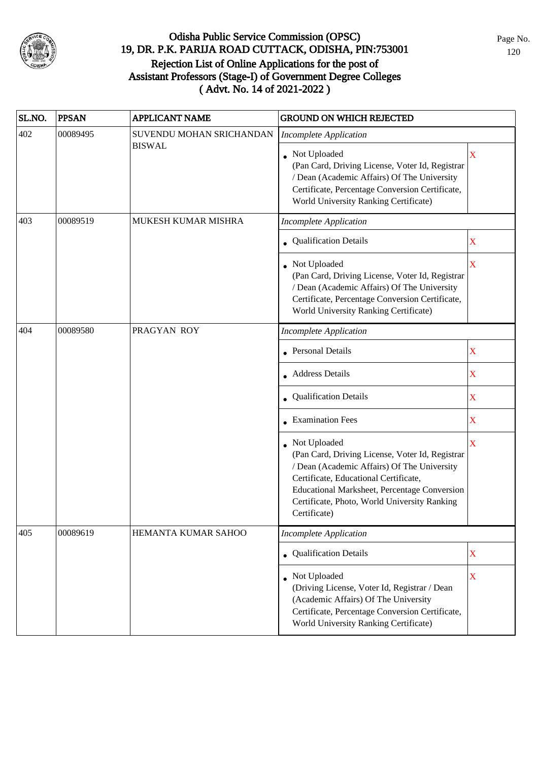

| SL.NO. | <b>PPSAN</b> | <b>APPLICANT NAME</b>    | <b>GROUND ON WHICH REJECTED</b>                                                                                                                                                                                                                                         |                                                |
|--------|--------------|--------------------------|-------------------------------------------------------------------------------------------------------------------------------------------------------------------------------------------------------------------------------------------------------------------------|------------------------------------------------|
| 402    | 00089495     | SUVENDU MOHAN SRICHANDAN | <b>Incomplete Application</b>                                                                                                                                                                                                                                           |                                                |
|        |              | <b>BISWAL</b>            | Not Uploaded<br>(Pan Card, Driving License, Voter Id, Registrar<br>/ Dean (Academic Affairs) Of The University<br>Certificate, Percentage Conversion Certificate,<br>World University Ranking Certificate)                                                              | X                                              |
| 403    | 00089519     | MUKESH KUMAR MISHRA      | Incomplete Application                                                                                                                                                                                                                                                  |                                                |
|        |              |                          | • Qualification Details                                                                                                                                                                                                                                                 | X                                              |
|        |              |                          | • Not Uploaded<br>(Pan Card, Driving License, Voter Id, Registrar<br>/ Dean (Academic Affairs) Of The University<br>Certificate, Percentage Conversion Certificate,<br>World University Ranking Certificate)                                                            | $\mathbf X$                                    |
| 404    | 00089580     | PRAGYAN ROY              | <b>Incomplete Application</b>                                                                                                                                                                                                                                           |                                                |
|        |              |                          | <b>Personal Details</b>                                                                                                                                                                                                                                                 | $\mathbf X$                                    |
|        |              |                          | <b>Address Details</b>                                                                                                                                                                                                                                                  | $\mathbf X$<br>X<br>$\mathbf X$<br>$\mathbf X$ |
|        |              |                          | <b>Qualification Details</b>                                                                                                                                                                                                                                            |                                                |
|        |              |                          | • Examination Fees                                                                                                                                                                                                                                                      |                                                |
|        |              |                          | Not Uploaded<br>(Pan Card, Driving License, Voter Id, Registrar<br>/ Dean (Academic Affairs) Of The University<br>Certificate, Educational Certificate,<br>Educational Marksheet, Percentage Conversion<br>Certificate, Photo, World University Ranking<br>Certificate) |                                                |
| 405    | 00089619     | HEMANTA KUMAR SAHOO      | <b>Incomplete Application</b>                                                                                                                                                                                                                                           |                                                |
|        |              |                          | • Qualification Details                                                                                                                                                                                                                                                 | $\mathbf X$                                    |
|        |              |                          | Not Uploaded<br>(Driving License, Voter Id, Registrar / Dean<br>(Academic Affairs) Of The University<br>Certificate, Percentage Conversion Certificate,<br>World University Ranking Certificate)                                                                        | $\mathbf X$                                    |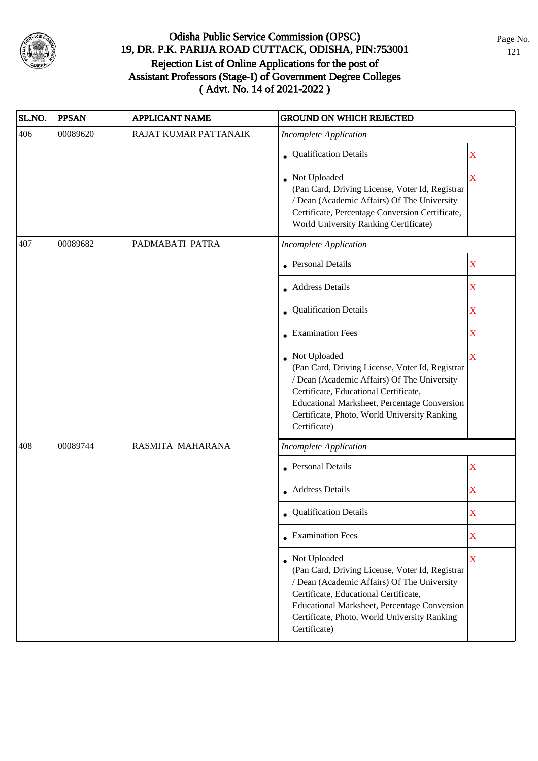

| SL.NO.                                                              | <b>PPSAN</b> | <b>APPLICANT NAME</b> | <b>GROUND ON WHICH REJECTED</b>                                                                                                                                                                                                                                           |             |
|---------------------------------------------------------------------|--------------|-----------------------|---------------------------------------------------------------------------------------------------------------------------------------------------------------------------------------------------------------------------------------------------------------------------|-------------|
| 406                                                                 | 00089620     | RAJAT KUMAR PATTANAIK | <b>Incomplete Application</b>                                                                                                                                                                                                                                             |             |
|                                                                     |              |                       | • Qualification Details                                                                                                                                                                                                                                                   | $\mathbf X$ |
|                                                                     |              |                       | • Not Uploaded<br>(Pan Card, Driving License, Voter Id, Registrar<br>/ Dean (Academic Affairs) Of The University<br>Certificate, Percentage Conversion Certificate,<br>World University Ranking Certificate)                                                              | X           |
| 407<br>00089682<br>PADMABATI PATRA<br><b>Incomplete Application</b> |              |                       |                                                                                                                                                                                                                                                                           |             |
|                                                                     |              |                       | <b>Personal Details</b>                                                                                                                                                                                                                                                   | $\mathbf X$ |
|                                                                     |              |                       | • Address Details                                                                                                                                                                                                                                                         | $\mathbf X$ |
|                                                                     |              |                       | • Qualification Details                                                                                                                                                                                                                                                   | $\mathbf X$ |
|                                                                     |              |                       | $\bullet$ Examination Fees                                                                                                                                                                                                                                                | $\mathbf X$ |
|                                                                     |              |                       | Not Uploaded<br>(Pan Card, Driving License, Voter Id, Registrar<br>/ Dean (Academic Affairs) Of The University<br>Certificate, Educational Certificate,<br>Educational Marksheet, Percentage Conversion<br>Certificate, Photo, World University Ranking<br>Certificate)   | X           |
| 408                                                                 | 00089744     | RASMITA MAHARANA      | <b>Incomplete Application</b>                                                                                                                                                                                                                                             |             |
|                                                                     |              |                       | Personal Details                                                                                                                                                                                                                                                          | $\mathbf X$ |
|                                                                     |              |                       | • Address Details                                                                                                                                                                                                                                                         | $\mathbf X$ |
|                                                                     |              |                       | • Qualification Details                                                                                                                                                                                                                                                   | X           |
|                                                                     |              |                       | $\bullet$ Examination Fees                                                                                                                                                                                                                                                | $\mathbf X$ |
|                                                                     |              |                       | • Not Uploaded<br>(Pan Card, Driving License, Voter Id, Registrar<br>/ Dean (Academic Affairs) Of The University<br>Certificate, Educational Certificate,<br>Educational Marksheet, Percentage Conversion<br>Certificate, Photo, World University Ranking<br>Certificate) | $\mathbf X$ |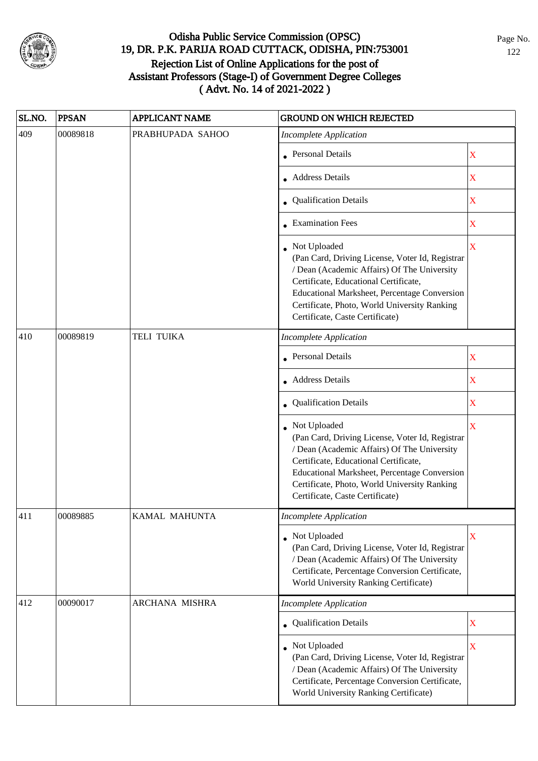

| SL.NO. | <b>PPSAN</b> | <b>APPLICANT NAME</b> | <b>GROUND ON WHICH REJECTED</b>                                                                                                                                                                                                                                                            |                         |
|--------|--------------|-----------------------|--------------------------------------------------------------------------------------------------------------------------------------------------------------------------------------------------------------------------------------------------------------------------------------------|-------------------------|
| 409    | 00089818     | PRABHUPADA SAHOO      | <b>Incomplete Application</b>                                                                                                                                                                                                                                                              |                         |
|        |              |                       | <b>Personal Details</b>                                                                                                                                                                                                                                                                    | X                       |
|        |              |                       | • Address Details                                                                                                                                                                                                                                                                          | $\mathbf X$             |
|        |              |                       | • Qualification Details                                                                                                                                                                                                                                                                    | X                       |
|        |              |                       | • Examination Fees                                                                                                                                                                                                                                                                         | X                       |
|        |              |                       | Not Uploaded<br>(Pan Card, Driving License, Voter Id, Registrar<br>/ Dean (Academic Affairs) Of The University<br>Certificate, Educational Certificate,<br>Educational Marksheet, Percentage Conversion<br>Certificate, Photo, World University Ranking<br>Certificate, Caste Certificate) | $\mathbf X$             |
| 410    | 00089819     | TELI TUIKA            | <b>Incomplete Application</b>                                                                                                                                                                                                                                                              |                         |
|        |              |                       | <b>Personal Details</b>                                                                                                                                                                                                                                                                    | $\mathbf X$             |
|        |              |                       | • Address Details                                                                                                                                                                                                                                                                          | $\mathbf X$             |
|        |              |                       | • Qualification Details                                                                                                                                                                                                                                                                    | $\mathbf X$             |
|        |              |                       | Not Uploaded<br>(Pan Card, Driving License, Voter Id, Registrar<br>/ Dean (Academic Affairs) Of The University<br>Certificate, Educational Certificate,<br>Educational Marksheet, Percentage Conversion<br>Certificate, Photo, World University Ranking<br>Certificate, Caste Certificate) | $\overline{\mathbf{X}}$ |
| 411    | 00089885     | KAMAL MAHUNTA         | <b>Incomplete Application</b>                                                                                                                                                                                                                                                              |                         |
|        |              |                       | • Not Uploaded<br>(Pan Card, Driving License, Voter Id, Registrar<br>/ Dean (Academic Affairs) Of The University<br>Certificate, Percentage Conversion Certificate,<br>World University Ranking Certificate)                                                                               | X                       |
| 412    | 00090017     | ARCHANA MISHRA        | <b>Incomplete Application</b>                                                                                                                                                                                                                                                              |                         |
|        |              |                       | • Qualification Details                                                                                                                                                                                                                                                                    | X                       |
|        |              |                       | Not Uploaded<br>(Pan Card, Driving License, Voter Id, Registrar<br>/ Dean (Academic Affairs) Of The University<br>Certificate, Percentage Conversion Certificate,<br>World University Ranking Certificate)                                                                                 | $\mathbf X$             |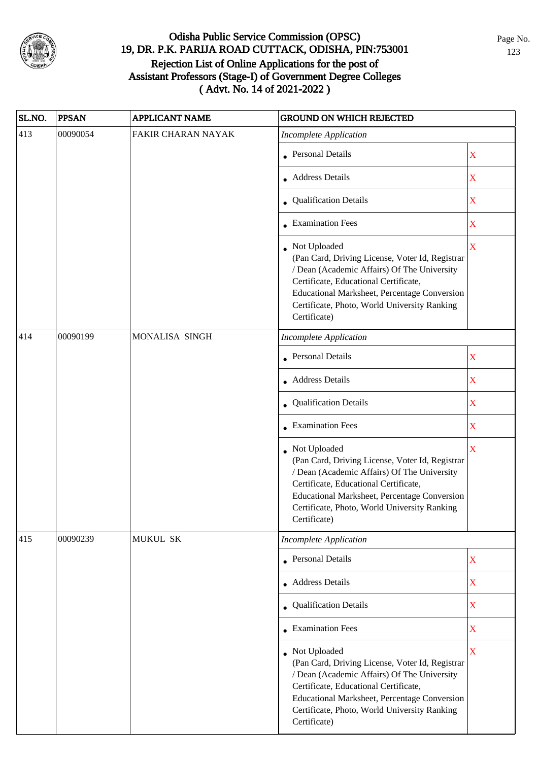

| SL.NO. | <b>PPSAN</b> | <b>APPLICANT NAME</b> | <b>GROUND ON WHICH REJECTED</b>                                                                                                                                                                                                                                           |                         |
|--------|--------------|-----------------------|---------------------------------------------------------------------------------------------------------------------------------------------------------------------------------------------------------------------------------------------------------------------------|-------------------------|
| 413    | 00090054     | FAKIR CHARAN NAYAK    | <b>Incomplete Application</b>                                                                                                                                                                                                                                             |                         |
|        |              |                       | <b>Personal Details</b>                                                                                                                                                                                                                                                   | $\mathbf X$             |
|        |              |                       | • Address Details                                                                                                                                                                                                                                                         | $\mathbf X$             |
|        |              |                       | • Qualification Details                                                                                                                                                                                                                                                   | X                       |
|        |              |                       | <b>Examination Fees</b>                                                                                                                                                                                                                                                   | $\mathbf X$             |
|        |              |                       | • Not Uploaded<br>(Pan Card, Driving License, Voter Id, Registrar<br>/ Dean (Academic Affairs) Of The University<br>Certificate, Educational Certificate,<br>Educational Marksheet, Percentage Conversion<br>Certificate, Photo, World University Ranking<br>Certificate) | $\overline{\mathbf{X}}$ |
| 414    | 00090199     | MONALISA SINGH        | <b>Incomplete Application</b>                                                                                                                                                                                                                                             |                         |
|        |              |                       | Personal Details                                                                                                                                                                                                                                                          | $\mathbf X$             |
|        |              |                       | • Address Details                                                                                                                                                                                                                                                         | $\mathbf X$             |
|        |              |                       | • Qualification Details                                                                                                                                                                                                                                                   | $\mathbf X$             |
|        |              |                       | $\bullet$ Examination Fees                                                                                                                                                                                                                                                | $\mathbf X$             |
|        |              |                       | • Not Uploaded<br>(Pan Card, Driving License, Voter Id, Registrar<br>/ Dean (Academic Affairs) Of The University<br>Certificate, Educational Certificate,<br>Educational Marksheet, Percentage Conversion<br>Certificate, Photo, World University Ranking<br>Certificate) | $\mathbf X$             |
| 415    | 00090239     | MUKUL SK              | <b>Incomplete Application</b>                                                                                                                                                                                                                                             |                         |
|        |              |                       | • Personal Details                                                                                                                                                                                                                                                        | $\mathbf X$             |
|        |              |                       | • Address Details                                                                                                                                                                                                                                                         | $\mathbf X$             |
|        |              |                       | • Qualification Details                                                                                                                                                                                                                                                   | $\mathbf X$             |
|        |              |                       | • Examination Fees                                                                                                                                                                                                                                                        | $\mathbf X$             |
|        |              |                       | • Not Uploaded<br>(Pan Card, Driving License, Voter Id, Registrar<br>/ Dean (Academic Affairs) Of The University<br>Certificate, Educational Certificate,<br>Educational Marksheet, Percentage Conversion<br>Certificate, Photo, World University Ranking<br>Certificate) | $\overline{\mathbf{X}}$ |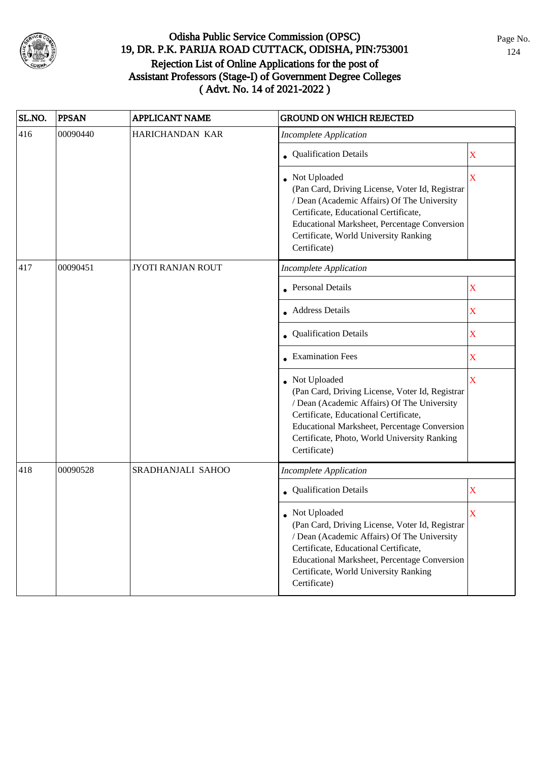

| SL.NO. | <b>PPSAN</b> | <b>APPLICANT NAME</b>    | <b>GROUND ON WHICH REJECTED</b>                                                                                                                                                                                                                                           |                         |
|--------|--------------|--------------------------|---------------------------------------------------------------------------------------------------------------------------------------------------------------------------------------------------------------------------------------------------------------------------|-------------------------|
| 416    | 00090440     | HARICHANDAN KAR          | <b>Incomplete Application</b>                                                                                                                                                                                                                                             |                         |
|        |              |                          | <b>Qualification Details</b>                                                                                                                                                                                                                                              | X                       |
|        |              |                          | Not Uploaded<br>(Pan Card, Driving License, Voter Id, Registrar<br>/ Dean (Academic Affairs) Of The University<br>Certificate, Educational Certificate,<br>Educational Marksheet, Percentage Conversion<br>Certificate, World University Ranking<br>Certificate)          | X                       |
| 417    | 00090451     | <b>JYOTI RANJAN ROUT</b> | <b>Incomplete Application</b>                                                                                                                                                                                                                                             |                         |
|        |              |                          | <b>Personal Details</b>                                                                                                                                                                                                                                                   | $\mathbf X$             |
|        |              |                          | • Address Details                                                                                                                                                                                                                                                         | $\mathbf X$             |
|        |              |                          | Qualification Details                                                                                                                                                                                                                                                     | $\mathbf X$             |
|        |              |                          | <b>Examination Fees</b>                                                                                                                                                                                                                                                   | X                       |
|        |              |                          | Not Uploaded<br>(Pan Card, Driving License, Voter Id, Registrar<br>/ Dean (Academic Affairs) Of The University<br>Certificate, Educational Certificate,<br>Educational Marksheet, Percentage Conversion<br>Certificate, Photo, World University Ranking<br>Certificate)   | $\overline{\mathbf{X}}$ |
| 418    | 00090528     | SRADHANJALI SAHOO        | <b>Incomplete Application</b>                                                                                                                                                                                                                                             |                         |
|        |              |                          | • Qualification Details                                                                                                                                                                                                                                                   | $\mathbf X$             |
|        |              |                          | • Not Uploaded<br>(Pan Card, Driving License, Voter Id, Registrar<br>/ Dean (Academic Affairs) Of The University<br>Certificate, Educational Certificate,<br><b>Educational Marksheet, Percentage Conversion</b><br>Certificate, World University Ranking<br>Certificate) | X                       |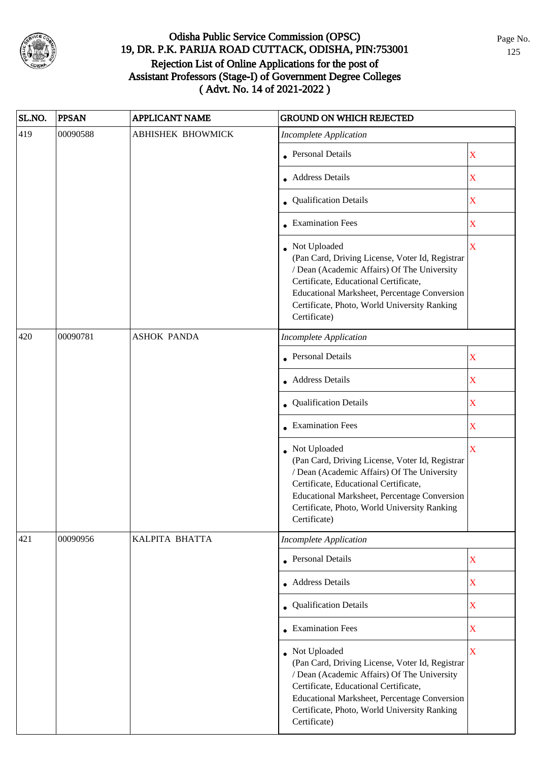

| SL.NO. | <b>PPSAN</b> | <b>APPLICANT NAME</b>    | <b>GROUND ON WHICH REJECTED</b>                                                                                                                                                                                                                                           |                         |
|--------|--------------|--------------------------|---------------------------------------------------------------------------------------------------------------------------------------------------------------------------------------------------------------------------------------------------------------------------|-------------------------|
| 419    | 00090588     | <b>ABHISHEK BHOWMICK</b> | <b>Incomplete Application</b>                                                                                                                                                                                                                                             |                         |
|        |              |                          | • Personal Details                                                                                                                                                                                                                                                        | $\mathbf X$             |
|        |              |                          | • Address Details                                                                                                                                                                                                                                                         | $\mathbf X$             |
|        |              |                          | • Qualification Details                                                                                                                                                                                                                                                   | X                       |
|        |              |                          | • Examination Fees                                                                                                                                                                                                                                                        | X                       |
|        |              |                          | • Not Uploaded<br>(Pan Card, Driving License, Voter Id, Registrar<br>/ Dean (Academic Affairs) Of The University<br>Certificate, Educational Certificate,<br>Educational Marksheet, Percentage Conversion<br>Certificate, Photo, World University Ranking<br>Certificate) | $\overline{\mathbf{X}}$ |
| 420    | 00090781     | <b>ASHOK PANDA</b>       | <b>Incomplete Application</b>                                                                                                                                                                                                                                             |                         |
|        |              |                          | <b>Personal Details</b>                                                                                                                                                                                                                                                   | $\mathbf X$             |
|        |              |                          | • Address Details                                                                                                                                                                                                                                                         | $\mathbf X$             |
|        |              |                          | • Qualification Details                                                                                                                                                                                                                                                   | $\mathbf X$             |
|        |              |                          | • Examination Fees                                                                                                                                                                                                                                                        | $\overline{\textbf{X}}$ |
|        |              |                          | • Not Uploaded<br>(Pan Card, Driving License, Voter Id, Registrar<br>/ Dean (Academic Affairs) Of The University<br>Certificate, Educational Certificate,<br>Educational Marksheet, Percentage Conversion<br>Certificate, Photo, World University Ranking<br>Certificate) | $\overline{\mathbf{X}}$ |
| 421    | 00090956     | KALPITA BHATTA           | <b>Incomplete Application</b>                                                                                                                                                                                                                                             |                         |
|        |              |                          | • Personal Details                                                                                                                                                                                                                                                        | $\mathbf X$             |
|        |              |                          | • Address Details                                                                                                                                                                                                                                                         | $\mathbf X$             |
|        |              |                          | • Qualification Details                                                                                                                                                                                                                                                   | $\bar{X}$               |
|        |              |                          | • Examination Fees                                                                                                                                                                                                                                                        | $\overline{\textbf{X}}$ |
|        |              |                          | • Not Uploaded<br>(Pan Card, Driving License, Voter Id, Registrar<br>/ Dean (Academic Affairs) Of The University<br>Certificate, Educational Certificate,<br>Educational Marksheet, Percentage Conversion<br>Certificate, Photo, World University Ranking<br>Certificate) | $\mathbf X$             |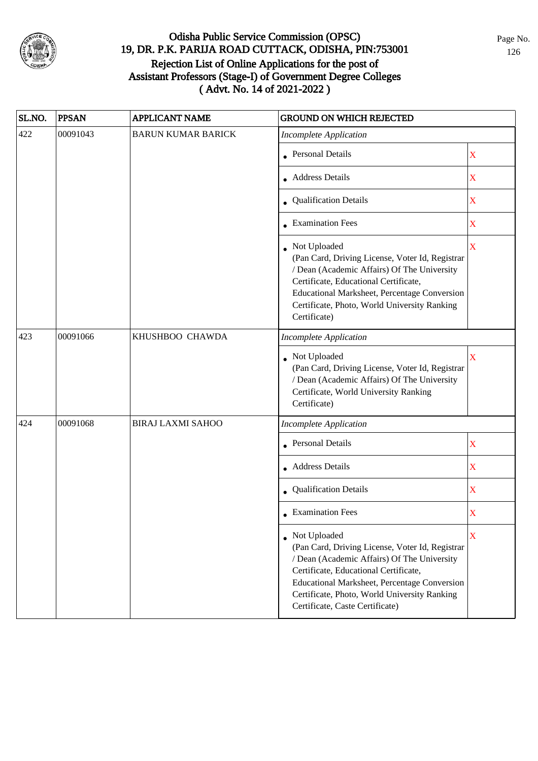

| SL.NO. | <b>PPSAN</b> | <b>APPLICANT NAME</b>     | <b>GROUND ON WHICH REJECTED</b>                                                                                                                                                                                                                                                                     |                                                                                          |
|--------|--------------|---------------------------|-----------------------------------------------------------------------------------------------------------------------------------------------------------------------------------------------------------------------------------------------------------------------------------------------------|------------------------------------------------------------------------------------------|
| 422    | 00091043     | <b>BARUN KUMAR BARICK</b> | <b>Incomplete Application</b>                                                                                                                                                                                                                                                                       |                                                                                          |
|        |              |                           | • Personal Details                                                                                                                                                                                                                                                                                  | X                                                                                        |
|        |              |                           | Address Details                                                                                                                                                                                                                                                                                     | $\mathbf X$                                                                              |
|        |              |                           | • Qualification Details                                                                                                                                                                                                                                                                             | $\mathbf X$                                                                              |
|        |              |                           | • Examination Fees                                                                                                                                                                                                                                                                                  | $\mathbf X$                                                                              |
|        |              |                           | • Not Uploaded<br>(Pan Card, Driving License, Voter Id, Registrar<br>/ Dean (Academic Affairs) Of The University<br>Certificate, Educational Certificate,<br>Educational Marksheet, Percentage Conversion<br>Certificate, Photo, World University Ranking<br>Certificate)                           | $\overline{\mathbf{X}}$                                                                  |
| 423    | 00091066     | KHUSHBOO CHAWDA           | <b>Incomplete Application</b>                                                                                                                                                                                                                                                                       | $\overline{\mathbf{X}}$<br>$\mathbf X$<br>$\mathbf X$<br>$\mathbf X$<br>$\mathbf X$<br>X |
|        |              |                           | Not Uploaded<br>(Pan Card, Driving License, Voter Id, Registrar<br>/ Dean (Academic Affairs) Of The University<br>Certificate, World University Ranking<br>Certificate)                                                                                                                             |                                                                                          |
| 424    | 00091068     | <b>BIRAJ LAXMI SAHOO</b>  | <b>Incomplete Application</b>                                                                                                                                                                                                                                                                       |                                                                                          |
|        |              |                           | <b>Personal Details</b>                                                                                                                                                                                                                                                                             |                                                                                          |
|        |              |                           | • Address Details                                                                                                                                                                                                                                                                                   |                                                                                          |
|        |              |                           | • Qualification Details                                                                                                                                                                                                                                                                             |                                                                                          |
|        |              |                           | $\bullet$ Examination Fees                                                                                                                                                                                                                                                                          |                                                                                          |
|        |              |                           | • Not Uploaded<br>(Pan Card, Driving License, Voter Id, Registrar<br>/ Dean (Academic Affairs) Of The University<br>Certificate, Educational Certificate,<br><b>Educational Marksheet, Percentage Conversion</b><br>Certificate, Photo, World University Ranking<br>Certificate, Caste Certificate) |                                                                                          |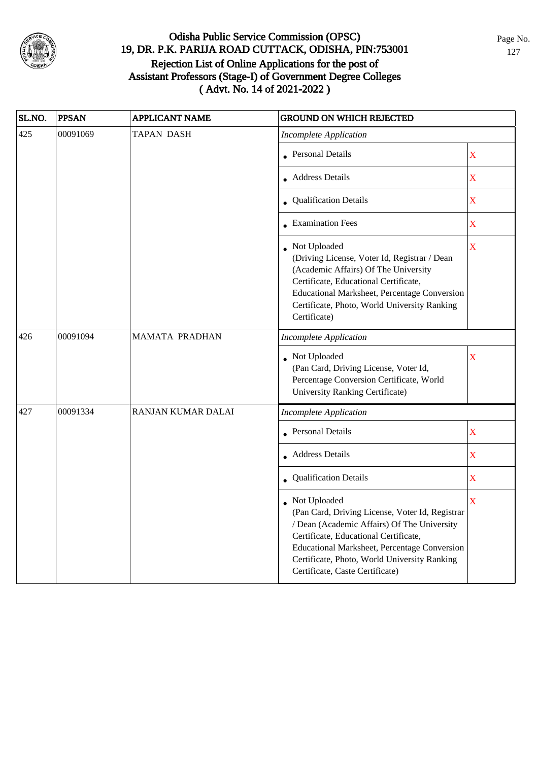

| SL.NO. | <b>PPSAN</b> | <b>APPLICANT NAME</b> | <b>GROUND ON WHICH REJECTED</b>                                                                                                                                                                                                                                                              |                    |
|--------|--------------|-----------------------|----------------------------------------------------------------------------------------------------------------------------------------------------------------------------------------------------------------------------------------------------------------------------------------------|--------------------|
| 425    | 00091069     | <b>TAPAN DASH</b>     | <b>Incomplete Application</b>                                                                                                                                                                                                                                                                |                    |
|        |              |                       | Personal Details                                                                                                                                                                                                                                                                             | $\bar{\textbf{X}}$ |
|        |              |                       | • Address Details                                                                                                                                                                                                                                                                            | $\bar{\textbf{X}}$ |
|        |              |                       | <b>Qualification Details</b>                                                                                                                                                                                                                                                                 | $\bar{\textbf{X}}$ |
|        |              |                       | • Examination Fees                                                                                                                                                                                                                                                                           | $\mathbf X$        |
|        |              |                       | Not Uploaded<br>(Driving License, Voter Id, Registrar / Dean<br>(Academic Affairs) Of The University<br>Certificate, Educational Certificate,<br>Educational Marksheet, Percentage Conversion<br>Certificate, Photo, World University Ranking<br>Certificate)                                | $\bar{\mathbf{X}}$ |
| 426    | 00091094     | <b>MAMATA PRADHAN</b> | <b>Incomplete Application</b>                                                                                                                                                                                                                                                                |                    |
|        |              |                       | Not Uploaded<br>(Pan Card, Driving License, Voter Id,<br>Percentage Conversion Certificate, World<br>University Ranking Certificate)                                                                                                                                                         | X                  |
| 427    | 00091334     | RANJAN KUMAR DALAI    | Incomplete Application                                                                                                                                                                                                                                                                       |                    |
|        |              |                       | Personal Details                                                                                                                                                                                                                                                                             | $\mathbf X$        |
|        |              |                       | • Address Details                                                                                                                                                                                                                                                                            | $\mathbf X$        |
|        |              |                       | • Qualification Details                                                                                                                                                                                                                                                                      | $\bar{\textbf{X}}$ |
|        |              |                       | • Not Uploaded<br>(Pan Card, Driving License, Voter Id, Registrar<br>/ Dean (Academic Affairs) Of The University<br>Certificate, Educational Certificate,<br>Educational Marksheet, Percentage Conversion<br>Certificate, Photo, World University Ranking<br>Certificate, Caste Certificate) | $\bar{\textbf{X}}$ |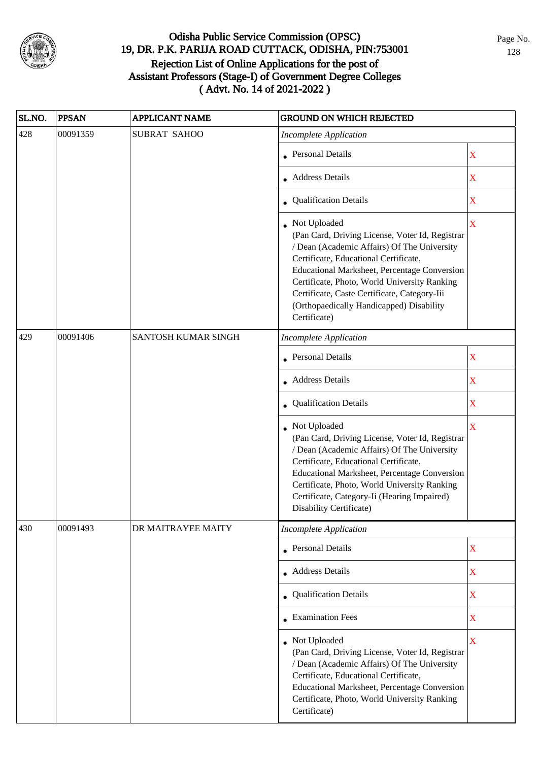

| SL.NO. | <b>PPSAN</b> | <b>APPLICANT NAME</b> | <b>GROUND ON WHICH REJECTED</b>                                                                                                                                                                                                                                                                                                                                       |                         |
|--------|--------------|-----------------------|-----------------------------------------------------------------------------------------------------------------------------------------------------------------------------------------------------------------------------------------------------------------------------------------------------------------------------------------------------------------------|-------------------------|
| 428    | 00091359     | <b>SUBRAT SAHOO</b>   | <b>Incomplete Application</b>                                                                                                                                                                                                                                                                                                                                         |                         |
|        |              |                       | • Personal Details                                                                                                                                                                                                                                                                                                                                                    | X                       |
|        |              |                       | • Address Details                                                                                                                                                                                                                                                                                                                                                     | X                       |
|        |              |                       | <b>Qualification Details</b>                                                                                                                                                                                                                                                                                                                                          | X                       |
|        |              |                       | • Not Uploaded<br>(Pan Card, Driving License, Voter Id, Registrar<br>/ Dean (Academic Affairs) Of The University<br>Certificate, Educational Certificate,<br>Educational Marksheet, Percentage Conversion<br>Certificate, Photo, World University Ranking<br>Certificate, Caste Certificate, Category-Iii<br>(Orthopaedically Handicapped) Disability<br>Certificate) | $\overline{\mathbf{X}}$ |
| 429    | 00091406     | SANTOSH KUMAR SINGH   | <b>Incomplete Application</b>                                                                                                                                                                                                                                                                                                                                         |                         |
|        |              |                       | <b>Personal Details</b>                                                                                                                                                                                                                                                                                                                                               | $\mathbf X$             |
|        |              |                       | <b>Address Details</b>                                                                                                                                                                                                                                                                                                                                                | X                       |
|        |              |                       | Qualification Details                                                                                                                                                                                                                                                                                                                                                 | X                       |
|        |              |                       | Not Uploaded<br>(Pan Card, Driving License, Voter Id, Registrar<br>/ Dean (Academic Affairs) Of The University<br>Certificate, Educational Certificate,<br>Educational Marksheet, Percentage Conversion<br>Certificate, Photo, World University Ranking<br>Certificate, Category-Ii (Hearing Impaired)<br>Disability Certificate)                                     | X                       |
| 430    | 00091493     | DR MAITRAYEE MAITY    | <b>Incomplete Application</b>                                                                                                                                                                                                                                                                                                                                         |                         |
|        |              |                       | <b>Personal Details</b>                                                                                                                                                                                                                                                                                                                                               | $\mathbf X$             |
|        |              |                       | • Address Details                                                                                                                                                                                                                                                                                                                                                     | $\mathbf X$             |
|        |              |                       | <b>Qualification Details</b>                                                                                                                                                                                                                                                                                                                                          | $\mathbf X$             |
|        |              |                       | <b>Examination Fees</b>                                                                                                                                                                                                                                                                                                                                               | $\mathbf X$             |
|        |              |                       | • Not Uploaded<br>(Pan Card, Driving License, Voter Id, Registrar<br>/ Dean (Academic Affairs) Of The University<br>Certificate, Educational Certificate,<br>Educational Marksheet, Percentage Conversion<br>Certificate, Photo, World University Ranking<br>Certificate)                                                                                             | $\overline{\mathbf{X}}$ |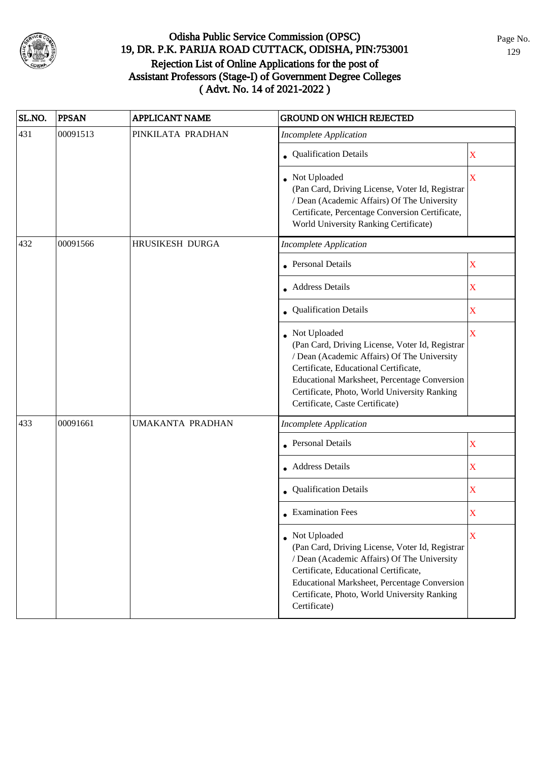

| SL.NO. | <b>PPSAN</b> | <b>APPLICANT NAME</b> | <b>GROUND ON WHICH REJECTED</b>                                                                                                                                                                                                                                                            |             |
|--------|--------------|-----------------------|--------------------------------------------------------------------------------------------------------------------------------------------------------------------------------------------------------------------------------------------------------------------------------------------|-------------|
| 431    | 00091513     | PINKILATA PRADHAN     | <b>Incomplete Application</b>                                                                                                                                                                                                                                                              |             |
|        |              |                       | • Qualification Details                                                                                                                                                                                                                                                                    | $\mathbf X$ |
|        |              |                       | • Not Uploaded<br>(Pan Card, Driving License, Voter Id, Registrar<br>/ Dean (Academic Affairs) Of The University<br>Certificate, Percentage Conversion Certificate,<br>World University Ranking Certificate)                                                                               | X           |
| 432    | 00091566     | HRUSIKESH DURGA       | <b>Incomplete Application</b>                                                                                                                                                                                                                                                              |             |
|        |              |                       | <b>Personal Details</b>                                                                                                                                                                                                                                                                    | $\mathbf X$ |
|        |              |                       | • Address Details                                                                                                                                                                                                                                                                          | $\mathbf X$ |
|        |              |                       | • Qualification Details                                                                                                                                                                                                                                                                    | $\mathbf X$ |
|        |              |                       | Not Uploaded<br>(Pan Card, Driving License, Voter Id, Registrar<br>/ Dean (Academic Affairs) Of The University<br>Certificate, Educational Certificate,<br>Educational Marksheet, Percentage Conversion<br>Certificate, Photo, World University Ranking<br>Certificate, Caste Certificate) | $\mathbf X$ |
| 433    | 00091661     | UMAKANTA PRADHAN      | <b>Incomplete Application</b>                                                                                                                                                                                                                                                              |             |
|        |              |                       | Personal Details                                                                                                                                                                                                                                                                           | X           |
|        |              |                       | • Address Details                                                                                                                                                                                                                                                                          | $\mathbf X$ |
|        |              |                       | Qualification Details                                                                                                                                                                                                                                                                      | $\mathbf X$ |
|        |              |                       | $\bullet$ Examination Fees                                                                                                                                                                                                                                                                 | X           |
|        |              |                       | • Not Uploaded<br>(Pan Card, Driving License, Voter Id, Registrar<br>/ Dean (Academic Affairs) Of The University<br>Certificate, Educational Certificate,<br><b>Educational Marksheet, Percentage Conversion</b><br>Certificate, Photo, World University Ranking<br>Certificate)           | X           |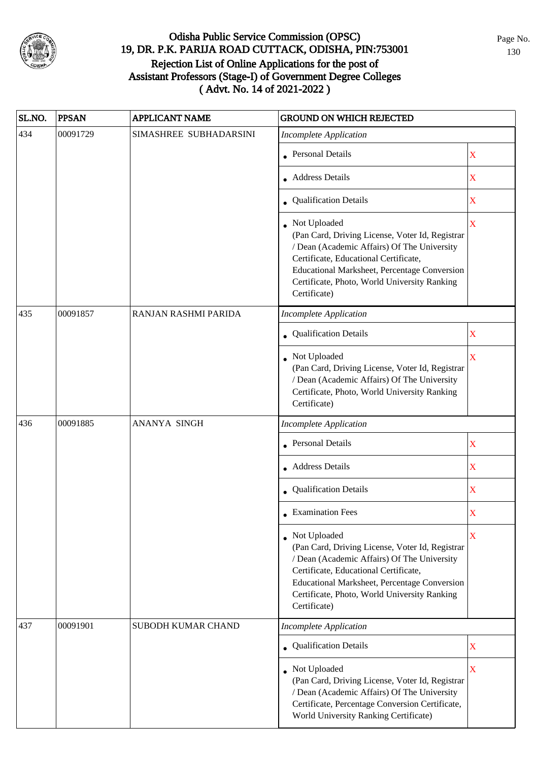

| SL.NO. | <b>PPSAN</b> | <b>APPLICANT NAME</b>     | <b>GROUND ON WHICH REJECTED</b>                                                                                                                                                                                                                                           |                         |  |
|--------|--------------|---------------------------|---------------------------------------------------------------------------------------------------------------------------------------------------------------------------------------------------------------------------------------------------------------------------|-------------------------|--|
| 434    | 00091729     | SIMASHREE SUBHADARSINI    | <b>Incomplete Application</b>                                                                                                                                                                                                                                             |                         |  |
|        |              |                           | • Personal Details                                                                                                                                                                                                                                                        | X                       |  |
|        |              |                           | • Address Details                                                                                                                                                                                                                                                         | X                       |  |
|        |              |                           | • Qualification Details                                                                                                                                                                                                                                                   | X                       |  |
|        |              |                           | • Not Uploaded<br>(Pan Card, Driving License, Voter Id, Registrar<br>/ Dean (Academic Affairs) Of The University<br>Certificate, Educational Certificate,<br>Educational Marksheet, Percentage Conversion<br>Certificate, Photo, World University Ranking<br>Certificate) | $\overline{\mathbf{X}}$ |  |
| 435    | 00091857     | RANJAN RASHMI PARIDA      | <b>Incomplete Application</b>                                                                                                                                                                                                                                             |                         |  |
|        |              |                           | Qualification Details                                                                                                                                                                                                                                                     | X                       |  |
|        |              |                           | Not Uploaded<br>(Pan Card, Driving License, Voter Id, Registrar<br>/ Dean (Academic Affairs) Of The University<br>Certificate, Photo, World University Ranking<br>Certificate)                                                                                            | $\mathbf X$             |  |
| 436    | 00091885     | ANANYA SINGH              | <b>Incomplete Application</b>                                                                                                                                                                                                                                             |                         |  |
|        |              |                           | • Personal Details                                                                                                                                                                                                                                                        | X                       |  |
|        |              |                           | <b>Address Details</b>                                                                                                                                                                                                                                                    | X                       |  |
|        |              |                           | • Qualification Details                                                                                                                                                                                                                                                   | $\mathbf X$             |  |
|        |              |                           | • Examination Fees                                                                                                                                                                                                                                                        | X                       |  |
|        |              |                           | Not Uploaded<br>(Pan Card, Driving License, Voter Id, Registrar<br>/ Dean (Academic Affairs) Of The University<br>Certificate, Educational Certificate,<br>Educational Marksheet, Percentage Conversion<br>Certificate, Photo, World University Ranking<br>Certificate)   | X                       |  |
| 437    | 00091901     | <b>SUBODH KUMAR CHAND</b> | <b>Incomplete Application</b>                                                                                                                                                                                                                                             |                         |  |
|        |              |                           | <b>Qualification Details</b>                                                                                                                                                                                                                                              | $\mathbf X$             |  |
|        |              |                           | • Not Uploaded<br>(Pan Card, Driving License, Voter Id, Registrar<br>/ Dean (Academic Affairs) Of The University<br>Certificate, Percentage Conversion Certificate,<br>World University Ranking Certificate)                                                              | $\mathbf X$             |  |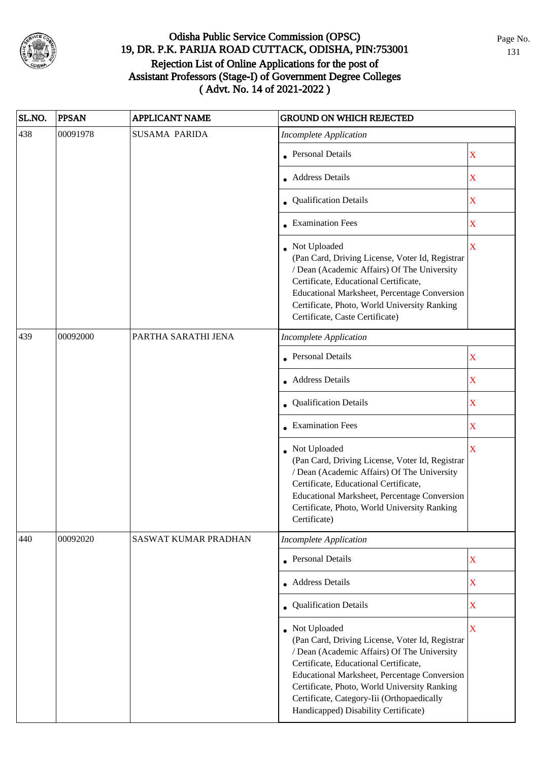

| SL.NO. | <b>PPSAN</b> | APPLICANT NAME       | <b>GROUND ON WHICH REJECTED</b>                                                                                                                                                                                                                                                                                                                 |                         |
|--------|--------------|----------------------|-------------------------------------------------------------------------------------------------------------------------------------------------------------------------------------------------------------------------------------------------------------------------------------------------------------------------------------------------|-------------------------|
| 438    | 00091978     | <b>SUSAMA PARIDA</b> | <b>Incomplete Application</b>                                                                                                                                                                                                                                                                                                                   |                         |
|        |              |                      | • Personal Details                                                                                                                                                                                                                                                                                                                              | X                       |
|        |              |                      | • Address Details                                                                                                                                                                                                                                                                                                                               | $\overline{\mathbf{X}}$ |
|        |              |                      | • Qualification Details                                                                                                                                                                                                                                                                                                                         | $\mathbf X$             |
|        |              |                      | • Examination Fees                                                                                                                                                                                                                                                                                                                              | $\mathbf X$             |
|        |              |                      | • Not Uploaded<br>(Pan Card, Driving License, Voter Id, Registrar<br>/ Dean (Academic Affairs) Of The University<br>Certificate, Educational Certificate,<br>Educational Marksheet, Percentage Conversion<br>Certificate, Photo, World University Ranking<br>Certificate, Caste Certificate)                                                    | $\overline{\mathbf{X}}$ |
| 439    | 00092000     | PARTHA SARATHI JENA  | <b>Incomplete Application</b>                                                                                                                                                                                                                                                                                                                   |                         |
|        |              |                      | • Personal Details                                                                                                                                                                                                                                                                                                                              | X                       |
|        |              |                      | • Address Details                                                                                                                                                                                                                                                                                                                               | $\mathbf X$             |
|        |              |                      | • Qualification Details                                                                                                                                                                                                                                                                                                                         | $\mathbf X$             |
|        |              |                      | • Examination Fees                                                                                                                                                                                                                                                                                                                              | $\overline{\mathbf{X}}$ |
|        |              |                      | • Not Uploaded<br>(Pan Card, Driving License, Voter Id, Registrar<br>/ Dean (Academic Affairs) Of The University<br>Certificate, Educational Certificate,<br>Educational Marksheet, Percentage Conversion<br>Certificate, Photo, World University Ranking<br>Certificate)                                                                       | $\bar{\mathbf{X}}$      |
| 440    | 00092020     | SASWAT KUMAR PRADHAN | <b>Incomplete Application</b>                                                                                                                                                                                                                                                                                                                   |                         |
|        |              |                      | • Personal Details                                                                                                                                                                                                                                                                                                                              | $\mathbf X$             |
|        |              |                      | Address Details                                                                                                                                                                                                                                                                                                                                 | $\mathbf X$             |
|        |              |                      | • Qualification Details                                                                                                                                                                                                                                                                                                                         | $\mathbf X$             |
|        |              |                      | • Not Uploaded<br>(Pan Card, Driving License, Voter Id, Registrar<br>/ Dean (Academic Affairs) Of The University<br>Certificate, Educational Certificate,<br>Educational Marksheet, Percentage Conversion<br>Certificate, Photo, World University Ranking<br>Certificate, Category-Iii (Orthopaedically<br>Handicapped) Disability Certificate) | $\overline{\mathbf{X}}$ |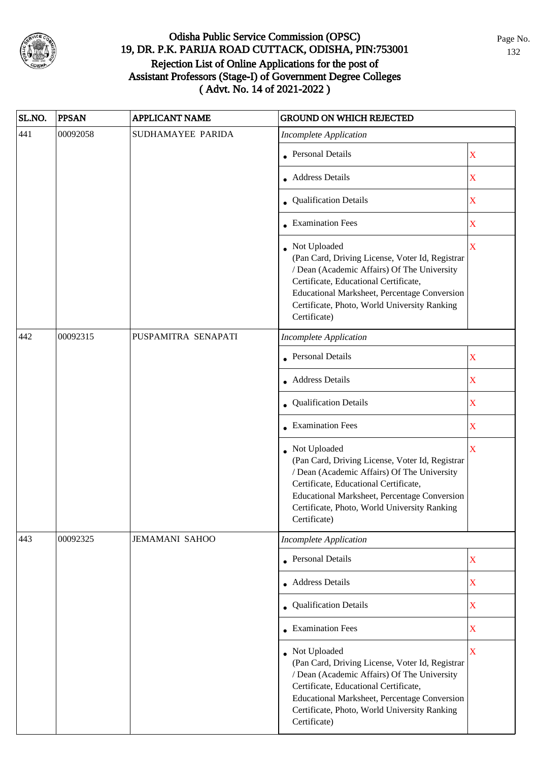

| SL.NO. | <b>PPSAN</b> | <b>APPLICANT NAME</b> | <b>GROUND ON WHICH REJECTED</b>                                                                                                                                                                                                                                           |                                                                                                                                         |
|--------|--------------|-----------------------|---------------------------------------------------------------------------------------------------------------------------------------------------------------------------------------------------------------------------------------------------------------------------|-----------------------------------------------------------------------------------------------------------------------------------------|
| 441    | 00092058     | SUDHAMAYEE PARIDA     | <b>Incomplete Application</b>                                                                                                                                                                                                                                             |                                                                                                                                         |
|        |              |                       | <b>Personal Details</b>                                                                                                                                                                                                                                                   | $\mathbf X$                                                                                                                             |
|        |              |                       | • Address Details                                                                                                                                                                                                                                                         | $\mathbf X$                                                                                                                             |
|        |              |                       | • Qualification Details                                                                                                                                                                                                                                                   | $\mathbf X$                                                                                                                             |
|        |              |                       | • Examination Fees                                                                                                                                                                                                                                                        | X                                                                                                                                       |
|        |              |                       | • Not Uploaded<br>(Pan Card, Driving License, Voter Id, Registrar<br>/ Dean (Academic Affairs) Of The University<br>Certificate, Educational Certificate,<br>Educational Marksheet, Percentage Conversion<br>Certificate, Photo, World University Ranking<br>Certificate) | X                                                                                                                                       |
| 442    | 00092315     | PUSPAMITRA SENAPATI   | <b>Incomplete Application</b>                                                                                                                                                                                                                                             |                                                                                                                                         |
|        |              |                       | Personal Details                                                                                                                                                                                                                                                          | $\mathbf X$                                                                                                                             |
|        |              |                       | • Address Details                                                                                                                                                                                                                                                         | $\mathbf X$                                                                                                                             |
|        |              |                       | • Qualification Details                                                                                                                                                                                                                                                   | $\mathbf X$                                                                                                                             |
|        |              |                       | • Examination Fees                                                                                                                                                                                                                                                        | $\mathbf X$<br>$\bar{X}$<br>$\mathbf X$<br>$\mathbf X$<br>$\overline{\textbf{X}}$<br>$\overline{\textbf{X}}$<br>$\overline{\mathbf{X}}$ |
|        |              |                       | • Not Uploaded<br>(Pan Card, Driving License, Voter Id, Registrar<br>/ Dean (Academic Affairs) Of The University<br>Certificate, Educational Certificate,<br>Educational Marksheet, Percentage Conversion<br>Certificate, Photo, World University Ranking<br>Certificate) |                                                                                                                                         |
| 443    | 00092325     | <b>JEMAMANI SAHOO</b> | <b>Incomplete Application</b>                                                                                                                                                                                                                                             |                                                                                                                                         |
|        |              |                       | • Personal Details                                                                                                                                                                                                                                                        |                                                                                                                                         |
|        |              |                       | Address Details                                                                                                                                                                                                                                                           |                                                                                                                                         |
|        |              |                       | • Qualification Details                                                                                                                                                                                                                                                   |                                                                                                                                         |
|        |              |                       | • Examination Fees                                                                                                                                                                                                                                                        |                                                                                                                                         |
|        |              |                       | • Not Uploaded<br>(Pan Card, Driving License, Voter Id, Registrar<br>/ Dean (Academic Affairs) Of The University<br>Certificate, Educational Certificate,<br>Educational Marksheet, Percentage Conversion<br>Certificate, Photo, World University Ranking<br>Certificate) |                                                                                                                                         |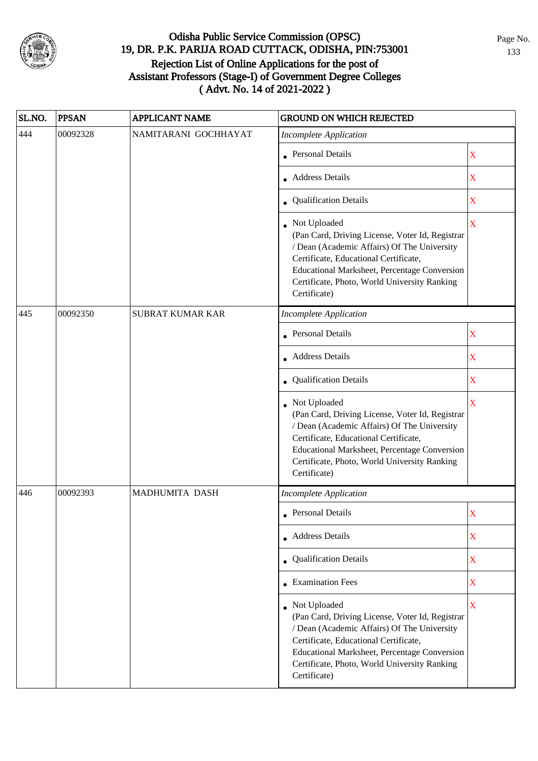

| SL.NO. | <b>PPSAN</b> | <b>APPLICANT NAME</b>   | <b>GROUND ON WHICH REJECTED</b>                                                                                                                                                                                                                                           |                         |
|--------|--------------|-------------------------|---------------------------------------------------------------------------------------------------------------------------------------------------------------------------------------------------------------------------------------------------------------------------|-------------------------|
| 444    | 00092328     | NAMITARANI GOCHHAYAT    | <b>Incomplete Application</b>                                                                                                                                                                                                                                             |                         |
|        |              |                         | • Personal Details                                                                                                                                                                                                                                                        | $\mathbf X$             |
|        |              |                         | <b>Address Details</b>                                                                                                                                                                                                                                                    | X                       |
|        |              |                         | • Qualification Details                                                                                                                                                                                                                                                   | $\overline{\mathbf{X}}$ |
|        |              |                         | • Not Uploaded<br>(Pan Card, Driving License, Voter Id, Registrar<br>/ Dean (Academic Affairs) Of The University<br>Certificate, Educational Certificate,<br>Educational Marksheet, Percentage Conversion<br>Certificate, Photo, World University Ranking<br>Certificate) | $\overline{\mathbf{X}}$ |
| 445    | 00092350     | <b>SUBRAT KUMAR KAR</b> | <b>Incomplete Application</b>                                                                                                                                                                                                                                             |                         |
|        |              |                         | <b>Personal Details</b>                                                                                                                                                                                                                                                   | X                       |
|        |              |                         | <b>Address Details</b>                                                                                                                                                                                                                                                    | $\overline{\mathbf{X}}$ |
|        |              |                         | • Qualification Details                                                                                                                                                                                                                                                   | $\overline{\textbf{X}}$ |
|        |              |                         | Not Uploaded<br>(Pan Card, Driving License, Voter Id, Registrar<br>/ Dean (Academic Affairs) Of The University<br>Certificate, Educational Certificate,<br>Educational Marksheet, Percentage Conversion<br>Certificate, Photo, World University Ranking<br>Certificate)   | $\bar{\mathbf{X}}$      |
| 446    | 00092393     | MADHUMITA DASH          | <b>Incomplete Application</b>                                                                                                                                                                                                                                             |                         |
|        |              |                         | • Personal Details                                                                                                                                                                                                                                                        | X                       |
|        |              |                         | • Address Details                                                                                                                                                                                                                                                         | $\mathbf X$             |
|        |              |                         | • Qualification Details                                                                                                                                                                                                                                                   | X                       |
|        |              |                         | $\bullet$ Examination Fees                                                                                                                                                                                                                                                | $\overline{\text{X}}$   |
|        |              |                         | • Not Uploaded<br>(Pan Card, Driving License, Voter Id, Registrar<br>/ Dean (Academic Affairs) Of The University<br>Certificate, Educational Certificate,<br>Educational Marksheet, Percentage Conversion<br>Certificate, Photo, World University Ranking<br>Certificate) | $\bar{\mathbf{X}}$      |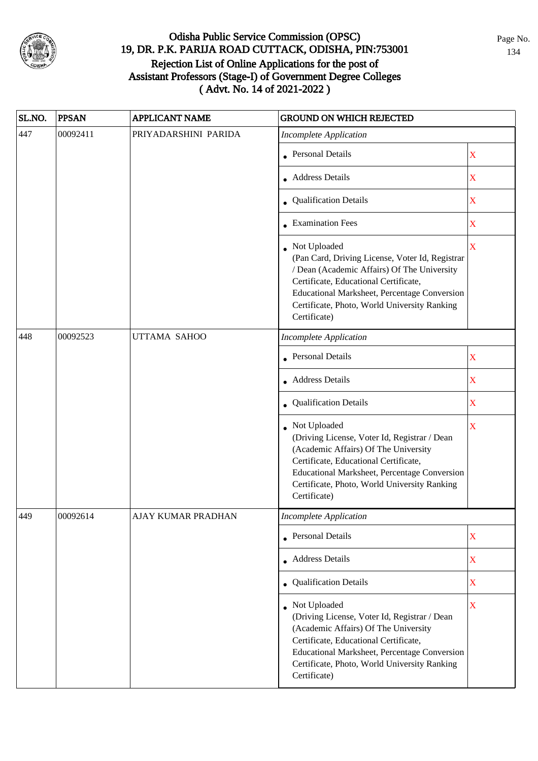

| SL.NO. | <b>PPSAN</b> | <b>APPLICANT NAME</b> | <b>GROUND ON WHICH REJECTED</b>                                                                                                                                                                                                                                           |                         |
|--------|--------------|-----------------------|---------------------------------------------------------------------------------------------------------------------------------------------------------------------------------------------------------------------------------------------------------------------------|-------------------------|
| 447    | 00092411     | PRIYADARSHINI PARIDA  | <b>Incomplete Application</b>                                                                                                                                                                                                                                             |                         |
|        |              |                       | • Personal Details                                                                                                                                                                                                                                                        | $\mathbf X$             |
|        |              |                       | • Address Details                                                                                                                                                                                                                                                         | $\mathbf X$             |
|        |              |                       | • Qualification Details                                                                                                                                                                                                                                                   | $\mathbf X$             |
|        |              |                       | • Examination Fees                                                                                                                                                                                                                                                        | $\mathbf X$             |
|        |              |                       | • Not Uploaded<br>(Pan Card, Driving License, Voter Id, Registrar<br>/ Dean (Academic Affairs) Of The University<br>Certificate, Educational Certificate,<br>Educational Marksheet, Percentage Conversion<br>Certificate, Photo, World University Ranking<br>Certificate) | $\mathbf X$             |
| 448    | 00092523     | UTTAMA SAHOO          | <b>Incomplete Application</b>                                                                                                                                                                                                                                             |                         |
|        |              |                       | <b>Personal Details</b>                                                                                                                                                                                                                                                   | X                       |
|        |              |                       | <b>Address Details</b>                                                                                                                                                                                                                                                    | $\mathbf X$             |
|        |              |                       | • Qualification Details                                                                                                                                                                                                                                                   | $\mathbf X$             |
|        |              |                       | Not Uploaded<br>(Driving License, Voter Id, Registrar / Dean<br>(Academic Affairs) Of The University<br>Certificate, Educational Certificate,<br>Educational Marksheet, Percentage Conversion<br>Certificate, Photo, World University Ranking<br>Certificate)             | $\overline{\textbf{X}}$ |
| 449    | 00092614     | AJAY KUMAR PRADHAN    | Incomplete Application                                                                                                                                                                                                                                                    |                         |
|        |              |                       | • Personal Details                                                                                                                                                                                                                                                        | X                       |
|        |              |                       | • Address Details                                                                                                                                                                                                                                                         | $\mathbf X$             |
|        |              |                       | • Qualification Details                                                                                                                                                                                                                                                   | $\mathbf X$             |
|        |              |                       | • Not Uploaded<br>(Driving License, Voter Id, Registrar / Dean<br>(Academic Affairs) Of The University<br>Certificate, Educational Certificate,<br>Educational Marksheet, Percentage Conversion<br>Certificate, Photo, World University Ranking<br>Certificate)           | $\bar{\mathbf{X}}$      |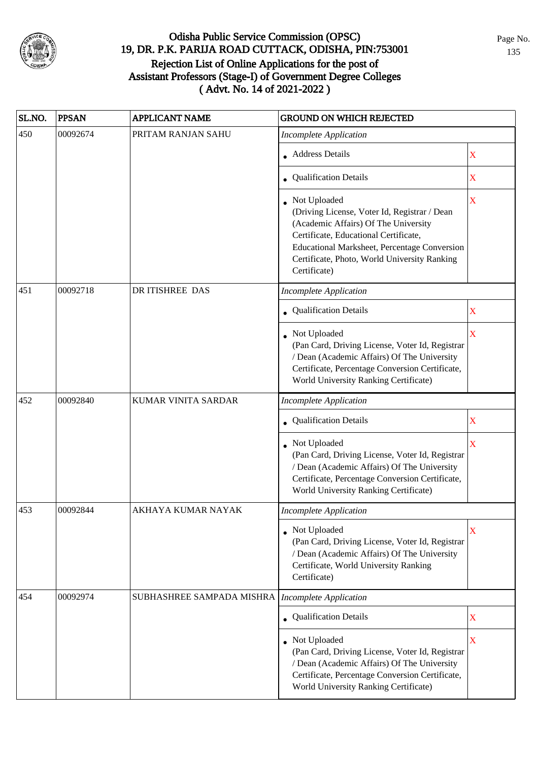

| SL.NO. | <b>PPSAN</b> | <b>APPLICANT NAME</b>     | <b>GROUND ON WHICH REJECTED</b>                                                                                                                                                                                                                                      |                         |
|--------|--------------|---------------------------|----------------------------------------------------------------------------------------------------------------------------------------------------------------------------------------------------------------------------------------------------------------------|-------------------------|
| 450    | 00092674     | PRITAM RANJAN SAHU        | <b>Incomplete Application</b>                                                                                                                                                                                                                                        |                         |
|        |              |                           | • Address Details                                                                                                                                                                                                                                                    | X                       |
|        |              |                           | • Qualification Details                                                                                                                                                                                                                                              | X                       |
|        |              |                           | Not Uploaded<br>(Driving License, Voter Id, Registrar / Dean<br>(Academic Affairs) Of The University<br>Certificate, Educational Certificate,<br><b>Educational Marksheet, Percentage Conversion</b><br>Certificate, Photo, World University Ranking<br>Certificate) | X                       |
| 451    | 00092718     | DR ITISHREE DAS           | <b>Incomplete Application</b>                                                                                                                                                                                                                                        |                         |
|        |              |                           | <b>Qualification Details</b>                                                                                                                                                                                                                                         | $\mathbf X$             |
|        |              |                           | Not Uploaded<br>(Pan Card, Driving License, Voter Id, Registrar<br>/ Dean (Academic Affairs) Of The University<br>Certificate, Percentage Conversion Certificate,<br>World University Ranking Certificate)                                                           | X                       |
| 452    | 00092840     | KUMAR VINITA SARDAR       | <b>Incomplete Application</b>                                                                                                                                                                                                                                        |                         |
|        |              |                           | • Qualification Details                                                                                                                                                                                                                                              | $\mathbf X$             |
|        |              |                           | Not Uploaded<br>(Pan Card, Driving License, Voter Id, Registrar<br>/ Dean (Academic Affairs) Of The University<br>Certificate, Percentage Conversion Certificate,<br>World University Ranking Certificate)                                                           | $\mathbf X$             |
| 453    | 00092844     | AKHAYA KUMAR NAYAK        | <b>Incomplete Application</b>                                                                                                                                                                                                                                        |                         |
|        |              |                           | Not Uploaded<br>(Pan Card, Driving License, Voter Id, Registrar<br>/ Dean (Academic Affairs) Of The University<br>Certificate, World University Ranking<br>Certificate)                                                                                              | $\overline{\mathbf{X}}$ |
| 454    | 00092974     | SUBHASHREE SAMPADA MISHRA | <b>Incomplete Application</b>                                                                                                                                                                                                                                        |                         |
|        |              |                           | Qualification Details                                                                                                                                                                                                                                                | $\mathbf X$             |
|        |              |                           | Not Uploaded<br>(Pan Card, Driving License, Voter Id, Registrar<br>/ Dean (Academic Affairs) Of The University<br>Certificate, Percentage Conversion Certificate,<br>World University Ranking Certificate)                                                           | X                       |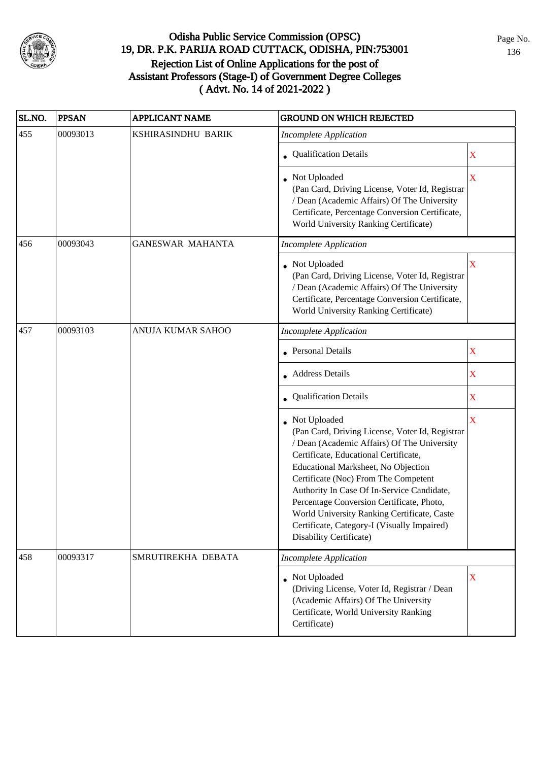

| SL.NO. | <b>PPSAN</b> | <b>APPLICANT NAME</b>    | <b>GROUND ON WHICH REJECTED</b>                                                                                                                                                                                                                                                                                                                                                                                                                              |             |
|--------|--------------|--------------------------|--------------------------------------------------------------------------------------------------------------------------------------------------------------------------------------------------------------------------------------------------------------------------------------------------------------------------------------------------------------------------------------------------------------------------------------------------------------|-------------|
| 455    | 00093013     | KSHIRASINDHU BARIK       | <b>Incomplete Application</b>                                                                                                                                                                                                                                                                                                                                                                                                                                |             |
|        |              |                          | • Qualification Details                                                                                                                                                                                                                                                                                                                                                                                                                                      | $\mathbf X$ |
|        |              |                          | Not Uploaded<br>(Pan Card, Driving License, Voter Id, Registrar<br>/ Dean (Academic Affairs) Of The University<br>Certificate, Percentage Conversion Certificate,<br>World University Ranking Certificate)                                                                                                                                                                                                                                                   | $\mathbf X$ |
| 456    | 00093043     | <b>GANESWAR MAHANTA</b>  | <b>Incomplete Application</b>                                                                                                                                                                                                                                                                                                                                                                                                                                |             |
|        |              |                          | • Not Uploaded<br>(Pan Card, Driving License, Voter Id, Registrar<br>/ Dean (Academic Affairs) Of The University<br>Certificate, Percentage Conversion Certificate,<br>World University Ranking Certificate)                                                                                                                                                                                                                                                 | X           |
| 457    | 00093103     | <b>ANUJA KUMAR SAHOO</b> | <b>Incomplete Application</b>                                                                                                                                                                                                                                                                                                                                                                                                                                |             |
|        |              |                          | • Personal Details                                                                                                                                                                                                                                                                                                                                                                                                                                           | $\mathbf X$ |
|        |              |                          | • Address Details                                                                                                                                                                                                                                                                                                                                                                                                                                            | $\mathbf X$ |
|        |              |                          | • Qualification Details                                                                                                                                                                                                                                                                                                                                                                                                                                      | $\mathbf X$ |
|        |              |                          | • Not Uploaded<br>(Pan Card, Driving License, Voter Id, Registrar<br>/ Dean (Academic Affairs) Of The University<br>Certificate, Educational Certificate,<br>Educational Marksheet, No Objection<br>Certificate (Noc) From The Competent<br>Authority In Case Of In-Service Candidate,<br>Percentage Conversion Certificate, Photo,<br>World University Ranking Certificate, Caste<br>Certificate, Category-I (Visually Impaired)<br>Disability Certificate) | X           |
| 458    | 00093317     | SMRUTIREKHA DEBATA       | <b>Incomplete Application</b>                                                                                                                                                                                                                                                                                                                                                                                                                                |             |
|        |              |                          | • Not Uploaded<br>(Driving License, Voter Id, Registrar / Dean<br>(Academic Affairs) Of The University<br>Certificate, World University Ranking<br>Certificate)                                                                                                                                                                                                                                                                                              | X           |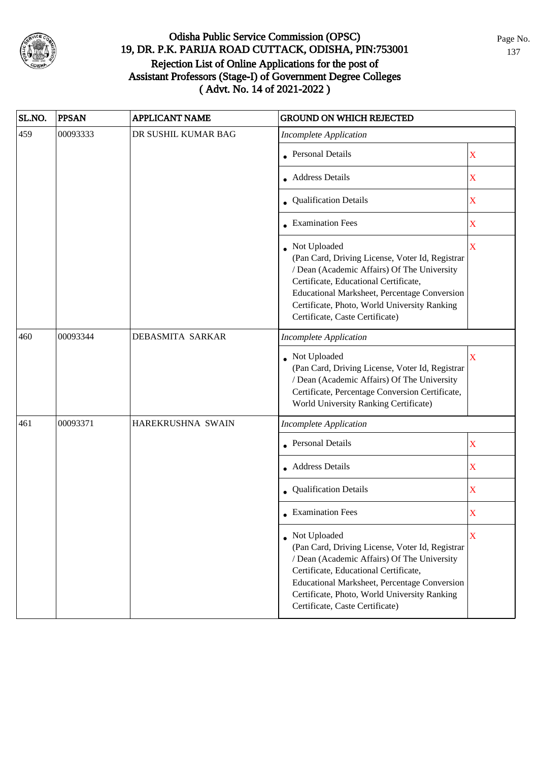

| SL.NO. | <b>PPSAN</b> | <b>APPLICANT NAME</b> | <b>GROUND ON WHICH REJECTED</b>                                                                                                                                                                                                                                                              |                         |
|--------|--------------|-----------------------|----------------------------------------------------------------------------------------------------------------------------------------------------------------------------------------------------------------------------------------------------------------------------------------------|-------------------------|
| 459    | 00093333     | DR SUSHIL KUMAR BAG   | <b>Incomplete Application</b>                                                                                                                                                                                                                                                                |                         |
|        |              |                       | <b>Personal Details</b>                                                                                                                                                                                                                                                                      | $\mathbf X$             |
|        |              |                       | <b>Address Details</b>                                                                                                                                                                                                                                                                       | $\mathbf X$             |
|        |              |                       | • Qualification Details                                                                                                                                                                                                                                                                      | $\mathbf X$             |
|        |              |                       | • Examination Fees                                                                                                                                                                                                                                                                           | $\mathbf X$             |
|        |              |                       | Not Uploaded<br>(Pan Card, Driving License, Voter Id, Registrar<br>/ Dean (Academic Affairs) Of The University<br>Certificate, Educational Certificate,<br>Educational Marksheet, Percentage Conversion<br>Certificate, Photo, World University Ranking<br>Certificate, Caste Certificate)   | X                       |
| 460    | 00093344     | DEBASMITA SARKAR      | <b>Incomplete Application</b>                                                                                                                                                                                                                                                                |                         |
|        |              |                       | • Not Uploaded<br>(Pan Card, Driving License, Voter Id, Registrar<br>/ Dean (Academic Affairs) Of The University<br>Certificate, Percentage Conversion Certificate,<br>World University Ranking Certificate)                                                                                 | $\overline{\mathbf{X}}$ |
| 461    | 00093371     | HAREKRUSHNA SWAIN     | <b>Incomplete Application</b>                                                                                                                                                                                                                                                                |                         |
|        |              |                       | Personal Details                                                                                                                                                                                                                                                                             | $\mathbf X$             |
|        |              |                       | • Address Details                                                                                                                                                                                                                                                                            | $\mathbf X$             |
|        |              |                       | • Qualification Details                                                                                                                                                                                                                                                                      | $\mathbf X$             |
|        |              |                       | $\bullet$ Examination Fees                                                                                                                                                                                                                                                                   | X                       |
|        |              |                       | • Not Uploaded<br>(Pan Card, Driving License, Voter Id, Registrar<br>/ Dean (Academic Affairs) Of The University<br>Certificate, Educational Certificate,<br>Educational Marksheet, Percentage Conversion<br>Certificate, Photo, World University Ranking<br>Certificate, Caste Certificate) | X                       |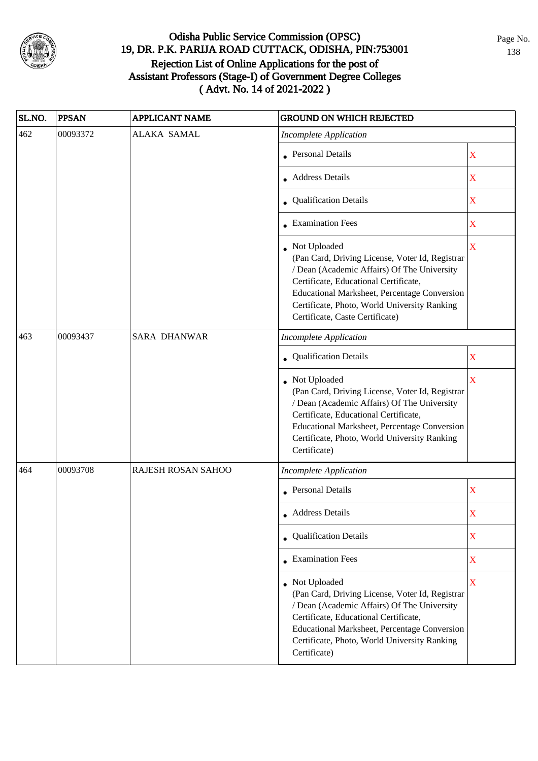

| SL.NO. | <b>PPSAN</b> | <b>APPLICANT NAME</b> | <b>GROUND ON WHICH REJECTED</b>                                                                                                                                                                                                                                                                   |             |
|--------|--------------|-----------------------|---------------------------------------------------------------------------------------------------------------------------------------------------------------------------------------------------------------------------------------------------------------------------------------------------|-------------|
| 462    | 00093372     | <b>ALAKA SAMAL</b>    | <b>Incomplete Application</b>                                                                                                                                                                                                                                                                     |             |
|        |              |                       | <b>Personal Details</b>                                                                                                                                                                                                                                                                           | $\mathbf X$ |
|        |              |                       | <b>Address Details</b>                                                                                                                                                                                                                                                                            | $\mathbf X$ |
|        |              |                       | • Qualification Details                                                                                                                                                                                                                                                                           | $\mathbf X$ |
|        |              |                       | • Examination Fees                                                                                                                                                                                                                                                                                | $\mathbf X$ |
|        |              |                       | Not Uploaded<br>(Pan Card, Driving License, Voter Id, Registrar<br>/ Dean (Academic Affairs) Of The University<br>Certificate, Educational Certificate,<br><b>Educational Marksheet, Percentage Conversion</b><br>Certificate, Photo, World University Ranking<br>Certificate, Caste Certificate) | $\mathbf X$ |
| 463    | 00093437     | <b>SARA DHANWAR</b>   | <b>Incomplete Application</b>                                                                                                                                                                                                                                                                     |             |
|        |              |                       | • Qualification Details                                                                                                                                                                                                                                                                           | X           |
|        |              |                       | Not Uploaded<br>(Pan Card, Driving License, Voter Id, Registrar<br>/ Dean (Academic Affairs) Of The University<br>Certificate, Educational Certificate,<br>Educational Marksheet, Percentage Conversion<br>Certificate, Photo, World University Ranking<br>Certificate)                           | X           |
| 464    | 00093708     | RAJESH ROSAN SAHOO    | <b>Incomplete Application</b>                                                                                                                                                                                                                                                                     |             |
|        |              |                       | • Personal Details                                                                                                                                                                                                                                                                                | $\mathbf X$ |
|        |              |                       | • Address Details                                                                                                                                                                                                                                                                                 | X           |
|        |              |                       | • Qualification Details                                                                                                                                                                                                                                                                           | $\mathbf X$ |
|        |              |                       | • Examination Fees                                                                                                                                                                                                                                                                                | $\mathbf X$ |
|        |              |                       | • Not Uploaded<br>(Pan Card, Driving License, Voter Id, Registrar<br>/ Dean (Academic Affairs) Of The University<br>Certificate, Educational Certificate,<br>Educational Marksheet, Percentage Conversion<br>Certificate, Photo, World University Ranking<br>Certificate)                         | $\mathbf X$ |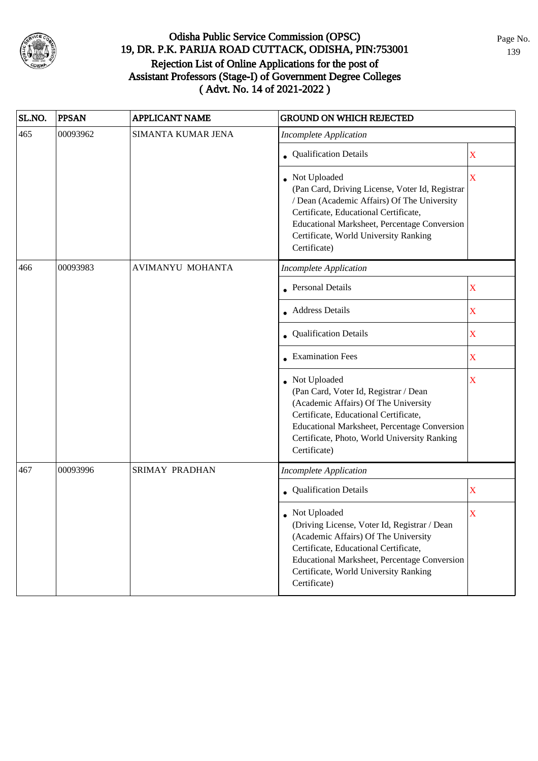

| SL.NO. | <b>PPSAN</b> | <b>APPLICANT NAME</b>   | <b>GROUND ON WHICH REJECTED</b>                                                                                                                                                                                                                                         |             |
|--------|--------------|-------------------------|-------------------------------------------------------------------------------------------------------------------------------------------------------------------------------------------------------------------------------------------------------------------------|-------------|
| 465    | 00093962     | SIMANTA KUMAR JENA      | <b>Incomplete Application</b>                                                                                                                                                                                                                                           |             |
|        |              |                         | <b>Qualification Details</b>                                                                                                                                                                                                                                            | X           |
|        |              |                         | Not Uploaded<br>(Pan Card, Driving License, Voter Id, Registrar<br>/ Dean (Academic Affairs) Of The University<br>Certificate, Educational Certificate,<br><b>Educational Marksheet, Percentage Conversion</b><br>Certificate, World University Ranking<br>Certificate) | X           |
| 466    | 00093983     | <b>AVIMANYU MOHANTA</b> | <b>Incomplete Application</b>                                                                                                                                                                                                                                           |             |
|        |              |                         | <b>Personal Details</b>                                                                                                                                                                                                                                                 | $\mathbf X$ |
|        |              |                         | • Address Details                                                                                                                                                                                                                                                       | $\mathbf X$ |
|        |              |                         | Qualification Details                                                                                                                                                                                                                                                   | $\mathbf X$ |
|        |              |                         | <b>Examination Fees</b>                                                                                                                                                                                                                                                 | $\mathbf X$ |
|        |              |                         | Not Uploaded<br>(Pan Card, Voter Id, Registrar / Dean<br>(Academic Affairs) Of The University<br>Certificate, Educational Certificate,<br>Educational Marksheet, Percentage Conversion<br>Certificate, Photo, World University Ranking<br>Certificate)                  | X           |
| 467    | 00093996     | SRIMAY PRADHAN          | <b>Incomplete Application</b>                                                                                                                                                                                                                                           |             |
|        |              |                         | Qualification Details                                                                                                                                                                                                                                                   | $\mathbf X$ |
|        |              |                         | • Not Uploaded<br>(Driving License, Voter Id, Registrar / Dean<br>(Academic Affairs) Of The University<br>Certificate, Educational Certificate,<br>Educational Marksheet, Percentage Conversion<br>Certificate, World University Ranking<br>Certificate)                | X           |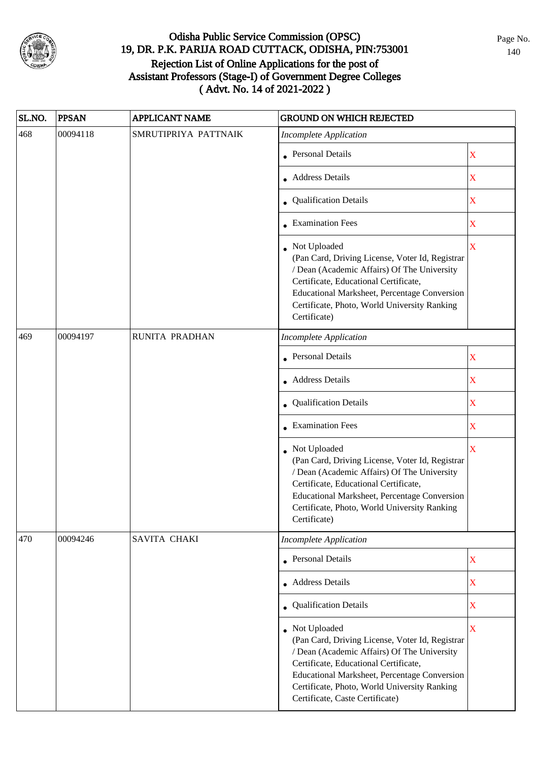

| SL.NO. | <b>PPSAN</b> | <b>APPLICANT NAME</b> | <b>GROUND ON WHICH REJECTED</b>                                                                                                                                                                                                                                                              |                         |
|--------|--------------|-----------------------|----------------------------------------------------------------------------------------------------------------------------------------------------------------------------------------------------------------------------------------------------------------------------------------------|-------------------------|
| 468    | 00094118     | SMRUTIPRIYA PATTNAIK  | <b>Incomplete Application</b>                                                                                                                                                                                                                                                                |                         |
|        |              |                       | • Personal Details                                                                                                                                                                                                                                                                           | $\mathbf X$             |
|        |              |                       | <b>Address Details</b>                                                                                                                                                                                                                                                                       | $\mathbf X$             |
|        |              |                       | • Qualification Details                                                                                                                                                                                                                                                                      | $\overline{\text{X}}$   |
|        |              |                       | $\bullet$ Examination Fees                                                                                                                                                                                                                                                                   | $\mathbf X$             |
|        |              |                       | • Not Uploaded<br>(Pan Card, Driving License, Voter Id, Registrar<br>/ Dean (Academic Affairs) Of The University<br>Certificate, Educational Certificate,<br>Educational Marksheet, Percentage Conversion<br>Certificate, Photo, World University Ranking<br>Certificate)                    | $\overline{\text{X}}$   |
| 469    | 00094197     | RUNITA PRADHAN        | <b>Incomplete Application</b>                                                                                                                                                                                                                                                                |                         |
|        |              |                       | <b>Personal Details</b>                                                                                                                                                                                                                                                                      | $\mathbf X$             |
|        |              |                       | • Address Details                                                                                                                                                                                                                                                                            | $\overline{\text{X}}$   |
|        |              |                       | • Qualification Details                                                                                                                                                                                                                                                                      | X                       |
|        |              |                       | • Examination Fees                                                                                                                                                                                                                                                                           | X                       |
|        |              |                       | Not Uploaded<br>(Pan Card, Driving License, Voter Id, Registrar<br>/ Dean (Academic Affairs) Of The University<br>Certificate, Educational Certificate,<br>Educational Marksheet, Percentage Conversion<br>Certificate, Photo, World University Ranking<br>Certificate)                      | $\bar{\mathbf{X}}$      |
| 470    | 00094246     | SAVITA CHAKI          | <b>Incomplete Application</b>                                                                                                                                                                                                                                                                |                         |
|        |              |                       | • Personal Details                                                                                                                                                                                                                                                                           | $\mathbf X$             |
|        |              |                       | • Address Details                                                                                                                                                                                                                                                                            | $\mathbf X$             |
|        |              |                       | • Qualification Details                                                                                                                                                                                                                                                                      | $\mathbf X$             |
|        |              |                       | • Not Uploaded<br>(Pan Card, Driving License, Voter Id, Registrar<br>/ Dean (Academic Affairs) Of The University<br>Certificate, Educational Certificate,<br>Educational Marksheet, Percentage Conversion<br>Certificate, Photo, World University Ranking<br>Certificate, Caste Certificate) | $\overline{\mathbf{X}}$ |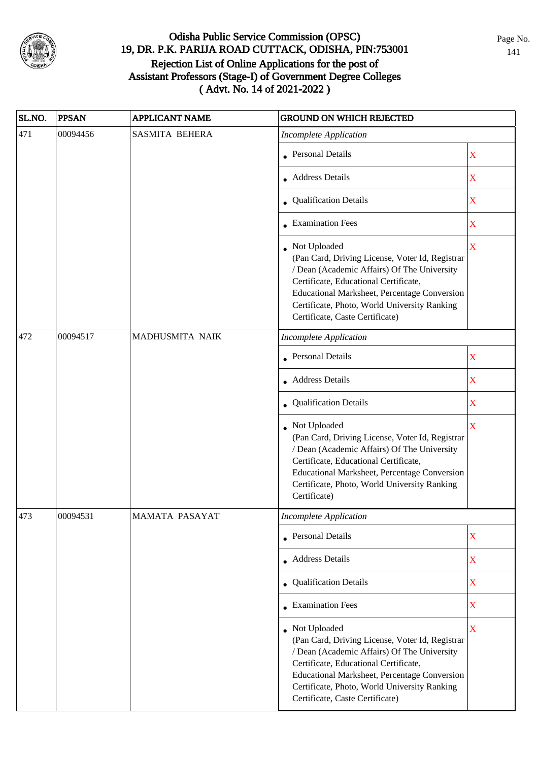

| SL.NO. | <b>PPSAN</b> | <b>APPLICANT NAME</b> | <b>GROUND ON WHICH REJECTED</b>                                                                                                                                                                                                                                                                   |                         |
|--------|--------------|-----------------------|---------------------------------------------------------------------------------------------------------------------------------------------------------------------------------------------------------------------------------------------------------------------------------------------------|-------------------------|
| 471    | 00094456     | <b>SASMITA BEHERA</b> | <b>Incomplete Application</b>                                                                                                                                                                                                                                                                     |                         |
|        |              |                       | • Personal Details                                                                                                                                                                                                                                                                                | $\mathbf X$             |
|        |              |                       | • Address Details                                                                                                                                                                                                                                                                                 | $\mathbf X$             |
|        |              |                       | • Qualification Details                                                                                                                                                                                                                                                                           | X                       |
|        |              |                       | • Examination Fees                                                                                                                                                                                                                                                                                | $\mathbf X$             |
|        |              |                       | Not Uploaded<br>(Pan Card, Driving License, Voter Id, Registrar<br>/ Dean (Academic Affairs) Of The University<br>Certificate, Educational Certificate,<br><b>Educational Marksheet, Percentage Conversion</b><br>Certificate, Photo, World University Ranking<br>Certificate, Caste Certificate) | $\mathbf X$             |
| 472    | 00094517     | MADHUSMITA NAIK       | <b>Incomplete Application</b>                                                                                                                                                                                                                                                                     |                         |
|        |              |                       | • Personal Details                                                                                                                                                                                                                                                                                | $\mathbf X$             |
|        |              |                       | <b>Address Details</b>                                                                                                                                                                                                                                                                            | $\mathbf X$             |
|        |              |                       | • Qualification Details                                                                                                                                                                                                                                                                           | $\mathbf X$             |
|        |              |                       | Not Uploaded<br>(Pan Card, Driving License, Voter Id, Registrar<br>/ Dean (Academic Affairs) Of The University<br>Certificate, Educational Certificate,<br>Educational Marksheet, Percentage Conversion<br>Certificate, Photo, World University Ranking<br>Certificate)                           | $\overline{\mathbf{X}}$ |
| 473    | 00094531     | <b>MAMATA PASAYAT</b> | Incomplete Application                                                                                                                                                                                                                                                                            |                         |
|        |              |                       | • Personal Details                                                                                                                                                                                                                                                                                | $\mathbf X$             |
|        |              |                       | • Address Details                                                                                                                                                                                                                                                                                 | $\mathbf X$             |
|        |              |                       | • Qualification Details                                                                                                                                                                                                                                                                           | $\mathbf X$             |
|        |              |                       | • Examination Fees                                                                                                                                                                                                                                                                                | $\mathbf X$             |
|        |              |                       | • Not Uploaded<br>(Pan Card, Driving License, Voter Id, Registrar<br>/ Dean (Academic Affairs) Of The University<br>Certificate, Educational Certificate,<br>Educational Marksheet, Percentage Conversion<br>Certificate, Photo, World University Ranking<br>Certificate, Caste Certificate)      | $\overline{\mathbf{X}}$ |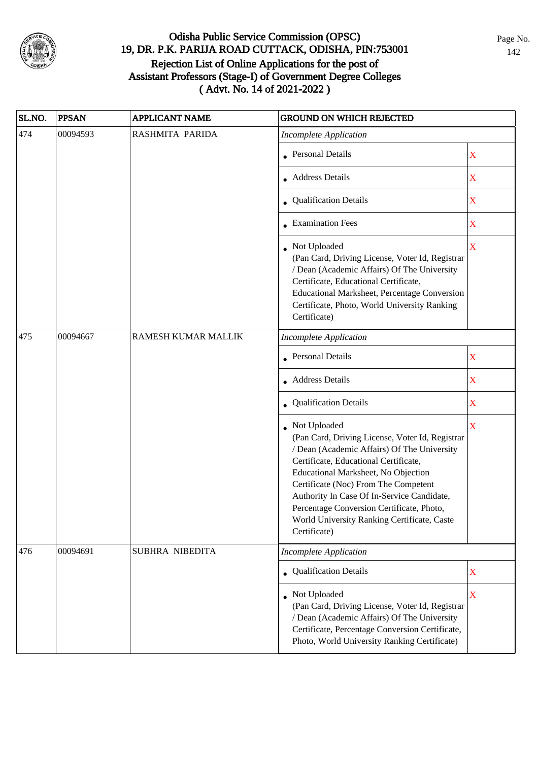

| SL.NO. | <b>PPSAN</b> | <b>APPLICANT NAME</b> | <b>GROUND ON WHICH REJECTED</b>                                                                                                                                                                                                                                                                                                                                                                  |                           |
|--------|--------------|-----------------------|--------------------------------------------------------------------------------------------------------------------------------------------------------------------------------------------------------------------------------------------------------------------------------------------------------------------------------------------------------------------------------------------------|---------------------------|
| 474    | 00094593     | RASHMITA PARIDA       | <b>Incomplete Application</b>                                                                                                                                                                                                                                                                                                                                                                    |                           |
|        |              |                       | <b>Personal Details</b>                                                                                                                                                                                                                                                                                                                                                                          | $\mathbf X$               |
|        |              |                       | • Address Details                                                                                                                                                                                                                                                                                                                                                                                | X                         |
|        |              |                       | • Qualification Details                                                                                                                                                                                                                                                                                                                                                                          | $\mathbf X$               |
|        |              |                       | • Examination Fees                                                                                                                                                                                                                                                                                                                                                                               | $\boldsymbol{\mathrm{X}}$ |
|        |              |                       | • Not Uploaded<br>(Pan Card, Driving License, Voter Id, Registrar<br>/ Dean (Academic Affairs) Of The University<br>Certificate, Educational Certificate,<br>Educational Marksheet, Percentage Conversion<br>Certificate, Photo, World University Ranking<br>Certificate)                                                                                                                        | $\mathbf X$               |
| 475    | 00094667     | RAMESH KUMAR MALLIK   | <b>Incomplete Application</b>                                                                                                                                                                                                                                                                                                                                                                    |                           |
|        |              |                       | <b>Personal Details</b>                                                                                                                                                                                                                                                                                                                                                                          | $\overline{\mathbf{X}}$   |
|        |              |                       | • Address Details                                                                                                                                                                                                                                                                                                                                                                                | $\mathbf X$               |
|        |              |                       | • Qualification Details                                                                                                                                                                                                                                                                                                                                                                          | $\mathbf X$               |
|        |              |                       | Not Uploaded<br>(Pan Card, Driving License, Voter Id, Registrar<br>/ Dean (Academic Affairs) Of The University<br>Certificate, Educational Certificate,<br>Educational Marksheet, No Objection<br>Certificate (Noc) From The Competent<br>Authority In Case Of In-Service Candidate,<br>Percentage Conversion Certificate, Photo,<br>World University Ranking Certificate, Caste<br>Certificate) | $\overline{\mathbf{X}}$   |
| 476    | 00094691     | SUBHRA NIBEDITA       | <b>Incomplete Application</b>                                                                                                                                                                                                                                                                                                                                                                    |                           |
|        |              |                       | Qualification Details                                                                                                                                                                                                                                                                                                                                                                            | $\mathbf X$               |
|        |              |                       | Not Uploaded<br>(Pan Card, Driving License, Voter Id, Registrar<br>/ Dean (Academic Affairs) Of The University<br>Certificate, Percentage Conversion Certificate,<br>Photo, World University Ranking Certificate)                                                                                                                                                                                | $\bar{\mathbf{X}}$        |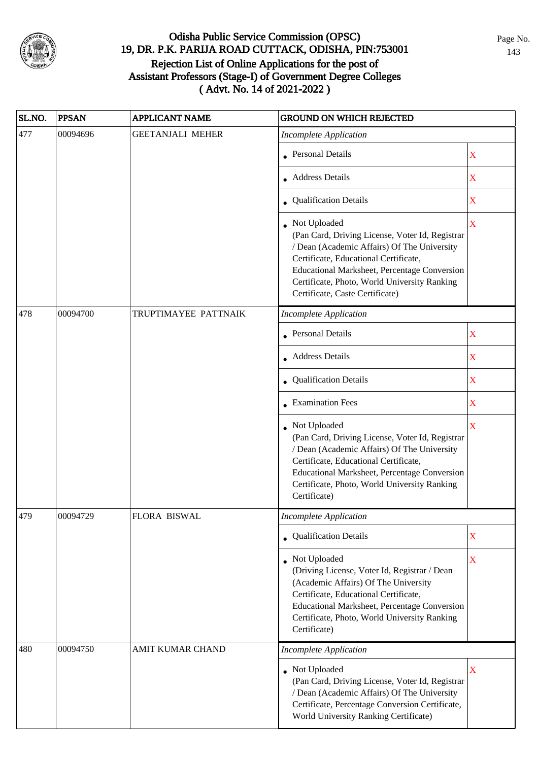

| SL.NO. | <b>PPSAN</b> | <b>APPLICANT NAME</b>   | <b>GROUND ON WHICH REJECTED</b>                                                                                                                                                                                                                                                            |                         |
|--------|--------------|-------------------------|--------------------------------------------------------------------------------------------------------------------------------------------------------------------------------------------------------------------------------------------------------------------------------------------|-------------------------|
| 477    | 00094696     | <b>GEETANJALI MEHER</b> | <b>Incomplete Application</b>                                                                                                                                                                                                                                                              |                         |
|        |              |                         | <b>Personal Details</b>                                                                                                                                                                                                                                                                    | $\mathbf X$             |
|        |              |                         | • Address Details                                                                                                                                                                                                                                                                          | $\mathbf X$             |
|        |              |                         | • Qualification Details                                                                                                                                                                                                                                                                    | $\mathbf X$             |
|        |              |                         | Not Uploaded<br>(Pan Card, Driving License, Voter Id, Registrar<br>/ Dean (Academic Affairs) Of The University<br>Certificate, Educational Certificate,<br>Educational Marksheet, Percentage Conversion<br>Certificate, Photo, World University Ranking<br>Certificate, Caste Certificate) | $\overline{\mathbf{X}}$ |
| 478    | 00094700     | TRUPTIMAYEE PATTNAIK    | <b>Incomplete Application</b>                                                                                                                                                                                                                                                              |                         |
|        |              |                         | • Personal Details                                                                                                                                                                                                                                                                         | $\mathbf X$             |
|        |              |                         | Address Details                                                                                                                                                                                                                                                                            | X                       |
|        |              |                         | • Qualification Details                                                                                                                                                                                                                                                                    | $\mathbf X$             |
|        |              |                         | • Examination Fees                                                                                                                                                                                                                                                                         | $\mathbf X$             |
|        |              |                         | Not Uploaded<br>(Pan Card, Driving License, Voter Id, Registrar<br>/ Dean (Academic Affairs) Of The University<br>Certificate, Educational Certificate,<br>Educational Marksheet, Percentage Conversion<br>Certificate, Photo, World University Ranking<br>Certificate)                    | $\mathbf X$             |
| 479    | 00094729     | FLORA BISWAL            | <b>Incomplete Application</b>                                                                                                                                                                                                                                                              |                         |
|        |              |                         | • Qualification Details                                                                                                                                                                                                                                                                    | $\mathbf X$             |
|        |              |                         | • Not Uploaded<br>(Driving License, Voter Id, Registrar / Dean<br>(Academic Affairs) Of The University<br>Certificate, Educational Certificate,<br>Educational Marksheet, Percentage Conversion<br>Certificate, Photo, World University Ranking<br>Certificate)                            | X                       |
| 480    | 00094750     | AMIT KUMAR CHAND        | <b>Incomplete Application</b>                                                                                                                                                                                                                                                              |                         |
|        |              |                         | Not Uploaded<br>(Pan Card, Driving License, Voter Id, Registrar<br>/ Dean (Academic Affairs) Of The University<br>Certificate, Percentage Conversion Certificate,<br>World University Ranking Certificate)                                                                                 | $\mathbf X$             |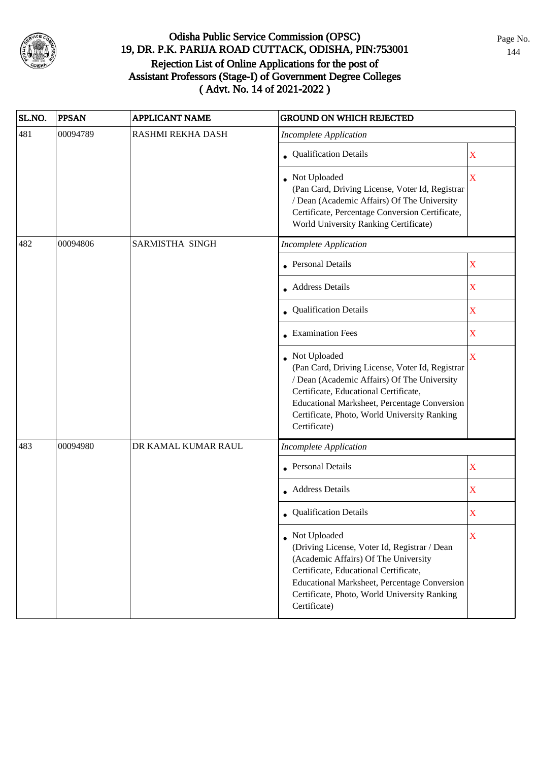

| SL.NO. | <b>PPSAN</b> | <b>APPLICANT NAME</b>  | <b>GROUND ON WHICH REJECTED</b>                                                                                                                                                                                                                                           |             |
|--------|--------------|------------------------|---------------------------------------------------------------------------------------------------------------------------------------------------------------------------------------------------------------------------------------------------------------------------|-------------|
| 481    | 00094789     | RASHMI REKHA DASH      | <b>Incomplete Application</b>                                                                                                                                                                                                                                             |             |
|        |              |                        | • Qualification Details                                                                                                                                                                                                                                                   | $\mathbf X$ |
|        |              |                        | • Not Uploaded<br>(Pan Card, Driving License, Voter Id, Registrar<br>/ Dean (Academic Affairs) Of The University<br>Certificate, Percentage Conversion Certificate,<br>World University Ranking Certificate)                                                              | X           |
| 482    | 00094806     | <b>SARMISTHA SINGH</b> | <b>Incomplete Application</b>                                                                                                                                                                                                                                             |             |
|        |              |                        | • Personal Details                                                                                                                                                                                                                                                        | X           |
|        |              |                        | • Address Details                                                                                                                                                                                                                                                         | $\mathbf X$ |
|        |              |                        | • Qualification Details                                                                                                                                                                                                                                                   | $\mathbf X$ |
|        |              |                        | • Examination Fees                                                                                                                                                                                                                                                        | $\mathbf X$ |
|        |              |                        | • Not Uploaded<br>(Pan Card, Driving License, Voter Id, Registrar<br>/ Dean (Academic Affairs) Of The University<br>Certificate, Educational Certificate,<br>Educational Marksheet, Percentage Conversion<br>Certificate, Photo, World University Ranking<br>Certificate) | $\mathbf X$ |
| 483    | 00094980     | DR KAMAL KUMAR RAUL    | <b>Incomplete Application</b>                                                                                                                                                                                                                                             |             |
|        |              |                        | • Personal Details                                                                                                                                                                                                                                                        | X           |
|        |              |                        | • Address Details                                                                                                                                                                                                                                                         | $\mathbf X$ |
|        |              |                        | • Qualification Details                                                                                                                                                                                                                                                   | X           |
|        |              |                        | • Not Uploaded<br>(Driving License, Voter Id, Registrar / Dean<br>(Academic Affairs) Of The University<br>Certificate, Educational Certificate,<br>Educational Marksheet, Percentage Conversion<br>Certificate, Photo, World University Ranking<br>Certificate)           | X           |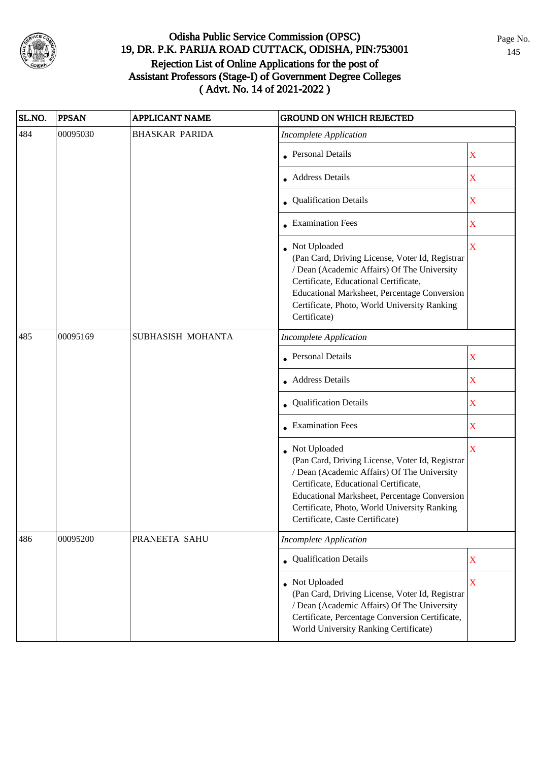

| SL.NO. | <b>PPSAN</b> | <b>APPLICANT NAME</b> | <b>GROUND ON WHICH REJECTED</b>                                                                                                                                                                                                                                                              |                         |
|--------|--------------|-----------------------|----------------------------------------------------------------------------------------------------------------------------------------------------------------------------------------------------------------------------------------------------------------------------------------------|-------------------------|
| 484    | 00095030     | <b>BHASKAR PARIDA</b> | <b>Incomplete Application</b>                                                                                                                                                                                                                                                                |                         |
|        |              |                       | • Personal Details                                                                                                                                                                                                                                                                           | $\mathbf X$             |
|        |              |                       | <b>Address Details</b>                                                                                                                                                                                                                                                                       | $\mathbf X$             |
|        |              |                       | • Qualification Details                                                                                                                                                                                                                                                                      | $\mathbf X$             |
|        |              |                       | • Examination Fees                                                                                                                                                                                                                                                                           | $\mathbf X$             |
|        |              |                       | • Not Uploaded<br>(Pan Card, Driving License, Voter Id, Registrar<br>/ Dean (Academic Affairs) Of The University<br>Certificate, Educational Certificate,<br>Educational Marksheet, Percentage Conversion<br>Certificate, Photo, World University Ranking<br>Certificate)                    | $\overline{\mathbf{X}}$ |
| 485    | 00095169     | SUBHASISH MOHANTA     | <b>Incomplete Application</b>                                                                                                                                                                                                                                                                |                         |
|        |              |                       | <b>Personal Details</b>                                                                                                                                                                                                                                                                      | X                       |
|        |              |                       | • Address Details                                                                                                                                                                                                                                                                            | $\mathbf X$             |
|        |              |                       | • Qualification Details                                                                                                                                                                                                                                                                      | $\mathbf X$             |
|        |              |                       | • Examination Fees                                                                                                                                                                                                                                                                           | $\mathbf X$             |
|        |              |                       | • Not Uploaded<br>(Pan Card, Driving License, Voter Id, Registrar<br>/ Dean (Academic Affairs) Of The University<br>Certificate, Educational Certificate,<br>Educational Marksheet, Percentage Conversion<br>Certificate, Photo, World University Ranking<br>Certificate, Caste Certificate) | $\overline{\mathbf{X}}$ |
| 486    | 00095200     | PRANEETA SAHU         | <b>Incomplete Application</b>                                                                                                                                                                                                                                                                |                         |
|        |              |                       | • Qualification Details                                                                                                                                                                                                                                                                      | $\mathbf X$             |
|        |              |                       | Not Uploaded<br>(Pan Card, Driving License, Voter Id, Registrar<br>/ Dean (Academic Affairs) Of The University<br>Certificate, Percentage Conversion Certificate,<br>World University Ranking Certificate)                                                                                   | $\mathbf X$             |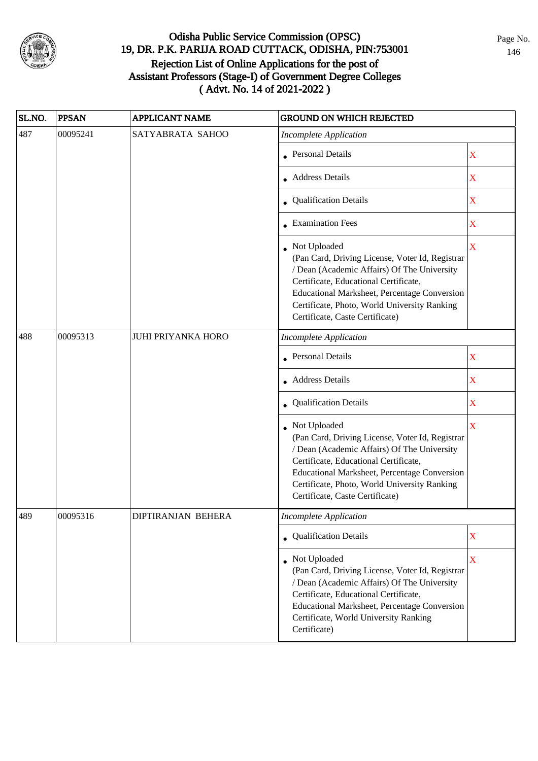

| SL.NO. | <b>PPSAN</b> | <b>APPLICANT NAME</b>     | <b>GROUND ON WHICH REJECTED</b>                                                                                                                                                                                                                                                              |             |
|--------|--------------|---------------------------|----------------------------------------------------------------------------------------------------------------------------------------------------------------------------------------------------------------------------------------------------------------------------------------------|-------------|
| 487    | 00095241     | SATYABRATA SAHOO          | <b>Incomplete Application</b>                                                                                                                                                                                                                                                                |             |
|        |              |                           | • Personal Details                                                                                                                                                                                                                                                                           | X           |
|        |              |                           | <b>Address Details</b>                                                                                                                                                                                                                                                                       | $\mathbf X$ |
|        |              |                           | • Qualification Details                                                                                                                                                                                                                                                                      | $\mathbf X$ |
|        |              |                           | • Examination Fees                                                                                                                                                                                                                                                                           | $\mathbf X$ |
|        |              |                           | • Not Uploaded<br>(Pan Card, Driving License, Voter Id, Registrar<br>/ Dean (Academic Affairs) Of The University<br>Certificate, Educational Certificate,<br>Educational Marksheet, Percentage Conversion<br>Certificate, Photo, World University Ranking<br>Certificate, Caste Certificate) | $\mathbf X$ |
| 488    | 00095313     | <b>JUHI PRIYANKA HORO</b> | <b>Incomplete Application</b>                                                                                                                                                                                                                                                                |             |
|        |              |                           | <b>Personal Details</b>                                                                                                                                                                                                                                                                      | X           |
|        |              |                           | <b>Address Details</b>                                                                                                                                                                                                                                                                       | $\mathbf X$ |
|        |              |                           | • Qualification Details                                                                                                                                                                                                                                                                      | $\mathbf X$ |
|        |              |                           | Not Uploaded<br>(Pan Card, Driving License, Voter Id, Registrar<br>/ Dean (Academic Affairs) Of The University<br>Certificate, Educational Certificate,<br>Educational Marksheet, Percentage Conversion<br>Certificate, Photo, World University Ranking<br>Certificate, Caste Certificate)   | X           |
| 489    | 00095316     | DIPTIRANJAN BEHERA        | Incomplete Application                                                                                                                                                                                                                                                                       |             |
|        |              |                           | • Qualification Details                                                                                                                                                                                                                                                                      | $\mathbf X$ |
|        |              |                           | • Not Uploaded<br>(Pan Card, Driving License, Voter Id, Registrar<br>/ Dean (Academic Affairs) Of The University<br>Certificate, Educational Certificate,<br><b>Educational Marksheet, Percentage Conversion</b><br>Certificate, World University Ranking<br>Certificate)                    | X           |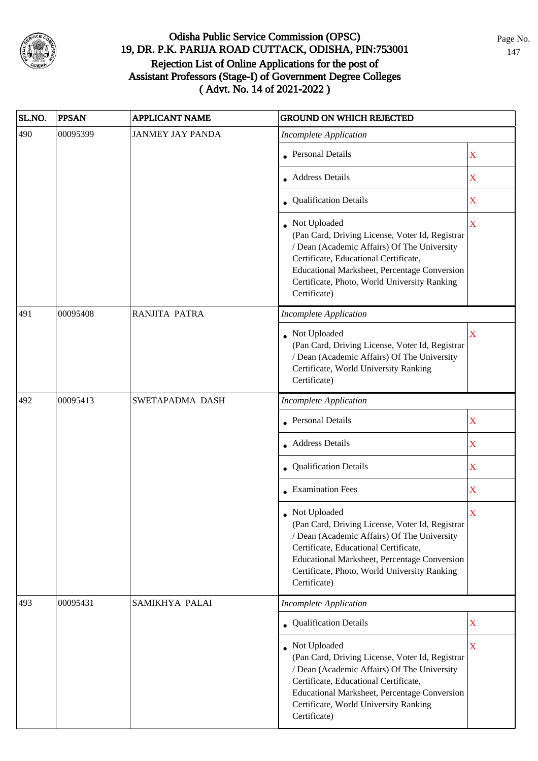

| SL.NO. | <b>PPSAN</b> | APPLICANT NAME          | <b>GROUND ON WHICH REJECTED</b>                                                                                                                                                                                                                                           |                                                                                   |  |
|--------|--------------|-------------------------|---------------------------------------------------------------------------------------------------------------------------------------------------------------------------------------------------------------------------------------------------------------------------|-----------------------------------------------------------------------------------|--|
| 490    | 00095399     | <b>JANMEY JAY PANDA</b> | <b>Incomplete Application</b>                                                                                                                                                                                                                                             |                                                                                   |  |
|        |              |                         | • Personal Details                                                                                                                                                                                                                                                        | $\mathbf X$                                                                       |  |
|        |              |                         | • Address Details                                                                                                                                                                                                                                                         | $\overline{\text{X}}$                                                             |  |
|        |              |                         | • Qualification Details                                                                                                                                                                                                                                                   | $\overline{\text{X}}$                                                             |  |
|        |              |                         | • Not Uploaded<br>(Pan Card, Driving License, Voter Id, Registrar<br>/ Dean (Academic Affairs) Of The University<br>Certificate, Educational Certificate,<br>Educational Marksheet, Percentage Conversion<br>Certificate, Photo, World University Ranking<br>Certificate) | $\overline{\mathbf{X}}$                                                           |  |
| 491    | 00095408     | RANJITA PATRA           | <b>Incomplete Application</b>                                                                                                                                                                                                                                             |                                                                                   |  |
|        |              |                         | • Not Uploaded<br>(Pan Card, Driving License, Voter Id, Registrar<br>/ Dean (Academic Affairs) Of The University<br>Certificate, World University Ranking<br>Certificate)                                                                                                 | X                                                                                 |  |
| 492    | 00095413     | SWETAPADMA DASH         | <b>Incomplete Application</b>                                                                                                                                                                                                                                             |                                                                                   |  |
|        |              |                         | • Personal Details                                                                                                                                                                                                                                                        | $\mathbf X$<br>X<br>$\mathbf X$<br>X<br>X<br>$\overline{\text{X}}$<br>$\mathbf X$ |  |
|        |              |                         | • Address Details                                                                                                                                                                                                                                                         |                                                                                   |  |
|        |              |                         | Qualification Details                                                                                                                                                                                                                                                     |                                                                                   |  |
|        |              |                         | $\bullet$ Examination Fees                                                                                                                                                                                                                                                |                                                                                   |  |
|        |              |                         | Not Uploaded<br>(Pan Card, Driving License, Voter Id, Registrar<br>/ Dean (Academic Affairs) Of The University<br>Certificate, Educational Certificate,<br>Educational Marksheet, Percentage Conversion<br>Certificate, Photo, World University Ranking<br>Certificate)   |                                                                                   |  |
| 493    | 00095431     | SAMIKHYA PALAI          | <b>Incomplete Application</b>                                                                                                                                                                                                                                             |                                                                                   |  |
|        |              |                         | • Qualification Details                                                                                                                                                                                                                                                   |                                                                                   |  |
|        |              |                         | • Not Uploaded<br>(Pan Card, Driving License, Voter Id, Registrar<br>/ Dean (Academic Affairs) Of The University<br>Certificate, Educational Certificate,<br>Educational Marksheet, Percentage Conversion<br>Certificate, World University Ranking<br>Certificate)        |                                                                                   |  |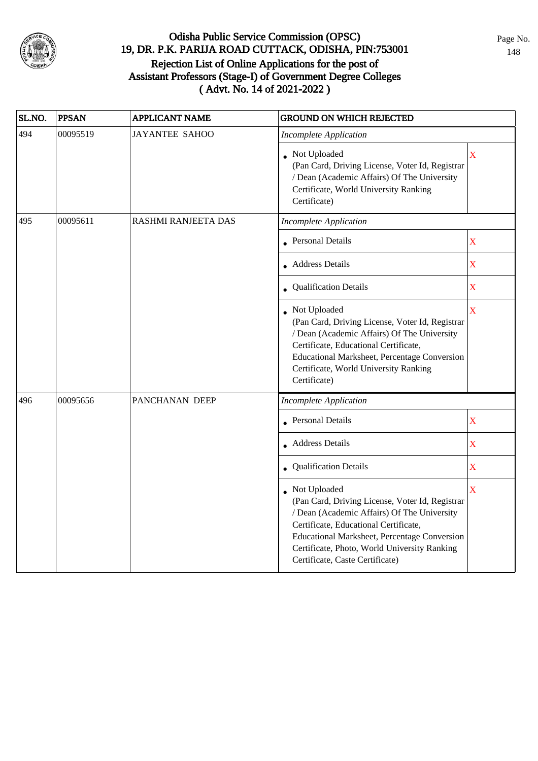

| SL.NO. | <b>PPSAN</b> | <b>APPLICANT NAME</b> | <b>GROUND ON WHICH REJECTED</b>                                                                                                                                                                                                                                                            |                         |
|--------|--------------|-----------------------|--------------------------------------------------------------------------------------------------------------------------------------------------------------------------------------------------------------------------------------------------------------------------------------------|-------------------------|
| 494    | 00095519     | <b>JAYANTEE SAHOO</b> | <b>Incomplete Application</b>                                                                                                                                                                                                                                                              |                         |
|        |              |                       | • Not Uploaded<br>(Pan Card, Driving License, Voter Id, Registrar<br>/ Dean (Academic Affairs) Of The University<br>Certificate, World University Ranking<br>Certificate)                                                                                                                  | $\overline{\textbf{X}}$ |
| 495    | 00095611     | RASHMI RANJEETA DAS   | <b>Incomplete Application</b>                                                                                                                                                                                                                                                              |                         |
|        |              |                       | • Personal Details                                                                                                                                                                                                                                                                         | $\overline{\text{X}}$   |
|        |              |                       | <b>Address Details</b>                                                                                                                                                                                                                                                                     | $\bar{\mathbf{X}}$      |
|        |              |                       | • Qualification Details                                                                                                                                                                                                                                                                    | $\bar{\mathbf{X}}$      |
|        |              |                       | • Not Uploaded<br>(Pan Card, Driving License, Voter Id, Registrar<br>/ Dean (Academic Affairs) Of The University<br>Certificate, Educational Certificate,<br>Educational Marksheet, Percentage Conversion<br>Certificate, World University Ranking<br>Certificate)                         | $\bar{\textbf{X}}$      |
| 496    | 00095656     | PANCHANAN DEEP        | <b>Incomplete Application</b>                                                                                                                                                                                                                                                              |                         |
|        |              |                       | <b>Personal Details</b>                                                                                                                                                                                                                                                                    | $\overline{\textbf{X}}$ |
|        |              |                       | <b>Address Details</b>                                                                                                                                                                                                                                                                     | $\overline{\text{X}}$   |
|        |              |                       | Qualification Details                                                                                                                                                                                                                                                                      | $\overline{\text{X}}$   |
|        |              |                       | Not Uploaded<br>(Pan Card, Driving License, Voter Id, Registrar<br>/ Dean (Academic Affairs) Of The University<br>Certificate, Educational Certificate,<br>Educational Marksheet, Percentage Conversion<br>Certificate, Photo, World University Ranking<br>Certificate, Caste Certificate) | $\bar{\textbf{X}}$      |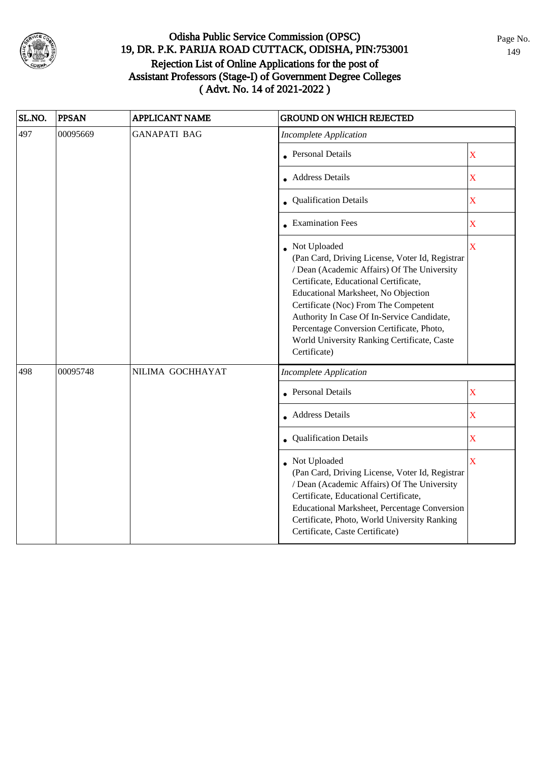

| SL.NO. | <b>PPSAN</b> | <b>APPLICANT NAME</b> | <b>GROUND ON WHICH REJECTED</b>                                                                                                                                                                                                                                                                                                                                                                  |                       |
|--------|--------------|-----------------------|--------------------------------------------------------------------------------------------------------------------------------------------------------------------------------------------------------------------------------------------------------------------------------------------------------------------------------------------------------------------------------------------------|-----------------------|
| 497    | 00095669     | <b>GANAPATI BAG</b>   | <b>Incomplete Application</b>                                                                                                                                                                                                                                                                                                                                                                    |                       |
|        |              |                       | Personal Details                                                                                                                                                                                                                                                                                                                                                                                 | $\overline{\text{X}}$ |
|        |              |                       | <b>Address Details</b>                                                                                                                                                                                                                                                                                                                                                                           | $\overline{\text{X}}$ |
|        |              |                       | <b>Qualification Details</b>                                                                                                                                                                                                                                                                                                                                                                     | $\overline{\text{X}}$ |
|        |              |                       | • Examination Fees                                                                                                                                                                                                                                                                                                                                                                               | X                     |
|        |              |                       | Not Uploaded<br>(Pan Card, Driving License, Voter Id, Registrar<br>/ Dean (Academic Affairs) Of The University<br>Certificate, Educational Certificate,<br>Educational Marksheet, No Objection<br>Certificate (Noc) From The Competent<br>Authority In Case Of In-Service Candidate,<br>Percentage Conversion Certificate, Photo,<br>World University Ranking Certificate, Caste<br>Certificate) | $\bar{\textbf{X}}$    |
| 498    | 00095748     | NILIMA GOCHHAYAT      | <b>Incomplete Application</b>                                                                                                                                                                                                                                                                                                                                                                    |                       |
|        |              |                       | <b>Personal Details</b>                                                                                                                                                                                                                                                                                                                                                                          | $\bar{\textbf{X}}$    |
|        |              |                       | • Address Details                                                                                                                                                                                                                                                                                                                                                                                | $\bar{\mathbf{X}}$    |
|        |              |                       | <b>Qualification Details</b>                                                                                                                                                                                                                                                                                                                                                                     | $\bar{\mathbf{X}}$    |
|        |              |                       | Not Uploaded<br>(Pan Card, Driving License, Voter Id, Registrar<br>/ Dean (Academic Affairs) Of The University<br>Certificate, Educational Certificate,<br>Educational Marksheet, Percentage Conversion<br>Certificate, Photo, World University Ranking<br>Certificate, Caste Certificate)                                                                                                       | $\bar{X}$             |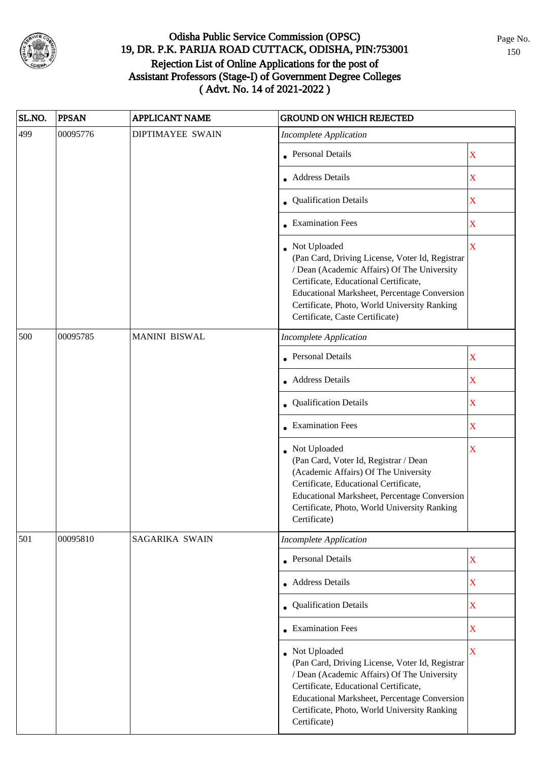

| SL.NO. | <b>PPSAN</b> | APPLICANT NAME          | <b>GROUND ON WHICH REJECTED</b>                                                                                                                                                                                                                                                              |                         |
|--------|--------------|-------------------------|----------------------------------------------------------------------------------------------------------------------------------------------------------------------------------------------------------------------------------------------------------------------------------------------|-------------------------|
| 499    | 00095776     | <b>DIPTIMAYEE SWAIN</b> | <b>Incomplete Application</b>                                                                                                                                                                                                                                                                |                         |
|        |              |                         | • Personal Details                                                                                                                                                                                                                                                                           | X                       |
|        |              |                         | Address Details                                                                                                                                                                                                                                                                              | X                       |
|        |              |                         | • Qualification Details                                                                                                                                                                                                                                                                      | $\mathbf X$             |
|        |              |                         | • Examination Fees                                                                                                                                                                                                                                                                           | X                       |
|        |              |                         | • Not Uploaded<br>(Pan Card, Driving License, Voter Id, Registrar<br>/ Dean (Academic Affairs) Of The University<br>Certificate, Educational Certificate,<br>Educational Marksheet, Percentage Conversion<br>Certificate, Photo, World University Ranking<br>Certificate, Caste Certificate) | $\overline{\mathbf{X}}$ |
| 500    | 00095785     | <b>MANINI BISWAL</b>    | <b>Incomplete Application</b>                                                                                                                                                                                                                                                                |                         |
|        |              |                         | Personal Details                                                                                                                                                                                                                                                                             | $\mathbf X$             |
|        |              |                         | • Address Details                                                                                                                                                                                                                                                                            | $\mathbf X$             |
|        |              |                         | • Qualification Details                                                                                                                                                                                                                                                                      | $\mathbf X$             |
|        |              |                         | • Examination Fees                                                                                                                                                                                                                                                                           | $\mathbf X$             |
|        |              |                         | • Not Uploaded<br>(Pan Card, Voter Id, Registrar / Dean<br>(Academic Affairs) Of The University<br>Certificate, Educational Certificate,<br>Educational Marksheet, Percentage Conversion<br>Certificate, Photo, World University Ranking<br>Certificate)                                     | X                       |
| 501    | 00095810     | SAGARIKA SWAIN          | <b>Incomplete Application</b>                                                                                                                                                                                                                                                                |                         |
|        |              |                         | • Personal Details                                                                                                                                                                                                                                                                           | $\mathbf X$             |
|        |              |                         | • Address Details                                                                                                                                                                                                                                                                            | $\overline{\textbf{X}}$ |
|        |              |                         | • Qualification Details                                                                                                                                                                                                                                                                      | $\overline{\mathbf{X}}$ |
|        |              |                         | $\bullet$ Examination Fees                                                                                                                                                                                                                                                                   | $\mathbf X$             |
|        |              |                         | • Not Uploaded<br>(Pan Card, Driving License, Voter Id, Registrar<br>/ Dean (Academic Affairs) Of The University<br>Certificate, Educational Certificate,<br>Educational Marksheet, Percentage Conversion<br>Certificate, Photo, World University Ranking<br>Certificate)                    | X                       |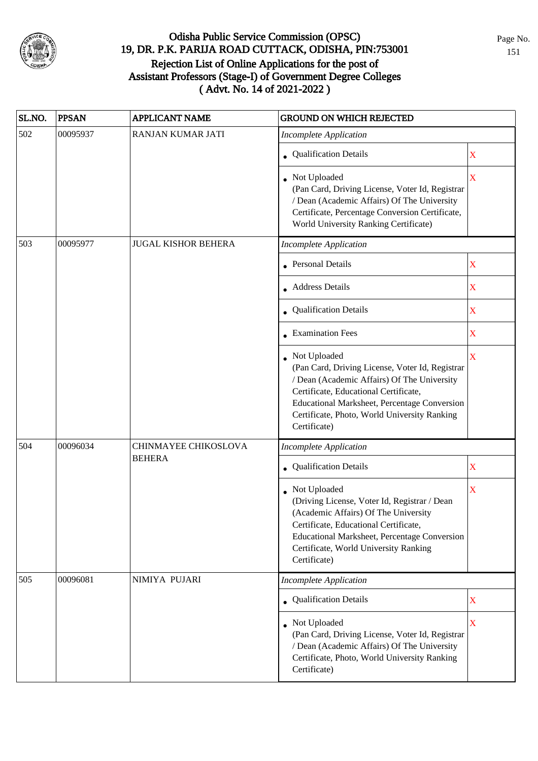

| SL.NO. | <b>PPSAN</b> | <b>APPLICANT NAME</b>      | <b>GROUND ON WHICH REJECTED</b>                                                                                                                                                                                                                                           |                         |
|--------|--------------|----------------------------|---------------------------------------------------------------------------------------------------------------------------------------------------------------------------------------------------------------------------------------------------------------------------|-------------------------|
| 502    | 00095937     | RANJAN KUMAR JATI          | <b>Incomplete Application</b>                                                                                                                                                                                                                                             |                         |
|        |              |                            | • Qualification Details                                                                                                                                                                                                                                                   | $\mathbf X$             |
|        |              |                            | • Not Uploaded<br>(Pan Card, Driving License, Voter Id, Registrar<br>/ Dean (Academic Affairs) Of The University<br>Certificate, Percentage Conversion Certificate,<br>World University Ranking Certificate)                                                              | $\overline{\mathbf{X}}$ |
| 503    | 00095977     | <b>JUGAL KISHOR BEHERA</b> | <b>Incomplete Application</b>                                                                                                                                                                                                                                             |                         |
|        |              |                            | • Personal Details                                                                                                                                                                                                                                                        | X                       |
|        |              |                            | • Address Details                                                                                                                                                                                                                                                         | $\mathbf X$             |
|        |              |                            | • Qualification Details                                                                                                                                                                                                                                                   | $\mathbf X$             |
|        |              |                            | • Examination Fees                                                                                                                                                                                                                                                        | $\mathbf X$             |
|        |              |                            | • Not Uploaded<br>(Pan Card, Driving License, Voter Id, Registrar<br>/ Dean (Academic Affairs) Of The University<br>Certificate, Educational Certificate,<br>Educational Marksheet, Percentage Conversion<br>Certificate, Photo, World University Ranking<br>Certificate) | $\overline{\mathbf{X}}$ |
| 504    | 00096034     | CHINMAYEE CHIKOSLOVA       | <b>Incomplete Application</b>                                                                                                                                                                                                                                             |                         |
|        |              | <b>BEHERA</b>              | Qualification Details                                                                                                                                                                                                                                                     | $\mathbf X$             |
|        |              |                            | • Not Uploaded<br>(Driving License, Voter Id, Registrar / Dean<br>(Academic Affairs) Of The University<br>Certificate, Educational Certificate,<br>Educational Marksheet, Percentage Conversion<br>Certificate, World University Ranking<br>Certificate)                  | X                       |
| 505    | 00096081     | NIMIYA PUJARI              | <b>Incomplete Application</b>                                                                                                                                                                                                                                             |                         |
|        |              |                            | • Qualification Details                                                                                                                                                                                                                                                   | $\mathbf X$             |
|        |              |                            | • Not Uploaded<br>(Pan Card, Driving License, Voter Id, Registrar<br>/ Dean (Academic Affairs) Of The University<br>Certificate, Photo, World University Ranking<br>Certificate)                                                                                          | $\overline{\mathbf{X}}$ |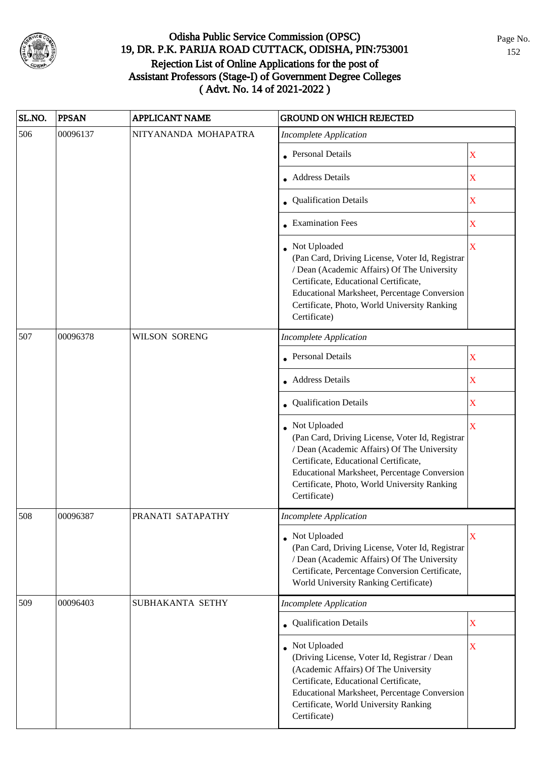

| SL.NO. | <b>PPSAN</b> | <b>APPLICANT NAME</b> | <b>GROUND ON WHICH REJECTED</b>                                                                                                                                                                                                                                           |                         |
|--------|--------------|-----------------------|---------------------------------------------------------------------------------------------------------------------------------------------------------------------------------------------------------------------------------------------------------------------------|-------------------------|
| 506    | 00096137     | NITYANANDA MOHAPATRA  | <b>Incomplete Application</b>                                                                                                                                                                                                                                             |                         |
|        |              |                       | • Personal Details                                                                                                                                                                                                                                                        | $\mathbf X$             |
|        |              |                       | • Address Details                                                                                                                                                                                                                                                         | X                       |
|        |              |                       | • Qualification Details                                                                                                                                                                                                                                                   | $\mathbf X$             |
|        |              |                       | • Examination Fees                                                                                                                                                                                                                                                        | X                       |
|        |              |                       | • Not Uploaded<br>(Pan Card, Driving License, Voter Id, Registrar<br>/ Dean (Academic Affairs) Of The University<br>Certificate, Educational Certificate,<br>Educational Marksheet, Percentage Conversion<br>Certificate, Photo, World University Ranking<br>Certificate) | $\mathbf X$             |
| 507    | 00096378     | <b>WILSON SORENG</b>  | <b>Incomplete Application</b>                                                                                                                                                                                                                                             |                         |
|        |              |                       | <b>Personal Details</b>                                                                                                                                                                                                                                                   | $\overline{\mathbf{X}}$ |
|        |              |                       | • Address Details                                                                                                                                                                                                                                                         | $\mathbf X$             |
|        |              |                       | • Qualification Details                                                                                                                                                                                                                                                   | $\mathbf X$             |
|        |              |                       | Not Uploaded<br>(Pan Card, Driving License, Voter Id, Registrar<br>/ Dean (Academic Affairs) Of The University<br>Certificate, Educational Certificate,<br>Educational Marksheet, Percentage Conversion<br>Certificate, Photo, World University Ranking<br>Certificate)   | $\overline{\mathbf{X}}$ |
| 508    | 00096387     | PRANATI SATAPATHY     | <b>Incomplete Application</b>                                                                                                                                                                                                                                             |                         |
|        |              |                       | • Not Uploaded<br>(Pan Card, Driving License, Voter Id, Registrar<br>/ Dean (Academic Affairs) Of The University<br>Certificate, Percentage Conversion Certificate,<br>World University Ranking Certificate)                                                              | $\overline{\mathbf{X}}$ |
| 509    | 00096403     | SUBHAKANTA SETHY      | <b>Incomplete Application</b>                                                                                                                                                                                                                                             |                         |
|        |              |                       | • Qualification Details                                                                                                                                                                                                                                                   | $\mathbf X$             |
|        |              |                       | Not Uploaded<br>(Driving License, Voter Id, Registrar / Dean<br>(Academic Affairs) Of The University<br>Certificate, Educational Certificate,<br>Educational Marksheet, Percentage Conversion<br>Certificate, World University Ranking<br>Certificate)                    | X                       |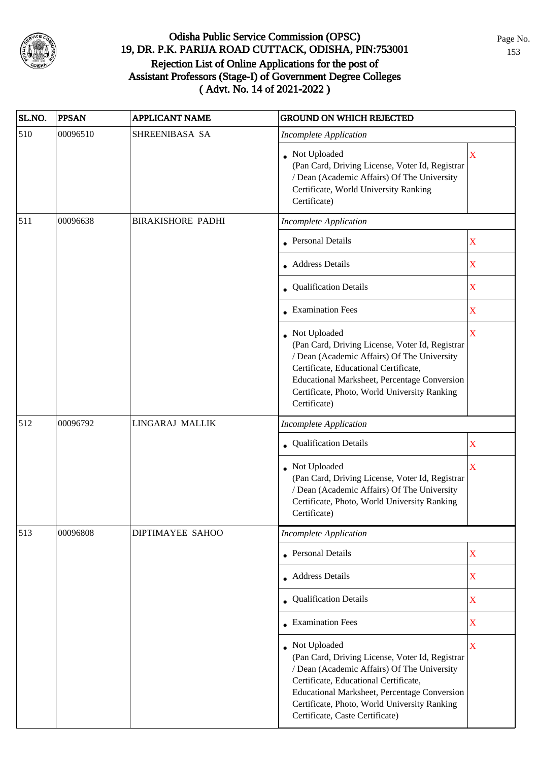

| SL.NO. | <b>PPSAN</b> | <b>APPLICANT NAME</b>    | <b>GROUND ON WHICH REJECTED</b>                                                                                                                                                                                                                                                            |                         |
|--------|--------------|--------------------------|--------------------------------------------------------------------------------------------------------------------------------------------------------------------------------------------------------------------------------------------------------------------------------------------|-------------------------|
| 510    | 00096510     | SHREENIBASA SA           | <b>Incomplete Application</b>                                                                                                                                                                                                                                                              |                         |
|        |              |                          | • Not Uploaded<br>(Pan Card, Driving License, Voter Id, Registrar<br>/ Dean (Academic Affairs) Of The University<br>Certificate, World University Ranking<br>Certificate)                                                                                                                  | $\mathbf X$             |
| 511    | 00096638     | <b>BIRAKISHORE PADHI</b> | <b>Incomplete Application</b>                                                                                                                                                                                                                                                              |                         |
|        |              |                          | Personal Details                                                                                                                                                                                                                                                                           | $\mathbf X$             |
|        |              |                          | • Address Details                                                                                                                                                                                                                                                                          | $\mathbf X$             |
|        |              |                          | • Qualification Details                                                                                                                                                                                                                                                                    | $\mathbf X$             |
|        |              |                          | $\bullet$ Examination Fees                                                                                                                                                                                                                                                                 | $\mathbf X$             |
|        |              |                          | Not Uploaded<br>(Pan Card, Driving License, Voter Id, Registrar<br>/ Dean (Academic Affairs) Of The University<br>Certificate, Educational Certificate,<br>Educational Marksheet, Percentage Conversion<br>Certificate, Photo, World University Ranking<br>Certificate)                    | $\mathbf X$             |
| 512    | 00096792     | LINGARAJ MALLIK          | <b>Incomplete Application</b>                                                                                                                                                                                                                                                              |                         |
|        |              |                          | Qualification Details                                                                                                                                                                                                                                                                      | X                       |
|        |              |                          | Not Uploaded<br>(Pan Card, Driving License, Voter Id, Registrar<br>/ Dean (Academic Affairs) Of The University<br>Certificate, Photo, World University Ranking<br>Certificate)                                                                                                             | $\overline{\mathbf{X}}$ |
| 513    | 00096808     | <b>DIPTIMAYEE SAHOO</b>  | <b>Incomplete Application</b>                                                                                                                                                                                                                                                              |                         |
|        |              |                          | Personal Details                                                                                                                                                                                                                                                                           | $\mathbf X$             |
|        |              |                          | • Address Details                                                                                                                                                                                                                                                                          | $\mathbf X$             |
|        |              |                          | • Qualification Details                                                                                                                                                                                                                                                                    | $\mathbf X$             |
|        |              |                          | <b>Examination Fees</b>                                                                                                                                                                                                                                                                    | $\mathbf X$             |
|        |              |                          | Not Uploaded<br>(Pan Card, Driving License, Voter Id, Registrar<br>/ Dean (Academic Affairs) Of The University<br>Certificate, Educational Certificate,<br>Educational Marksheet, Percentage Conversion<br>Certificate, Photo, World University Ranking<br>Certificate, Caste Certificate) | $\mathbf X$             |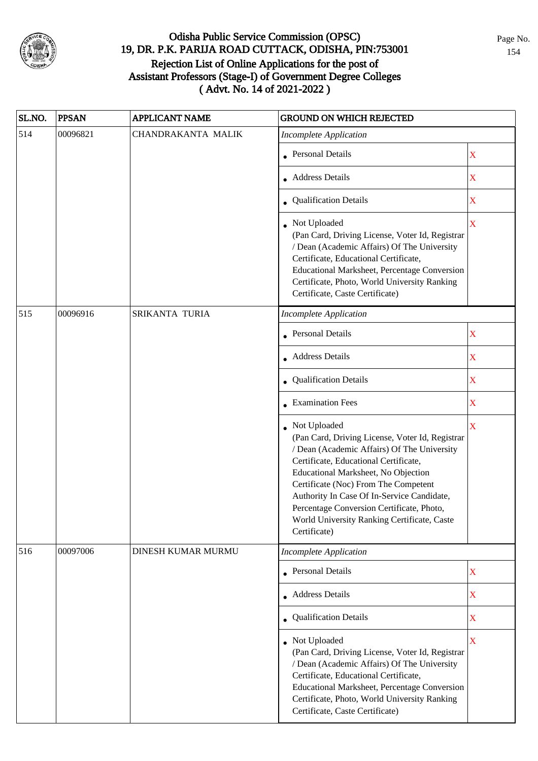

| SL.NO. | <b>PPSAN</b> | <b>APPLICANT NAME</b> | <b>GROUND ON WHICH REJECTED</b>                                                                                                                                                                                                                                                                                                                                                                  |                    |
|--------|--------------|-----------------------|--------------------------------------------------------------------------------------------------------------------------------------------------------------------------------------------------------------------------------------------------------------------------------------------------------------------------------------------------------------------------------------------------|--------------------|
| 514    | 00096821     | CHANDRAKANTA MALIK    | <b>Incomplete Application</b>                                                                                                                                                                                                                                                                                                                                                                    |                    |
|        |              |                       | • Personal Details                                                                                                                                                                                                                                                                                                                                                                               | X                  |
|        |              |                       | • Address Details                                                                                                                                                                                                                                                                                                                                                                                | X                  |
|        |              |                       | • Qualification Details                                                                                                                                                                                                                                                                                                                                                                          | $\mathbf X$        |
|        |              |                       | Not Uploaded<br>(Pan Card, Driving License, Voter Id, Registrar<br>/ Dean (Academic Affairs) Of The University<br>Certificate, Educational Certificate,<br>Educational Marksheet, Percentage Conversion<br>Certificate, Photo, World University Ranking<br>Certificate, Caste Certificate)                                                                                                       | $\bar{\mathbf{X}}$ |
| 515    | 00096916     | SRIKANTA TURIA        | <b>Incomplete Application</b>                                                                                                                                                                                                                                                                                                                                                                    |                    |
|        |              |                       | • Personal Details                                                                                                                                                                                                                                                                                                                                                                               | X                  |
|        |              |                       | • Address Details                                                                                                                                                                                                                                                                                                                                                                                | $\mathbf X$        |
|        |              |                       | Qualification Details                                                                                                                                                                                                                                                                                                                                                                            | X                  |
|        |              |                       | • Examination Fees                                                                                                                                                                                                                                                                                                                                                                               | $\mathbf X$        |
|        |              |                       | Not Uploaded<br>(Pan Card, Driving License, Voter Id, Registrar<br>/ Dean (Academic Affairs) Of The University<br>Certificate, Educational Certificate,<br>Educational Marksheet, No Objection<br>Certificate (Noc) From The Competent<br>Authority In Case Of In-Service Candidate,<br>Percentage Conversion Certificate, Photo,<br>World University Ranking Certificate, Caste<br>Certificate) | $\mathbf X$        |
| 516    | 00097006     | DINESH KUMAR MURMU    | <b>Incomplete Application</b>                                                                                                                                                                                                                                                                                                                                                                    |                    |
|        |              |                       | <b>Personal Details</b>                                                                                                                                                                                                                                                                                                                                                                          | $\mathbf X$        |
|        |              |                       | • Address Details                                                                                                                                                                                                                                                                                                                                                                                | $\mathbf X$        |
|        |              |                       | <b>Qualification Details</b>                                                                                                                                                                                                                                                                                                                                                                     | $\mathbf X$        |
|        |              |                       | Not Uploaded<br>(Pan Card, Driving License, Voter Id, Registrar<br>/ Dean (Academic Affairs) Of The University<br>Certificate, Educational Certificate,<br>Educational Marksheet, Percentage Conversion<br>Certificate, Photo, World University Ranking<br>Certificate, Caste Certificate)                                                                                                       | $\mathbf X$        |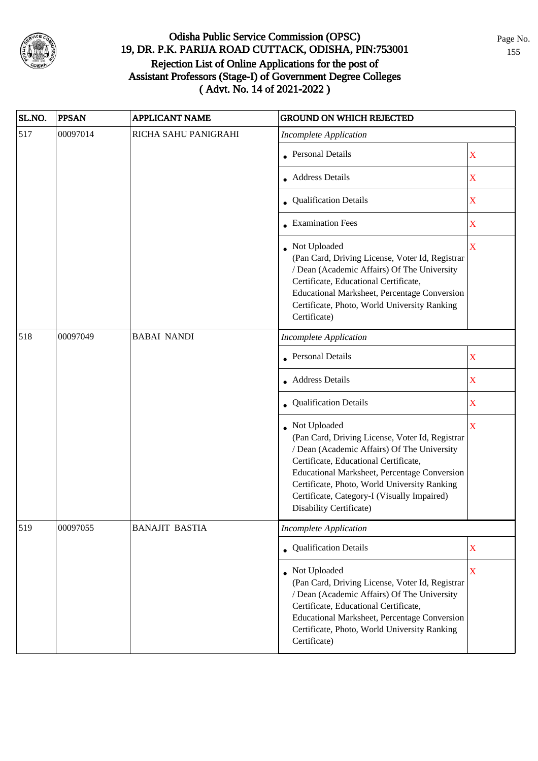

| SL.NO. | <b>PPSAN</b> | <b>APPLICANT NAME</b> | <b>GROUND ON WHICH REJECTED</b>                                                                                                                                                                                                                                                                                                   |                         |
|--------|--------------|-----------------------|-----------------------------------------------------------------------------------------------------------------------------------------------------------------------------------------------------------------------------------------------------------------------------------------------------------------------------------|-------------------------|
| 517    | 00097014     | RICHA SAHU PANIGRAHI  | <b>Incomplete Application</b>                                                                                                                                                                                                                                                                                                     |                         |
|        |              |                       | • Personal Details                                                                                                                                                                                                                                                                                                                | X                       |
|        |              |                       | • Address Details                                                                                                                                                                                                                                                                                                                 | $\mathbf X$             |
|        |              |                       | • Qualification Details                                                                                                                                                                                                                                                                                                           | $\mathbf X$             |
|        |              |                       | • Examination Fees                                                                                                                                                                                                                                                                                                                | X                       |
|        |              |                       | • Not Uploaded<br>(Pan Card, Driving License, Voter Id, Registrar<br>/ Dean (Academic Affairs) Of The University<br>Certificate, Educational Certificate,<br><b>Educational Marksheet, Percentage Conversion</b><br>Certificate, Photo, World University Ranking<br>Certificate)                                                  | $\overline{\mathbf{X}}$ |
| 518    | 00097049     | <b>BABAI NANDI</b>    | <b>Incomplete Application</b>                                                                                                                                                                                                                                                                                                     |                         |
|        |              |                       | <b>Personal Details</b>                                                                                                                                                                                                                                                                                                           | X                       |
|        |              |                       | <b>Address Details</b>                                                                                                                                                                                                                                                                                                            | $\mathbf X$             |
|        |              |                       | • Qualification Details                                                                                                                                                                                                                                                                                                           | $\mathbf X$             |
|        |              |                       | Not Uploaded<br>(Pan Card, Driving License, Voter Id, Registrar<br>/ Dean (Academic Affairs) Of The University<br>Certificate, Educational Certificate,<br>Educational Marksheet, Percentage Conversion<br>Certificate, Photo, World University Ranking<br>Certificate, Category-I (Visually Impaired)<br>Disability Certificate) | $\overline{\mathbf{X}}$ |
| 519    | 00097055     | <b>BANAJIT BASTIA</b> | <b>Incomplete Application</b>                                                                                                                                                                                                                                                                                                     |                         |
|        |              |                       | • Qualification Details                                                                                                                                                                                                                                                                                                           | $\mathbf X$             |
|        |              |                       | Not Uploaded<br>(Pan Card, Driving License, Voter Id, Registrar<br>/ Dean (Academic Affairs) Of The University<br>Certificate, Educational Certificate,<br>Educational Marksheet, Percentage Conversion<br>Certificate, Photo, World University Ranking<br>Certificate)                                                           | $\mathbf X$             |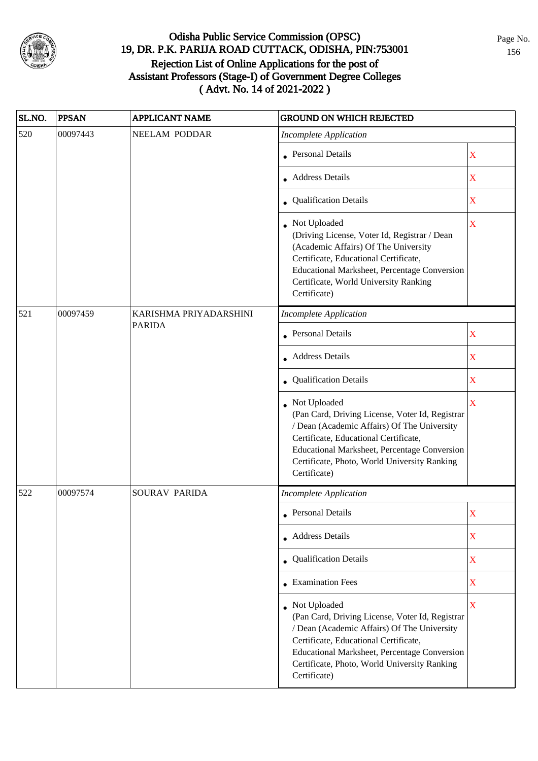

| SL.NO. | <b>PPSAN</b> | <b>APPLICANT NAME</b>  | <b>GROUND ON WHICH REJECTED</b>                                                                                                                                                                                                                                         |                                                                                                                                                                                                                                                                         |
|--------|--------------|------------------------|-------------------------------------------------------------------------------------------------------------------------------------------------------------------------------------------------------------------------------------------------------------------------|-------------------------------------------------------------------------------------------------------------------------------------------------------------------------------------------------------------------------------------------------------------------------|
| 520    | 00097443     | <b>NEELAM PODDAR</b>   | <b>Incomplete Application</b>                                                                                                                                                                                                                                           |                                                                                                                                                                                                                                                                         |
|        |              |                        | • Personal Details                                                                                                                                                                                                                                                      | X                                                                                                                                                                                                                                                                       |
|        |              |                        | • Address Details                                                                                                                                                                                                                                                       | $\mathbf X$                                                                                                                                                                                                                                                             |
|        |              |                        | • Qualification Details                                                                                                                                                                                                                                                 | $\mathbf X$                                                                                                                                                                                                                                                             |
|        |              |                        | • Not Uploaded<br>(Driving License, Voter Id, Registrar / Dean<br>(Academic Affairs) Of The University<br>Certificate, Educational Certificate,<br>Educational Marksheet, Percentage Conversion<br>Certificate, World University Ranking<br>Certificate)                | X                                                                                                                                                                                                                                                                       |
| 521    | 00097459     | KARISHMA PRIYADARSHINI | <b>Incomplete Application</b>                                                                                                                                                                                                                                           |                                                                                                                                                                                                                                                                         |
|        |              | <b>PARIDA</b>          | • Personal Details                                                                                                                                                                                                                                                      | X                                                                                                                                                                                                                                                                       |
|        |              |                        | • Address Details                                                                                                                                                                                                                                                       | X                                                                                                                                                                                                                                                                       |
|        |              |                        | Qualification Details                                                                                                                                                                                                                                                   | X                                                                                                                                                                                                                                                                       |
|        |              |                        |                                                                                                                                                                                                                                                                         | Not Uploaded<br>(Pan Card, Driving License, Voter Id, Registrar<br>/ Dean (Academic Affairs) Of The University<br>Certificate, Educational Certificate,<br>Educational Marksheet, Percentage Conversion<br>Certificate, Photo, World University Ranking<br>Certificate) |
| 522    | 00097574     | SOURAV PARIDA          | <b>Incomplete Application</b>                                                                                                                                                                                                                                           |                                                                                                                                                                                                                                                                         |
|        |              |                        | • Personal Details                                                                                                                                                                                                                                                      | $\mathbf X$                                                                                                                                                                                                                                                             |
|        |              |                        | • Address Details                                                                                                                                                                                                                                                       | $\mathbf X$                                                                                                                                                                                                                                                             |
|        |              |                        | • Qualification Details                                                                                                                                                                                                                                                 | $\mathbf X$                                                                                                                                                                                                                                                             |
|        |              |                        | • Examination Fees                                                                                                                                                                                                                                                      | $\mathbf X$                                                                                                                                                                                                                                                             |
|        |              |                        | Not Uploaded<br>(Pan Card, Driving License, Voter Id, Registrar<br>/ Dean (Academic Affairs) Of The University<br>Certificate, Educational Certificate,<br>Educational Marksheet, Percentage Conversion<br>Certificate, Photo, World University Ranking<br>Certificate) | $\overline{\mathbf{X}}$                                                                                                                                                                                                                                                 |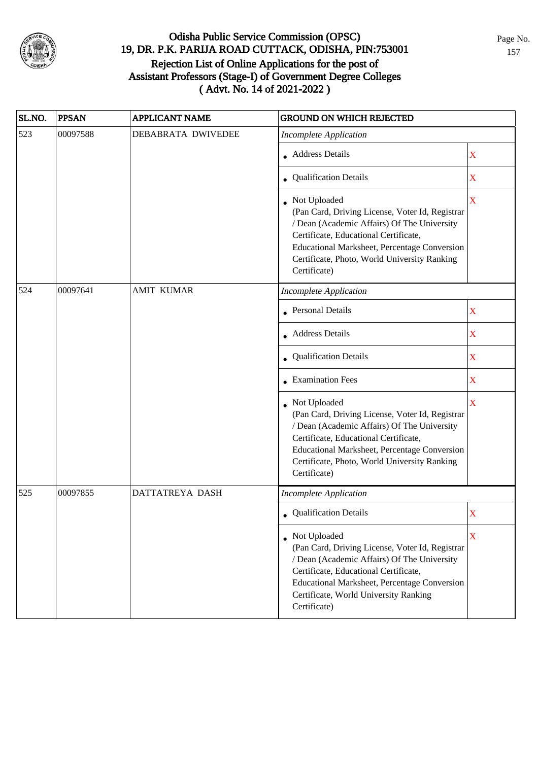

| SL.NO. | <b>PPSAN</b> | <b>APPLICANT NAME</b> | <b>GROUND ON WHICH REJECTED</b>                                                                                                                                                                                                                                           |                         |
|--------|--------------|-----------------------|---------------------------------------------------------------------------------------------------------------------------------------------------------------------------------------------------------------------------------------------------------------------------|-------------------------|
| 523    | 00097588     | DEBABRATA DWIVEDEE    | <b>Incomplete Application</b>                                                                                                                                                                                                                                             |                         |
|        |              |                       | • Address Details                                                                                                                                                                                                                                                         | X                       |
|        |              |                       | • Qualification Details                                                                                                                                                                                                                                                   | X                       |
|        |              |                       | • Not Uploaded<br>(Pan Card, Driving License, Voter Id, Registrar<br>/ Dean (Academic Affairs) Of The University<br>Certificate, Educational Certificate,<br>Educational Marksheet, Percentage Conversion<br>Certificate, Photo, World University Ranking<br>Certificate) | $\mathbf X$             |
| 524    | 00097641     | <b>AMIT KUMAR</b>     | <b>Incomplete Application</b>                                                                                                                                                                                                                                             |                         |
|        |              |                       | • Personal Details                                                                                                                                                                                                                                                        | X                       |
|        |              |                       | • Address Details                                                                                                                                                                                                                                                         | X                       |
|        |              |                       | <b>Qualification Details</b>                                                                                                                                                                                                                                              | $\mathbf X$             |
|        |              |                       | <b>Examination Fees</b>                                                                                                                                                                                                                                                   | $\mathbf X$             |
|        |              |                       | Not Uploaded<br>(Pan Card, Driving License, Voter Id, Registrar<br>/ Dean (Academic Affairs) Of The University<br>Certificate, Educational Certificate,<br>Educational Marksheet, Percentage Conversion<br>Certificate, Photo, World University Ranking<br>Certificate)   | $\overline{\mathbf{X}}$ |
| 525    | 00097855     | DATTATREYA DASH       | <b>Incomplete Application</b>                                                                                                                                                                                                                                             |                         |
|        |              |                       | • Qualification Details                                                                                                                                                                                                                                                   | X                       |
|        |              |                       | • Not Uploaded<br>(Pan Card, Driving License, Voter Id, Registrar<br>/ Dean (Academic Affairs) Of The University<br>Certificate, Educational Certificate,<br>Educational Marksheet, Percentage Conversion<br>Certificate, World University Ranking<br>Certificate)        | X                       |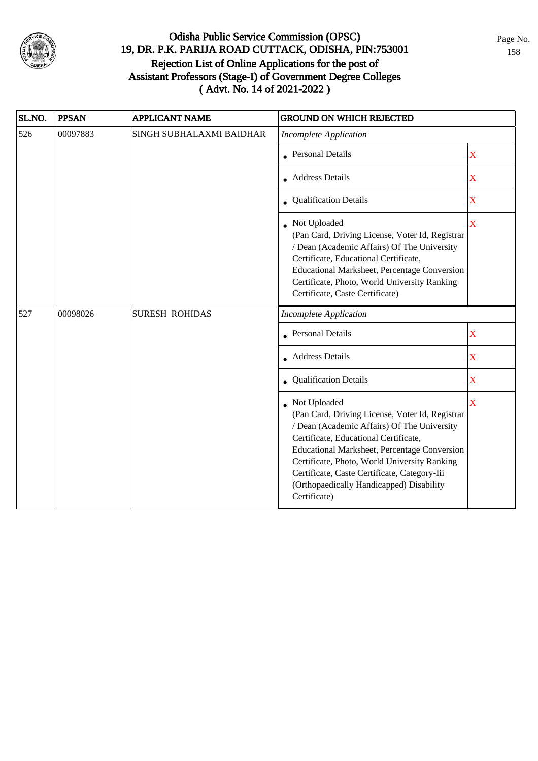

| SL.NO. | <b>PPSAN</b> | <b>APPLICANT NAME</b>    | <b>GROUND ON WHICH REJECTED</b>                                                                                                                                                                                                                                                                                                                                     |                         |
|--------|--------------|--------------------------|---------------------------------------------------------------------------------------------------------------------------------------------------------------------------------------------------------------------------------------------------------------------------------------------------------------------------------------------------------------------|-------------------------|
| 526    | 00097883     | SINGH SUBHALAXMI BAIDHAR | <b>Incomplete Application</b>                                                                                                                                                                                                                                                                                                                                       |                         |
|        |              |                          | • Personal Details                                                                                                                                                                                                                                                                                                                                                  | X                       |
|        |              |                          | Address Details                                                                                                                                                                                                                                                                                                                                                     | $\mathbf X$             |
|        |              | Qualification Details    | X                                                                                                                                                                                                                                                                                                                                                                   |                         |
|        |              |                          | Not Uploaded<br>(Pan Card, Driving License, Voter Id, Registrar<br>/ Dean (Academic Affairs) Of The University<br>Certificate, Educational Certificate,<br>Educational Marksheet, Percentage Conversion<br>Certificate, Photo, World University Ranking<br>Certificate, Caste Certificate)                                                                          | X                       |
| 527    | 00098026     | <b>SURESH ROHIDAS</b>    | <b>Incomplete Application</b>                                                                                                                                                                                                                                                                                                                                       |                         |
|        |              |                          | Personal Details                                                                                                                                                                                                                                                                                                                                                    | X                       |
|        |              |                          | Address Details                                                                                                                                                                                                                                                                                                                                                     | X                       |
|        |              |                          | Qualification Details                                                                                                                                                                                                                                                                                                                                               | $\mathbf X$             |
|        |              |                          | Not Uploaded<br>(Pan Card, Driving License, Voter Id, Registrar<br>/ Dean (Academic Affairs) Of The University<br>Certificate, Educational Certificate,<br>Educational Marksheet, Percentage Conversion<br>Certificate, Photo, World University Ranking<br>Certificate, Caste Certificate, Category-Iii<br>(Orthopaedically Handicapped) Disability<br>Certificate) | $\overline{\mathbf{X}}$ |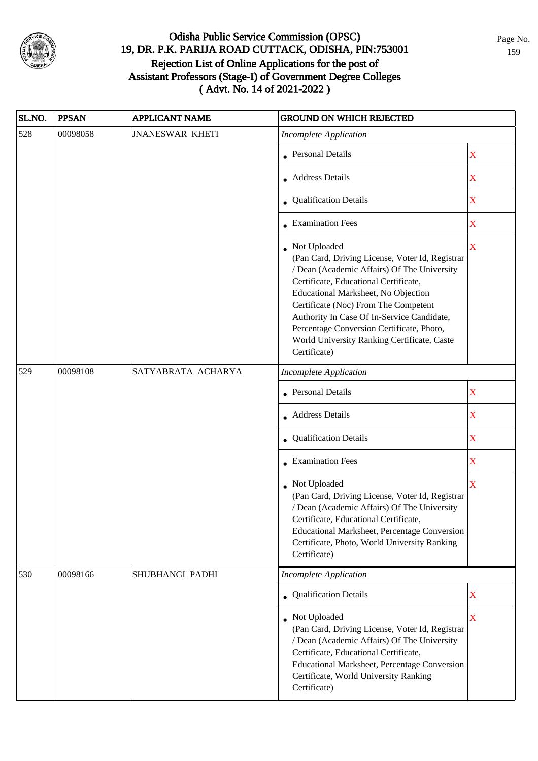

| SL.NO. | <b>PPSAN</b> | <b>APPLICANT NAME</b>  | <b>GROUND ON WHICH REJECTED</b>                                                                                                                                                                                                                                                                                                                                                                  |                         |
|--------|--------------|------------------------|--------------------------------------------------------------------------------------------------------------------------------------------------------------------------------------------------------------------------------------------------------------------------------------------------------------------------------------------------------------------------------------------------|-------------------------|
| 528    | 00098058     | <b>JNANESWAR KHETI</b> | <b>Incomplete Application</b>                                                                                                                                                                                                                                                                                                                                                                    |                         |
|        |              |                        | • Personal Details                                                                                                                                                                                                                                                                                                                                                                               | X                       |
|        |              |                        | • Address Details                                                                                                                                                                                                                                                                                                                                                                                | X                       |
|        |              |                        | <b>Qualification Details</b>                                                                                                                                                                                                                                                                                                                                                                     | $\mathbf X$             |
|        |              |                        | • Examination Fees                                                                                                                                                                                                                                                                                                                                                                               | X                       |
|        |              |                        | Not Uploaded<br>(Pan Card, Driving License, Voter Id, Registrar<br>/ Dean (Academic Affairs) Of The University<br>Certificate, Educational Certificate,<br>Educational Marksheet, No Objection<br>Certificate (Noc) From The Competent<br>Authority In Case Of In-Service Candidate,<br>Percentage Conversion Certificate, Photo,<br>World University Ranking Certificate, Caste<br>Certificate) | $\overline{\mathbf{X}}$ |
| 529    | 00098108     | SATYABRATA ACHARYA     | <b>Incomplete Application</b>                                                                                                                                                                                                                                                                                                                                                                    |                         |
|        |              |                        | <b>Personal Details</b>                                                                                                                                                                                                                                                                                                                                                                          | $\mathbf X$             |
|        |              |                        | • Address Details                                                                                                                                                                                                                                                                                                                                                                                | $\mathbf X$             |
|        |              |                        | • Qualification Details                                                                                                                                                                                                                                                                                                                                                                          | $\mathbf X$             |
|        |              |                        | $\bullet$ Examination Fees                                                                                                                                                                                                                                                                                                                                                                       | $\mathbf X$             |
|        |              |                        | • Not Uploaded<br>(Pan Card, Driving License, Voter Id, Registrar<br>/ Dean (Academic Affairs) Of The University<br>Certificate, Educational Certificate,<br>Educational Marksheet, Percentage Conversion<br>Certificate, Photo, World University Ranking<br>Certificate)                                                                                                                        | X                       |
| 530    | 00098166     | SHUBHANGI PADHI        | <b>Incomplete Application</b>                                                                                                                                                                                                                                                                                                                                                                    |                         |
|        |              |                        | • Qualification Details                                                                                                                                                                                                                                                                                                                                                                          | $\mathbf X$             |
|        |              |                        | • Not Uploaded<br>(Pan Card, Driving License, Voter Id, Registrar<br>/ Dean (Academic Affairs) Of The University<br>Certificate, Educational Certificate,<br>Educational Marksheet, Percentage Conversion<br>Certificate, World University Ranking<br>Certificate)                                                                                                                               | $\mathbf X$             |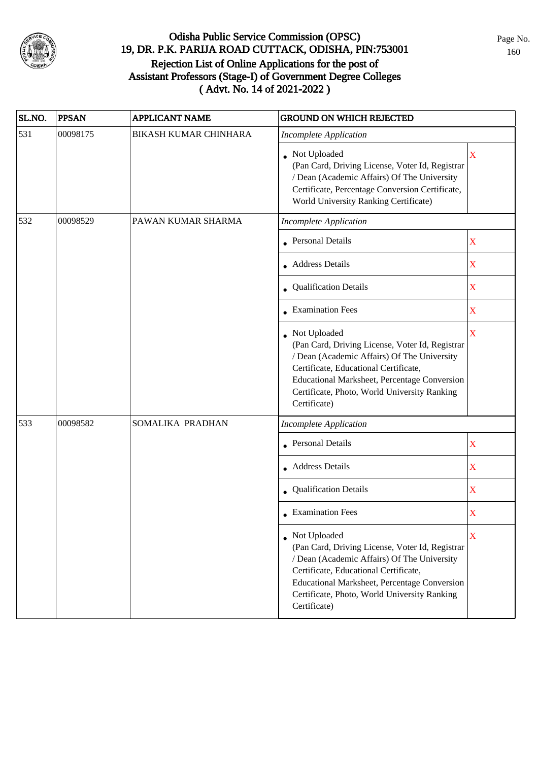

| SL.NO. | <b>PPSAN</b> | <b>APPLICANT NAME</b>        | <b>GROUND ON WHICH REJECTED</b>                                                                                                                                                                                                                                                  |                         |
|--------|--------------|------------------------------|----------------------------------------------------------------------------------------------------------------------------------------------------------------------------------------------------------------------------------------------------------------------------------|-------------------------|
| 531    | 00098175     | <b>BIKASH KUMAR CHINHARA</b> | <b>Incomplete Application</b>                                                                                                                                                                                                                                                    |                         |
|        |              |                              | Not Uploaded<br>(Pan Card, Driving License, Voter Id, Registrar<br>/ Dean (Academic Affairs) Of The University<br>Certificate, Percentage Conversion Certificate,<br>World University Ranking Certificate)                                                                       | X                       |
| 532    | 00098529     | PAWAN KUMAR SHARMA           | <b>Incomplete Application</b>                                                                                                                                                                                                                                                    |                         |
|        |              |                              | <b>Personal Details</b>                                                                                                                                                                                                                                                          | $\mathbf X$             |
|        |              |                              | • Address Details                                                                                                                                                                                                                                                                | X                       |
|        |              |                              | Qualification Details                                                                                                                                                                                                                                                            | $\mathbf X$             |
|        |              |                              | • Examination Fees                                                                                                                                                                                                                                                               | X                       |
|        |              |                              | Not Uploaded<br>(Pan Card, Driving License, Voter Id, Registrar<br>/ Dean (Academic Affairs) Of The University<br>Certificate, Educational Certificate,<br>Educational Marksheet, Percentage Conversion<br>Certificate, Photo, World University Ranking<br>Certificate)          | $\overline{\mathbf{X}}$ |
| 533    | 00098582     | SOMALIKA PRADHAN             | <b>Incomplete Application</b>                                                                                                                                                                                                                                                    |                         |
|        |              |                              | <b>Personal Details</b>                                                                                                                                                                                                                                                          | $\mathbf X$             |
|        |              |                              | • Address Details                                                                                                                                                                                                                                                                | $\mathbf X$             |
|        |              |                              | Qualification Details                                                                                                                                                                                                                                                            | $\mathbf X$             |
|        |              |                              | $\bullet$ Examination Fees                                                                                                                                                                                                                                                       | X                       |
|        |              |                              | • Not Uploaded<br>(Pan Card, Driving License, Voter Id, Registrar<br>/ Dean (Academic Affairs) Of The University<br>Certificate, Educational Certificate,<br><b>Educational Marksheet, Percentage Conversion</b><br>Certificate, Photo, World University Ranking<br>Certificate) | X                       |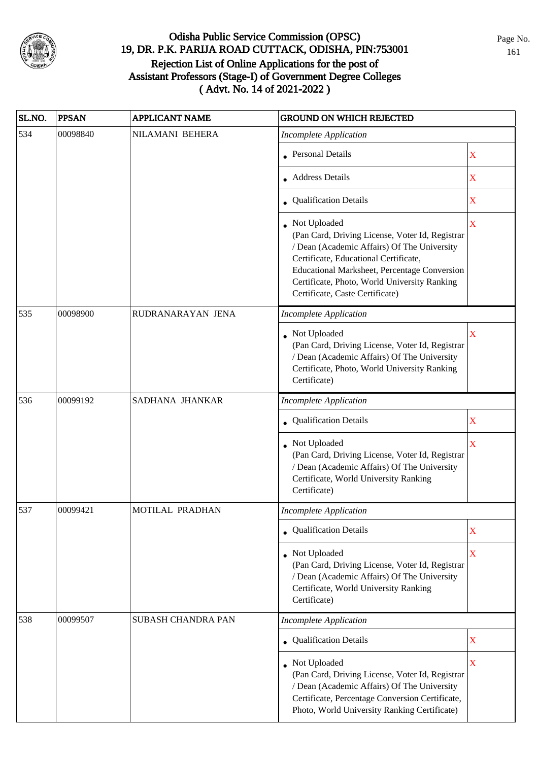

| SL.NO. | <b>PPSAN</b> | <b>APPLICANT NAME</b>     | <b>GROUND ON WHICH REJECTED</b>                                                                                                                                                                                                                                                            |                         |
|--------|--------------|---------------------------|--------------------------------------------------------------------------------------------------------------------------------------------------------------------------------------------------------------------------------------------------------------------------------------------|-------------------------|
| 534    | 00098840     | NILAMANI BEHERA           | <b>Incomplete Application</b>                                                                                                                                                                                                                                                              |                         |
|        |              |                           | • Personal Details                                                                                                                                                                                                                                                                         | X                       |
|        |              |                           | <b>Address Details</b>                                                                                                                                                                                                                                                                     | X                       |
|        |              |                           | • Qualification Details                                                                                                                                                                                                                                                                    | X                       |
|        |              |                           | Not Uploaded<br>(Pan Card, Driving License, Voter Id, Registrar<br>/ Dean (Academic Affairs) Of The University<br>Certificate, Educational Certificate,<br>Educational Marksheet, Percentage Conversion<br>Certificate, Photo, World University Ranking<br>Certificate, Caste Certificate) | $\mathbf X$             |
| 535    | 00098900     | RUDRANARAYAN JENA         | <b>Incomplete Application</b>                                                                                                                                                                                                                                                              |                         |
|        |              |                           | • Not Uploaded<br>(Pan Card, Driving License, Voter Id, Registrar<br>/ Dean (Academic Affairs) Of The University<br>Certificate, Photo, World University Ranking<br>Certificate)                                                                                                           | X                       |
| 536    | 00099192     | SADHANA JHANKAR           | <b>Incomplete Application</b>                                                                                                                                                                                                                                                              |                         |
|        |              |                           | Qualification Details                                                                                                                                                                                                                                                                      | X                       |
|        |              |                           | Not Uploaded<br>(Pan Card, Driving License, Voter Id, Registrar<br>/ Dean (Academic Affairs) Of The University<br>Certificate, World University Ranking<br>Certificate)                                                                                                                    | $\overline{\mathbf{X}}$ |
| 537    | 00099421     | MOTILAL PRADHAN           | <b>Incomplete Application</b>                                                                                                                                                                                                                                                              |                         |
|        |              |                           | • Qualification Details                                                                                                                                                                                                                                                                    | X                       |
|        |              |                           | • Not Uploaded<br>(Pan Card, Driving License, Voter Id, Registrar<br>/ Dean (Academic Affairs) Of The University<br>Certificate, World University Ranking<br>Certificate)                                                                                                                  | $\mathbf X$             |
| 538    | 00099507     | <b>SUBASH CHANDRA PAN</b> | <b>Incomplete Application</b>                                                                                                                                                                                                                                                              |                         |
|        |              |                           | • Qualification Details                                                                                                                                                                                                                                                                    | X                       |
|        |              |                           | Not Uploaded<br>(Pan Card, Driving License, Voter Id, Registrar<br>/ Dean (Academic Affairs) Of The University<br>Certificate, Percentage Conversion Certificate,<br>Photo, World University Ranking Certificate)                                                                          | X                       |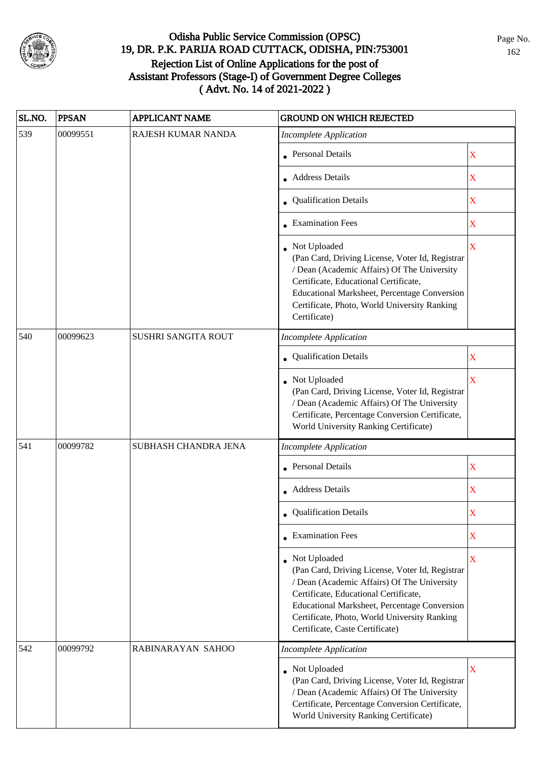

| SL.NO. | <b>PPSAN</b> | <b>APPLICANT NAME</b> | <b>GROUND ON WHICH REJECTED</b>                                                                                                                                                                                                                                                                   |             |
|--------|--------------|-----------------------|---------------------------------------------------------------------------------------------------------------------------------------------------------------------------------------------------------------------------------------------------------------------------------------------------|-------------|
| 539    | 00099551     | RAJESH KUMAR NANDA    | <b>Incomplete Application</b>                                                                                                                                                                                                                                                                     |             |
|        |              |                       | • Personal Details                                                                                                                                                                                                                                                                                | $\mathbf X$ |
|        |              |                       | <b>Address Details</b>                                                                                                                                                                                                                                                                            | $\mathbf X$ |
|        |              |                       | • Qualification Details                                                                                                                                                                                                                                                                           | $\mathbf X$ |
|        |              |                       | • Examination Fees                                                                                                                                                                                                                                                                                | $\mathbf X$ |
|        |              |                       | Not Uploaded<br>(Pan Card, Driving License, Voter Id, Registrar<br>/ Dean (Academic Affairs) Of The University<br>Certificate, Educational Certificate,<br>Educational Marksheet, Percentage Conversion<br>Certificate, Photo, World University Ranking<br>Certificate)                           | $\mathbf X$ |
| 540    | 00099623     | SUSHRI SANGITA ROUT   | <b>Incomplete Application</b>                                                                                                                                                                                                                                                                     |             |
|        |              |                       | Qualification Details                                                                                                                                                                                                                                                                             | X           |
|        |              |                       | Not Uploaded<br>(Pan Card, Driving License, Voter Id, Registrar<br>/ Dean (Academic Affairs) Of The University<br>Certificate, Percentage Conversion Certificate,<br>World University Ranking Certificate)                                                                                        | X           |
| 541    | 00099782     | SUBHASH CHANDRA JENA  | <b>Incomplete Application</b>                                                                                                                                                                                                                                                                     |             |
|        |              |                       | <b>Personal Details</b>                                                                                                                                                                                                                                                                           | $\mathbf X$ |
|        |              |                       | • Address Details                                                                                                                                                                                                                                                                                 | $\mathbf X$ |
|        |              |                       | • Qualification Details                                                                                                                                                                                                                                                                           | X           |
|        |              |                       | • Examination Fees                                                                                                                                                                                                                                                                                | X           |
|        |              |                       | Not Uploaded<br>(Pan Card, Driving License, Voter Id, Registrar<br>/ Dean (Academic Affairs) Of The University<br>Certificate, Educational Certificate,<br><b>Educational Marksheet, Percentage Conversion</b><br>Certificate, Photo, World University Ranking<br>Certificate, Caste Certificate) | $\mathbf X$ |
| 542    | 00099792     | RABINARAYAN SAHOO     | <b>Incomplete Application</b>                                                                                                                                                                                                                                                                     |             |
|        |              |                       | • Not Uploaded<br>(Pan Card, Driving License, Voter Id, Registrar<br>/ Dean (Academic Affairs) Of The University<br>Certificate, Percentage Conversion Certificate,<br>World University Ranking Certificate)                                                                                      | X           |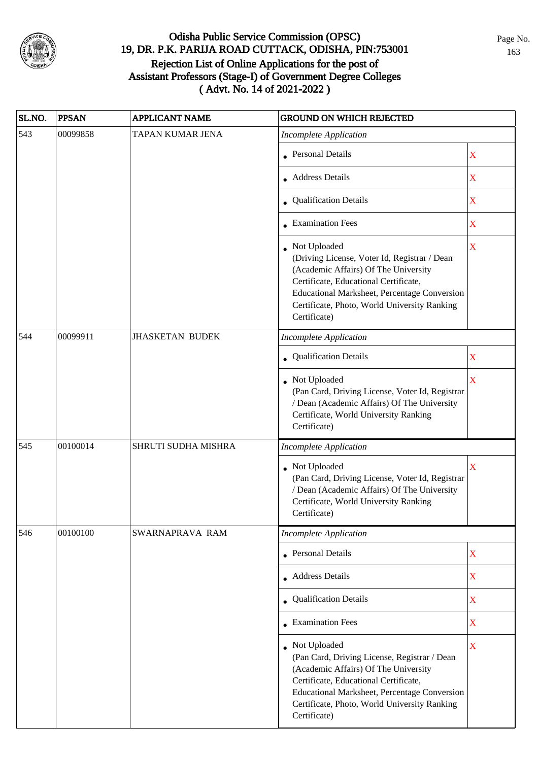

| SL.NO. | <b>PPSAN</b> | <b>APPLICANT NAME</b>  | <b>GROUND ON WHICH REJECTED</b>                                                                                                                                                                                                                                      |                         |
|--------|--------------|------------------------|----------------------------------------------------------------------------------------------------------------------------------------------------------------------------------------------------------------------------------------------------------------------|-------------------------|
| 543    | 00099858     | TAPAN KUMAR JENA       | <b>Incomplete Application</b>                                                                                                                                                                                                                                        |                         |
|        |              |                        | • Personal Details                                                                                                                                                                                                                                                   | $\mathbf X$             |
|        |              |                        | • Address Details                                                                                                                                                                                                                                                    | $\mathbf X$             |
|        |              |                        | • Qualification Details                                                                                                                                                                                                                                              | $\mathbf X$             |
|        |              |                        | • Examination Fees                                                                                                                                                                                                                                                   | X                       |
|        |              |                        | • Not Uploaded<br>(Driving License, Voter Id, Registrar / Dean<br>(Academic Affairs) Of The University<br>Certificate, Educational Certificate,<br>Educational Marksheet, Percentage Conversion<br>Certificate, Photo, World University Ranking<br>Certificate)      | $\overline{\mathbf{X}}$ |
| 544    | 00099911     | <b>JHASKETAN BUDEK</b> | <b>Incomplete Application</b>                                                                                                                                                                                                                                        |                         |
|        |              |                        | Qualification Details                                                                                                                                                                                                                                                | $\mathbf X$             |
|        |              |                        | Not Uploaded<br>(Pan Card, Driving License, Voter Id, Registrar<br>/ Dean (Academic Affairs) Of The University<br>Certificate, World University Ranking<br>Certificate)                                                                                              | $\overline{\mathbf{X}}$ |
| 545    | 00100014     | SHRUTI SUDHA MISHRA    | <b>Incomplete Application</b>                                                                                                                                                                                                                                        |                         |
|        |              |                        | Not Uploaded<br>(Pan Card, Driving License, Voter Id, Registrar<br>/ Dean (Academic Affairs) Of The University<br>Certificate, World University Ranking<br>Certificate)                                                                                              | $\overline{\mathbf{X}}$ |
| 546    | 00100100     | SWARNAPRAVA RAM        | <b>Incomplete Application</b>                                                                                                                                                                                                                                        |                         |
|        |              |                        | • Personal Details                                                                                                                                                                                                                                                   | $\mathbf X$             |
|        |              |                        | • Address Details                                                                                                                                                                                                                                                    | $\mathbf X$             |
|        |              |                        | • Qualification Details                                                                                                                                                                                                                                              | $\mathbf X$             |
|        |              |                        | • Examination Fees                                                                                                                                                                                                                                                   | $\overline{\textbf{X}}$ |
|        |              |                        | Not Uploaded<br>(Pan Card, Driving License, Registrar / Dean<br>(Academic Affairs) Of The University<br>Certificate, Educational Certificate,<br><b>Educational Marksheet, Percentage Conversion</b><br>Certificate, Photo, World University Ranking<br>Certificate) | $\mathbf X$             |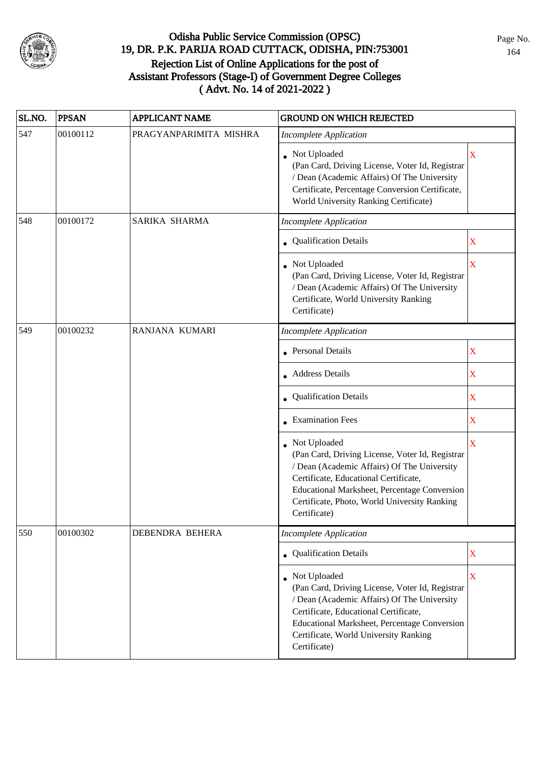

| SL.NO. | <b>PPSAN</b> | <b>APPLICANT NAME</b>  | <b>GROUND ON WHICH REJECTED</b>                                                                                                                                                                                                                                           |             |
|--------|--------------|------------------------|---------------------------------------------------------------------------------------------------------------------------------------------------------------------------------------------------------------------------------------------------------------------------|-------------|
| 547    | 00100112     | PRAGYANPARIMITA MISHRA | <b>Incomplete Application</b>                                                                                                                                                                                                                                             |             |
|        |              |                        | Not Uploaded<br>(Pan Card, Driving License, Voter Id, Registrar<br>/ Dean (Academic Affairs) Of The University<br>Certificate, Percentage Conversion Certificate,<br>World University Ranking Certificate)                                                                | X           |
| 548    | 00100172     | SARIKA SHARMA          | <b>Incomplete Application</b>                                                                                                                                                                                                                                             |             |
|        |              |                        | • Qualification Details                                                                                                                                                                                                                                                   | $\mathbf X$ |
|        |              |                        | • Not Uploaded<br>(Pan Card, Driving License, Voter Id, Registrar<br>/ Dean (Academic Affairs) Of The University<br>Certificate, World University Ranking<br>Certificate)                                                                                                 | X           |
| 549    | 00100232     | RANJANA KUMARI         | <b>Incomplete Application</b>                                                                                                                                                                                                                                             |             |
|        |              |                        | Personal Details                                                                                                                                                                                                                                                          | $\mathbf X$ |
|        |              |                        | • Address Details                                                                                                                                                                                                                                                         | $\mathbf X$ |
|        |              |                        | • Qualification Details                                                                                                                                                                                                                                                   | $\mathbf X$ |
|        |              |                        | • Examination Fees                                                                                                                                                                                                                                                        | X           |
|        |              |                        | • Not Uploaded<br>(Pan Card, Driving License, Voter Id, Registrar<br>/ Dean (Academic Affairs) Of The University<br>Certificate, Educational Certificate,<br>Educational Marksheet, Percentage Conversion<br>Certificate, Photo, World University Ranking<br>Certificate) | $\mathbf X$ |
| 550    | 00100302     | DEBENDRA BEHERA        | <b>Incomplete Application</b>                                                                                                                                                                                                                                             |             |
|        |              |                        | • Qualification Details                                                                                                                                                                                                                                                   | $\mathbf X$ |
|        |              |                        | • Not Uploaded<br>(Pan Card, Driving License, Voter Id, Registrar<br>/ Dean (Academic Affairs) Of The University<br>Certificate, Educational Certificate,<br>Educational Marksheet, Percentage Conversion<br>Certificate, World University Ranking<br>Certificate)        | X           |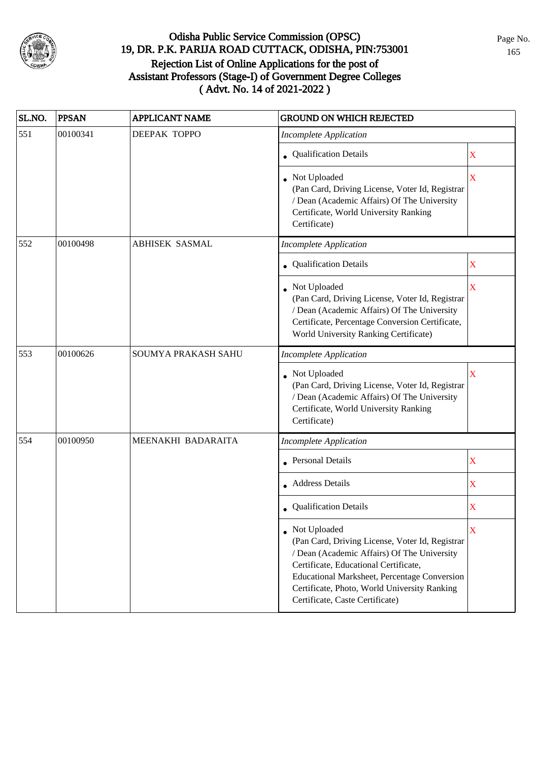

| SL.NO. | <b>PPSAN</b> | <b>APPLICANT NAME</b> | <b>GROUND ON WHICH REJECTED</b>                                                                                                                                                                                                                                                                     |                         |
|--------|--------------|-----------------------|-----------------------------------------------------------------------------------------------------------------------------------------------------------------------------------------------------------------------------------------------------------------------------------------------------|-------------------------|
| 551    | 00100341     | <b>DEEPAK TOPPO</b>   | <b>Incomplete Application</b>                                                                                                                                                                                                                                                                       |                         |
|        |              |                       | • Qualification Details                                                                                                                                                                                                                                                                             | $\mathbf X$             |
|        |              |                       | Not Uploaded<br>(Pan Card, Driving License, Voter Id, Registrar<br>/ Dean (Academic Affairs) Of The University<br>Certificate, World University Ranking<br>Certificate)                                                                                                                             | $\overline{\mathbf{X}}$ |
| 552    | 00100498     | <b>ABHISEK SASMAL</b> | <b>Incomplete Application</b>                                                                                                                                                                                                                                                                       |                         |
|        |              |                       | • Qualification Details                                                                                                                                                                                                                                                                             | X                       |
|        |              |                       | • Not Uploaded<br>(Pan Card, Driving License, Voter Id, Registrar<br>/ Dean (Academic Affairs) Of The University<br>Certificate, Percentage Conversion Certificate,<br>World University Ranking Certificate)                                                                                        | $\overline{\mathbf{X}}$ |
| 553    | 00100626     | SOUMYA PRAKASH SAHU   | <b>Incomplete Application</b>                                                                                                                                                                                                                                                                       |                         |
|        |              |                       | • Not Uploaded<br>(Pan Card, Driving License, Voter Id, Registrar<br>/ Dean (Academic Affairs) Of The University<br>Certificate, World University Ranking<br>Certificate)                                                                                                                           | X                       |
| 554    | 00100950     | MEENAKHI BADARAITA    | <b>Incomplete Application</b>                                                                                                                                                                                                                                                                       |                         |
|        |              |                       | • Personal Details                                                                                                                                                                                                                                                                                  | $\mathbf X$             |
|        |              |                       | • Address Details                                                                                                                                                                                                                                                                                   | $\mathbf X$             |
|        |              |                       | • Qualification Details                                                                                                                                                                                                                                                                             | X                       |
|        |              |                       | • Not Uploaded<br>(Pan Card, Driving License, Voter Id, Registrar<br>/ Dean (Academic Affairs) Of The University<br>Certificate, Educational Certificate,<br><b>Educational Marksheet, Percentage Conversion</b><br>Certificate, Photo, World University Ranking<br>Certificate, Caste Certificate) | X                       |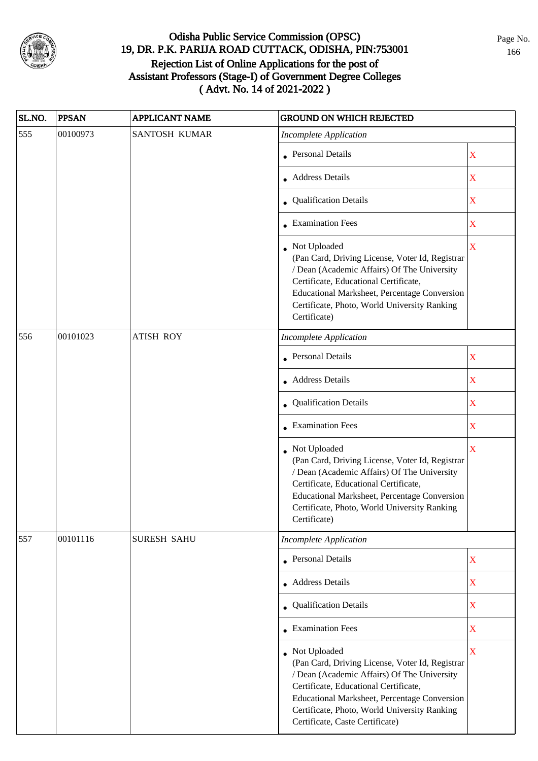

| SL.NO. | <b>PPSAN</b> | APPLICANT NAME     | <b>GROUND ON WHICH REJECTED</b>                                                                                                                                                                                                                                                              |                         |
|--------|--------------|--------------------|----------------------------------------------------------------------------------------------------------------------------------------------------------------------------------------------------------------------------------------------------------------------------------------------|-------------------------|
| 555    | 00100973     | SANTOSH KUMAR      | <b>Incomplete Application</b>                                                                                                                                                                                                                                                                |                         |
|        |              |                    | • Personal Details                                                                                                                                                                                                                                                                           | $\mathbf X$             |
|        |              |                    | • Address Details                                                                                                                                                                                                                                                                            | $\mathbf X$             |
|        |              |                    | • Qualification Details                                                                                                                                                                                                                                                                      | $\mathbf X$             |
|        |              |                    | • Examination Fees                                                                                                                                                                                                                                                                           | $\mathbf X$             |
|        |              |                    | • Not Uploaded<br>(Pan Card, Driving License, Voter Id, Registrar<br>/ Dean (Academic Affairs) Of The University<br>Certificate, Educational Certificate,<br>Educational Marksheet, Percentage Conversion<br>Certificate, Photo, World University Ranking<br>Certificate)                    | $\overline{\mathbf{X}}$ |
| 556    | 00101023     | <b>ATISH ROY</b>   | <b>Incomplete Application</b>                                                                                                                                                                                                                                                                |                         |
|        |              |                    | • Personal Details                                                                                                                                                                                                                                                                           | $\mathbf X$             |
|        |              |                    | • Address Details                                                                                                                                                                                                                                                                            | $\mathbf X$             |
|        |              |                    | • Qualification Details                                                                                                                                                                                                                                                                      | $\mathbf X$             |
|        |              |                    | • Examination Fees                                                                                                                                                                                                                                                                           | $\mathbf X$             |
|        |              |                    | • Not Uploaded<br>(Pan Card, Driving License, Voter Id, Registrar<br>/ Dean (Academic Affairs) Of The University<br>Certificate, Educational Certificate,<br>Educational Marksheet, Percentage Conversion<br>Certificate, Photo, World University Ranking<br>Certificate)                    | $\bar{X}$               |
| 557    | 00101116     | <b>SURESH SAHU</b> | <b>Incomplete Application</b>                                                                                                                                                                                                                                                                |                         |
|        |              |                    | • Personal Details                                                                                                                                                                                                                                                                           | $\mathbf X$             |
|        |              |                    | • Address Details                                                                                                                                                                                                                                                                            | $\mathbf X$             |
|        |              |                    | • Qualification Details                                                                                                                                                                                                                                                                      | $\mathbf X$             |
|        |              |                    | • Examination Fees                                                                                                                                                                                                                                                                           | $\mathbf X$             |
|        |              |                    | • Not Uploaded<br>(Pan Card, Driving License, Voter Id, Registrar<br>/ Dean (Academic Affairs) Of The University<br>Certificate, Educational Certificate,<br>Educational Marksheet, Percentage Conversion<br>Certificate, Photo, World University Ranking<br>Certificate, Caste Certificate) | $\mathbf X$             |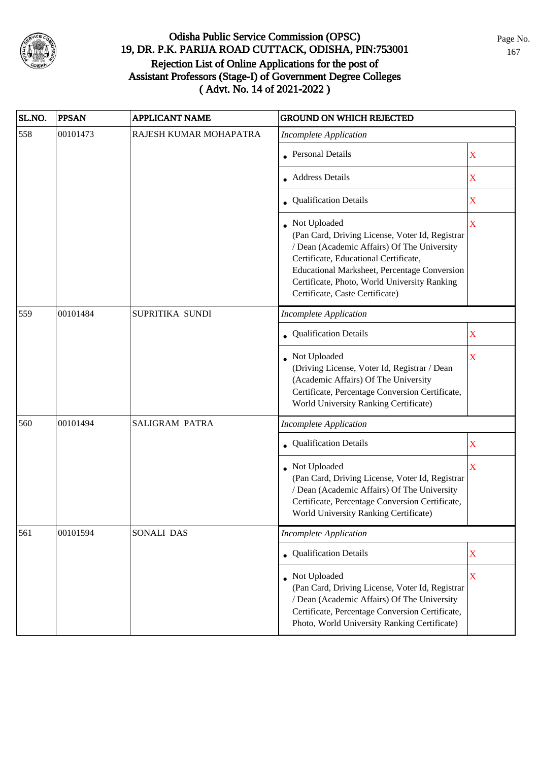

| SL.NO. | <b>PPSAN</b> | <b>APPLICANT NAME</b>  | <b>GROUND ON WHICH REJECTED</b>                                                                                                                                                                                                                                                              |                         |
|--------|--------------|------------------------|----------------------------------------------------------------------------------------------------------------------------------------------------------------------------------------------------------------------------------------------------------------------------------------------|-------------------------|
| 558    | 00101473     | RAJESH KUMAR MOHAPATRA | <b>Incomplete Application</b>                                                                                                                                                                                                                                                                |                         |
|        |              |                        | • Personal Details                                                                                                                                                                                                                                                                           | X                       |
|        |              |                        | Address Details                                                                                                                                                                                                                                                                              | X                       |
|        |              |                        | • Qualification Details                                                                                                                                                                                                                                                                      | X                       |
|        |              |                        | • Not Uploaded<br>(Pan Card, Driving License, Voter Id, Registrar<br>/ Dean (Academic Affairs) Of The University<br>Certificate, Educational Certificate,<br>Educational Marksheet, Percentage Conversion<br>Certificate, Photo, World University Ranking<br>Certificate, Caste Certificate) | X                       |
| 559    | 00101484     | SUPRITIKA SUNDI        | <b>Incomplete Application</b>                                                                                                                                                                                                                                                                |                         |
|        |              |                        | Qualification Details                                                                                                                                                                                                                                                                        | X                       |
|        |              |                        | Not Uploaded<br>(Driving License, Voter Id, Registrar / Dean<br>(Academic Affairs) Of The University<br>Certificate, Percentage Conversion Certificate,<br>World University Ranking Certificate)                                                                                             | X                       |
| 560    | 00101494     | <b>SALIGRAM PATRA</b>  | <b>Incomplete Application</b>                                                                                                                                                                                                                                                                |                         |
|        |              |                        | Qualification Details                                                                                                                                                                                                                                                                        | X                       |
|        |              |                        | Not Uploaded<br>(Pan Card, Driving License, Voter Id, Registrar<br>/ Dean (Academic Affairs) Of The University<br>Certificate, Percentage Conversion Certificate,<br>World University Ranking Certificate)                                                                                   | $\overline{\mathbf{X}}$ |
| 561    | 00101594     | SONALI DAS             | <b>Incomplete Application</b>                                                                                                                                                                                                                                                                |                         |
|        |              |                        | • Qualification Details                                                                                                                                                                                                                                                                      | $\mathbf X$             |
|        |              |                        | • Not Uploaded<br>(Pan Card, Driving License, Voter Id, Registrar<br>/ Dean (Academic Affairs) Of The University<br>Certificate, Percentage Conversion Certificate,<br>Photo, World University Ranking Certificate)                                                                          | $\mathbf X$             |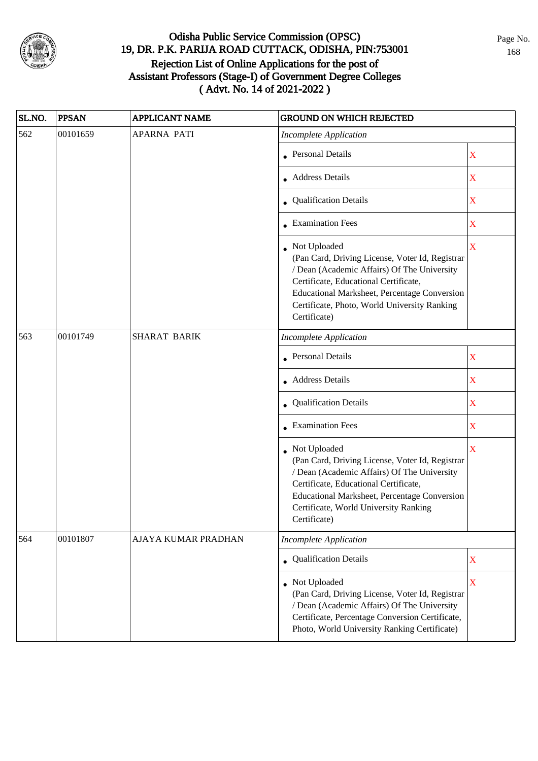

| SL.NO. | <b>PPSAN</b> | <b>APPLICANT NAME</b> | <b>GROUND ON WHICH REJECTED</b>                                                                                                                                                                                                                                           |                         |
|--------|--------------|-----------------------|---------------------------------------------------------------------------------------------------------------------------------------------------------------------------------------------------------------------------------------------------------------------------|-------------------------|
| 562    | 00101659     | <b>APARNA PATI</b>    | <b>Incomplete Application</b>                                                                                                                                                                                                                                             |                         |
|        |              |                       | • Personal Details                                                                                                                                                                                                                                                        | X                       |
|        |              |                       | • Address Details                                                                                                                                                                                                                                                         | $\mathbf X$             |
|        |              |                       | • Qualification Details                                                                                                                                                                                                                                                   | $\mathbf X$             |
|        |              |                       | • Examination Fees                                                                                                                                                                                                                                                        | X                       |
|        |              |                       | • Not Uploaded<br>(Pan Card, Driving License, Voter Id, Registrar<br>/ Dean (Academic Affairs) Of The University<br>Certificate, Educational Certificate,<br>Educational Marksheet, Percentage Conversion<br>Certificate, Photo, World University Ranking<br>Certificate) | $\overline{\mathbf{X}}$ |
| 563    | 00101749     | <b>SHARAT BARIK</b>   | <b>Incomplete Application</b>                                                                                                                                                                                                                                             |                         |
|        |              |                       | Personal Details                                                                                                                                                                                                                                                          | X                       |
|        |              |                       | <b>Address Details</b>                                                                                                                                                                                                                                                    | $\mathbf X$             |
|        |              |                       | • Qualification Details                                                                                                                                                                                                                                                   | $\mathbf X$             |
|        |              |                       | $\bullet$ Examination Fees                                                                                                                                                                                                                                                | $\mathbf X$             |
|        |              |                       | • Not Uploaded<br>(Pan Card, Driving License, Voter Id, Registrar<br>/ Dean (Academic Affairs) Of The University<br>Certificate, Educational Certificate,<br><b>Educational Marksheet, Percentage Conversion</b><br>Certificate, World University Ranking<br>Certificate) | $\overline{\mathbf{X}}$ |
| 564    | 00101807     | AJAYA KUMAR PRADHAN   | <b>Incomplete Application</b>                                                                                                                                                                                                                                             |                         |
|        |              |                       | • Qualification Details                                                                                                                                                                                                                                                   | $\mathbf X$             |
|        |              |                       | Not Uploaded<br>(Pan Card, Driving License, Voter Id, Registrar<br>/ Dean (Academic Affairs) Of The University<br>Certificate, Percentage Conversion Certificate,<br>Photo, World University Ranking Certificate)                                                         | $\overline{\mathbf{X}}$ |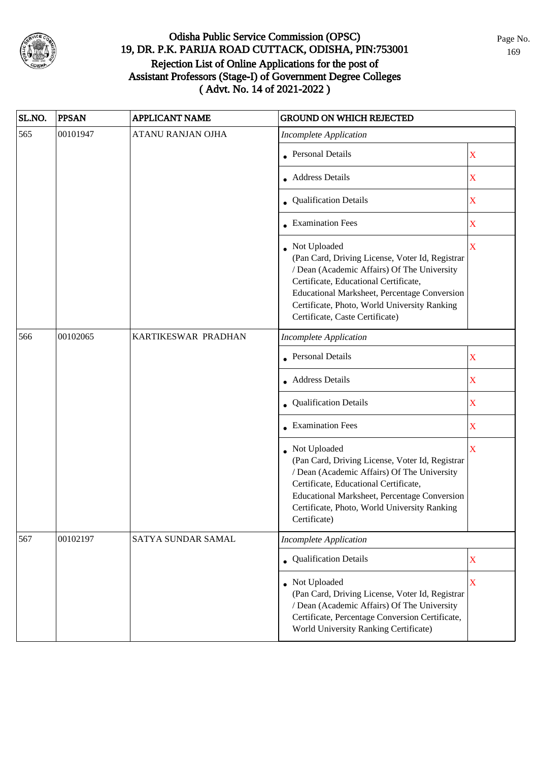

| SL.NO. | <b>PPSAN</b> | <b>APPLICANT NAME</b>    | <b>GROUND ON WHICH REJECTED</b>                                                                                                                                                                                                                                                                   |                         |
|--------|--------------|--------------------------|---------------------------------------------------------------------------------------------------------------------------------------------------------------------------------------------------------------------------------------------------------------------------------------------------|-------------------------|
| 565    | 00101947     | <b>ATANU RANJAN OJHA</b> | <b>Incomplete Application</b>                                                                                                                                                                                                                                                                     |                         |
|        |              |                          | • Personal Details                                                                                                                                                                                                                                                                                | $\mathbf X$             |
|        |              |                          | • Address Details                                                                                                                                                                                                                                                                                 | $\mathbf X$             |
|        |              |                          | • Qualification Details                                                                                                                                                                                                                                                                           | $\mathbf X$             |
|        |              |                          | • Examination Fees                                                                                                                                                                                                                                                                                | X                       |
|        |              |                          | Not Uploaded<br>(Pan Card, Driving License, Voter Id, Registrar<br>/ Dean (Academic Affairs) Of The University<br>Certificate, Educational Certificate,<br><b>Educational Marksheet, Percentage Conversion</b><br>Certificate, Photo, World University Ranking<br>Certificate, Caste Certificate) | $\overline{\mathbf{X}}$ |
| 566    | 00102065     | KARTIKESWAR PRADHAN      | <b>Incomplete Application</b>                                                                                                                                                                                                                                                                     |                         |
|        |              |                          | <b>Personal Details</b>                                                                                                                                                                                                                                                                           | X                       |
|        |              |                          | <b>Address Details</b>                                                                                                                                                                                                                                                                            | $\mathbf X$             |
|        |              |                          | • Qualification Details                                                                                                                                                                                                                                                                           | $\mathbf X$             |
|        |              |                          | $\bullet$ Examination Fees                                                                                                                                                                                                                                                                        | $\mathbf X$             |
|        |              |                          | • Not Uploaded<br>(Pan Card, Driving License, Voter Id, Registrar<br>/ Dean (Academic Affairs) Of The University<br>Certificate, Educational Certificate,<br>Educational Marksheet, Percentage Conversion<br>Certificate, Photo, World University Ranking<br>Certificate)                         | $\overline{\mathbf{X}}$ |
| 567    | 00102197     | SATYA SUNDAR SAMAL       | <b>Incomplete Application</b>                                                                                                                                                                                                                                                                     |                         |
|        |              |                          | • Qualification Details                                                                                                                                                                                                                                                                           | $\mathbf X$             |
|        |              |                          | • Not Uploaded<br>(Pan Card, Driving License, Voter Id, Registrar<br>/ Dean (Academic Affairs) Of The University<br>Certificate, Percentage Conversion Certificate,<br>World University Ranking Certificate)                                                                                      | $\overline{\mathbf{X}}$ |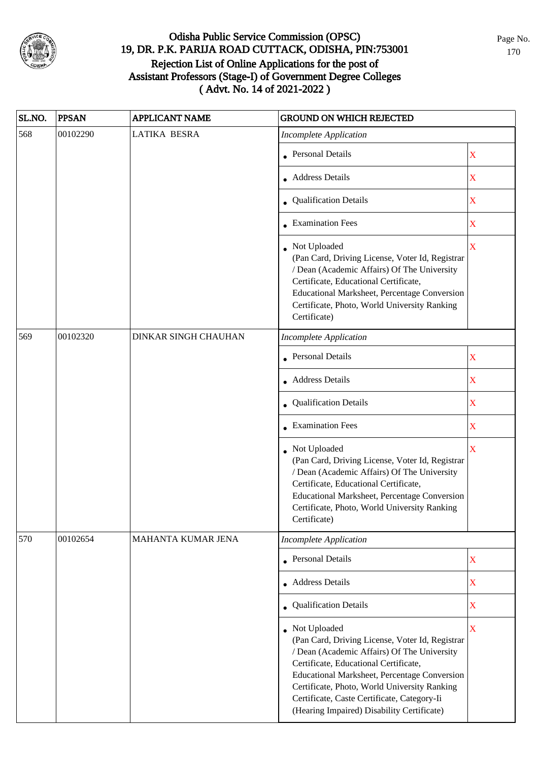

| SL.NO. | <b>PPSAN</b> | <b>APPLICANT NAME</b>       | <b>GROUND ON WHICH REJECTED</b>                                                                                                                                                                                                                                                                                                                        |                         |
|--------|--------------|-----------------------------|--------------------------------------------------------------------------------------------------------------------------------------------------------------------------------------------------------------------------------------------------------------------------------------------------------------------------------------------------------|-------------------------|
| 568    | 00102290     | <b>LATIKA BESRA</b>         | <b>Incomplete Application</b>                                                                                                                                                                                                                                                                                                                          |                         |
|        |              |                             | • Personal Details                                                                                                                                                                                                                                                                                                                                     | X                       |
|        |              |                             | • Address Details                                                                                                                                                                                                                                                                                                                                      | X                       |
|        |              |                             | • Qualification Details                                                                                                                                                                                                                                                                                                                                | $\mathbf X$             |
|        |              |                             | • Examination Fees                                                                                                                                                                                                                                                                                                                                     | $\mathbf X$             |
|        |              |                             | • Not Uploaded<br>(Pan Card, Driving License, Voter Id, Registrar<br>/ Dean (Academic Affairs) Of The University<br>Certificate, Educational Certificate,<br>Educational Marksheet, Percentage Conversion<br>Certificate, Photo, World University Ranking<br>Certificate)                                                                              | $\overline{\mathbf{X}}$ |
| 569    | 00102320     | <b>DINKAR SINGH CHAUHAN</b> | <b>Incomplete Application</b>                                                                                                                                                                                                                                                                                                                          |                         |
|        |              |                             | • Personal Details                                                                                                                                                                                                                                                                                                                                     | X                       |
|        |              |                             | • Address Details                                                                                                                                                                                                                                                                                                                                      | $\mathbf X$             |
|        |              |                             | • Qualification Details                                                                                                                                                                                                                                                                                                                                | X                       |
|        |              |                             | $\bullet$ Examination Fees                                                                                                                                                                                                                                                                                                                             | X                       |
|        |              |                             | • Not Uploaded<br>(Pan Card, Driving License, Voter Id, Registrar<br>/ Dean (Academic Affairs) Of The University<br>Certificate, Educational Certificate,<br>Educational Marksheet, Percentage Conversion<br>Certificate, Photo, World University Ranking<br>Certificate)                                                                              | X                       |
| 570    | 00102654     | MAHANTA KUMAR JENA          | <b>Incomplete Application</b>                                                                                                                                                                                                                                                                                                                          |                         |
|        |              |                             | <b>Personal Details</b>                                                                                                                                                                                                                                                                                                                                | $\mathbf X$             |
|        |              |                             | <b>Address Details</b>                                                                                                                                                                                                                                                                                                                                 | $\mathbf X$             |
|        |              |                             | • Qualification Details                                                                                                                                                                                                                                                                                                                                | X                       |
|        |              |                             | • Not Uploaded<br>(Pan Card, Driving License, Voter Id, Registrar<br>/ Dean (Academic Affairs) Of The University<br>Certificate, Educational Certificate,<br>Educational Marksheet, Percentage Conversion<br>Certificate, Photo, World University Ranking<br>Certificate, Caste Certificate, Category-Ii<br>(Hearing Impaired) Disability Certificate) | $\mathbf X$             |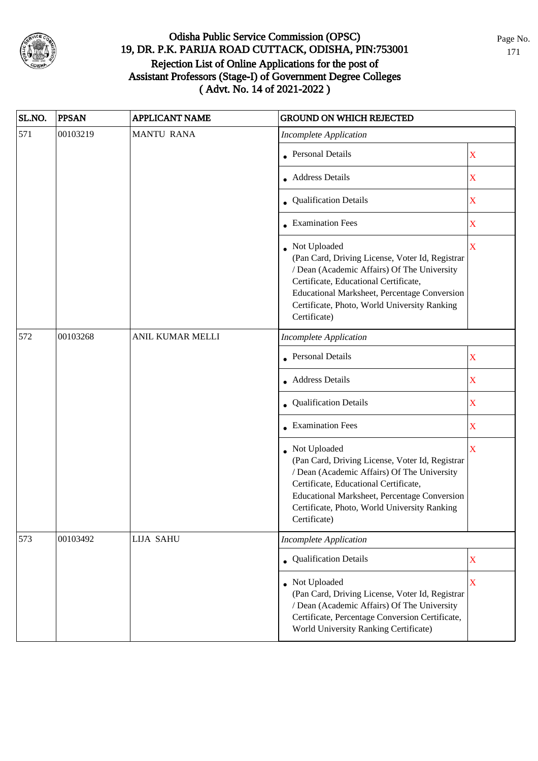

| SL.NO. | <b>PPSAN</b> | <b>APPLICANT NAME</b> | <b>GROUND ON WHICH REJECTED</b>                                                                                                                                                                                                                                           |                         |
|--------|--------------|-----------------------|---------------------------------------------------------------------------------------------------------------------------------------------------------------------------------------------------------------------------------------------------------------------------|-------------------------|
| 571    | 00103219     | <b>MANTU RANA</b>     | <b>Incomplete Application</b>                                                                                                                                                                                                                                             |                         |
|        |              |                       | • Personal Details                                                                                                                                                                                                                                                        | $\mathbf X$             |
|        |              |                       | • Address Details                                                                                                                                                                                                                                                         | $\mathbf X$             |
|        |              |                       | • Qualification Details                                                                                                                                                                                                                                                   | $\mathbf X$             |
|        |              |                       | • Examination Fees                                                                                                                                                                                                                                                        | X                       |
|        |              |                       | • Not Uploaded<br>(Pan Card, Driving License, Voter Id, Registrar<br>/ Dean (Academic Affairs) Of The University<br>Certificate, Educational Certificate,<br>Educational Marksheet, Percentage Conversion<br>Certificate, Photo, World University Ranking<br>Certificate) | $\overline{\mathbf{X}}$ |
| 572    | 00103268     | ANIL KUMAR MELLI      | <b>Incomplete Application</b>                                                                                                                                                                                                                                             |                         |
|        |              |                       | • Personal Details                                                                                                                                                                                                                                                        | X                       |
|        |              |                       | <b>Address Details</b>                                                                                                                                                                                                                                                    | $\mathbf X$             |
|        |              |                       | • Qualification Details                                                                                                                                                                                                                                                   | $\mathbf X$             |
|        |              |                       | $\bullet$ Examination Fees                                                                                                                                                                                                                                                | $\mathbf X$             |
|        |              |                       | • Not Uploaded<br>(Pan Card, Driving License, Voter Id, Registrar<br>/ Dean (Academic Affairs) Of The University<br>Certificate, Educational Certificate,<br>Educational Marksheet, Percentage Conversion<br>Certificate, Photo, World University Ranking<br>Certificate) | $\overline{\mathbf{X}}$ |
| 573    | 00103492     | <b>LIJA SAHU</b>      | <b>Incomplete Application</b>                                                                                                                                                                                                                                             |                         |
|        |              |                       | • Qualification Details                                                                                                                                                                                                                                                   | $\mathbf X$             |
|        |              |                       | • Not Uploaded<br>(Pan Card, Driving License, Voter Id, Registrar<br>/ Dean (Academic Affairs) Of The University<br>Certificate, Percentage Conversion Certificate,<br>World University Ranking Certificate)                                                              | $\overline{\mathbf{X}}$ |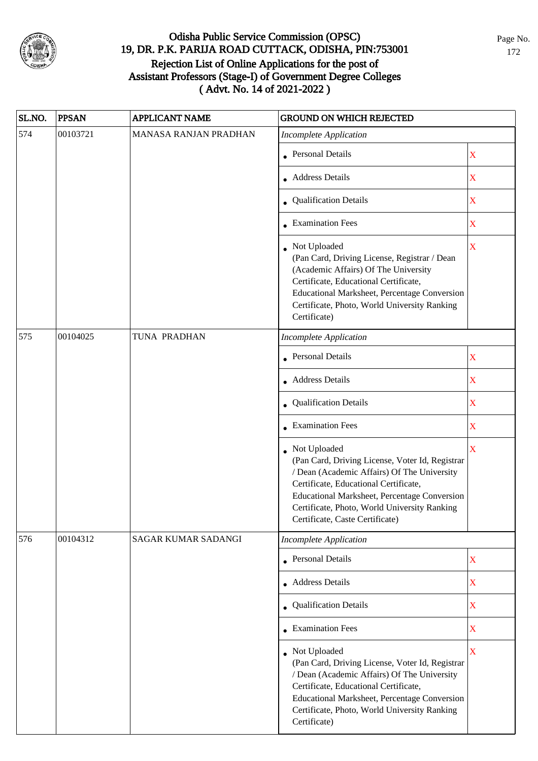

| SL.NO. | <b>PPSAN</b> | <b>APPLICANT NAME</b>      | <b>GROUND ON WHICH REJECTED</b>                                                                                                                                                                                                                                                              |                         |
|--------|--------------|----------------------------|----------------------------------------------------------------------------------------------------------------------------------------------------------------------------------------------------------------------------------------------------------------------------------------------|-------------------------|
| 574    | 00103721     | MANASA RANJAN PRADHAN      | <b>Incomplete Application</b>                                                                                                                                                                                                                                                                |                         |
|        |              |                            | • Personal Details                                                                                                                                                                                                                                                                           | X                       |
|        |              |                            | • Address Details                                                                                                                                                                                                                                                                            | $\mathbf X$             |
|        |              |                            | • Qualification Details                                                                                                                                                                                                                                                                      | $\mathbf X$             |
|        |              |                            | <b>Examination Fees</b>                                                                                                                                                                                                                                                                      | $\mathbf X$             |
|        |              |                            | • Not Uploaded<br>(Pan Card, Driving License, Registrar / Dean<br>(Academic Affairs) Of The University<br>Certificate, Educational Certificate,<br>Educational Marksheet, Percentage Conversion<br>Certificate, Photo, World University Ranking<br>Certificate)                              | $\mathbf X$             |
| 575    | 00104025     | TUNA PRADHAN               | <b>Incomplete Application</b>                                                                                                                                                                                                                                                                |                         |
|        |              |                            | • Personal Details                                                                                                                                                                                                                                                                           | $\mathbf X$             |
|        |              |                            | <b>Address Details</b>                                                                                                                                                                                                                                                                       | $\mathbf X$             |
|        |              |                            | Qualification Details                                                                                                                                                                                                                                                                        | $\mathbf X$             |
|        |              |                            | • Examination Fees                                                                                                                                                                                                                                                                           | $\mathbf X$             |
|        |              |                            | • Not Uploaded<br>(Pan Card, Driving License, Voter Id, Registrar<br>/ Dean (Academic Affairs) Of The University<br>Certificate, Educational Certificate,<br>Educational Marksheet, Percentage Conversion<br>Certificate, Photo, World University Ranking<br>Certificate, Caste Certificate) | $\overline{\mathbf{X}}$ |
| 576    | 00104312     | <b>SAGAR KUMAR SADANGI</b> | <b>Incomplete Application</b>                                                                                                                                                                                                                                                                |                         |
|        |              |                            | Personal Details                                                                                                                                                                                                                                                                             | $\mathbf X$             |
|        |              |                            | • Address Details                                                                                                                                                                                                                                                                            | $\mathbf X$             |
|        |              |                            | • Qualification Details                                                                                                                                                                                                                                                                      | $\mathbf X$             |
|        |              |                            | • Examination Fees                                                                                                                                                                                                                                                                           | $\mathbf X$             |
|        |              |                            | • Not Uploaded<br>(Pan Card, Driving License, Voter Id, Registrar<br>/ Dean (Academic Affairs) Of The University<br>Certificate, Educational Certificate,<br>Educational Marksheet, Percentage Conversion<br>Certificate, Photo, World University Ranking<br>Certificate)                    | $\overline{\mathbf{X}}$ |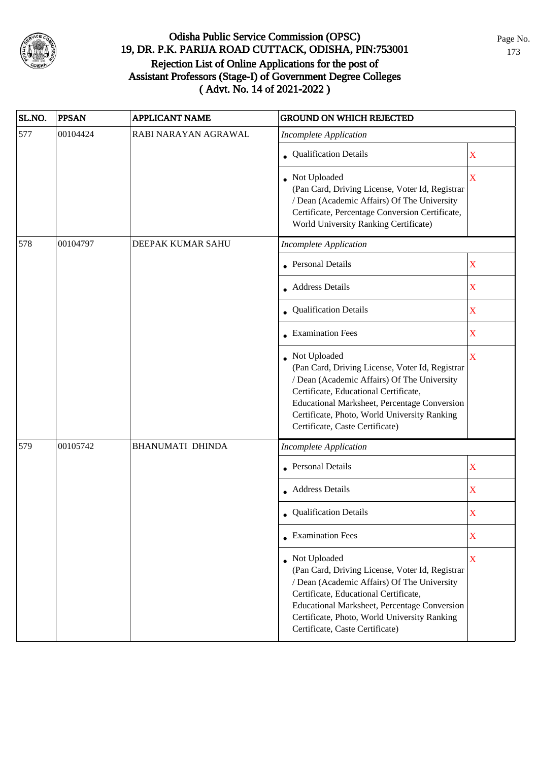

| SL.NO. | <b>PPSAN</b> | <b>APPLICANT NAME</b>   | <b>GROUND ON WHICH REJECTED</b>                                                                                                                                                                                                                                                            |             |
|--------|--------------|-------------------------|--------------------------------------------------------------------------------------------------------------------------------------------------------------------------------------------------------------------------------------------------------------------------------------------|-------------|
| 577    | 00104424     | RABI NARAYAN AGRAWAL    | <b>Incomplete Application</b>                                                                                                                                                                                                                                                              |             |
|        |              |                         | • Qualification Details                                                                                                                                                                                                                                                                    | $\mathbf X$ |
|        |              |                         | • Not Uploaded<br>(Pan Card, Driving License, Voter Id, Registrar<br>/ Dean (Academic Affairs) Of The University<br>Certificate, Percentage Conversion Certificate,<br>World University Ranking Certificate)                                                                               | X           |
| 578    | 00104797     | DEEPAK KUMAR SAHU       | <b>Incomplete Application</b>                                                                                                                                                                                                                                                              |             |
|        |              |                         | <b>Personal Details</b>                                                                                                                                                                                                                                                                    | $\mathbf X$ |
|        |              |                         | • Address Details                                                                                                                                                                                                                                                                          | $\mathbf X$ |
|        |              |                         | • Qualification Details                                                                                                                                                                                                                                                                    | $\mathbf X$ |
|        |              |                         | $\bullet$ Examination Fees                                                                                                                                                                                                                                                                 | X           |
|        |              |                         | Not Uploaded<br>(Pan Card, Driving License, Voter Id, Registrar<br>/ Dean (Academic Affairs) Of The University<br>Certificate, Educational Certificate,<br>Educational Marksheet, Percentage Conversion<br>Certificate, Photo, World University Ranking<br>Certificate, Caste Certificate) | X           |
| 579    | 00105742     | <b>BHANUMATI DHINDA</b> | <b>Incomplete Application</b>                                                                                                                                                                                                                                                              |             |
|        |              |                         | <b>Personal Details</b>                                                                                                                                                                                                                                                                    | $\mathbf X$ |
|        |              |                         | • Address Details                                                                                                                                                                                                                                                                          | $\mathbf X$ |
|        |              |                         | • Qualification Details                                                                                                                                                                                                                                                                    | X           |
|        |              |                         | $\bullet$ Examination Fees                                                                                                                                                                                                                                                                 | $\mathbf X$ |
|        |              |                         | Not Uploaded<br>(Pan Card, Driving License, Voter Id, Registrar<br>/ Dean (Academic Affairs) Of The University<br>Certificate, Educational Certificate,<br>Educational Marksheet, Percentage Conversion<br>Certificate, Photo, World University Ranking<br>Certificate, Caste Certificate) | X           |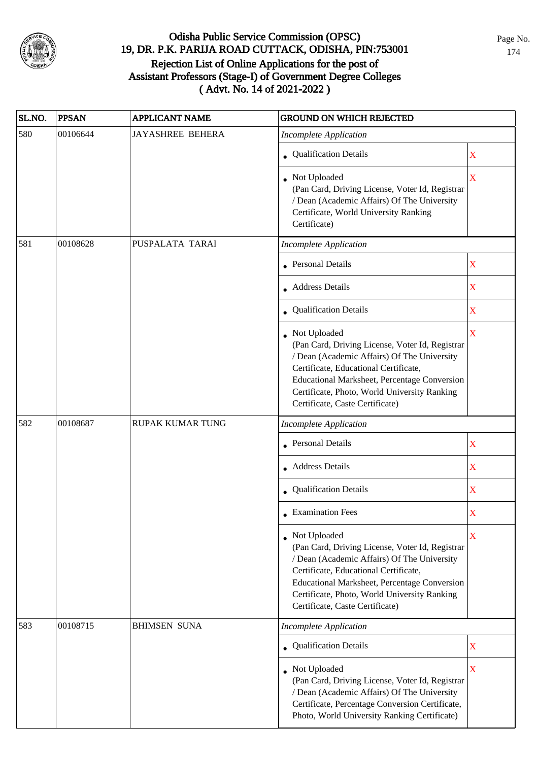

| SL.NO. | <b>PPSAN</b> | <b>APPLICANT NAME</b>   | <b>GROUND ON WHICH REJECTED</b>                                                                                                                                                                                                                                                              |             |
|--------|--------------|-------------------------|----------------------------------------------------------------------------------------------------------------------------------------------------------------------------------------------------------------------------------------------------------------------------------------------|-------------|
| 580    | 00106644     | <b>JAYASHREE BEHERA</b> | <b>Incomplete Application</b>                                                                                                                                                                                                                                                                |             |
|        |              |                         | • Qualification Details                                                                                                                                                                                                                                                                      | $\mathbf X$ |
|        |              |                         | Not Uploaded<br>(Pan Card, Driving License, Voter Id, Registrar<br>/ Dean (Academic Affairs) Of The University<br>Certificate, World University Ranking<br>Certificate)                                                                                                                      | $\mathbf X$ |
| 581    | 00108628     | PUSPALATA TARAI         | <b>Incomplete Application</b>                                                                                                                                                                                                                                                                |             |
|        |              |                         | • Personal Details                                                                                                                                                                                                                                                                           | $\mathbf X$ |
|        |              |                         | Address Details                                                                                                                                                                                                                                                                              | $\mathbf X$ |
|        |              |                         | <b>Qualification Details</b>                                                                                                                                                                                                                                                                 | X           |
|        |              |                         | • Not Uploaded<br>(Pan Card, Driving License, Voter Id, Registrar<br>/ Dean (Academic Affairs) Of The University<br>Certificate, Educational Certificate,<br>Educational Marksheet, Percentage Conversion<br>Certificate, Photo, World University Ranking<br>Certificate, Caste Certificate) | X           |
| 582    | 00108687     | RUPAK KUMAR TUNG        | <b>Incomplete Application</b>                                                                                                                                                                                                                                                                |             |
|        |              |                         | • Personal Details                                                                                                                                                                                                                                                                           | $\mathbf X$ |
|        |              |                         | <b>Address Details</b>                                                                                                                                                                                                                                                                       | X           |
|        |              |                         | • Qualification Details                                                                                                                                                                                                                                                                      | $\mathbf X$ |
|        |              |                         | $\bullet$ Examination Fees                                                                                                                                                                                                                                                                   | X           |
|        |              |                         | • Not Uploaded<br>(Pan Card, Driving License, Voter Id, Registrar<br>/ Dean (Academic Affairs) Of The University<br>Certificate, Educational Certificate,<br>Educational Marksheet, Percentage Conversion<br>Certificate, Photo, World University Ranking<br>Certificate, Caste Certificate) | X           |
| 583    | 00108715     | <b>BHIMSEN SUNA</b>     | <b>Incomplete Application</b>                                                                                                                                                                                                                                                                |             |
|        |              |                         | • Qualification Details                                                                                                                                                                                                                                                                      | $\mathbf X$ |
|        |              |                         | • Not Uploaded<br>(Pan Card, Driving License, Voter Id, Registrar<br>/ Dean (Academic Affairs) Of The University<br>Certificate, Percentage Conversion Certificate,<br>Photo, World University Ranking Certificate)                                                                          | $\mathbf X$ |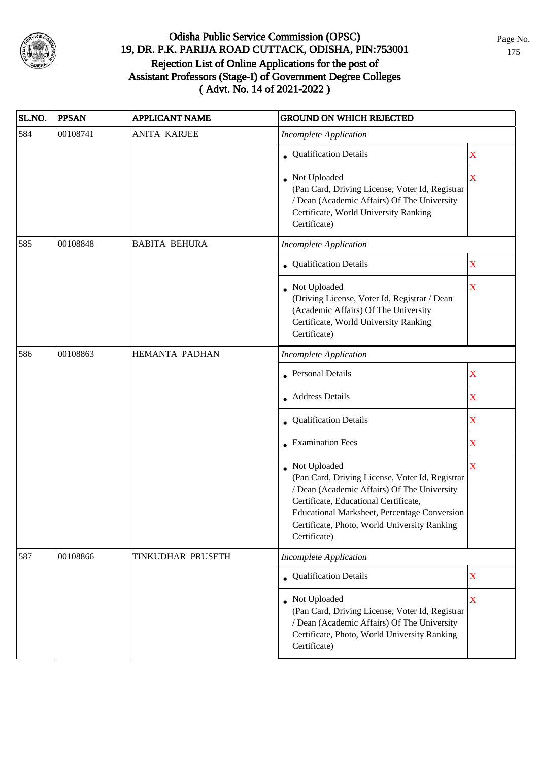

| SL.NO. | <b>PPSAN</b> | <b>APPLICANT NAME</b> | <b>GROUND ON WHICH REJECTED</b>                                                                                                                                                                                                                                         |                         |
|--------|--------------|-----------------------|-------------------------------------------------------------------------------------------------------------------------------------------------------------------------------------------------------------------------------------------------------------------------|-------------------------|
| 584    | 00108741     | <b>ANITA KARJEE</b>   | <b>Incomplete Application</b>                                                                                                                                                                                                                                           |                         |
|        |              |                       | • Qualification Details                                                                                                                                                                                                                                                 | $\mathbf X$             |
|        |              |                       | • Not Uploaded<br>(Pan Card, Driving License, Voter Id, Registrar<br>/ Dean (Academic Affairs) Of The University<br>Certificate, World University Ranking<br>Certificate)                                                                                               | $\overline{\mathbf{X}}$ |
| 585    | 00108848     | <b>BABITA BEHURA</b>  | <b>Incomplete Application</b>                                                                                                                                                                                                                                           |                         |
|        |              |                       | • Qualification Details                                                                                                                                                                                                                                                 | X                       |
|        |              |                       | • Not Uploaded<br>(Driving License, Voter Id, Registrar / Dean<br>(Academic Affairs) Of The University<br>Certificate, World University Ranking<br>Certificate)                                                                                                         | $\mathbf X$             |
| 586    | 00108863     | HEMANTA PADHAN        | <b>Incomplete Application</b>                                                                                                                                                                                                                                           |                         |
|        |              |                       | Personal Details                                                                                                                                                                                                                                                        | $\overline{\mathbf{X}}$ |
|        |              |                       | • Address Details                                                                                                                                                                                                                                                       | X                       |
|        |              |                       | • Qualification Details                                                                                                                                                                                                                                                 | $\mathbf X$             |
|        |              |                       | • Examination Fees                                                                                                                                                                                                                                                      | X                       |
|        |              |                       | Not Uploaded<br>(Pan Card, Driving License, Voter Id, Registrar<br>/ Dean (Academic Affairs) Of The University<br>Certificate, Educational Certificate,<br>Educational Marksheet, Percentage Conversion<br>Certificate, Photo, World University Ranking<br>Certificate) | $\bar{\mathbf{X}}$      |
| 587    | 00108866     | TINKUDHAR PRUSETH     | <b>Incomplete Application</b>                                                                                                                                                                                                                                           |                         |
|        |              |                       | • Qualification Details                                                                                                                                                                                                                                                 | $\mathbf X$             |
|        |              |                       | • Not Uploaded<br>(Pan Card, Driving License, Voter Id, Registrar<br>/ Dean (Academic Affairs) Of The University<br>Certificate, Photo, World University Ranking<br>Certificate)                                                                                        | $\mathbf X$             |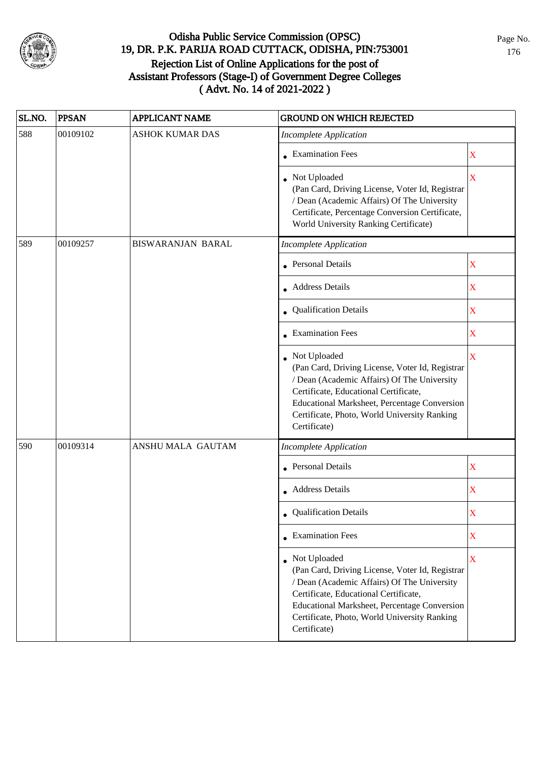

| SL.NO. | <b>PPSAN</b> | <b>APPLICANT NAME</b>    | <b>GROUND ON WHICH REJECTED</b>                                                                                                                                                                                                                                           |             |
|--------|--------------|--------------------------|---------------------------------------------------------------------------------------------------------------------------------------------------------------------------------------------------------------------------------------------------------------------------|-------------|
| 588    | 00109102     | <b>ASHOK KUMAR DAS</b>   | <b>Incomplete Application</b>                                                                                                                                                                                                                                             |             |
|        |              |                          | • Examination Fees                                                                                                                                                                                                                                                        | X           |
|        |              |                          | • Not Uploaded<br>(Pan Card, Driving License, Voter Id, Registrar<br>/ Dean (Academic Affairs) Of The University<br>Certificate, Percentage Conversion Certificate,<br>World University Ranking Certificate)                                                              | $\mathbf X$ |
| 589    | 00109257     | <b>BISWARANJAN BARAL</b> | <b>Incomplete Application</b>                                                                                                                                                                                                                                             |             |
|        |              |                          | • Personal Details                                                                                                                                                                                                                                                        | $\mathbf X$ |
|        |              |                          | • Address Details                                                                                                                                                                                                                                                         | X           |
|        |              |                          | Qualification Details                                                                                                                                                                                                                                                     | $\mathbf X$ |
|        |              |                          | • Examination Fees                                                                                                                                                                                                                                                        | $\mathbf X$ |
|        |              |                          | Not Uploaded<br>(Pan Card, Driving License, Voter Id, Registrar<br>/ Dean (Academic Affairs) Of The University<br>Certificate, Educational Certificate,<br>Educational Marksheet, Percentage Conversion<br>Certificate, Photo, World University Ranking<br>Certificate)   | X           |
| 590    | 00109314     | ANSHU MALA GAUTAM        | <b>Incomplete Application</b>                                                                                                                                                                                                                                             |             |
|        |              |                          | • Personal Details                                                                                                                                                                                                                                                        | $\mathbf X$ |
|        |              |                          | • Address Details                                                                                                                                                                                                                                                         | $\mathbf X$ |
|        |              |                          | • Qualification Details                                                                                                                                                                                                                                                   | X           |
|        |              |                          | $\bullet$ Examination Fees                                                                                                                                                                                                                                                | X           |
|        |              |                          | • Not Uploaded<br>(Pan Card, Driving License, Voter Id, Registrar<br>/ Dean (Academic Affairs) Of The University<br>Certificate, Educational Certificate,<br>Educational Marksheet, Percentage Conversion<br>Certificate, Photo, World University Ranking<br>Certificate) | $\mathbf X$ |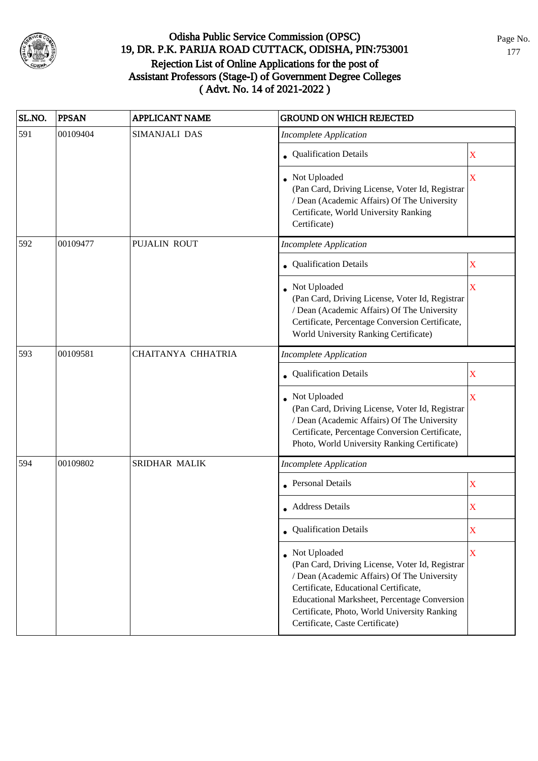

| SL.NO. | <b>PPSAN</b> | <b>APPLICANT NAME</b> | <b>GROUND ON WHICH REJECTED</b>                                                                                                                                                                                                                                                              |                         |
|--------|--------------|-----------------------|----------------------------------------------------------------------------------------------------------------------------------------------------------------------------------------------------------------------------------------------------------------------------------------------|-------------------------|
| 591    | 00109404     | SIMANJALI DAS         | <b>Incomplete Application</b>                                                                                                                                                                                                                                                                |                         |
|        |              |                       | • Qualification Details                                                                                                                                                                                                                                                                      | $\mathbf X$             |
|        |              |                       | • Not Uploaded<br>(Pan Card, Driving License, Voter Id, Registrar<br>/ Dean (Academic Affairs) Of The University<br>Certificate, World University Ranking<br>Certificate)                                                                                                                    | $\overline{\mathbf{X}}$ |
| 592    | 00109477     | PUJALIN ROUT          | <b>Incomplete Application</b>                                                                                                                                                                                                                                                                |                         |
|        |              |                       | • Qualification Details                                                                                                                                                                                                                                                                      | $\overline{\text{X}}$   |
|        |              |                       | • Not Uploaded<br>(Pan Card, Driving License, Voter Id, Registrar<br>/ Dean (Academic Affairs) Of The University<br>Certificate, Percentage Conversion Certificate,<br>World University Ranking Certificate)                                                                                 | $\overline{\text{X}}$   |
| 593    | 00109581     | CHAITANYA CHHATRIA    | <b>Incomplete Application</b>                                                                                                                                                                                                                                                                |                         |
|        |              |                       | • Qualification Details                                                                                                                                                                                                                                                                      | $\mathbf X$             |
|        |              |                       | Not Uploaded<br>(Pan Card, Driving License, Voter Id, Registrar<br>/ Dean (Academic Affairs) Of The University<br>Certificate, Percentage Conversion Certificate,<br>Photo, World University Ranking Certificate)                                                                            | $\overline{\mathbf{X}}$ |
| 594    | 00109802     | <b>SRIDHAR MALIK</b>  | <b>Incomplete Application</b>                                                                                                                                                                                                                                                                |                         |
|        |              |                       | <b>Personal Details</b>                                                                                                                                                                                                                                                                      | $\mathbf X$             |
|        |              |                       | • Address Details                                                                                                                                                                                                                                                                            | $\overline{\text{X}}$   |
|        |              |                       | • Qualification Details                                                                                                                                                                                                                                                                      | X                       |
|        |              |                       | • Not Uploaded<br>(Pan Card, Driving License, Voter Id, Registrar<br>/ Dean (Academic Affairs) Of The University<br>Certificate, Educational Certificate,<br>Educational Marksheet, Percentage Conversion<br>Certificate, Photo, World University Ranking<br>Certificate, Caste Certificate) | $\bar{X}$               |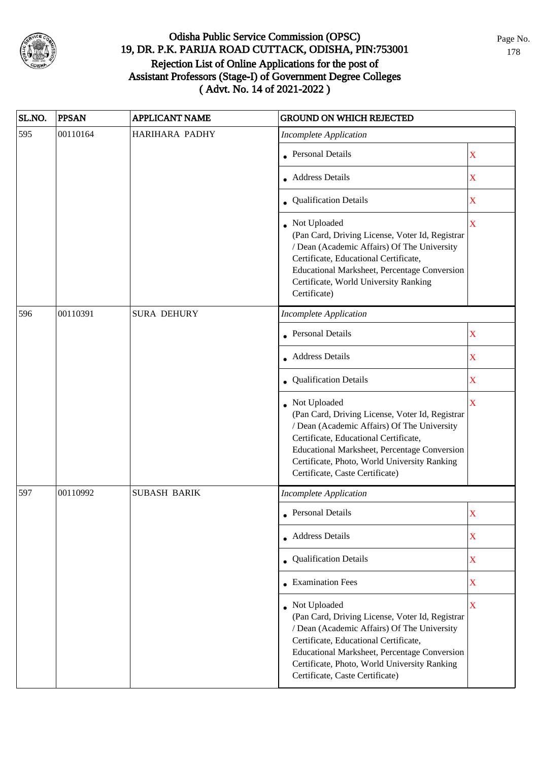

| SL.NO. | <b>PPSAN</b> | <b>APPLICANT NAME</b> | <b>GROUND ON WHICH REJECTED</b>                                                                                                                                                                                                                                                              |                         |
|--------|--------------|-----------------------|----------------------------------------------------------------------------------------------------------------------------------------------------------------------------------------------------------------------------------------------------------------------------------------------|-------------------------|
| 595    | 00110164     | HARIHARA PADHY        | <b>Incomplete Application</b>                                                                                                                                                                                                                                                                |                         |
|        |              |                       | • Personal Details                                                                                                                                                                                                                                                                           | $\mathbf X$             |
|        |              |                       | • Address Details                                                                                                                                                                                                                                                                            | $\mathbf X$             |
|        |              |                       | • Qualification Details                                                                                                                                                                                                                                                                      | X                       |
|        |              |                       | • Not Uploaded<br>(Pan Card, Driving License, Voter Id, Registrar<br>/ Dean (Academic Affairs) Of The University<br>Certificate, Educational Certificate,<br>Educational Marksheet, Percentage Conversion<br>Certificate, World University Ranking<br>Certificate)                           | $\overline{\mathbf{X}}$ |
| 596    | 00110391     | <b>SURA DEHURY</b>    | <b>Incomplete Application</b>                                                                                                                                                                                                                                                                |                         |
|        |              |                       | • Personal Details                                                                                                                                                                                                                                                                           | $\mathbf X$             |
|        |              |                       | • Address Details                                                                                                                                                                                                                                                                            | X                       |
|        |              |                       | Qualification Details                                                                                                                                                                                                                                                                        | X                       |
|        |              |                       | Not Uploaded<br>(Pan Card, Driving License, Voter Id, Registrar<br>/ Dean (Academic Affairs) Of The University<br>Certificate, Educational Certificate,<br>Educational Marksheet, Percentage Conversion<br>Certificate, Photo, World University Ranking<br>Certificate, Caste Certificate)   | $\overline{\mathbf{X}}$ |
| 597    | 00110992     | <b>SUBASH BARIK</b>   | <b>Incomplete Application</b>                                                                                                                                                                                                                                                                |                         |
|        |              |                       | • Personal Details                                                                                                                                                                                                                                                                           | $\mathbf X$             |
|        |              |                       | • Address Details                                                                                                                                                                                                                                                                            | X                       |
|        |              |                       | • Qualification Details                                                                                                                                                                                                                                                                      | $\mathbf X$             |
|        |              |                       | $\bullet$ Examination Fees                                                                                                                                                                                                                                                                   | $\mathbf X$             |
|        |              |                       | • Not Uploaded<br>(Pan Card, Driving License, Voter Id, Registrar<br>/ Dean (Academic Affairs) Of The University<br>Certificate, Educational Certificate,<br>Educational Marksheet, Percentage Conversion<br>Certificate, Photo, World University Ranking<br>Certificate, Caste Certificate) | $\overline{\mathbf{X}}$ |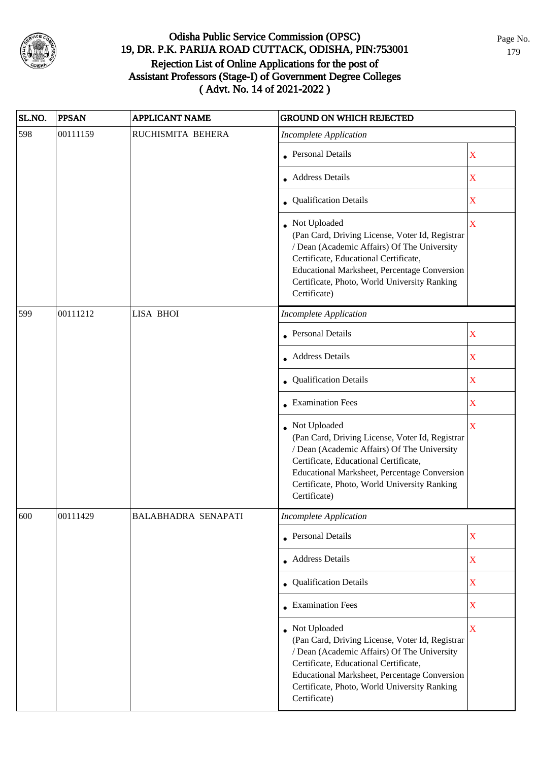

| SL.NO. | <b>PPSAN</b> | <b>APPLICANT NAME</b>      | <b>GROUND ON WHICH REJECTED</b>                                                                                                                                                                                                                                           |                         |
|--------|--------------|----------------------------|---------------------------------------------------------------------------------------------------------------------------------------------------------------------------------------------------------------------------------------------------------------------------|-------------------------|
| 598    | 00111159     | RUCHISMITA BEHERA          | <b>Incomplete Application</b>                                                                                                                                                                                                                                             |                         |
|        |              |                            | • Personal Details                                                                                                                                                                                                                                                        | $\mathbf X$             |
|        |              |                            | • Address Details                                                                                                                                                                                                                                                         | $\mathbf X$             |
|        |              |                            | • Qualification Details                                                                                                                                                                                                                                                   | $\overline{\text{X}}$   |
|        |              |                            | • Not Uploaded<br>(Pan Card, Driving License, Voter Id, Registrar<br>/ Dean (Academic Affairs) Of The University<br>Certificate, Educational Certificate,<br>Educational Marksheet, Percentage Conversion<br>Certificate, Photo, World University Ranking<br>Certificate) | $\overline{\mathbf{X}}$ |
| 599    | 00111212     | <b>LISA BHOI</b>           | <b>Incomplete Application</b>                                                                                                                                                                                                                                             |                         |
|        |              |                            | <b>Personal Details</b>                                                                                                                                                                                                                                                   | $\overline{\text{X}}$   |
|        |              |                            | Address Details                                                                                                                                                                                                                                                           | X                       |
|        |              |                            | Qualification Details                                                                                                                                                                                                                                                     | $\overline{\text{X}}$   |
|        |              |                            | • Examination Fees                                                                                                                                                                                                                                                        | X                       |
|        |              |                            | Not Uploaded<br>(Pan Card, Driving License, Voter Id, Registrar<br>/ Dean (Academic Affairs) Of The University<br>Certificate, Educational Certificate,<br>Educational Marksheet, Percentage Conversion<br>Certificate, Photo, World University Ranking<br>Certificate)   | $\bar{\text{X}}$        |
| 600    | 00111429     | <b>BALABHADRA SENAPATI</b> | Incomplete Application                                                                                                                                                                                                                                                    |                         |
|        |              |                            | • Personal Details                                                                                                                                                                                                                                                        | $\overline{\text{X}}$   |
|        |              |                            | • Address Details                                                                                                                                                                                                                                                         | $\mathbf X$             |
|        |              |                            | • Qualification Details                                                                                                                                                                                                                                                   | X                       |
|        |              |                            | • Examination Fees                                                                                                                                                                                                                                                        | $\mathbf X$             |
|        |              |                            | • Not Uploaded<br>(Pan Card, Driving License, Voter Id, Registrar<br>/ Dean (Academic Affairs) Of The University<br>Certificate, Educational Certificate,<br>Educational Marksheet, Percentage Conversion<br>Certificate, Photo, World University Ranking<br>Certificate) | $\overline{\text{X}}$   |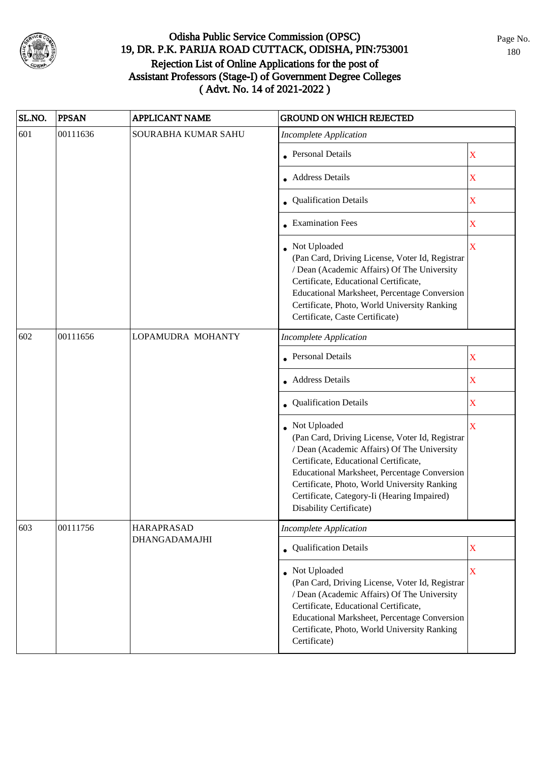

| SL.NO. | <b>PPSAN</b> | <b>APPLICANT NAME</b> | <b>GROUND ON WHICH REJECTED</b>                                                                                                                                                                                                                                                                                                          |                         |
|--------|--------------|-----------------------|------------------------------------------------------------------------------------------------------------------------------------------------------------------------------------------------------------------------------------------------------------------------------------------------------------------------------------------|-------------------------|
| 601    | 00111636     | SOURABHA KUMAR SAHU   | <b>Incomplete Application</b>                                                                                                                                                                                                                                                                                                            |                         |
|        |              |                       | • Personal Details                                                                                                                                                                                                                                                                                                                       | $\mathbf X$             |
|        |              |                       | • Address Details                                                                                                                                                                                                                                                                                                                        | $\mathbf X$             |
|        |              |                       | • Qualification Details                                                                                                                                                                                                                                                                                                                  | $\mathbf X$             |
|        |              |                       | $\bullet$ Examination Fees                                                                                                                                                                                                                                                                                                               | X                       |
|        |              |                       | Not Uploaded<br>(Pan Card, Driving License, Voter Id, Registrar<br>/ Dean (Academic Affairs) Of The University<br>Certificate, Educational Certificate,<br>Educational Marksheet, Percentage Conversion<br>Certificate, Photo, World University Ranking<br>Certificate, Caste Certificate)                                               | $\overline{\mathbf{X}}$ |
| 602    | 00111656     | LOPAMUDRA MOHANTY     | <b>Incomplete Application</b>                                                                                                                                                                                                                                                                                                            |                         |
|        |              |                       | Personal Details                                                                                                                                                                                                                                                                                                                         | X                       |
|        |              |                       | <b>Address Details</b>                                                                                                                                                                                                                                                                                                                   | $\mathbf X$             |
|        |              |                       | • Qualification Details                                                                                                                                                                                                                                                                                                                  | X                       |
|        |              |                       | Not Uploaded<br>(Pan Card, Driving License, Voter Id, Registrar<br>/ Dean (Academic Affairs) Of The University<br>Certificate, Educational Certificate,<br><b>Educational Marksheet, Percentage Conversion</b><br>Certificate, Photo, World University Ranking<br>Certificate, Category-Ii (Hearing Impaired)<br>Disability Certificate) | $\mathbf X$             |
| 603    | 00111756     | <b>HARAPRASAD</b>     | Incomplete Application                                                                                                                                                                                                                                                                                                                   |                         |
|        |              | <b>DHANGADAMAJHI</b>  | • Qualification Details                                                                                                                                                                                                                                                                                                                  | $\mathbf X$             |
|        |              |                       | Not Uploaded<br>(Pan Card, Driving License, Voter Id, Registrar<br>/ Dean (Academic Affairs) Of The University<br>Certificate, Educational Certificate,<br>Educational Marksheet, Percentage Conversion<br>Certificate, Photo, World University Ranking<br>Certificate)                                                                  | $\mathbf X$             |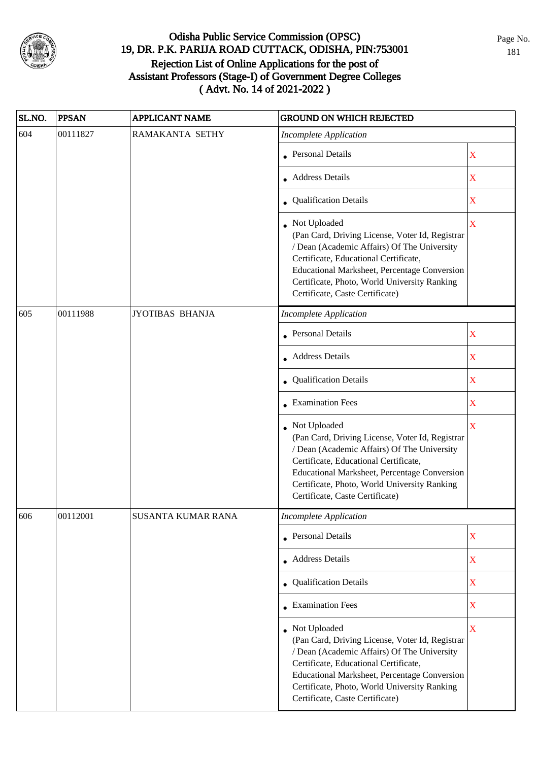

| SL.NO. | <b>PPSAN</b> | <b>APPLICANT NAME</b> | <b>GROUND ON WHICH REJECTED</b>                                                                                                                                                                                                                                                              |                         |
|--------|--------------|-----------------------|----------------------------------------------------------------------------------------------------------------------------------------------------------------------------------------------------------------------------------------------------------------------------------------------|-------------------------|
| 604    | 00111827     | RAMAKANTA SETHY       | <b>Incomplete Application</b>                                                                                                                                                                                                                                                                |                         |
|        |              |                       | • Personal Details                                                                                                                                                                                                                                                                           | X                       |
|        |              |                       | • Address Details                                                                                                                                                                                                                                                                            | X                       |
|        |              |                       | • Qualification Details                                                                                                                                                                                                                                                                      | X                       |
|        |              |                       | • Not Uploaded<br>(Pan Card, Driving License, Voter Id, Registrar<br>/ Dean (Academic Affairs) Of The University<br>Certificate, Educational Certificate,<br>Educational Marksheet, Percentage Conversion<br>Certificate, Photo, World University Ranking<br>Certificate, Caste Certificate) | $\overline{\mathbf{X}}$ |
| 605    | 00111988     | JYOTIBAS BHANJA       | <b>Incomplete Application</b>                                                                                                                                                                                                                                                                |                         |
|        |              |                       | • Personal Details                                                                                                                                                                                                                                                                           | $\mathbf X$             |
|        |              |                       | <b>Address Details</b>                                                                                                                                                                                                                                                                       | $\mathbf X$             |
|        |              |                       | Qualification Details                                                                                                                                                                                                                                                                        | $\mathbf X$             |
|        |              |                       | • Examination Fees                                                                                                                                                                                                                                                                           | $\mathbf X$             |
|        |              |                       | Not Uploaded<br>(Pan Card, Driving License, Voter Id, Registrar<br>/ Dean (Academic Affairs) Of The University<br>Certificate, Educational Certificate,<br>Educational Marksheet, Percentage Conversion<br>Certificate, Photo, World University Ranking<br>Certificate, Caste Certificate)   | $\overline{\mathbf{X}}$ |
| 606    | 00112001     | SUSANTA KUMAR RANA    | Incomplete Application                                                                                                                                                                                                                                                                       |                         |
|        |              |                       | • Personal Details                                                                                                                                                                                                                                                                           | $\mathbf X$             |
|        |              |                       | • Address Details                                                                                                                                                                                                                                                                            | $\mathbf X$             |
|        |              |                       | • Qualification Details                                                                                                                                                                                                                                                                      | $\mathbf X$             |
|        |              |                       | $\bullet$ Examination Fees                                                                                                                                                                                                                                                                   | $\overline{\textbf{X}}$ |
|        |              |                       | • Not Uploaded<br>(Pan Card, Driving License, Voter Id, Registrar<br>/ Dean (Academic Affairs) Of The University<br>Certificate, Educational Certificate,<br>Educational Marksheet, Percentage Conversion<br>Certificate, Photo, World University Ranking<br>Certificate, Caste Certificate) | $\bar{X}$               |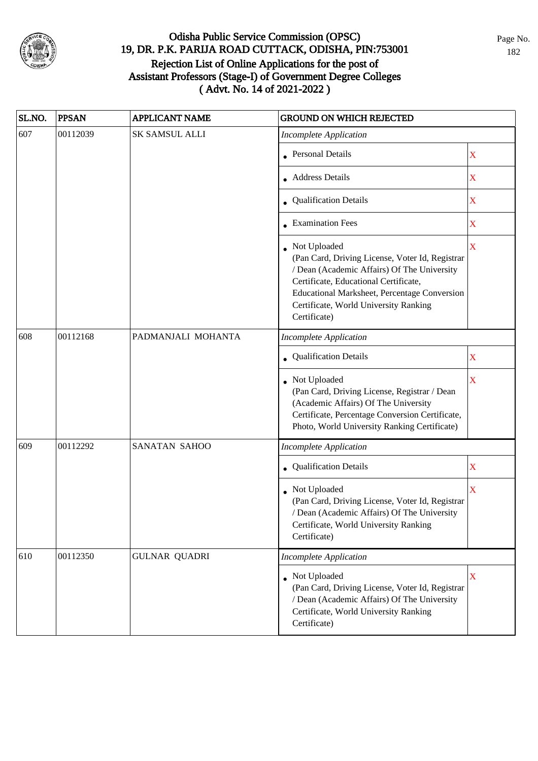

| SL.NO. | <b>PPSAN</b> | <b>APPLICANT NAME</b> | <b>GROUND ON WHICH REJECTED</b>                                                                                                                                                                                                                                    |                         |
|--------|--------------|-----------------------|--------------------------------------------------------------------------------------------------------------------------------------------------------------------------------------------------------------------------------------------------------------------|-------------------------|
| 607    | 00112039     | SK SAMSUL ALLI        | <b>Incomplete Application</b>                                                                                                                                                                                                                                      |                         |
|        |              |                       | <b>Personal Details</b>                                                                                                                                                                                                                                            | X                       |
|        |              |                       | <b>Address Details</b>                                                                                                                                                                                                                                             | X                       |
|        |              |                       | • Qualification Details                                                                                                                                                                                                                                            | $\mathbf X$             |
|        |              |                       | • Examination Fees                                                                                                                                                                                                                                                 | $\mathbf X$             |
|        |              |                       | • Not Uploaded<br>(Pan Card, Driving License, Voter Id, Registrar<br>/ Dean (Academic Affairs) Of The University<br>Certificate, Educational Certificate,<br>Educational Marksheet, Percentage Conversion<br>Certificate, World University Ranking<br>Certificate) | $\overline{\mathbf{X}}$ |
| 608    | 00112168     | PADMANJALI MOHANTA    | <b>Incomplete Application</b>                                                                                                                                                                                                                                      |                         |
|        |              |                       | Qualification Details                                                                                                                                                                                                                                              | X                       |
|        |              |                       | Not Uploaded<br>(Pan Card, Driving License, Registrar / Dean<br>(Academic Affairs) Of The University<br>Certificate, Percentage Conversion Certificate,<br>Photo, World University Ranking Certificate)                                                            | $\overline{\mathbf{X}}$ |
| 609    | 00112292     | SANATAN SAHOO         | <b>Incomplete Application</b>                                                                                                                                                                                                                                      |                         |
|        |              |                       | • Qualification Details                                                                                                                                                                                                                                            | $\mathbf X$             |
|        |              |                       | Not Uploaded<br>(Pan Card, Driving License, Voter Id, Registrar<br>/ Dean (Academic Affairs) Of The University<br>Certificate, World University Ranking<br>Certificate)                                                                                            | $\overline{\mathbf{X}}$ |
| 610    | 00112350     | <b>GULNAR QUADRI</b>  | <b>Incomplete Application</b>                                                                                                                                                                                                                                      |                         |
|        |              |                       | Not Uploaded<br>(Pan Card, Driving License, Voter Id, Registrar<br>/ Dean (Academic Affairs) Of The University<br>Certificate, World University Ranking<br>Certificate)                                                                                            | $\mathbf X$             |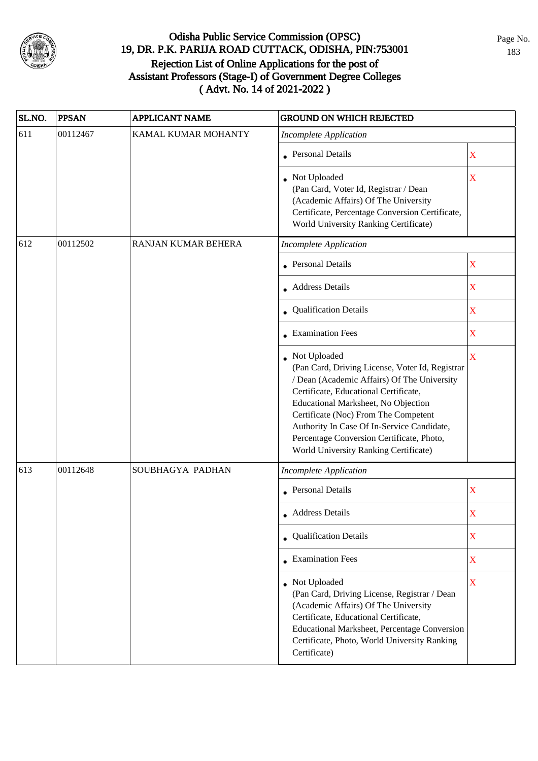

| SL.NO. | <b>PPSAN</b> | <b>APPLICANT NAME</b> | <b>GROUND ON WHICH REJECTED</b>                                                                                                                                                                                                                                                                                                                                            |                         |
|--------|--------------|-----------------------|----------------------------------------------------------------------------------------------------------------------------------------------------------------------------------------------------------------------------------------------------------------------------------------------------------------------------------------------------------------------------|-------------------------|
| 611    | 00112467     | KAMAL KUMAR MOHANTY   | <b>Incomplete Application</b>                                                                                                                                                                                                                                                                                                                                              |                         |
|        |              |                       | <b>Personal Details</b>                                                                                                                                                                                                                                                                                                                                                    | $\overline{\mathbf{X}}$ |
|        |              |                       | Not Uploaded<br>(Pan Card, Voter Id, Registrar / Dean<br>(Academic Affairs) Of The University<br>Certificate, Percentage Conversion Certificate,<br>World University Ranking Certificate)                                                                                                                                                                                  | X                       |
| 612    | 00112502     | RANJAN KUMAR BEHERA   | <b>Incomplete Application</b>                                                                                                                                                                                                                                                                                                                                              |                         |
|        |              |                       | <b>Personal Details</b>                                                                                                                                                                                                                                                                                                                                                    | X                       |
|        |              |                       | <b>Address Details</b>                                                                                                                                                                                                                                                                                                                                                     | $\overline{\text{X}}$   |
|        |              |                       | • Qualification Details                                                                                                                                                                                                                                                                                                                                                    | $\mathbf X$             |
|        |              |                       | <b>Examination Fees</b>                                                                                                                                                                                                                                                                                                                                                    | $\bar{\mathbf{X}}$      |
|        |              |                       | Not Uploaded<br>(Pan Card, Driving License, Voter Id, Registrar<br>/ Dean (Academic Affairs) Of The University<br>Certificate, Educational Certificate,<br>Educational Marksheet, No Objection<br>Certificate (Noc) From The Competent<br>Authority In Case Of In-Service Candidate,<br>Percentage Conversion Certificate, Photo,<br>World University Ranking Certificate) | $\overline{\mathbf{X}}$ |
| 613    | 00112648     | SOUBHAGYA PADHAN      | <b>Incomplete Application</b>                                                                                                                                                                                                                                                                                                                                              |                         |
|        |              |                       | • Personal Details                                                                                                                                                                                                                                                                                                                                                         | $\overline{\text{X}}$   |
|        |              |                       | • Address Details                                                                                                                                                                                                                                                                                                                                                          | X                       |
|        |              |                       | • Qualification Details                                                                                                                                                                                                                                                                                                                                                    | X                       |
|        |              |                       | • Examination Fees                                                                                                                                                                                                                                                                                                                                                         | $\mathbf X$             |
|        |              |                       | • Not Uploaded<br>(Pan Card, Driving License, Registrar / Dean<br>(Academic Affairs) Of The University<br>Certificate, Educational Certificate,<br>Educational Marksheet, Percentage Conversion<br>Certificate, Photo, World University Ranking<br>Certificate)                                                                                                            | $\bar{X}$               |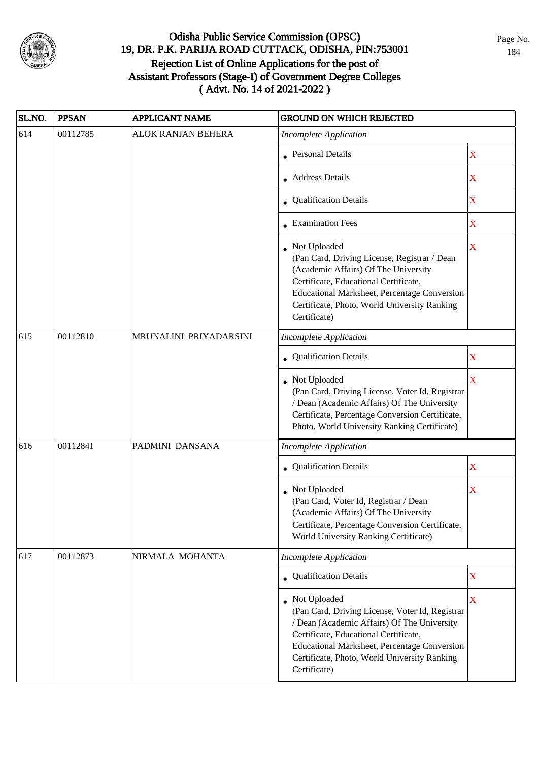

| SL.NO. | <b>PPSAN</b> | <b>APPLICANT NAME</b>  | <b>GROUND ON WHICH REJECTED</b>                                                                                                                                                                                                                                         |                         |
|--------|--------------|------------------------|-------------------------------------------------------------------------------------------------------------------------------------------------------------------------------------------------------------------------------------------------------------------------|-------------------------|
| 614    | 00112785     | ALOK RANJAN BEHERA     | <b>Incomplete Application</b>                                                                                                                                                                                                                                           |                         |
|        |              |                        | • Personal Details                                                                                                                                                                                                                                                      | $\mathbf X$             |
|        |              |                        | • Address Details                                                                                                                                                                                                                                                       | $\overline{\mathbf{X}}$ |
|        |              |                        | • Qualification Details                                                                                                                                                                                                                                                 | $\overline{\text{X}}$   |
|        |              |                        | $\bullet$ Examination Fees                                                                                                                                                                                                                                              | $\overline{\text{X}}$   |
|        |              |                        | Not Uploaded<br>(Pan Card, Driving License, Registrar / Dean<br>(Academic Affairs) Of The University<br>Certificate, Educational Certificate,<br>Educational Marksheet, Percentage Conversion<br>Certificate, Photo, World University Ranking<br>Certificate)           | $\overline{\text{X}}$   |
| 615    | 00112810     | MRUNALINI PRIYADARSINI | <b>Incomplete Application</b>                                                                                                                                                                                                                                           |                         |
|        |              |                        | Qualification Details                                                                                                                                                                                                                                                   | $\mathbf X$             |
|        |              |                        | Not Uploaded<br>(Pan Card, Driving License, Voter Id, Registrar<br>/ Dean (Academic Affairs) Of The University<br>Certificate, Percentage Conversion Certificate,<br>Photo, World University Ranking Certificate)                                                       | $\bar{\mathbf{X}}$      |
| 616    | 00112841     | PADMINI DANSANA        | <b>Incomplete Application</b>                                                                                                                                                                                                                                           |                         |
|        |              |                        | <b>Qualification Details</b>                                                                                                                                                                                                                                            | $\mathbf X$             |
|        |              |                        | Not Uploaded<br>(Pan Card, Voter Id, Registrar / Dean<br>(Academic Affairs) Of The University<br>Certificate, Percentage Conversion Certificate,<br>World University Ranking Certificate)                                                                               | $\overline{\text{X}}$   |
| 617    | 00112873     | NIRMALA MOHANTA        | <b>Incomplete Application</b>                                                                                                                                                                                                                                           |                         |
|        |              |                        | • Qualification Details                                                                                                                                                                                                                                                 | $\overline{\text{X}}$   |
|        |              |                        | Not Uploaded<br>(Pan Card, Driving License, Voter Id, Registrar<br>/ Dean (Academic Affairs) Of The University<br>Certificate, Educational Certificate,<br>Educational Marksheet, Percentage Conversion<br>Certificate, Photo, World University Ranking<br>Certificate) | $\overline{\mathbf{X}}$ |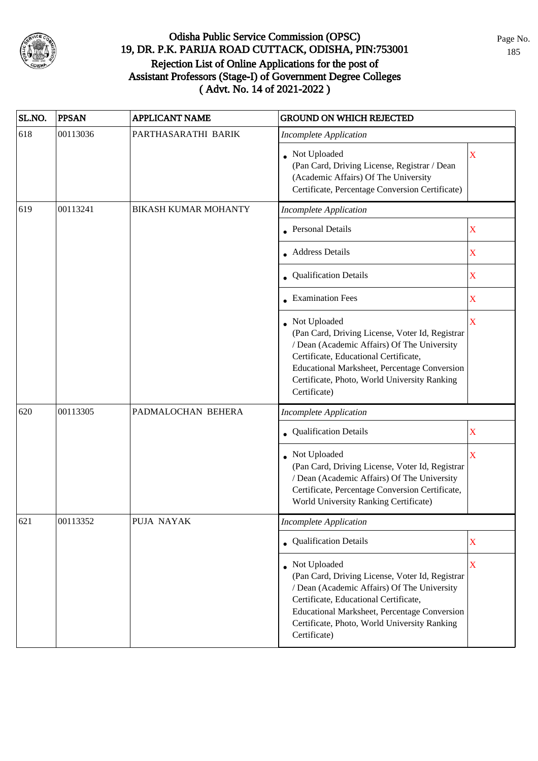

| SL.NO. | <b>PPSAN</b> | <b>APPLICANT NAME</b>       | <b>GROUND ON WHICH REJECTED</b>                                                                                                                                                                                                                                           |                         |
|--------|--------------|-----------------------------|---------------------------------------------------------------------------------------------------------------------------------------------------------------------------------------------------------------------------------------------------------------------------|-------------------------|
| 618    | 00113036     | PARTHASARATHI BARIK         | <b>Incomplete Application</b>                                                                                                                                                                                                                                             |                         |
|        |              |                             | • Not Uploaded<br>(Pan Card, Driving License, Registrar / Dean<br>(Academic Affairs) Of The University<br>Certificate, Percentage Conversion Certificate)                                                                                                                 | $\mathbf X$             |
| 619    | 00113241     | <b>BIKASH KUMAR MOHANTY</b> | <b>Incomplete Application</b>                                                                                                                                                                                                                                             |                         |
|        |              |                             | <b>Personal Details</b>                                                                                                                                                                                                                                                   | $\mathbf X$             |
|        |              |                             | <b>Address Details</b>                                                                                                                                                                                                                                                    | $\mathbf X$             |
|        |              |                             | • Qualification Details                                                                                                                                                                                                                                                   | $\mathbf X$             |
|        |              |                             | • Examination Fees                                                                                                                                                                                                                                                        | $\mathbf X$             |
|        |              |                             | • Not Uploaded<br>(Pan Card, Driving License, Voter Id, Registrar<br>/ Dean (Academic Affairs) Of The University<br>Certificate, Educational Certificate,<br>Educational Marksheet, Percentage Conversion<br>Certificate, Photo, World University Ranking<br>Certificate) | X                       |
| 620    | 00113305     | PADMALOCHAN BEHERA          | <b>Incomplete Application</b>                                                                                                                                                                                                                                             |                         |
|        |              |                             | • Qualification Details                                                                                                                                                                                                                                                   | X                       |
|        |              |                             | • Not Uploaded<br>(Pan Card, Driving License, Voter Id, Registrar<br>/ Dean (Academic Affairs) Of The University<br>Certificate, Percentage Conversion Certificate,<br>World University Ranking Certificate)                                                              | $\overline{\mathbf{X}}$ |
| 621    | 00113352     | PUJA NAYAK                  | <b>Incomplete Application</b>                                                                                                                                                                                                                                             |                         |
|        |              |                             | • Qualification Details                                                                                                                                                                                                                                                   | $\mathbf X$             |
|        |              |                             | • Not Uploaded<br>(Pan Card, Driving License, Voter Id, Registrar<br>/ Dean (Academic Affairs) Of The University<br>Certificate, Educational Certificate,<br>Educational Marksheet, Percentage Conversion<br>Certificate, Photo, World University Ranking<br>Certificate) | X                       |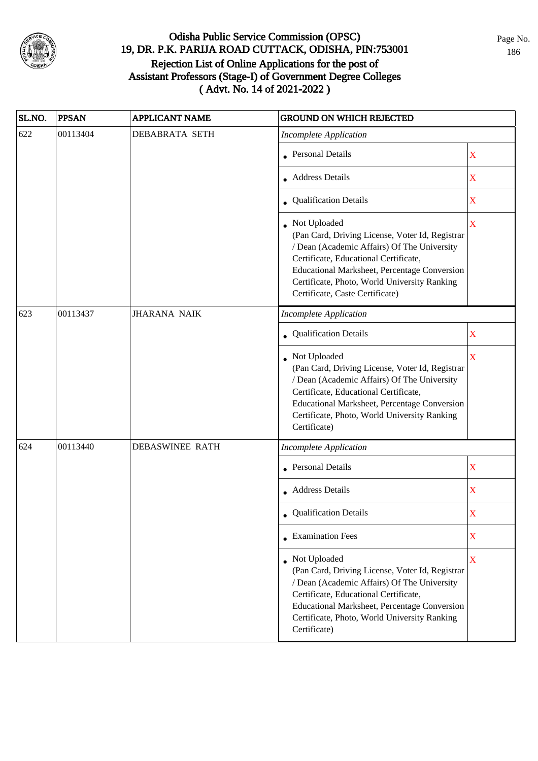

| SL.NO. | <b>PPSAN</b> | <b>APPLICANT NAME</b>  | <b>GROUND ON WHICH REJECTED</b>                                                                                                                                                                                                                                                              |                         |
|--------|--------------|------------------------|----------------------------------------------------------------------------------------------------------------------------------------------------------------------------------------------------------------------------------------------------------------------------------------------|-------------------------|
| 622    | 00113404     | <b>DEBABRATA SETH</b>  | <b>Incomplete Application</b>                                                                                                                                                                                                                                                                |                         |
|        |              |                        | • Personal Details                                                                                                                                                                                                                                                                           | X                       |
|        |              |                        | • Address Details                                                                                                                                                                                                                                                                            | $\mathbf X$             |
|        |              |                        | • Qualification Details                                                                                                                                                                                                                                                                      | $\mathbf X$             |
|        |              |                        | • Not Uploaded<br>(Pan Card, Driving License, Voter Id, Registrar<br>/ Dean (Academic Affairs) Of The University<br>Certificate, Educational Certificate,<br>Educational Marksheet, Percentage Conversion<br>Certificate, Photo, World University Ranking<br>Certificate, Caste Certificate) | X                       |
| 623    | 00113437     | <b>JHARANA NAIK</b>    | <b>Incomplete Application</b>                                                                                                                                                                                                                                                                |                         |
|        |              |                        | Qualification Details                                                                                                                                                                                                                                                                        | X                       |
|        |              |                        | Not Uploaded<br>(Pan Card, Driving License, Voter Id, Registrar<br>/ Dean (Academic Affairs) Of The University<br>Certificate, Educational Certificate,<br>Educational Marksheet, Percentage Conversion<br>Certificate, Photo, World University Ranking<br>Certificate)                      | $\overline{\mathbf{X}}$ |
| 624    | 00113440     | <b>DEBASWINEE RATH</b> | <b>Incomplete Application</b>                                                                                                                                                                                                                                                                |                         |
|        |              |                        | • Personal Details                                                                                                                                                                                                                                                                           | $\mathbf X$             |
|        |              |                        | • Address Details                                                                                                                                                                                                                                                                            | X                       |
|        |              |                        | • Qualification Details                                                                                                                                                                                                                                                                      | X                       |
|        |              |                        | • Examination Fees                                                                                                                                                                                                                                                                           | X                       |
|        |              |                        | • Not Uploaded<br>(Pan Card, Driving License, Voter Id, Registrar<br>/ Dean (Academic Affairs) Of The University<br>Certificate, Educational Certificate,<br><b>Educational Marksheet, Percentage Conversion</b><br>Certificate, Photo, World University Ranking<br>Certificate)             | X                       |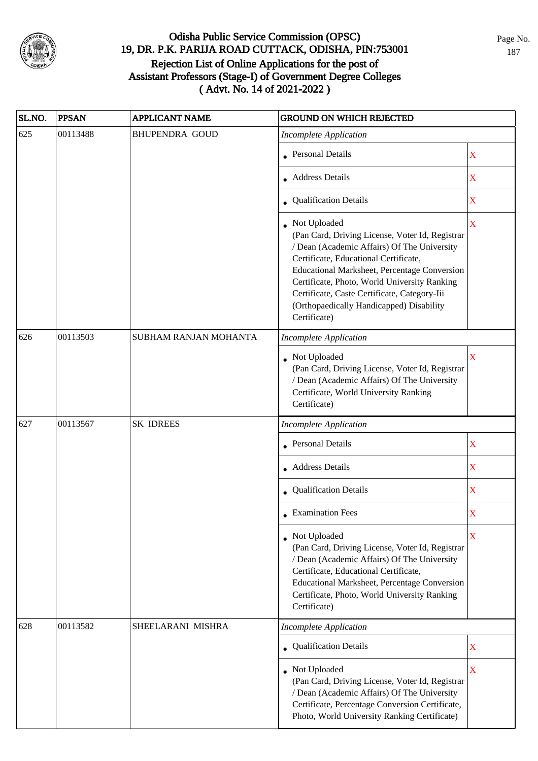

| SL.NO. | <b>PPSAN</b> | <b>APPLICANT NAME</b> | <b>GROUND ON WHICH REJECTED</b>                                                                                                                                                                                                                                                                                                                                     |                         |
|--------|--------------|-----------------------|---------------------------------------------------------------------------------------------------------------------------------------------------------------------------------------------------------------------------------------------------------------------------------------------------------------------------------------------------------------------|-------------------------|
| 625    | 00113488     | <b>BHUPENDRA GOUD</b> | <b>Incomplete Application</b>                                                                                                                                                                                                                                                                                                                                       |                         |
|        |              |                       | • Personal Details                                                                                                                                                                                                                                                                                                                                                  | X                       |
|        |              |                       | Address Details                                                                                                                                                                                                                                                                                                                                                     | $\mathbf X$             |
|        |              |                       | • Qualification Details                                                                                                                                                                                                                                                                                                                                             | $\mathbf X$             |
|        |              |                       | Not Uploaded<br>(Pan Card, Driving License, Voter Id, Registrar<br>/ Dean (Academic Affairs) Of The University<br>Certificate, Educational Certificate,<br>Educational Marksheet, Percentage Conversion<br>Certificate, Photo, World University Ranking<br>Certificate, Caste Certificate, Category-Iii<br>(Orthopaedically Handicapped) Disability<br>Certificate) | X                       |
| 626    | 00113503     | SUBHAM RANJAN MOHANTA | <b>Incomplete Application</b>                                                                                                                                                                                                                                                                                                                                       |                         |
|        |              |                       | Not Uploaded<br>(Pan Card, Driving License, Voter Id, Registrar<br>/ Dean (Academic Affairs) Of The University<br>Certificate, World University Ranking<br>Certificate)                                                                                                                                                                                             | $\overline{\mathbf{X}}$ |
| 627    | 00113567     | <b>SK IDREES</b>      | <b>Incomplete Application</b>                                                                                                                                                                                                                                                                                                                                       |                         |
|        |              |                       | <b>Personal Details</b>                                                                                                                                                                                                                                                                                                                                             | X                       |
|        |              |                       | Address Details                                                                                                                                                                                                                                                                                                                                                     | $\mathbf X$             |
|        |              |                       | • Qualification Details                                                                                                                                                                                                                                                                                                                                             | $\mathbf X$             |
|        |              |                       | $\bullet$ Examination Fees                                                                                                                                                                                                                                                                                                                                          | X                       |
|        |              |                       | • Not Uploaded<br>(Pan Card, Driving License, Voter Id, Registrar<br>/ Dean (Academic Affairs) Of The University<br>Certificate, Educational Certificate,<br>Educational Marksheet, Percentage Conversion<br>Certificate, Photo, World University Ranking<br>Certificate)                                                                                           | X                       |
| 628    | 00113582     | SHEELARANI MISHRA     | <b>Incomplete Application</b>                                                                                                                                                                                                                                                                                                                                       |                         |
|        |              |                       | • Qualification Details                                                                                                                                                                                                                                                                                                                                             | $\mathbf X$             |
|        |              |                       | Not Uploaded<br>(Pan Card, Driving License, Voter Id, Registrar<br>/ Dean (Academic Affairs) Of The University<br>Certificate, Percentage Conversion Certificate,<br>Photo, World University Ranking Certificate)                                                                                                                                                   | $\mathbf X$             |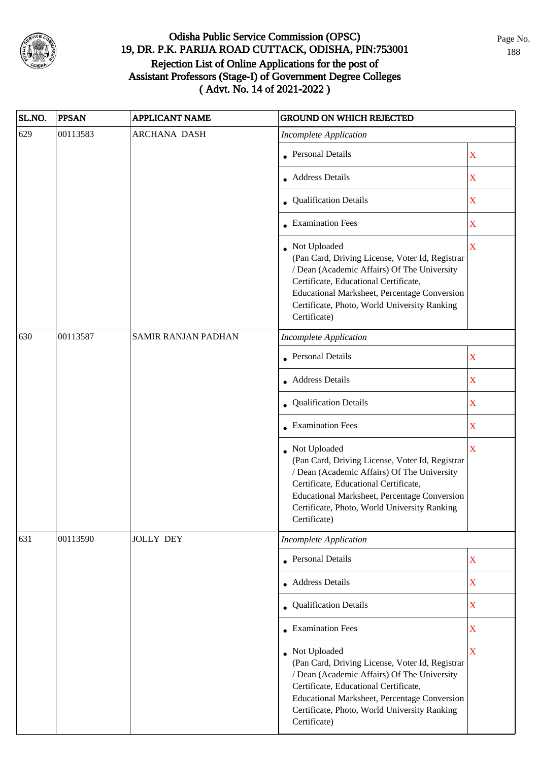

| SL.NO. | <b>PPSAN</b>                                                                                                                                                                                                                                                                                                                                                                                                                                                                                                                                                                                                                                                                                                                                                                                                                | <b>APPLICANT NAME</b> | <b>GROUND ON WHICH REJECTED</b>                                                                                                                                                                                                                                           |                         |
|--------|-----------------------------------------------------------------------------------------------------------------------------------------------------------------------------------------------------------------------------------------------------------------------------------------------------------------------------------------------------------------------------------------------------------------------------------------------------------------------------------------------------------------------------------------------------------------------------------------------------------------------------------------------------------------------------------------------------------------------------------------------------------------------------------------------------------------------------|-----------------------|---------------------------------------------------------------------------------------------------------------------------------------------------------------------------------------------------------------------------------------------------------------------------|-------------------------|
| 629    | 00113583                                                                                                                                                                                                                                                                                                                                                                                                                                                                                                                                                                                                                                                                                                                                                                                                                    | <b>ARCHANA DASH</b>   | <b>Incomplete Application</b>                                                                                                                                                                                                                                             |                         |
|        |                                                                                                                                                                                                                                                                                                                                                                                                                                                                                                                                                                                                                                                                                                                                                                                                                             |                       | • Personal Details                                                                                                                                                                                                                                                        | X                       |
|        |                                                                                                                                                                                                                                                                                                                                                                                                                                                                                                                                                                                                                                                                                                                                                                                                                             |                       | • Address Details                                                                                                                                                                                                                                                         | X                       |
|        |                                                                                                                                                                                                                                                                                                                                                                                                                                                                                                                                                                                                                                                                                                                                                                                                                             |                       | • Qualification Details                                                                                                                                                                                                                                                   | X                       |
|        |                                                                                                                                                                                                                                                                                                                                                                                                                                                                                                                                                                                                                                                                                                                                                                                                                             |                       | • Examination Fees                                                                                                                                                                                                                                                        | X                       |
|        |                                                                                                                                                                                                                                                                                                                                                                                                                                                                                                                                                                                                                                                                                                                                                                                                                             |                       | • Not Uploaded<br>(Pan Card, Driving License, Voter Id, Registrar<br>/ Dean (Academic Affairs) Of The University<br>Certificate, Educational Certificate,<br>Educational Marksheet, Percentage Conversion<br>Certificate, Photo, World University Ranking<br>Certificate) | $\overline{\mathbf{X}}$ |
| 630    | 00113587<br>SAMIR RANJAN PADHAN<br><b>Incomplete Application</b><br><b>Personal Details</b><br>$\mathbf X$<br><b>Address Details</b><br>X<br>Qualification Details<br>X<br>• Examination Fees<br>X<br>$\overline{\mathbf{X}}$<br>Not Uploaded<br>(Pan Card, Driving License, Voter Id, Registrar<br>/ Dean (Academic Affairs) Of The University<br>Certificate, Educational Certificate,<br>Educational Marksheet, Percentage Conversion<br>Certificate, Photo, World University Ranking<br>Certificate)<br>00113590<br><b>JOLLY DEY</b><br><b>Incomplete Application</b><br><b>Personal Details</b><br>$\mathbf X$<br>Address Details<br>X<br><b>Qualification Details</b><br>$\mathbf X$<br>$\bullet$ Examination Fees<br>$\mathbf X$<br>• Not Uploaded<br>$\mathbf X$<br>(Pan Card, Driving License, Voter Id, Registrar |                       |                                                                                                                                                                                                                                                                           |                         |
|        |                                                                                                                                                                                                                                                                                                                                                                                                                                                                                                                                                                                                                                                                                                                                                                                                                             |                       |                                                                                                                                                                                                                                                                           |                         |
|        |                                                                                                                                                                                                                                                                                                                                                                                                                                                                                                                                                                                                                                                                                                                                                                                                                             |                       |                                                                                                                                                                                                                                                                           |                         |
|        |                                                                                                                                                                                                                                                                                                                                                                                                                                                                                                                                                                                                                                                                                                                                                                                                                             |                       |                                                                                                                                                                                                                                                                           |                         |
|        |                                                                                                                                                                                                                                                                                                                                                                                                                                                                                                                                                                                                                                                                                                                                                                                                                             |                       |                                                                                                                                                                                                                                                                           |                         |
|        |                                                                                                                                                                                                                                                                                                                                                                                                                                                                                                                                                                                                                                                                                                                                                                                                                             |                       |                                                                                                                                                                                                                                                                           |                         |
| 631    |                                                                                                                                                                                                                                                                                                                                                                                                                                                                                                                                                                                                                                                                                                                                                                                                                             |                       |                                                                                                                                                                                                                                                                           |                         |
|        |                                                                                                                                                                                                                                                                                                                                                                                                                                                                                                                                                                                                                                                                                                                                                                                                                             |                       |                                                                                                                                                                                                                                                                           |                         |
|        |                                                                                                                                                                                                                                                                                                                                                                                                                                                                                                                                                                                                                                                                                                                                                                                                                             |                       |                                                                                                                                                                                                                                                                           |                         |
|        |                                                                                                                                                                                                                                                                                                                                                                                                                                                                                                                                                                                                                                                                                                                                                                                                                             |                       |                                                                                                                                                                                                                                                                           |                         |
|        |                                                                                                                                                                                                                                                                                                                                                                                                                                                                                                                                                                                                                                                                                                                                                                                                                             |                       |                                                                                                                                                                                                                                                                           |                         |
|        |                                                                                                                                                                                                                                                                                                                                                                                                                                                                                                                                                                                                                                                                                                                                                                                                                             |                       | / Dean (Academic Affairs) Of The University<br>Certificate, Educational Certificate,<br>Educational Marksheet, Percentage Conversion<br>Certificate, Photo, World University Ranking<br>Certificate)                                                                      |                         |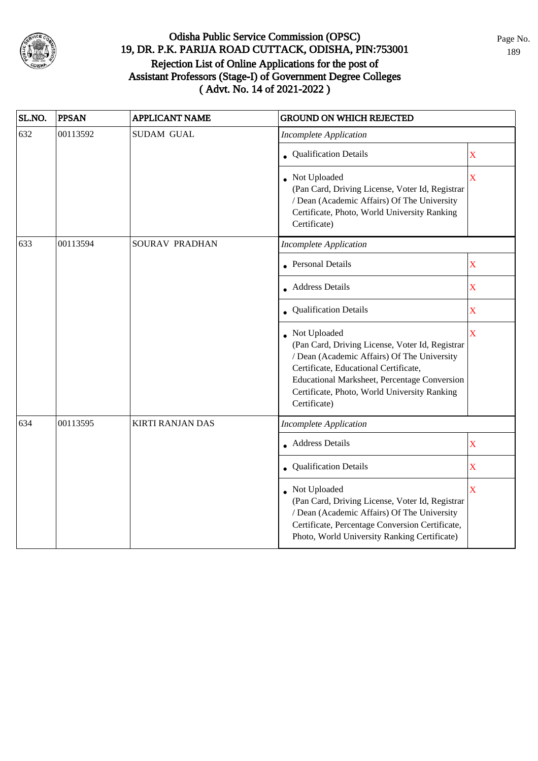

| SL.NO. | <b>PPSAN</b>                                                | <b>APPLICANT NAME</b>   | <b>GROUND ON WHICH REJECTED</b>                                                                                                                                                                                                                                         |                         |
|--------|-------------------------------------------------------------|-------------------------|-------------------------------------------------------------------------------------------------------------------------------------------------------------------------------------------------------------------------------------------------------------------------|-------------------------|
| 632    | 00113592                                                    | <b>SUDAM GUAL</b>       | <b>Incomplete Application</b>                                                                                                                                                                                                                                           |                         |
|        |                                                             |                         | Qualification Details                                                                                                                                                                                                                                                   | $\overline{\text{X}}$   |
|        |                                                             |                         | Not Uploaded<br>(Pan Card, Driving License, Voter Id, Registrar<br>/ Dean (Academic Affairs) Of The University<br>Certificate, Photo, World University Ranking<br>Certificate)                                                                                          | $\bar{\mathbf{X}}$      |
| 633    | 00113594<br>SOURAV PRADHAN<br><b>Incomplete Application</b> |                         |                                                                                                                                                                                                                                                                         |                         |
|        |                                                             |                         | • Personal Details                                                                                                                                                                                                                                                      | $\overline{\text{X}}$   |
|        |                                                             |                         | <b>Address Details</b>                                                                                                                                                                                                                                                  | $\overline{\text{X}}$   |
|        |                                                             |                         | • Qualification Details                                                                                                                                                                                                                                                 | $\overline{\text{X}}$   |
|        |                                                             |                         | Not Uploaded<br>(Pan Card, Driving License, Voter Id, Registrar<br>/ Dean (Academic Affairs) Of The University<br>Certificate, Educational Certificate,<br>Educational Marksheet, Percentage Conversion<br>Certificate, Photo, World University Ranking<br>Certificate) | $\overline{\mathbf{X}}$ |
| 634    | 00113595                                                    | <b>KIRTI RANJAN DAS</b> | <b>Incomplete Application</b>                                                                                                                                                                                                                                           |                         |
|        |                                                             |                         | <b>Address Details</b>                                                                                                                                                                                                                                                  | $\overline{\mathbf{X}}$ |
|        |                                                             |                         | Qualification Details                                                                                                                                                                                                                                                   | $\bar{\mathbf{X}}$      |
|        |                                                             |                         | Not Uploaded<br>(Pan Card, Driving License, Voter Id, Registrar<br>/ Dean (Academic Affairs) Of The University<br>Certificate, Percentage Conversion Certificate,<br>Photo, World University Ranking Certificate)                                                       | $\overline{\mathbf{X}}$ |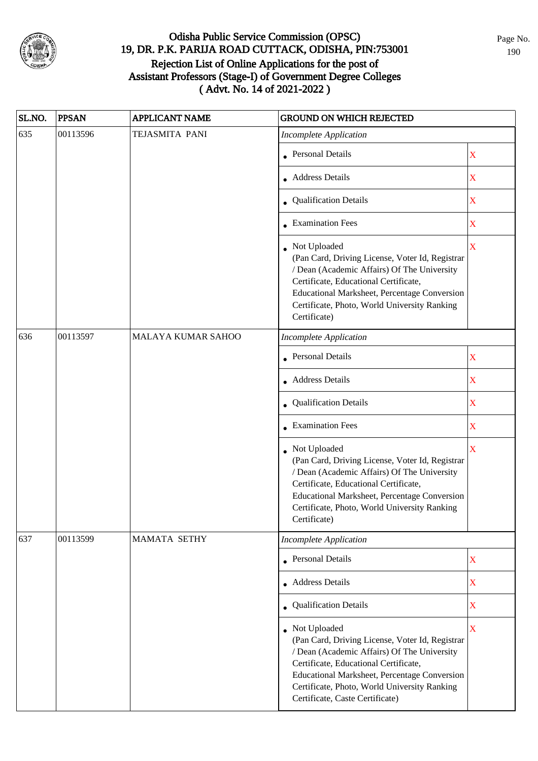

| SL.NO. | <b>PPSAN</b> | <b>APPLICANT NAME</b> | <b>GROUND ON WHICH REJECTED</b>                                                                                                                                                                                                                                                              |                         |  |
|--------|--------------|-----------------------|----------------------------------------------------------------------------------------------------------------------------------------------------------------------------------------------------------------------------------------------------------------------------------------------|-------------------------|--|
| 635    | 00113596     | TEJASMITA PANI        | <b>Incomplete Application</b>                                                                                                                                                                                                                                                                |                         |  |
|        |              |                       | • Personal Details                                                                                                                                                                                                                                                                           | $\mathbf X$             |  |
|        |              |                       | • Address Details                                                                                                                                                                                                                                                                            | X                       |  |
|        |              |                       | • Qualification Details                                                                                                                                                                                                                                                                      | X                       |  |
|        |              |                       | $\bullet$ Examination Fees                                                                                                                                                                                                                                                                   | X                       |  |
|        |              |                       | • Not Uploaded<br>(Pan Card, Driving License, Voter Id, Registrar<br>/ Dean (Academic Affairs) Of The University<br>Certificate, Educational Certificate,<br>Educational Marksheet, Percentage Conversion<br>Certificate, Photo, World University Ranking<br>Certificate)                    | $\overline{\mathbf{X}}$ |  |
| 636    | 00113597     | MALAYA KUMAR SAHOO    | <b>Incomplete Application</b>                                                                                                                                                                                                                                                                |                         |  |
|        |              |                       | <b>Personal Details</b>                                                                                                                                                                                                                                                                      | $\mathbf X$             |  |
|        |              |                       | • Address Details                                                                                                                                                                                                                                                                            | $\mathbf X$             |  |
|        |              |                       | • Qualification Details                                                                                                                                                                                                                                                                      | $\mathbf X$             |  |
|        |              |                       | • Examination Fees                                                                                                                                                                                                                                                                           | $\overline{\textbf{X}}$ |  |
|        |              |                       | • Not Uploaded<br>(Pan Card, Driving License, Voter Id, Registrar<br>/ Dean (Academic Affairs) Of The University<br>Certificate, Educational Certificate,<br>Educational Marksheet, Percentage Conversion<br>Certificate, Photo, World University Ranking<br>Certificate)                    | $\overline{\mathbf{X}}$ |  |
| 637    | 00113599     | <b>MAMATA SETHY</b>   | <b>Incomplete Application</b>                                                                                                                                                                                                                                                                |                         |  |
|        |              |                       | <b>Personal Details</b>                                                                                                                                                                                                                                                                      | $\mathbf X$             |  |
|        |              |                       | • Address Details                                                                                                                                                                                                                                                                            | $\mathbf X$             |  |
|        |              |                       | • Qualification Details                                                                                                                                                                                                                                                                      | $\overline{\textbf{X}}$ |  |
|        |              |                       | • Not Uploaded<br>(Pan Card, Driving License, Voter Id, Registrar<br>/ Dean (Academic Affairs) Of The University<br>Certificate, Educational Certificate,<br>Educational Marksheet, Percentage Conversion<br>Certificate, Photo, World University Ranking<br>Certificate, Caste Certificate) | $\overline{\mathbf{X}}$ |  |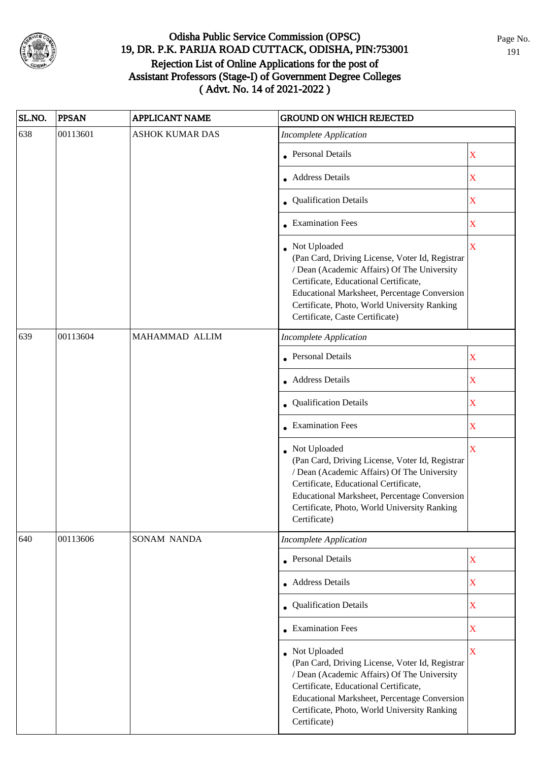

| SL.NO. | <b>PPSAN</b> | <b>APPLICANT NAME</b>  | <b>GROUND ON WHICH REJECTED</b>                                                                                                                                                                                                                                                              |                         |
|--------|--------------|------------------------|----------------------------------------------------------------------------------------------------------------------------------------------------------------------------------------------------------------------------------------------------------------------------------------------|-------------------------|
| 638    | 00113601     | <b>ASHOK KUMAR DAS</b> | <b>Incomplete Application</b>                                                                                                                                                                                                                                                                |                         |
|        |              |                        | • Personal Details                                                                                                                                                                                                                                                                           | $\mathbf X$             |
|        |              |                        | • Address Details                                                                                                                                                                                                                                                                            | $\mathbf X$             |
|        |              |                        | • Qualification Details                                                                                                                                                                                                                                                                      | $\mathbf X$             |
|        |              |                        | • Examination Fees                                                                                                                                                                                                                                                                           | $\mathbf X$             |
|        |              |                        | • Not Uploaded<br>(Pan Card, Driving License, Voter Id, Registrar<br>/ Dean (Academic Affairs) Of The University<br>Certificate, Educational Certificate,<br>Educational Marksheet, Percentage Conversion<br>Certificate, Photo, World University Ranking<br>Certificate, Caste Certificate) | X                       |
| 639    | 00113604     | MAHAMMAD ALLIM         | <b>Incomplete Application</b>                                                                                                                                                                                                                                                                |                         |
|        |              |                        | <b>Personal Details</b>                                                                                                                                                                                                                                                                      | $\mathbf X$             |
|        |              |                        | • Address Details                                                                                                                                                                                                                                                                            | $\mathbf X$             |
|        |              |                        | • Qualification Details                                                                                                                                                                                                                                                                      | $\mathbf X$             |
|        |              |                        | • Examination Fees                                                                                                                                                                                                                                                                           | $\mathbf X$             |
|        |              |                        | • Not Uploaded<br>(Pan Card, Driving License, Voter Id, Registrar<br>/ Dean (Academic Affairs) Of The University<br>Certificate, Educational Certificate,<br>Educational Marksheet, Percentage Conversion<br>Certificate, Photo, World University Ranking<br>Certificate)                    | $\bar{X}$               |
| 640    | 00113606     | SONAM NANDA            | <b>Incomplete Application</b>                                                                                                                                                                                                                                                                |                         |
|        |              |                        | <b>Personal Details</b>                                                                                                                                                                                                                                                                      | $\mathbf X$             |
|        |              |                        | Address Details                                                                                                                                                                                                                                                                              | $\mathbf X$             |
|        |              |                        | • Qualification Details                                                                                                                                                                                                                                                                      | $\overline{\textbf{X}}$ |
|        |              |                        | $\bullet$ Examination Fees                                                                                                                                                                                                                                                                   | $\overline{\textbf{X}}$ |
|        |              |                        | • Not Uploaded<br>(Pan Card, Driving License, Voter Id, Registrar<br>/ Dean (Academic Affairs) Of The University<br>Certificate, Educational Certificate,<br>Educational Marksheet, Percentage Conversion<br>Certificate, Photo, World University Ranking<br>Certificate)                    | $\overline{\mathbf{X}}$ |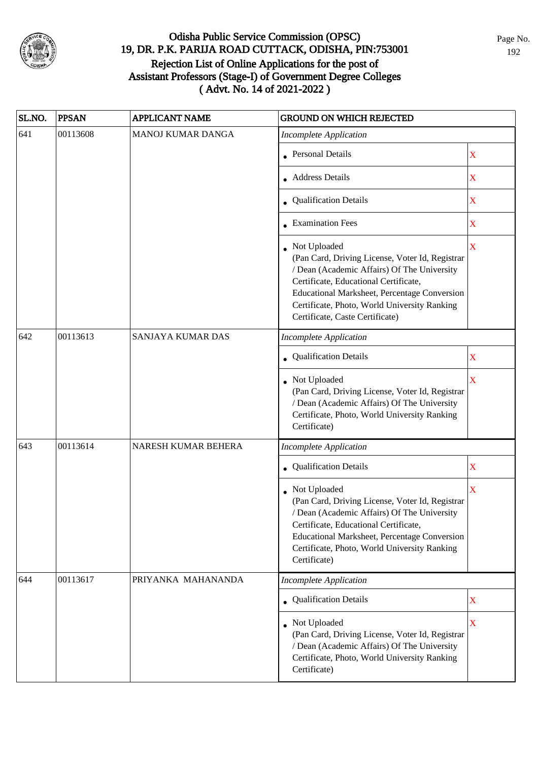

| SL.NO. | <b>PPSAN</b> | <b>APPLICANT NAME</b>    | <b>GROUND ON WHICH REJECTED</b>                                                                                                                                                                                                                                                              |                         |
|--------|--------------|--------------------------|----------------------------------------------------------------------------------------------------------------------------------------------------------------------------------------------------------------------------------------------------------------------------------------------|-------------------------|
| 641    | 00113608     | <b>MANOJ KUMAR DANGA</b> | <b>Incomplete Application</b>                                                                                                                                                                                                                                                                |                         |
|        |              |                          | • Personal Details                                                                                                                                                                                                                                                                           | X                       |
|        |              |                          | • Address Details                                                                                                                                                                                                                                                                            | X                       |
|        |              |                          | • Qualification Details                                                                                                                                                                                                                                                                      | X                       |
|        |              |                          | • Examination Fees                                                                                                                                                                                                                                                                           | X                       |
|        |              |                          | • Not Uploaded<br>(Pan Card, Driving License, Voter Id, Registrar<br>/ Dean (Academic Affairs) Of The University<br>Certificate, Educational Certificate,<br>Educational Marksheet, Percentage Conversion<br>Certificate, Photo, World University Ranking<br>Certificate, Caste Certificate) | $\overline{\mathbf{X}}$ |
| 642    | 00113613     | SANJAYA KUMAR DAS        | <b>Incomplete Application</b>                                                                                                                                                                                                                                                                |                         |
|        |              |                          | Qualification Details                                                                                                                                                                                                                                                                        | X                       |
|        |              |                          | Not Uploaded<br>(Pan Card, Driving License, Voter Id, Registrar<br>/ Dean (Academic Affairs) Of The University<br>Certificate, Photo, World University Ranking<br>Certificate)                                                                                                               | $\overline{\mathbf{X}}$ |
| 643    | 00113614     | NARESH KUMAR BEHERA      | <b>Incomplete Application</b>                                                                                                                                                                                                                                                                |                         |
|        |              |                          | Qualification Details                                                                                                                                                                                                                                                                        | $\mathbf X$             |
|        |              |                          | Not Uploaded<br>(Pan Card, Driving License, Voter Id, Registrar<br>/ Dean (Academic Affairs) Of The University<br>Certificate, Educational Certificate,<br>Educational Marksheet, Percentage Conversion<br>Certificate, Photo, World University Ranking<br>Certificate)                      | X                       |
| 644    | 00113617     | PRIYANKA MAHANANDA       | <b>Incomplete Application</b>                                                                                                                                                                                                                                                                |                         |
|        |              |                          | • Qualification Details                                                                                                                                                                                                                                                                      | X                       |
|        |              |                          | • Not Uploaded<br>(Pan Card, Driving License, Voter Id, Registrar<br>/ Dean (Academic Affairs) Of The University<br>Certificate, Photo, World University Ranking<br>Certificate)                                                                                                             | $\overline{\mathbf{X}}$ |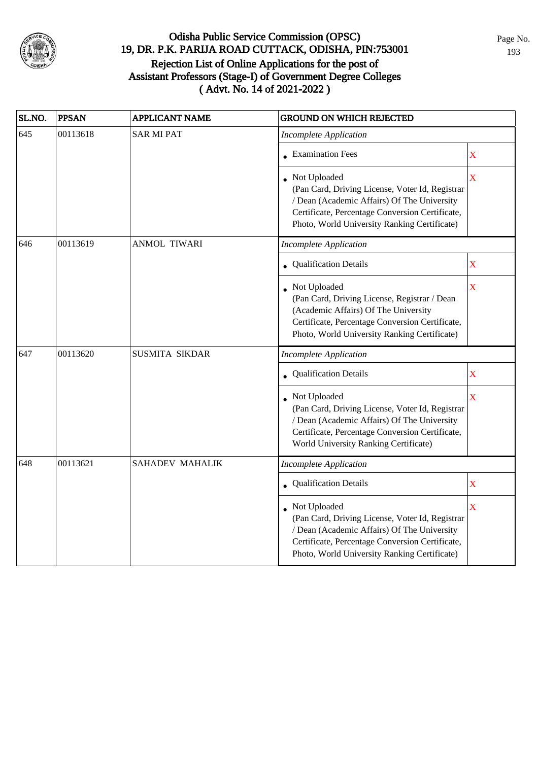

| SL.NO. | <b>PPSAN</b> | <b>APPLICANT NAME</b>  | <b>GROUND ON WHICH REJECTED</b>                                                                                                                                                                                     |                         |
|--------|--------------|------------------------|---------------------------------------------------------------------------------------------------------------------------------------------------------------------------------------------------------------------|-------------------------|
| 645    | 00113618     | <b>SAR MI PAT</b>      | <b>Incomplete Application</b>                                                                                                                                                                                       |                         |
|        |              |                        | <b>Examination Fees</b>                                                                                                                                                                                             | $\mathbf X$             |
|        |              |                        | • Not Uploaded<br>(Pan Card, Driving License, Voter Id, Registrar<br>/ Dean (Academic Affairs) Of The University<br>Certificate, Percentage Conversion Certificate,<br>Photo, World University Ranking Certificate) | $\overline{\mathbf{X}}$ |
| 646    | 00113619     | <b>ANMOL TIWARI</b>    | <b>Incomplete Application</b>                                                                                                                                                                                       |                         |
|        |              |                        | <b>Qualification Details</b>                                                                                                                                                                                        | $\mathbf X$             |
|        |              |                        | Not Uploaded<br>(Pan Card, Driving License, Registrar / Dean<br>(Academic Affairs) Of The University<br>Certificate, Percentage Conversion Certificate,<br>Photo, World University Ranking Certificate)             | $\bar{X}$               |
| 647    | 00113620     | SUSMITA SIKDAR         | <b>Incomplete Application</b>                                                                                                                                                                                       |                         |
|        |              |                        | Qualification Details                                                                                                                                                                                               | $\mathbf X$             |
|        |              |                        | Not Uploaded<br>(Pan Card, Driving License, Voter Id, Registrar<br>/ Dean (Academic Affairs) Of The University<br>Certificate, Percentage Conversion Certificate,<br>World University Ranking Certificate)          | X                       |
| 648    | 00113621     | <b>SAHADEV MAHALIK</b> | Incomplete Application                                                                                                                                                                                              |                         |
|        |              |                        | Qualification Details                                                                                                                                                                                               | $\mathbf X$             |
|        |              |                        | Not Uploaded<br>(Pan Card, Driving License, Voter Id, Registrar<br>/ Dean (Academic Affairs) Of The University<br>Certificate, Percentage Conversion Certificate,<br>Photo, World University Ranking Certificate)   | X                       |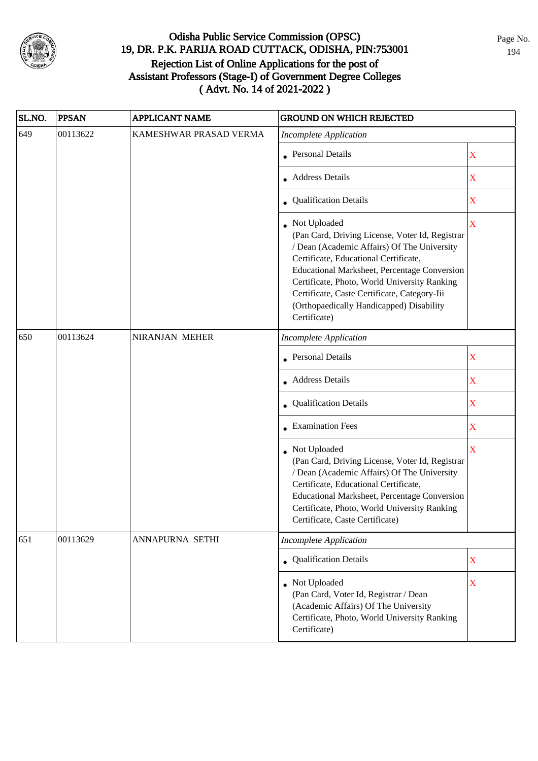

| SL.NO. | <b>PPSAN</b> | <b>APPLICANT NAME</b>  | <b>GROUND ON WHICH REJECTED</b>                                                                                                                                                                                                                                                                                                                                     |                         |
|--------|--------------|------------------------|---------------------------------------------------------------------------------------------------------------------------------------------------------------------------------------------------------------------------------------------------------------------------------------------------------------------------------------------------------------------|-------------------------|
| 649    | 00113622     | KAMESHWAR PRASAD VERMA | <b>Incomplete Application</b>                                                                                                                                                                                                                                                                                                                                       |                         |
|        |              |                        | • Personal Details                                                                                                                                                                                                                                                                                                                                                  | X                       |
|        |              |                        | • Address Details                                                                                                                                                                                                                                                                                                                                                   | X                       |
|        |              |                        | • Qualification Details                                                                                                                                                                                                                                                                                                                                             | $\mathbf X$             |
|        |              |                        | Not Uploaded<br>(Pan Card, Driving License, Voter Id, Registrar<br>/ Dean (Academic Affairs) Of The University<br>Certificate, Educational Certificate,<br>Educational Marksheet, Percentage Conversion<br>Certificate, Photo, World University Ranking<br>Certificate, Caste Certificate, Category-Iii<br>(Orthopaedically Handicapped) Disability<br>Certificate) | $\mathbf X$             |
| 650    | 00113624     | NIRANJAN MEHER         | <b>Incomplete Application</b>                                                                                                                                                                                                                                                                                                                                       |                         |
|        |              |                        | <b>Personal Details</b>                                                                                                                                                                                                                                                                                                                                             | $\mathbf X$             |
|        |              |                        | • Address Details                                                                                                                                                                                                                                                                                                                                                   | $\mathbf X$             |
|        |              |                        | • Qualification Details                                                                                                                                                                                                                                                                                                                                             | $\mathbf X$             |
|        |              |                        | • Examination Fees                                                                                                                                                                                                                                                                                                                                                  | $\mathbf X$             |
|        |              |                        | • Not Uploaded<br>(Pan Card, Driving License, Voter Id, Registrar<br>/ Dean (Academic Affairs) Of The University<br>Certificate, Educational Certificate,<br>Educational Marksheet, Percentage Conversion<br>Certificate, Photo, World University Ranking<br>Certificate, Caste Certificate)                                                                        | $\overline{\mathbf{X}}$ |
| 651    | 00113629     | ANNAPURNA SETHI        | <b>Incomplete Application</b>                                                                                                                                                                                                                                                                                                                                       |                         |
|        |              |                        | Qualification Details                                                                                                                                                                                                                                                                                                                                               | $\mathbf X$             |
|        |              |                        | • Not Uploaded<br>(Pan Card, Voter Id, Registrar / Dean<br>(Academic Affairs) Of The University<br>Certificate, Photo, World University Ranking<br>Certificate)                                                                                                                                                                                                     | $\mathbf X$             |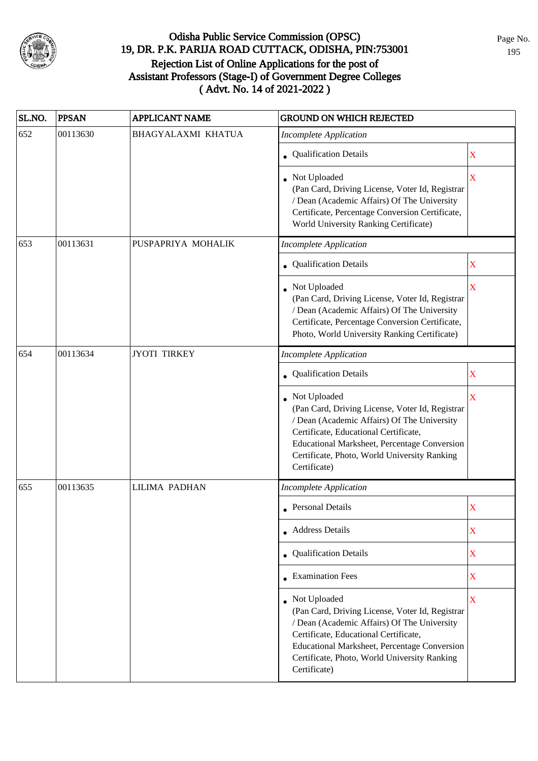

| SL.NO. | <b>PPSAN</b> | <b>APPLICANT NAME</b> | <b>GROUND ON WHICH REJECTED</b>                                                                                                                                                                                                                                         |                         |
|--------|--------------|-----------------------|-------------------------------------------------------------------------------------------------------------------------------------------------------------------------------------------------------------------------------------------------------------------------|-------------------------|
| 652    | 00113630     | BHAGYALAXMI KHATUA    | <b>Incomplete Application</b>                                                                                                                                                                                                                                           |                         |
|        |              |                       | • Qualification Details                                                                                                                                                                                                                                                 | X                       |
|        |              |                       | Not Uploaded<br>(Pan Card, Driving License, Voter Id, Registrar<br>/ Dean (Academic Affairs) Of The University<br>Certificate, Percentage Conversion Certificate,<br>World University Ranking Certificate)                                                              | $\overline{\mathbf{X}}$ |
| 653    | 00113631     | PUSPAPRIYA MOHALIK    | <b>Incomplete Application</b>                                                                                                                                                                                                                                           |                         |
|        |              |                       | • Qualification Details                                                                                                                                                                                                                                                 | X                       |
|        |              |                       | • Not Uploaded<br>(Pan Card, Driving License, Voter Id, Registrar<br>/ Dean (Academic Affairs) Of The University<br>Certificate, Percentage Conversion Certificate,<br>Photo, World University Ranking Certificate)                                                     | $\overline{\textbf{X}}$ |
| 654    | 00113634     | <b>JYOTI TIRKEY</b>   | <b>Incomplete Application</b>                                                                                                                                                                                                                                           |                         |
|        |              |                       | • Qualification Details                                                                                                                                                                                                                                                 | X                       |
|        |              |                       | Not Uploaded<br>(Pan Card, Driving License, Voter Id, Registrar<br>/ Dean (Academic Affairs) Of The University<br>Certificate, Educational Certificate,<br>Educational Marksheet, Percentage Conversion<br>Certificate, Photo, World University Ranking<br>Certificate) | $\overline{\mathbf{X}}$ |
| 655    | 00113635     | <b>LILIMA PADHAN</b>  | <b>Incomplete Application</b>                                                                                                                                                                                                                                           |                         |
|        |              |                       | • Personal Details                                                                                                                                                                                                                                                      | X                       |
|        |              |                       | • Address Details                                                                                                                                                                                                                                                       | X                       |
|        |              |                       | • Qualification Details                                                                                                                                                                                                                                                 | $\overline{\textbf{X}}$ |
|        |              |                       | $\bullet$ Examination Fees                                                                                                                                                                                                                                              | $\mathbf X$             |
|        |              |                       | Not Uploaded<br>(Pan Card, Driving License, Voter Id, Registrar<br>/ Dean (Academic Affairs) Of The University<br>Certificate, Educational Certificate,<br>Educational Marksheet, Percentage Conversion<br>Certificate, Photo, World University Ranking<br>Certificate) | $\mathbf X$             |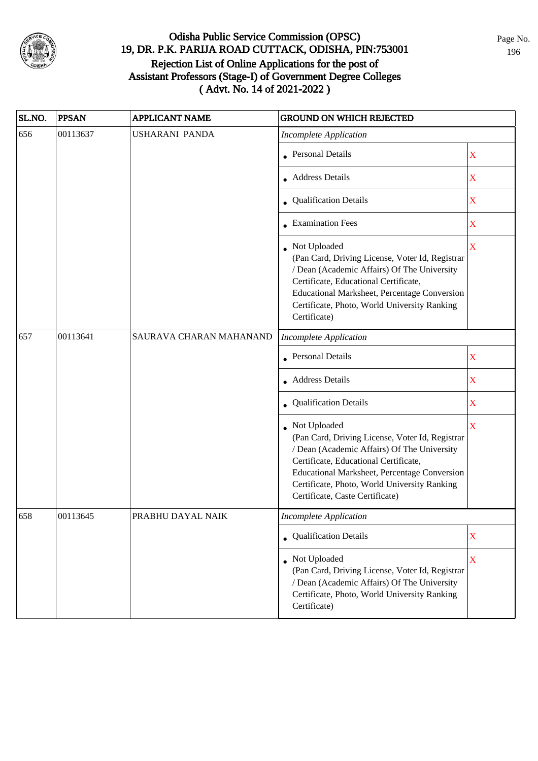

| SL.NO. | <b>PPSAN</b> | <b>APPLICANT NAME</b>   | <b>GROUND ON WHICH REJECTED</b>                                                                                                                                                                                                                                                            |             |
|--------|--------------|-------------------------|--------------------------------------------------------------------------------------------------------------------------------------------------------------------------------------------------------------------------------------------------------------------------------------------|-------------|
| 656    | 00113637     | <b>USHARANI PANDA</b>   | <b>Incomplete Application</b>                                                                                                                                                                                                                                                              |             |
|        |              |                         | <b>Personal Details</b>                                                                                                                                                                                                                                                                    | X           |
|        |              |                         | <b>Address Details</b>                                                                                                                                                                                                                                                                     | $\mathbf X$ |
|        |              |                         | <b>Qualification Details</b>                                                                                                                                                                                                                                                               | $\mathbf X$ |
|        |              |                         | • Examination Fees                                                                                                                                                                                                                                                                         | $\mathbf X$ |
|        |              |                         | • Not Uploaded<br>(Pan Card, Driving License, Voter Id, Registrar<br>/ Dean (Academic Affairs) Of The University<br>Certificate, Educational Certificate,<br>Educational Marksheet, Percentage Conversion<br>Certificate, Photo, World University Ranking<br>Certificate)                  | $\mathbf X$ |
| 657    | 00113641     | SAURAVA CHARAN MAHANAND | <b>Incomplete Application</b>                                                                                                                                                                                                                                                              |             |
|        |              |                         | <b>Personal Details</b>                                                                                                                                                                                                                                                                    | X           |
|        |              |                         | <b>Address Details</b>                                                                                                                                                                                                                                                                     | X           |
|        |              |                         | • Qualification Details                                                                                                                                                                                                                                                                    | X           |
|        |              |                         | Not Uploaded<br>(Pan Card, Driving License, Voter Id, Registrar<br>/ Dean (Academic Affairs) Of The University<br>Certificate, Educational Certificate,<br>Educational Marksheet, Percentage Conversion<br>Certificate, Photo, World University Ranking<br>Certificate, Caste Certificate) | X           |
| 658    | 00113645     | PRABHU DAYAL NAIK       | Incomplete Application                                                                                                                                                                                                                                                                     |             |
|        |              |                         | • Qualification Details                                                                                                                                                                                                                                                                    | $\mathbf X$ |
|        |              |                         | Not Uploaded<br>(Pan Card, Driving License, Voter Id, Registrar<br>/ Dean (Academic Affairs) Of The University<br>Certificate, Photo, World University Ranking<br>Certificate)                                                                                                             | X           |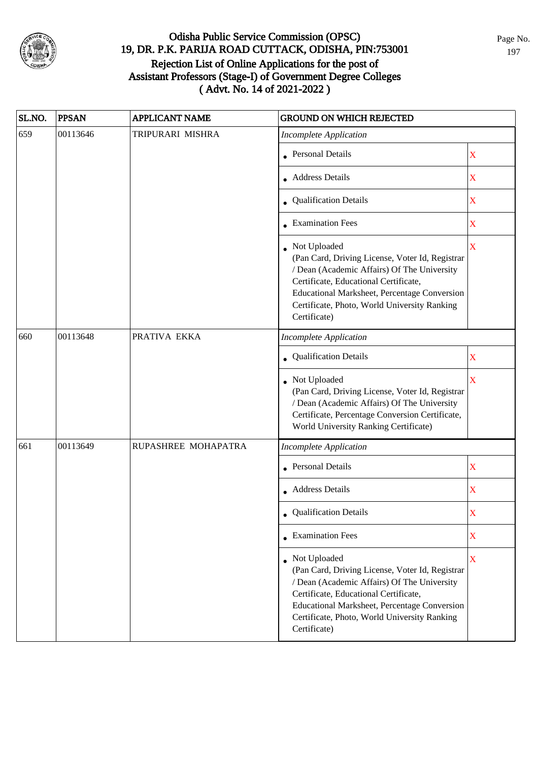

| SL.NO. | <b>PPSAN</b> | <b>APPLICANT NAME</b> | <b>GROUND ON WHICH REJECTED</b>                                                                                                                                                                                                                                           |                         |
|--------|--------------|-----------------------|---------------------------------------------------------------------------------------------------------------------------------------------------------------------------------------------------------------------------------------------------------------------------|-------------------------|
| 659    | 00113646     | TRIPURARI MISHRA      | <b>Incomplete Application</b>                                                                                                                                                                                                                                             |                         |
|        |              |                       | <b>Personal Details</b>                                                                                                                                                                                                                                                   | X                       |
|        |              |                       | <b>Address Details</b>                                                                                                                                                                                                                                                    | X                       |
|        |              |                       | • Qualification Details                                                                                                                                                                                                                                                   | $\mathbf X$             |
|        |              |                       | • Examination Fees                                                                                                                                                                                                                                                        | X                       |
|        |              |                       | • Not Uploaded<br>(Pan Card, Driving License, Voter Id, Registrar<br>/ Dean (Academic Affairs) Of The University<br>Certificate, Educational Certificate,<br>Educational Marksheet, Percentage Conversion<br>Certificate, Photo, World University Ranking<br>Certificate) | X                       |
| 660    | 00113648     | PRATIVA EKKA          | <b>Incomplete Application</b>                                                                                                                                                                                                                                             |                         |
|        |              |                       | Qualification Details                                                                                                                                                                                                                                                     | $\mathbf X$             |
|        |              |                       | Not Uploaded<br>(Pan Card, Driving License, Voter Id, Registrar<br>/ Dean (Academic Affairs) Of The University<br>Certificate, Percentage Conversion Certificate,<br>World University Ranking Certificate)                                                                | $\overline{\mathbf{X}}$ |
| 661    | 00113649     | RUPASHREE MOHAPATRA   | <b>Incomplete Application</b>                                                                                                                                                                                                                                             |                         |
|        |              |                       | <b>Personal Details</b>                                                                                                                                                                                                                                                   | $\mathbf X$             |
|        |              |                       | Address Details                                                                                                                                                                                                                                                           | $\mathbf X$             |
|        |              |                       | • Qualification Details                                                                                                                                                                                                                                                   | X                       |
|        |              |                       | • Examination Fees                                                                                                                                                                                                                                                        | X                       |
|        |              |                       | Not Uploaded<br>(Pan Card, Driving License, Voter Id, Registrar<br>/ Dean (Academic Affairs) Of The University<br>Certificate, Educational Certificate,<br>Educational Marksheet, Percentage Conversion<br>Certificate, Photo, World University Ranking<br>Certificate)   | X                       |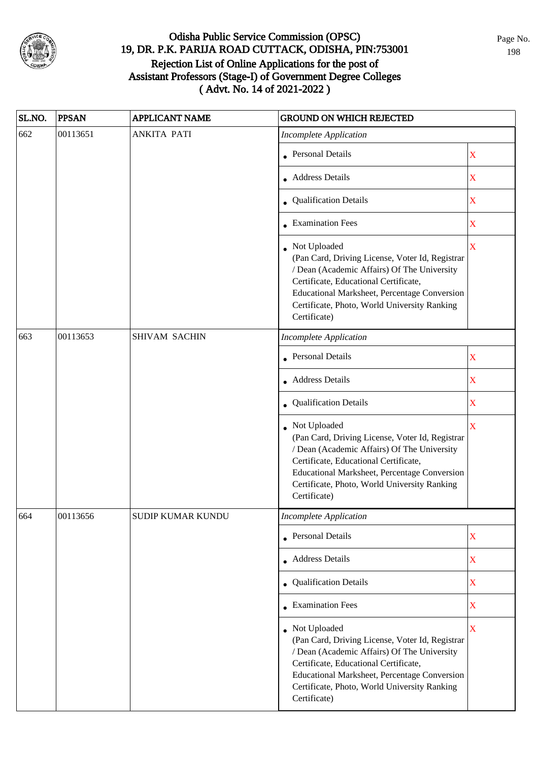

| SL.NO. | <b>PPSAN</b> | <b>APPLICANT NAME</b>    | <b>GROUND ON WHICH REJECTED</b>                                                                                                                                                                                                                                           |                         |
|--------|--------------|--------------------------|---------------------------------------------------------------------------------------------------------------------------------------------------------------------------------------------------------------------------------------------------------------------------|-------------------------|
| 662    | 00113651     | <b>ANKITA PATI</b>       | <b>Incomplete Application</b>                                                                                                                                                                                                                                             |                         |
|        |              |                          | • Personal Details                                                                                                                                                                                                                                                        | X                       |
|        |              |                          | • Address Details                                                                                                                                                                                                                                                         | X                       |
|        |              |                          | • Qualification Details                                                                                                                                                                                                                                                   | X                       |
|        |              |                          | $\bullet$ Examination Fees                                                                                                                                                                                                                                                | X                       |
|        |              |                          | • Not Uploaded<br>(Pan Card, Driving License, Voter Id, Registrar<br>/ Dean (Academic Affairs) Of The University<br>Certificate, Educational Certificate,<br>Educational Marksheet, Percentage Conversion<br>Certificate, Photo, World University Ranking<br>Certificate) | $\overline{\mathbf{X}}$ |
| 663    | 00113653     | <b>SHIVAM SACHIN</b>     | <b>Incomplete Application</b>                                                                                                                                                                                                                                             |                         |
|        |              |                          | <b>Personal Details</b>                                                                                                                                                                                                                                                   | $\mathbf X$             |
|        |              |                          | • Address Details                                                                                                                                                                                                                                                         | $\mathbf X$             |
|        |              |                          | • Qualification Details                                                                                                                                                                                                                                                   | $\mathbf X$             |
|        |              |                          | Not Uploaded<br>(Pan Card, Driving License, Voter Id, Registrar<br>/ Dean (Academic Affairs) Of The University<br>Certificate, Educational Certificate,<br>Educational Marksheet, Percentage Conversion<br>Certificate, Photo, World University Ranking<br>Certificate)   | X                       |
| 664    | 00113656     | <b>SUDIP KUMAR KUNDU</b> | Incomplete Application                                                                                                                                                                                                                                                    |                         |
|        |              |                          | • Personal Details                                                                                                                                                                                                                                                        | $\mathbf X$             |
|        |              |                          | • Address Details                                                                                                                                                                                                                                                         | $\mathbf X$             |
|        |              |                          | • Qualification Details                                                                                                                                                                                                                                                   | $\mathbf X$             |
|        |              |                          | $\bullet$ Examination Fees                                                                                                                                                                                                                                                | $\mathbf X$             |
|        |              |                          | • Not Uploaded<br>(Pan Card, Driving License, Voter Id, Registrar<br>/ Dean (Academic Affairs) Of The University<br>Certificate, Educational Certificate,<br>Educational Marksheet, Percentage Conversion<br>Certificate, Photo, World University Ranking<br>Certificate) | $\overline{\mathbf{X}}$ |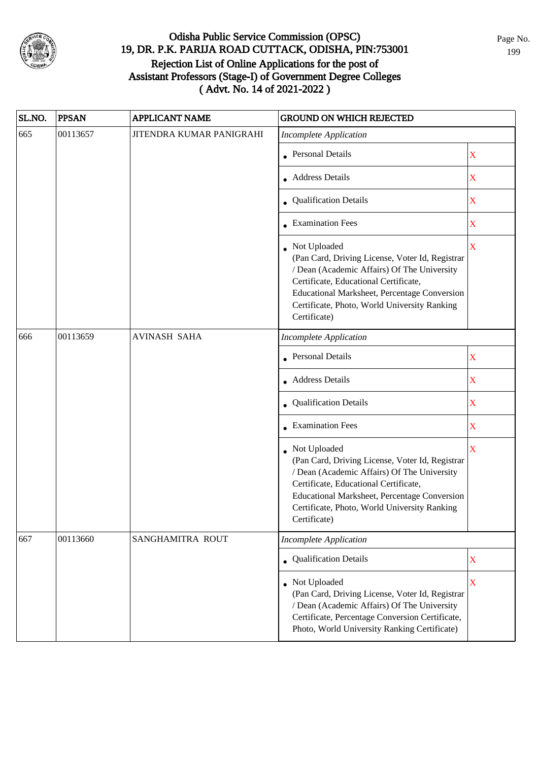

| SL.NO. | <b>PPSAN</b> | APPLICANT NAME           | <b>GROUND ON WHICH REJECTED</b>                                                                                                                                                                                                                                           |                         |
|--------|--------------|--------------------------|---------------------------------------------------------------------------------------------------------------------------------------------------------------------------------------------------------------------------------------------------------------------------|-------------------------|
| 665    | 00113657     | JITENDRA KUMAR PANIGRAHI | <b>Incomplete Application</b>                                                                                                                                                                                                                                             |                         |
|        |              |                          | • Personal Details                                                                                                                                                                                                                                                        | $\mathbf X$             |
|        |              |                          | • Address Details                                                                                                                                                                                                                                                         | X                       |
|        |              |                          | • Qualification Details                                                                                                                                                                                                                                                   | $\mathbf X$             |
|        |              |                          | • Examination Fees                                                                                                                                                                                                                                                        | $\mathbf X$             |
|        |              |                          | • Not Uploaded<br>(Pan Card, Driving License, Voter Id, Registrar<br>/ Dean (Academic Affairs) Of The University<br>Certificate, Educational Certificate,<br>Educational Marksheet, Percentage Conversion<br>Certificate, Photo, World University Ranking<br>Certificate) | $\mathbf X$             |
| 666    | 00113659     | <b>AVINASH SAHA</b>      | <b>Incomplete Application</b>                                                                                                                                                                                                                                             |                         |
|        |              |                          | • Personal Details                                                                                                                                                                                                                                                        | $\mathbf X$             |
|        |              |                          | • Address Details                                                                                                                                                                                                                                                         | $\mathbf X$             |
|        |              |                          | • Qualification Details                                                                                                                                                                                                                                                   | $\mathbf X$             |
|        |              |                          | • Examination Fees                                                                                                                                                                                                                                                        | $\mathbf X$             |
|        |              |                          | • Not Uploaded<br>(Pan Card, Driving License, Voter Id, Registrar<br>/ Dean (Academic Affairs) Of The University<br>Certificate, Educational Certificate,<br>Educational Marksheet, Percentage Conversion<br>Certificate, Photo, World University Ranking<br>Certificate) | $\overline{\textbf{X}}$ |
| 667    | 00113660     | SANGHAMITRA ROUT         | <b>Incomplete Application</b>                                                                                                                                                                                                                                             |                         |
|        |              |                          | • Qualification Details                                                                                                                                                                                                                                                   | X                       |
|        |              |                          | • Not Uploaded<br>(Pan Card, Driving License, Voter Id, Registrar<br>/ Dean (Academic Affairs) Of The University<br>Certificate, Percentage Conversion Certificate,<br>Photo, World University Ranking Certificate)                                                       | $\bar{X}$               |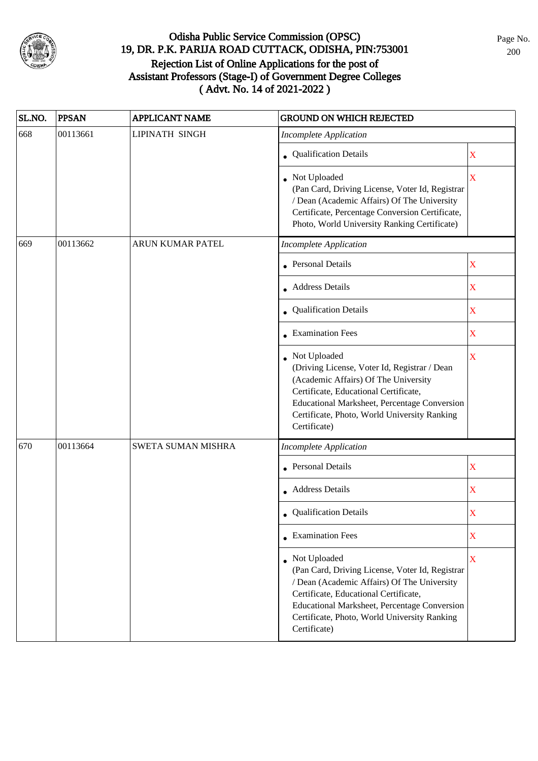

| SL.NO. | <b>PPSAN</b> | <b>APPLICANT NAME</b> | <b>GROUND ON WHICH REJECTED</b>                                                                                                                                                                                                                                           |                         |
|--------|--------------|-----------------------|---------------------------------------------------------------------------------------------------------------------------------------------------------------------------------------------------------------------------------------------------------------------------|-------------------------|
| 668    | 00113661     | <b>LIPINATH SINGH</b> | <b>Incomplete Application</b>                                                                                                                                                                                                                                             |                         |
|        |              |                       | • Qualification Details                                                                                                                                                                                                                                                   | X                       |
|        |              |                       | • Not Uploaded<br>(Pan Card, Driving License, Voter Id, Registrar<br>/ Dean (Academic Affairs) Of The University<br>Certificate, Percentage Conversion Certificate,<br>Photo, World University Ranking Certificate)                                                       | $\overline{\mathbf{X}}$ |
| 669    | 00113662     | ARUN KUMAR PATEL      | <b>Incomplete Application</b>                                                                                                                                                                                                                                             |                         |
|        |              |                       | <b>Personal Details</b>                                                                                                                                                                                                                                                   | $\mathbf X$             |
|        |              |                       | • Address Details                                                                                                                                                                                                                                                         | X                       |
|        |              |                       | Qualification Details                                                                                                                                                                                                                                                     | $\mathbf X$             |
|        |              |                       | $\bullet$ Examination Fees                                                                                                                                                                                                                                                | X                       |
|        |              |                       | Not Uploaded<br>(Driving License, Voter Id, Registrar / Dean<br>(Academic Affairs) Of The University<br>Certificate, Educational Certificate,<br>Educational Marksheet, Percentage Conversion<br>Certificate, Photo, World University Ranking<br>Certificate)             | $\mathbf X$             |
| 670    | 00113664     | SWETA SUMAN MISHRA    | <b>Incomplete Application</b>                                                                                                                                                                                                                                             |                         |
|        |              |                       | Personal Details                                                                                                                                                                                                                                                          | $\mathbf X$             |
|        |              |                       | • Address Details                                                                                                                                                                                                                                                         | $\mathbf X$             |
|        |              |                       | • Qualification Details                                                                                                                                                                                                                                                   | X                       |
|        |              |                       | $\bullet$ Examination Fees                                                                                                                                                                                                                                                | X                       |
|        |              |                       | • Not Uploaded<br>(Pan Card, Driving License, Voter Id, Registrar<br>/ Dean (Academic Affairs) Of The University<br>Certificate, Educational Certificate,<br>Educational Marksheet, Percentage Conversion<br>Certificate, Photo, World University Ranking<br>Certificate) | $\mathbf X$             |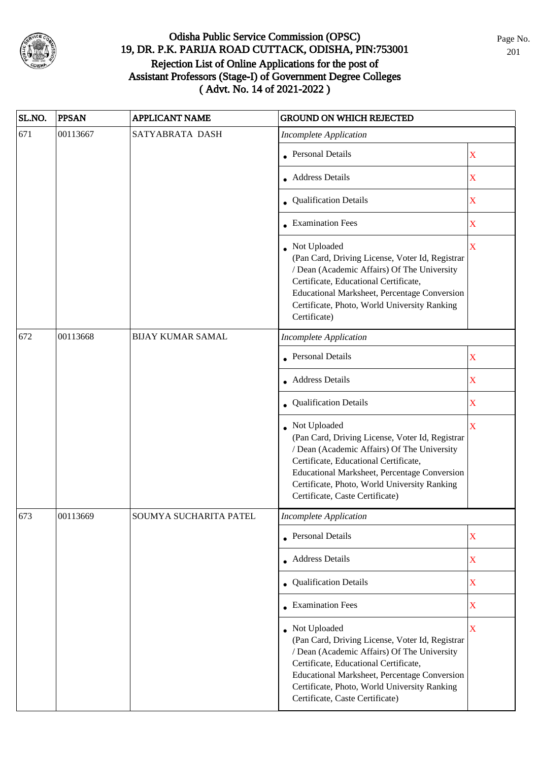

| SL.NO. | <b>PPSAN</b> | APPLICANT NAME           | <b>GROUND ON WHICH REJECTED</b>                                                                                                                                                                                                                                                              |                         |
|--------|--------------|--------------------------|----------------------------------------------------------------------------------------------------------------------------------------------------------------------------------------------------------------------------------------------------------------------------------------------|-------------------------|
| 671    | 00113667     | SATYABRATA DASH          | <b>Incomplete Application</b>                                                                                                                                                                                                                                                                |                         |
|        |              |                          | • Personal Details                                                                                                                                                                                                                                                                           | $\mathbf X$             |
|        |              |                          | • Address Details                                                                                                                                                                                                                                                                            | $\mathbf X$             |
|        |              |                          | • Qualification Details                                                                                                                                                                                                                                                                      | $\mathbf X$             |
|        |              |                          | • Examination Fees                                                                                                                                                                                                                                                                           | $\mathbf X$             |
|        |              |                          | Not Uploaded<br>(Pan Card, Driving License, Voter Id, Registrar<br>/ Dean (Academic Affairs) Of The University<br>Certificate, Educational Certificate,<br>Educational Marksheet, Percentage Conversion<br>Certificate, Photo, World University Ranking<br>Certificate)                      | $\mathbf X$             |
| 672    | 00113668     | <b>BIJAY KUMAR SAMAL</b> | <b>Incomplete Application</b>                                                                                                                                                                                                                                                                |                         |
|        |              |                          | <b>Personal Details</b>                                                                                                                                                                                                                                                                      | X                       |
|        |              |                          | • Address Details                                                                                                                                                                                                                                                                            | $\mathbf X$             |
|        |              |                          | • Qualification Details                                                                                                                                                                                                                                                                      | $\mathbf X$             |
|        |              |                          | Not Uploaded<br>(Pan Card, Driving License, Voter Id, Registrar<br>/ Dean (Academic Affairs) Of The University<br>Certificate, Educational Certificate,<br>Educational Marksheet, Percentage Conversion<br>Certificate, Photo, World University Ranking<br>Certificate, Caste Certificate)   | $\overline{\mathbf{X}}$ |
| 673    | 00113669     | SOUMYA SUCHARITA PATEL   | Incomplete Application                                                                                                                                                                                                                                                                       |                         |
|        |              |                          | • Personal Details                                                                                                                                                                                                                                                                           | $\mathbf X$             |
|        |              |                          | • Address Details                                                                                                                                                                                                                                                                            | $\mathbf X$             |
|        |              |                          | • Qualification Details                                                                                                                                                                                                                                                                      | $\mathbf X$             |
|        |              |                          | $\bullet$ Examination Fees                                                                                                                                                                                                                                                                   | $\mathbf X$             |
|        |              |                          | • Not Uploaded<br>(Pan Card, Driving License, Voter Id, Registrar<br>/ Dean (Academic Affairs) Of The University<br>Certificate, Educational Certificate,<br>Educational Marksheet, Percentage Conversion<br>Certificate, Photo, World University Ranking<br>Certificate, Caste Certificate) | $\overline{\mathbf{X}}$ |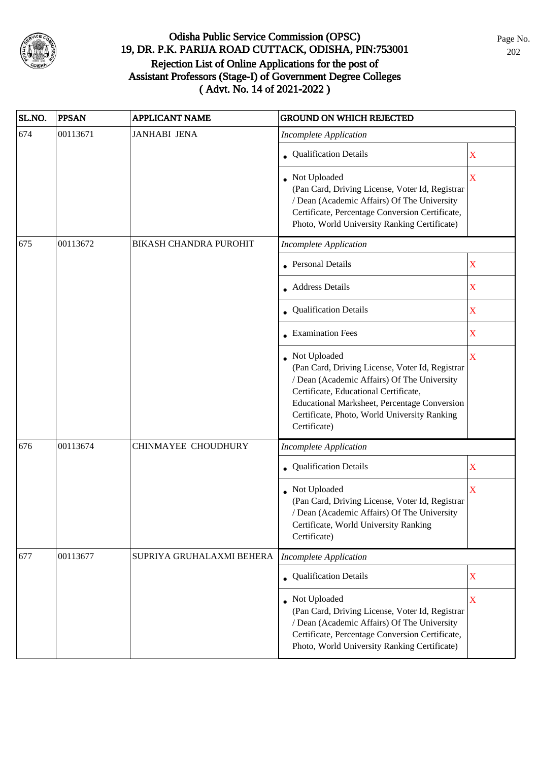

| SL.NO. | <b>PPSAN</b> | <b>APPLICANT NAME</b>     | <b>GROUND ON WHICH REJECTED</b>                                                                                                                                                                                                                                         |             |
|--------|--------------|---------------------------|-------------------------------------------------------------------------------------------------------------------------------------------------------------------------------------------------------------------------------------------------------------------------|-------------|
| 674    | 00113671     | <b>JANHABI JENA</b>       | <b>Incomplete Application</b>                                                                                                                                                                                                                                           |             |
|        |              |                           | • Qualification Details                                                                                                                                                                                                                                                 | X           |
|        |              |                           | • Not Uploaded<br>(Pan Card, Driving License, Voter Id, Registrar<br>/ Dean (Academic Affairs) Of The University<br>Certificate, Percentage Conversion Certificate,<br>Photo, World University Ranking Certificate)                                                     | $\mathbf X$ |
| 675    | 00113672     | BIKASH CHANDRA PUROHIT    | <b>Incomplete Application</b>                                                                                                                                                                                                                                           |             |
|        |              |                           | <b>Personal Details</b>                                                                                                                                                                                                                                                 | $\mathbf X$ |
|        |              |                           | • Address Details                                                                                                                                                                                                                                                       | X           |
|        |              |                           | • Qualification Details                                                                                                                                                                                                                                                 | $\mathbf X$ |
|        |              |                           | • Examination Fees                                                                                                                                                                                                                                                      | $\mathbf X$ |
|        |              |                           | Not Uploaded<br>(Pan Card, Driving License, Voter Id, Registrar<br>/ Dean (Academic Affairs) Of The University<br>Certificate, Educational Certificate,<br>Educational Marksheet, Percentage Conversion<br>Certificate, Photo, World University Ranking<br>Certificate) | X           |
| 676    | 00113674     | CHINMAYEE CHOUDHURY       | <b>Incomplete Application</b>                                                                                                                                                                                                                                           |             |
|        |              |                           | Qualification Details                                                                                                                                                                                                                                                   | $\mathbf X$ |
|        |              |                           | Not Uploaded<br>(Pan Card, Driving License, Voter Id, Registrar<br>/ Dean (Academic Affairs) Of The University<br>Certificate, World University Ranking<br>Certificate)                                                                                                 | X           |
| 677    | 00113677     | SUPRIYA GRUHALAXMI BEHERA | <b>Incomplete Application</b>                                                                                                                                                                                                                                           |             |
|        |              |                           | • Qualification Details                                                                                                                                                                                                                                                 | $\mathbf X$ |
|        |              |                           | Not Uploaded<br>(Pan Card, Driving License, Voter Id, Registrar<br>/ Dean (Academic Affairs) Of The University<br>Certificate, Percentage Conversion Certificate,<br>Photo, World University Ranking Certificate)                                                       | X           |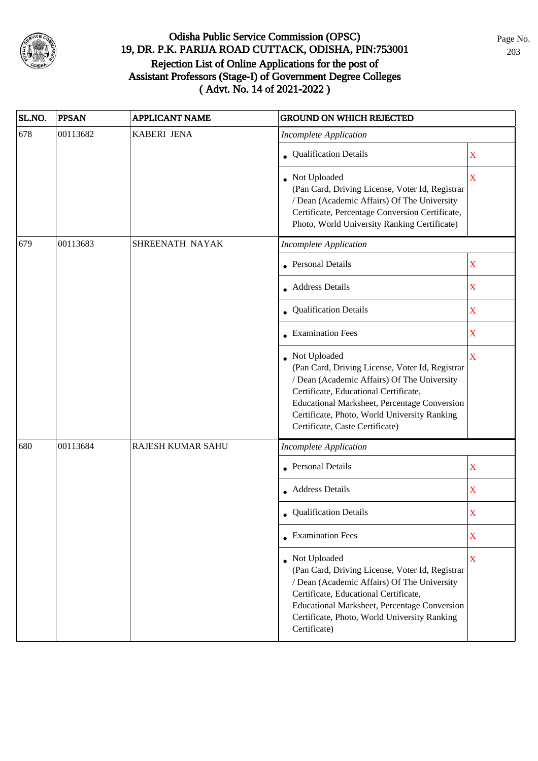

| SL.NO.                                                              | <b>PPSAN</b> | <b>APPLICANT NAME</b> | <b>GROUND ON WHICH REJECTED</b>                                                                                                                                                                                                                                                            |                         |
|---------------------------------------------------------------------|--------------|-----------------------|--------------------------------------------------------------------------------------------------------------------------------------------------------------------------------------------------------------------------------------------------------------------------------------------|-------------------------|
| 678                                                                 | 00113682     | <b>KABERI JENA</b>    | <b>Incomplete Application</b>                                                                                                                                                                                                                                                              |                         |
|                                                                     |              |                       | • Qualification Details                                                                                                                                                                                                                                                                    | $\mathbf X$             |
|                                                                     |              |                       | • Not Uploaded<br>(Pan Card, Driving License, Voter Id, Registrar<br>/ Dean (Academic Affairs) Of The University<br>Certificate, Percentage Conversion Certificate,<br>Photo, World University Ranking Certificate)                                                                        | $\mathbf X$             |
| 00113683<br>679<br>SHREENATH NAYAK<br><b>Incomplete Application</b> |              |                       |                                                                                                                                                                                                                                                                                            |                         |
|                                                                     |              |                       | <b>Personal Details</b>                                                                                                                                                                                                                                                                    | $\mathbf X$             |
|                                                                     |              |                       | • Address Details                                                                                                                                                                                                                                                                          | $\mathbf X$             |
|                                                                     |              |                       | • Qualification Details                                                                                                                                                                                                                                                                    | $\mathbf X$             |
|                                                                     |              |                       | • Examination Fees                                                                                                                                                                                                                                                                         | $\mathbf X$             |
|                                                                     |              |                       | Not Uploaded<br>(Pan Card, Driving License, Voter Id, Registrar<br>/ Dean (Academic Affairs) Of The University<br>Certificate, Educational Certificate,<br>Educational Marksheet, Percentage Conversion<br>Certificate, Photo, World University Ranking<br>Certificate, Caste Certificate) | $\overline{\mathbf{X}}$ |
| 680                                                                 | 00113684     | RAJESH KUMAR SAHU     | <b>Incomplete Application</b>                                                                                                                                                                                                                                                              |                         |
|                                                                     |              |                       | <b>Personal Details</b>                                                                                                                                                                                                                                                                    | $\mathbf X$             |
|                                                                     |              |                       | • Address Details                                                                                                                                                                                                                                                                          | $\mathbf X$             |
|                                                                     |              |                       | • Qualification Details                                                                                                                                                                                                                                                                    | X                       |
|                                                                     |              |                       | $\bullet$ Examination Fees                                                                                                                                                                                                                                                                 | $\mathbf X$             |
|                                                                     |              |                       | • Not Uploaded<br>(Pan Card, Driving License, Voter Id, Registrar<br>/ Dean (Academic Affairs) Of The University<br>Certificate, Educational Certificate,<br>Educational Marksheet, Percentage Conversion<br>Certificate, Photo, World University Ranking<br>Certificate)                  | $\mathbf X$             |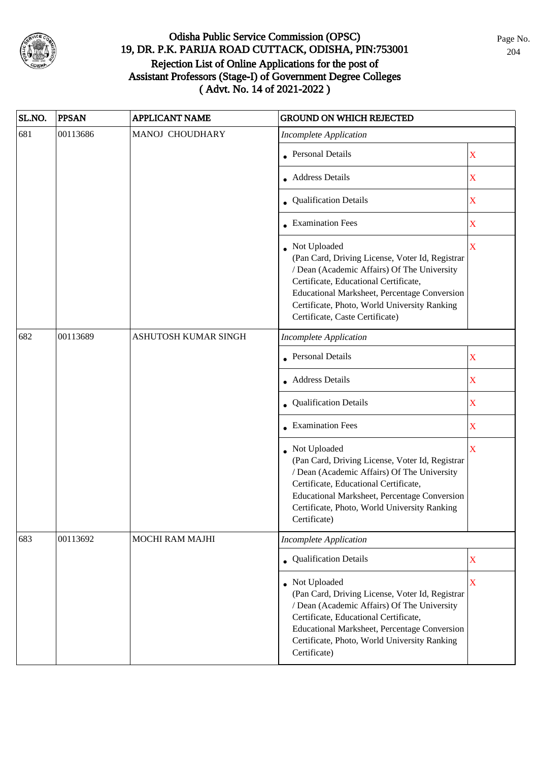

| SL.NO. | <b>PPSAN</b> | <b>APPLICANT NAME</b> | <b>GROUND ON WHICH REJECTED</b>                                                                                                                                                                                                                                                            |                         |
|--------|--------------|-----------------------|--------------------------------------------------------------------------------------------------------------------------------------------------------------------------------------------------------------------------------------------------------------------------------------------|-------------------------|
| 681    | 00113686     | MANOJ CHOUDHARY       | <b>Incomplete Application</b>                                                                                                                                                                                                                                                              |                         |
|        |              |                       | • Personal Details                                                                                                                                                                                                                                                                         | $\mathbf X$             |
|        |              |                       | • Address Details                                                                                                                                                                                                                                                                          | $\mathbf X$             |
|        |              |                       | • Qualification Details                                                                                                                                                                                                                                                                    | $\mathbf X$             |
|        |              |                       | • Examination Fees                                                                                                                                                                                                                                                                         | $\mathbf X$             |
|        |              |                       | Not Uploaded<br>(Pan Card, Driving License, Voter Id, Registrar<br>/ Dean (Academic Affairs) Of The University<br>Certificate, Educational Certificate,<br>Educational Marksheet, Percentage Conversion<br>Certificate, Photo, World University Ranking<br>Certificate, Caste Certificate) | $\mathbf X$             |
| 682    | 00113689     | ASHUTOSH KUMAR SINGH  | <b>Incomplete Application</b>                                                                                                                                                                                                                                                              |                         |
|        |              |                       | <b>Personal Details</b>                                                                                                                                                                                                                                                                    | $\mathbf X$             |
|        |              |                       | <b>Address Details</b>                                                                                                                                                                                                                                                                     | X                       |
|        |              |                       | • Qualification Details                                                                                                                                                                                                                                                                    | $\mathbf X$             |
|        |              |                       | • Examination Fees                                                                                                                                                                                                                                                                         | $\mathbf X$             |
|        |              |                       | • Not Uploaded<br>(Pan Card, Driving License, Voter Id, Registrar<br>/ Dean (Academic Affairs) Of The University<br>Certificate, Educational Certificate,<br>Educational Marksheet, Percentage Conversion<br>Certificate, Photo, World University Ranking<br>Certificate)                  | $\overline{\mathbf{X}}$ |
| 683    | 00113692     | MOCHI RAM MAJHI       | <b>Incomplete Application</b>                                                                                                                                                                                                                                                              |                         |
|        |              |                       | • Qualification Details                                                                                                                                                                                                                                                                    | $\mathbf X$             |
|        |              |                       | Not Uploaded<br>(Pan Card, Driving License, Voter Id, Registrar<br>/ Dean (Academic Affairs) Of The University<br>Certificate, Educational Certificate,<br>Educational Marksheet, Percentage Conversion<br>Certificate, Photo, World University Ranking<br>Certificate)                    | $\mathbf X$             |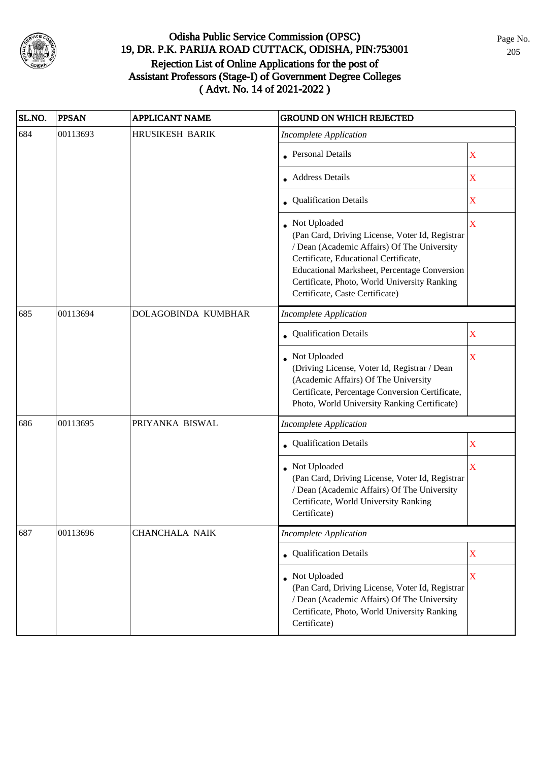

| SL.NO. | <b>PPSAN</b> | <b>APPLICANT NAME</b>  | <b>GROUND ON WHICH REJECTED</b>                                                                                                                                                                                                                                                            |                         |
|--------|--------------|------------------------|--------------------------------------------------------------------------------------------------------------------------------------------------------------------------------------------------------------------------------------------------------------------------------------------|-------------------------|
| 684    | 00113693     | <b>HRUSIKESH BARIK</b> | <b>Incomplete Application</b>                                                                                                                                                                                                                                                              |                         |
|        |              |                        | <b>Personal Details</b>                                                                                                                                                                                                                                                                    | X                       |
|        |              |                        | <b>Address Details</b>                                                                                                                                                                                                                                                                     | $\mathbf X$             |
|        |              |                        | <b>Qualification Details</b>                                                                                                                                                                                                                                                               | $\mathbf X$             |
|        |              |                        | Not Uploaded<br>(Pan Card, Driving License, Voter Id, Registrar<br>/ Dean (Academic Affairs) Of The University<br>Certificate, Educational Certificate,<br>Educational Marksheet, Percentage Conversion<br>Certificate, Photo, World University Ranking<br>Certificate, Caste Certificate) | X                       |
| 685    | 00113694     | DOLAGOBINDA KUMBHAR    | <b>Incomplete Application</b>                                                                                                                                                                                                                                                              |                         |
|        |              |                        | Qualification Details                                                                                                                                                                                                                                                                      | X                       |
|        |              |                        | Not Uploaded<br>(Driving License, Voter Id, Registrar / Dean<br>(Academic Affairs) Of The University<br>Certificate, Percentage Conversion Certificate,<br>Photo, World University Ranking Certificate)                                                                                    | $\mathbf X$             |
| 686    | 00113695     | PRIYANKA BISWAL        | <b>Incomplete Application</b>                                                                                                                                                                                                                                                              |                         |
|        |              |                        | Qualification Details                                                                                                                                                                                                                                                                      | X                       |
|        |              |                        | Not Uploaded<br>(Pan Card, Driving License, Voter Id, Registrar<br>/ Dean (Academic Affairs) Of The University<br>Certificate, World University Ranking<br>Certificate)                                                                                                                    | $\overline{\mathbf{X}}$ |
| 687    | 00113696     | <b>CHANCHALA NAIK</b>  | <b>Incomplete Application</b>                                                                                                                                                                                                                                                              |                         |
|        |              |                        | • Qualification Details                                                                                                                                                                                                                                                                    | $\mathbf X$             |
|        |              |                        | Not Uploaded<br>(Pan Card, Driving License, Voter Id, Registrar<br>/ Dean (Academic Affairs) Of The University<br>Certificate, Photo, World University Ranking<br>Certificate)                                                                                                             | $\mathbf X$             |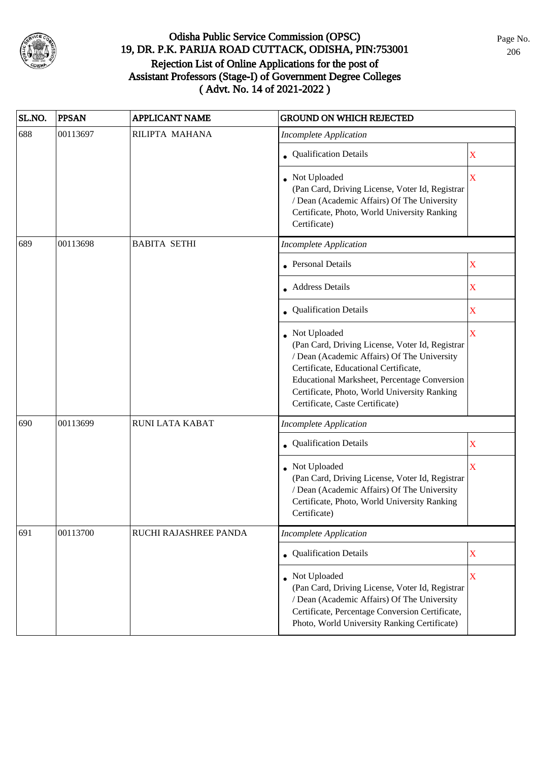

| SL.NO. | <b>PPSAN</b> | <b>APPLICANT NAME</b> | <b>GROUND ON WHICH REJECTED</b>                                                                                                                                                                                                                                                            |                         |
|--------|--------------|-----------------------|--------------------------------------------------------------------------------------------------------------------------------------------------------------------------------------------------------------------------------------------------------------------------------------------|-------------------------|
| 688    | 00113697     | RILIPTA MAHANA        | <b>Incomplete Application</b>                                                                                                                                                                                                                                                              |                         |
|        |              |                       | • Qualification Details                                                                                                                                                                                                                                                                    | X                       |
|        |              |                       | • Not Uploaded<br>(Pan Card, Driving License, Voter Id, Registrar<br>/ Dean (Academic Affairs) Of The University<br>Certificate, Photo, World University Ranking<br>Certificate)                                                                                                           | $\overline{\mathbf{X}}$ |
| 689    | 00113698     | <b>BABITA SETHI</b>   | <b>Incomplete Application</b>                                                                                                                                                                                                                                                              |                         |
|        |              |                       | <b>Personal Details</b>                                                                                                                                                                                                                                                                    | $\mathbf X$             |
|        |              |                       | • Address Details                                                                                                                                                                                                                                                                          | X                       |
|        |              |                       | • Qualification Details                                                                                                                                                                                                                                                                    | $\mathbf X$             |
|        |              |                       | Not Uploaded<br>(Pan Card, Driving License, Voter Id, Registrar<br>/ Dean (Academic Affairs) Of The University<br>Certificate, Educational Certificate,<br>Educational Marksheet, Percentage Conversion<br>Certificate, Photo, World University Ranking<br>Certificate, Caste Certificate) | $\mathbf X$             |
| 690    | 00113699     | RUNI LATA KABAT       | <b>Incomplete Application</b>                                                                                                                                                                                                                                                              |                         |
|        |              |                       | Qualification Details                                                                                                                                                                                                                                                                      | X                       |
|        |              |                       | Not Uploaded<br>(Pan Card, Driving License, Voter Id, Registrar<br>/ Dean (Academic Affairs) Of The University<br>Certificate, Photo, World University Ranking<br>Certificate)                                                                                                             | $\overline{\mathbf{X}}$ |
| 691    | 00113700     | RUCHI RAJASHREE PANDA | <b>Incomplete Application</b>                                                                                                                                                                                                                                                              |                         |
|        |              |                       | • Qualification Details                                                                                                                                                                                                                                                                    | $\mathbf X$             |
|        |              |                       | • Not Uploaded<br>(Pan Card, Driving License, Voter Id, Registrar<br>/ Dean (Academic Affairs) Of The University<br>Certificate, Percentage Conversion Certificate,<br>Photo, World University Ranking Certificate)                                                                        | X                       |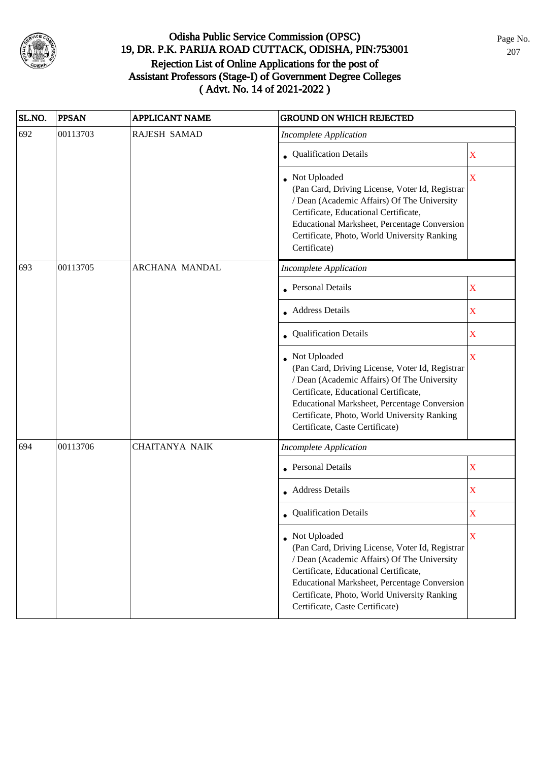

| SL.NO. | <b>PPSAN</b> | <b>APPLICANT NAME</b> | <b>GROUND ON WHICH REJECTED</b>                                                                                                                                                                                                                                                              |                         |
|--------|--------------|-----------------------|----------------------------------------------------------------------------------------------------------------------------------------------------------------------------------------------------------------------------------------------------------------------------------------------|-------------------------|
| 692    | 00113703     | RAJESH SAMAD          | <b>Incomplete Application</b>                                                                                                                                                                                                                                                                |                         |
|        |              |                       | Qualification Details                                                                                                                                                                                                                                                                        | $\mathbf X$             |
|        |              |                       | • Not Uploaded<br>(Pan Card, Driving License, Voter Id, Registrar<br>/ Dean (Academic Affairs) Of The University<br>Certificate, Educational Certificate,<br>Educational Marksheet, Percentage Conversion<br>Certificate, Photo, World University Ranking<br>Certificate)                    | $\overline{\textbf{X}}$ |
| 693    | 00113705     | ARCHANA MANDAL        | <b>Incomplete Application</b>                                                                                                                                                                                                                                                                |                         |
|        |              |                       | <b>Personal Details</b>                                                                                                                                                                                                                                                                      | $\mathbf X$             |
|        |              |                       | • Address Details                                                                                                                                                                                                                                                                            | $\overline{\text{X}}$   |
|        |              |                       | Qualification Details                                                                                                                                                                                                                                                                        | $\overline{\mathbf{X}}$ |
|        |              |                       | Not Uploaded<br>(Pan Card, Driving License, Voter Id, Registrar<br>/ Dean (Academic Affairs) Of The University<br>Certificate, Educational Certificate,<br>Educational Marksheet, Percentage Conversion<br>Certificate, Photo, World University Ranking<br>Certificate, Caste Certificate)   | X                       |
| 694    | 00113706     | <b>CHAITANYA NAIK</b> | <b>Incomplete Application</b>                                                                                                                                                                                                                                                                |                         |
|        |              |                       | <b>Personal Details</b>                                                                                                                                                                                                                                                                      | $\overline{\text{X}}$   |
|        |              |                       | <b>Address Details</b>                                                                                                                                                                                                                                                                       | $\overline{\text{X}}$   |
|        |              |                       | • Qualification Details                                                                                                                                                                                                                                                                      | X                       |
|        |              |                       | • Not Uploaded<br>(Pan Card, Driving License, Voter Id, Registrar<br>/ Dean (Academic Affairs) Of The University<br>Certificate, Educational Certificate,<br>Educational Marksheet, Percentage Conversion<br>Certificate, Photo, World University Ranking<br>Certificate, Caste Certificate) | X                       |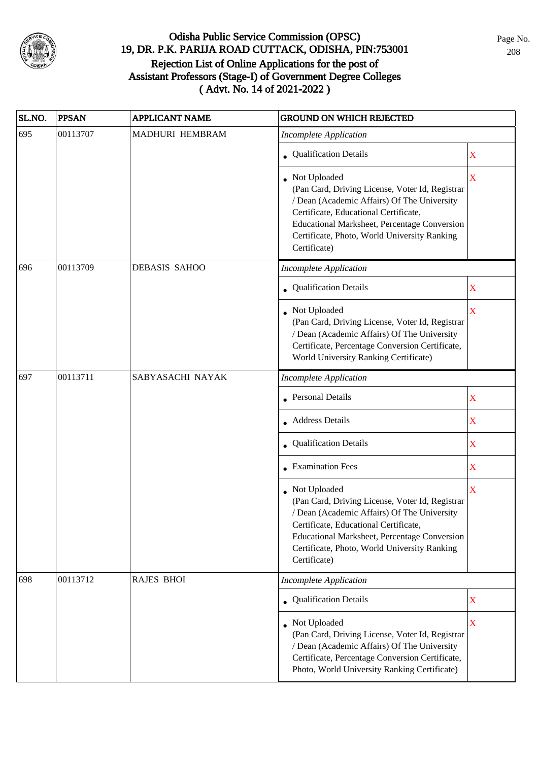

| SL.NO. | <b>PPSAN</b> | <b>APPLICANT NAME</b> | <b>GROUND ON WHICH REJECTED</b>                                                                                                                                                                                                                                         |             |
|--------|--------------|-----------------------|-------------------------------------------------------------------------------------------------------------------------------------------------------------------------------------------------------------------------------------------------------------------------|-------------|
| 695    | 00113707     | MADHURI HEMBRAM       | <b>Incomplete Application</b>                                                                                                                                                                                                                                           |             |
|        |              |                       | • Qualification Details                                                                                                                                                                                                                                                 | X           |
|        |              |                       | Not Uploaded<br>(Pan Card, Driving License, Voter Id, Registrar<br>/ Dean (Academic Affairs) Of The University<br>Certificate, Educational Certificate,<br>Educational Marksheet, Percentage Conversion<br>Certificate, Photo, World University Ranking<br>Certificate) | $\mathbf X$ |
| 696    | 00113709     | <b>DEBASIS SAHOO</b>  | <b>Incomplete Application</b>                                                                                                                                                                                                                                           |             |
|        |              |                       | Qualification Details                                                                                                                                                                                                                                                   | X           |
|        |              |                       | • Not Uploaded<br>(Pan Card, Driving License, Voter Id, Registrar<br>/ Dean (Academic Affairs) Of The University<br>Certificate, Percentage Conversion Certificate,<br>World University Ranking Certificate)                                                            | X           |
| 697    | 00113711     | SABYASACHI NAYAK      | Incomplete Application                                                                                                                                                                                                                                                  |             |
|        |              |                       | • Personal Details                                                                                                                                                                                                                                                      | $\mathbf X$ |
|        |              |                       | • Address Details                                                                                                                                                                                                                                                       | $\mathbf X$ |
|        |              |                       | Qualification Details                                                                                                                                                                                                                                                   | $\mathbf X$ |
|        |              |                       | <b>Examination Fees</b>                                                                                                                                                                                                                                                 | X           |
|        |              |                       | Not Uploaded<br>(Pan Card, Driving License, Voter Id, Registrar<br>/ Dean (Academic Affairs) Of The University<br>Certificate, Educational Certificate,<br>Educational Marksheet, Percentage Conversion<br>Certificate, Photo, World University Ranking<br>Certificate) | $\mathbf X$ |
| 698    | 00113712     | <b>RAJES BHOI</b>     | <b>Incomplete Application</b>                                                                                                                                                                                                                                           |             |
|        |              |                       | • Qualification Details                                                                                                                                                                                                                                                 | $\mathbf X$ |
|        |              |                       | • Not Uploaded<br>(Pan Card, Driving License, Voter Id, Registrar<br>/ Dean (Academic Affairs) Of The University<br>Certificate, Percentage Conversion Certificate,<br>Photo, World University Ranking Certificate)                                                     | $\mathbf X$ |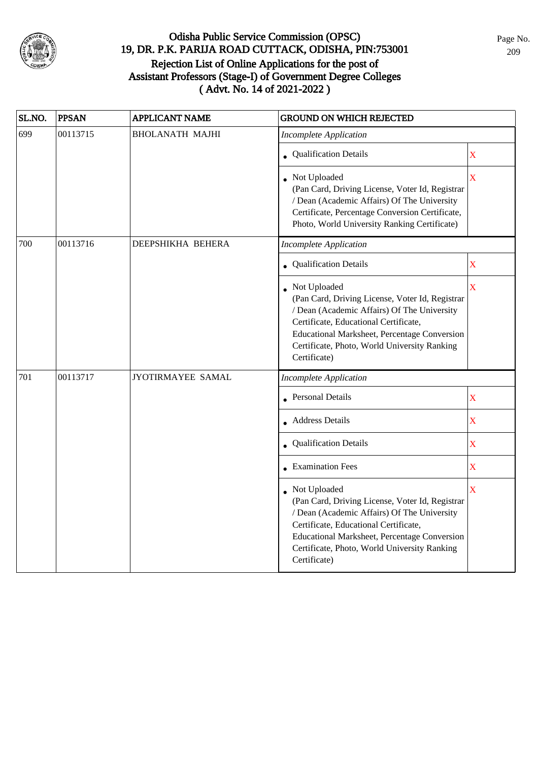

| SL.NO. | <b>PPSAN</b> | <b>APPLICANT NAME</b>  | <b>GROUND ON WHICH REJECTED</b>                                                                                                                                                                                                                                           |                         |
|--------|--------------|------------------------|---------------------------------------------------------------------------------------------------------------------------------------------------------------------------------------------------------------------------------------------------------------------------|-------------------------|
| 699    | 00113715     | <b>BHOLANATH MAJHI</b> | <b>Incomplete Application</b>                                                                                                                                                                                                                                             |                         |
|        |              |                        | • Qualification Details                                                                                                                                                                                                                                                   | $\overline{\mathbf{X}}$ |
|        |              |                        | Not Uploaded<br>(Pan Card, Driving License, Voter Id, Registrar<br>/ Dean (Academic Affairs) Of The University<br>Certificate, Percentage Conversion Certificate,<br>Photo, World University Ranking Certificate)                                                         | X                       |
| 700    | 00113716     | DEEPSHIKHA BEHERA      | <b>Incomplete Application</b>                                                                                                                                                                                                                                             |                         |
|        |              |                        | • Qualification Details                                                                                                                                                                                                                                                   | $\mathbf X$             |
|        |              |                        | • Not Uploaded<br>(Pan Card, Driving License, Voter Id, Registrar<br>/ Dean (Academic Affairs) Of The University<br>Certificate, Educational Certificate,<br>Educational Marksheet, Percentage Conversion<br>Certificate, Photo, World University Ranking<br>Certificate) | X                       |
| 701    | 00113717     | JYOTIRMAYEE SAMAL      | <b>Incomplete Application</b>                                                                                                                                                                                                                                             |                         |
|        |              |                        | • Personal Details                                                                                                                                                                                                                                                        | X                       |
|        |              |                        | Address Details                                                                                                                                                                                                                                                           | $\mathbf X$             |
|        |              |                        | Qualification Details                                                                                                                                                                                                                                                     | $\mathbf X$             |
|        |              |                        | • Examination Fees                                                                                                                                                                                                                                                        | $\mathbf X$             |
|        |              |                        | Not Uploaded<br>(Pan Card, Driving License, Voter Id, Registrar<br>/ Dean (Academic Affairs) Of The University<br>Certificate, Educational Certificate,<br>Educational Marksheet, Percentage Conversion<br>Certificate, Photo, World University Ranking<br>Certificate)   | X                       |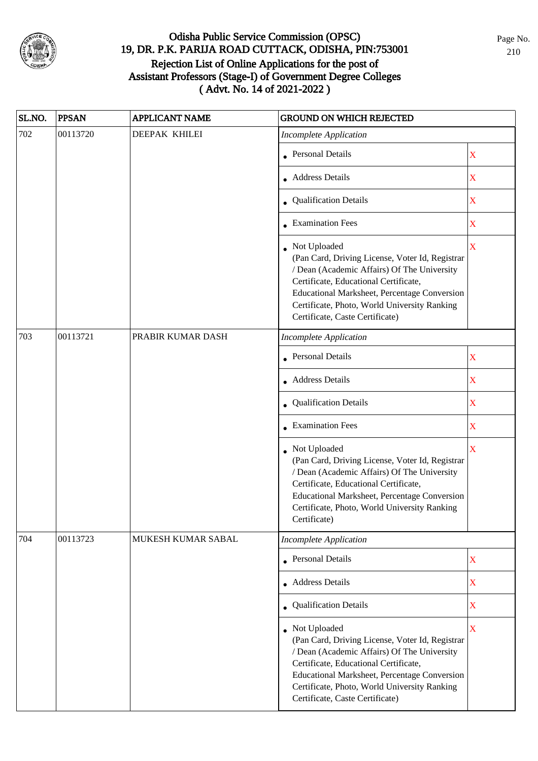

| SL.NO. | <b>PPSAN</b> | <b>APPLICANT NAME</b> | <b>GROUND ON WHICH REJECTED</b>                                                                                                                                                                                                                                                              |                         |
|--------|--------------|-----------------------|----------------------------------------------------------------------------------------------------------------------------------------------------------------------------------------------------------------------------------------------------------------------------------------------|-------------------------|
| 702    | 00113720     | DEEPAK KHILEI         | <b>Incomplete Application</b>                                                                                                                                                                                                                                                                |                         |
|        |              |                       | • Personal Details                                                                                                                                                                                                                                                                           | X                       |
|        |              |                       | Address Details                                                                                                                                                                                                                                                                              | $\mathbf X$             |
|        |              |                       | • Qualification Details                                                                                                                                                                                                                                                                      | X                       |
|        |              |                       | $\bullet$ Examination Fees                                                                                                                                                                                                                                                                   | $\mathbf X$             |
|        |              |                       | Not Uploaded<br>(Pan Card, Driving License, Voter Id, Registrar<br>/ Dean (Academic Affairs) Of The University<br>Certificate, Educational Certificate,<br>Educational Marksheet, Percentage Conversion<br>Certificate, Photo, World University Ranking<br>Certificate, Caste Certificate)   | $\mathbf X$             |
| 703    | 00113721     | PRABIR KUMAR DASH     | <b>Incomplete Application</b>                                                                                                                                                                                                                                                                |                         |
|        |              |                       | <b>Personal Details</b>                                                                                                                                                                                                                                                                      | $\mathbf X$             |
|        |              |                       | <b>Address Details</b>                                                                                                                                                                                                                                                                       | $\mathbf X$             |
|        |              |                       | • Qualification Details                                                                                                                                                                                                                                                                      | $\mathbf X$             |
|        |              |                       | $\bullet$ Examination Fees                                                                                                                                                                                                                                                                   | $\mathbf X$             |
|        |              |                       | • Not Uploaded<br>(Pan Card, Driving License, Voter Id, Registrar<br>/ Dean (Academic Affairs) Of The University<br>Certificate, Educational Certificate,<br>Educational Marksheet, Percentage Conversion<br>Certificate, Photo, World University Ranking<br>Certificate)                    | $\overline{\mathbf{X}}$ |
| 704    | 00113723     | MUKESH KUMAR SABAL    | <b>Incomplete Application</b>                                                                                                                                                                                                                                                                |                         |
|        |              |                       | Personal Details                                                                                                                                                                                                                                                                             | $\mathbf X$             |
|        |              |                       | • Address Details                                                                                                                                                                                                                                                                            | $\mathbf X$             |
|        |              |                       | • Qualification Details                                                                                                                                                                                                                                                                      | $\mathbf X$             |
|        |              |                       | • Not Uploaded<br>(Pan Card, Driving License, Voter Id, Registrar<br>/ Dean (Academic Affairs) Of The University<br>Certificate, Educational Certificate,<br>Educational Marksheet, Percentage Conversion<br>Certificate, Photo, World University Ranking<br>Certificate, Caste Certificate) | $\overline{\mathbf{X}}$ |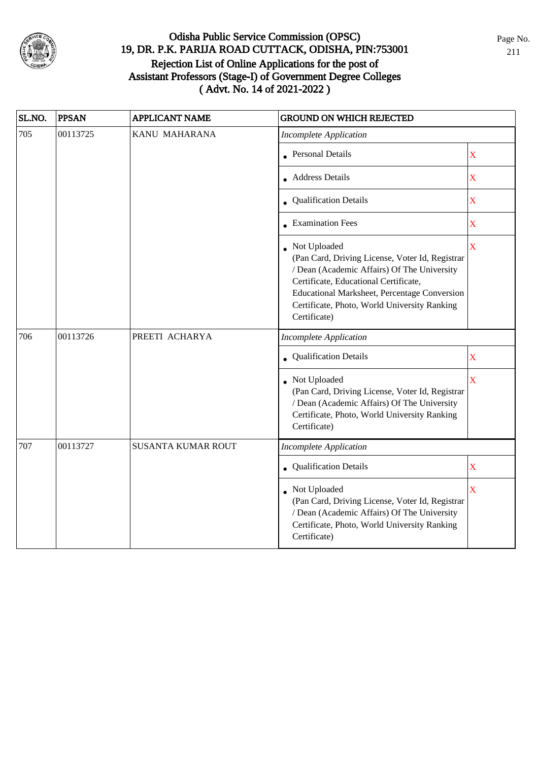

| SL.NO. | <b>PPSAN</b> | <b>APPLICANT NAME</b>     | <b>GROUND ON WHICH REJECTED</b>                                                                                                                                                                                                                                           |                    |
|--------|--------------|---------------------------|---------------------------------------------------------------------------------------------------------------------------------------------------------------------------------------------------------------------------------------------------------------------------|--------------------|
| 705    | 00113725     | KANU MAHARANA             | <b>Incomplete Application</b>                                                                                                                                                                                                                                             |                    |
|        |              |                           | <b>Personal Details</b>                                                                                                                                                                                                                                                   | $\mathbf X$        |
|        |              |                           | <b>Address Details</b>                                                                                                                                                                                                                                                    | X                  |
|        |              |                           | Qualification Details                                                                                                                                                                                                                                                     | $\mathbf X$        |
|        |              | • Examination Fees        | $\mathbf X$                                                                                                                                                                                                                                                               |                    |
|        |              |                           | • Not Uploaded<br>(Pan Card, Driving License, Voter Id, Registrar<br>/ Dean (Academic Affairs) Of The University<br>Certificate, Educational Certificate,<br>Educational Marksheet, Percentage Conversion<br>Certificate, Photo, World University Ranking<br>Certificate) | $\bar{\mathbf{X}}$ |
| 706    | 00113726     | PREETI ACHARYA            | <b>Incomplete Application</b>                                                                                                                                                                                                                                             |                    |
|        |              |                           | • Qualification Details                                                                                                                                                                                                                                                   | $\bar{\textbf{X}}$ |
|        |              |                           | • Not Uploaded<br>(Pan Card, Driving License, Voter Id, Registrar<br>/ Dean (Academic Affairs) Of The University<br>Certificate, Photo, World University Ranking<br>Certificate)                                                                                          | $\bar{X}$          |
| 707    | 00113727     | <b>SUSANTA KUMAR ROUT</b> | <b>Incomplete Application</b>                                                                                                                                                                                                                                             |                    |
|        |              |                           | Qualification Details                                                                                                                                                                                                                                                     | $\mathbf X$        |
|        |              |                           | Not Uploaded<br>(Pan Card, Driving License, Voter Id, Registrar<br>/ Dean (Academic Affairs) Of The University<br>Certificate, Photo, World University Ranking<br>Certificate)                                                                                            | X                  |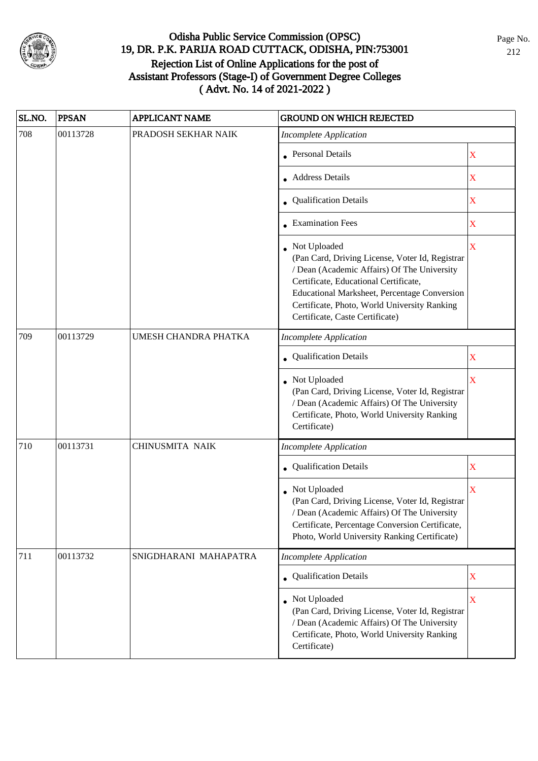

| SL.NO. | <b>PPSAN</b> | <b>APPLICANT NAME</b> | <b>GROUND ON WHICH REJECTED</b>                                                                                                                                                                                                                                                            |                         |
|--------|--------------|-----------------------|--------------------------------------------------------------------------------------------------------------------------------------------------------------------------------------------------------------------------------------------------------------------------------------------|-------------------------|
| 708    | 00113728     | PRADOSH SEKHAR NAIK   | <b>Incomplete Application</b>                                                                                                                                                                                                                                                              |                         |
|        |              |                       | • Personal Details                                                                                                                                                                                                                                                                         | $\mathbf X$             |
|        |              |                       | <b>Address Details</b>                                                                                                                                                                                                                                                                     | $\mathbf X$             |
|        |              |                       | • Qualification Details                                                                                                                                                                                                                                                                    | $\mathbf X$             |
|        |              |                       | • Examination Fees                                                                                                                                                                                                                                                                         | $\mathbf X$             |
|        |              |                       | Not Uploaded<br>(Pan Card, Driving License, Voter Id, Registrar<br>/ Dean (Academic Affairs) Of The University<br>Certificate, Educational Certificate,<br>Educational Marksheet, Percentage Conversion<br>Certificate, Photo, World University Ranking<br>Certificate, Caste Certificate) | $\mathbf X$             |
| 709    | 00113729     | UMESH CHANDRA PHATKA  | <b>Incomplete Application</b>                                                                                                                                                                                                                                                              |                         |
|        |              |                       | Qualification Details                                                                                                                                                                                                                                                                      | X                       |
|        |              |                       | Not Uploaded<br>(Pan Card, Driving License, Voter Id, Registrar<br>/ Dean (Academic Affairs) Of The University<br>Certificate, Photo, World University Ranking<br>Certificate)                                                                                                             | $\overline{\mathbf{X}}$ |
| 710    | 00113731     | CHINUSMITA NAIK       | <b>Incomplete Application</b>                                                                                                                                                                                                                                                              |                         |
|        |              |                       | Qualification Details                                                                                                                                                                                                                                                                      | $\mathbf X$             |
|        |              |                       | Not Uploaded<br>(Pan Card, Driving License, Voter Id, Registrar<br>/ Dean (Academic Affairs) Of The University<br>Certificate, Percentage Conversion Certificate,<br>Photo, World University Ranking Certificate)                                                                          | $\overline{\mathbf{X}}$ |
| 711    | 00113732     | SNIGDHARANI MAHAPATRA | <b>Incomplete Application</b>                                                                                                                                                                                                                                                              |                         |
|        |              |                       | <b>Qualification Details</b>                                                                                                                                                                                                                                                               | $\mathbf X$             |
|        |              |                       | Not Uploaded<br>(Pan Card, Driving License, Voter Id, Registrar<br>/ Dean (Academic Affairs) Of The University<br>Certificate, Photo, World University Ranking<br>Certificate)                                                                                                             | $\overline{\mathbf{X}}$ |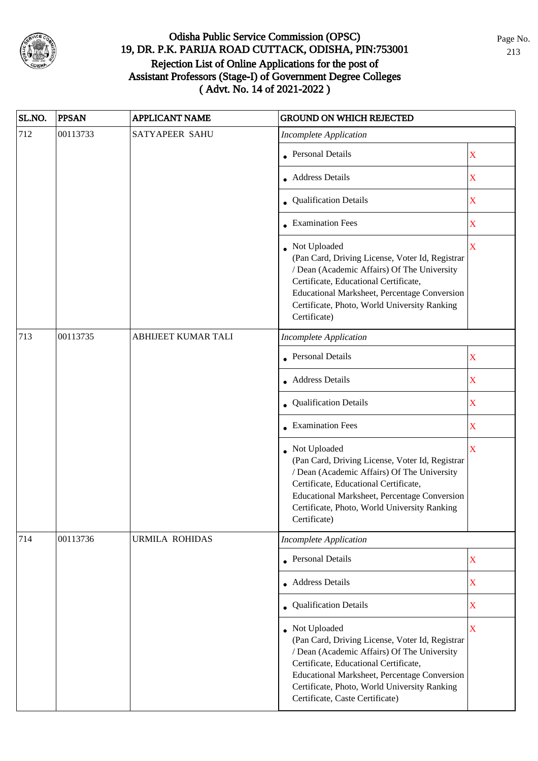

| SL.NO. | <b>PPSAN</b> | <b>APPLICANT NAME</b>      | <b>GROUND ON WHICH REJECTED</b>                                                                                                                                                                                                                                                              |             |
|--------|--------------|----------------------------|----------------------------------------------------------------------------------------------------------------------------------------------------------------------------------------------------------------------------------------------------------------------------------------------|-------------|
| 712    | 00113733     | <b>SATYAPEER SAHU</b>      | <b>Incomplete Application</b>                                                                                                                                                                                                                                                                |             |
|        |              |                            | <b>Personal Details</b>                                                                                                                                                                                                                                                                      | $\mathbf X$ |
|        |              |                            | <b>Address Details</b>                                                                                                                                                                                                                                                                       | $\mathbf X$ |
|        |              |                            | • Qualification Details                                                                                                                                                                                                                                                                      | $\mathbf X$ |
|        |              |                            | • Examination Fees                                                                                                                                                                                                                                                                           | $\mathbf X$ |
|        |              |                            | • Not Uploaded<br>(Pan Card, Driving License, Voter Id, Registrar<br>/ Dean (Academic Affairs) Of The University<br>Certificate, Educational Certificate,<br>Educational Marksheet, Percentage Conversion<br>Certificate, Photo, World University Ranking<br>Certificate)                    | $\mathbf X$ |
| 713    | 00113735     | <b>ABHIJEET KUMAR TALI</b> | <b>Incomplete Application</b>                                                                                                                                                                                                                                                                |             |
|        |              |                            | <b>Personal Details</b>                                                                                                                                                                                                                                                                      | $\mathbf X$ |
|        |              |                            | <b>Address Details</b>                                                                                                                                                                                                                                                                       | X           |
|        |              |                            | • Qualification Details                                                                                                                                                                                                                                                                      | $\mathbf X$ |
|        |              |                            | • Examination Fees                                                                                                                                                                                                                                                                           | $\mathbf X$ |
|        |              |                            | • Not Uploaded<br>(Pan Card, Driving License, Voter Id, Registrar<br>/ Dean (Academic Affairs) Of The University<br>Certificate, Educational Certificate,<br>Educational Marksheet, Percentage Conversion<br>Certificate, Photo, World University Ranking<br>Certificate)                    | X           |
| 714    | 00113736     | <b>URMILA ROHIDAS</b>      | <b>Incomplete Application</b>                                                                                                                                                                                                                                                                |             |
|        |              |                            | <b>Personal Details</b>                                                                                                                                                                                                                                                                      | $\mathbf X$ |
|        |              |                            | • Address Details                                                                                                                                                                                                                                                                            | $\mathbf X$ |
|        |              |                            | <b>Qualification Details</b>                                                                                                                                                                                                                                                                 | $\mathbf X$ |
|        |              |                            | • Not Uploaded<br>(Pan Card, Driving License, Voter Id, Registrar<br>/ Dean (Academic Affairs) Of The University<br>Certificate, Educational Certificate,<br>Educational Marksheet, Percentage Conversion<br>Certificate, Photo, World University Ranking<br>Certificate, Caste Certificate) | $\mathbf X$ |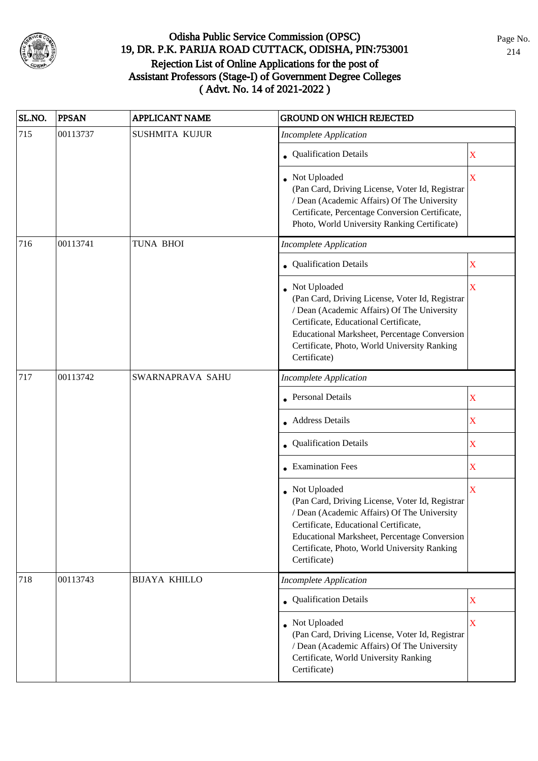

| SL.NO. | <b>PPSAN</b>                                                  | <b>APPLICANT NAME</b> | <b>GROUND ON WHICH REJECTED</b>                                                                                                                                                                                                                                         |                         |
|--------|---------------------------------------------------------------|-----------------------|-------------------------------------------------------------------------------------------------------------------------------------------------------------------------------------------------------------------------------------------------------------------------|-------------------------|
| 715    | 00113737                                                      | SUSHMITA KUJUR        | <b>Incomplete Application</b>                                                                                                                                                                                                                                           |                         |
|        |                                                               |                       | • Qualification Details                                                                                                                                                                                                                                                 | $\mathbf X$             |
|        |                                                               |                       | Not Uploaded<br>(Pan Card, Driving License, Voter Id, Registrar<br>/ Dean (Academic Affairs) Of The University<br>Certificate, Percentage Conversion Certificate,<br>Photo, World University Ranking Certificate)                                                       | $\overline{\mathbf{X}}$ |
| 716    | 00113741                                                      | TUNA BHOI             | <b>Incomplete Application</b>                                                                                                                                                                                                                                           |                         |
|        |                                                               |                       | • Qualification Details                                                                                                                                                                                                                                                 | $\mathbf X$             |
|        |                                                               |                       | Not Uploaded<br>(Pan Card, Driving License, Voter Id, Registrar<br>/ Dean (Academic Affairs) Of The University<br>Certificate, Educational Certificate,<br>Educational Marksheet, Percentage Conversion<br>Certificate, Photo, World University Ranking<br>Certificate) | $\overline{\mathbf{X}}$ |
| 717    | 00113742<br>SWARNAPRAVA SAHU<br><b>Incomplete Application</b> |                       |                                                                                                                                                                                                                                                                         |                         |
|        |                                                               |                       | <b>Personal Details</b>                                                                                                                                                                                                                                                 | $\mathbf X$             |
|        |                                                               |                       | • Address Details                                                                                                                                                                                                                                                       | $\mathbf X$             |
|        |                                                               |                       | Qualification Details                                                                                                                                                                                                                                                   | $\mathbf X$             |
|        |                                                               |                       | • Examination Fees                                                                                                                                                                                                                                                      | X                       |
|        |                                                               |                       | Not Uploaded<br>(Pan Card, Driving License, Voter Id, Registrar<br>/ Dean (Academic Affairs) Of The University<br>Certificate, Educational Certificate,<br>Educational Marksheet, Percentage Conversion<br>Certificate, Photo, World University Ranking<br>Certificate) | $\overline{\mathbf{X}}$ |
| 718    | 00113743                                                      | <b>BIJAYA KHILLO</b>  | <b>Incomplete Application</b>                                                                                                                                                                                                                                           |                         |
|        |                                                               |                       | • Qualification Details                                                                                                                                                                                                                                                 | $\mathbf X$             |
|        |                                                               |                       | Not Uploaded<br>(Pan Card, Driving License, Voter Id, Registrar<br>/ Dean (Academic Affairs) Of The University<br>Certificate, World University Ranking<br>Certificate)                                                                                                 | $\mathbf X$             |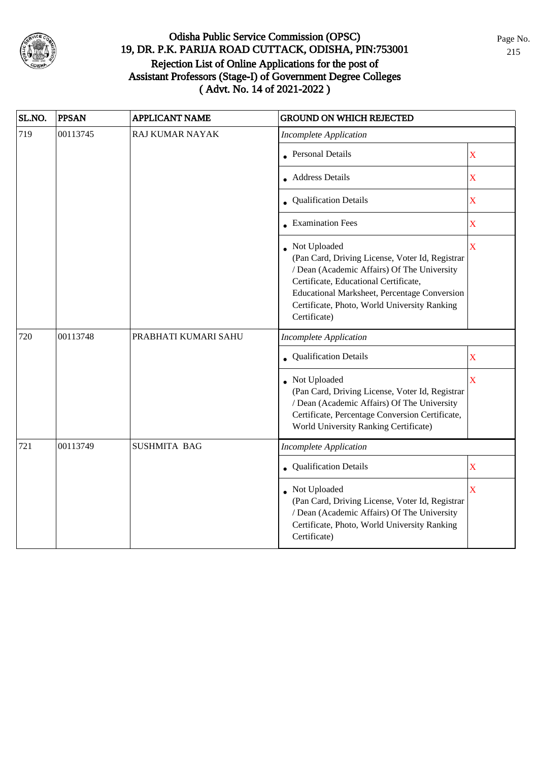

| SL.NO. | <b>PPSAN</b> | <b>APPLICANT NAME</b>  | <b>GROUND ON WHICH REJECTED</b>                                                                                                                                                                                                                                         |                       |
|--------|--------------|------------------------|-------------------------------------------------------------------------------------------------------------------------------------------------------------------------------------------------------------------------------------------------------------------------|-----------------------|
| 719    | 00113745     | <b>RAJ KUMAR NAYAK</b> | <b>Incomplete Application</b>                                                                                                                                                                                                                                           |                       |
|        |              |                        | • Personal Details                                                                                                                                                                                                                                                      | $\mathbf X$           |
|        |              |                        | • Address Details                                                                                                                                                                                                                                                       | $\overline{\text{X}}$ |
|        |              |                        | • Qualification Details                                                                                                                                                                                                                                                 | $\overline{\text{X}}$ |
|        |              |                        | • Examination Fees                                                                                                                                                                                                                                                      | $\overline{\text{X}}$ |
|        |              |                        | Not Uploaded<br>(Pan Card, Driving License, Voter Id, Registrar<br>/ Dean (Academic Affairs) Of The University<br>Certificate, Educational Certificate,<br>Educational Marksheet, Percentage Conversion<br>Certificate, Photo, World University Ranking<br>Certificate) | $\bar{\textbf{X}}$    |
| 720    | 00113748     | PRABHATI KUMARI SAHU   | <b>Incomplete Application</b>                                                                                                                                                                                                                                           |                       |
|        |              |                        | Qualification Details                                                                                                                                                                                                                                                   | $\overline{\text{X}}$ |
|        |              |                        | Not Uploaded<br>(Pan Card, Driving License, Voter Id, Registrar<br>/ Dean (Academic Affairs) Of The University<br>Certificate, Percentage Conversion Certificate,<br>World University Ranking Certificate)                                                              | $\bar{\textbf{X}}$    |
| 721    | 00113749     | <b>SUSHMITA BAG</b>    | <b>Incomplete Application</b>                                                                                                                                                                                                                                           |                       |
|        |              |                        | Qualification Details                                                                                                                                                                                                                                                   | X                     |
|        |              |                        | Not Uploaded<br>(Pan Card, Driving License, Voter Id, Registrar<br>/ Dean (Academic Affairs) Of The University<br>Certificate, Photo, World University Ranking<br>Certificate)                                                                                          | X                     |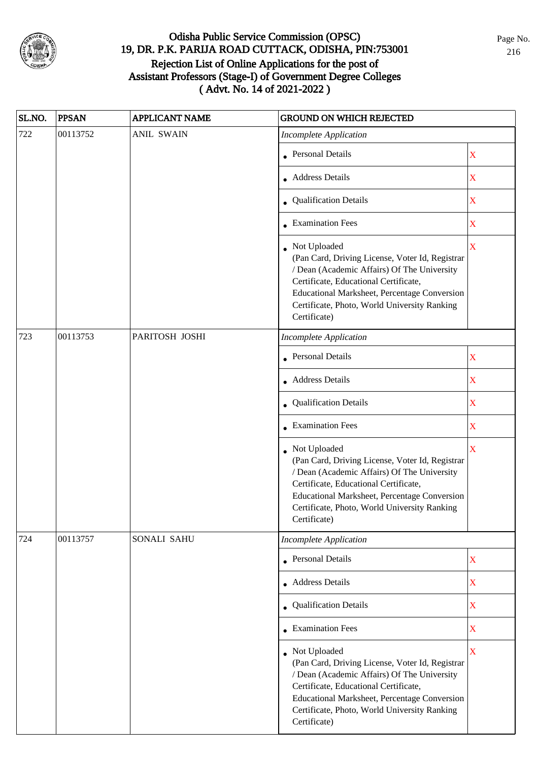

| SL.NO. | <b>PPSAN</b> | <b>APPLICANT NAME</b> | <b>GROUND ON WHICH REJECTED</b>                                                                                                                                                                                                                                           |             |
|--------|--------------|-----------------------|---------------------------------------------------------------------------------------------------------------------------------------------------------------------------------------------------------------------------------------------------------------------------|-------------|
| 722    | 00113752     | <b>ANIL SWAIN</b>     | <b>Incomplete Application</b>                                                                                                                                                                                                                                             |             |
|        |              |                       | • Personal Details                                                                                                                                                                                                                                                        | $\mathbf X$ |
|        |              |                       | • Address Details                                                                                                                                                                                                                                                         | $\mathbf X$ |
|        |              |                       | • Qualification Details                                                                                                                                                                                                                                                   | $\mathbf X$ |
|        |              |                       | • Examination Fees                                                                                                                                                                                                                                                        | $\mathbf X$ |
|        |              |                       | Not Uploaded<br>(Pan Card, Driving License, Voter Id, Registrar<br>/ Dean (Academic Affairs) Of The University<br>Certificate, Educational Certificate,<br>Educational Marksheet, Percentage Conversion<br>Certificate, Photo, World University Ranking<br>Certificate)   | X           |
| 723    | 00113753     | PARITOSH JOSHI        | <b>Incomplete Application</b>                                                                                                                                                                                                                                             |             |
|        |              |                       | <b>Personal Details</b>                                                                                                                                                                                                                                                   | $\mathbf X$ |
|        |              |                       | • Address Details                                                                                                                                                                                                                                                         | $\mathbf X$ |
|        |              |                       | • Qualification Details                                                                                                                                                                                                                                                   | $\mathbf X$ |
|        |              |                       | • Examination Fees                                                                                                                                                                                                                                                        | $\mathbf X$ |
|        |              |                       | • Not Uploaded<br>(Pan Card, Driving License, Voter Id, Registrar<br>/ Dean (Academic Affairs) Of The University<br>Certificate, Educational Certificate,<br>Educational Marksheet, Percentage Conversion<br>Certificate, Photo, World University Ranking<br>Certificate) | X           |
| 724    | 00113757     | SONALI SAHU           | <b>Incomplete Application</b>                                                                                                                                                                                                                                             |             |
|        |              |                       | Personal Details                                                                                                                                                                                                                                                          | $\mathbf X$ |
|        |              |                       | • Address Details                                                                                                                                                                                                                                                         | $\mathbf X$ |
|        |              |                       | • Qualification Details                                                                                                                                                                                                                                                   | $\mathbf X$ |
|        |              |                       | $\bullet$ Examination Fees                                                                                                                                                                                                                                                | $\mathbf X$ |
|        |              |                       | • Not Uploaded<br>(Pan Card, Driving License, Voter Id, Registrar<br>/ Dean (Academic Affairs) Of The University<br>Certificate, Educational Certificate,<br>Educational Marksheet, Percentage Conversion<br>Certificate, Photo, World University Ranking<br>Certificate) | $\mathbf X$ |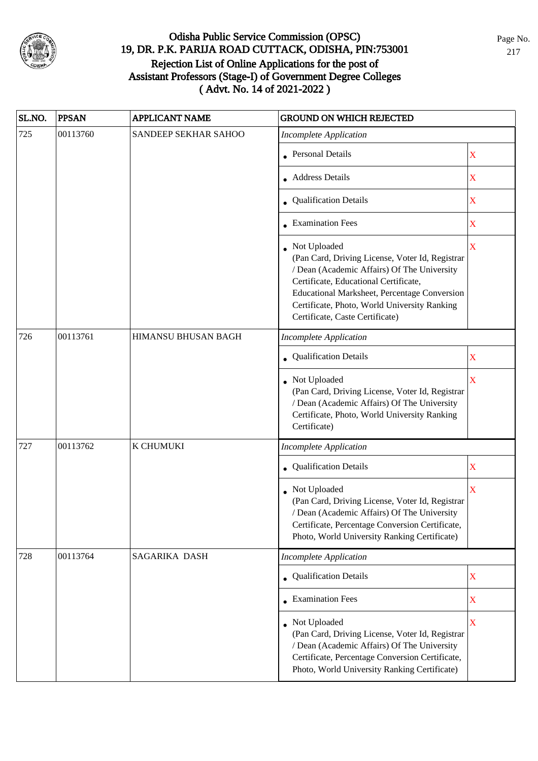

| SL.NO.  | <b>PPSAN</b> | <b>APPLICANT NAME</b> | <b>GROUND ON WHICH REJECTED</b>                                                                                                                                                                                                                                                            |             |
|---------|--------------|-----------------------|--------------------------------------------------------------------------------------------------------------------------------------------------------------------------------------------------------------------------------------------------------------------------------------------|-------------|
| 725     | 00113760     | SANDEEP SEKHAR SAHOO  | <b>Incomplete Application</b>                                                                                                                                                                                                                                                              |             |
|         |              |                       | • Personal Details                                                                                                                                                                                                                                                                         | X           |
|         |              |                       | • Address Details                                                                                                                                                                                                                                                                          | $\mathbf X$ |
|         |              |                       | <b>Qualification Details</b>                                                                                                                                                                                                                                                               | X           |
|         |              |                       | • Examination Fees                                                                                                                                                                                                                                                                         | X           |
|         |              |                       | Not Uploaded<br>(Pan Card, Driving License, Voter Id, Registrar<br>/ Dean (Academic Affairs) Of The University<br>Certificate, Educational Certificate,<br>Educational Marksheet, Percentage Conversion<br>Certificate, Photo, World University Ranking<br>Certificate, Caste Certificate) | $\mathbf X$ |
| 726     | 00113761     | HIMANSU BHUSAN BAGH   | <b>Incomplete Application</b>                                                                                                                                                                                                                                                              |             |
|         |              |                       | Qualification Details                                                                                                                                                                                                                                                                      | X           |
|         |              |                       | Not Uploaded<br>(Pan Card, Driving License, Voter Id, Registrar<br>/ Dean (Academic Affairs) Of The University<br>Certificate, Photo, World University Ranking<br>Certificate)                                                                                                             | $\mathbf X$ |
| $727\,$ | 00113762     | K CHUMUKI             | <b>Incomplete Application</b>                                                                                                                                                                                                                                                              |             |
|         |              |                       | Qualification Details                                                                                                                                                                                                                                                                      | $\mathbf X$ |
|         |              |                       | Not Uploaded<br>(Pan Card, Driving License, Voter Id, Registrar<br>/ Dean (Academic Affairs) Of The University<br>Certificate, Percentage Conversion Certificate,<br>Photo, World University Ranking Certificate)                                                                          | X           |
| 728     | 00113764     | SAGARIKA DASH         | <b>Incomplete Application</b>                                                                                                                                                                                                                                                              |             |
|         |              |                       | • Qualification Details                                                                                                                                                                                                                                                                    | $\mathbf X$ |
|         |              |                       | $\bullet$ Examination Fees                                                                                                                                                                                                                                                                 | $\mathbf X$ |
|         |              |                       | • Not Uploaded<br>(Pan Card, Driving License, Voter Id, Registrar<br>/ Dean (Academic Affairs) Of The University<br>Certificate, Percentage Conversion Certificate,<br>Photo, World University Ranking Certificate)                                                                        | $\mathbf X$ |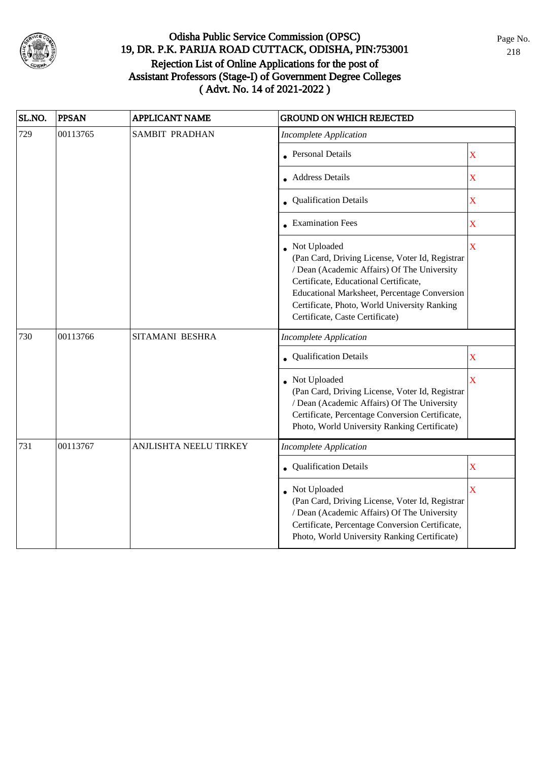

| SL.NO. | <b>PPSAN</b>            | <b>APPLICANT NAME</b>  | <b>GROUND ON WHICH REJECTED</b>                                                                                                                                                                                                                                                            |                       |
|--------|-------------------------|------------------------|--------------------------------------------------------------------------------------------------------------------------------------------------------------------------------------------------------------------------------------------------------------------------------------------|-----------------------|
| 729    | 00113765                | <b>SAMBIT PRADHAN</b>  | <b>Incomplete Application</b>                                                                                                                                                                                                                                                              |                       |
|        | • Personal Details      | $\overline{\text{X}}$  |                                                                                                                                                                                                                                                                                            |                       |
|        | • Address Details       | $\overline{\text{X}}$  |                                                                                                                                                                                                                                                                                            |                       |
|        | • Qualification Details | $\overline{\text{X}}$  |                                                                                                                                                                                                                                                                                            |                       |
|        | • Examination Fees      | $\overline{\text{X}}$  |                                                                                                                                                                                                                                                                                            |                       |
|        |                         |                        | Not Uploaded<br>(Pan Card, Driving License, Voter Id, Registrar<br>/ Dean (Academic Affairs) Of The University<br>Certificate, Educational Certificate,<br>Educational Marksheet, Percentage Conversion<br>Certificate, Photo, World University Ranking<br>Certificate, Caste Certificate) | $\bar{\textbf{X}}$    |
| 730    | 00113766                | SITAMANI BESHRA        | <b>Incomplete Application</b>                                                                                                                                                                                                                                                              |                       |
|        |                         |                        | Qualification Details                                                                                                                                                                                                                                                                      | $\bar{\textbf{X}}$    |
|        |                         |                        | Not Uploaded<br>(Pan Card, Driving License, Voter Id, Registrar<br>/ Dean (Academic Affairs) Of The University<br>Certificate, Percentage Conversion Certificate,<br>Photo, World University Ranking Certificate)                                                                          | $\bar{\textbf{X}}$    |
| 731    | 00113767                | ANJLISHTA NEELU TIRKEY | <b>Incomplete Application</b>                                                                                                                                                                                                                                                              |                       |
|        |                         |                        | <b>Qualification Details</b>                                                                                                                                                                                                                                                               | $\overline{\text{X}}$ |
|        |                         |                        | Not Uploaded<br>(Pan Card, Driving License, Voter Id, Registrar<br>/ Dean (Academic Affairs) Of The University<br>Certificate, Percentage Conversion Certificate,<br>Photo, World University Ranking Certificate)                                                                          | X                     |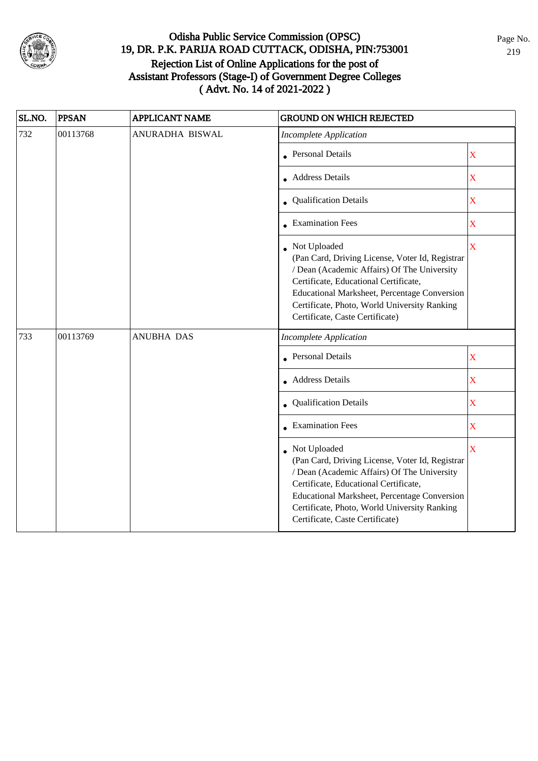

| SL.NO. | <b>PPSAN</b>            | <b>APPLICANT NAME</b> | <b>GROUND ON WHICH REJECTED</b>                                                                                                                                                                                                                                                              |                         |
|--------|-------------------------|-----------------------|----------------------------------------------------------------------------------------------------------------------------------------------------------------------------------------------------------------------------------------------------------------------------------------------|-------------------------|
| 732    | 00113768                | ANURADHA BISWAL       | <b>Incomplete Application</b>                                                                                                                                                                                                                                                                |                         |
|        |                         |                       | <b>Personal Details</b>                                                                                                                                                                                                                                                                      | $\overline{\mathbf{X}}$ |
|        | <b>Address Details</b>  | $\overline{\text{X}}$ |                                                                                                                                                                                                                                                                                              |                         |
|        | Qualification Details   | $\overline{\text{X}}$ |                                                                                                                                                                                                                                                                                              |                         |
|        | <b>Examination Fees</b> | $\overline{\text{X}}$ |                                                                                                                                                                                                                                                                                              |                         |
|        |                         |                       | • Not Uploaded<br>(Pan Card, Driving License, Voter Id, Registrar<br>/ Dean (Academic Affairs) Of The University<br>Certificate, Educational Certificate,<br>Educational Marksheet, Percentage Conversion<br>Certificate, Photo, World University Ranking<br>Certificate, Caste Certificate) | X                       |
| 733    | 00113769                | <b>ANUBHA DAS</b>     | <b>Incomplete Application</b>                                                                                                                                                                                                                                                                |                         |
|        |                         |                       | <b>Personal Details</b>                                                                                                                                                                                                                                                                      | $\overline{\text{X}}$   |
|        | • Address Details       | $\overline{\text{X}}$ |                                                                                                                                                                                                                                                                                              |                         |
|        |                         |                       | Qualification Details                                                                                                                                                                                                                                                                        | $\bar{\mathbf{X}}$      |
|        |                         |                       | <b>Examination Fees</b>                                                                                                                                                                                                                                                                      | $\overline{\text{X}}$   |
|        |                         |                       | • Not Uploaded<br>(Pan Card, Driving License, Voter Id, Registrar<br>/ Dean (Academic Affairs) Of The University<br>Certificate, Educational Certificate,<br>Educational Marksheet, Percentage Conversion<br>Certificate, Photo, World University Ranking<br>Certificate, Caste Certificate) | $\bar{\mathbf{X}}$      |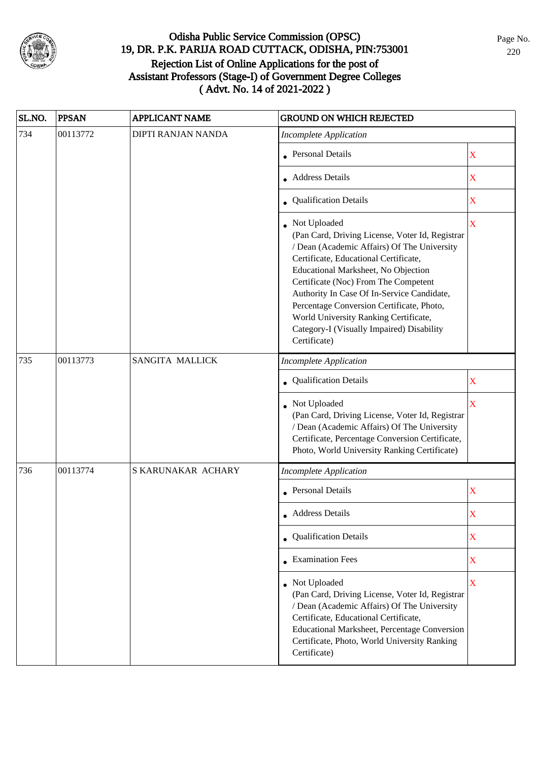

| SL.NO. | <b>PPSAN</b> | <b>APPLICANT NAME</b>  | <b>GROUND ON WHICH REJECTED</b>                                                                                                                                                                                                                                                                                                                                                                                                         |             |
|--------|--------------|------------------------|-----------------------------------------------------------------------------------------------------------------------------------------------------------------------------------------------------------------------------------------------------------------------------------------------------------------------------------------------------------------------------------------------------------------------------------------|-------------|
| 734    | 00113772     | DIPTI RANJAN NANDA     | <b>Incomplete Application</b>                                                                                                                                                                                                                                                                                                                                                                                                           |             |
|        |              |                        | • Personal Details                                                                                                                                                                                                                                                                                                                                                                                                                      | $\mathbf X$ |
|        |              |                        | • Address Details                                                                                                                                                                                                                                                                                                                                                                                                                       | $\mathbf X$ |
|        |              |                        | • Qualification Details                                                                                                                                                                                                                                                                                                                                                                                                                 | $\mathbf X$ |
|        |              |                        | Not Uploaded<br>(Pan Card, Driving License, Voter Id, Registrar<br>/ Dean (Academic Affairs) Of The University<br>Certificate, Educational Certificate,<br>Educational Marksheet, No Objection<br>Certificate (Noc) From The Competent<br>Authority In Case Of In-Service Candidate,<br>Percentage Conversion Certificate, Photo,<br>World University Ranking Certificate,<br>Category-I (Visually Impaired) Disability<br>Certificate) | X           |
| 735    | 00113773     | <b>SANGITA MALLICK</b> | <b>Incomplete Application</b>                                                                                                                                                                                                                                                                                                                                                                                                           |             |
|        |              |                        | • Qualification Details                                                                                                                                                                                                                                                                                                                                                                                                                 | $\mathbf X$ |
|        |              |                        | Not Uploaded<br>(Pan Card, Driving License, Voter Id, Registrar<br>/ Dean (Academic Affairs) Of The University<br>Certificate, Percentage Conversion Certificate,<br>Photo, World University Ranking Certificate)                                                                                                                                                                                                                       | $\mathbf X$ |
| 736    | 00113774     | S KARUNAKAR ACHARY     | <b>Incomplete Application</b>                                                                                                                                                                                                                                                                                                                                                                                                           |             |
|        |              |                        | • Personal Details                                                                                                                                                                                                                                                                                                                                                                                                                      | $\mathbf X$ |
|        |              |                        | • Address Details                                                                                                                                                                                                                                                                                                                                                                                                                       | X           |
|        |              |                        | • Qualification Details                                                                                                                                                                                                                                                                                                                                                                                                                 | $\mathbf X$ |
|        |              |                        | • Examination Fees                                                                                                                                                                                                                                                                                                                                                                                                                      | $\mathbf X$ |
|        |              |                        | • Not Uploaded<br>(Pan Card, Driving License, Voter Id, Registrar<br>/ Dean (Academic Affairs) Of The University<br>Certificate, Educational Certificate,<br>Educational Marksheet, Percentage Conversion<br>Certificate, Photo, World University Ranking<br>Certificate)                                                                                                                                                               | $\mathbf X$ |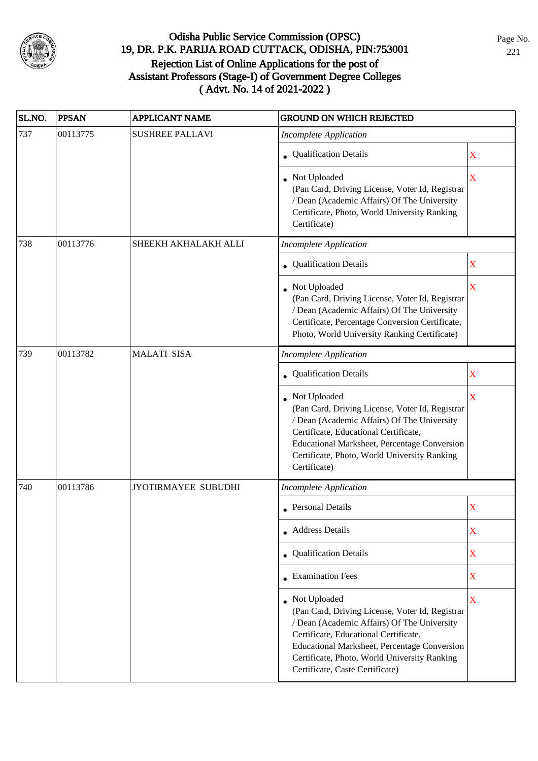

| SL.NO. | <b>PPSAN</b> | <b>APPLICANT NAME</b>  | <b>GROUND ON WHICH REJECTED</b>                                                                                                                                                                                                                                                              |                         |
|--------|--------------|------------------------|----------------------------------------------------------------------------------------------------------------------------------------------------------------------------------------------------------------------------------------------------------------------------------------------|-------------------------|
| 737    | 00113775     | <b>SUSHREE PALLAVI</b> | <b>Incomplete Application</b>                                                                                                                                                                                                                                                                |                         |
|        |              |                        | • Qualification Details                                                                                                                                                                                                                                                                      | X                       |
|        |              |                        | • Not Uploaded<br>(Pan Card, Driving License, Voter Id, Registrar<br>/ Dean (Academic Affairs) Of The University<br>Certificate, Photo, World University Ranking<br>Certificate)                                                                                                             | $\overline{\mathbf{X}}$ |
| 738    | 00113776     | SHEEKH AKHALAKH ALLI   | <b>Incomplete Application</b>                                                                                                                                                                                                                                                                |                         |
|        |              |                        | • Qualification Details                                                                                                                                                                                                                                                                      | $\mathbf X$             |
|        |              |                        | • Not Uploaded<br>(Pan Card, Driving License, Voter Id, Registrar<br>/ Dean (Academic Affairs) Of The University<br>Certificate, Percentage Conversion Certificate,<br>Photo, World University Ranking Certificate)                                                                          | $\overline{\mathbf{X}}$ |
| 739    | 00113782     | <b>MALATI SISA</b>     | <b>Incomplete Application</b>                                                                                                                                                                                                                                                                |                         |
|        |              |                        | • Qualification Details                                                                                                                                                                                                                                                                      | X                       |
|        |              |                        | Not Uploaded<br>(Pan Card, Driving License, Voter Id, Registrar<br>/ Dean (Academic Affairs) Of The University<br>Certificate, Educational Certificate,<br>Educational Marksheet, Percentage Conversion<br>Certificate, Photo, World University Ranking<br>Certificate)                      | X                       |
| 740    | 00113786     | JYOTIRMAYEE SUBUDHI    | <b>Incomplete Application</b>                                                                                                                                                                                                                                                                |                         |
|        |              |                        | • Personal Details                                                                                                                                                                                                                                                                           | X                       |
|        |              |                        | • Address Details                                                                                                                                                                                                                                                                            | X                       |
|        |              |                        | • Qualification Details                                                                                                                                                                                                                                                                      | $\mathbf X$             |
|        |              |                        | • Examination Fees                                                                                                                                                                                                                                                                           | $\mathbf X$             |
|        |              |                        | • Not Uploaded<br>(Pan Card, Driving License, Voter Id, Registrar<br>/ Dean (Academic Affairs) Of The University<br>Certificate, Educational Certificate,<br>Educational Marksheet, Percentage Conversion<br>Certificate, Photo, World University Ranking<br>Certificate, Caste Certificate) | $\mathbf X$             |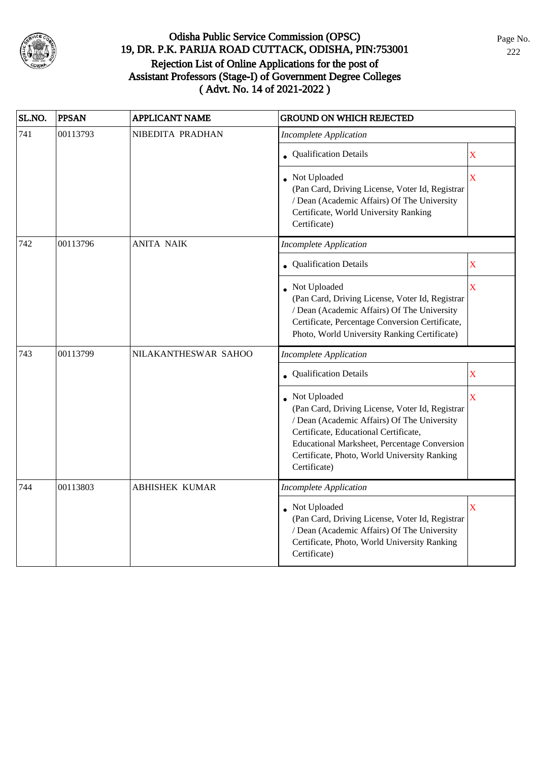

| SL.NO. | <b>PPSAN</b> | <b>APPLICANT NAME</b> | <b>GROUND ON WHICH REJECTED</b>                                                                                                                                                                                                                                         |                         |
|--------|--------------|-----------------------|-------------------------------------------------------------------------------------------------------------------------------------------------------------------------------------------------------------------------------------------------------------------------|-------------------------|
| 741    | 00113793     | NIBEDITA PRADHAN      | <b>Incomplete Application</b>                                                                                                                                                                                                                                           |                         |
|        |              |                       | • Qualification Details                                                                                                                                                                                                                                                 | $\overline{\text{X}}$   |
|        |              |                       | • Not Uploaded<br>(Pan Card, Driving License, Voter Id, Registrar<br>/ Dean (Academic Affairs) Of The University<br>Certificate, World University Ranking<br>Certificate)                                                                                               | $\overline{\mathbf{X}}$ |
| 742    | 00113796     | <b>ANITA NAIK</b>     | <b>Incomplete Application</b>                                                                                                                                                                                                                                           |                         |
|        |              |                       | Qualification Details                                                                                                                                                                                                                                                   | $\overline{\text{X}}$   |
|        |              |                       | Not Uploaded<br>(Pan Card, Driving License, Voter Id, Registrar<br>/ Dean (Academic Affairs) Of The University<br>Certificate, Percentage Conversion Certificate,<br>Photo, World University Ranking Certificate)                                                       | $\bar{X}$               |
| 743    | 00113799     | NILAKANTHESWAR SAHOO  | <b>Incomplete Application</b>                                                                                                                                                                                                                                           |                         |
|        |              |                       | <b>Qualification Details</b>                                                                                                                                                                                                                                            | $\mathbf X$             |
|        |              |                       | Not Uploaded<br>(Pan Card, Driving License, Voter Id, Registrar<br>/ Dean (Academic Affairs) Of The University<br>Certificate, Educational Certificate,<br>Educational Marksheet, Percentage Conversion<br>Certificate, Photo, World University Ranking<br>Certificate) | $\bar{X}$               |
| 744    | 00113803     | <b>ABHISHEK KUMAR</b> | <b>Incomplete Application</b>                                                                                                                                                                                                                                           |                         |
|        |              |                       | • Not Uploaded<br>(Pan Card, Driving License, Voter Id, Registrar<br>/ Dean (Academic Affairs) Of The University<br>Certificate, Photo, World University Ranking<br>Certificate)                                                                                        | $\overline{\mathbf{X}}$ |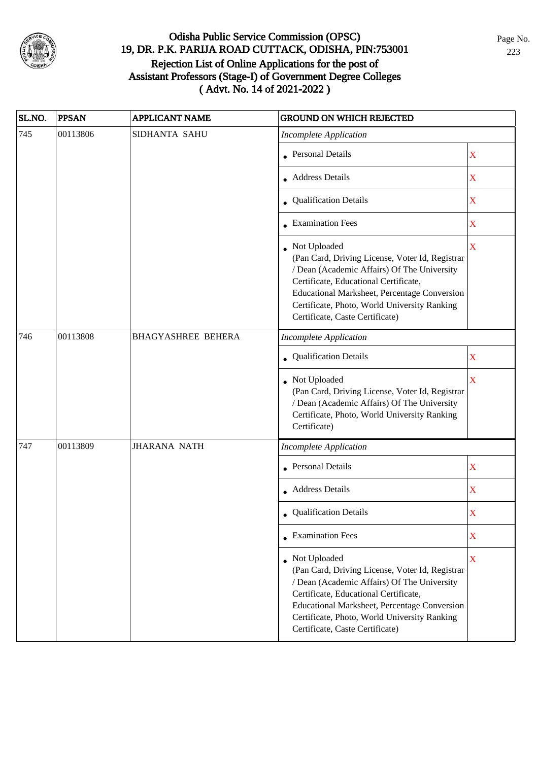

| SL.NO. | <b>PPSAN</b> | <b>APPLICANT NAME</b>     | <b>GROUND ON WHICH REJECTED</b>                                                                                                                                                                                                                                                                     |                         |
|--------|--------------|---------------------------|-----------------------------------------------------------------------------------------------------------------------------------------------------------------------------------------------------------------------------------------------------------------------------------------------------|-------------------------|
| 745    | 00113806     | SIDHANTA SAHU             | <b>Incomplete Application</b>                                                                                                                                                                                                                                                                       |                         |
|        |              |                           | <b>Personal Details</b>                                                                                                                                                                                                                                                                             | X                       |
|        |              |                           | • Address Details                                                                                                                                                                                                                                                                                   | X                       |
|        |              |                           | • Qualification Details                                                                                                                                                                                                                                                                             | $\mathbf X$             |
|        |              |                           | <b>Examination Fees</b>                                                                                                                                                                                                                                                                             | $\mathbf X$             |
|        |              |                           | Not Uploaded<br>(Pan Card, Driving License, Voter Id, Registrar<br>/ Dean (Academic Affairs) Of The University<br>Certificate, Educational Certificate,<br>Educational Marksheet, Percentage Conversion<br>Certificate, Photo, World University Ranking<br>Certificate, Caste Certificate)          | $\overline{\mathbf{X}}$ |
| 746    | 00113808     | <b>BHAGYASHREE BEHERA</b> | <b>Incomplete Application</b>                                                                                                                                                                                                                                                                       |                         |
|        |              |                           | Qualification Details                                                                                                                                                                                                                                                                               | X                       |
|        |              |                           | Not Uploaded<br>(Pan Card, Driving License, Voter Id, Registrar<br>/ Dean (Academic Affairs) Of The University<br>Certificate, Photo, World University Ranking<br>Certificate)                                                                                                                      | $\overline{\mathbf{X}}$ |
| 747    | 00113809     | <b>JHARANA NATH</b>       | <b>Incomplete Application</b>                                                                                                                                                                                                                                                                       |                         |
|        |              |                           | <b>Personal Details</b>                                                                                                                                                                                                                                                                             | $\mathbf X$             |
|        |              |                           | • Address Details                                                                                                                                                                                                                                                                                   | $\mathbf X$             |
|        |              |                           | • Qualification Details                                                                                                                                                                                                                                                                             | X                       |
|        |              |                           | $\bullet$ Examination Fees                                                                                                                                                                                                                                                                          | X                       |
|        |              |                           | • Not Uploaded<br>(Pan Card, Driving License, Voter Id, Registrar<br>/ Dean (Academic Affairs) Of The University<br>Certificate, Educational Certificate,<br><b>Educational Marksheet, Percentage Conversion</b><br>Certificate, Photo, World University Ranking<br>Certificate, Caste Certificate) | X                       |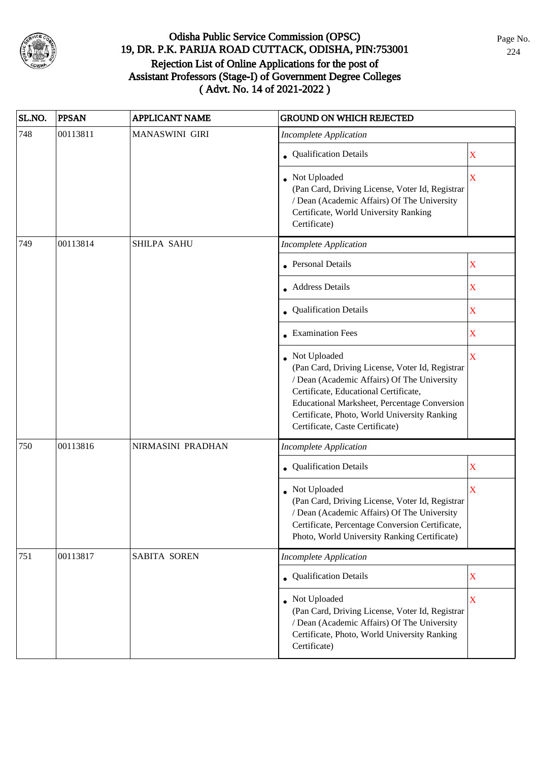

| SL.NO. | <b>PPSAN</b> | <b>APPLICANT NAME</b> | <b>GROUND ON WHICH REJECTED</b>                                                                                                                                                                                                                                                            |                         |
|--------|--------------|-----------------------|--------------------------------------------------------------------------------------------------------------------------------------------------------------------------------------------------------------------------------------------------------------------------------------------|-------------------------|
| 748    | 00113811     | MANASWINI GIRI        | <b>Incomplete Application</b>                                                                                                                                                                                                                                                              |                         |
|        |              |                       | • Qualification Details                                                                                                                                                                                                                                                                    | X                       |
|        |              |                       | Not Uploaded<br>(Pan Card, Driving License, Voter Id, Registrar<br>/ Dean (Academic Affairs) Of The University<br>Certificate, World University Ranking<br>Certificate)                                                                                                                    | $\overline{\mathbf{X}}$ |
| 749    | 00113814     | SHILPA SAHU           | <b>Incomplete Application</b>                                                                                                                                                                                                                                                              |                         |
|        |              |                       | <b>Personal Details</b>                                                                                                                                                                                                                                                                    | $\mathbf X$             |
|        |              |                       | • Address Details                                                                                                                                                                                                                                                                          | X                       |
|        |              |                       | • Qualification Details                                                                                                                                                                                                                                                                    | $\mathbf X$             |
|        |              |                       | • Examination Fees                                                                                                                                                                                                                                                                         | $\mathbf X$             |
|        |              |                       | Not Uploaded<br>(Pan Card, Driving License, Voter Id, Registrar<br>/ Dean (Academic Affairs) Of The University<br>Certificate, Educational Certificate,<br>Educational Marksheet, Percentage Conversion<br>Certificate, Photo, World University Ranking<br>Certificate, Caste Certificate) | X                       |
| 750    | 00113816     | NIRMASINI PRADHAN     | <b>Incomplete Application</b>                                                                                                                                                                                                                                                              |                         |
|        |              |                       | Qualification Details                                                                                                                                                                                                                                                                      | $\mathbf X$             |
|        |              |                       | Not Uploaded<br>(Pan Card, Driving License, Voter Id, Registrar<br>/ Dean (Academic Affairs) Of The University<br>Certificate, Percentage Conversion Certificate,<br>Photo, World University Ranking Certificate)                                                                          | $\overline{\mathbf{X}}$ |
| 751    | 00113817     | <b>SABITA SOREN</b>   | <b>Incomplete Application</b>                                                                                                                                                                                                                                                              |                         |
|        |              |                       | • Qualification Details                                                                                                                                                                                                                                                                    | $\mathbf X$             |
|        |              |                       | Not Uploaded<br>(Pan Card, Driving License, Voter Id, Registrar<br>/ Dean (Academic Affairs) Of The University<br>Certificate, Photo, World University Ranking<br>Certificate)                                                                                                             | $\mathbf X$             |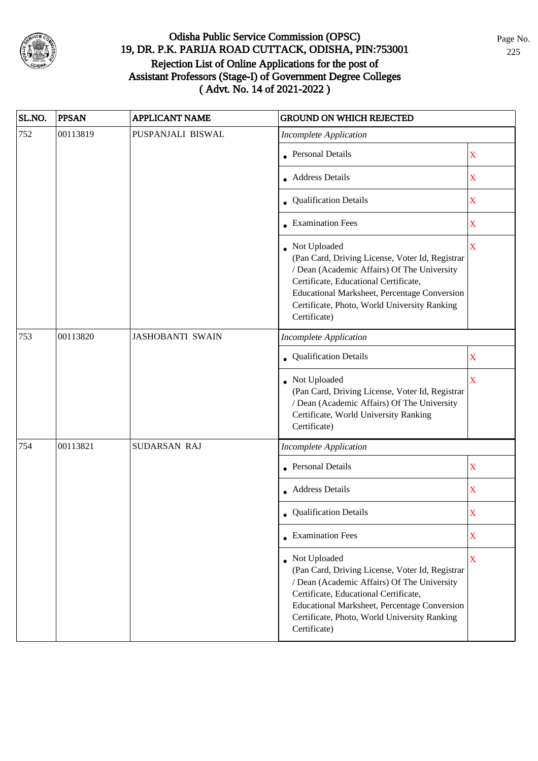

| SL.NO. | <b>PPSAN</b> | <b>APPLICANT NAME</b>   | <b>GROUND ON WHICH REJECTED</b>                                                                                                                                                                                                                                           |                         |
|--------|--------------|-------------------------|---------------------------------------------------------------------------------------------------------------------------------------------------------------------------------------------------------------------------------------------------------------------------|-------------------------|
| 752    | 00113819     | PUSPANJALI BISWAL       | <b>Incomplete Application</b>                                                                                                                                                                                                                                             |                         |
|        |              |                         | <b>Personal Details</b>                                                                                                                                                                                                                                                   | X                       |
|        |              |                         | <b>Address Details</b>                                                                                                                                                                                                                                                    | X                       |
|        |              |                         | • Qualification Details                                                                                                                                                                                                                                                   | X                       |
|        |              |                         | • Examination Fees                                                                                                                                                                                                                                                        | $\mathbf X$             |
|        |              |                         | Not Uploaded<br>(Pan Card, Driving License, Voter Id, Registrar<br>/ Dean (Academic Affairs) Of The University<br>Certificate, Educational Certificate,<br>Educational Marksheet, Percentage Conversion<br>Certificate, Photo, World University Ranking<br>Certificate)   | X                       |
| 753    | 00113820     | <b>JASHOBANTI SWAIN</b> | <b>Incomplete Application</b>                                                                                                                                                                                                                                             |                         |
|        |              |                         | Qualification Details                                                                                                                                                                                                                                                     | $\mathbf X$             |
|        |              |                         | Not Uploaded<br>(Pan Card, Driving License, Voter Id, Registrar<br>/ Dean (Academic Affairs) Of The University<br>Certificate, World University Ranking<br>Certificate)                                                                                                   | $\overline{\mathbf{X}}$ |
| 754    | 00113821     | SUDARSAN RAJ            | <b>Incomplete Application</b>                                                                                                                                                                                                                                             |                         |
|        |              |                         | Personal Details                                                                                                                                                                                                                                                          | $\mathbf X$             |
|        |              |                         | • Address Details                                                                                                                                                                                                                                                         | X                       |
|        |              |                         | • Qualification Details                                                                                                                                                                                                                                                   | X                       |
|        |              |                         | • Examination Fees                                                                                                                                                                                                                                                        | X                       |
|        |              |                         | • Not Uploaded<br>(Pan Card, Driving License, Voter Id, Registrar<br>/ Dean (Academic Affairs) Of The University<br>Certificate, Educational Certificate,<br>Educational Marksheet, Percentage Conversion<br>Certificate, Photo, World University Ranking<br>Certificate) | $\mathbf X$             |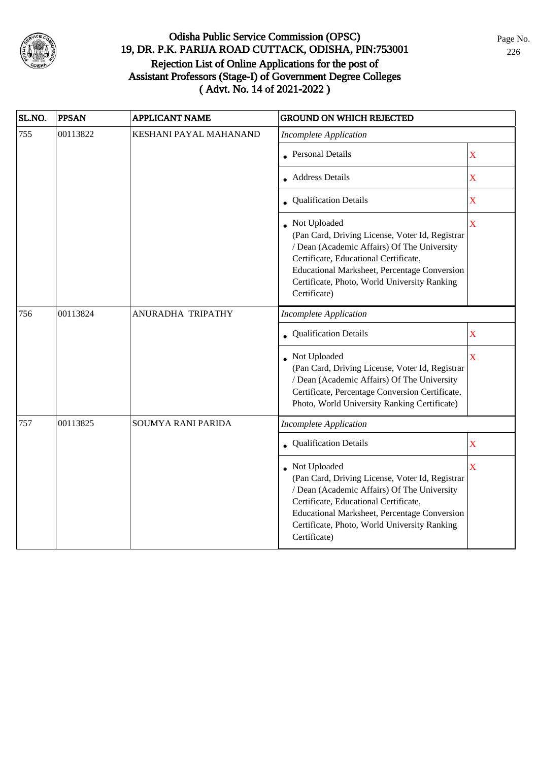

| SL.NO. | <b>PPSAN</b> | <b>APPLICANT NAME</b>  | <b>GROUND ON WHICH REJECTED</b>                                                                                                                                                                                                                                           |                         |
|--------|--------------|------------------------|---------------------------------------------------------------------------------------------------------------------------------------------------------------------------------------------------------------------------------------------------------------------------|-------------------------|
| 755    | 00113822     | KESHANI PAYAL MAHANAND | <b>Incomplete Application</b>                                                                                                                                                                                                                                             |                         |
|        |              |                        | • Personal Details                                                                                                                                                                                                                                                        | $\mathbf X$             |
|        |              |                        | <b>Address Details</b>                                                                                                                                                                                                                                                    | $\mathbf X$             |
|        |              |                        | • Qualification Details                                                                                                                                                                                                                                                   | $\mathbf X$             |
|        |              |                        | • Not Uploaded<br>(Pan Card, Driving License, Voter Id, Registrar<br>/ Dean (Academic Affairs) Of The University<br>Certificate, Educational Certificate,<br>Educational Marksheet, Percentage Conversion<br>Certificate, Photo, World University Ranking<br>Certificate) | $\bar{\mathbf{X}}$      |
| 756    | 00113824     | ANURADHA TRIPATHY      | <b>Incomplete Application</b>                                                                                                                                                                                                                                             |                         |
|        |              |                        | Qualification Details                                                                                                                                                                                                                                                     | X                       |
|        |              |                        | Not Uploaded<br>(Pan Card, Driving License, Voter Id, Registrar<br>/ Dean (Academic Affairs) Of The University<br>Certificate, Percentage Conversion Certificate,<br>Photo, World University Ranking Certificate)                                                         | $\bar{X}$               |
| 757    | 00113825     | SOUMYA RANI PARIDA     | <b>Incomplete Application</b>                                                                                                                                                                                                                                             |                         |
|        |              |                        | • Qualification Details                                                                                                                                                                                                                                                   | $\mathbf X$             |
|        |              |                        | Not Uploaded<br>(Pan Card, Driving License, Voter Id, Registrar<br>/ Dean (Academic Affairs) Of The University<br>Certificate, Educational Certificate,<br>Educational Marksheet, Percentage Conversion<br>Certificate, Photo, World University Ranking<br>Certificate)   | $\overline{\mathbf{X}}$ |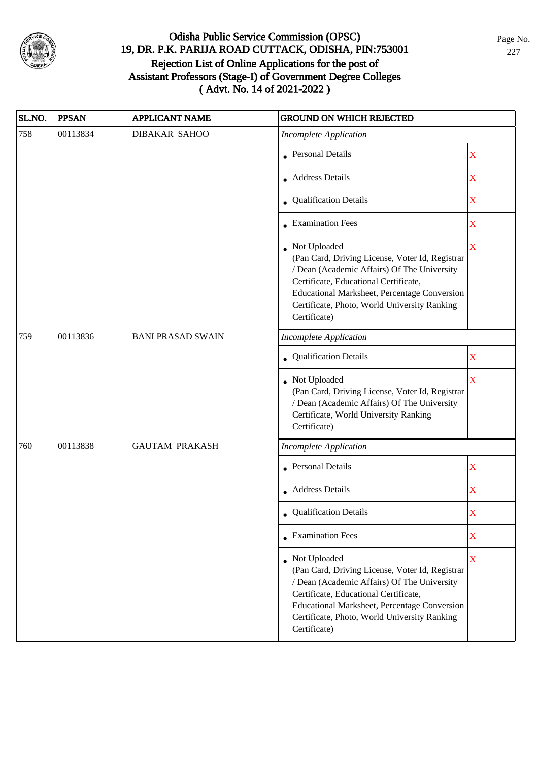

| SL.NO. | <b>PPSAN</b> | <b>APPLICANT NAME</b>    | <b>GROUND ON WHICH REJECTED</b>                                                                                                                                                                                                                                           |                         |
|--------|--------------|--------------------------|---------------------------------------------------------------------------------------------------------------------------------------------------------------------------------------------------------------------------------------------------------------------------|-------------------------|
| 758    | 00113834     | <b>DIBAKAR SAHOO</b>     | <b>Incomplete Application</b>                                                                                                                                                                                                                                             |                         |
|        |              |                          | <b>Personal Details</b>                                                                                                                                                                                                                                                   | X                       |
|        |              |                          | <b>Address Details</b>                                                                                                                                                                                                                                                    | X                       |
|        |              |                          | • Qualification Details                                                                                                                                                                                                                                                   | X                       |
|        |              |                          | • Examination Fees                                                                                                                                                                                                                                                        | $\mathbf X$             |
|        |              |                          | Not Uploaded<br>(Pan Card, Driving License, Voter Id, Registrar<br>/ Dean (Academic Affairs) Of The University<br>Certificate, Educational Certificate,<br>Educational Marksheet, Percentage Conversion<br>Certificate, Photo, World University Ranking<br>Certificate)   | X                       |
| 759    | 00113836     | <b>BANI PRASAD SWAIN</b> | <b>Incomplete Application</b>                                                                                                                                                                                                                                             |                         |
|        |              |                          | Qualification Details                                                                                                                                                                                                                                                     | $\mathbf X$             |
|        |              |                          | Not Uploaded<br>(Pan Card, Driving License, Voter Id, Registrar<br>/ Dean (Academic Affairs) Of The University<br>Certificate, World University Ranking<br>Certificate)                                                                                                   | $\overline{\mathbf{X}}$ |
| 760    | 00113838     | <b>GAUTAM PRAKASH</b>    | <b>Incomplete Application</b>                                                                                                                                                                                                                                             |                         |
|        |              |                          | <b>Personal Details</b>                                                                                                                                                                                                                                                   | $\mathbf X$             |
|        |              |                          | • Address Details                                                                                                                                                                                                                                                         | X                       |
|        |              |                          | • Qualification Details                                                                                                                                                                                                                                                   | X                       |
|        |              |                          | • Examination Fees                                                                                                                                                                                                                                                        | X                       |
|        |              |                          | • Not Uploaded<br>(Pan Card, Driving License, Voter Id, Registrar<br>/ Dean (Academic Affairs) Of The University<br>Certificate, Educational Certificate,<br>Educational Marksheet, Percentage Conversion<br>Certificate, Photo, World University Ranking<br>Certificate) | $\mathbf X$             |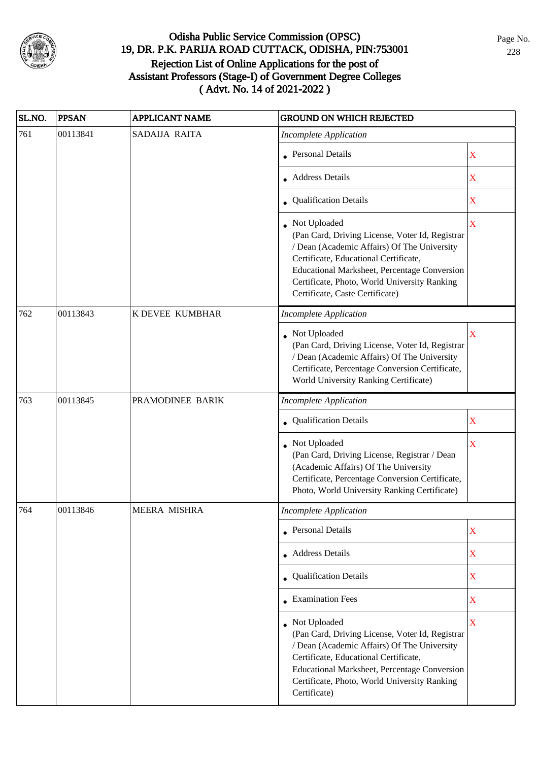

| SL.NO. | <b>PPSAN</b> | <b>APPLICANT NAME</b> | <b>GROUND ON WHICH REJECTED</b>                                                                                                                                                                                                                                                            |             |  |
|--------|--------------|-----------------------|--------------------------------------------------------------------------------------------------------------------------------------------------------------------------------------------------------------------------------------------------------------------------------------------|-------------|--|
| 761    | 00113841     | SADAIJA RAITA         | <b>Incomplete Application</b>                                                                                                                                                                                                                                                              |             |  |
|        |              |                       | • Personal Details                                                                                                                                                                                                                                                                         | X           |  |
|        |              |                       | • Address Details                                                                                                                                                                                                                                                                          | X           |  |
|        |              |                       | • Qualification Details                                                                                                                                                                                                                                                                    | X           |  |
|        |              |                       | Not Uploaded<br>(Pan Card, Driving License, Voter Id, Registrar<br>/ Dean (Academic Affairs) Of The University<br>Certificate, Educational Certificate,<br>Educational Marksheet, Percentage Conversion<br>Certificate, Photo, World University Ranking<br>Certificate, Caste Certificate) | $\mathbf X$ |  |
| 762    | 00113843     | K DEVEE KUMBHAR       | <b>Incomplete Application</b>                                                                                                                                                                                                                                                              |             |  |
|        |              |                       | • Not Uploaded<br>(Pan Card, Driving License, Voter Id, Registrar<br>/ Dean (Academic Affairs) Of The University<br>Certificate, Percentage Conversion Certificate,<br>World University Ranking Certificate)                                                                               | $\mathbf X$ |  |
| 763    | 00113845     | PRAMODINEE BARIK      | <b>Incomplete Application</b>                                                                                                                                                                                                                                                              |             |  |
|        |              |                       | Qualification Details                                                                                                                                                                                                                                                                      | X           |  |
|        |              |                       | Not Uploaded<br>(Pan Card, Driving License, Registrar / Dean<br>(Academic Affairs) Of The University<br>Certificate, Percentage Conversion Certificate,<br>Photo, World University Ranking Certificate)                                                                                    | X           |  |
| 764    | 00113846     | MEERA MISHRA          | Incomplete Application                                                                                                                                                                                                                                                                     |             |  |
|        |              |                       | • Personal Details                                                                                                                                                                                                                                                                         | X           |  |
|        |              |                       | • Address Details                                                                                                                                                                                                                                                                          | $\mathbf X$ |  |
|        |              |                       | • Qualification Details                                                                                                                                                                                                                                                                    | $\mathbf X$ |  |
|        |              |                       | • Examination Fees                                                                                                                                                                                                                                                                         | $\mathbf X$ |  |
|        |              |                       | • Not Uploaded<br>(Pan Card, Driving License, Voter Id, Registrar<br>/ Dean (Academic Affairs) Of The University<br>Certificate, Educational Certificate,<br>Educational Marksheet, Percentage Conversion<br>Certificate, Photo, World University Ranking<br>Certificate)                  | X           |  |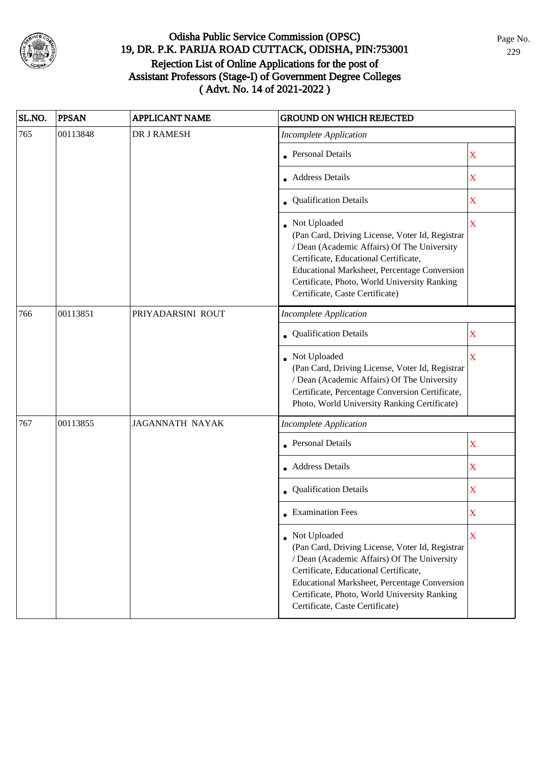

| SL.NO. | <b>PPSAN</b> | <b>APPLICANT NAME</b>  | <b>GROUND ON WHICH REJECTED</b>                                                                                                                                                                                                                                                                     |                         |
|--------|--------------|------------------------|-----------------------------------------------------------------------------------------------------------------------------------------------------------------------------------------------------------------------------------------------------------------------------------------------------|-------------------------|
| 765    | 00113848     | DR J RAMESH            | <b>Incomplete Application</b>                                                                                                                                                                                                                                                                       |                         |
|        |              |                        | • Personal Details                                                                                                                                                                                                                                                                                  | X                       |
|        |              |                        | • Address Details                                                                                                                                                                                                                                                                                   | X                       |
|        |              |                        | • Qualification Details                                                                                                                                                                                                                                                                             | X                       |
|        |              |                        | • Not Uploaded<br>(Pan Card, Driving License, Voter Id, Registrar<br>/ Dean (Academic Affairs) Of The University<br>Certificate, Educational Certificate,<br>Educational Marksheet, Percentage Conversion<br>Certificate, Photo, World University Ranking<br>Certificate, Caste Certificate)        | $\overline{\mathbf{X}}$ |
| 766    | 00113851     | PRIYADARSINI ROUT      | <b>Incomplete Application</b>                                                                                                                                                                                                                                                                       |                         |
|        |              |                        | Qualification Details                                                                                                                                                                                                                                                                               | X                       |
|        |              |                        | Not Uploaded<br>(Pan Card, Driving License, Voter Id, Registrar<br>/ Dean (Academic Affairs) Of The University<br>Certificate, Percentage Conversion Certificate,<br>Photo, World University Ranking Certificate)                                                                                   | $\overline{\mathbf{X}}$ |
| 767    | 00113855     | <b>JAGANNATH NAYAK</b> | <b>Incomplete Application</b>                                                                                                                                                                                                                                                                       |                         |
|        |              |                        | <b>Personal Details</b>                                                                                                                                                                                                                                                                             | $\mathbf X$             |
|        |              |                        | • Address Details                                                                                                                                                                                                                                                                                   | $\mathbf X$             |
|        |              |                        | Qualification Details                                                                                                                                                                                                                                                                               | $\overline{\textbf{X}}$ |
|        |              |                        | $\bullet$ Examination Fees                                                                                                                                                                                                                                                                          | X                       |
|        |              |                        | • Not Uploaded<br>(Pan Card, Driving License, Voter Id, Registrar<br>/ Dean (Academic Affairs) Of The University<br>Certificate, Educational Certificate,<br><b>Educational Marksheet, Percentage Conversion</b><br>Certificate, Photo, World University Ranking<br>Certificate, Caste Certificate) | X                       |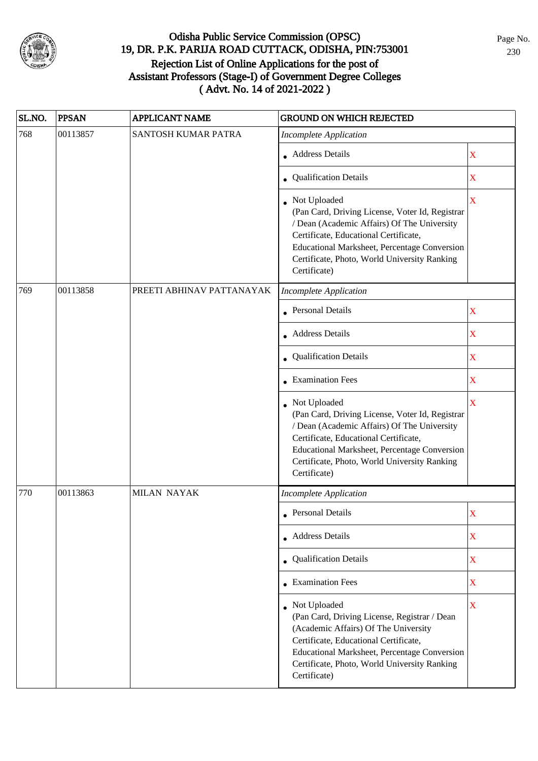

| SL.NO. | <b>PPSAN</b> | <b>APPLICANT NAME</b>     | <b>GROUND ON WHICH REJECTED</b>                                                                                                                                                                                                                                           |                         |
|--------|--------------|---------------------------|---------------------------------------------------------------------------------------------------------------------------------------------------------------------------------------------------------------------------------------------------------------------------|-------------------------|
| 768    | 00113857     | SANTOSH KUMAR PATRA       | <b>Incomplete Application</b>                                                                                                                                                                                                                                             |                         |
|        |              |                           | • Address Details                                                                                                                                                                                                                                                         | X                       |
|        |              |                           | Qualification Details                                                                                                                                                                                                                                                     | X                       |
|        |              |                           | • Not Uploaded<br>(Pan Card, Driving License, Voter Id, Registrar<br>/ Dean (Academic Affairs) Of The University<br>Certificate, Educational Certificate,<br>Educational Marksheet, Percentage Conversion<br>Certificate, Photo, World University Ranking<br>Certificate) | X                       |
| 769    | 00113858     | PREETI ABHINAV PATTANAYAK | <b>Incomplete Application</b>                                                                                                                                                                                                                                             |                         |
|        |              |                           | • Personal Details                                                                                                                                                                                                                                                        | $\mathbf X$             |
|        |              |                           | • Address Details                                                                                                                                                                                                                                                         | $\mathbf X$             |
|        |              |                           | <b>Qualification Details</b>                                                                                                                                                                                                                                              | X                       |
|        |              |                           | $\bullet$ Examination Fees                                                                                                                                                                                                                                                | $\mathbf X$             |
|        |              |                           | Not Uploaded<br>(Pan Card, Driving License, Voter Id, Registrar<br>/ Dean (Academic Affairs) Of The University<br>Certificate, Educational Certificate,<br>Educational Marksheet, Percentage Conversion<br>Certificate, Photo, World University Ranking<br>Certificate)   | $\overline{\mathbf{X}}$ |
| 770    | 00113863     | <b>MILAN NAYAK</b>        | <b>Incomplete Application</b>                                                                                                                                                                                                                                             |                         |
|        |              |                           | • Personal Details                                                                                                                                                                                                                                                        | X                       |
|        |              |                           | • Address Details                                                                                                                                                                                                                                                         | $\mathbf X$             |
|        |              |                           | • Qualification Details                                                                                                                                                                                                                                                   | $\mathbf X$             |
|        |              |                           | • Examination Fees                                                                                                                                                                                                                                                        | $\mathbf X$             |
|        |              |                           | • Not Uploaded<br>(Pan Card, Driving License, Registrar / Dean<br>(Academic Affairs) Of The University<br>Certificate, Educational Certificate,<br>Educational Marksheet, Percentage Conversion<br>Certificate, Photo, World University Ranking<br>Certificate)           | $\overline{\mathbf{X}}$ |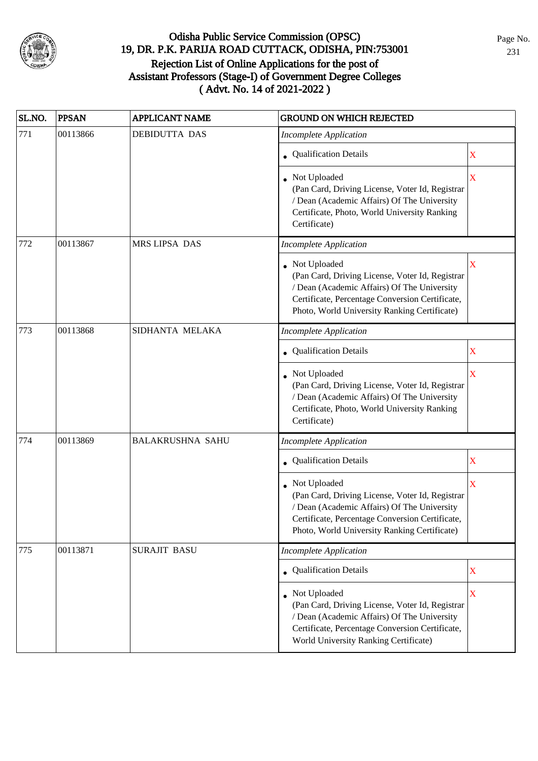

| SL.NO.          | <b>PPSAN</b> | <b>APPLICANT NAME</b>   | <b>GROUND ON WHICH REJECTED</b>                                                                                                                                                                                     |                         |
|-----------------|--------------|-------------------------|---------------------------------------------------------------------------------------------------------------------------------------------------------------------------------------------------------------------|-------------------------|
| 771             | 00113866     | <b>DEBIDUTTA DAS</b>    | <b>Incomplete Application</b>                                                                                                                                                                                       |                         |
|                 |              |                         | • Qualification Details                                                                                                                                                                                             | $\mathbf X$             |
|                 |              |                         | • Not Uploaded<br>(Pan Card, Driving License, Voter Id, Registrar<br>/ Dean (Academic Affairs) Of The University<br>Certificate, Photo, World University Ranking<br>Certificate)                                    | $\overline{\mathbf{X}}$ |
| 772             | 00113867     | MRS LIPSA DAS           | <b>Incomplete Application</b>                                                                                                                                                                                       |                         |
|                 |              |                         | • Not Uploaded<br>(Pan Card, Driving License, Voter Id, Registrar<br>/ Dean (Academic Affairs) Of The University<br>Certificate, Percentage Conversion Certificate,<br>Photo, World University Ranking Certificate) | X                       |
| 773<br>00113868 |              | SIDHANTA MELAKA         | <b>Incomplete Application</b>                                                                                                                                                                                       |                         |
|                 |              |                         | Qualification Details                                                                                                                                                                                               | $\mathbf X$             |
|                 |              |                         | • Not Uploaded<br>(Pan Card, Driving License, Voter Id, Registrar<br>/ Dean (Academic Affairs) Of The University<br>Certificate, Photo, World University Ranking<br>Certificate)                                    | X                       |
| 774             | 00113869     | <b>BALAKRUSHNA SAHU</b> | <b>Incomplete Application</b>                                                                                                                                                                                       |                         |
|                 |              |                         | • Qualification Details                                                                                                                                                                                             | X                       |
|                 |              |                         | • Not Uploaded<br>(Pan Card, Driving License, Voter Id, Registrar<br>/ Dean (Academic Affairs) Of The University<br>Certificate, Percentage Conversion Certificate,<br>Photo, World University Ranking Certificate) | $\mathbf X$             |
| 775             | 00113871     | <b>SURAJIT BASU</b>     | <b>Incomplete Application</b>                                                                                                                                                                                       |                         |
|                 |              |                         | • Qualification Details                                                                                                                                                                                             | $\mathbf X$             |
|                 |              |                         | • Not Uploaded<br>(Pan Card, Driving License, Voter Id, Registrar<br>/ Dean (Academic Affairs) Of The University<br>Certificate, Percentage Conversion Certificate,<br>World University Ranking Certificate)        | $\mathbf X$             |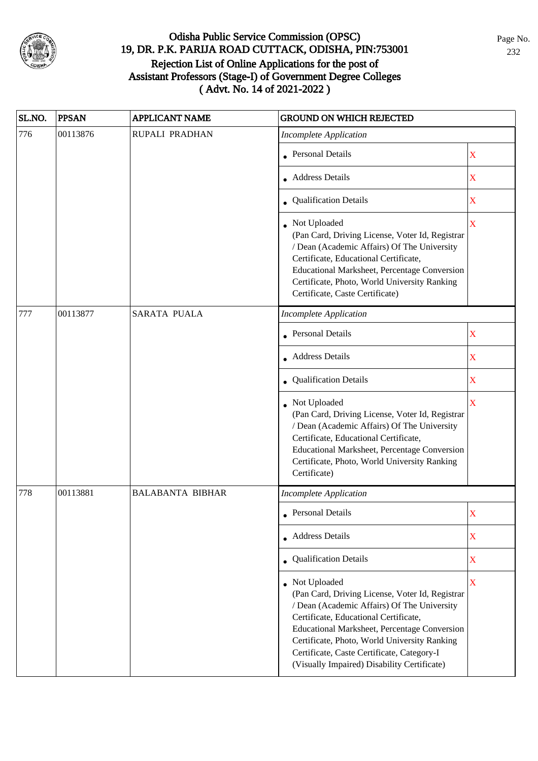

| SL.NO. | <b>PPSAN</b> | <b>APPLICANT NAME</b>   | <b>GROUND ON WHICH REJECTED</b>                                                                                                                                                                                                                                                                                                                               |                         |
|--------|--------------|-------------------------|---------------------------------------------------------------------------------------------------------------------------------------------------------------------------------------------------------------------------------------------------------------------------------------------------------------------------------------------------------------|-------------------------|
| 776    | 00113876     | RUPALI PRADHAN          | <b>Incomplete Application</b>                                                                                                                                                                                                                                                                                                                                 |                         |
|        |              |                         | • Personal Details                                                                                                                                                                                                                                                                                                                                            | $\mathbf X$             |
|        |              |                         | • Address Details                                                                                                                                                                                                                                                                                                                                             | $\mathbf X$             |
|        |              |                         | • Qualification Details                                                                                                                                                                                                                                                                                                                                       | $\mathbf X$             |
|        |              |                         | • Not Uploaded<br>(Pan Card, Driving License, Voter Id, Registrar<br>/ Dean (Academic Affairs) Of The University<br>Certificate, Educational Certificate,<br>Educational Marksheet, Percentage Conversion<br>Certificate, Photo, World University Ranking<br>Certificate, Caste Certificate)                                                                  | X                       |
| 777    | 00113877     | <b>SARATA PUALA</b>     | <b>Incomplete Application</b>                                                                                                                                                                                                                                                                                                                                 |                         |
|        |              |                         | <b>Personal Details</b>                                                                                                                                                                                                                                                                                                                                       | $\mathbf X$             |
|        |              |                         | Address Details                                                                                                                                                                                                                                                                                                                                               | $\overline{\mathbf{X}}$ |
|        |              |                         | • Qualification Details                                                                                                                                                                                                                                                                                                                                       | $\mathbf X$             |
|        |              |                         | Not Uploaded<br>(Pan Card, Driving License, Voter Id, Registrar<br>/ Dean (Academic Affairs) Of The University<br>Certificate, Educational Certificate,<br>Educational Marksheet, Percentage Conversion<br>Certificate, Photo, World University Ranking<br>Certificate)                                                                                       | $\overline{\mathbf{X}}$ |
| 778    | 00113881     | <b>BALABANTA BIBHAR</b> | <b>Incomplete Application</b>                                                                                                                                                                                                                                                                                                                                 |                         |
|        |              |                         | • Personal Details                                                                                                                                                                                                                                                                                                                                            | X                       |
|        |              |                         | • Address Details                                                                                                                                                                                                                                                                                                                                             | X                       |
|        |              |                         | • Qualification Details                                                                                                                                                                                                                                                                                                                                       | $\mathbf X$             |
|        |              |                         | • Not Uploaded<br>(Pan Card, Driving License, Voter Id, Registrar<br>/ Dean (Academic Affairs) Of The University<br>Certificate, Educational Certificate,<br><b>Educational Marksheet, Percentage Conversion</b><br>Certificate, Photo, World University Ranking<br>Certificate, Caste Certificate, Category-I<br>(Visually Impaired) Disability Certificate) | $\overline{\mathbf{X}}$ |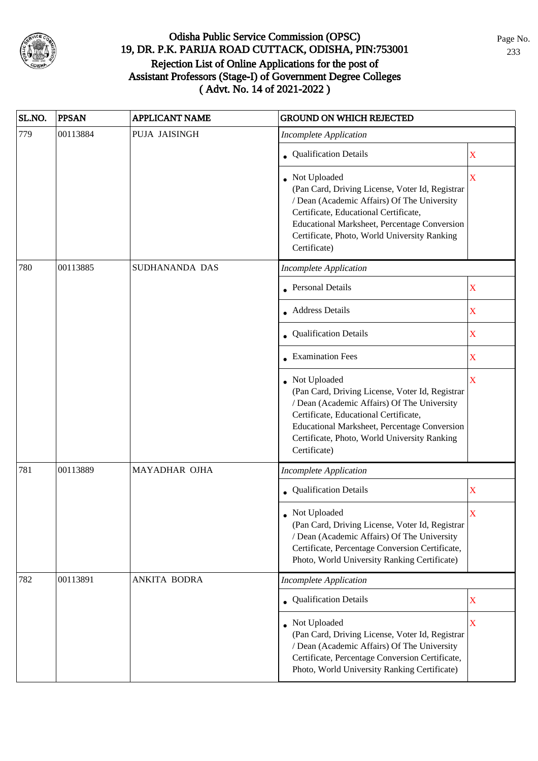

| SL.NO. | <b>PPSAN</b> | <b>APPLICANT NAME</b> | <b>GROUND ON WHICH REJECTED</b>                                                                                                                                                                                                                                         |                         |
|--------|--------------|-----------------------|-------------------------------------------------------------------------------------------------------------------------------------------------------------------------------------------------------------------------------------------------------------------------|-------------------------|
| 779    | 00113884     | PUJA JAISINGH         | <b>Incomplete Application</b>                                                                                                                                                                                                                                           |                         |
|        |              |                       | <b>Qualification Details</b>                                                                                                                                                                                                                                            | $\mathbf X$             |
|        |              |                       | Not Uploaded<br>(Pan Card, Driving License, Voter Id, Registrar<br>/ Dean (Academic Affairs) Of The University<br>Certificate, Educational Certificate,<br>Educational Marksheet, Percentage Conversion<br>Certificate, Photo, World University Ranking<br>Certificate) | $\overline{\text{X}}$   |
| 780    | 00113885     | SUDHANANDA DAS        | <b>Incomplete Application</b>                                                                                                                                                                                                                                           |                         |
|        |              |                       | <b>Personal Details</b>                                                                                                                                                                                                                                                 | X                       |
|        |              |                       | <b>Address Details</b>                                                                                                                                                                                                                                                  | $\mathbf X$             |
|        |              |                       | Qualification Details                                                                                                                                                                                                                                                   | $\bar{\mathbf{X}}$      |
|        |              |                       | • Examination Fees                                                                                                                                                                                                                                                      | $\overline{\text{X}}$   |
|        |              |                       | Not Uploaded<br>(Pan Card, Driving License, Voter Id, Registrar<br>/ Dean (Academic Affairs) Of The University<br>Certificate, Educational Certificate,<br>Educational Marksheet, Percentage Conversion<br>Certificate, Photo, World University Ranking<br>Certificate) | $\overline{\mathbf{X}}$ |
| 781    | 00113889     | MAYADHAR OJHA         | <b>Incomplete Application</b>                                                                                                                                                                                                                                           |                         |
|        |              |                       | • Qualification Details                                                                                                                                                                                                                                                 | $\mathbf X$             |
|        |              |                       | Not Uploaded<br>(Pan Card, Driving License, Voter Id, Registrar<br>/ Dean (Academic Affairs) Of The University<br>Certificate, Percentage Conversion Certificate,<br>Photo, World University Ranking Certificate)                                                       | X                       |
| 782    | 00113891     | ANKITA BODRA          | <b>Incomplete Application</b>                                                                                                                                                                                                                                           |                         |
|        |              |                       | • Qualification Details                                                                                                                                                                                                                                                 | $\overline{\text{X}}$   |
|        |              |                       | • Not Uploaded<br>(Pan Card, Driving License, Voter Id, Registrar<br>/ Dean (Academic Affairs) Of The University<br>Certificate, Percentage Conversion Certificate,<br>Photo, World University Ranking Certificate)                                                     | $\mathbf X$             |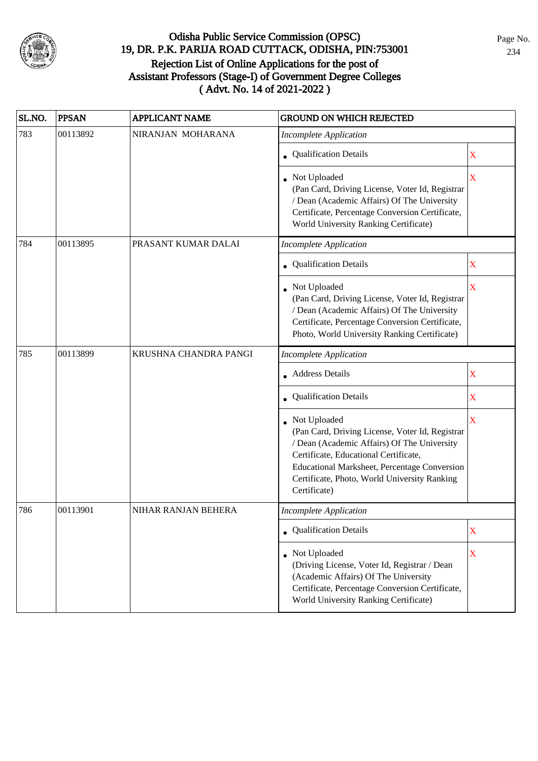

| SL.NO. | <b>PPSAN</b> | <b>APPLICANT NAME</b> | <b>GROUND ON WHICH REJECTED</b>                                                                                                                                                                                                                                                |                         |
|--------|--------------|-----------------------|--------------------------------------------------------------------------------------------------------------------------------------------------------------------------------------------------------------------------------------------------------------------------------|-------------------------|
| 783    | 00113892     | NIRANJAN MOHARANA     | <b>Incomplete Application</b>                                                                                                                                                                                                                                                  |                         |
|        |              |                       | • Qualification Details                                                                                                                                                                                                                                                        | X                       |
|        |              |                       | • Not Uploaded<br>(Pan Card, Driving License, Voter Id, Registrar<br>/ Dean (Academic Affairs) Of The University<br>Certificate, Percentage Conversion Certificate,<br>World University Ranking Certificate)                                                                   | $\overline{\mathbf{X}}$ |
| 784    | 00113895     | PRASANT KUMAR DALAI   | <b>Incomplete Application</b>                                                                                                                                                                                                                                                  |                         |
|        |              |                       | • Qualification Details                                                                                                                                                                                                                                                        | $\mathbf X$             |
|        |              |                       | • Not Uploaded<br>(Pan Card, Driving License, Voter Id, Registrar<br>/ Dean (Academic Affairs) Of The University<br>Certificate, Percentage Conversion Certificate,<br>Photo, World University Ranking Certificate)                                                            | $\overline{\mathbf{X}}$ |
| 785    | 00113899     | KRUSHNA CHANDRA PANGI | <b>Incomplete Application</b>                                                                                                                                                                                                                                                  |                         |
|        |              |                       | • Address Details                                                                                                                                                                                                                                                              | $\mathbf X$             |
|        |              |                       | • Qualification Details                                                                                                                                                                                                                                                        | $\mathbf X$             |
|        |              |                       | Not Uploaded<br>(Pan Card, Driving License, Voter Id, Registrar<br>/ Dean (Academic Affairs) Of The University<br>Certificate, Educational Certificate,<br><b>Educational Marksheet, Percentage Conversion</b><br>Certificate, Photo, World University Ranking<br>Certificate) | $\mathbf X$             |
| 786    | 00113901     | NIHAR RANJAN BEHERA   | <b>Incomplete Application</b>                                                                                                                                                                                                                                                  |                         |
|        |              |                       | • Qualification Details                                                                                                                                                                                                                                                        | $\mathbf X$             |
|        |              |                       | • Not Uploaded<br>(Driving License, Voter Id, Registrar / Dean<br>(Academic Affairs) Of The University<br>Certificate, Percentage Conversion Certificate,<br>World University Ranking Certificate)                                                                             | $\mathbf X$             |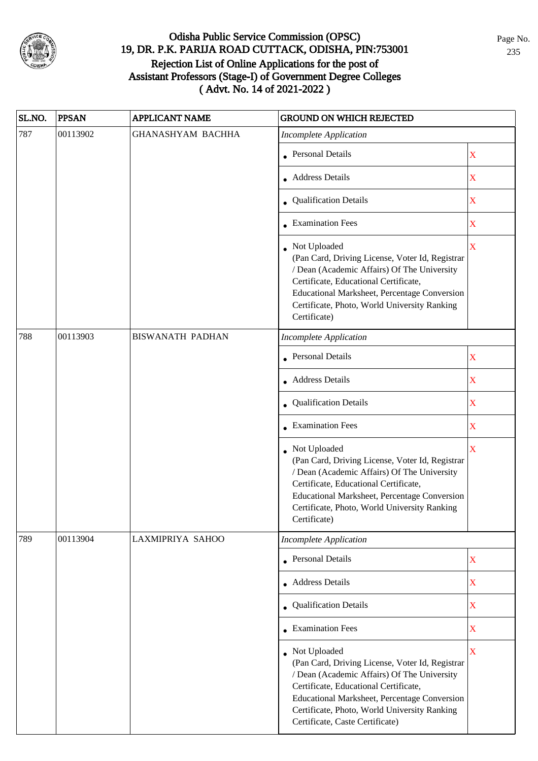

| SL.NO. | <b>PPSAN</b> | <b>APPLICANT NAME</b>    | <b>GROUND ON WHICH REJECTED</b>                                                                                                                                                                                                                                                              |                                                                                                                                           |
|--------|--------------|--------------------------|----------------------------------------------------------------------------------------------------------------------------------------------------------------------------------------------------------------------------------------------------------------------------------------------|-------------------------------------------------------------------------------------------------------------------------------------------|
| 787    | 00113902     | <b>GHANASHYAM BACHHA</b> | <b>Incomplete Application</b>                                                                                                                                                                                                                                                                |                                                                                                                                           |
|        |              |                          | • Personal Details                                                                                                                                                                                                                                                                           | $\mathbf X$                                                                                                                               |
|        |              |                          | • Address Details                                                                                                                                                                                                                                                                            | $\mathbf X$                                                                                                                               |
|        |              |                          | • Qualification Details                                                                                                                                                                                                                                                                      | $\mathbf X$                                                                                                                               |
|        |              |                          | • Examination Fees                                                                                                                                                                                                                                                                           | $\mathbf X$                                                                                                                               |
|        |              |                          | • Not Uploaded<br>(Pan Card, Driving License, Voter Id, Registrar<br>/ Dean (Academic Affairs) Of The University<br>Certificate, Educational Certificate,<br>Educational Marksheet, Percentage Conversion<br>Certificate, Photo, World University Ranking<br>Certificate)                    | $\overline{\mathbf{X}}$                                                                                                                   |
| 788    | 00113903     | <b>BISWANATH PADHAN</b>  | <b>Incomplete Application</b>                                                                                                                                                                                                                                                                |                                                                                                                                           |
|        |              |                          | <b>Personal Details</b>                                                                                                                                                                                                                                                                      | X                                                                                                                                         |
|        |              |                          | <b>Address Details</b>                                                                                                                                                                                                                                                                       | $\mathbf X$                                                                                                                               |
|        |              |                          | • Qualification Details                                                                                                                                                                                                                                                                      | $\mathbf X$                                                                                                                               |
|        |              |                          | $\bullet$ Examination Fees                                                                                                                                                                                                                                                                   | $\mathbf X$<br>$\overline{\mathbf{X}}$<br>$\mathbf X$<br>$\mathbf X$<br>$\overline{\textbf{X}}$<br>$\mathbf X$<br>$\overline{\mathbf{X}}$ |
|        |              |                          | • Not Uploaded<br>(Pan Card, Driving License, Voter Id, Registrar<br>/ Dean (Academic Affairs) Of The University<br>Certificate, Educational Certificate,<br>Educational Marksheet, Percentage Conversion<br>Certificate, Photo, World University Ranking<br>Certificate)                    |                                                                                                                                           |
| 789    | 00113904     | LAXMIPRIYA SAHOO         | <b>Incomplete Application</b>                                                                                                                                                                                                                                                                |                                                                                                                                           |
|        |              |                          | <b>Personal Details</b>                                                                                                                                                                                                                                                                      |                                                                                                                                           |
|        |              |                          | • Address Details                                                                                                                                                                                                                                                                            |                                                                                                                                           |
|        |              |                          | • Qualification Details                                                                                                                                                                                                                                                                      |                                                                                                                                           |
|        |              |                          | • Examination Fees                                                                                                                                                                                                                                                                           |                                                                                                                                           |
|        |              |                          | • Not Uploaded<br>(Pan Card, Driving License, Voter Id, Registrar<br>/ Dean (Academic Affairs) Of The University<br>Certificate, Educational Certificate,<br>Educational Marksheet, Percentage Conversion<br>Certificate, Photo, World University Ranking<br>Certificate, Caste Certificate) |                                                                                                                                           |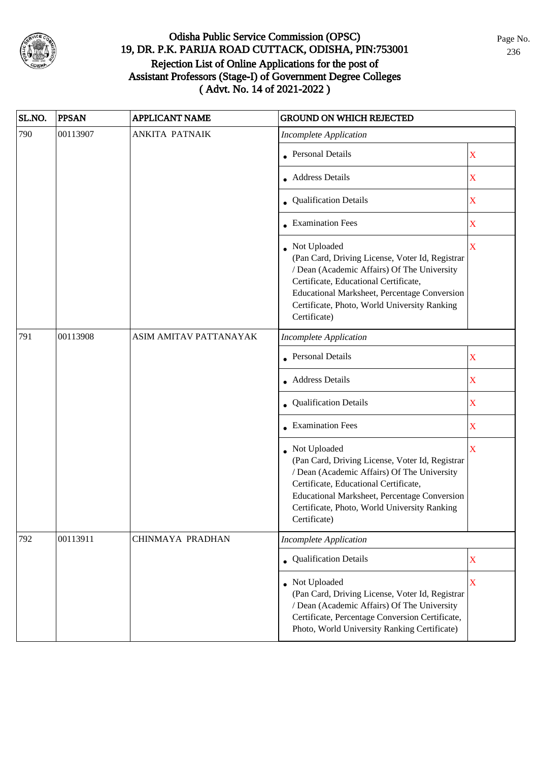

| SL.NO. | <b>PPSAN</b> | <b>APPLICANT NAME</b>  | <b>GROUND ON WHICH REJECTED</b>                                                                                                                                                                                                                                           |                         |
|--------|--------------|------------------------|---------------------------------------------------------------------------------------------------------------------------------------------------------------------------------------------------------------------------------------------------------------------------|-------------------------|
| 790    | 00113907     | <b>ANKITA PATNAIK</b>  | <b>Incomplete Application</b>                                                                                                                                                                                                                                             |                         |
|        |              |                        | • Personal Details                                                                                                                                                                                                                                                        | $\mathbf X$             |
|        |              |                        | • Address Details                                                                                                                                                                                                                                                         | $\mathbf X$             |
|        |              |                        | • Qualification Details                                                                                                                                                                                                                                                   | $\mathbf X$             |
|        |              |                        | • Examination Fees                                                                                                                                                                                                                                                        | X                       |
|        |              |                        | Not Uploaded<br>(Pan Card, Driving License, Voter Id, Registrar<br>/ Dean (Academic Affairs) Of The University<br>Certificate, Educational Certificate,<br>Educational Marksheet, Percentage Conversion<br>Certificate, Photo, World University Ranking<br>Certificate)   | $\overline{\mathbf{X}}$ |
| 791    | 00113908     | ASIM AMITAV PATTANAYAK | <b>Incomplete Application</b>                                                                                                                                                                                                                                             |                         |
|        |              |                        | Personal Details                                                                                                                                                                                                                                                          | X                       |
|        |              |                        | <b>Address Details</b>                                                                                                                                                                                                                                                    | $\mathbf X$             |
|        |              |                        | • Qualification Details                                                                                                                                                                                                                                                   | $\mathbf X$             |
|        |              |                        | $\bullet$ Examination Fees                                                                                                                                                                                                                                                | $\mathbf X$             |
|        |              |                        | • Not Uploaded<br>(Pan Card, Driving License, Voter Id, Registrar<br>/ Dean (Academic Affairs) Of The University<br>Certificate, Educational Certificate,<br>Educational Marksheet, Percentage Conversion<br>Certificate, Photo, World University Ranking<br>Certificate) | $\overline{\mathbf{X}}$ |
| 792    | 00113911     | CHINMAYA PRADHAN       | <b>Incomplete Application</b>                                                                                                                                                                                                                                             |                         |
|        |              |                        | • Qualification Details                                                                                                                                                                                                                                                   | $\mathbf X$             |
|        |              |                        | • Not Uploaded<br>(Pan Card, Driving License, Voter Id, Registrar<br>/ Dean (Academic Affairs) Of The University<br>Certificate, Percentage Conversion Certificate,<br>Photo, World University Ranking Certificate)                                                       | $\overline{\mathbf{X}}$ |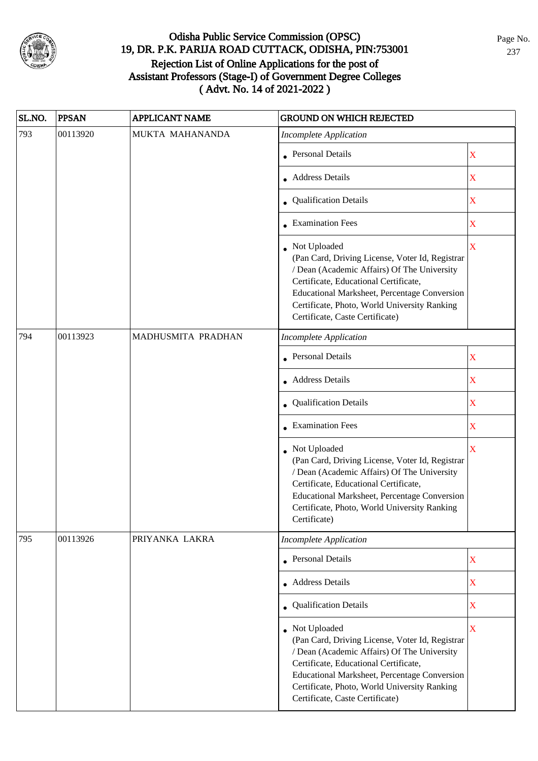

| SL.NO. | <b>PPSAN</b> | <b>APPLICANT NAME</b> | <b>GROUND ON WHICH REJECTED</b>                                                                                                                                                                                                                                                              |             |
|--------|--------------|-----------------------|----------------------------------------------------------------------------------------------------------------------------------------------------------------------------------------------------------------------------------------------------------------------------------------------|-------------|
| 793    | 00113920     | MUKTA MAHANANDA       | <b>Incomplete Application</b>                                                                                                                                                                                                                                                                |             |
|        |              |                       | <b>Personal Details</b>                                                                                                                                                                                                                                                                      | X           |
|        |              |                       | <b>Address Details</b>                                                                                                                                                                                                                                                                       | $\mathbf X$ |
|        |              |                       | <b>Qualification Details</b>                                                                                                                                                                                                                                                                 | $\mathbf X$ |
|        |              |                       | • Examination Fees                                                                                                                                                                                                                                                                           | $\mathbf X$ |
|        |              |                       | • Not Uploaded<br>(Pan Card, Driving License, Voter Id, Registrar<br>/ Dean (Academic Affairs) Of The University<br>Certificate, Educational Certificate,<br>Educational Marksheet, Percentage Conversion<br>Certificate, Photo, World University Ranking<br>Certificate, Caste Certificate) | $\mathbf X$ |
| 794    | 00113923     | MADHUSMITA PRADHAN    | <b>Incomplete Application</b>                                                                                                                                                                                                                                                                |             |
|        |              |                       | <b>Personal Details</b>                                                                                                                                                                                                                                                                      | $\mathbf X$ |
|        |              |                       | <b>Address Details</b>                                                                                                                                                                                                                                                                       | X           |
|        |              |                       | • Qualification Details                                                                                                                                                                                                                                                                      | $\mathbf X$ |
|        |              |                       | • Examination Fees                                                                                                                                                                                                                                                                           | $\mathbf X$ |
|        |              |                       | • Not Uploaded<br>(Pan Card, Driving License, Voter Id, Registrar<br>/ Dean (Academic Affairs) Of The University<br>Certificate, Educational Certificate,<br>Educational Marksheet, Percentage Conversion<br>Certificate, Photo, World University Ranking<br>Certificate)                    | X           |
| 795    | 00113926     | PRIYANKA LAKRA        | <b>Incomplete Application</b>                                                                                                                                                                                                                                                                |             |
|        |              |                       | <b>Personal Details</b>                                                                                                                                                                                                                                                                      | $\mathbf X$ |
|        |              |                       | • Address Details                                                                                                                                                                                                                                                                            | $\mathbf X$ |
|        |              |                       | • Qualification Details                                                                                                                                                                                                                                                                      | $\mathbf X$ |
|        |              |                       | • Not Uploaded<br>(Pan Card, Driving License, Voter Id, Registrar<br>/ Dean (Academic Affairs) Of The University<br>Certificate, Educational Certificate,<br>Educational Marksheet, Percentage Conversion<br>Certificate, Photo, World University Ranking<br>Certificate, Caste Certificate) | $\mathbf X$ |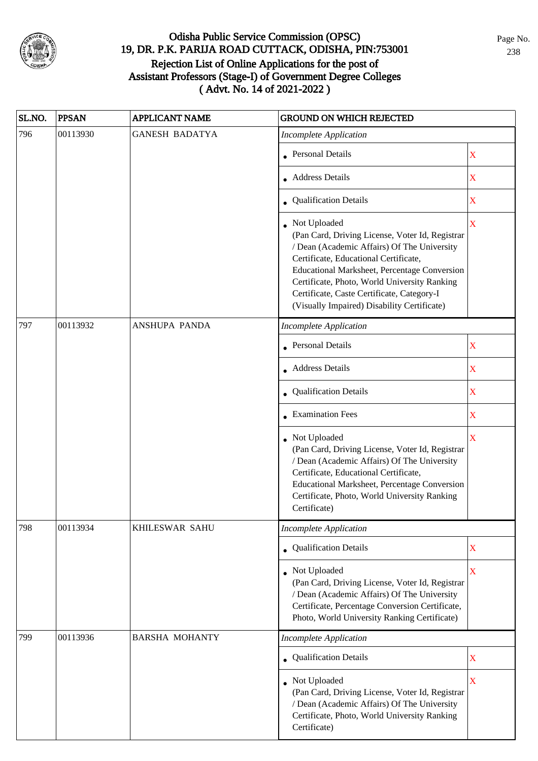

| SL.NO. | <b>PPSAN</b>                                               | <b>APPLICANT NAME</b> | <b>GROUND ON WHICH REJECTED</b>                                                                                                                                                                                                                                                                                                                        |                                                |
|--------|------------------------------------------------------------|-----------------------|--------------------------------------------------------------------------------------------------------------------------------------------------------------------------------------------------------------------------------------------------------------------------------------------------------------------------------------------------------|------------------------------------------------|
| 796    | 00113930                                                   | <b>GANESH BADATYA</b> | <b>Incomplete Application</b>                                                                                                                                                                                                                                                                                                                          |                                                |
|        |                                                            |                       | • Personal Details                                                                                                                                                                                                                                                                                                                                     | $\mathbf X$                                    |
|        |                                                            |                       | • Address Details                                                                                                                                                                                                                                                                                                                                      | $\mathbf X$                                    |
|        |                                                            |                       | • Qualification Details                                                                                                                                                                                                                                                                                                                                | X<br>X<br>X<br>X<br>X<br>$\mathbf X$<br>X<br>X |
|        |                                                            |                       | • Not Uploaded<br>(Pan Card, Driving License, Voter Id, Registrar<br>/ Dean (Academic Affairs) Of The University<br>Certificate, Educational Certificate,<br>Educational Marksheet, Percentage Conversion<br>Certificate, Photo, World University Ranking<br>Certificate, Caste Certificate, Category-I<br>(Visually Impaired) Disability Certificate) |                                                |
| 797    | 00113932<br>ANSHUPA PANDA<br><b>Incomplete Application</b> |                       |                                                                                                                                                                                                                                                                                                                                                        |                                                |
|        |                                                            |                       | <b>Personal Details</b>                                                                                                                                                                                                                                                                                                                                | X                                              |
|        |                                                            |                       | • Address Details                                                                                                                                                                                                                                                                                                                                      |                                                |
|        |                                                            |                       | • Qualification Details                                                                                                                                                                                                                                                                                                                                | X                                              |
|        |                                                            |                       | • Examination Fees                                                                                                                                                                                                                                                                                                                                     |                                                |
|        |                                                            |                       | • Not Uploaded<br>(Pan Card, Driving License, Voter Id, Registrar<br>/ Dean (Academic Affairs) Of The University<br>Certificate, Educational Certificate,<br>Educational Marksheet, Percentage Conversion<br>Certificate, Photo, World University Ranking<br>Certificate)                                                                              |                                                |
| 798    | 00113934                                                   | KHILESWAR SAHU        | <b>Incomplete Application</b>                                                                                                                                                                                                                                                                                                                          |                                                |
|        |                                                            |                       | • Qualification Details                                                                                                                                                                                                                                                                                                                                | $\overline{\mathbf{X}}$                        |
|        |                                                            |                       | Not Uploaded<br>(Pan Card, Driving License, Voter Id, Registrar<br>/ Dean (Academic Affairs) Of The University<br>Certificate, Percentage Conversion Certificate,<br>Photo, World University Ranking Certificate)                                                                                                                                      |                                                |
| 799    | 00113936                                                   | <b>BARSHA MOHANTY</b> | <b>Incomplete Application</b>                                                                                                                                                                                                                                                                                                                          |                                                |
|        |                                                            |                       | • Qualification Details                                                                                                                                                                                                                                                                                                                                |                                                |
|        |                                                            |                       | Not Uploaded<br>(Pan Card, Driving License, Voter Id, Registrar<br>/ Dean (Academic Affairs) Of The University<br>Certificate, Photo, World University Ranking<br>Certificate)                                                                                                                                                                         |                                                |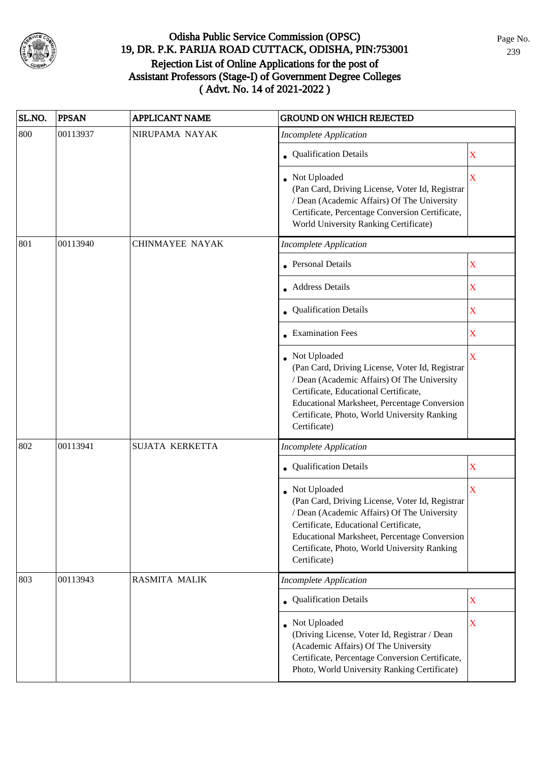

| SL.NO. | <b>PPSAN</b> | <b>APPLICANT NAME</b>  | <b>GROUND ON WHICH REJECTED</b>                                                                                                                                                                                                                                           |             |
|--------|--------------|------------------------|---------------------------------------------------------------------------------------------------------------------------------------------------------------------------------------------------------------------------------------------------------------------------|-------------|
| 800    | 00113937     | NIRUPAMA NAYAK         | <b>Incomplete Application</b>                                                                                                                                                                                                                                             |             |
|        |              |                        | • Qualification Details                                                                                                                                                                                                                                                   | $\mathbf X$ |
|        |              |                        | Not Uploaded<br>(Pan Card, Driving License, Voter Id, Registrar<br>/ Dean (Academic Affairs) Of The University<br>Certificate, Percentage Conversion Certificate,<br>World University Ranking Certificate)                                                                | $\mathbf X$ |
| 801    | 00113940     | <b>CHINMAYEE NAYAK</b> | <b>Incomplete Application</b>                                                                                                                                                                                                                                             |             |
|        |              |                        | • Personal Details                                                                                                                                                                                                                                                        | $\mathbf X$ |
|        |              |                        | Address Details                                                                                                                                                                                                                                                           | X           |
|        |              |                        | • Qualification Details                                                                                                                                                                                                                                                   | X           |
|        |              |                        | • Examination Fees                                                                                                                                                                                                                                                        | $\mathbf X$ |
|        |              |                        | • Not Uploaded<br>(Pan Card, Driving License, Voter Id, Registrar<br>/ Dean (Academic Affairs) Of The University<br>Certificate, Educational Certificate,<br>Educational Marksheet, Percentage Conversion<br>Certificate, Photo, World University Ranking<br>Certificate) | $\mathbf X$ |
| 802    | 00113941     | SUJATA KERKETTA        | <b>Incomplete Application</b>                                                                                                                                                                                                                                             |             |
|        |              |                        | Qualification Details                                                                                                                                                                                                                                                     | X           |
|        |              |                        | • Not Uploaded<br>(Pan Card, Driving License, Voter Id, Registrar<br>/ Dean (Academic Affairs) Of The University<br>Certificate, Educational Certificate,<br>Educational Marksheet, Percentage Conversion<br>Certificate, Photo, World University Ranking<br>Certificate) | X           |
| 803    | 00113943     | <b>RASMITA MALIK</b>   | <b>Incomplete Application</b>                                                                                                                                                                                                                                             |             |
|        |              |                        | • Qualification Details                                                                                                                                                                                                                                                   | $\mathbf X$ |
|        |              |                        | • Not Uploaded<br>(Driving License, Voter Id, Registrar / Dean<br>(Academic Affairs) Of The University<br>Certificate, Percentage Conversion Certificate,<br>Photo, World University Ranking Certificate)                                                                 | X           |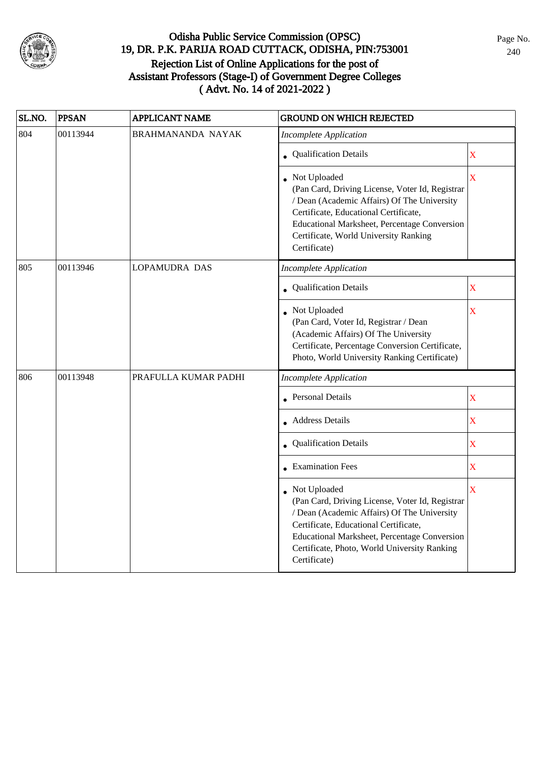

| SL.NO. | <b>PPSAN</b> | <b>APPLICANT NAME</b> | <b>GROUND ON WHICH REJECTED</b>                                                                                                                                                                                                                                         |                         |
|--------|--------------|-----------------------|-------------------------------------------------------------------------------------------------------------------------------------------------------------------------------------------------------------------------------------------------------------------------|-------------------------|
| 804    | 00113944     | BRAHMANANDA NAYAK     | <b>Incomplete Application</b>                                                                                                                                                                                                                                           |                         |
|        |              |                       | • Qualification Details                                                                                                                                                                                                                                                 | $\bar{\textbf{X}}$      |
|        |              |                       | • Not Uploaded<br>(Pan Card, Driving License, Voter Id, Registrar<br>/ Dean (Academic Affairs) Of The University<br>Certificate, Educational Certificate,<br>Educational Marksheet, Percentage Conversion<br>Certificate, World University Ranking<br>Certificate)      | $\overline{\mathbf{X}}$ |
| 805    | 00113946     | <b>LOPAMUDRA DAS</b>  | <b>Incomplete Application</b>                                                                                                                                                                                                                                           |                         |
|        |              |                       | • Qualification Details                                                                                                                                                                                                                                                 | $\overline{\text{X}}$   |
|        |              |                       | Not Uploaded<br>(Pan Card, Voter Id, Registrar / Dean<br>(Academic Affairs) Of The University<br>Certificate, Percentage Conversion Certificate,<br>Photo, World University Ranking Certificate)                                                                        | X                       |
| 806    | 00113948     | PRAFULLA KUMAR PADHI  | <b>Incomplete Application</b>                                                                                                                                                                                                                                           |                         |
|        |              |                       | <b>Personal Details</b>                                                                                                                                                                                                                                                 | X                       |
|        |              |                       | • Address Details                                                                                                                                                                                                                                                       | $\overline{\text{X}}$   |
|        |              |                       | Qualification Details                                                                                                                                                                                                                                                   | $\overline{\text{X}}$   |
|        |              |                       | <b>Examination Fees</b>                                                                                                                                                                                                                                                 | $\overline{\text{X}}$   |
|        |              |                       | Not Uploaded<br>(Pan Card, Driving License, Voter Id, Registrar<br>/ Dean (Academic Affairs) Of The University<br>Certificate, Educational Certificate,<br>Educational Marksheet, Percentage Conversion<br>Certificate, Photo, World University Ranking<br>Certificate) | $\bar{\mathbf{X}}$      |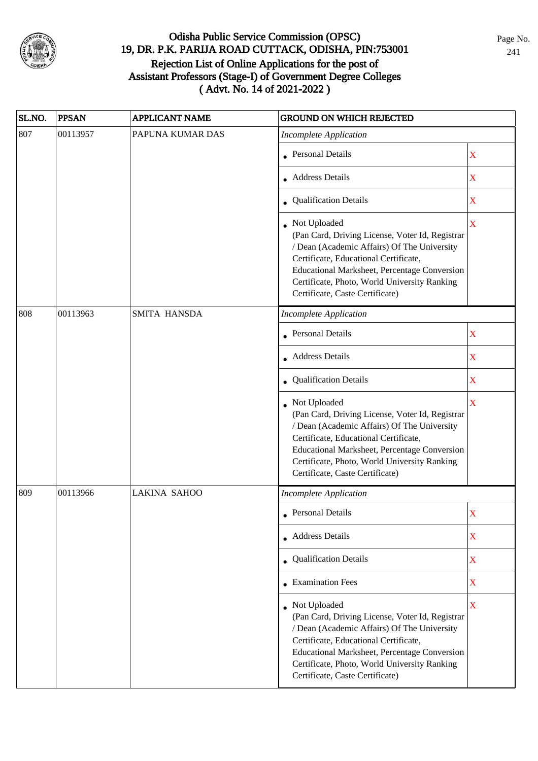

| SL.NO. | <b>PPSAN</b> | <b>APPLICANT NAME</b> | <b>GROUND ON WHICH REJECTED</b>                                                                                                                                                                                                                                                              |                         |
|--------|--------------|-----------------------|----------------------------------------------------------------------------------------------------------------------------------------------------------------------------------------------------------------------------------------------------------------------------------------------|-------------------------|
| 807    | 00113957     | PAPUNA KUMAR DAS      | <b>Incomplete Application</b>                                                                                                                                                                                                                                                                |                         |
|        |              |                       | • Personal Details                                                                                                                                                                                                                                                                           | $\mathbf X$             |
|        |              |                       | • Address Details                                                                                                                                                                                                                                                                            | $\mathbf X$             |
|        |              |                       | • Qualification Details                                                                                                                                                                                                                                                                      | $\mathbf X$             |
|        |              |                       | Not Uploaded<br>(Pan Card, Driving License, Voter Id, Registrar<br>/ Dean (Academic Affairs) Of The University<br>Certificate, Educational Certificate,<br>Educational Marksheet, Percentage Conversion<br>Certificate, Photo, World University Ranking<br>Certificate, Caste Certificate)   | $\overline{\mathbf{X}}$ |
| 808    | 00113963     | SMITA HANSDA          | <b>Incomplete Application</b>                                                                                                                                                                                                                                                                |                         |
|        |              |                       | <b>Personal Details</b>                                                                                                                                                                                                                                                                      | X                       |
|        |              |                       | Address Details                                                                                                                                                                                                                                                                              | $\mathbf X$             |
|        |              |                       | • Qualification Details                                                                                                                                                                                                                                                                      | $\mathbf X$             |
|        |              |                       | Not Uploaded<br>(Pan Card, Driving License, Voter Id, Registrar<br>/ Dean (Academic Affairs) Of The University<br>Certificate, Educational Certificate,<br>Educational Marksheet, Percentage Conversion<br>Certificate, Photo, World University Ranking<br>Certificate, Caste Certificate)   | $\overline{\mathbf{X}}$ |
| 809    | 00113966     | <b>LAKINA SAHOO</b>   | <b>Incomplete Application</b>                                                                                                                                                                                                                                                                |                         |
|        |              |                       | • Personal Details                                                                                                                                                                                                                                                                           | X                       |
|        |              |                       | • Address Details                                                                                                                                                                                                                                                                            | X                       |
|        |              |                       | • Qualification Details                                                                                                                                                                                                                                                                      | $\mathbf X$             |
|        |              |                       | • Examination Fees                                                                                                                                                                                                                                                                           | $\mathbf X$             |
|        |              |                       | • Not Uploaded<br>(Pan Card, Driving License, Voter Id, Registrar<br>/ Dean (Academic Affairs) Of The University<br>Certificate, Educational Certificate,<br>Educational Marksheet, Percentage Conversion<br>Certificate, Photo, World University Ranking<br>Certificate, Caste Certificate) | $\overline{\mathbf{X}}$ |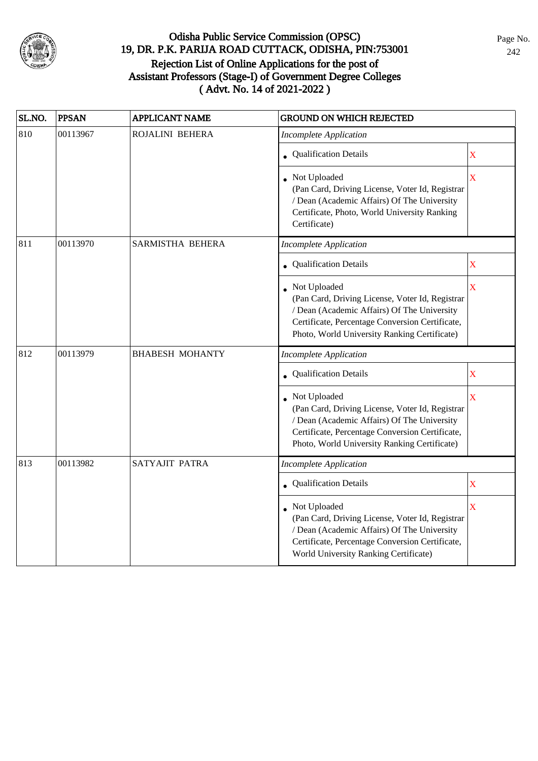

| SL.NO. | <b>PPSAN</b> | <b>APPLICANT NAME</b>  | <b>GROUND ON WHICH REJECTED</b>                                                                                                                                                                                   |                         |  |
|--------|--------------|------------------------|-------------------------------------------------------------------------------------------------------------------------------------------------------------------------------------------------------------------|-------------------------|--|
| 810    | 00113967     | ROJALINI BEHERA        | <b>Incomplete Application</b>                                                                                                                                                                                     |                         |  |
|        |              |                        | <b>Qualification Details</b>                                                                                                                                                                                      | $\overline{\text{X}}$   |  |
|        |              |                        | Not Uploaded<br>(Pan Card, Driving License, Voter Id, Registrar<br>/ Dean (Academic Affairs) Of The University<br>Certificate, Photo, World University Ranking<br>Certificate)                                    | $\overline{\mathbf{X}}$ |  |
| 811    | 00113970     | SARMISTHA BEHERA       | <b>Incomplete Application</b>                                                                                                                                                                                     |                         |  |
|        |              |                        | <b>Qualification Details</b>                                                                                                                                                                                      | X                       |  |
|        |              |                        | Not Uploaded<br>(Pan Card, Driving License, Voter Id, Registrar<br>/ Dean (Academic Affairs) Of The University<br>Certificate, Percentage Conversion Certificate,<br>Photo, World University Ranking Certificate) | X                       |  |
| 812    | 00113979     | <b>BHABESH MOHANTY</b> | <b>Incomplete Application</b>                                                                                                                                                                                     |                         |  |
|        |              |                        | <b>Qualification Details</b>                                                                                                                                                                                      | X                       |  |
|        |              |                        | Not Uploaded<br>(Pan Card, Driving License, Voter Id, Registrar<br>/ Dean (Academic Affairs) Of The University<br>Certificate, Percentage Conversion Certificate,<br>Photo, World University Ranking Certificate) | $\bar{X}$               |  |
| 813    | 00113982     | SATYAJIT PATRA         | <b>Incomplete Application</b>                                                                                                                                                                                     |                         |  |
|        |              |                        | • Qualification Details                                                                                                                                                                                           | $\overline{\text{X}}$   |  |
|        |              |                        | Not Uploaded<br>(Pan Card, Driving License, Voter Id, Registrar<br>/ Dean (Academic Affairs) Of The University<br>Certificate, Percentage Conversion Certificate,<br>World University Ranking Certificate)        | $\overline{\mathbf{X}}$ |  |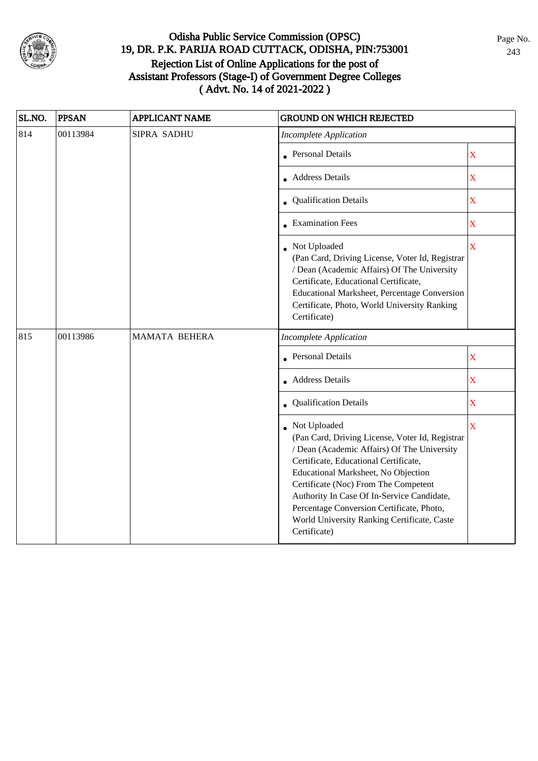

| SL.NO. | <b>PPSAN</b> | <b>APPLICANT NAME</b>   | <b>GROUND ON WHICH REJECTED</b>                                                                                                                                                                                                                                                                                                                                                                  |                       |
|--------|--------------|-------------------------|--------------------------------------------------------------------------------------------------------------------------------------------------------------------------------------------------------------------------------------------------------------------------------------------------------------------------------------------------------------------------------------------------|-----------------------|
| 814    | 00113984     | SIPRA SADHU             | <b>Incomplete Application</b>                                                                                                                                                                                                                                                                                                                                                                    |                       |
|        |              | <b>Personal Details</b> | $\overline{\text{X}}$                                                                                                                                                                                                                                                                                                                                                                            |                       |
|        |              |                         | • Address Details                                                                                                                                                                                                                                                                                                                                                                                | $\overline{\text{X}}$ |
|        |              |                         | <b>Qualification Details</b>                                                                                                                                                                                                                                                                                                                                                                     | $\overline{\text{X}}$ |
|        |              |                         | • Examination Fees                                                                                                                                                                                                                                                                                                                                                                               | $\overline{\text{X}}$ |
|        |              |                         | Not Uploaded<br>(Pan Card, Driving License, Voter Id, Registrar<br>/ Dean (Academic Affairs) Of The University<br>Certificate, Educational Certificate,<br>Educational Marksheet, Percentage Conversion<br>Certificate, Photo, World University Ranking<br>Certificate)                                                                                                                          | $\bar{\textbf{X}}$    |
| 815    | 00113986     | MAMATA BEHERA           | <b>Incomplete Application</b>                                                                                                                                                                                                                                                                                                                                                                    |                       |
|        |              |                         | Personal Details                                                                                                                                                                                                                                                                                                                                                                                 | $\bar{\mathbf{X}}$    |
|        |              |                         | Address Details                                                                                                                                                                                                                                                                                                                                                                                  | $\bar{\mathbf{X}}$    |
|        |              |                         | Qualification Details                                                                                                                                                                                                                                                                                                                                                                            | $\bar{X}$             |
|        |              |                         | Not Uploaded<br>(Pan Card, Driving License, Voter Id, Registrar<br>/ Dean (Academic Affairs) Of The University<br>Certificate, Educational Certificate,<br>Educational Marksheet, No Objection<br>Certificate (Noc) From The Competent<br>Authority In Case Of In-Service Candidate,<br>Percentage Conversion Certificate, Photo,<br>World University Ranking Certificate, Caste<br>Certificate) | $\bar{\mathbf{X}}$    |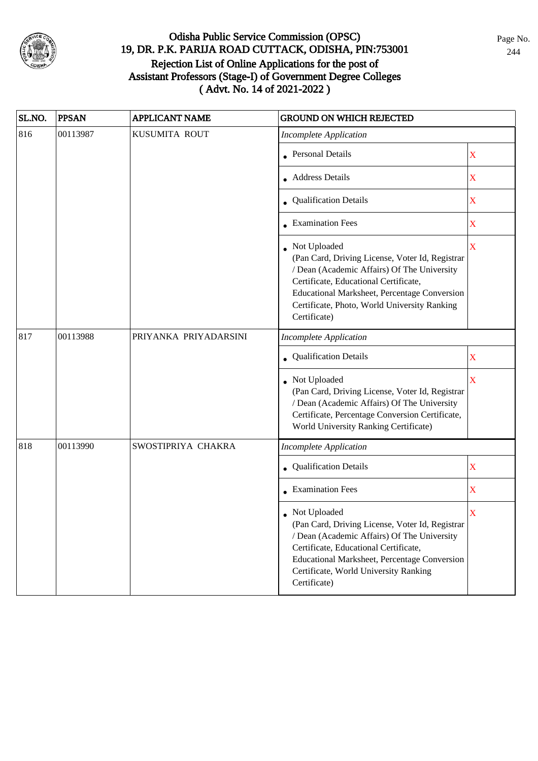

| SL.NO. | <b>PPSAN</b> | <b>APPLICANT NAME</b> | <b>GROUND ON WHICH REJECTED</b>                                                                                                                                                                                                                                             |                         |
|--------|--------------|-----------------------|-----------------------------------------------------------------------------------------------------------------------------------------------------------------------------------------------------------------------------------------------------------------------------|-------------------------|
| 816    | 00113987     | KUSUMITA ROUT         | <b>Incomplete Application</b>                                                                                                                                                                                                                                               |                         |
|        |              |                       | <b>Personal Details</b>                                                                                                                                                                                                                                                     | X                       |
|        |              |                       | • Address Details                                                                                                                                                                                                                                                           | X                       |
|        |              |                       | • Qualification Details                                                                                                                                                                                                                                                     | $\mathbf X$             |
|        |              |                       | • Examination Fees                                                                                                                                                                                                                                                          | X                       |
|        |              |                       | Not Uploaded<br>(Pan Card, Driving License, Voter Id, Registrar<br>/ Dean (Academic Affairs) Of The University<br>Certificate, Educational Certificate,<br>Educational Marksheet, Percentage Conversion<br>Certificate, Photo, World University Ranking<br>Certificate)     | $\mathbf X$             |
| 817    | 00113988     | PRIYANKA PRIYADARSINI | <b>Incomplete Application</b>                                                                                                                                                                                                                                               |                         |
|        |              |                       | Qualification Details                                                                                                                                                                                                                                                       | X                       |
|        |              |                       | Not Uploaded<br>(Pan Card, Driving License, Voter Id, Registrar<br>/ Dean (Academic Affairs) Of The University<br>Certificate, Percentage Conversion Certificate,<br>World University Ranking Certificate)                                                                  | $\overline{\mathbf{X}}$ |
| 818    | 00113990     | SWOSTIPRIYA CHAKRA    | <b>Incomplete Application</b>                                                                                                                                                                                                                                               |                         |
|        |              |                       | • Qualification Details                                                                                                                                                                                                                                                     | $\mathbf X$             |
|        |              |                       | <b>Examination Fees</b>                                                                                                                                                                                                                                                     | $\mathbf X$             |
|        |              |                       | $\bullet~$ Not Uploaded<br>(Pan Card, Driving License, Voter Id, Registrar<br>/ Dean (Academic Affairs) Of The University<br>Certificate, Educational Certificate,<br>Educational Marksheet, Percentage Conversion<br>Certificate, World University Ranking<br>Certificate) | X                       |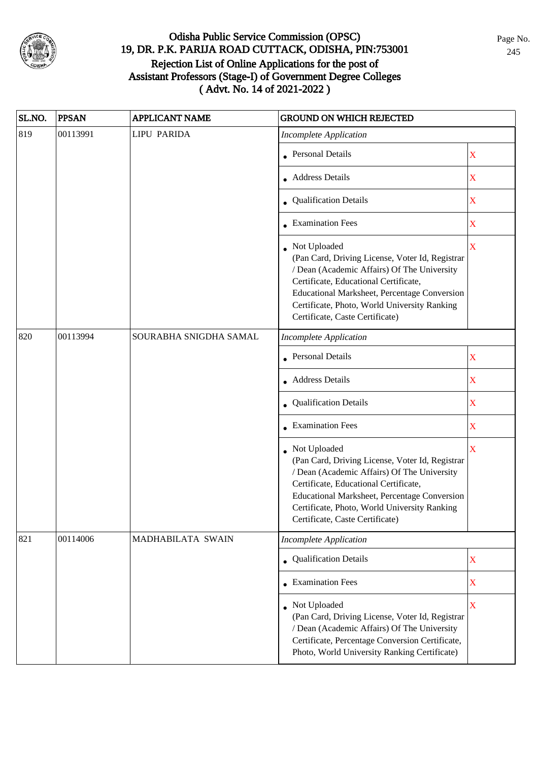

| SL.NO. | <b>PPSAN</b> | <b>APPLICANT NAME</b>  | <b>GROUND ON WHICH REJECTED</b>                                                                                                                                                                                                                                                              |                         |
|--------|--------------|------------------------|----------------------------------------------------------------------------------------------------------------------------------------------------------------------------------------------------------------------------------------------------------------------------------------------|-------------------------|
| 819    | 00113991     | <b>LIPU PARIDA</b>     | <b>Incomplete Application</b>                                                                                                                                                                                                                                                                |                         |
|        |              |                        | • Personal Details                                                                                                                                                                                                                                                                           | X                       |
|        |              |                        | • Address Details                                                                                                                                                                                                                                                                            | $\mathbf X$             |
|        |              |                        | • Qualification Details                                                                                                                                                                                                                                                                      | X                       |
|        |              |                        | • Examination Fees                                                                                                                                                                                                                                                                           | $\mathbf X$             |
|        |              |                        | Not Uploaded<br>(Pan Card, Driving License, Voter Id, Registrar<br>/ Dean (Academic Affairs) Of The University<br>Certificate, Educational Certificate,<br>Educational Marksheet, Percentage Conversion<br>Certificate, Photo, World University Ranking<br>Certificate, Caste Certificate)   | $\mathbf X$             |
| 820    | 00113994     | SOURABHA SNIGDHA SAMAL | <b>Incomplete Application</b>                                                                                                                                                                                                                                                                |                         |
|        |              |                        | <b>Personal Details</b>                                                                                                                                                                                                                                                                      | $\mathbf X$             |
|        |              |                        | <b>Address Details</b>                                                                                                                                                                                                                                                                       | $\mathbf X$             |
|        |              |                        | • Qualification Details                                                                                                                                                                                                                                                                      | $\mathbf X$             |
|        |              |                        | $\bullet$ Examination Fees                                                                                                                                                                                                                                                                   | $\mathbf X$             |
|        |              |                        | • Not Uploaded<br>(Pan Card, Driving License, Voter Id, Registrar<br>/ Dean (Academic Affairs) Of The University<br>Certificate, Educational Certificate,<br>Educational Marksheet, Percentage Conversion<br>Certificate, Photo, World University Ranking<br>Certificate, Caste Certificate) | $\overline{\mathbf{X}}$ |
| 821    | 00114006     | MADHABILATA SWAIN      | <b>Incomplete Application</b>                                                                                                                                                                                                                                                                |                         |
|        |              |                        | • Qualification Details                                                                                                                                                                                                                                                                      | $\mathbf X$             |
|        |              |                        | • Examination Fees                                                                                                                                                                                                                                                                           | $\mathbf X$             |
|        |              |                        | Not Uploaded<br>(Pan Card, Driving License, Voter Id, Registrar<br>/ Dean (Academic Affairs) Of The University<br>Certificate, Percentage Conversion Certificate,<br>Photo, World University Ranking Certificate)                                                                            | $\overline{\mathbf{X}}$ |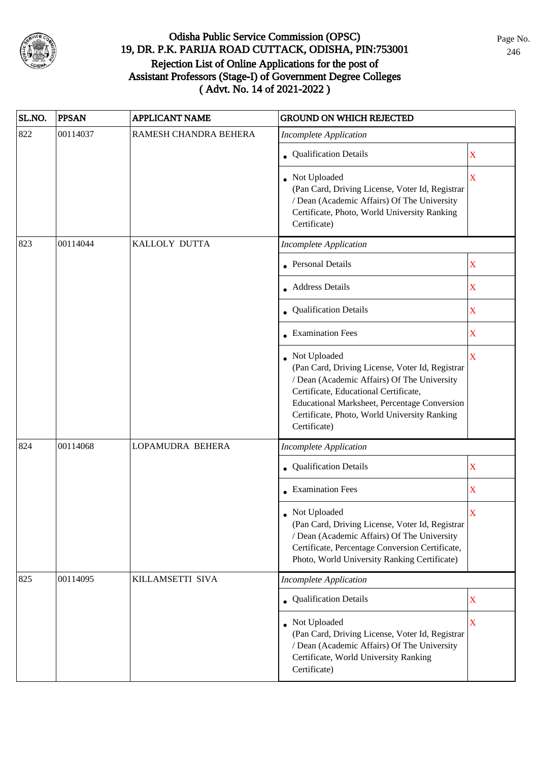

| SL.NO. | <b>PPSAN</b> | <b>APPLICANT NAME</b> | <b>GROUND ON WHICH REJECTED</b>                                                                                                                                                                                                                                           |             |
|--------|--------------|-----------------------|---------------------------------------------------------------------------------------------------------------------------------------------------------------------------------------------------------------------------------------------------------------------------|-------------|
| 822    | 00114037     | RAMESH CHANDRA BEHERA | <b>Incomplete Application</b>                                                                                                                                                                                                                                             |             |
|        |              |                       | • Qualification Details                                                                                                                                                                                                                                                   | $\mathbf X$ |
|        |              |                       | Not Uploaded<br>(Pan Card, Driving License, Voter Id, Registrar<br>/ Dean (Academic Affairs) Of The University<br>Certificate, Photo, World University Ranking<br>Certificate)                                                                                            | $\mathbf X$ |
| 823    | 00114044     | KALLOLY DUTTA         | <b>Incomplete Application</b>                                                                                                                                                                                                                                             |             |
|        |              |                       | • Personal Details                                                                                                                                                                                                                                                        | $\mathbf X$ |
|        |              |                       | • Address Details                                                                                                                                                                                                                                                         | $\mathbf X$ |
|        |              |                       | • Qualification Details                                                                                                                                                                                                                                                   | $\mathbf X$ |
|        |              |                       | • Examination Fees                                                                                                                                                                                                                                                        | $\mathbf X$ |
|        |              |                       | • Not Uploaded<br>(Pan Card, Driving License, Voter Id, Registrar<br>/ Dean (Academic Affairs) Of The University<br>Certificate, Educational Certificate,<br>Educational Marksheet, Percentage Conversion<br>Certificate, Photo, World University Ranking<br>Certificate) | $\mathbf X$ |
| 824    | 00114068     | LOPAMUDRA BEHERA      | <b>Incomplete Application</b>                                                                                                                                                                                                                                             |             |
|        |              |                       | Qualification Details                                                                                                                                                                                                                                                     | $\mathbf X$ |
|        |              |                       | • Examination Fees                                                                                                                                                                                                                                                        | $\mathbf X$ |
|        |              |                       | • Not Uploaded<br>(Pan Card, Driving License, Voter Id, Registrar<br>/ Dean (Academic Affairs) Of The University<br>Certificate, Percentage Conversion Certificate,<br>Photo, World University Ranking Certificate)                                                       | X           |
| 825    | 00114095     | KILLAMSETTI SIVA      | <b>Incomplete Application</b>                                                                                                                                                                                                                                             |             |
|        |              |                       | • Qualification Details                                                                                                                                                                                                                                                   | $\mathbf X$ |
|        |              |                       | Not Uploaded<br>(Pan Card, Driving License, Voter Id, Registrar<br>/ Dean (Academic Affairs) Of The University<br>Certificate, World University Ranking<br>Certificate)                                                                                                   | $\mathbf X$ |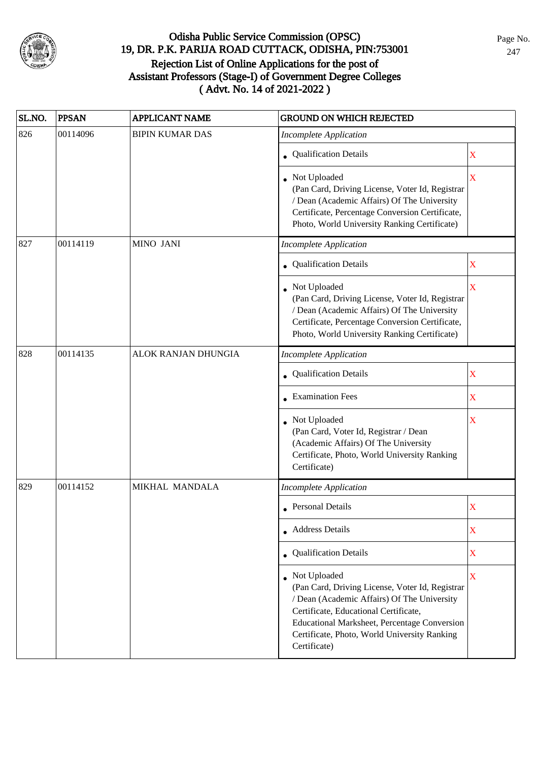

| SL.NO. | <b>PPSAN</b> | <b>APPLICANT NAME</b>  | <b>GROUND ON WHICH REJECTED</b>                                                                                                                                                                                                                                           |                         |
|--------|--------------|------------------------|---------------------------------------------------------------------------------------------------------------------------------------------------------------------------------------------------------------------------------------------------------------------------|-------------------------|
| 826    | 00114096     | <b>BIPIN KUMAR DAS</b> | <b>Incomplete Application</b>                                                                                                                                                                                                                                             |                         |
|        |              |                        | • Qualification Details                                                                                                                                                                                                                                                   | X                       |
|        |              |                        | • Not Uploaded<br>(Pan Card, Driving License, Voter Id, Registrar<br>/ Dean (Academic Affairs) Of The University<br>Certificate, Percentage Conversion Certificate,<br>Photo, World University Ranking Certificate)                                                       | $\overline{\mathbf{X}}$ |
| 827    | 00114119     | MINO JANI              | <b>Incomplete Application</b>                                                                                                                                                                                                                                             |                         |
|        |              |                        | • Qualification Details                                                                                                                                                                                                                                                   | $\mathbf X$             |
|        |              |                        | • Not Uploaded<br>(Pan Card, Driving License, Voter Id, Registrar<br>/ Dean (Academic Affairs) Of The University<br>Certificate, Percentage Conversion Certificate,<br>Photo, World University Ranking Certificate)                                                       | $\overline{\mathbf{X}}$ |
| 828    | 00114135     | ALOK RANJAN DHUNGIA    | <b>Incomplete Application</b>                                                                                                                                                                                                                                             |                         |
|        |              |                        | • Qualification Details                                                                                                                                                                                                                                                   | $\mathbf X$             |
|        |              |                        | • Examination Fees                                                                                                                                                                                                                                                        | X                       |
|        |              |                        | Not Uploaded<br>(Pan Card, Voter Id, Registrar / Dean<br>(Academic Affairs) Of The University<br>Certificate, Photo, World University Ranking<br>Certificate)                                                                                                             | X                       |
| 829    | 00114152     | MIKHAL MANDALA         | <b>Incomplete Application</b>                                                                                                                                                                                                                                             |                         |
|        |              |                        | • Personal Details                                                                                                                                                                                                                                                        | X                       |
|        |              |                        | • Address Details                                                                                                                                                                                                                                                         | X                       |
|        |              |                        | • Qualification Details                                                                                                                                                                                                                                                   | $\mathbf X$             |
|        |              |                        | • Not Uploaded<br>(Pan Card, Driving License, Voter Id, Registrar<br>/ Dean (Academic Affairs) Of The University<br>Certificate, Educational Certificate,<br>Educational Marksheet, Percentage Conversion<br>Certificate, Photo, World University Ranking<br>Certificate) | X                       |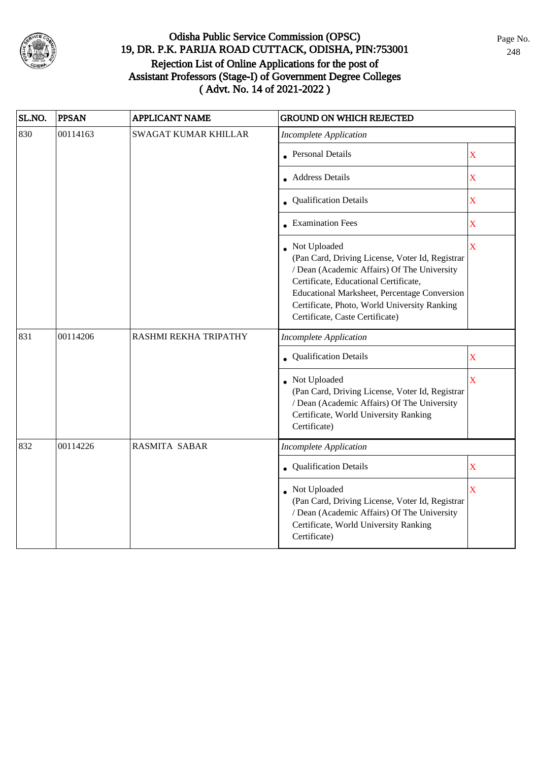

| SL.NO. | <b>PPSAN</b> | <b>APPLICANT NAME</b>       | <b>GROUND ON WHICH REJECTED</b>                                                                                                                                                                                                                                                            |                    |
|--------|--------------|-----------------------------|--------------------------------------------------------------------------------------------------------------------------------------------------------------------------------------------------------------------------------------------------------------------------------------------|--------------------|
| 830    | 00114163     | <b>SWAGAT KUMAR KHILLAR</b> | <b>Incomplete Application</b>                                                                                                                                                                                                                                                              |                    |
|        |              |                             | <b>Personal Details</b>                                                                                                                                                                                                                                                                    | X                  |
|        |              |                             | <b>Address Details</b>                                                                                                                                                                                                                                                                     | $\mathbf X$        |
|        |              |                             | <b>Qualification Details</b>                                                                                                                                                                                                                                                               | $\mathbf X$        |
|        |              |                             | • Examination Fees                                                                                                                                                                                                                                                                         | X                  |
|        |              |                             | Not Uploaded<br>(Pan Card, Driving License, Voter Id, Registrar<br>/ Dean (Academic Affairs) Of The University<br>Certificate, Educational Certificate,<br>Educational Marksheet, Percentage Conversion<br>Certificate, Photo, World University Ranking<br>Certificate, Caste Certificate) | $\bar{\mathbf{X}}$ |
| 831    | 00114206     | RASHMI REKHA TRIPATHY       | <b>Incomplete Application</b>                                                                                                                                                                                                                                                              |                    |
|        |              |                             | <b>Qualification Details</b>                                                                                                                                                                                                                                                               | $\mathbf X$        |
|        |              |                             | Not Uploaded<br>(Pan Card, Driving License, Voter Id, Registrar<br>/ Dean (Academic Affairs) Of The University<br>Certificate, World University Ranking<br>Certificate)                                                                                                                    | $\bar{\mathbf{X}}$ |
| 832    | 00114226     | <b>RASMITA SABAR</b>        | <b>Incomplete Application</b>                                                                                                                                                                                                                                                              |                    |
|        |              |                             | Qualification Details                                                                                                                                                                                                                                                                      | $\mathbf X$        |
|        |              |                             | Not Uploaded<br>(Pan Card, Driving License, Voter Id, Registrar<br>/ Dean (Academic Affairs) Of The University<br>Certificate, World University Ranking<br>Certificate)                                                                                                                    | $\bar{\mathbf{X}}$ |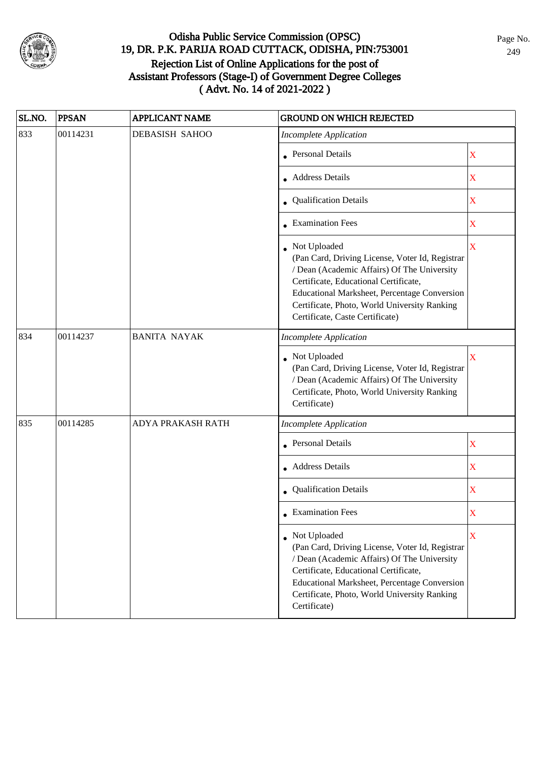

| SL.NO. | <b>PPSAN</b> | <b>APPLICANT NAME</b> | <b>GROUND ON WHICH REJECTED</b>                                                                                                                                                                                                                                                            |             |
|--------|--------------|-----------------------|--------------------------------------------------------------------------------------------------------------------------------------------------------------------------------------------------------------------------------------------------------------------------------------------|-------------|
| 833    | 00114231     | <b>DEBASISH SAHOO</b> | <b>Incomplete Application</b>                                                                                                                                                                                                                                                              |             |
|        |              |                       | <b>Personal Details</b>                                                                                                                                                                                                                                                                    | X           |
|        |              |                       | • Address Details                                                                                                                                                                                                                                                                          | X           |
|        |              |                       | • Qualification Details                                                                                                                                                                                                                                                                    | X           |
|        |              |                       | • Examination Fees                                                                                                                                                                                                                                                                         | X           |
|        |              |                       | Not Uploaded<br>(Pan Card, Driving License, Voter Id, Registrar<br>/ Dean (Academic Affairs) Of The University<br>Certificate, Educational Certificate,<br>Educational Marksheet, Percentage Conversion<br>Certificate, Photo, World University Ranking<br>Certificate, Caste Certificate) | X           |
| 834    | 00114237     | <b>BANITA NAYAK</b>   | <b>Incomplete Application</b>                                                                                                                                                                                                                                                              |             |
|        |              |                       | Not Uploaded<br>(Pan Card, Driving License, Voter Id, Registrar<br>/ Dean (Academic Affairs) Of The University<br>Certificate, Photo, World University Ranking<br>Certificate)                                                                                                             | X           |
| 835    | 00114285     | ADYA PRAKASH RATH     | <b>Incomplete Application</b>                                                                                                                                                                                                                                                              |             |
|        |              |                       | <b>Personal Details</b>                                                                                                                                                                                                                                                                    | $\mathbf X$ |
|        |              |                       | • Address Details                                                                                                                                                                                                                                                                          | $\mathbf X$ |
|        |              |                       | Qualification Details                                                                                                                                                                                                                                                                      | $\mathbf X$ |
|        |              |                       | $\bullet$ Examination Fees                                                                                                                                                                                                                                                                 | X           |
|        |              |                       | • Not Uploaded<br>(Pan Card, Driving License, Voter Id, Registrar<br>/ Dean (Academic Affairs) Of The University<br>Certificate, Educational Certificate,<br><b>Educational Marksheet, Percentage Conversion</b><br>Certificate, Photo, World University Ranking<br>Certificate)           | X           |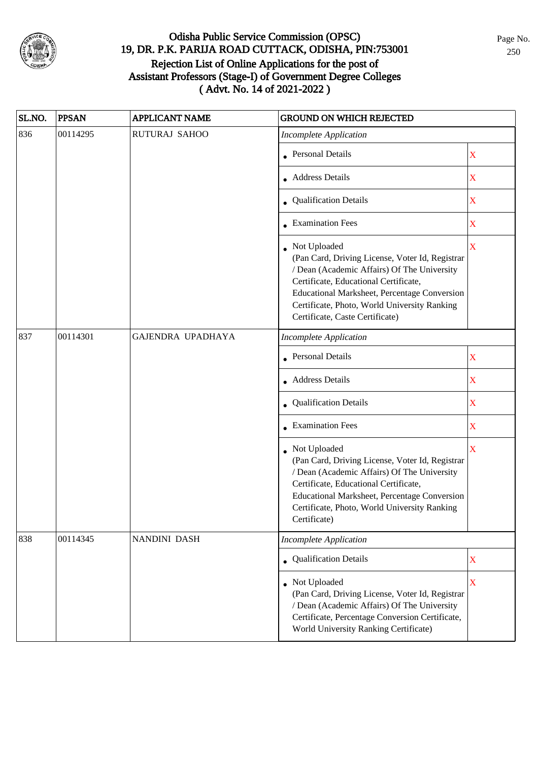

| SL.NO. | <b>PPSAN</b> | <b>APPLICANT NAME</b> | <b>GROUND ON WHICH REJECTED</b>                                                                                                                                                                                                                                                              |                         |
|--------|--------------|-----------------------|----------------------------------------------------------------------------------------------------------------------------------------------------------------------------------------------------------------------------------------------------------------------------------------------|-------------------------|
| 836    | 00114295     | <b>RUTURAJ SAHOO</b>  | <b>Incomplete Application</b>                                                                                                                                                                                                                                                                |                         |
|        |              |                       | • Personal Details                                                                                                                                                                                                                                                                           | X                       |
|        |              |                       | • Address Details                                                                                                                                                                                                                                                                            | X                       |
|        |              |                       | • Qualification Details                                                                                                                                                                                                                                                                      | X                       |
|        |              |                       | • Examination Fees                                                                                                                                                                                                                                                                           | X                       |
|        |              |                       | • Not Uploaded<br>(Pan Card, Driving License, Voter Id, Registrar<br>/ Dean (Academic Affairs) Of The University<br>Certificate, Educational Certificate,<br>Educational Marksheet, Percentage Conversion<br>Certificate, Photo, World University Ranking<br>Certificate, Caste Certificate) | $\overline{\mathbf{X}}$ |
| 837    | 00114301     | GAJENDRA UPADHAYA     | <b>Incomplete Application</b>                                                                                                                                                                                                                                                                |                         |
|        |              |                       | <b>Personal Details</b>                                                                                                                                                                                                                                                                      | $\mathbf X$             |
|        |              |                       | <b>Address Details</b>                                                                                                                                                                                                                                                                       | $\mathbf X$             |
|        |              |                       | • Qualification Details                                                                                                                                                                                                                                                                      | $\mathbf X$             |
|        |              |                       | $\bullet$ Examination Fees                                                                                                                                                                                                                                                                   | $\overline{\textbf{X}}$ |
|        |              |                       | • Not Uploaded<br>(Pan Card, Driving License, Voter Id, Registrar<br>/ Dean (Academic Affairs) Of The University<br>Certificate, Educational Certificate,<br>Educational Marksheet, Percentage Conversion<br>Certificate, Photo, World University Ranking<br>Certificate)                    | $\overline{\mathbf{X}}$ |
| 838    | 00114345     | NANDINI DASH          | <b>Incomplete Application</b>                                                                                                                                                                                                                                                                |                         |
|        |              |                       | • Qualification Details                                                                                                                                                                                                                                                                      | $\mathbf X$             |
|        |              |                       | Not Uploaded<br>(Pan Card, Driving License, Voter Id, Registrar<br>/ Dean (Academic Affairs) Of The University<br>Certificate, Percentage Conversion Certificate,<br>World University Ranking Certificate)                                                                                   | $\overline{\mathbf{X}}$ |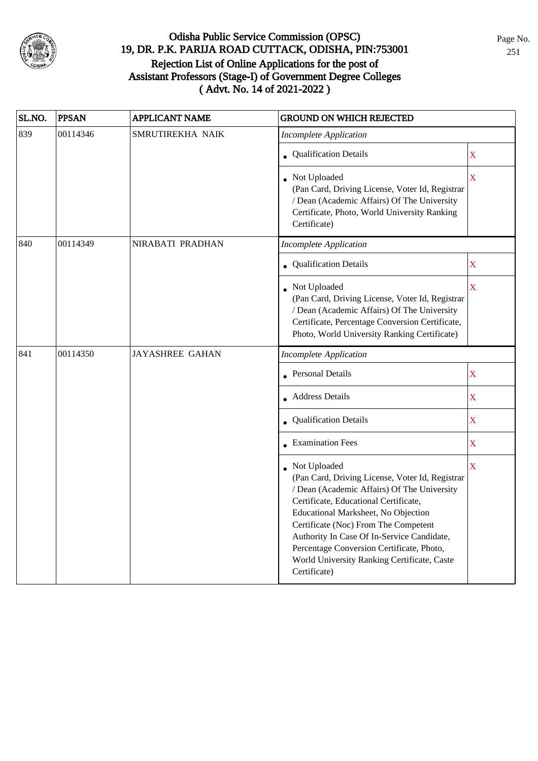

| SL.NO. | <b>PPSAN</b> | <b>APPLICANT NAME</b>  | <b>GROUND ON WHICH REJECTED</b>                                                                                                                                                                                                                                                                                                                                                                    |                         |
|--------|--------------|------------------------|----------------------------------------------------------------------------------------------------------------------------------------------------------------------------------------------------------------------------------------------------------------------------------------------------------------------------------------------------------------------------------------------------|-------------------------|
| 839    | 00114346     | SMRUTIREKHA NAIK       | <b>Incomplete Application</b>                                                                                                                                                                                                                                                                                                                                                                      |                         |
|        |              |                        | • Qualification Details                                                                                                                                                                                                                                                                                                                                                                            | $\mathbf X$             |
|        |              |                        | • Not Uploaded<br>(Pan Card, Driving License, Voter Id, Registrar<br>/ Dean (Academic Affairs) Of The University<br>Certificate, Photo, World University Ranking<br>Certificate)                                                                                                                                                                                                                   | X                       |
| 840    | 00114349     | NIRABATI PRADHAN       | Incomplete Application                                                                                                                                                                                                                                                                                                                                                                             |                         |
|        |              |                        | • Qualification Details                                                                                                                                                                                                                                                                                                                                                                            | X                       |
|        |              |                        | • Not Uploaded<br>(Pan Card, Driving License, Voter Id, Registrar<br>/ Dean (Academic Affairs) Of The University<br>Certificate, Percentage Conversion Certificate,<br>Photo, World University Ranking Certificate)                                                                                                                                                                                | $\mathbf X$             |
| 841    | 00114350     | <b>JAYASHREE GAHAN</b> | <b>Incomplete Application</b>                                                                                                                                                                                                                                                                                                                                                                      |                         |
|        |              |                        | • Personal Details                                                                                                                                                                                                                                                                                                                                                                                 | $\mathbf X$             |
|        |              |                        | • Address Details                                                                                                                                                                                                                                                                                                                                                                                  | $\mathbf X$             |
|        |              |                        | • Qualification Details                                                                                                                                                                                                                                                                                                                                                                            | $\mathbf X$             |
|        |              |                        | • Examination Fees                                                                                                                                                                                                                                                                                                                                                                                 | $\mathbf X$             |
|        |              |                        | • Not Uploaded<br>(Pan Card, Driving License, Voter Id, Registrar<br>/ Dean (Academic Affairs) Of The University<br>Certificate, Educational Certificate,<br>Educational Marksheet, No Objection<br>Certificate (Noc) From The Competent<br>Authority In Case Of In-Service Candidate,<br>Percentage Conversion Certificate, Photo,<br>World University Ranking Certificate, Caste<br>Certificate) | $\overline{\mathbf{X}}$ |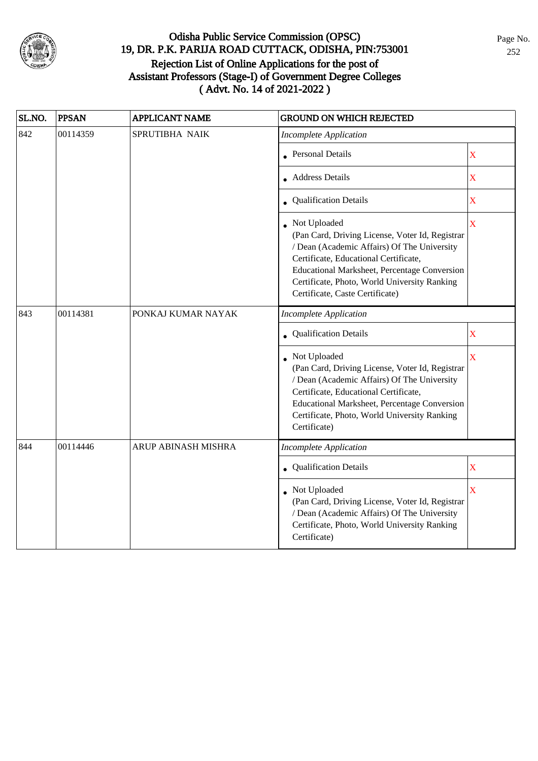

| SL.NO. | <b>PPSAN</b> | <b>APPLICANT NAME</b> | <b>GROUND ON WHICH REJECTED</b>                                                                                                                                                                                                                                                                     |                    |
|--------|--------------|-----------------------|-----------------------------------------------------------------------------------------------------------------------------------------------------------------------------------------------------------------------------------------------------------------------------------------------------|--------------------|
| 842    | 00114359     | SPRUTIBHA NAIK        | <b>Incomplete Application</b>                                                                                                                                                                                                                                                                       |                    |
|        |              |                       | <b>Personal Details</b>                                                                                                                                                                                                                                                                             | $\mathbf X$        |
|        |              |                       | • Address Details                                                                                                                                                                                                                                                                                   | $\mathbf X$        |
|        |              |                       | • Qualification Details                                                                                                                                                                                                                                                                             | $\mathbf X$        |
|        |              |                       | • Not Uploaded<br>(Pan Card, Driving License, Voter Id, Registrar<br>/ Dean (Academic Affairs) Of The University<br>Certificate, Educational Certificate,<br><b>Educational Marksheet, Percentage Conversion</b><br>Certificate, Photo, World University Ranking<br>Certificate, Caste Certificate) | $\bar{X}$          |
| 843    | 00114381     | PONKAJ KUMAR NAYAK    | <b>Incomplete Application</b>                                                                                                                                                                                                                                                                       |                    |
|        |              |                       | <b>Qualification Details</b>                                                                                                                                                                                                                                                                        | $\mathbf X$        |
|        |              |                       | Not Uploaded<br>(Pan Card, Driving License, Voter Id, Registrar<br>/ Dean (Academic Affairs) Of The University<br>Certificate, Educational Certificate,<br>Educational Marksheet, Percentage Conversion<br>Certificate, Photo, World University Ranking<br>Certificate)                             | $\bar{\mathbf{X}}$ |
| 844    | 00114446     | ARUP ABINASH MISHRA   | <b>Incomplete Application</b>                                                                                                                                                                                                                                                                       |                    |
|        |              |                       | <b>Qualification Details</b>                                                                                                                                                                                                                                                                        | $\mathbf X$        |
|        |              |                       | Not Uploaded<br>(Pan Card, Driving License, Voter Id, Registrar<br>/ Dean (Academic Affairs) Of The University<br>Certificate, Photo, World University Ranking<br>Certificate)                                                                                                                      | X                  |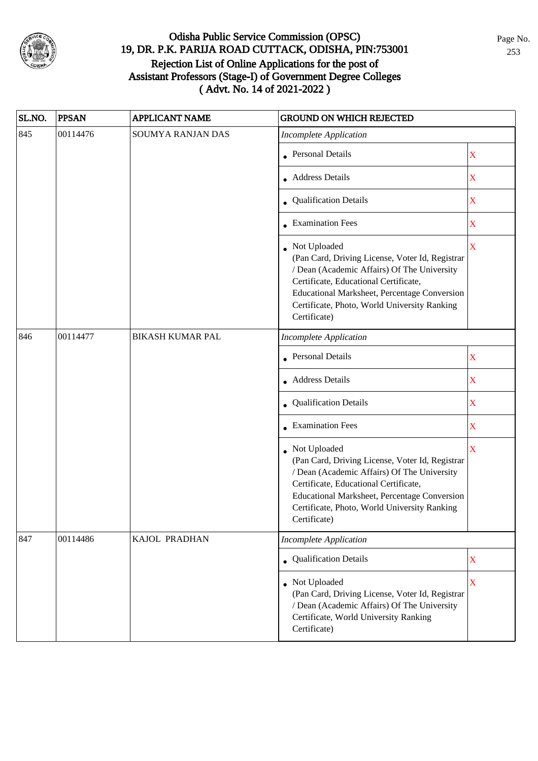

| SL.NO. | <b>PPSAN</b> | <b>APPLICANT NAME</b>   | <b>GROUND ON WHICH REJECTED</b>                                                                                                                                                                                                                                           |                         |
|--------|--------------|-------------------------|---------------------------------------------------------------------------------------------------------------------------------------------------------------------------------------------------------------------------------------------------------------------------|-------------------------|
| 845    | 00114476     | SOUMYA RANJAN DAS       | <b>Incomplete Application</b>                                                                                                                                                                                                                                             |                         |
|        |              |                         | • Personal Details                                                                                                                                                                                                                                                        | $\mathbf X$             |
|        |              |                         | • Address Details                                                                                                                                                                                                                                                         | $\mathbf X$             |
|        |              |                         | • Qualification Details                                                                                                                                                                                                                                                   | X                       |
|        |              |                         | <b>Examination Fees</b>                                                                                                                                                                                                                                                   | $\mathbf X$             |
|        |              |                         | • Not Uploaded<br>(Pan Card, Driving License, Voter Id, Registrar<br>/ Dean (Academic Affairs) Of The University<br>Certificate, Educational Certificate,<br>Educational Marksheet, Percentage Conversion<br>Certificate, Photo, World University Ranking<br>Certificate) | X                       |
| 846    | 00114477     | <b>BIKASH KUMAR PAL</b> | <b>Incomplete Application</b>                                                                                                                                                                                                                                             |                         |
|        |              |                         | <b>Personal Details</b>                                                                                                                                                                                                                                                   | $\mathbf X$             |
|        |              |                         | • Address Details                                                                                                                                                                                                                                                         | $\mathbf X$             |
|        |              |                         | • Qualification Details                                                                                                                                                                                                                                                   | $\mathbf X$             |
|        |              |                         | • Examination Fees                                                                                                                                                                                                                                                        | $\mathbf X$             |
|        |              |                         | • Not Uploaded<br>(Pan Card, Driving License, Voter Id, Registrar<br>/ Dean (Academic Affairs) Of The University<br>Certificate, Educational Certificate,<br>Educational Marksheet, Percentage Conversion<br>Certificate, Photo, World University Ranking<br>Certificate) | $\overline{\mathbf{X}}$ |
| 847    | 00114486     | KAJOL PRADHAN           | <b>Incomplete Application</b>                                                                                                                                                                                                                                             |                         |
|        |              |                         | • Qualification Details                                                                                                                                                                                                                                                   | $\mathbf X$             |
|        |              |                         | Not Uploaded<br>(Pan Card, Driving License, Voter Id, Registrar<br>/ Dean (Academic Affairs) Of The University<br>Certificate, World University Ranking<br>Certificate)                                                                                                   | $\mathbf X$             |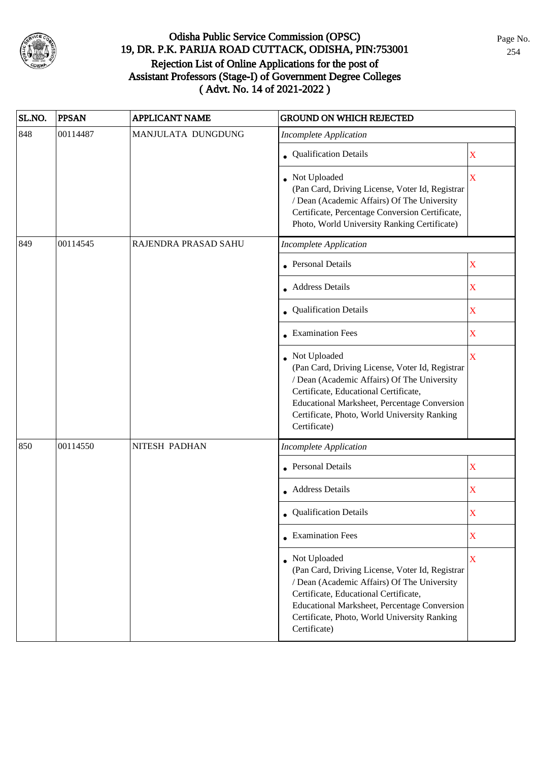

| SL.NO. | <b>PPSAN</b> | <b>APPLICANT NAME</b> | <b>GROUND ON WHICH REJECTED</b>                                                                                                                                                                                                                                           |             |
|--------|--------------|-----------------------|---------------------------------------------------------------------------------------------------------------------------------------------------------------------------------------------------------------------------------------------------------------------------|-------------|
| 848    | 00114487     | MANJULATA DUNGDUNG    | <b>Incomplete Application</b>                                                                                                                                                                                                                                             |             |
|        |              |                       | • Qualification Details                                                                                                                                                                                                                                                   | $\mathbf X$ |
|        |              |                       | • Not Uploaded<br>(Pan Card, Driving License, Voter Id, Registrar<br>/ Dean (Academic Affairs) Of The University<br>Certificate, Percentage Conversion Certificate,<br>Photo, World University Ranking Certificate)                                                       | $\mathbf X$ |
| 849    | 00114545     | RAJENDRA PRASAD SAHU  | <b>Incomplete Application</b>                                                                                                                                                                                                                                             |             |
|        |              |                       | <b>Personal Details</b>                                                                                                                                                                                                                                                   | $\mathbf X$ |
|        |              |                       | • Address Details                                                                                                                                                                                                                                                         | $\mathbf X$ |
|        |              |                       | • Qualification Details                                                                                                                                                                                                                                                   | $\mathbf X$ |
|        |              |                       | • Examination Fees                                                                                                                                                                                                                                                        | $\mathbf X$ |
|        |              |                       | Not Uploaded<br>(Pan Card, Driving License, Voter Id, Registrar<br>/ Dean (Academic Affairs) Of The University<br>Certificate, Educational Certificate,<br>Educational Marksheet, Percentage Conversion<br>Certificate, Photo, World University Ranking<br>Certificate)   | X           |
| 850    | 00114550     | NITESH PADHAN         | <b>Incomplete Application</b>                                                                                                                                                                                                                                             |             |
|        |              |                       | <b>Personal Details</b>                                                                                                                                                                                                                                                   | $\mathbf X$ |
|        |              |                       | • Address Details                                                                                                                                                                                                                                                         | $\mathbf X$ |
|        |              |                       | • Qualification Details                                                                                                                                                                                                                                                   | X           |
|        |              |                       | $\bullet$ Examination Fees                                                                                                                                                                                                                                                | $\mathbf X$ |
|        |              |                       | • Not Uploaded<br>(Pan Card, Driving License, Voter Id, Registrar<br>/ Dean (Academic Affairs) Of The University<br>Certificate, Educational Certificate,<br>Educational Marksheet, Percentage Conversion<br>Certificate, Photo, World University Ranking<br>Certificate) | $\mathbf X$ |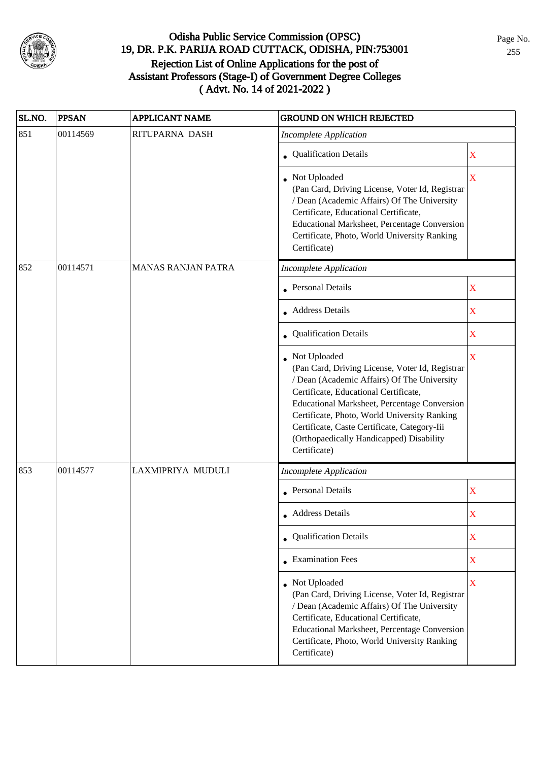

| SL.NO. | <b>PPSAN</b> | <b>APPLICANT NAME</b>     | <b>GROUND ON WHICH REJECTED</b>                                                                                                                                                                                                                                                                                                                                     |                         |
|--------|--------------|---------------------------|---------------------------------------------------------------------------------------------------------------------------------------------------------------------------------------------------------------------------------------------------------------------------------------------------------------------------------------------------------------------|-------------------------|
| 851    | 00114569     | RITUPARNA DASH            | <b>Incomplete Application</b>                                                                                                                                                                                                                                                                                                                                       |                         |
|        |              |                           | • Qualification Details                                                                                                                                                                                                                                                                                                                                             | X                       |
|        |              |                           | Not Uploaded<br>(Pan Card, Driving License, Voter Id, Registrar<br>/ Dean (Academic Affairs) Of The University<br>Certificate, Educational Certificate,<br>Educational Marksheet, Percentage Conversion<br>Certificate, Photo, World University Ranking<br>Certificate)                                                                                             | $\overline{\mathbf{X}}$ |
| 852    | 00114571     | <b>MANAS RANJAN PATRA</b> | <b>Incomplete Application</b>                                                                                                                                                                                                                                                                                                                                       |                         |
|        |              |                           | Personal Details                                                                                                                                                                                                                                                                                                                                                    | X                       |
|        |              |                           | • Address Details                                                                                                                                                                                                                                                                                                                                                   | X                       |
|        |              |                           | Qualification Details                                                                                                                                                                                                                                                                                                                                               | $\overline{\mathbf{X}}$ |
|        |              |                           | Not Uploaded<br>(Pan Card, Driving License, Voter Id, Registrar<br>/ Dean (Academic Affairs) Of The University<br>Certificate, Educational Certificate,<br>Educational Marksheet, Percentage Conversion<br>Certificate, Photo, World University Ranking<br>Certificate, Caste Certificate, Category-Iii<br>(Orthopaedically Handicapped) Disability<br>Certificate) | $\overline{\mathbf{X}}$ |
| 853    | 00114577     | LAXMIPRIYA MUDULI         | <b>Incomplete Application</b>                                                                                                                                                                                                                                                                                                                                       |                         |
|        |              |                           | <b>Personal Details</b>                                                                                                                                                                                                                                                                                                                                             | $\mathbf X$             |
|        |              |                           | • Address Details                                                                                                                                                                                                                                                                                                                                                   | X                       |
|        |              |                           | <b>Qualification Details</b>                                                                                                                                                                                                                                                                                                                                        | X                       |
|        |              |                           | • Examination Fees                                                                                                                                                                                                                                                                                                                                                  | X                       |
|        |              |                           | Not Uploaded<br>(Pan Card, Driving License, Voter Id, Registrar<br>/ Dean (Academic Affairs) Of The University<br>Certificate, Educational Certificate,<br>Educational Marksheet, Percentage Conversion<br>Certificate, Photo, World University Ranking<br>Certificate)                                                                                             | X                       |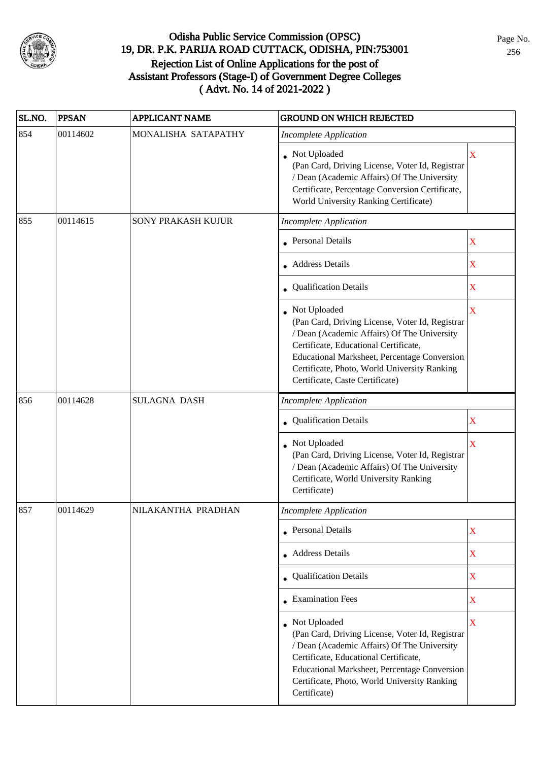

| SL.NO. | <b>PPSAN</b> | <b>APPLICANT NAME</b> | <b>GROUND ON WHICH REJECTED</b>                                                                                                                                                                                                                                                              |                         |
|--------|--------------|-----------------------|----------------------------------------------------------------------------------------------------------------------------------------------------------------------------------------------------------------------------------------------------------------------------------------------|-------------------------|
| 854    | 00114602     | MONALISHA SATAPATHY   | <b>Incomplete Application</b>                                                                                                                                                                                                                                                                |                         |
|        |              |                       | • Not Uploaded<br>(Pan Card, Driving License, Voter Id, Registrar<br>/ Dean (Academic Affairs) Of The University<br>Certificate, Percentage Conversion Certificate,<br>World University Ranking Certificate)                                                                                 | X                       |
| 855    | 00114615     | SONY PRAKASH KUJUR    | <b>Incomplete Application</b>                                                                                                                                                                                                                                                                |                         |
|        |              |                       | • Personal Details                                                                                                                                                                                                                                                                           | $\mathbf X$             |
|        |              |                       | • Address Details                                                                                                                                                                                                                                                                            | X                       |
|        |              |                       | • Qualification Details                                                                                                                                                                                                                                                                      | X                       |
|        |              |                       | • Not Uploaded<br>(Pan Card, Driving License, Voter Id, Registrar<br>/ Dean (Academic Affairs) Of The University<br>Certificate, Educational Certificate,<br>Educational Marksheet, Percentage Conversion<br>Certificate, Photo, World University Ranking<br>Certificate, Caste Certificate) | X                       |
| 856    | 00114628     | <b>SULAGNA DASH</b>   | <b>Incomplete Application</b>                                                                                                                                                                                                                                                                |                         |
|        |              |                       | • Qualification Details                                                                                                                                                                                                                                                                      | $\mathbf X$             |
|        |              |                       | Not Uploaded<br>(Pan Card, Driving License, Voter Id, Registrar<br>/ Dean (Academic Affairs) Of The University<br>Certificate, World University Ranking<br>Certificate)                                                                                                                      | $\overline{\mathbf{X}}$ |
| 857    | 00114629     | NILAKANTHA PRADHAN    | <b>Incomplete Application</b>                                                                                                                                                                                                                                                                |                         |
|        |              |                       | • Personal Details                                                                                                                                                                                                                                                                           | X                       |
|        |              |                       | • Address Details                                                                                                                                                                                                                                                                            | $\mathbf X$             |
|        |              |                       | • Qualification Details                                                                                                                                                                                                                                                                      | $\mathbf X$             |
|        |              |                       | • Examination Fees                                                                                                                                                                                                                                                                           | $\mathbf X$             |
|        |              |                       | Not Uploaded<br>(Pan Card, Driving License, Voter Id, Registrar<br>/ Dean (Academic Affairs) Of The University<br>Certificate, Educational Certificate,<br>Educational Marksheet, Percentage Conversion<br>Certificate, Photo, World University Ranking<br>Certificate)                      | X                       |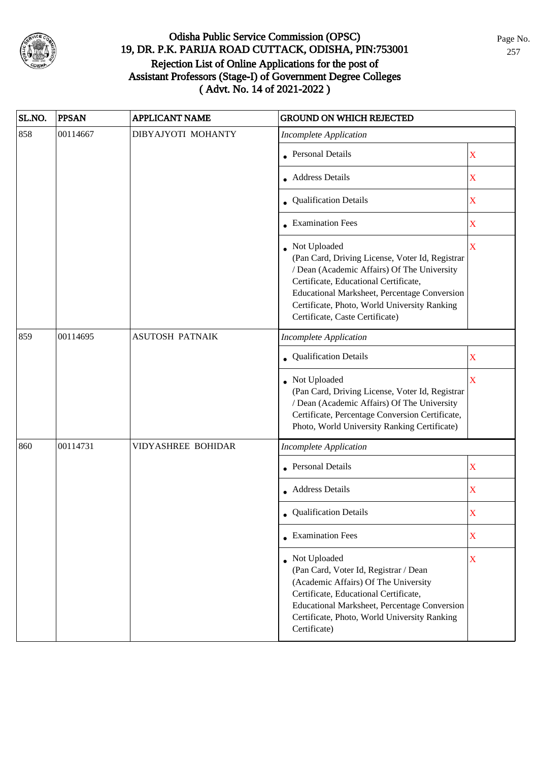

| SL.NO. | <b>PPSAN</b> | <b>APPLICANT NAME</b>     | <b>GROUND ON WHICH REJECTED</b>                                                                                                                                                                                                                                                            |                         |  |
|--------|--------------|---------------------------|--------------------------------------------------------------------------------------------------------------------------------------------------------------------------------------------------------------------------------------------------------------------------------------------|-------------------------|--|
| 858    | 00114667     | DIBYAJYOTI MOHANTY        | <b>Incomplete Application</b>                                                                                                                                                                                                                                                              |                         |  |
|        |              |                           | <b>Personal Details</b>                                                                                                                                                                                                                                                                    | $\mathbf X$             |  |
|        |              |                           | • Address Details                                                                                                                                                                                                                                                                          | X                       |  |
|        |              |                           | • Qualification Details                                                                                                                                                                                                                                                                    | $\mathbf X$             |  |
|        |              |                           | • Examination Fees                                                                                                                                                                                                                                                                         | $\mathbf X$             |  |
|        |              |                           | Not Uploaded<br>(Pan Card, Driving License, Voter Id, Registrar<br>/ Dean (Academic Affairs) Of The University<br>Certificate, Educational Certificate,<br>Educational Marksheet, Percentage Conversion<br>Certificate, Photo, World University Ranking<br>Certificate, Caste Certificate) | $\overline{\mathbf{X}}$ |  |
| 859    | 00114695     | <b>ASUTOSH PATNAIK</b>    | <b>Incomplete Application</b>                                                                                                                                                                                                                                                              |                         |  |
|        |              |                           | Qualification Details                                                                                                                                                                                                                                                                      | X                       |  |
|        |              |                           | Not Uploaded<br>(Pan Card, Driving License, Voter Id, Registrar<br>/ Dean (Academic Affairs) Of The University<br>Certificate, Percentage Conversion Certificate,<br>Photo, World University Ranking Certificate)                                                                          | $\overline{\mathbf{X}}$ |  |
| 860    | 00114731     | <b>VIDYASHREE BOHIDAR</b> | <b>Incomplete Application</b>                                                                                                                                                                                                                                                              |                         |  |
|        |              |                           | <b>Personal Details</b>                                                                                                                                                                                                                                                                    | $\mathbf X$             |  |
|        |              |                           | Address Details                                                                                                                                                                                                                                                                            | $\mathbf X$             |  |
|        |              |                           | • Qualification Details                                                                                                                                                                                                                                                                    | X                       |  |
|        |              |                           | $\bullet$ Examination Fees                                                                                                                                                                                                                                                                 | X                       |  |
|        |              |                           | • Not Uploaded<br>(Pan Card, Voter Id, Registrar / Dean<br>(Academic Affairs) Of The University<br>Certificate, Educational Certificate,<br><b>Educational Marksheet, Percentage Conversion</b><br>Certificate, Photo, World University Ranking<br>Certificate)                            | $\mathbf X$             |  |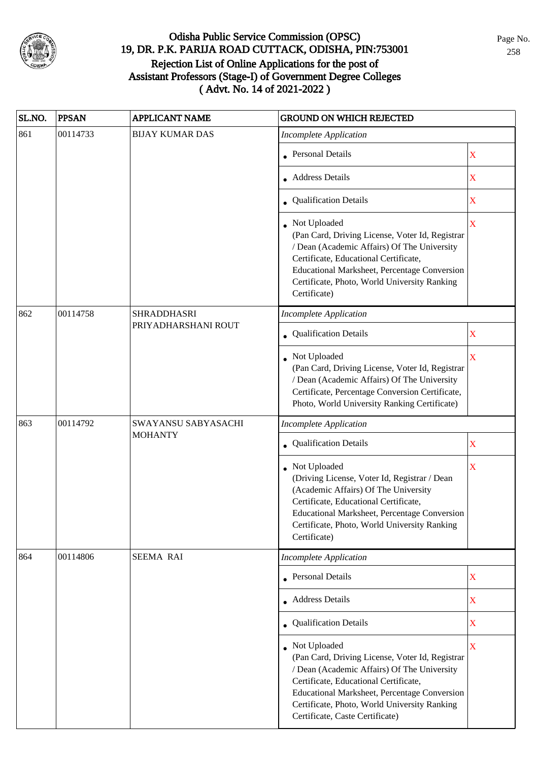

| SL.NO. | <b>PPSAN</b> | <b>APPLICANT NAME</b>  | <b>GROUND ON WHICH REJECTED</b>                                                                                                                                                                                                                                                            |                            |  |
|--------|--------------|------------------------|--------------------------------------------------------------------------------------------------------------------------------------------------------------------------------------------------------------------------------------------------------------------------------------------|----------------------------|--|
| 861    | 00114733     | <b>BIJAY KUMAR DAS</b> | <b>Incomplete Application</b>                                                                                                                                                                                                                                                              |                            |  |
|        |              |                        | • Personal Details                                                                                                                                                                                                                                                                         | X                          |  |
|        |              |                        | Address Details                                                                                                                                                                                                                                                                            | $\overline{\textbf{X}}$    |  |
|        |              |                        | • Qualification Details                                                                                                                                                                                                                                                                    | X                          |  |
|        |              |                        | • Not Uploaded<br>(Pan Card, Driving License, Voter Id, Registrar<br>/ Dean (Academic Affairs) Of The University<br>Certificate, Educational Certificate,<br>Educational Marksheet, Percentage Conversion<br>Certificate, Photo, World University Ranking<br>Certificate)                  | X                          |  |
| 862    | 00114758     | <b>SHRADDHASRI</b>     | <b>Incomplete Application</b>                                                                                                                                                                                                                                                              |                            |  |
|        |              | PRIYADHARSHANI ROUT    | Qualification Details                                                                                                                                                                                                                                                                      | X                          |  |
|        |              |                        | Not Uploaded<br>(Pan Card, Driving License, Voter Id, Registrar<br>/ Dean (Academic Affairs) Of The University<br>Certificate, Percentage Conversion Certificate,<br>Photo, World University Ranking Certificate)                                                                          | $\overline{\mathbf{X}}$    |  |
| 863    | 00114792     | SWAYANSU SABYASACHI    | <b>Incomplete Application</b>                                                                                                                                                                                                                                                              |                            |  |
|        |              | <b>MOHANTY</b>         | Qualification Details                                                                                                                                                                                                                                                                      | $\mathbf X$<br>$\mathbf X$ |  |
|        |              |                        | Not Uploaded<br>(Driving License, Voter Id, Registrar / Dean<br>(Academic Affairs) Of The University<br>Certificate, Educational Certificate,<br>Educational Marksheet, Percentage Conversion<br>Certificate, Photo, World University Ranking<br>Certificate)                              | X                          |  |
| 864    | 00114806     | <b>SEEMA RAI</b>       | <b>Incomplete Application</b>                                                                                                                                                                                                                                                              |                            |  |
|        |              |                        | Personal Details                                                                                                                                                                                                                                                                           |                            |  |
|        |              |                        | • Address Details                                                                                                                                                                                                                                                                          | $\overline{\mathbf{X}}$    |  |
|        |              |                        | • Qualification Details                                                                                                                                                                                                                                                                    | X                          |  |
|        |              |                        | Not Uploaded<br>(Pan Card, Driving License, Voter Id, Registrar<br>/ Dean (Academic Affairs) Of The University<br>Certificate, Educational Certificate,<br>Educational Marksheet, Percentage Conversion<br>Certificate, Photo, World University Ranking<br>Certificate, Caste Certificate) | $\mathbf X$                |  |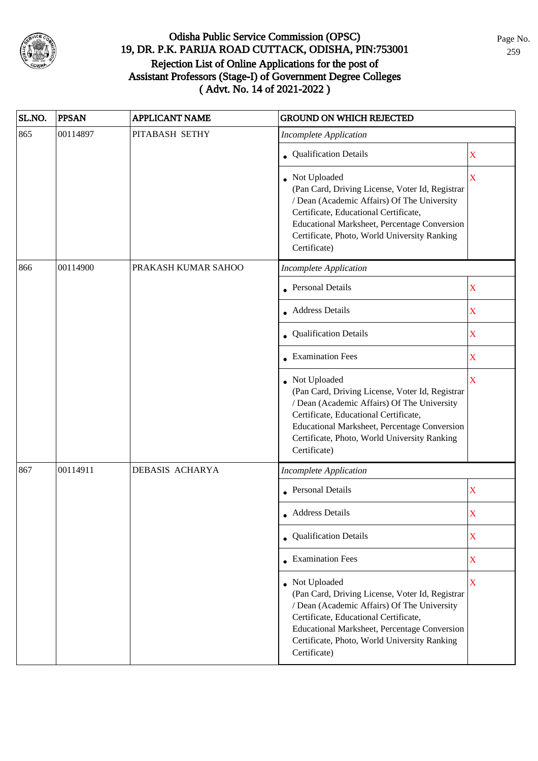

| SL.NO. | <b>PPSAN</b> | <b>APPLICANT NAME</b> | <b>GROUND ON WHICH REJECTED</b>                                                                                                                                                                                                                                                |                         |
|--------|--------------|-----------------------|--------------------------------------------------------------------------------------------------------------------------------------------------------------------------------------------------------------------------------------------------------------------------------|-------------------------|
| 865    | 00114897     | PITABASH SETHY        | <b>Incomplete Application</b>                                                                                                                                                                                                                                                  |                         |
|        |              |                       | <b>Qualification Details</b>                                                                                                                                                                                                                                                   | $\overline{\mathbf{X}}$ |
|        |              |                       | Not Uploaded<br>(Pan Card, Driving License, Voter Id, Registrar<br>/ Dean (Academic Affairs) Of The University<br>Certificate, Educational Certificate,<br><b>Educational Marksheet, Percentage Conversion</b><br>Certificate, Photo, World University Ranking<br>Certificate) | $\overline{\mathbf{X}}$ |
| 866    | 00114900     | PRAKASH KUMAR SAHOO   | <b>Incomplete Application</b>                                                                                                                                                                                                                                                  |                         |
|        |              |                       | • Personal Details                                                                                                                                                                                                                                                             | $\overline{\text{X}}$   |
|        |              |                       | • Address Details                                                                                                                                                                                                                                                              | $\overline{\text{X}}$   |
|        |              |                       | Qualification Details                                                                                                                                                                                                                                                          | $\bar{\mathbf{X}}$      |
|        |              |                       | • Examination Fees                                                                                                                                                                                                                                                             | X                       |
|        |              |                       | Not Uploaded<br>(Pan Card, Driving License, Voter Id, Registrar<br>/ Dean (Academic Affairs) Of The University<br>Certificate, Educational Certificate,<br>Educational Marksheet, Percentage Conversion<br>Certificate, Photo, World University Ranking<br>Certificate)        | $\overline{\mathbf{X}}$ |
| 867    | 00114911     | DEBASIS ACHARYA       | <b>Incomplete Application</b>                                                                                                                                                                                                                                                  |                         |
|        |              |                       | • Personal Details                                                                                                                                                                                                                                                             | $\overline{\text{X}}$   |
|        |              |                       | • Address Details                                                                                                                                                                                                                                                              | X                       |
|        |              |                       | • Qualification Details                                                                                                                                                                                                                                                        | X                       |
|        |              |                       | • Examination Fees                                                                                                                                                                                                                                                             | $\mathbf X$             |
|        |              |                       | • Not Uploaded<br>(Pan Card, Driving License, Voter Id, Registrar<br>/ Dean (Academic Affairs) Of The University<br>Certificate, Educational Certificate,<br>Educational Marksheet, Percentage Conversion<br>Certificate, Photo, World University Ranking<br>Certificate)      | $\bar{\mathbf{X}}$      |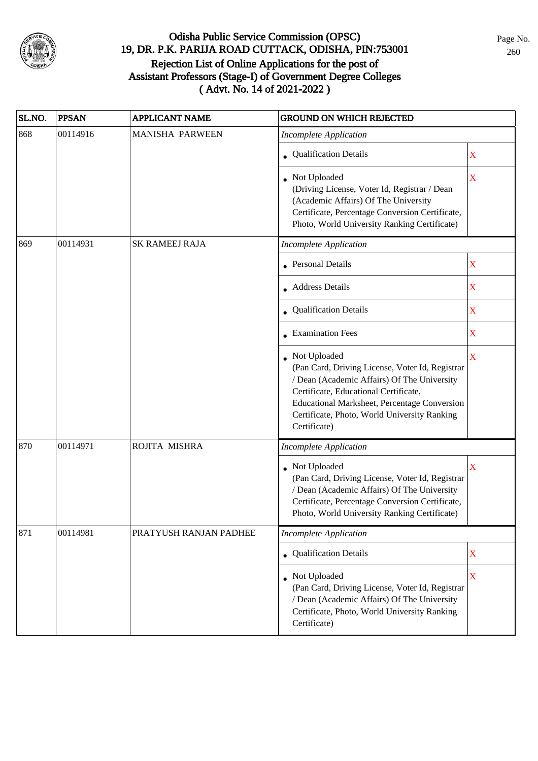

| SL.NO. | <b>PPSAN</b> | <b>APPLICANT NAME</b>  | <b>GROUND ON WHICH REJECTED</b>                                                                                                                                                                                                                                         |                         |
|--------|--------------|------------------------|-------------------------------------------------------------------------------------------------------------------------------------------------------------------------------------------------------------------------------------------------------------------------|-------------------------|
| 868    | 00114916     | <b>MANISHA PARWEEN</b> | <b>Incomplete Application</b>                                                                                                                                                                                                                                           |                         |
|        |              |                        | • Qualification Details                                                                                                                                                                                                                                                 | X                       |
|        |              |                        | • Not Uploaded<br>(Driving License, Voter Id, Registrar / Dean<br>(Academic Affairs) Of The University<br>Certificate, Percentage Conversion Certificate,<br>Photo, World University Ranking Certificate)                                                               | $\overline{\mathbf{X}}$ |
| 869    | 00114931     | <b>SK RAMEEJ RAJA</b>  | Incomplete Application                                                                                                                                                                                                                                                  |                         |
|        |              |                        | • Personal Details                                                                                                                                                                                                                                                      | X                       |
|        |              |                        | • Address Details                                                                                                                                                                                                                                                       | $\mathbf X$             |
|        |              |                        | Qualification Details                                                                                                                                                                                                                                                   | X                       |
|        |              |                        | $\bullet$ Examination Fees                                                                                                                                                                                                                                              | $\mathbf X$             |
|        |              |                        | Not Uploaded<br>(Pan Card, Driving License, Voter Id, Registrar<br>/ Dean (Academic Affairs) Of The University<br>Certificate, Educational Certificate,<br>Educational Marksheet, Percentage Conversion<br>Certificate, Photo, World University Ranking<br>Certificate) | $\overline{\mathbf{X}}$ |
| 870    | 00114971     | ROJITA MISHRA          | <b>Incomplete Application</b>                                                                                                                                                                                                                                           |                         |
|        |              |                        | Not Uploaded<br>(Pan Card, Driving License, Voter Id, Registrar<br>/ Dean (Academic Affairs) Of The University<br>Certificate, Percentage Conversion Certificate,<br>Photo, World University Ranking Certificate)                                                       | X                       |
| 871    | 00114981     | PRATYUSH RANJAN PADHEE | <b>Incomplete Application</b>                                                                                                                                                                                                                                           |                         |
|        |              |                        | • Qualification Details                                                                                                                                                                                                                                                 | $\mathbf X$             |
|        |              |                        | • Not Uploaded<br>(Pan Card, Driving License, Voter Id, Registrar<br>/ Dean (Academic Affairs) Of The University<br>Certificate, Photo, World University Ranking<br>Certificate)                                                                                        | $\mathbf X$             |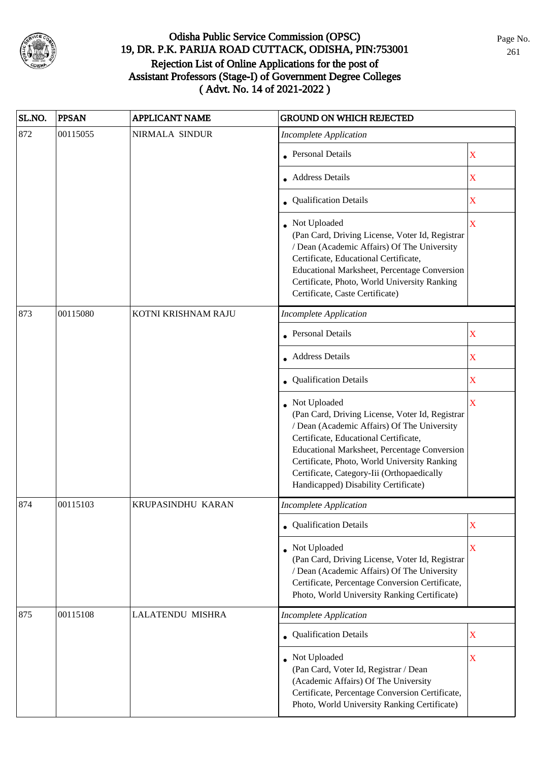

| SL.NO. | <b>PPSAN</b> | <b>APPLICANT NAME</b> | <b>GROUND ON WHICH REJECTED</b>                                                                                                                                                                                                                                                                                                               |                         |
|--------|--------------|-----------------------|-----------------------------------------------------------------------------------------------------------------------------------------------------------------------------------------------------------------------------------------------------------------------------------------------------------------------------------------------|-------------------------|
| 872    | 00115055     | NIRMALA SINDUR        | <b>Incomplete Application</b>                                                                                                                                                                                                                                                                                                                 |                         |
|        |              |                       | • Personal Details                                                                                                                                                                                                                                                                                                                            | X                       |
|        |              |                       | Address Details                                                                                                                                                                                                                                                                                                                               | $\overline{\mathbf{X}}$ |
|        |              |                       | • Qualification Details                                                                                                                                                                                                                                                                                                                       | X                       |
|        |              |                       | Not Uploaded<br>(Pan Card, Driving License, Voter Id, Registrar<br>/ Dean (Academic Affairs) Of The University<br>Certificate, Educational Certificate,<br>Educational Marksheet, Percentage Conversion<br>Certificate, Photo, World University Ranking<br>Certificate, Caste Certificate)                                                    | $\overline{\mathbf{X}}$ |
| 873    | 00115080     | KOTNI KRISHNAM RAJU   | <b>Incomplete Application</b>                                                                                                                                                                                                                                                                                                                 |                         |
|        |              |                       | • Personal Details                                                                                                                                                                                                                                                                                                                            | X                       |
|        |              |                       | Address Details                                                                                                                                                                                                                                                                                                                               | X                       |
|        |              |                       | Qualification Details                                                                                                                                                                                                                                                                                                                         | X                       |
|        |              |                       | Not Uploaded<br>(Pan Card, Driving License, Voter Id, Registrar<br>/ Dean (Academic Affairs) Of The University<br>Certificate, Educational Certificate,<br>Educational Marksheet, Percentage Conversion<br>Certificate, Photo, World University Ranking<br>Certificate, Category-Iii (Orthopaedically<br>Handicapped) Disability Certificate) | $\overline{\mathbf{X}}$ |
| 874    | 00115103     | KRUPASINDHU KARAN     | <b>Incomplete Application</b>                                                                                                                                                                                                                                                                                                                 |                         |
|        |              |                       | • Qualification Details                                                                                                                                                                                                                                                                                                                       | X                       |
|        |              |                       | • Not Uploaded<br>(Pan Card, Driving License, Voter Id, Registrar<br>/ Dean (Academic Affairs) Of The University<br>Certificate, Percentage Conversion Certificate,<br>Photo, World University Ranking Certificate)                                                                                                                           | $\overline{\mathbf{X}}$ |
| 875    | 00115108     | LALATENDU MISHRA      | <b>Incomplete Application</b>                                                                                                                                                                                                                                                                                                                 |                         |
|        |              |                       | • Qualification Details                                                                                                                                                                                                                                                                                                                       | X                       |
|        |              |                       | Not Uploaded<br>(Pan Card, Voter Id, Registrar / Dean<br>(Academic Affairs) Of The University<br>Certificate, Percentage Conversion Certificate,<br>Photo, World University Ranking Certificate)                                                                                                                                              | X                       |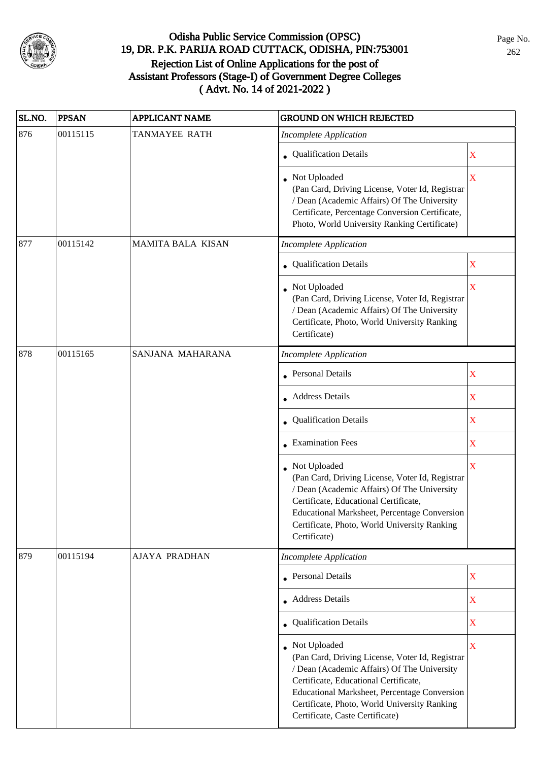

| SL.NO. | <b>PPSAN</b> | <b>APPLICANT NAME</b>    | <b>GROUND ON WHICH REJECTED</b>                                                                                                                                                                                                                                                            |                         |
|--------|--------------|--------------------------|--------------------------------------------------------------------------------------------------------------------------------------------------------------------------------------------------------------------------------------------------------------------------------------------|-------------------------|
| 876    | 00115115     | <b>TANMAYEE RATH</b>     | <b>Incomplete Application</b>                                                                                                                                                                                                                                                              |                         |
|        |              |                          | • Qualification Details                                                                                                                                                                                                                                                                    | $\mathbf X$             |
|        |              |                          | Not Uploaded<br>(Pan Card, Driving License, Voter Id, Registrar<br>/ Dean (Academic Affairs) Of The University<br>Certificate, Percentage Conversion Certificate,<br>Photo, World University Ranking Certificate)                                                                          | $\overline{\mathbf{X}}$ |
| 877    | 00115142     | <b>MAMITA BALA KISAN</b> | <b>Incomplete Application</b>                                                                                                                                                                                                                                                              |                         |
|        |              |                          | • Qualification Details                                                                                                                                                                                                                                                                    | $\mathbf X$             |
|        |              |                          | Not Uploaded<br>(Pan Card, Driving License, Voter Id, Registrar<br>/ Dean (Academic Affairs) Of The University<br>Certificate, Photo, World University Ranking<br>Certificate)                                                                                                             | $\overline{\textbf{X}}$ |
| 878    | 00115165     | SANJANA MAHARANA         | <b>Incomplete Application</b>                                                                                                                                                                                                                                                              |                         |
|        |              |                          | Personal Details                                                                                                                                                                                                                                                                           | $\mathbf X$             |
|        |              |                          | • Address Details                                                                                                                                                                                                                                                                          | $\mathbf X$             |
|        |              |                          | • Qualification Details                                                                                                                                                                                                                                                                    | $\mathbf X$             |
|        |              |                          | • Examination Fees                                                                                                                                                                                                                                                                         | $\mathbf X$             |
|        |              |                          | Not Uploaded<br>(Pan Card, Driving License, Voter Id, Registrar<br>/ Dean (Academic Affairs) Of The University<br>Certificate, Educational Certificate,<br>Educational Marksheet, Percentage Conversion<br>Certificate, Photo, World University Ranking<br>Certificate)                    | $\overline{\mathbf{X}}$ |
| 879    | 00115194     | <b>AJAYA PRADHAN</b>     | <b>Incomplete Application</b>                                                                                                                                                                                                                                                              |                         |
|        |              |                          | • Personal Details                                                                                                                                                                                                                                                                         | $\mathbf X$             |
|        |              |                          | • Address Details                                                                                                                                                                                                                                                                          | $\overline{\textbf{X}}$ |
|        |              |                          | • Qualification Details                                                                                                                                                                                                                                                                    | $\mathbf X$             |
|        |              |                          | Not Uploaded<br>(Pan Card, Driving License, Voter Id, Registrar<br>/ Dean (Academic Affairs) Of The University<br>Certificate, Educational Certificate,<br>Educational Marksheet, Percentage Conversion<br>Certificate, Photo, World University Ranking<br>Certificate, Caste Certificate) | $\mathbf X$             |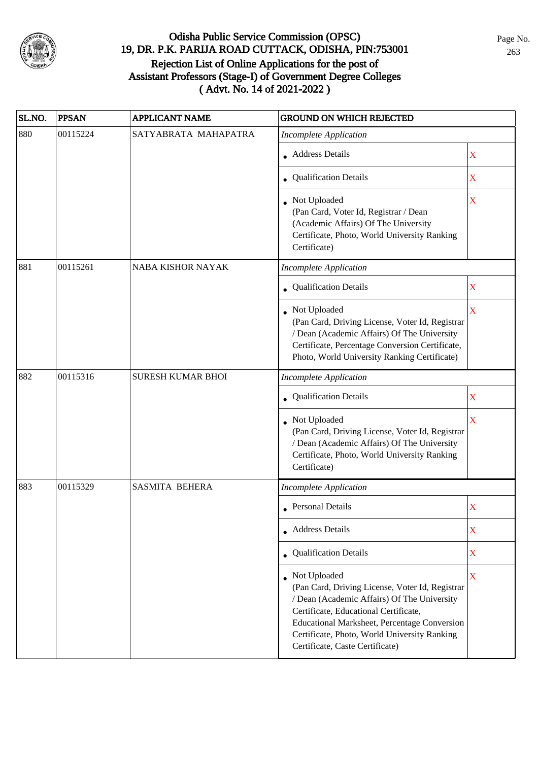

| SL.NO. | <b>PPSAN</b> | <b>APPLICANT NAME</b>    | <b>GROUND ON WHICH REJECTED</b>                                                                                                                                                                                                                                                                   |                         |
|--------|--------------|--------------------------|---------------------------------------------------------------------------------------------------------------------------------------------------------------------------------------------------------------------------------------------------------------------------------------------------|-------------------------|
| 880    | 00115224     | SATYABRATA MAHAPATRA     | <b>Incomplete Application</b>                                                                                                                                                                                                                                                                     |                         |
|        |              |                          | Address Details                                                                                                                                                                                                                                                                                   | $\mathbf X$             |
|        |              |                          | • Qualification Details                                                                                                                                                                                                                                                                           | X                       |
|        |              |                          | • Not Uploaded<br>(Pan Card, Voter Id, Registrar / Dean<br>(Academic Affairs) Of The University<br>Certificate, Photo, World University Ranking<br>Certificate)                                                                                                                                   | X                       |
| 881    | 00115261     | NABA KISHOR NAYAK        | <b>Incomplete Application</b>                                                                                                                                                                                                                                                                     |                         |
|        |              |                          | • Qualification Details                                                                                                                                                                                                                                                                           | $\mathbf X$             |
|        |              |                          | Not Uploaded<br>(Pan Card, Driving License, Voter Id, Registrar<br>/ Dean (Academic Affairs) Of The University<br>Certificate, Percentage Conversion Certificate,<br>Photo, World University Ranking Certificate)                                                                                 | $\overline{\mathbf{X}}$ |
| 882    | 00115316     | <b>SURESH KUMAR BHOI</b> | <b>Incomplete Application</b>                                                                                                                                                                                                                                                                     |                         |
|        |              |                          | • Qualification Details                                                                                                                                                                                                                                                                           | $\mathbf X$             |
|        |              |                          | Not Uploaded<br>(Pan Card, Driving License, Voter Id, Registrar<br>/ Dean (Academic Affairs) Of The University<br>Certificate, Photo, World University Ranking<br>Certificate)                                                                                                                    | $\overline{\mathbf{X}}$ |
| 883    | 00115329     | <b>SASMITA BEHERA</b>    | <b>Incomplete Application</b>                                                                                                                                                                                                                                                                     |                         |
|        |              |                          | • Personal Details                                                                                                                                                                                                                                                                                | X                       |
|        |              |                          | • Address Details                                                                                                                                                                                                                                                                                 | X                       |
|        |              |                          | • Qualification Details                                                                                                                                                                                                                                                                           | $\mathbf X$             |
|        |              |                          | Not Uploaded<br>(Pan Card, Driving License, Voter Id, Registrar<br>/ Dean (Academic Affairs) Of The University<br>Certificate, Educational Certificate,<br><b>Educational Marksheet, Percentage Conversion</b><br>Certificate, Photo, World University Ranking<br>Certificate, Caste Certificate) | $\mathbf X$             |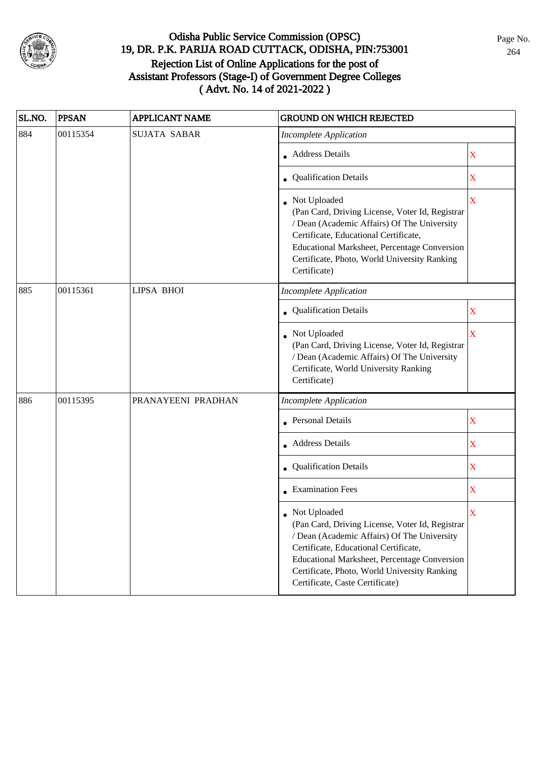

| SL.NO. | <b>PPSAN</b> | <b>APPLICANT NAME</b> | <b>GROUND ON WHICH REJECTED</b>                                                                                                                                                                                                                                                            |                         |
|--------|--------------|-----------------------|--------------------------------------------------------------------------------------------------------------------------------------------------------------------------------------------------------------------------------------------------------------------------------------------|-------------------------|
| 884    | 00115354     | <b>SUJATA SABAR</b>   | <b>Incomplete Application</b>                                                                                                                                                                                                                                                              |                         |
|        |              |                       | • Address Details                                                                                                                                                                                                                                                                          | $\mathbf X$             |
|        |              |                       | • Qualification Details                                                                                                                                                                                                                                                                    | $\mathbf X$             |
|        |              |                       | • Not Uploaded<br>(Pan Card, Driving License, Voter Id, Registrar<br>/ Dean (Academic Affairs) Of The University<br>Certificate, Educational Certificate,<br>Educational Marksheet, Percentage Conversion<br>Certificate, Photo, World University Ranking<br>Certificate)                  | $\overline{\mathbf{X}}$ |
| 885    | 00115361     | LIPSA BHOI            | <b>Incomplete Application</b>                                                                                                                                                                                                                                                              |                         |
|        |              |                       | Qualification Details                                                                                                                                                                                                                                                                      | $\mathbf X$             |
|        |              |                       | Not Uploaded<br>(Pan Card, Driving License, Voter Id, Registrar<br>/ Dean (Academic Affairs) Of The University<br>Certificate, World University Ranking<br>Certificate)                                                                                                                    | $\overline{\mathbf{X}}$ |
| 886    | 00115395     | PRANAYEENI PRADHAN    | <b>Incomplete Application</b>                                                                                                                                                                                                                                                              |                         |
|        |              |                       | <b>Personal Details</b>                                                                                                                                                                                                                                                                    | $\mathbf X$             |
|        |              |                       | <b>Address Details</b>                                                                                                                                                                                                                                                                     | $\mathbf X$             |
|        |              |                       | Qualification Details                                                                                                                                                                                                                                                                      | $\mathbf X$             |
|        |              |                       | • Examination Fees                                                                                                                                                                                                                                                                         | $\mathbf X$             |
|        |              |                       | Not Uploaded<br>(Pan Card, Driving License, Voter Id, Registrar<br>/ Dean (Academic Affairs) Of The University<br>Certificate, Educational Certificate,<br>Educational Marksheet, Percentage Conversion<br>Certificate, Photo, World University Ranking<br>Certificate, Caste Certificate) | X                       |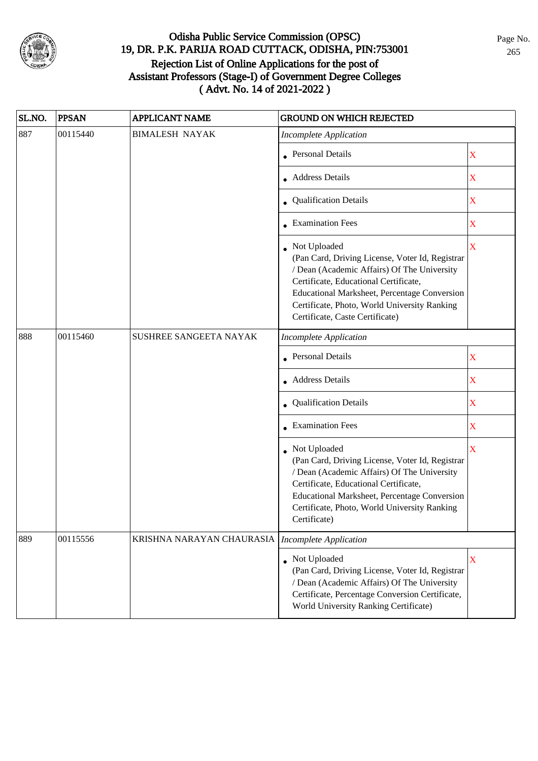

| SL.NO. | <b>PPSAN</b> | <b>APPLICANT NAME</b>     | <b>GROUND ON WHICH REJECTED</b>                                                                                                                                                                                                                                                            |                         |
|--------|--------------|---------------------------|--------------------------------------------------------------------------------------------------------------------------------------------------------------------------------------------------------------------------------------------------------------------------------------------|-------------------------|
| 887    | 00115440     | <b>BIMALESH NAYAK</b>     | <b>Incomplete Application</b>                                                                                                                                                                                                                                                              |                         |
|        |              |                           | • Personal Details                                                                                                                                                                                                                                                                         | $\mathbf X$             |
|        |              |                           | • Address Details                                                                                                                                                                                                                                                                          | $\mathbf X$             |
|        |              |                           | • Qualification Details                                                                                                                                                                                                                                                                    | $\mathbf X$             |
|        |              |                           | • Examination Fees                                                                                                                                                                                                                                                                         | $\mathbf X$             |
|        |              |                           | Not Uploaded<br>(Pan Card, Driving License, Voter Id, Registrar<br>/ Dean (Academic Affairs) Of The University<br>Certificate, Educational Certificate,<br>Educational Marksheet, Percentage Conversion<br>Certificate, Photo, World University Ranking<br>Certificate, Caste Certificate) | $\overline{\mathbf{X}}$ |
| 888    | 00115460     | SUSHREE SANGEETA NAYAK    | <b>Incomplete Application</b>                                                                                                                                                                                                                                                              |                         |
|        |              |                           | <b>Personal Details</b>                                                                                                                                                                                                                                                                    | $\mathbf X$             |
|        |              |                           | • Address Details                                                                                                                                                                                                                                                                          | $\mathbf X$             |
|        |              |                           | <b>Qualification Details</b>                                                                                                                                                                                                                                                               | $\mathbf X$             |
|        |              |                           | • Examination Fees                                                                                                                                                                                                                                                                         | $\mathbf X$             |
|        |              |                           | • Not Uploaded<br>(Pan Card, Driving License, Voter Id, Registrar<br>/ Dean (Academic Affairs) Of The University<br>Certificate, Educational Certificate,<br>Educational Marksheet, Percentage Conversion<br>Certificate, Photo, World University Ranking<br>Certificate)                  | X                       |
| 889    | 00115556     | KRISHNA NARAYAN CHAURASIA | <b>Incomplete Application</b>                                                                                                                                                                                                                                                              |                         |
|        |              |                           | • Not Uploaded<br>(Pan Card, Driving License, Voter Id, Registrar<br>/ Dean (Academic Affairs) Of The University<br>Certificate, Percentage Conversion Certificate,<br>World University Ranking Certificate)                                                                               | X                       |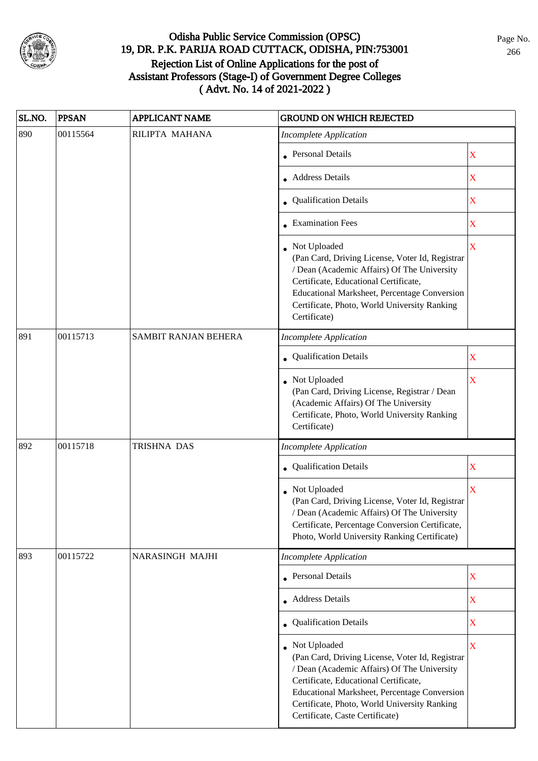

| SL.NO. | <b>PPSAN</b> | <b>APPLICANT NAME</b>  | <b>GROUND ON WHICH REJECTED</b>                                                                                                                                                                                                                                                            |                         |
|--------|--------------|------------------------|--------------------------------------------------------------------------------------------------------------------------------------------------------------------------------------------------------------------------------------------------------------------------------------------|-------------------------|
| 890    | 00115564     | RILIPTA MAHANA         | <b>Incomplete Application</b>                                                                                                                                                                                                                                                              |                         |
|        |              |                        | • Personal Details                                                                                                                                                                                                                                                                         | $\mathbf X$             |
|        |              |                        | • Address Details                                                                                                                                                                                                                                                                          | $\mathbf X$             |
|        |              |                        | • Qualification Details                                                                                                                                                                                                                                                                    | $\mathbf X$             |
|        |              |                        | • Examination Fees                                                                                                                                                                                                                                                                         | X                       |
|        |              |                        | Not Uploaded<br>(Pan Card, Driving License, Voter Id, Registrar<br>/ Dean (Academic Affairs) Of The University<br>Certificate, Educational Certificate,<br>Educational Marksheet, Percentage Conversion<br>Certificate, Photo, World University Ranking<br>Certificate)                    | $\overline{\mathbf{X}}$ |
| 891    | 00115713     | SAMBIT RANJAN BEHERA   | <b>Incomplete Application</b>                                                                                                                                                                                                                                                              |                         |
|        |              |                        | • Qualification Details                                                                                                                                                                                                                                                                    | X                       |
|        |              |                        | Not Uploaded<br>(Pan Card, Driving License, Registrar / Dean<br>(Academic Affairs) Of The University<br>Certificate, Photo, World University Ranking<br>Certificate)                                                                                                                       | $\mathbf X$             |
| 892    | 00115718     | TRISHNA DAS            | <b>Incomplete Application</b>                                                                                                                                                                                                                                                              |                         |
|        |              |                        | Qualification Details                                                                                                                                                                                                                                                                      | $\mathbf X$             |
|        |              |                        | Not Uploaded<br>(Pan Card, Driving License, Voter Id, Registrar<br>/ Dean (Academic Affairs) Of The University<br>Certificate, Percentage Conversion Certificate,<br>Photo, World University Ranking Certificate)                                                                          | $\overline{\textbf{X}}$ |
| 893    | 00115722     | <b>NARASINGH MAJHI</b> | <b>Incomplete Application</b>                                                                                                                                                                                                                                                              |                         |
|        |              |                        | • Personal Details                                                                                                                                                                                                                                                                         | $\mathbf X$             |
|        |              |                        | • Address Details                                                                                                                                                                                                                                                                          | $\mathbf X$             |
|        |              |                        | • Qualification Details                                                                                                                                                                                                                                                                    | X                       |
|        |              |                        | Not Uploaded<br>(Pan Card, Driving License, Voter Id, Registrar<br>/ Dean (Academic Affairs) Of The University<br>Certificate, Educational Certificate,<br>Educational Marksheet, Percentage Conversion<br>Certificate, Photo, World University Ranking<br>Certificate, Caste Certificate) | $\mathbf X$             |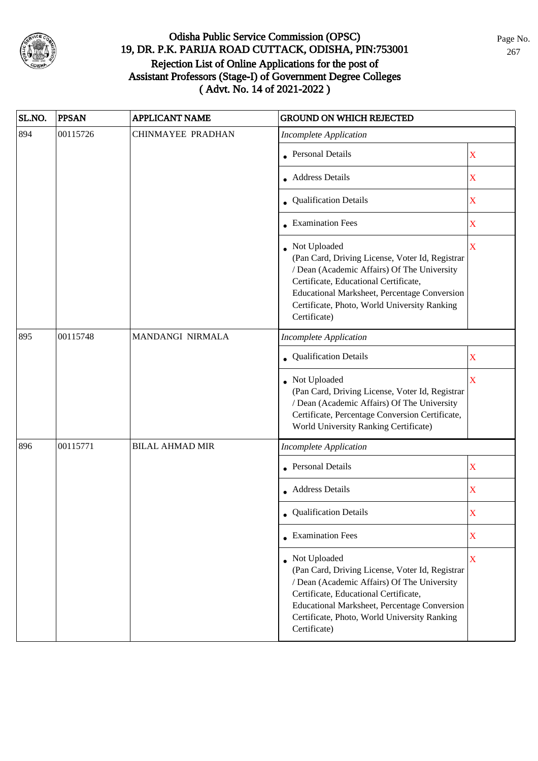

| SL.NO. | <b>PPSAN</b> | <b>APPLICANT NAME</b>  | <b>GROUND ON WHICH REJECTED</b>                                                                                                                                                                                                                                           |                         |
|--------|--------------|------------------------|---------------------------------------------------------------------------------------------------------------------------------------------------------------------------------------------------------------------------------------------------------------------------|-------------------------|
| 894    | 00115726     | CHINMAYEE PRADHAN      | <b>Incomplete Application</b>                                                                                                                                                                                                                                             |                         |
|        |              |                        | <b>Personal Details</b>                                                                                                                                                                                                                                                   | $\mathbf X$             |
|        |              |                        | <b>Address Details</b>                                                                                                                                                                                                                                                    | $\mathbf X$             |
|        |              |                        | • Qualification Details                                                                                                                                                                                                                                                   | $\mathbf X$             |
|        |              |                        | • Examination Fees                                                                                                                                                                                                                                                        | $\mathbf X$             |
|        |              |                        | Not Uploaded<br>(Pan Card, Driving License, Voter Id, Registrar<br>/ Dean (Academic Affairs) Of The University<br>Certificate, Educational Certificate,<br>Educational Marksheet, Percentage Conversion<br>Certificate, Photo, World University Ranking<br>Certificate)   | $\overline{\mathbf{X}}$ |
| 895    | 00115748     | MANDANGI NIRMALA       | <b>Incomplete Application</b>                                                                                                                                                                                                                                             |                         |
|        |              |                        | Qualification Details                                                                                                                                                                                                                                                     | X                       |
|        |              |                        | Not Uploaded<br>(Pan Card, Driving License, Voter Id, Registrar<br>/ Dean (Academic Affairs) Of The University<br>Certificate, Percentage Conversion Certificate,<br>World University Ranking Certificate)                                                                | X                       |
| 896    | 00115771     | <b>BILAL AHMAD MIR</b> | <b>Incomplete Application</b>                                                                                                                                                                                                                                             |                         |
|        |              |                        | <b>Personal Details</b>                                                                                                                                                                                                                                                   | $\mathbf X$             |
|        |              |                        | Address Details                                                                                                                                                                                                                                                           | $\mathbf X$             |
|        |              |                        | • Qualification Details                                                                                                                                                                                                                                                   | X                       |
|        |              |                        | $\bullet$ Examination Fees                                                                                                                                                                                                                                                | X                       |
|        |              |                        | • Not Uploaded<br>(Pan Card, Driving License, Voter Id, Registrar<br>/ Dean (Academic Affairs) Of The University<br>Certificate, Educational Certificate,<br>Educational Marksheet, Percentage Conversion<br>Certificate, Photo, World University Ranking<br>Certificate) | X                       |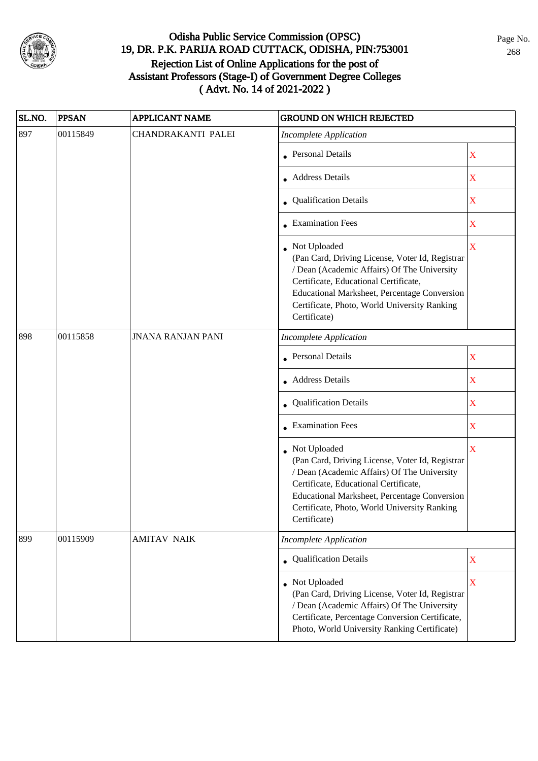

| SL.NO. | <b>PPSAN</b> | <b>APPLICANT NAME</b>    | <b>GROUND ON WHICH REJECTED</b>                                                                                                                                                                                                                                           |                         |
|--------|--------------|--------------------------|---------------------------------------------------------------------------------------------------------------------------------------------------------------------------------------------------------------------------------------------------------------------------|-------------------------|
| 897    | 00115849     | CHANDRAKANTI PALEI       | <b>Incomplete Application</b>                                                                                                                                                                                                                                             |                         |
|        |              |                          | • Personal Details                                                                                                                                                                                                                                                        | $\mathbf X$             |
|        |              |                          | • Address Details                                                                                                                                                                                                                                                         | X                       |
|        |              |                          | • Qualification Details                                                                                                                                                                                                                                                   | $\mathbf X$             |
|        |              |                          | • Examination Fees                                                                                                                                                                                                                                                        | X                       |
|        |              |                          | • Not Uploaded<br>(Pan Card, Driving License, Voter Id, Registrar<br>/ Dean (Academic Affairs) Of The University<br>Certificate, Educational Certificate,<br>Educational Marksheet, Percentage Conversion<br>Certificate, Photo, World University Ranking<br>Certificate) | $\overline{\mathbf{X}}$ |
| 898    | 00115858     | <b>JNANA RANJAN PANI</b> | <b>Incomplete Application</b>                                                                                                                                                                                                                                             |                         |
|        |              |                          | <b>Personal Details</b>                                                                                                                                                                                                                                                   | X                       |
|        |              |                          | <b>Address Details</b>                                                                                                                                                                                                                                                    | $\mathbf X$             |
|        |              |                          | • Qualification Details                                                                                                                                                                                                                                                   | $\mathbf X$             |
|        |              |                          | $\bullet$ Examination Fees                                                                                                                                                                                                                                                | $\mathbf X$             |
|        |              |                          | • Not Uploaded<br>(Pan Card, Driving License, Voter Id, Registrar<br>/ Dean (Academic Affairs) Of The University<br>Certificate, Educational Certificate,<br>Educational Marksheet, Percentage Conversion<br>Certificate, Photo, World University Ranking<br>Certificate) | $\bar{X}$               |
| 899    | 00115909     | <b>AMITAV NAIK</b>       | <b>Incomplete Application</b>                                                                                                                                                                                                                                             |                         |
|        |              |                          | • Qualification Details                                                                                                                                                                                                                                                   | $\mathbf X$             |
|        |              |                          | • Not Uploaded<br>(Pan Card, Driving License, Voter Id, Registrar<br>/ Dean (Academic Affairs) Of The University<br>Certificate, Percentage Conversion Certificate,<br>Photo, World University Ranking Certificate)                                                       | $\mathbf X$             |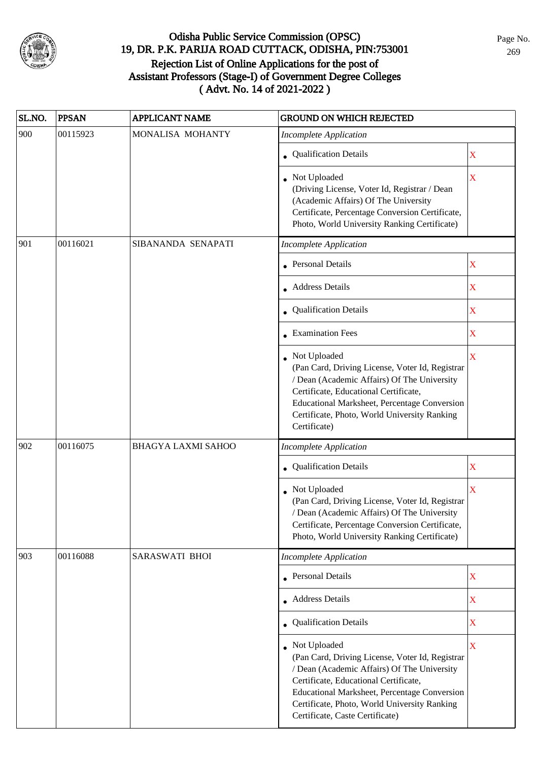

| SL.NO. | <b>PPSAN</b> | <b>APPLICANT NAME</b>     | <b>GROUND ON WHICH REJECTED</b>                                                                                                                                                                                                                                                            |                         |
|--------|--------------|---------------------------|--------------------------------------------------------------------------------------------------------------------------------------------------------------------------------------------------------------------------------------------------------------------------------------------|-------------------------|
| 900    | 00115923     | MONALISA MOHANTY          | <b>Incomplete Application</b>                                                                                                                                                                                                                                                              |                         |
|        |              |                           | • Qualification Details                                                                                                                                                                                                                                                                    | $\mathbf X$             |
|        |              |                           | Not Uploaded<br>(Driving License, Voter Id, Registrar / Dean<br>(Academic Affairs) Of The University<br>Certificate, Percentage Conversion Certificate,<br>Photo, World University Ranking Certificate)                                                                                    | $\mathbf X$             |
| 901    | 00116021     | SIBANANDA SENAPATI        | <b>Incomplete Application</b>                                                                                                                                                                                                                                                              |                         |
|        |              |                           | • Personal Details                                                                                                                                                                                                                                                                         | X                       |
|        |              |                           | Address Details                                                                                                                                                                                                                                                                            | X                       |
|        |              |                           | • Qualification Details                                                                                                                                                                                                                                                                    | X                       |
|        |              |                           | • Examination Fees                                                                                                                                                                                                                                                                         | X                       |
|        |              |                           | • Not Uploaded<br>(Pan Card, Driving License, Voter Id, Registrar<br>/ Dean (Academic Affairs) Of The University<br>Certificate, Educational Certificate,<br>Educational Marksheet, Percentage Conversion<br>Certificate, Photo, World University Ranking<br>Certificate)                  | $\overline{\mathbf{X}}$ |
| 902    | 00116075     | <b>BHAGYA LAXMI SAHOO</b> | <b>Incomplete Application</b>                                                                                                                                                                                                                                                              |                         |
|        |              |                           | • Qualification Details                                                                                                                                                                                                                                                                    | X                       |
|        |              |                           | Not Uploaded<br>(Pan Card, Driving License, Voter Id, Registrar<br>/ Dean (Academic Affairs) Of The University<br>Certificate, Percentage Conversion Certificate,<br>Photo, World University Ranking Certificate)                                                                          | $\overline{\mathbf{X}}$ |
| 903    | 00116088     | SARASWATI BHOI            | <b>Incomplete Application</b>                                                                                                                                                                                                                                                              |                         |
|        |              |                           | • Personal Details                                                                                                                                                                                                                                                                         | $\mathbf X$             |
|        |              |                           | • Address Details                                                                                                                                                                                                                                                                          | $\mathbf X$             |
|        |              |                           | • Qualification Details                                                                                                                                                                                                                                                                    | $\overline{\textbf{X}}$ |
|        |              |                           | Not Uploaded<br>(Pan Card, Driving License, Voter Id, Registrar<br>/ Dean (Academic Affairs) Of The University<br>Certificate, Educational Certificate,<br>Educational Marksheet, Percentage Conversion<br>Certificate, Photo, World University Ranking<br>Certificate, Caste Certificate) | X                       |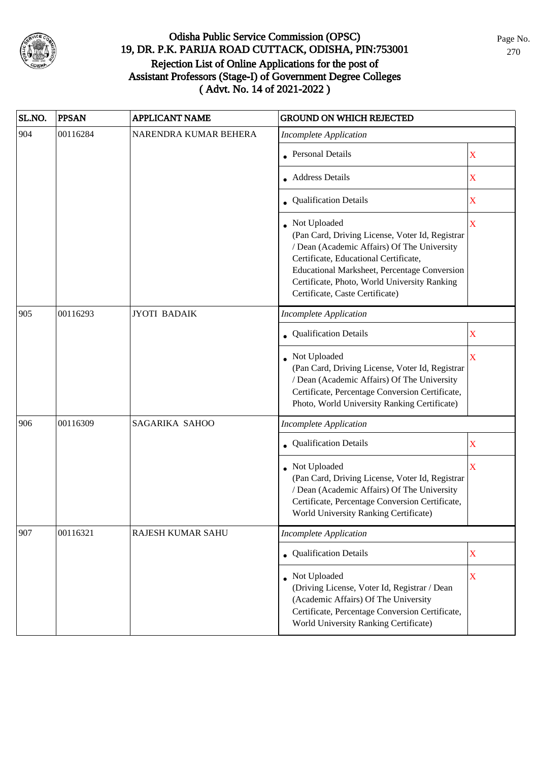

| SL.NO. | <b>PPSAN</b> | <b>APPLICANT NAME</b> | <b>GROUND ON WHICH REJECTED</b>                                                                                                                                                                                                                                                            |                         |
|--------|--------------|-----------------------|--------------------------------------------------------------------------------------------------------------------------------------------------------------------------------------------------------------------------------------------------------------------------------------------|-------------------------|
| 904    | 00116284     | NARENDRA KUMAR BEHERA | <b>Incomplete Application</b>                                                                                                                                                                                                                                                              |                         |
|        |              |                       | <b>Personal Details</b>                                                                                                                                                                                                                                                                    | X                       |
|        |              |                       | <b>Address Details</b>                                                                                                                                                                                                                                                                     | $\mathbf X$             |
|        |              |                       | • Qualification Details                                                                                                                                                                                                                                                                    | $\mathbf X$             |
|        |              |                       | Not Uploaded<br>(Pan Card, Driving License, Voter Id, Registrar<br>/ Dean (Academic Affairs) Of The University<br>Certificate, Educational Certificate,<br>Educational Marksheet, Percentage Conversion<br>Certificate, Photo, World University Ranking<br>Certificate, Caste Certificate) | X                       |
| 905    | 00116293     | <b>JYOTI BADAIK</b>   | <b>Incomplete Application</b>                                                                                                                                                                                                                                                              |                         |
|        |              |                       | Qualification Details                                                                                                                                                                                                                                                                      | X                       |
|        |              |                       | Not Uploaded<br>(Pan Card, Driving License, Voter Id, Registrar<br>/ Dean (Academic Affairs) Of The University<br>Certificate, Percentage Conversion Certificate,<br>Photo, World University Ranking Certificate)                                                                          | $\bar{\mathbf{X}}$      |
| 906    | 00116309     | SAGARIKA SAHOO        | <b>Incomplete Application</b>                                                                                                                                                                                                                                                              |                         |
|        |              |                       | Qualification Details                                                                                                                                                                                                                                                                      | X                       |
|        |              |                       | Not Uploaded<br>(Pan Card, Driving License, Voter Id, Registrar<br>/ Dean (Academic Affairs) Of The University<br>Certificate, Percentage Conversion Certificate,<br>World University Ranking Certificate)                                                                                 | $\overline{\mathbf{X}}$ |
| 907    | 00116321     | RAJESH KUMAR SAHU     | <b>Incomplete Application</b>                                                                                                                                                                                                                                                              |                         |
|        |              |                       | • Qualification Details                                                                                                                                                                                                                                                                    | $\mathbf X$             |
|        |              |                       | Not Uploaded<br>(Driving License, Voter Id, Registrar / Dean<br>(Academic Affairs) Of The University<br>Certificate, Percentage Conversion Certificate,<br>World University Ranking Certificate)                                                                                           | $\overline{\textbf{X}}$ |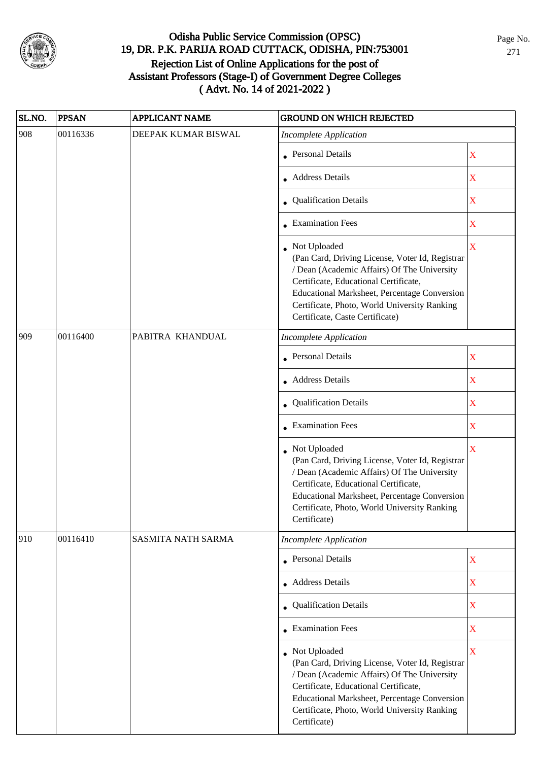

| SL.NO. | <b>PPSAN</b> | <b>APPLICANT NAME</b>     | <b>GROUND ON WHICH REJECTED</b>                                                                                                                                                                                                                                                              |                         |
|--------|--------------|---------------------------|----------------------------------------------------------------------------------------------------------------------------------------------------------------------------------------------------------------------------------------------------------------------------------------------|-------------------------|
| 908    | 00116336     | DEEPAK KUMAR BISWAL       | <b>Incomplete Application</b>                                                                                                                                                                                                                                                                |                         |
|        |              |                           | • Personal Details                                                                                                                                                                                                                                                                           | $\mathbf X$             |
|        |              |                           | • Address Details                                                                                                                                                                                                                                                                            | $\mathbf X$             |
|        |              |                           | • Qualification Details                                                                                                                                                                                                                                                                      | $\mathbf X$             |
|        |              |                           | • Examination Fees                                                                                                                                                                                                                                                                           | $\mathbf X$             |
|        |              |                           | • Not Uploaded<br>(Pan Card, Driving License, Voter Id, Registrar<br>/ Dean (Academic Affairs) Of The University<br>Certificate, Educational Certificate,<br>Educational Marksheet, Percentage Conversion<br>Certificate, Photo, World University Ranking<br>Certificate, Caste Certificate) | X                       |
| 909    | 00116400     | PABITRA KHANDUAL          | <b>Incomplete Application</b>                                                                                                                                                                                                                                                                |                         |
|        |              |                           | Personal Details                                                                                                                                                                                                                                                                             | $\mathbf X$             |
|        |              |                           | • Address Details                                                                                                                                                                                                                                                                            | $\mathbf X$             |
|        |              |                           | • Qualification Details                                                                                                                                                                                                                                                                      | $\mathbf X$             |
|        |              |                           | • Examination Fees                                                                                                                                                                                                                                                                           | $\mathbf X$             |
|        |              |                           | • Not Uploaded<br>(Pan Card, Driving License, Voter Id, Registrar<br>/ Dean (Academic Affairs) Of The University<br>Certificate, Educational Certificate,<br>Educational Marksheet, Percentage Conversion<br>Certificate, Photo, World University Ranking<br>Certificate)                    | $\bar{X}$               |
| 910    | 00116410     | <b>SASMITA NATH SARMA</b> | <b>Incomplete Application</b>                                                                                                                                                                                                                                                                |                         |
|        |              |                           | <b>Personal Details</b>                                                                                                                                                                                                                                                                      | $\mathbf X$             |
|        |              |                           | • Address Details                                                                                                                                                                                                                                                                            | $\mathbf X$             |
|        |              |                           | • Qualification Details                                                                                                                                                                                                                                                                      | $\overline{\textbf{X}}$ |
|        |              |                           | • Examination Fees                                                                                                                                                                                                                                                                           | $\overline{\textbf{X}}$ |
|        |              |                           | • Not Uploaded<br>(Pan Card, Driving License, Voter Id, Registrar<br>/ Dean (Academic Affairs) Of The University<br>Certificate, Educational Certificate,<br>Educational Marksheet, Percentage Conversion<br>Certificate, Photo, World University Ranking<br>Certificate)                    | $\mathbf X$             |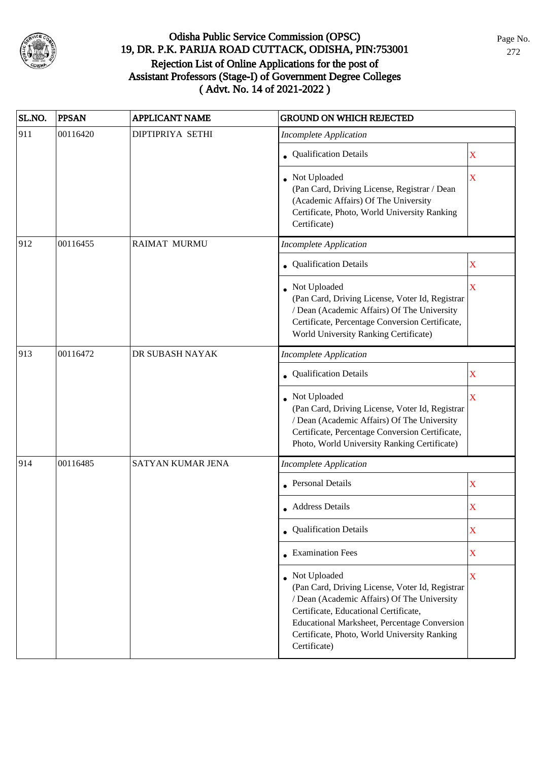

| SL.NO. | <b>PPSAN</b> | <b>APPLICANT NAME</b> | <b>GROUND ON WHICH REJECTED</b>                                                                                                                                                                                                                                                  |                         |
|--------|--------------|-----------------------|----------------------------------------------------------------------------------------------------------------------------------------------------------------------------------------------------------------------------------------------------------------------------------|-------------------------|
| 911    | 00116420     | DIPTIPRIYA SETHI      | <b>Incomplete Application</b>                                                                                                                                                                                                                                                    |                         |
|        |              |                       | • Qualification Details                                                                                                                                                                                                                                                          | $\mathbf X$             |
|        |              |                       | Not Uploaded<br>(Pan Card, Driving License, Registrar / Dean<br>(Academic Affairs) Of The University<br>Certificate, Photo, World University Ranking<br>Certificate)                                                                                                             | $\mathbf X$             |
| 912    | 00116455     | <b>RAIMAT MURMU</b>   | <b>Incomplete Application</b>                                                                                                                                                                                                                                                    |                         |
|        |              |                       | • Qualification Details                                                                                                                                                                                                                                                          | $\mathbf X$             |
|        |              |                       | • Not Uploaded<br>(Pan Card, Driving License, Voter Id, Registrar<br>/ Dean (Academic Affairs) Of The University<br>Certificate, Percentage Conversion Certificate,<br>World University Ranking Certificate)                                                                     | $\overline{\textbf{X}}$ |
| 913    | 00116472     | DR SUBASH NAYAK       | <b>Incomplete Application</b>                                                                                                                                                                                                                                                    |                         |
|        |              |                       | • Qualification Details                                                                                                                                                                                                                                                          | X                       |
|        |              |                       | • Not Uploaded<br>(Pan Card, Driving License, Voter Id, Registrar<br>/ Dean (Academic Affairs) Of The University<br>Certificate, Percentage Conversion Certificate,<br>Photo, World University Ranking Certificate)                                                              | X                       |
| 914    | 00116485     | SATYAN KUMAR JENA     | <b>Incomplete Application</b>                                                                                                                                                                                                                                                    |                         |
|        |              |                       | • Personal Details                                                                                                                                                                                                                                                               | X                       |
|        |              |                       | • Address Details                                                                                                                                                                                                                                                                | X                       |
|        |              |                       | • Qualification Details                                                                                                                                                                                                                                                          | $\mathbf X$             |
|        |              |                       | $\bullet$ Examination Fees                                                                                                                                                                                                                                                       | X                       |
|        |              |                       | • Not Uploaded<br>(Pan Card, Driving License, Voter Id, Registrar<br>/ Dean (Academic Affairs) Of The University<br>Certificate, Educational Certificate,<br><b>Educational Marksheet, Percentage Conversion</b><br>Certificate, Photo, World University Ranking<br>Certificate) | $\mathbf X$             |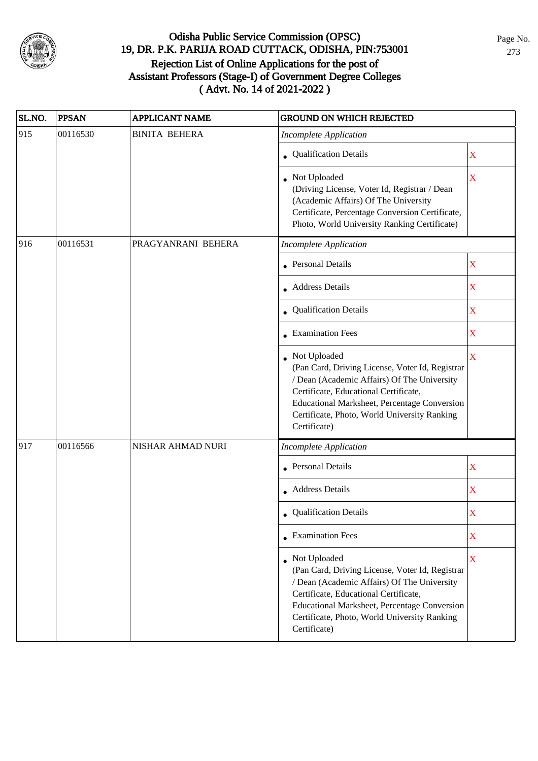

| SL.NO. | <b>PPSAN</b> | APPLICANT NAME       | <b>GROUND ON WHICH REJECTED</b>                                                                                                                                                                                                                                                  |                         |
|--------|--------------|----------------------|----------------------------------------------------------------------------------------------------------------------------------------------------------------------------------------------------------------------------------------------------------------------------------|-------------------------|
| 915    | 00116530     | <b>BINITA BEHERA</b> | <b>Incomplete Application</b>                                                                                                                                                                                                                                                    |                         |
|        |              |                      | • Qualification Details                                                                                                                                                                                                                                                          | $\mathbf X$             |
|        |              |                      | • Not Uploaded<br>(Driving License, Voter Id, Registrar / Dean<br>(Academic Affairs) Of The University<br>Certificate, Percentage Conversion Certificate,<br>Photo, World University Ranking Certificate)                                                                        | $\mathbf X$             |
| 916    | 00116531     | PRAGYANRANI BEHERA   | <b>Incomplete Application</b>                                                                                                                                                                                                                                                    |                         |
|        |              |                      | <b>Personal Details</b>                                                                                                                                                                                                                                                          | $\mathbf X$             |
|        |              |                      | • Address Details                                                                                                                                                                                                                                                                | $\mathbf X$             |
|        |              |                      | • Qualification Details                                                                                                                                                                                                                                                          | $\mathbf X$             |
|        |              |                      | • Examination Fees                                                                                                                                                                                                                                                               | $\mathbf X$             |
|        |              |                      | Not Uploaded<br>(Pan Card, Driving License, Voter Id, Registrar<br>/ Dean (Academic Affairs) Of The University<br>Certificate, Educational Certificate,<br>Educational Marksheet, Percentage Conversion<br>Certificate, Photo, World University Ranking<br>Certificate)          | $\overline{\mathbf{X}}$ |
| 917    | 00116566     | NISHAR AHMAD NURI    | <b>Incomplete Application</b>                                                                                                                                                                                                                                                    |                         |
|        |              |                      | Personal Details                                                                                                                                                                                                                                                                 | $\mathbf X$             |
|        |              |                      | • Address Details                                                                                                                                                                                                                                                                | $\mathbf X$             |
|        |              |                      | • Qualification Details                                                                                                                                                                                                                                                          | X                       |
|        |              |                      | $\bullet$ Examination Fees                                                                                                                                                                                                                                                       | X                       |
|        |              |                      | • Not Uploaded<br>(Pan Card, Driving License, Voter Id, Registrar<br>/ Dean (Academic Affairs) Of The University<br>Certificate, Educational Certificate,<br><b>Educational Marksheet, Percentage Conversion</b><br>Certificate, Photo, World University Ranking<br>Certificate) | $\overline{\mathbf{X}}$ |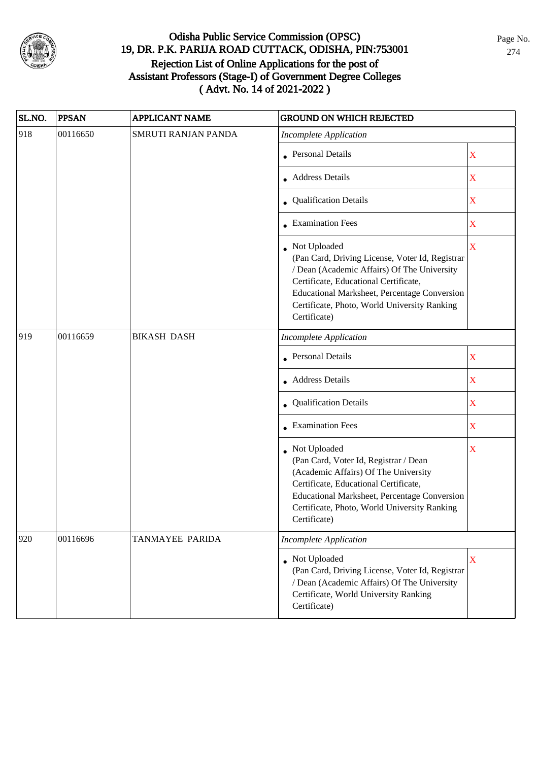

| SL.NO. | <b>PPSAN</b> | <b>APPLICANT NAME</b> | <b>GROUND ON WHICH REJECTED</b>                                                                                                                                                                                                                                           |             |
|--------|--------------|-----------------------|---------------------------------------------------------------------------------------------------------------------------------------------------------------------------------------------------------------------------------------------------------------------------|-------------|
| 918    | 00116650     | SMRUTI RANJAN PANDA   | <b>Incomplete Application</b>                                                                                                                                                                                                                                             |             |
|        |              |                       | <b>Personal Details</b>                                                                                                                                                                                                                                                   | $\mathbf X$ |
|        |              |                       | <b>Address Details</b>                                                                                                                                                                                                                                                    | $\mathbf X$ |
|        |              |                       | • Qualification Details                                                                                                                                                                                                                                                   | $\mathbf X$ |
|        |              |                       | • Examination Fees                                                                                                                                                                                                                                                        | $\mathbf X$ |
|        |              |                       | • Not Uploaded<br>(Pan Card, Driving License, Voter Id, Registrar<br>/ Dean (Academic Affairs) Of The University<br>Certificate, Educational Certificate,<br>Educational Marksheet, Percentage Conversion<br>Certificate, Photo, World University Ranking<br>Certificate) | $\mathbf X$ |
| 919    | 00116659     | <b>BIKASH DASH</b>    | <b>Incomplete Application</b>                                                                                                                                                                                                                                             |             |
|        |              |                       | <b>Personal Details</b>                                                                                                                                                                                                                                                   | $\mathbf X$ |
|        |              |                       | <b>Address Details</b>                                                                                                                                                                                                                                                    | X           |
|        |              |                       | • Qualification Details                                                                                                                                                                                                                                                   | $\mathbf X$ |
|        |              |                       | • Examination Fees                                                                                                                                                                                                                                                        | $\mathbf X$ |
|        |              |                       | • Not Uploaded<br>(Pan Card, Voter Id, Registrar / Dean<br>(Academic Affairs) Of The University<br>Certificate, Educational Certificate,<br>Educational Marksheet, Percentage Conversion<br>Certificate, Photo, World University Ranking<br>Certificate)                  | X           |
| 920    | 00116696     | TANMAYEE PARIDA       | <b>Incomplete Application</b>                                                                                                                                                                                                                                             |             |
|        |              |                       | Not Uploaded<br>(Pan Card, Driving License, Voter Id, Registrar<br>/ Dean (Academic Affairs) Of The University<br>Certificate, World University Ranking<br>Certificate)                                                                                                   | X           |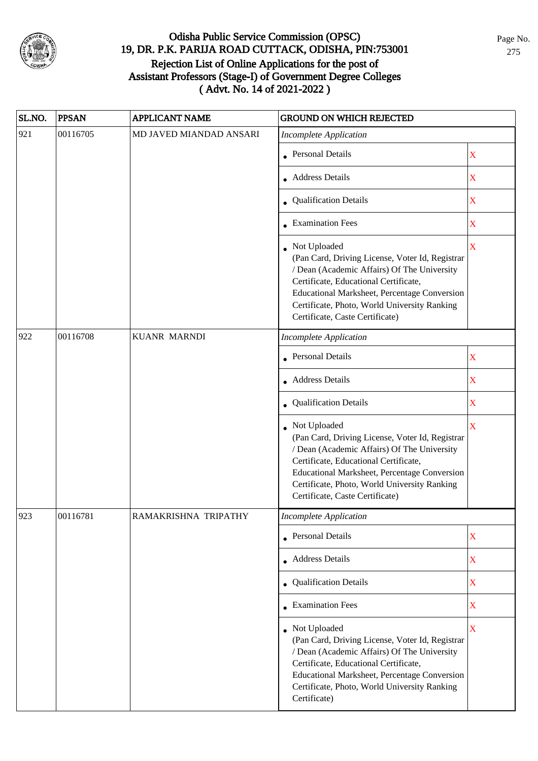

| SL.NO. | <b>PPSAN</b> | <b>APPLICANT NAME</b>   | GROUND ON WHICH REJECTED                                                                                                                                                                                                                                                                     |                         |
|--------|--------------|-------------------------|----------------------------------------------------------------------------------------------------------------------------------------------------------------------------------------------------------------------------------------------------------------------------------------------|-------------------------|
| 921    | 00116705     | MD JAVED MIANDAD ANSARI | <b>Incomplete Application</b>                                                                                                                                                                                                                                                                |                         |
|        |              |                         | • Personal Details                                                                                                                                                                                                                                                                           | $\mathbf X$             |
|        |              |                         | • Address Details                                                                                                                                                                                                                                                                            | $\overline{\text{X}}$   |
|        |              |                         | • Qualification Details                                                                                                                                                                                                                                                                      | $\mathbf X$             |
|        |              |                         | • Examination Fees                                                                                                                                                                                                                                                                           | $\overline{\text{X}}$   |
|        |              |                         | • Not Uploaded<br>(Pan Card, Driving License, Voter Id, Registrar<br>/ Dean (Academic Affairs) Of The University<br>Certificate, Educational Certificate,<br>Educational Marksheet, Percentage Conversion<br>Certificate, Photo, World University Ranking<br>Certificate, Caste Certificate) | $\overline{\mathbf{X}}$ |
| 922    | 00116708     | <b>KUANR MARNDI</b>     | <b>Incomplete Application</b>                                                                                                                                                                                                                                                                |                         |
|        |              |                         | <b>Personal Details</b>                                                                                                                                                                                                                                                                      | $\overline{\text{X}}$   |
|        |              |                         | • Address Details                                                                                                                                                                                                                                                                            | $\overline{\text{X}}$   |
|        |              |                         | • Qualification Details                                                                                                                                                                                                                                                                      | $\overline{\text{X}}$   |
|        |              |                         | Not Uploaded<br>(Pan Card, Driving License, Voter Id, Registrar<br>/ Dean (Academic Affairs) Of The University<br>Certificate, Educational Certificate,<br>Educational Marksheet, Percentage Conversion<br>Certificate, Photo, World University Ranking<br>Certificate, Caste Certificate)   | $\overline{\mathbf{X}}$ |
| 923    | 00116781     | RAMAKRISHNA TRIPATHY    | Incomplete Application                                                                                                                                                                                                                                                                       |                         |
|        |              |                         | • Personal Details                                                                                                                                                                                                                                                                           | $\mathbf X$             |
|        |              |                         | • Address Details                                                                                                                                                                                                                                                                            | $\mathbf X$             |
|        |              |                         | • Qualification Details                                                                                                                                                                                                                                                                      | $\mathbf X$             |
|        |              |                         | <b>Examination Fees</b>                                                                                                                                                                                                                                                                      | $\mathbf X$             |
|        |              |                         | • Not Uploaded<br>(Pan Card, Driving License, Voter Id, Registrar<br>/ Dean (Academic Affairs) Of The University<br>Certificate, Educational Certificate,<br>Educational Marksheet, Percentage Conversion<br>Certificate, Photo, World University Ranking<br>Certificate)                    | $\mathbf X$             |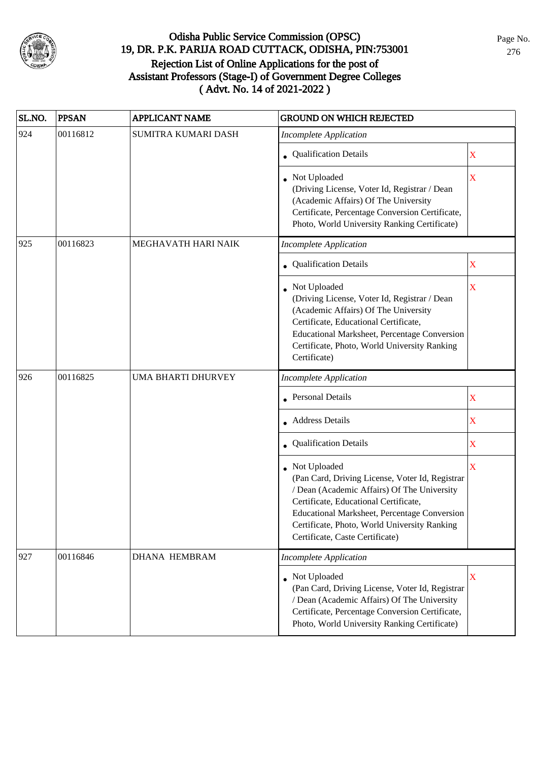

| SL.NO. | <b>PPSAN</b> | <b>APPLICANT NAME</b> | <b>GROUND ON WHICH REJECTED</b>                                                                                                                                                                                                                                                            |                         |
|--------|--------------|-----------------------|--------------------------------------------------------------------------------------------------------------------------------------------------------------------------------------------------------------------------------------------------------------------------------------------|-------------------------|
| 924    | 00116812     | SUMITRA KUMARI DASH   | <b>Incomplete Application</b>                                                                                                                                                                                                                                                              |                         |
|        |              |                       | • Qualification Details                                                                                                                                                                                                                                                                    | X                       |
|        |              |                       | Not Uploaded<br>(Driving License, Voter Id, Registrar / Dean<br>(Academic Affairs) Of The University<br>Certificate, Percentage Conversion Certificate,<br>Photo, World University Ranking Certificate)                                                                                    | $\overline{\mathbf{X}}$ |
| 925    | 00116823     | MEGHAVATH HARI NAIK   | <b>Incomplete Application</b>                                                                                                                                                                                                                                                              |                         |
|        |              |                       | • Qualification Details                                                                                                                                                                                                                                                                    | X                       |
|        |              |                       | • Not Uploaded<br>(Driving License, Voter Id, Registrar / Dean<br>(Academic Affairs) Of The University<br>Certificate, Educational Certificate,<br>Educational Marksheet, Percentage Conversion<br>Certificate, Photo, World University Ranking<br>Certificate)                            | $\mathbf X$             |
| 926    | 00116825     | UMA BHARTI DHURVEY    | Incomplete Application                                                                                                                                                                                                                                                                     |                         |
|        |              |                       | <b>Personal Details</b>                                                                                                                                                                                                                                                                    | X                       |
|        |              |                       | <b>Address Details</b>                                                                                                                                                                                                                                                                     | X                       |
|        |              |                       | Qualification Details                                                                                                                                                                                                                                                                      | X                       |
|        |              |                       | Not Uploaded<br>(Pan Card, Driving License, Voter Id, Registrar<br>/ Dean (Academic Affairs) Of The University<br>Certificate, Educational Certificate,<br>Educational Marksheet, Percentage Conversion<br>Certificate, Photo, World University Ranking<br>Certificate, Caste Certificate) | $\overline{\mathbf{X}}$ |
| 927    | 00116846     | <b>DHANA HEMBRAM</b>  | <b>Incomplete Application</b>                                                                                                                                                                                                                                                              |                         |
|        |              |                       | • Not Uploaded<br>(Pan Card, Driving License, Voter Id, Registrar<br>/ Dean (Academic Affairs) Of The University<br>Certificate, Percentage Conversion Certificate,<br>Photo, World University Ranking Certificate)                                                                        | $\mathbf X$             |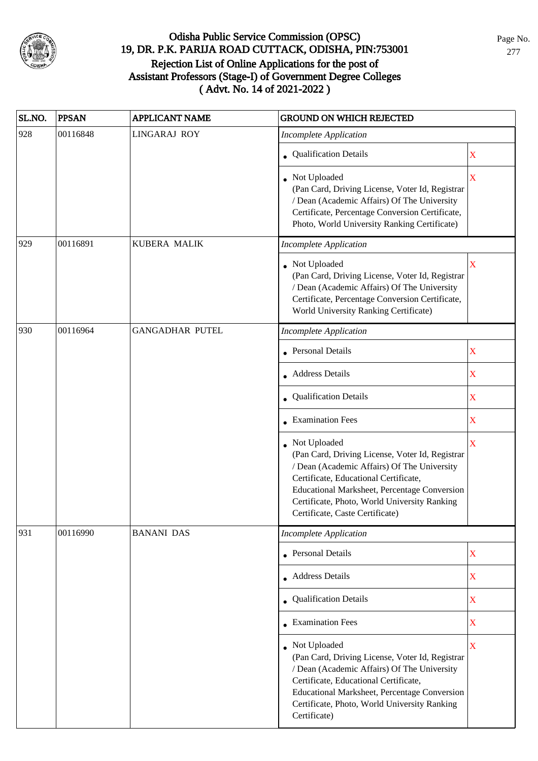

| SL.NO. | <b>PPSAN</b> | <b>APPLICANT NAME</b>  | <b>GROUND ON WHICH REJECTED</b>                                                                                                                                                                                                                                                              |                         |
|--------|--------------|------------------------|----------------------------------------------------------------------------------------------------------------------------------------------------------------------------------------------------------------------------------------------------------------------------------------------|-------------------------|
| 928    | 00116848     | <b>LINGARAJ ROY</b>    | <b>Incomplete Application</b>                                                                                                                                                                                                                                                                |                         |
|        |              |                        | • Qualification Details                                                                                                                                                                                                                                                                      | X                       |
|        |              |                        | • Not Uploaded<br>(Pan Card, Driving License, Voter Id, Registrar<br>/ Dean (Academic Affairs) Of The University<br>Certificate, Percentage Conversion Certificate,<br>Photo, World University Ranking Certificate)                                                                          | $\overline{\mathbf{X}}$ |
| 929    | 00116891     | <b>KUBERA MALIK</b>    | Incomplete Application                                                                                                                                                                                                                                                                       |                         |
|        |              |                        | • Not Uploaded<br>(Pan Card, Driving License, Voter Id, Registrar<br>/ Dean (Academic Affairs) Of The University<br>Certificate, Percentage Conversion Certificate,<br>World University Ranking Certificate)                                                                                 | $\overline{\mathbf{X}}$ |
| 930    | 00116964     | <b>GANGADHAR PUTEL</b> | <b>Incomplete Application</b>                                                                                                                                                                                                                                                                |                         |
|        |              |                        | • Personal Details                                                                                                                                                                                                                                                                           | $\mathbf X$             |
|        |              |                        | • Address Details                                                                                                                                                                                                                                                                            | $\mathbf X$             |
|        |              |                        | • Qualification Details                                                                                                                                                                                                                                                                      | X                       |
|        |              |                        | • Examination Fees                                                                                                                                                                                                                                                                           | X                       |
|        |              |                        | • Not Uploaded<br>(Pan Card, Driving License, Voter Id, Registrar<br>/ Dean (Academic Affairs) Of The University<br>Certificate, Educational Certificate,<br>Educational Marksheet, Percentage Conversion<br>Certificate, Photo, World University Ranking<br>Certificate, Caste Certificate) | $\mathbf X$             |
| 931    | 00116990     | <b>BANANI DAS</b>      | <b>Incomplete Application</b>                                                                                                                                                                                                                                                                |                         |
|        |              |                        | • Personal Details                                                                                                                                                                                                                                                                           | $\mathbf X$             |
|        |              |                        | • Address Details                                                                                                                                                                                                                                                                            | $\mathbf X$             |
|        |              |                        | • Qualification Details                                                                                                                                                                                                                                                                      | $\overline{\textbf{X}}$ |
|        |              |                        | • Examination Fees                                                                                                                                                                                                                                                                           | X                       |
|        |              |                        | • Not Uploaded<br>(Pan Card, Driving License, Voter Id, Registrar<br>/ Dean (Academic Affairs) Of The University<br>Certificate, Educational Certificate,<br>Educational Marksheet, Percentage Conversion<br>Certificate, Photo, World University Ranking<br>Certificate)                    | $\overline{\mathbf{X}}$ |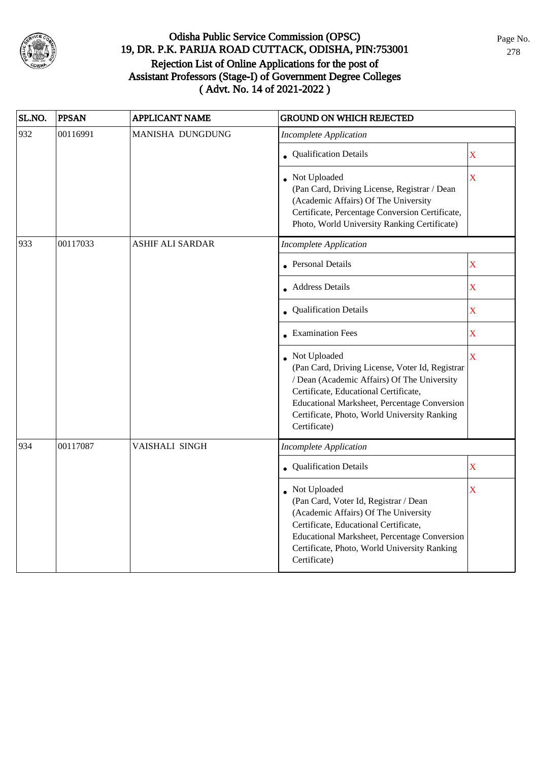

| SL.NO. | <b>PPSAN</b> | <b>APPLICANT NAME</b>   | <b>GROUND ON WHICH REJECTED</b>                                                                                                                                                                                                                                         |                    |
|--------|--------------|-------------------------|-------------------------------------------------------------------------------------------------------------------------------------------------------------------------------------------------------------------------------------------------------------------------|--------------------|
| 932    | 00116991     | MANISHA DUNGDUNG        | <b>Incomplete Application</b>                                                                                                                                                                                                                                           |                    |
|        |              |                         | • Qualification Details                                                                                                                                                                                                                                                 | $\mathbf X$        |
|        |              |                         | • Not Uploaded<br>(Pan Card, Driving License, Registrar / Dean<br>(Academic Affairs) Of The University<br>Certificate, Percentage Conversion Certificate,<br>Photo, World University Ranking Certificate)                                                               | $\mathbf X$        |
| 933    | 00117033     | <b>ASHIF ALI SARDAR</b> | <b>Incomplete Application</b>                                                                                                                                                                                                                                           |                    |
|        |              |                         | • Personal Details                                                                                                                                                                                                                                                      | $\mathbf X$        |
|        |              |                         | $\bullet$ Address Details                                                                                                                                                                                                                                               | $\mathbf X$        |
|        |              |                         | • Qualification Details                                                                                                                                                                                                                                                 | $\mathbf X$        |
|        |              |                         | • Examination Fees                                                                                                                                                                                                                                                      | $\mathbf X$        |
|        |              |                         | Not Uploaded<br>(Pan Card, Driving License, Voter Id, Registrar<br>/ Dean (Academic Affairs) Of The University<br>Certificate, Educational Certificate,<br>Educational Marksheet, Percentage Conversion<br>Certificate, Photo, World University Ranking<br>Certificate) | $\bar{\mathbf{X}}$ |
| 934    | 00117087     | VAISHALI SINGH          | <b>Incomplete Application</b>                                                                                                                                                                                                                                           |                    |
|        |              |                         | Qualification Details                                                                                                                                                                                                                                                   | $\mathbf X$        |
|        |              |                         | Not Uploaded<br>(Pan Card, Voter Id, Registrar / Dean<br>(Academic Affairs) Of The University<br>Certificate, Educational Certificate,<br>Educational Marksheet, Percentage Conversion<br>Certificate, Photo, World University Ranking<br>Certificate)                  | X                  |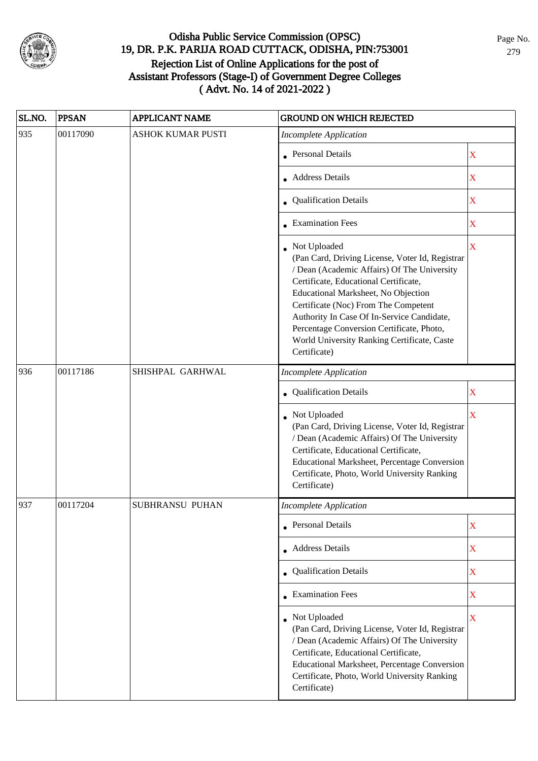

| SL.NO. | <b>PPSAN</b> | <b>APPLICANT NAME</b>    | <b>GROUND ON WHICH REJECTED</b>                                                                                                                                                                                                                                                                                                                                                                  |                         |
|--------|--------------|--------------------------|--------------------------------------------------------------------------------------------------------------------------------------------------------------------------------------------------------------------------------------------------------------------------------------------------------------------------------------------------------------------------------------------------|-------------------------|
| 935    | 00117090     | <b>ASHOK KUMAR PUSTI</b> | <b>Incomplete Application</b>                                                                                                                                                                                                                                                                                                                                                                    |                         |
|        |              |                          | • Personal Details                                                                                                                                                                                                                                                                                                                                                                               | $\mathbf X$             |
|        |              |                          | <b>Address Details</b>                                                                                                                                                                                                                                                                                                                                                                           | $\mathbf X$             |
|        |              |                          | • Qualification Details                                                                                                                                                                                                                                                                                                                                                                          | $\mathbf X$             |
|        |              |                          | • Examination Fees                                                                                                                                                                                                                                                                                                                                                                               | $\mathbf X$             |
|        |              |                          | Not Uploaded<br>(Pan Card, Driving License, Voter Id, Registrar<br>/ Dean (Academic Affairs) Of The University<br>Certificate, Educational Certificate,<br>Educational Marksheet, No Objection<br>Certificate (Noc) From The Competent<br>Authority In Case Of In-Service Candidate,<br>Percentage Conversion Certificate, Photo,<br>World University Ranking Certificate, Caste<br>Certificate) | $\mathbf X$             |
| 936    | 00117186     | SHISHPAL GARHWAL         | <b>Incomplete Application</b>                                                                                                                                                                                                                                                                                                                                                                    |                         |
|        |              |                          | • Qualification Details                                                                                                                                                                                                                                                                                                                                                                          | $\mathbf X$             |
|        |              |                          | Not Uploaded<br>(Pan Card, Driving License, Voter Id, Registrar<br>/ Dean (Academic Affairs) Of The University<br>Certificate, Educational Certificate,<br>Educational Marksheet, Percentage Conversion<br>Certificate, Photo, World University Ranking<br>Certificate)                                                                                                                          | $\overline{\mathbf{X}}$ |
| 937    | 00117204     | <b>SUBHRANSU PUHAN</b>   | <b>Incomplete Application</b>                                                                                                                                                                                                                                                                                                                                                                    |                         |
|        |              |                          | • Personal Details                                                                                                                                                                                                                                                                                                                                                                               | X                       |
|        |              |                          | • Address Details                                                                                                                                                                                                                                                                                                                                                                                | $\mathbf X$             |
|        |              |                          | • Qualification Details                                                                                                                                                                                                                                                                                                                                                                          | $\mathbf X$             |
|        |              |                          | $\bullet$ Examination Fees                                                                                                                                                                                                                                                                                                                                                                       | $\mathbf X$             |
|        |              |                          | • Not Uploaded<br>(Pan Card, Driving License, Voter Id, Registrar<br>/ Dean (Academic Affairs) Of The University<br>Certificate, Educational Certificate,<br>Educational Marksheet, Percentage Conversion<br>Certificate, Photo, World University Ranking<br>Certificate)                                                                                                                        | $\overline{\mathbf{X}}$ |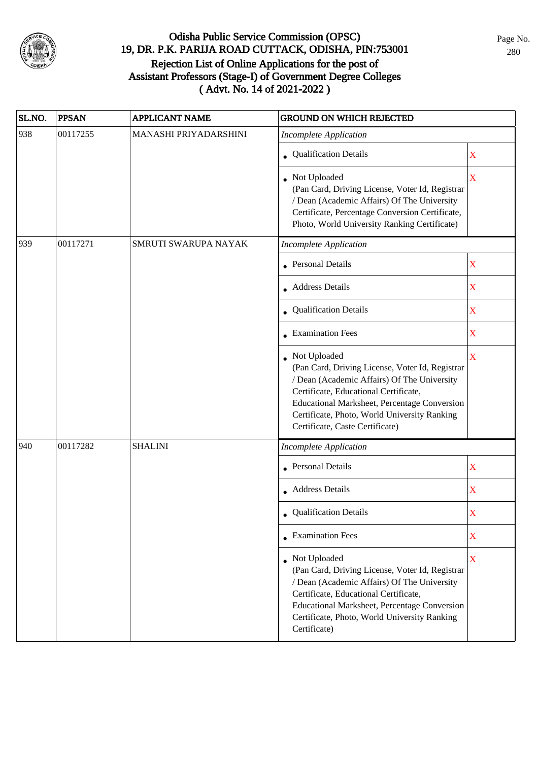

| SL.NO. | <b>PPSAN</b> | <b>APPLICANT NAME</b> | <b>GROUND ON WHICH REJECTED</b>                                                                                                                                                                                                                                                            |                         |
|--------|--------------|-----------------------|--------------------------------------------------------------------------------------------------------------------------------------------------------------------------------------------------------------------------------------------------------------------------------------------|-------------------------|
| 938    | 00117255     | MANASHI PRIYADARSHINI | <b>Incomplete Application</b>                                                                                                                                                                                                                                                              |                         |
|        |              |                       | • Qualification Details                                                                                                                                                                                                                                                                    | $\mathbf X$             |
|        |              |                       | • Not Uploaded<br>(Pan Card, Driving License, Voter Id, Registrar<br>/ Dean (Academic Affairs) Of The University<br>Certificate, Percentage Conversion Certificate,<br>Photo, World University Ranking Certificate)                                                                        | X                       |
| 939    | 00117271     | SMRUTI SWARUPA NAYAK  | <b>Incomplete Application</b>                                                                                                                                                                                                                                                              |                         |
|        |              |                       | <b>Personal Details</b>                                                                                                                                                                                                                                                                    | $\mathbf X$             |
|        |              |                       | • Address Details                                                                                                                                                                                                                                                                          | $\mathbf X$             |
|        |              |                       | • Qualification Details                                                                                                                                                                                                                                                                    | $\mathbf X$             |
|        |              |                       | <b>Examination Fees</b>                                                                                                                                                                                                                                                                    | $\mathbf X$             |
|        |              |                       | Not Uploaded<br>(Pan Card, Driving License, Voter Id, Registrar<br>/ Dean (Academic Affairs) Of The University<br>Certificate, Educational Certificate,<br>Educational Marksheet, Percentage Conversion<br>Certificate, Photo, World University Ranking<br>Certificate, Caste Certificate) | $\overline{\mathbf{X}}$ |
| 940    | 00117282     | <b>SHALINI</b>        | <b>Incomplete Application</b>                                                                                                                                                                                                                                                              |                         |
|        |              |                       | <b>Personal Details</b>                                                                                                                                                                                                                                                                    | $\mathbf X$             |
|        |              |                       | • Address Details                                                                                                                                                                                                                                                                          | $\mathbf X$             |
|        |              |                       | • Qualification Details                                                                                                                                                                                                                                                                    | X                       |
|        |              |                       | $\bullet$ Examination Fees                                                                                                                                                                                                                                                                 | $\mathbf X$             |
|        |              |                       | • Not Uploaded<br>(Pan Card, Driving License, Voter Id, Registrar<br>/ Dean (Academic Affairs) Of The University<br>Certificate, Educational Certificate,<br>Educational Marksheet, Percentage Conversion<br>Certificate, Photo, World University Ranking<br>Certificate)                  | $\mathbf X$             |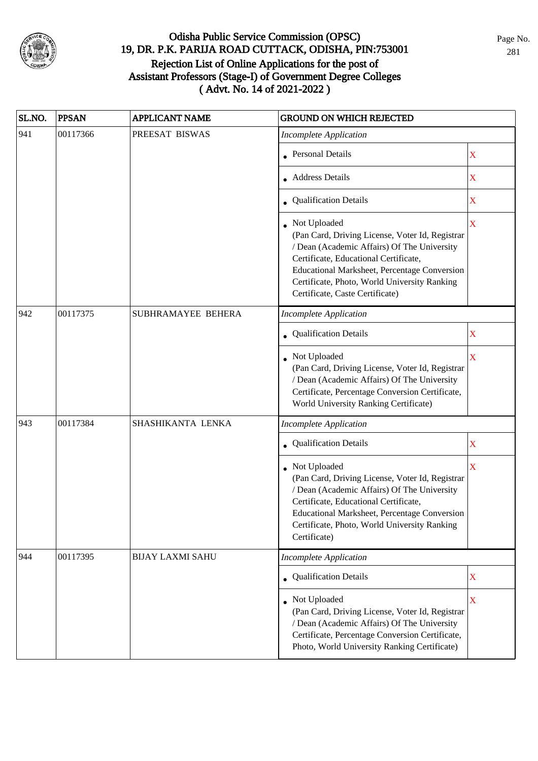

| SL.NO. | <b>PPSAN</b> | <b>APPLICANT NAME</b>   | <b>GROUND ON WHICH REJECTED</b>                                                                                                                                                                                                                                                            |                         |
|--------|--------------|-------------------------|--------------------------------------------------------------------------------------------------------------------------------------------------------------------------------------------------------------------------------------------------------------------------------------------|-------------------------|
| 941    | 00117366     | PREESAT BISWAS          | <b>Incomplete Application</b>                                                                                                                                                                                                                                                              |                         |
|        |              |                         | <b>Personal Details</b>                                                                                                                                                                                                                                                                    | X                       |
|        |              |                         | <b>Address Details</b>                                                                                                                                                                                                                                                                     | $\mathbf X$             |
|        |              |                         | • Qualification Details                                                                                                                                                                                                                                                                    | $\mathbf X$             |
|        |              |                         | Not Uploaded<br>(Pan Card, Driving License, Voter Id, Registrar<br>/ Dean (Academic Affairs) Of The University<br>Certificate, Educational Certificate,<br>Educational Marksheet, Percentage Conversion<br>Certificate, Photo, World University Ranking<br>Certificate, Caste Certificate) | X                       |
| 942    | 00117375     | SUBHRAMAYEE BEHERA      | <b>Incomplete Application</b>                                                                                                                                                                                                                                                              |                         |
|        |              |                         | Qualification Details                                                                                                                                                                                                                                                                      | X                       |
|        |              |                         | Not Uploaded<br>(Pan Card, Driving License, Voter Id, Registrar<br>/ Dean (Academic Affairs) Of The University<br>Certificate, Percentage Conversion Certificate,<br>World University Ranking Certificate)                                                                                 | $\overline{\mathbf{X}}$ |
| 943    | 00117384     | SHASHIKANTA LENKA       | <b>Incomplete Application</b>                                                                                                                                                                                                                                                              |                         |
|        |              |                         | Qualification Details                                                                                                                                                                                                                                                                      | X                       |
|        |              |                         | Not Uploaded<br>(Pan Card, Driving License, Voter Id, Registrar<br>/ Dean (Academic Affairs) Of The University<br>Certificate, Educational Certificate,<br>Educational Marksheet, Percentage Conversion<br>Certificate, Photo, World University Ranking<br>Certificate)                    | $\overline{\mathbf{X}}$ |
| 944    | 00117395     | <b>BIJAY LAXMI SAHU</b> | <b>Incomplete Application</b>                                                                                                                                                                                                                                                              |                         |
|        |              |                         | • Qualification Details                                                                                                                                                                                                                                                                    | $\mathbf X$             |
|        |              |                         | • Not Uploaded<br>(Pan Card, Driving License, Voter Id, Registrar<br>/ Dean (Academic Affairs) Of The University<br>Certificate, Percentage Conversion Certificate,<br>Photo, World University Ranking Certificate)                                                                        | $\mathbf X$             |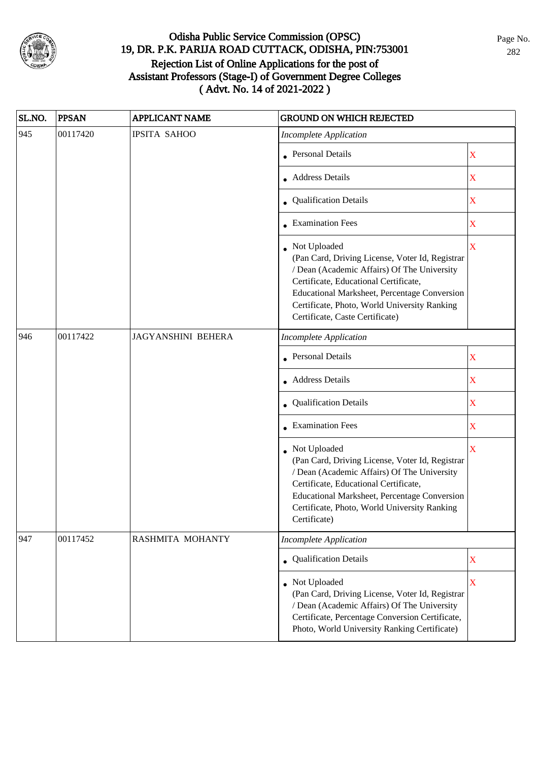

| SL.NO. | <b>PPSAN</b> | <b>APPLICANT NAME</b>     | <b>GROUND ON WHICH REJECTED</b>                                                                                                                                                                                                                                                              |             |
|--------|--------------|---------------------------|----------------------------------------------------------------------------------------------------------------------------------------------------------------------------------------------------------------------------------------------------------------------------------------------|-------------|
| 945    | 00117420     | <b>IPSITA SAHOO</b>       | <b>Incomplete Application</b>                                                                                                                                                                                                                                                                |             |
|        |              |                           | <b>Personal Details</b>                                                                                                                                                                                                                                                                      | X           |
|        |              |                           | <b>Address Details</b>                                                                                                                                                                                                                                                                       | $\mathbf X$ |
|        |              |                           | <b>Qualification Details</b>                                                                                                                                                                                                                                                                 | $\mathbf X$ |
|        |              |                           | • Examination Fees                                                                                                                                                                                                                                                                           | $\mathbf X$ |
|        |              |                           | • Not Uploaded<br>(Pan Card, Driving License, Voter Id, Registrar<br>/ Dean (Academic Affairs) Of The University<br>Certificate, Educational Certificate,<br>Educational Marksheet, Percentage Conversion<br>Certificate, Photo, World University Ranking<br>Certificate, Caste Certificate) | $\mathbf X$ |
| 946    | 00117422     | <b>JAGYANSHINI BEHERA</b> | <b>Incomplete Application</b>                                                                                                                                                                                                                                                                |             |
|        |              |                           | <b>Personal Details</b>                                                                                                                                                                                                                                                                      | $\mathbf X$ |
|        |              |                           | <b>Address Details</b>                                                                                                                                                                                                                                                                       | X           |
|        |              |                           | • Qualification Details                                                                                                                                                                                                                                                                      | $\mathbf X$ |
|        |              |                           | • Examination Fees                                                                                                                                                                                                                                                                           | $\mathbf X$ |
|        |              |                           | • Not Uploaded<br>(Pan Card, Driving License, Voter Id, Registrar<br>/ Dean (Academic Affairs) Of The University<br>Certificate, Educational Certificate,<br>Educational Marksheet, Percentage Conversion<br>Certificate, Photo, World University Ranking<br>Certificate)                    | X           |
| 947    | 00117452     | RASHMITA MOHANTY          | <b>Incomplete Application</b>                                                                                                                                                                                                                                                                |             |
|        |              |                           | <b>Qualification Details</b>                                                                                                                                                                                                                                                                 | $\mathbf X$ |
|        |              |                           | Not Uploaded<br>(Pan Card, Driving License, Voter Id, Registrar<br>/ Dean (Academic Affairs) Of The University<br>Certificate, Percentage Conversion Certificate,<br>Photo, World University Ranking Certificate)                                                                            | $\mathbf X$ |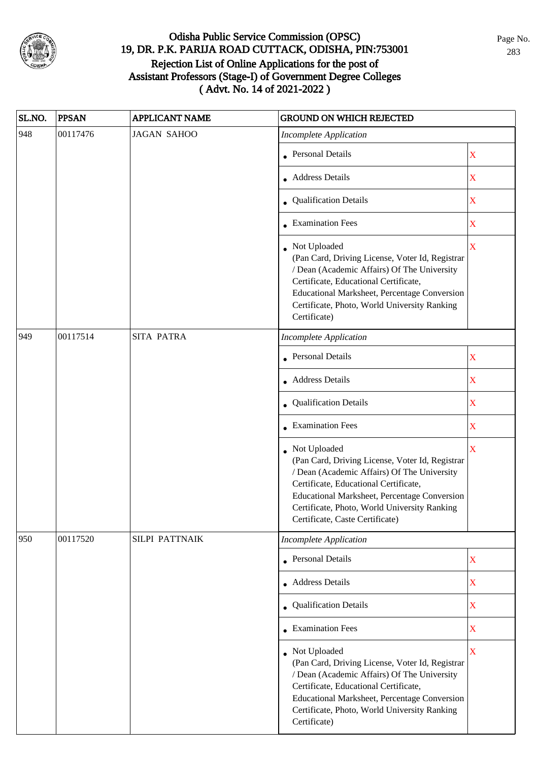

| SL.NO. | <b>PPSAN</b> | <b>APPLICANT NAME</b> | <b>GROUND ON WHICH REJECTED</b>                                                                                                                                                                                                                                                            |                         |
|--------|--------------|-----------------------|--------------------------------------------------------------------------------------------------------------------------------------------------------------------------------------------------------------------------------------------------------------------------------------------|-------------------------|
| 948    | 00117476     | <b>JAGAN SAHOO</b>    | <b>Incomplete Application</b>                                                                                                                                                                                                                                                              |                         |
|        |              |                       | • Personal Details                                                                                                                                                                                                                                                                         | $\mathbf X$             |
|        |              |                       | • Address Details                                                                                                                                                                                                                                                                          | $\mathbf X$             |
|        |              |                       | • Qualification Details                                                                                                                                                                                                                                                                    | $\mathbf X$             |
|        |              |                       | • Examination Fees                                                                                                                                                                                                                                                                         | $\mathbf X$             |
|        |              |                       | Not Uploaded<br>(Pan Card, Driving License, Voter Id, Registrar<br>/ Dean (Academic Affairs) Of The University<br>Certificate, Educational Certificate,<br>Educational Marksheet, Percentage Conversion<br>Certificate, Photo, World University Ranking<br>Certificate)                    | $\overline{\mathbf{X}}$ |
| 949    | 00117514     | <b>SITA PATRA</b>     | <b>Incomplete Application</b>                                                                                                                                                                                                                                                              |                         |
|        |              |                       | <b>Personal Details</b>                                                                                                                                                                                                                                                                    | $\mathbf X$             |
|        |              |                       | • Address Details                                                                                                                                                                                                                                                                          | $\mathbf X$             |
|        |              |                       | • Qualification Details                                                                                                                                                                                                                                                                    | $\mathbf X$             |
|        |              |                       | • Examination Fees                                                                                                                                                                                                                                                                         | $\mathbf X$             |
|        |              |                       | Not Uploaded<br>(Pan Card, Driving License, Voter Id, Registrar<br>/ Dean (Academic Affairs) Of The University<br>Certificate, Educational Certificate,<br>Educational Marksheet, Percentage Conversion<br>Certificate, Photo, World University Ranking<br>Certificate, Caste Certificate) | $\bar{\mathbf{X}}$      |
| 950    | 00117520     | SILPI PATTNAIK        | <b>Incomplete Application</b>                                                                                                                                                                                                                                                              |                         |
|        |              |                       | • Personal Details                                                                                                                                                                                                                                                                         | $\mathbf X$             |
|        |              |                       | • Address Details                                                                                                                                                                                                                                                                          | $\mathbf X$             |
|        |              |                       | • Qualification Details                                                                                                                                                                                                                                                                    | X                       |
|        |              |                       | • Examination Fees                                                                                                                                                                                                                                                                         | $\mathbf X$             |
|        |              |                       | • Not Uploaded<br>(Pan Card, Driving License, Voter Id, Registrar<br>/ Dean (Academic Affairs) Of The University<br>Certificate, Educational Certificate,<br>Educational Marksheet, Percentage Conversion<br>Certificate, Photo, World University Ranking<br>Certificate)                  | $\overline{\mathbf{X}}$ |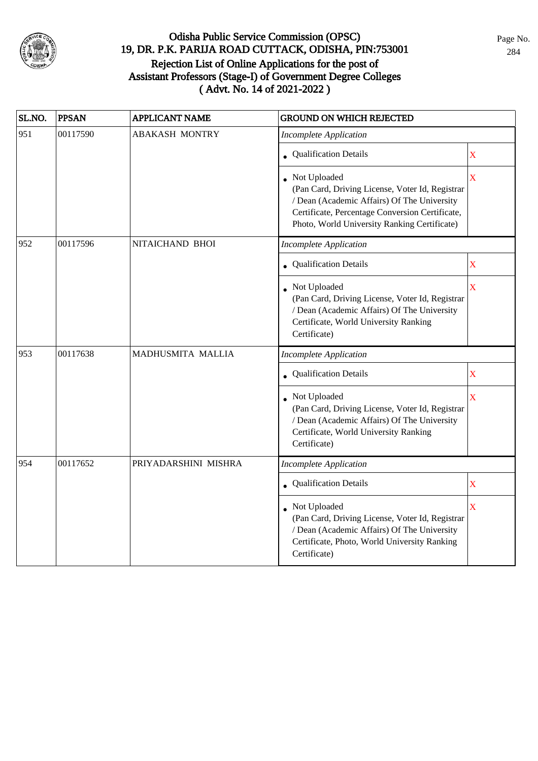

| SL.NO. | <b>PPSAN</b> | <b>APPLICANT NAME</b> | <b>GROUND ON WHICH REJECTED</b>                                                                                                                                                                                     |                         |
|--------|--------------|-----------------------|---------------------------------------------------------------------------------------------------------------------------------------------------------------------------------------------------------------------|-------------------------|
| 951    | 00117590     | <b>ABAKASH MONTRY</b> | <b>Incomplete Application</b>                                                                                                                                                                                       |                         |
|        |              |                       | • Qualification Details                                                                                                                                                                                             | X                       |
|        |              |                       | • Not Uploaded<br>(Pan Card, Driving License, Voter Id, Registrar<br>/ Dean (Academic Affairs) Of The University<br>Certificate, Percentage Conversion Certificate,<br>Photo, World University Ranking Certificate) | $\overline{\mathbf{X}}$ |
| 952    | 00117596     | NITAICHAND BHOI       | <b>Incomplete Application</b>                                                                                                                                                                                       |                         |
|        |              |                       | • Qualification Details                                                                                                                                                                                             | $\mathbf X$             |
|        |              |                       | Not Uploaded<br>(Pan Card, Driving License, Voter Id, Registrar<br>/ Dean (Academic Affairs) Of The University<br>Certificate, World University Ranking<br>Certificate)                                             | $\bar{\mathbf{X}}$      |
| 953    | 00117638     | MADHUSMITA MALLIA     | <b>Incomplete Application</b>                                                                                                                                                                                       |                         |
|        |              |                       | <b>Qualification Details</b>                                                                                                                                                                                        | $\mathbf X$             |
|        |              |                       | Not Uploaded<br>(Pan Card, Driving License, Voter Id, Registrar<br>/ Dean (Academic Affairs) Of The University<br>Certificate, World University Ranking<br>Certificate)                                             | $\bar{\mathbf{X}}$      |
| 954    | 00117652     | PRIYADARSHINI MISHRA  | <b>Incomplete Application</b>                                                                                                                                                                                       |                         |
|        |              |                       | • Qualification Details                                                                                                                                                                                             | $\mathbf X$             |
|        |              |                       | Not Uploaded<br>(Pan Card, Driving License, Voter Id, Registrar<br>/ Dean (Academic Affairs) Of The University<br>Certificate, Photo, World University Ranking<br>Certificate)                                      | $\overline{\mathbf{X}}$ |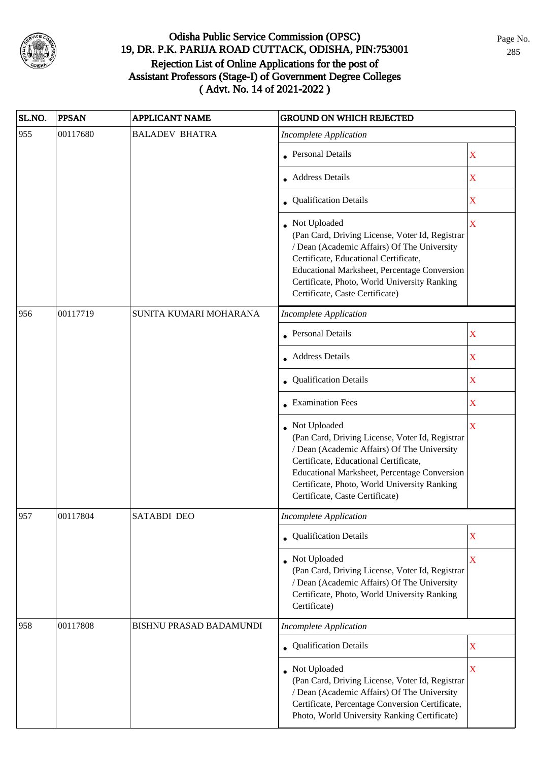

| SL.NO. | <b>PPSAN</b> | <b>APPLICANT NAME</b>          | <b>GROUND ON WHICH REJECTED</b>                                                                                                                                                                                                                                                              |             |
|--------|--------------|--------------------------------|----------------------------------------------------------------------------------------------------------------------------------------------------------------------------------------------------------------------------------------------------------------------------------------------|-------------|
| 955    | 00117680     | <b>BALADEV BHATRA</b>          | <b>Incomplete Application</b>                                                                                                                                                                                                                                                                |             |
|        |              |                                | • Personal Details                                                                                                                                                                                                                                                                           | $\mathbf X$ |
|        |              |                                | Address Details                                                                                                                                                                                                                                                                              | $\mathbf X$ |
|        |              |                                | • Qualification Details                                                                                                                                                                                                                                                                      | $\mathbf X$ |
|        |              |                                | • Not Uploaded<br>(Pan Card, Driving License, Voter Id, Registrar<br>/ Dean (Academic Affairs) Of The University<br>Certificate, Educational Certificate,<br>Educational Marksheet, Percentage Conversion<br>Certificate, Photo, World University Ranking<br>Certificate, Caste Certificate) | $\mathbf X$ |
| 956    | 00117719     | SUNITA KUMARI MOHARANA         | <b>Incomplete Application</b>                                                                                                                                                                                                                                                                |             |
|        |              |                                | • Personal Details                                                                                                                                                                                                                                                                           | $\mathbf X$ |
|        |              |                                | • Address Details                                                                                                                                                                                                                                                                            | $\mathbf X$ |
|        |              |                                | Qualification Details                                                                                                                                                                                                                                                                        | X           |
|        |              |                                | • Examination Fees                                                                                                                                                                                                                                                                           | $\mathbf X$ |
|        |              |                                | Not Uploaded<br>(Pan Card, Driving License, Voter Id, Registrar<br>/ Dean (Academic Affairs) Of The University<br>Certificate, Educational Certificate,<br>Educational Marksheet, Percentage Conversion<br>Certificate, Photo, World University Ranking<br>Certificate, Caste Certificate)   | X           |
| 957    | 00117804     | SATABDI DEO                    | Incomplete Application                                                                                                                                                                                                                                                                       |             |
|        |              |                                | • Qualification Details                                                                                                                                                                                                                                                                      | X           |
|        |              |                                | • Not Uploaded<br>(Pan Card, Driving License, Voter Id, Registrar<br>/ Dean (Academic Affairs) Of The University<br>Certificate, Photo, World University Ranking<br>Certificate)                                                                                                             | $\mathbf X$ |
| 958    | 00117808     | <b>BISHNU PRASAD BADAMUNDI</b> | <b>Incomplete Application</b>                                                                                                                                                                                                                                                                |             |
|        |              |                                | • Qualification Details                                                                                                                                                                                                                                                                      | $\mathbf X$ |
|        |              |                                | Not Uploaded<br>(Pan Card, Driving License, Voter Id, Registrar<br>/ Dean (Academic Affairs) Of The University<br>Certificate, Percentage Conversion Certificate,<br>Photo, World University Ranking Certificate)                                                                            | X           |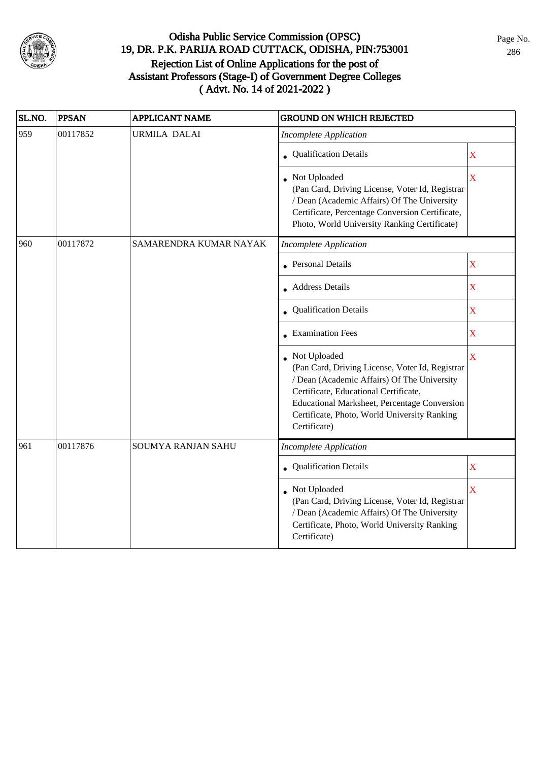

| SL.NO. | <b>PPSAN</b> | <b>APPLICANT NAME</b>  | <b>GROUND ON WHICH REJECTED</b>                                                                                                                                                                                                                                         |                         |
|--------|--------------|------------------------|-------------------------------------------------------------------------------------------------------------------------------------------------------------------------------------------------------------------------------------------------------------------------|-------------------------|
| 959    | 00117852     | <b>URMILA DALAI</b>    | <b>Incomplete Application</b>                                                                                                                                                                                                                                           |                         |
|        |              |                        | • Qualification Details                                                                                                                                                                                                                                                 | X                       |
|        |              |                        | • Not Uploaded<br>(Pan Card, Driving License, Voter Id, Registrar<br>/ Dean (Academic Affairs) Of The University<br>Certificate, Percentage Conversion Certificate,<br>Photo, World University Ranking Certificate)                                                     | $\overline{\mathbf{X}}$ |
| 960    | 00117872     | SAMARENDRA KUMAR NAYAK | <b>Incomplete Application</b>                                                                                                                                                                                                                                           |                         |
|        |              |                        | <b>Personal Details</b>                                                                                                                                                                                                                                                 | X                       |
|        |              |                        | <b>Address Details</b>                                                                                                                                                                                                                                                  | $\mathbf X$             |
|        |              |                        | • Qualification Details                                                                                                                                                                                                                                                 | $\mathbf X$             |
|        |              |                        | • Examination Fees                                                                                                                                                                                                                                                      | X                       |
|        |              |                        | Not Uploaded<br>(Pan Card, Driving License, Voter Id, Registrar<br>/ Dean (Academic Affairs) Of The University<br>Certificate, Educational Certificate,<br>Educational Marksheet, Percentage Conversion<br>Certificate, Photo, World University Ranking<br>Certificate) | X                       |
| 961    | 00117876     | SOUMYA RANJAN SAHU     | <b>Incomplete Application</b>                                                                                                                                                                                                                                           |                         |
|        |              |                        | Qualification Details                                                                                                                                                                                                                                                   | X                       |
|        |              |                        | Not Uploaded<br>(Pan Card, Driving License, Voter Id, Registrar<br>/ Dean (Academic Affairs) Of The University<br>Certificate, Photo, World University Ranking<br>Certificate)                                                                                          | X                       |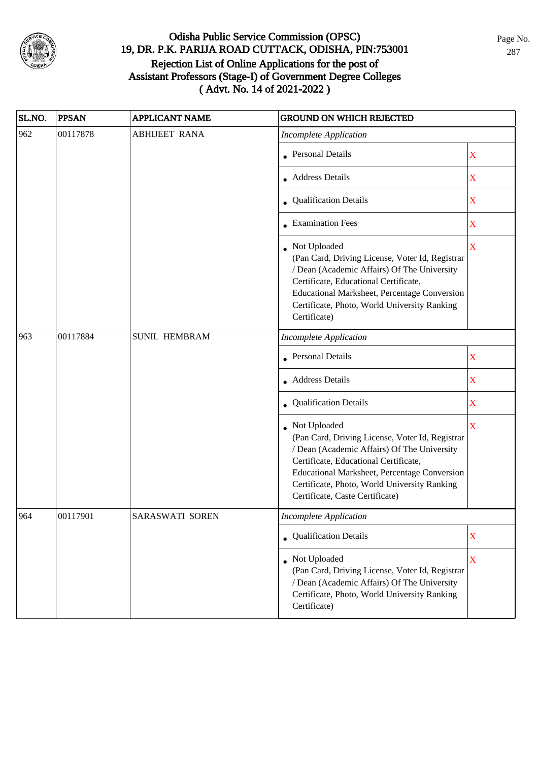

| SL.NO. | <b>PPSAN</b> | <b>APPLICANT NAME</b> | <b>GROUND ON WHICH REJECTED</b>                                                                                                                                                                                                                                                            |             |
|--------|--------------|-----------------------|--------------------------------------------------------------------------------------------------------------------------------------------------------------------------------------------------------------------------------------------------------------------------------------------|-------------|
| 962    | 00117878     | <b>ABHIJEET RANA</b>  | <b>Incomplete Application</b>                                                                                                                                                                                                                                                              |             |
|        |              |                       | <b>Personal Details</b>                                                                                                                                                                                                                                                                    | $\mathbf X$ |
|        |              |                       | <b>Address Details</b>                                                                                                                                                                                                                                                                     | $\mathbf X$ |
|        |              |                       | • Qualification Details                                                                                                                                                                                                                                                                    | $\mathbf X$ |
|        |              |                       | • Examination Fees                                                                                                                                                                                                                                                                         | $\mathbf X$ |
|        |              |                       | Not Uploaded<br>(Pan Card, Driving License, Voter Id, Registrar<br>/ Dean (Academic Affairs) Of The University<br>Certificate, Educational Certificate,<br>Educational Marksheet, Percentage Conversion<br>Certificate, Photo, World University Ranking<br>Certificate)                    | $\mathbf X$ |
| 963    | 00117884     | <b>SUNIL HEMBRAM</b>  | <b>Incomplete Application</b>                                                                                                                                                                                                                                                              |             |
|        |              |                       | <b>Personal Details</b>                                                                                                                                                                                                                                                                    | X           |
|        |              |                       | <b>Address Details</b>                                                                                                                                                                                                                                                                     | X           |
|        |              |                       | Qualification Details                                                                                                                                                                                                                                                                      | $\mathbf X$ |
|        |              |                       | Not Uploaded<br>(Pan Card, Driving License, Voter Id, Registrar<br>/ Dean (Academic Affairs) Of The University<br>Certificate, Educational Certificate,<br>Educational Marksheet, Percentage Conversion<br>Certificate, Photo, World University Ranking<br>Certificate, Caste Certificate) | $\mathbf X$ |
| 964    | 00117901     | SARASWATI SOREN       | Incomplete Application                                                                                                                                                                                                                                                                     |             |
|        |              |                       | • Qualification Details                                                                                                                                                                                                                                                                    | $\mathbf X$ |
|        |              |                       | • Not Uploaded<br>(Pan Card, Driving License, Voter Id, Registrar<br>/ Dean (Academic Affairs) Of The University<br>Certificate, Photo, World University Ranking<br>Certificate)                                                                                                           | $\mathbf X$ |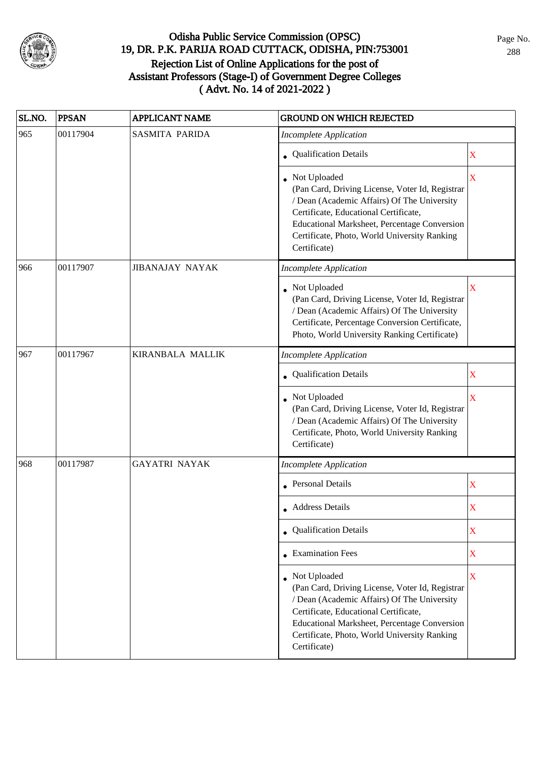

| SL.NO. | <b>PPSAN</b> | <b>APPLICANT NAME</b>  | <b>GROUND ON WHICH REJECTED</b>                                                                                                                                                                                                                                           |                       |
|--------|--------------|------------------------|---------------------------------------------------------------------------------------------------------------------------------------------------------------------------------------------------------------------------------------------------------------------------|-----------------------|
| 965    | 00117904     | <b>SASMITA PARIDA</b>  | <b>Incomplete Application</b>                                                                                                                                                                                                                                             |                       |
|        |              |                        | • Qualification Details                                                                                                                                                                                                                                                   | $\mathbf X$           |
|        |              |                        | Not Uploaded<br>(Pan Card, Driving License, Voter Id, Registrar<br>/ Dean (Academic Affairs) Of The University<br>Certificate, Educational Certificate,<br>Educational Marksheet, Percentage Conversion<br>Certificate, Photo, World University Ranking<br>Certificate)   | $\overline{\text{X}}$ |
| 966    | 00117907     | <b>JIBANAJAY NAYAK</b> | <b>Incomplete Application</b>                                                                                                                                                                                                                                             |                       |
|        |              |                        | • Not Uploaded<br>(Pan Card, Driving License, Voter Id, Registrar<br>/ Dean (Academic Affairs) Of The University<br>Certificate, Percentage Conversion Certificate,<br>Photo, World University Ranking Certificate)                                                       | $\overline{\text{X}}$ |
| 967    | 00117967     | KIRANBALA MALLIK       | <b>Incomplete Application</b>                                                                                                                                                                                                                                             |                       |
|        |              |                        | <b>Qualification Details</b>                                                                                                                                                                                                                                              | X                     |
|        |              |                        | Not Uploaded<br>(Pan Card, Driving License, Voter Id, Registrar<br>/ Dean (Academic Affairs) Of The University<br>Certificate, Photo, World University Ranking<br>Certificate)                                                                                            | X                     |
| 968    | 00117987     | <b>GAYATRI NAYAK</b>   | <b>Incomplete Application</b>                                                                                                                                                                                                                                             |                       |
|        |              |                        | Personal Details                                                                                                                                                                                                                                                          | $\mathbf X$           |
|        |              |                        | Address Details                                                                                                                                                                                                                                                           | $\overline{\text{X}}$ |
|        |              |                        | • Qualification Details                                                                                                                                                                                                                                                   | X                     |
|        |              |                        | $\bullet$ Examination Fees                                                                                                                                                                                                                                                | $\bar{\textbf{X}}$    |
|        |              |                        | • Not Uploaded<br>(Pan Card, Driving License, Voter Id, Registrar<br>/ Dean (Academic Affairs) Of The University<br>Certificate, Educational Certificate,<br>Educational Marksheet, Percentage Conversion<br>Certificate, Photo, World University Ranking<br>Certificate) | $\mathbf X$           |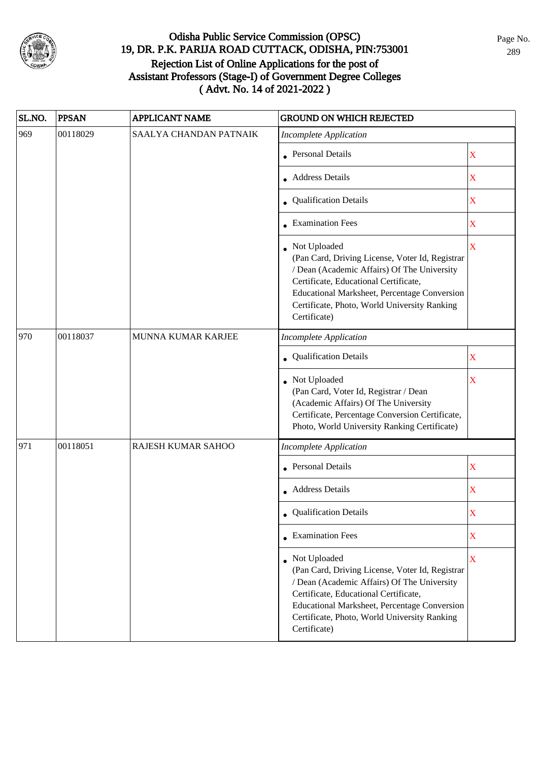

| SL.NO. | <b>PPSAN</b> | <b>APPLICANT NAME</b>  | <b>GROUND ON WHICH REJECTED</b>                                                                                                                                                                                                                                           |                           |
|--------|--------------|------------------------|---------------------------------------------------------------------------------------------------------------------------------------------------------------------------------------------------------------------------------------------------------------------------|---------------------------|
| 969    | 00118029     | SAALYA CHANDAN PATNAIK | <b>Incomplete Application</b>                                                                                                                                                                                                                                             |                           |
|        |              |                        | <b>Personal Details</b>                                                                                                                                                                                                                                                   | X                         |
|        |              |                        | • Address Details                                                                                                                                                                                                                                                         | $\mathbf X$               |
|        |              |                        | • Qualification Details                                                                                                                                                                                                                                                   | X                         |
|        |              |                        | • Examination Fees                                                                                                                                                                                                                                                        | X                         |
|        |              |                        | Not Uploaded<br>(Pan Card, Driving License, Voter Id, Registrar<br>/ Dean (Academic Affairs) Of The University<br>Certificate, Educational Certificate,<br>Educational Marksheet, Percentage Conversion<br>Certificate, Photo, World University Ranking<br>Certificate)   | $\overline{\mathbf{X}}$   |
| 970    | 00118037     | MUNNA KUMAR KARJEE     | <b>Incomplete Application</b>                                                                                                                                                                                                                                             |                           |
|        |              |                        | Qualification Details                                                                                                                                                                                                                                                     | $\mathbf X$               |
|        |              |                        | Not Uploaded<br>(Pan Card, Voter Id, Registrar / Dean<br>(Academic Affairs) Of The University<br>Certificate, Percentage Conversion Certificate,<br>Photo, World University Ranking Certificate)                                                                          | $\boldsymbol{\mathrm{X}}$ |
| 971    | 00118051     | RAJESH KUMAR SAHOO     | <b>Incomplete Application</b>                                                                                                                                                                                                                                             |                           |
|        |              |                        | <b>Personal Details</b>                                                                                                                                                                                                                                                   | $\mathbf X$               |
|        |              |                        | Address Details                                                                                                                                                                                                                                                           | $\mathbf X$               |
|        |              |                        | • Qualification Details                                                                                                                                                                                                                                                   | X                         |
|        |              |                        | $\bullet$ Examination Fees                                                                                                                                                                                                                                                | X                         |
|        |              |                        | • Not Uploaded<br>(Pan Card, Driving License, Voter Id, Registrar<br>/ Dean (Academic Affairs) Of The University<br>Certificate, Educational Certificate,<br>Educational Marksheet, Percentage Conversion<br>Certificate, Photo, World University Ranking<br>Certificate) | X                         |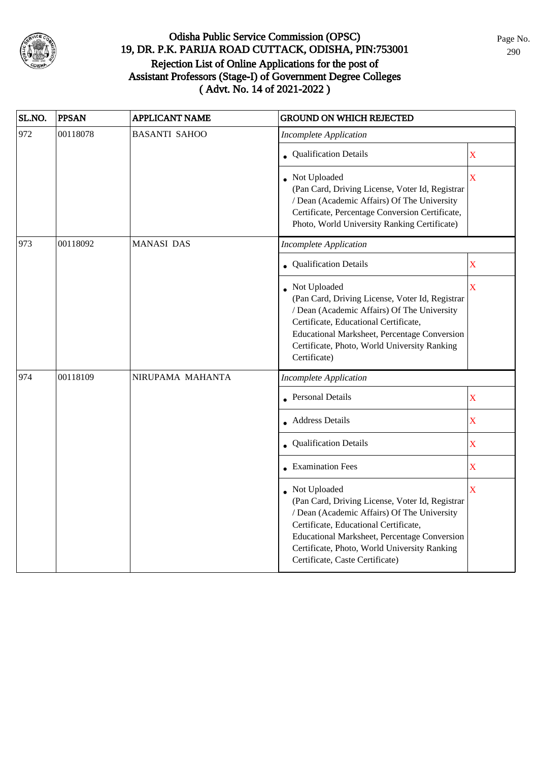

| SL.NO. | <b>PPSAN</b> | <b>APPLICANT NAME</b> | <b>GROUND ON WHICH REJECTED</b>                                                                                                                                                                                                                                                            |                    |
|--------|--------------|-----------------------|--------------------------------------------------------------------------------------------------------------------------------------------------------------------------------------------------------------------------------------------------------------------------------------------|--------------------|
| 972    | 00118078     | <b>BASANTI SAHOO</b>  | <b>Incomplete Application</b>                                                                                                                                                                                                                                                              |                    |
|        |              |                       | • Qualification Details                                                                                                                                                                                                                                                                    | $\mathbf X$        |
|        |              |                       | • Not Uploaded<br>(Pan Card, Driving License, Voter Id, Registrar<br>/ Dean (Academic Affairs) Of The University<br>Certificate, Percentage Conversion Certificate,<br>Photo, World University Ranking Certificate)                                                                        | X                  |
| 973    | 00118092     | <b>MANASI DAS</b>     | <b>Incomplete Application</b>                                                                                                                                                                                                                                                              |                    |
|        |              |                       | • Qualification Details                                                                                                                                                                                                                                                                    | $\mathbf X$        |
|        |              |                       | • Not Uploaded<br>(Pan Card, Driving License, Voter Id, Registrar<br>/ Dean (Academic Affairs) Of The University<br>Certificate, Educational Certificate,<br>Educational Marksheet, Percentage Conversion<br>Certificate, Photo, World University Ranking<br>Certificate)                  | X                  |
| 974    | 00118109     | NIRUPAMA MAHANTA      | <b>Incomplete Application</b>                                                                                                                                                                                                                                                              |                    |
|        |              |                       | • Personal Details                                                                                                                                                                                                                                                                         | $\mathbf X$        |
|        |              |                       | • Address Details                                                                                                                                                                                                                                                                          | $\mathbf X$        |
|        |              |                       | Qualification Details                                                                                                                                                                                                                                                                      | $\bar{\textbf{X}}$ |
|        |              |                       | $\bullet$ Examination Fees                                                                                                                                                                                                                                                                 | $\mathbf X$        |
|        |              |                       | Not Uploaded<br>(Pan Card, Driving License, Voter Id, Registrar<br>/ Dean (Academic Affairs) Of The University<br>Certificate, Educational Certificate,<br>Educational Marksheet, Percentage Conversion<br>Certificate, Photo, World University Ranking<br>Certificate, Caste Certificate) | X                  |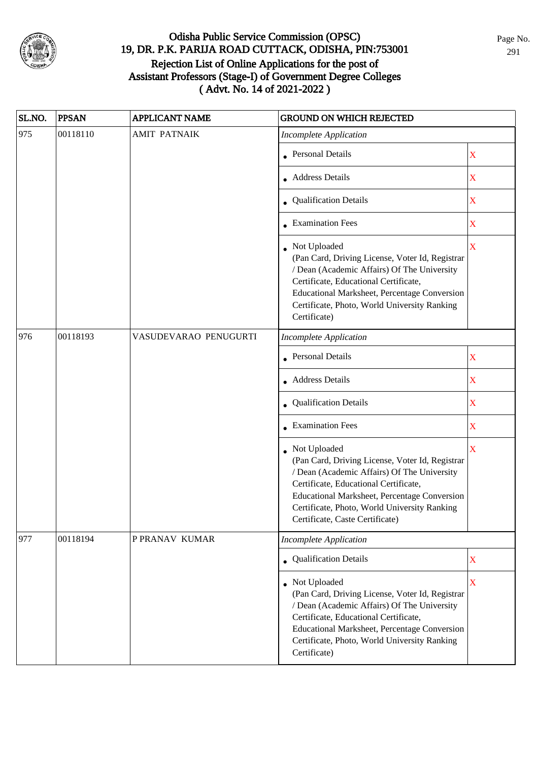

| SL.NO. | <b>PPSAN</b> | <b>APPLICANT NAME</b> | <b>GROUND ON WHICH REJECTED</b>                                                                                                                                                                                                                                                              |                         |
|--------|--------------|-----------------------|----------------------------------------------------------------------------------------------------------------------------------------------------------------------------------------------------------------------------------------------------------------------------------------------|-------------------------|
| 975    | 00118110     | <b>AMIT PATNAIK</b>   | <b>Incomplete Application</b>                                                                                                                                                                                                                                                                |                         |
|        |              |                       | • Personal Details                                                                                                                                                                                                                                                                           | $\mathbf X$             |
|        |              |                       | • Address Details                                                                                                                                                                                                                                                                            | $\mathbf X$             |
|        |              |                       | • Qualification Details                                                                                                                                                                                                                                                                      | X                       |
|        |              |                       | • Examination Fees                                                                                                                                                                                                                                                                           | X                       |
|        |              |                       | Not Uploaded<br>(Pan Card, Driving License, Voter Id, Registrar<br>/ Dean (Academic Affairs) Of The University<br>Certificate, Educational Certificate,<br>Educational Marksheet, Percentage Conversion<br>Certificate, Photo, World University Ranking<br>Certificate)                      | X                       |
| 976    | 00118193     | VASUDEVARAO PENUGURTI | <b>Incomplete Application</b>                                                                                                                                                                                                                                                                |                         |
|        |              |                       | <b>Personal Details</b>                                                                                                                                                                                                                                                                      | $\mathbf X$             |
|        |              |                       | • Address Details                                                                                                                                                                                                                                                                            | $\mathbf X$             |
|        |              |                       | • Qualification Details                                                                                                                                                                                                                                                                      | $\mathbf X$             |
|        |              |                       | • Examination Fees                                                                                                                                                                                                                                                                           | $\mathbf X$             |
|        |              |                       | • Not Uploaded<br>(Pan Card, Driving License, Voter Id, Registrar<br>/ Dean (Academic Affairs) Of The University<br>Certificate, Educational Certificate,<br>Educational Marksheet, Percentage Conversion<br>Certificate, Photo, World University Ranking<br>Certificate, Caste Certificate) | $\overline{\mathbf{X}}$ |
| 977    | 00118194     | P PRANAV KUMAR        | <b>Incomplete Application</b>                                                                                                                                                                                                                                                                |                         |
|        |              |                       | • Qualification Details                                                                                                                                                                                                                                                                      | $\mathbf X$             |
|        |              |                       | Not Uploaded<br>(Pan Card, Driving License, Voter Id, Registrar<br>/ Dean (Academic Affairs) Of The University<br>Certificate, Educational Certificate,<br>Educational Marksheet, Percentage Conversion<br>Certificate, Photo, World University Ranking<br>Certificate)                      | $\mathbf X$             |

Page No. 291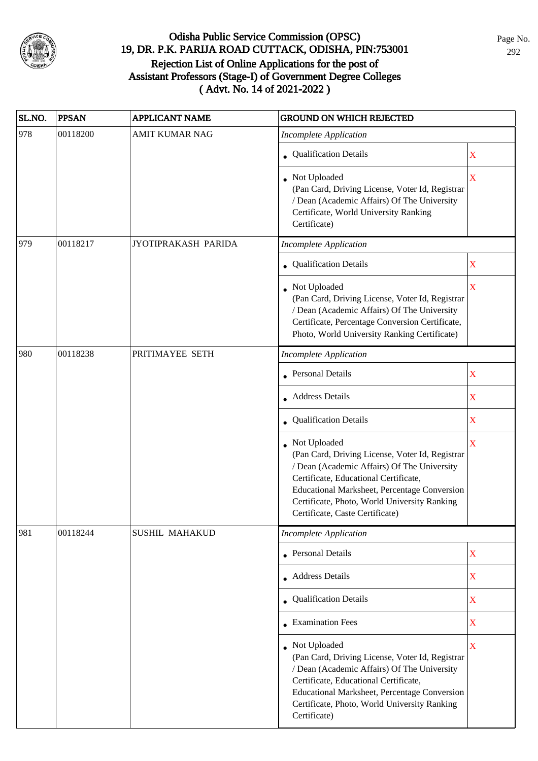

| SL.NO. | <b>PPSAN</b> | <b>APPLICANT NAME</b> | <b>GROUND ON WHICH REJECTED</b>                                                                                                                                                                                                                                                                   |                         |
|--------|--------------|-----------------------|---------------------------------------------------------------------------------------------------------------------------------------------------------------------------------------------------------------------------------------------------------------------------------------------------|-------------------------|
| 978    | 00118200     | <b>AMIT KUMAR NAG</b> | <b>Incomplete Application</b>                                                                                                                                                                                                                                                                     |                         |
|        |              |                       | • Qualification Details                                                                                                                                                                                                                                                                           | X                       |
|        |              |                       | • Not Uploaded<br>(Pan Card, Driving License, Voter Id, Registrar<br>/ Dean (Academic Affairs) Of The University<br>Certificate, World University Ranking<br>Certificate)                                                                                                                         | $\mathbf X$             |
| 979    | 00118217     | JYOTIPRAKASH PARIDA   | <b>Incomplete Application</b>                                                                                                                                                                                                                                                                     |                         |
|        |              |                       | • Qualification Details                                                                                                                                                                                                                                                                           | X                       |
|        |              |                       | • Not Uploaded<br>(Pan Card, Driving License, Voter Id, Registrar<br>/ Dean (Academic Affairs) Of The University<br>Certificate, Percentage Conversion Certificate,<br>Photo, World University Ranking Certificate)                                                                               | X                       |
| 980    | 00118238     | PRITIMAYEE SETH       | <b>Incomplete Application</b>                                                                                                                                                                                                                                                                     |                         |
|        |              |                       | <b>Personal Details</b>                                                                                                                                                                                                                                                                           | X                       |
|        |              |                       | • Address Details                                                                                                                                                                                                                                                                                 | $\mathbf X$             |
|        |              |                       | • Qualification Details                                                                                                                                                                                                                                                                           | $\mathbf X$             |
|        |              |                       | Not Uploaded<br>(Pan Card, Driving License, Voter Id, Registrar<br>/ Dean (Academic Affairs) Of The University<br>Certificate, Educational Certificate,<br><b>Educational Marksheet, Percentage Conversion</b><br>Certificate, Photo, World University Ranking<br>Certificate, Caste Certificate) | $\mathbf X$             |
| 981    | 00118244     | <b>SUSHIL MAHAKUD</b> | <b>Incomplete Application</b>                                                                                                                                                                                                                                                                     |                         |
|        |              |                       | <b>Personal Details</b>                                                                                                                                                                                                                                                                           | $\mathbf X$             |
|        |              |                       | • Address Details                                                                                                                                                                                                                                                                                 | $\mathbf X$             |
|        |              |                       | Qualification Details                                                                                                                                                                                                                                                                             | $\mathbf X$             |
|        |              |                       | <b>Examination Fees</b>                                                                                                                                                                                                                                                                           | $\mathbf X$             |
|        |              |                       | • Not Uploaded<br>(Pan Card, Driving License, Voter Id, Registrar<br>/ Dean (Academic Affairs) Of The University<br>Certificate, Educational Certificate,<br>Educational Marksheet, Percentage Conversion<br>Certificate, Photo, World University Ranking<br>Certificate)                         | $\overline{\mathbf{X}}$ |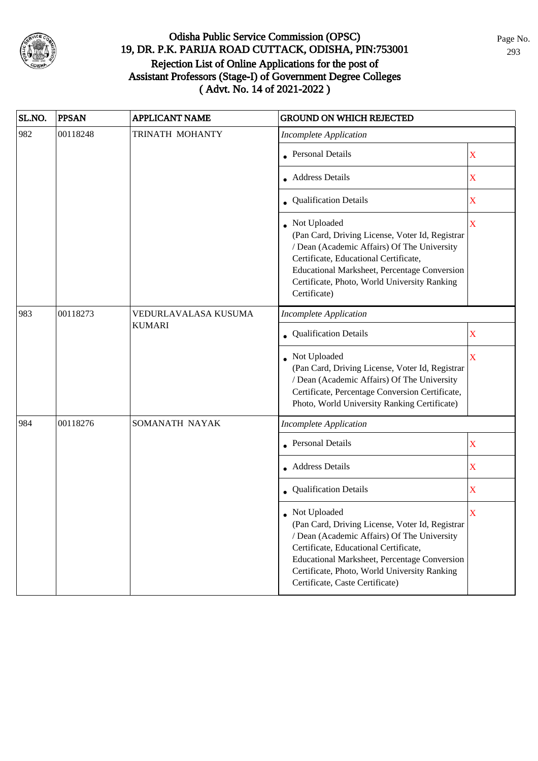

| SL.NO. | <b>PPSAN</b>                             | <b>APPLICANT NAME</b> | <b>GROUND ON WHICH REJECTED</b>                                                                                                                                                                                                                                                                       |                         |
|--------|------------------------------------------|-----------------------|-------------------------------------------------------------------------------------------------------------------------------------------------------------------------------------------------------------------------------------------------------------------------------------------------------|-------------------------|
| 982    | 00118248                                 | TRINATH MOHANTY       | <b>Incomplete Application</b>                                                                                                                                                                                                                                                                         |                         |
|        |                                          |                       | <b>Personal Details</b>                                                                                                                                                                                                                                                                               | X                       |
|        |                                          |                       | • Address Details                                                                                                                                                                                                                                                                                     | X                       |
|        |                                          |                       | • Qualification Details                                                                                                                                                                                                                                                                               | X                       |
|        |                                          |                       | Not Uploaded<br>(Pan Card, Driving License, Voter Id, Registrar<br>/ Dean (Academic Affairs) Of The University<br>Certificate, Educational Certificate,<br>Educational Marksheet, Percentage Conversion<br>Certificate, Photo, World University Ranking<br>Certificate)                               | $\overline{\mathbf{X}}$ |
| 983    | 00118273                                 | VEDURLAVALASA KUSUMA  | <b>Incomplete Application</b>                                                                                                                                                                                                                                                                         |                         |
|        | <b>KUMARI</b><br>• Qualification Details |                       | X                                                                                                                                                                                                                                                                                                     |                         |
|        |                                          |                       | Not Uploaded<br>(Pan Card, Driving License, Voter Id, Registrar<br>/ Dean (Academic Affairs) Of The University<br>Certificate, Percentage Conversion Certificate,<br>Photo, World University Ranking Certificate)                                                                                     | $\overline{\mathbf{X}}$ |
| 984    | 00118276                                 | SOMANATH NAYAK        | <b>Incomplete Application</b>                                                                                                                                                                                                                                                                         |                         |
|        |                                          |                       | <b>Personal Details</b>                                                                                                                                                                                                                                                                               | $\mathbf X$             |
|        |                                          |                       | • Address Details                                                                                                                                                                                                                                                                                     | $\mathbf X$             |
|        |                                          |                       | Qualification Details                                                                                                                                                                                                                                                                                 | $\overline{\textbf{X}}$ |
|        |                                          |                       | $\bullet~$ Not Uploaded<br>(Pan Card, Driving License, Voter Id, Registrar<br>/ Dean (Academic Affairs) Of The University<br>Certificate, Educational Certificate,<br>Educational Marksheet, Percentage Conversion<br>Certificate, Photo, World University Ranking<br>Certificate, Caste Certificate) | X                       |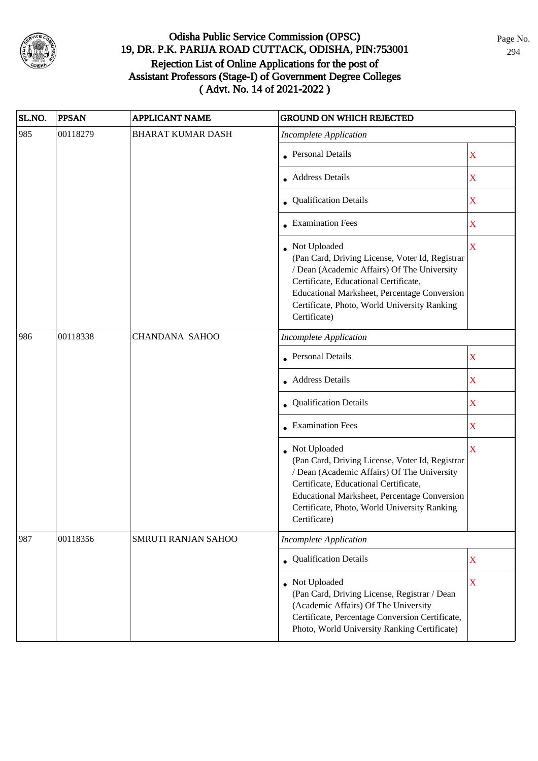

| SL.NO.                                            | <b>PPSAN</b>               | <b>APPLICANT NAME</b>    | <b>GROUND ON WHICH REJECTED</b>                                                                                                                                                                                                                                           |                         |
|---------------------------------------------------|----------------------------|--------------------------|---------------------------------------------------------------------------------------------------------------------------------------------------------------------------------------------------------------------------------------------------------------------------|-------------------------|
| 985                                               | 00118279                   | <b>BHARAT KUMAR DASH</b> | <b>Incomplete Application</b>                                                                                                                                                                                                                                             |                         |
|                                                   |                            |                          | • Personal Details                                                                                                                                                                                                                                                        | $\mathbf X$             |
|                                                   |                            |                          | • Address Details                                                                                                                                                                                                                                                         | $\mathbf X$             |
|                                                   |                            |                          | • Qualification Details                                                                                                                                                                                                                                                   | $\mathbf X$             |
|                                                   |                            |                          | • Examination Fees                                                                                                                                                                                                                                                        | X                       |
|                                                   |                            |                          | Not Uploaded<br>(Pan Card, Driving License, Voter Id, Registrar<br>/ Dean (Academic Affairs) Of The University<br>Certificate, Educational Certificate,<br>Educational Marksheet, Percentage Conversion<br>Certificate, Photo, World University Ranking<br>Certificate)   | $\overline{\mathbf{X}}$ |
| 986                                               | 00118338                   | <b>CHANDANA SAHOO</b>    | <b>Incomplete Application</b>                                                                                                                                                                                                                                             |                         |
|                                                   |                            |                          | <b>Personal Details</b>                                                                                                                                                                                                                                                   | X                       |
| <b>Address Details</b><br>• Qualification Details |                            |                          | $\mathbf X$                                                                                                                                                                                                                                                               |                         |
|                                                   |                            | $\mathbf X$              |                                                                                                                                                                                                                                                                           |                         |
|                                                   | $\bullet$ Examination Fees |                          | $\mathbf X$                                                                                                                                                                                                                                                               |                         |
|                                                   |                            |                          | • Not Uploaded<br>(Pan Card, Driving License, Voter Id, Registrar<br>/ Dean (Academic Affairs) Of The University<br>Certificate, Educational Certificate,<br>Educational Marksheet, Percentage Conversion<br>Certificate, Photo, World University Ranking<br>Certificate) | $\overline{\mathbf{X}}$ |
| 987                                               | 00118356                   | SMRUTI RANJAN SAHOO      | <b>Incomplete Application</b>                                                                                                                                                                                                                                             |                         |
|                                                   |                            |                          | • Qualification Details                                                                                                                                                                                                                                                   | $\mathbf X$             |
|                                                   |                            |                          | • Not Uploaded<br>(Pan Card, Driving License, Registrar / Dean<br>(Academic Affairs) Of The University<br>Certificate, Percentage Conversion Certificate,<br>Photo, World University Ranking Certificate)                                                                 | $\mathbf X$             |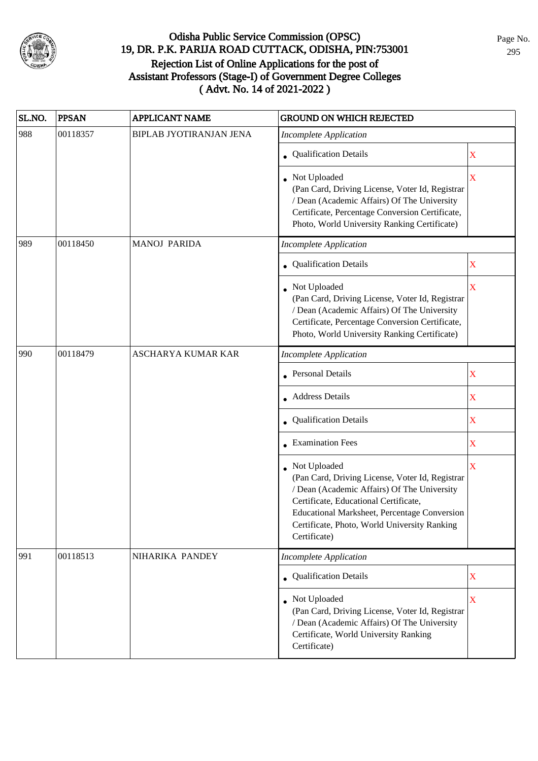

| SL.NO. | <b>PPSAN</b> | <b>APPLICANT NAME</b>          | <b>GROUND ON WHICH REJECTED</b>                                                                                                                                                                                                                                                  |                         |
|--------|--------------|--------------------------------|----------------------------------------------------------------------------------------------------------------------------------------------------------------------------------------------------------------------------------------------------------------------------------|-------------------------|
| 988    | 00118357     | <b>BIPLAB JYOTIRANJAN JENA</b> | <b>Incomplete Application</b>                                                                                                                                                                                                                                                    |                         |
|        |              |                                | • Qualification Details                                                                                                                                                                                                                                                          | X                       |
|        |              |                                | Not Uploaded<br>(Pan Card, Driving License, Voter Id, Registrar<br>/ Dean (Academic Affairs) Of The University<br>Certificate, Percentage Conversion Certificate,<br>Photo, World University Ranking Certificate)                                                                | $\bar{X}$               |
| 989    | 00118450     | <b>MANOJ PARIDA</b>            | <b>Incomplete Application</b>                                                                                                                                                                                                                                                    |                         |
|        |              |                                | • Qualification Details                                                                                                                                                                                                                                                          | X                       |
|        |              |                                | • Not Uploaded<br>(Pan Card, Driving License, Voter Id, Registrar<br>/ Dean (Academic Affairs) Of The University<br>Certificate, Percentage Conversion Certificate,<br>Photo, World University Ranking Certificate)                                                              | $\overline{\mathbf{X}}$ |
| 990    | 00118479     | <b>ASCHARYA KUMAR KAR</b>      | <b>Incomplete Application</b>                                                                                                                                                                                                                                                    |                         |
|        |              |                                | • Personal Details                                                                                                                                                                                                                                                               | $\mathbf X$             |
|        |              |                                | • Address Details                                                                                                                                                                                                                                                                | X                       |
|        |              |                                | • Qualification Details                                                                                                                                                                                                                                                          | X                       |
|        |              |                                | • Examination Fees                                                                                                                                                                                                                                                               | X                       |
|        |              |                                | • Not Uploaded<br>(Pan Card, Driving License, Voter Id, Registrar<br>/ Dean (Academic Affairs) Of The University<br>Certificate, Educational Certificate,<br><b>Educational Marksheet, Percentage Conversion</b><br>Certificate, Photo, World University Ranking<br>Certificate) | $\overline{\textbf{X}}$ |
| 991    | 00118513     | NIHARIKA PANDEY                | <b>Incomplete Application</b>                                                                                                                                                                                                                                                    |                         |
|        |              |                                | • Qualification Details                                                                                                                                                                                                                                                          | $\mathbf X$             |
|        |              |                                | Not Uploaded<br>(Pan Card, Driving License, Voter Id, Registrar<br>/ Dean (Academic Affairs) Of The University<br>Certificate, World University Ranking<br>Certificate)                                                                                                          | $\mathbf X$             |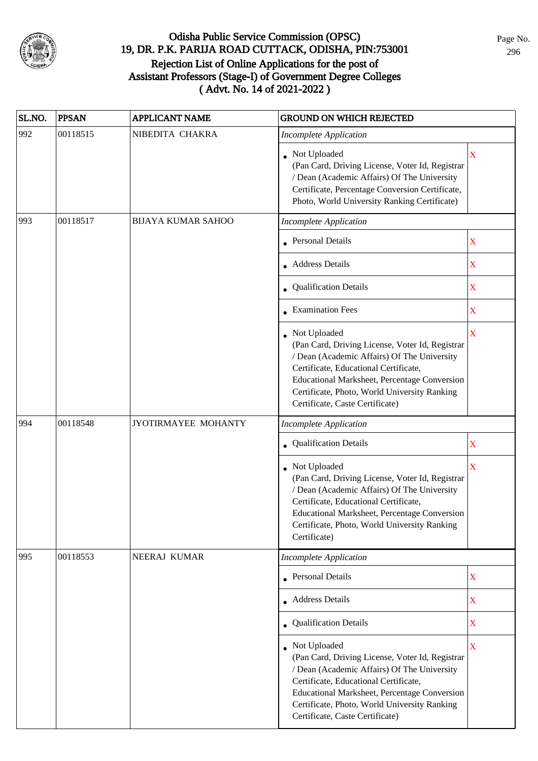

| SL.NO. | <b>PPSAN</b> | <b>APPLICANT NAME</b>     | <b>GROUND ON WHICH REJECTED</b>                                                                                                                                                                                                                                                            |                         |
|--------|--------------|---------------------------|--------------------------------------------------------------------------------------------------------------------------------------------------------------------------------------------------------------------------------------------------------------------------------------------|-------------------------|
| 992    | 00118515     | NIBEDITA CHAKRA           | <b>Incomplete Application</b>                                                                                                                                                                                                                                                              |                         |
|        |              |                           | • Not Uploaded<br>(Pan Card, Driving License, Voter Id, Registrar<br>/ Dean (Academic Affairs) Of The University<br>Certificate, Percentage Conversion Certificate,<br>Photo, World University Ranking Certificate)                                                                        | X                       |
| 993    | 00118517     | <b>BIJAYA KUMAR SAHOO</b> | <b>Incomplete Application</b>                                                                                                                                                                                                                                                              |                         |
|        |              |                           | <b>Personal Details</b>                                                                                                                                                                                                                                                                    | $\mathbf X$             |
|        |              |                           | • Address Details                                                                                                                                                                                                                                                                          | $\overline{\textbf{X}}$ |
|        |              |                           | • Qualification Details                                                                                                                                                                                                                                                                    | $\mathbf X$             |
|        |              |                           | • Examination Fees                                                                                                                                                                                                                                                                         | $\mathbf X$             |
|        |              |                           | Not Uploaded<br>(Pan Card, Driving License, Voter Id, Registrar<br>/ Dean (Academic Affairs) Of The University<br>Certificate, Educational Certificate,<br>Educational Marksheet, Percentage Conversion<br>Certificate, Photo, World University Ranking<br>Certificate, Caste Certificate) | X                       |
| 994    | 00118548     | JYOTIRMAYEE MOHANTY       | <b>Incomplete Application</b>                                                                                                                                                                                                                                                              |                         |
|        |              |                           | Qualification Details                                                                                                                                                                                                                                                                      | X                       |
|        |              |                           | Not Uploaded<br>(Pan Card, Driving License, Voter Id, Registrar<br>/ Dean (Academic Affairs) Of The University<br>Certificate, Educational Certificate,<br>Educational Marksheet, Percentage Conversion<br>Certificate, Photo, World University Ranking<br>Certificate)                    | $\overline{\mathbf{X}}$ |
| 995    | 00118553     | NEERAJ KUMAR              | <b>Incomplete Application</b>                                                                                                                                                                                                                                                              |                         |
|        |              |                           | • Personal Details                                                                                                                                                                                                                                                                         | $\mathbf X$             |
|        |              |                           | • Address Details                                                                                                                                                                                                                                                                          | X                       |
|        |              |                           | • Qualification Details                                                                                                                                                                                                                                                                    | X                       |
|        |              |                           | Not Uploaded<br>(Pan Card, Driving License, Voter Id, Registrar<br>/ Dean (Academic Affairs) Of The University<br>Certificate, Educational Certificate,<br>Educational Marksheet, Percentage Conversion<br>Certificate, Photo, World University Ranking<br>Certificate, Caste Certificate) | X                       |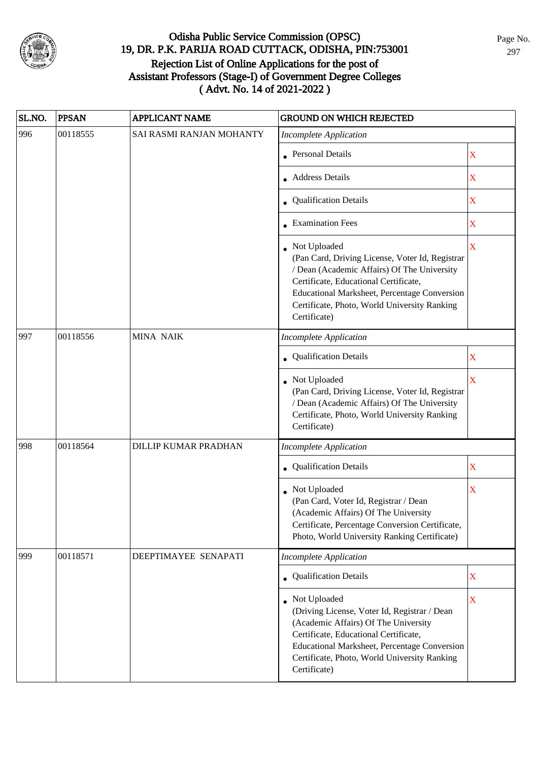

| SL.NO. | <b>PPSAN</b> | <b>APPLICANT NAME</b>       | <b>GROUND ON WHICH REJECTED</b>                                                                                                                                                                                                                                         |                         |
|--------|--------------|-----------------------------|-------------------------------------------------------------------------------------------------------------------------------------------------------------------------------------------------------------------------------------------------------------------------|-------------------------|
| 996    | 00118555     | SAI RASMI RANJAN MOHANTY    | <b>Incomplete Application</b>                                                                                                                                                                                                                                           |                         |
|        |              |                             | • Personal Details                                                                                                                                                                                                                                                      | $\mathbf X$             |
|        |              |                             | • Address Details                                                                                                                                                                                                                                                       | X                       |
|        |              |                             | • Qualification Details                                                                                                                                                                                                                                                 | $\mathbf X$             |
|        |              |                             | • Examination Fees                                                                                                                                                                                                                                                      | X                       |
|        |              |                             | Not Uploaded<br>(Pan Card, Driving License, Voter Id, Registrar<br>/ Dean (Academic Affairs) Of The University<br>Certificate, Educational Certificate,<br>Educational Marksheet, Percentage Conversion<br>Certificate, Photo, World University Ranking<br>Certificate) | $\overline{\mathbf{X}}$ |
| 997    | 00118556     | MINA NAIK                   | <b>Incomplete Application</b>                                                                                                                                                                                                                                           |                         |
|        |              |                             | <b>Qualification Details</b>                                                                                                                                                                                                                                            | X                       |
|        |              |                             | Not Uploaded<br>(Pan Card, Driving License, Voter Id, Registrar<br>/ Dean (Academic Affairs) Of The University<br>Certificate, Photo, World University Ranking<br>Certificate)                                                                                          | $\bar{\mathbf{X}}$      |
| 998    | 00118564     | <b>DILLIP KUMAR PRADHAN</b> | <b>Incomplete Application</b>                                                                                                                                                                                                                                           |                         |
|        |              |                             | Qualification Details                                                                                                                                                                                                                                                   | $\mathbf X$             |
|        |              |                             | Not Uploaded<br>(Pan Card, Voter Id, Registrar / Dean<br>(Academic Affairs) Of The University<br>Certificate, Percentage Conversion Certificate,<br>Photo, World University Ranking Certificate)                                                                        | X                       |
| 999    | 00118571     | DEEPTIMAYEE SENAPATI        | <b>Incomplete Application</b>                                                                                                                                                                                                                                           |                         |
|        |              |                             | • Qualification Details                                                                                                                                                                                                                                                 | $\mathbf X$             |
|        |              |                             | Not Uploaded<br>(Driving License, Voter Id, Registrar / Dean<br>(Academic Affairs) Of The University<br>Certificate, Educational Certificate,<br>Educational Marksheet, Percentage Conversion<br>Certificate, Photo, World University Ranking<br>Certificate)           | $\mathbf X$             |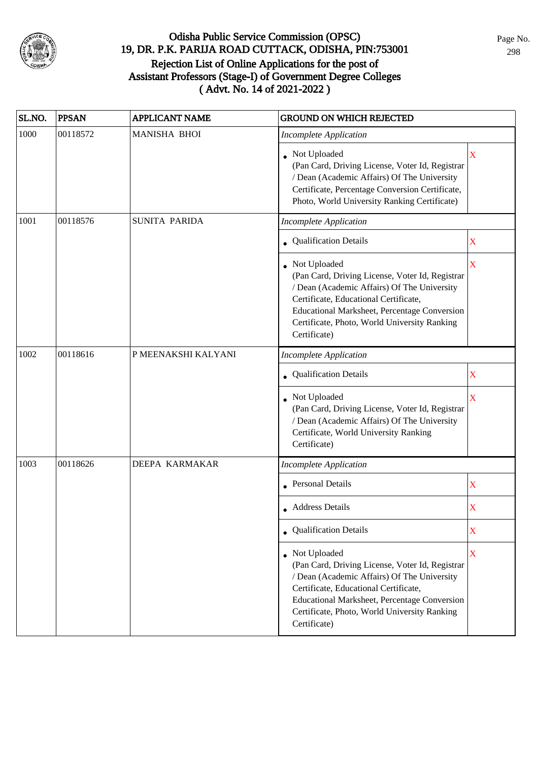

| SL.NO. | <b>PPSAN</b> | <b>APPLICANT NAME</b> | <b>GROUND ON WHICH REJECTED</b>                                                                                                                                                                                                                                                  |                         |
|--------|--------------|-----------------------|----------------------------------------------------------------------------------------------------------------------------------------------------------------------------------------------------------------------------------------------------------------------------------|-------------------------|
| 1000   | 00118572     | <b>MANISHA BHOI</b>   | <b>Incomplete Application</b>                                                                                                                                                                                                                                                    |                         |
|        |              |                       | Not Uploaded<br>(Pan Card, Driving License, Voter Id, Registrar<br>/ Dean (Academic Affairs) Of The University<br>Certificate, Percentage Conversion Certificate,<br>Photo, World University Ranking Certificate)                                                                | X                       |
| 1001   | 00118576     | <b>SUNITA PARIDA</b>  | <b>Incomplete Application</b>                                                                                                                                                                                                                                                    |                         |
|        |              |                       | <b>Qualification Details</b>                                                                                                                                                                                                                                                     | $\mathbf X$             |
|        |              |                       | • Not Uploaded<br>(Pan Card, Driving License, Voter Id, Registrar<br>/ Dean (Academic Affairs) Of The University<br>Certificate, Educational Certificate,<br><b>Educational Marksheet, Percentage Conversion</b><br>Certificate, Photo, World University Ranking<br>Certificate) | X                       |
| 1002   | 00118616     | P MEENAKSHI KALYANI   | <b>Incomplete Application</b>                                                                                                                                                                                                                                                    |                         |
|        |              |                       | <b>Qualification Details</b>                                                                                                                                                                                                                                                     | $\mathbf X$             |
|        |              |                       | Not Uploaded<br>(Pan Card, Driving License, Voter Id, Registrar<br>/ Dean (Academic Affairs) Of The University<br>Certificate, World University Ranking<br>Certificate)                                                                                                          | $\overline{\mathbf{X}}$ |
| 1003   | 00118626     | DEEPA KARMAKAR        | <b>Incomplete Application</b>                                                                                                                                                                                                                                                    |                         |
|        |              |                       | <b>Personal Details</b>                                                                                                                                                                                                                                                          | $\overline{\text{X}}$   |
|        |              |                       | • Address Details                                                                                                                                                                                                                                                                | $\overline{\text{X}}$   |
|        |              |                       | • Qualification Details                                                                                                                                                                                                                                                          | X                       |
|        |              |                       | • Not Uploaded<br>(Pan Card, Driving License, Voter Id, Registrar<br>/ Dean (Academic Affairs) Of The University<br>Certificate, Educational Certificate,<br>Educational Marksheet, Percentage Conversion<br>Certificate, Photo, World University Ranking<br>Certificate)        | X                       |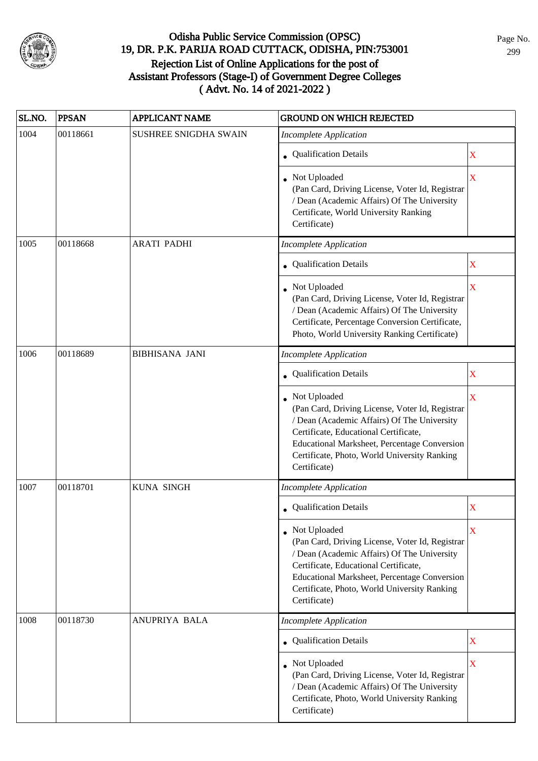

| SL.NO. | <b>PPSAN</b> | <b>APPLICANT NAME</b>        | <b>GROUND ON WHICH REJECTED</b>                                                                                                                                                                                                                                           |                         |
|--------|--------------|------------------------------|---------------------------------------------------------------------------------------------------------------------------------------------------------------------------------------------------------------------------------------------------------------------------|-------------------------|
| 1004   | 00118661     | <b>SUSHREE SNIGDHA SWAIN</b> | <b>Incomplete Application</b>                                                                                                                                                                                                                                             |                         |
|        |              |                              | • Qualification Details                                                                                                                                                                                                                                                   | X                       |
|        |              |                              | • Not Uploaded<br>(Pan Card, Driving License, Voter Id, Registrar<br>/ Dean (Academic Affairs) Of The University<br>Certificate, World University Ranking<br>Certificate)                                                                                                 | $\overline{\mathbf{X}}$ |
| 1005   | 00118668     | <b>ARATI PADHI</b>           | <b>Incomplete Application</b>                                                                                                                                                                                                                                             |                         |
|        |              |                              | • Qualification Details                                                                                                                                                                                                                                                   | $\mathbf X$             |
|        |              |                              | • Not Uploaded<br>(Pan Card, Driving License, Voter Id, Registrar<br>/ Dean (Academic Affairs) Of The University<br>Certificate, Percentage Conversion Certificate,<br>Photo, World University Ranking Certificate)                                                       | $\overline{\mathbf{X}}$ |
| 1006   | 00118689     | <b>BIBHISANA JANI</b>        | <b>Incomplete Application</b>                                                                                                                                                                                                                                             |                         |
|        |              |                              | • Qualification Details                                                                                                                                                                                                                                                   | X                       |
|        |              |                              | • Not Uploaded<br>(Pan Card, Driving License, Voter Id, Registrar<br>/ Dean (Academic Affairs) Of The University<br>Certificate, Educational Certificate,<br>Educational Marksheet, Percentage Conversion<br>Certificate, Photo, World University Ranking<br>Certificate) | $\overline{\text{X}}$   |
| 1007   | 00118701     | <b>KUNA SINGH</b>            | <b>Incomplete Application</b>                                                                                                                                                                                                                                             |                         |
|        |              |                              | • Qualification Details                                                                                                                                                                                                                                                   | $\mathbf X$             |
|        |              |                              | • Not Uploaded<br>(Pan Card, Driving License, Voter Id, Registrar<br>/ Dean (Academic Affairs) Of The University<br>Certificate, Educational Certificate,<br>Educational Marksheet, Percentage Conversion<br>Certificate, Photo, World University Ranking<br>Certificate) | $\overline{\mathbf{X}}$ |
| 1008   | 00118730     | ANUPRIYA BALA                | <b>Incomplete Application</b>                                                                                                                                                                                                                                             |                         |
|        |              |                              | • Qualification Details                                                                                                                                                                                                                                                   | X                       |
|        |              |                              | • Not Uploaded<br>(Pan Card, Driving License, Voter Id, Registrar<br>/ Dean (Academic Affairs) Of The University<br>Certificate, Photo, World University Ranking<br>Certificate)                                                                                          | X                       |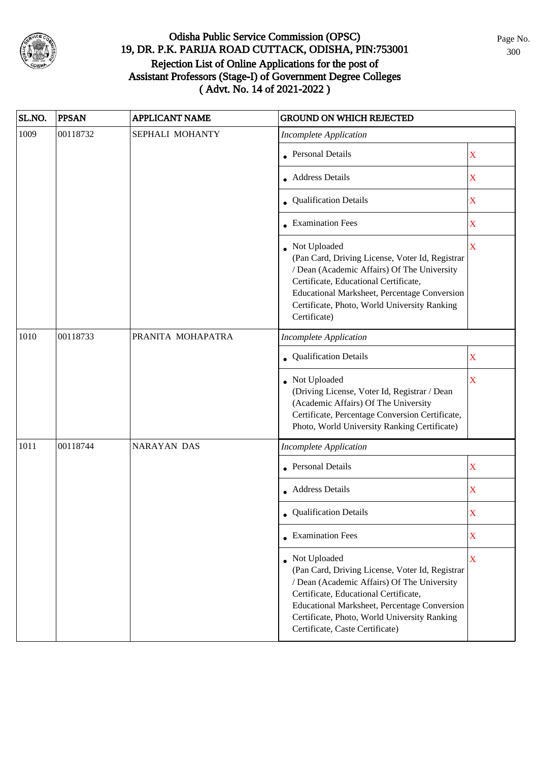

| SL.NO. | <b>PPSAN</b> | <b>APPLICANT NAME</b> | <b>GROUND ON WHICH REJECTED</b>                                                                                                                                                                                                                                                                     |                           |
|--------|--------------|-----------------------|-----------------------------------------------------------------------------------------------------------------------------------------------------------------------------------------------------------------------------------------------------------------------------------------------------|---------------------------|
| 1009   | 00118732     | SEPHALI MOHANTY       | <b>Incomplete Application</b>                                                                                                                                                                                                                                                                       |                           |
|        |              |                       | • Personal Details                                                                                                                                                                                                                                                                                  | X                         |
|        |              |                       | • Address Details                                                                                                                                                                                                                                                                                   | $\mathbf X$               |
|        |              |                       | • Qualification Details                                                                                                                                                                                                                                                                             | $\mathbf X$               |
|        |              |                       | • Examination Fees                                                                                                                                                                                                                                                                                  | $\mathbf X$               |
|        |              |                       | • Not Uploaded<br>(Pan Card, Driving License, Voter Id, Registrar<br>/ Dean (Academic Affairs) Of The University<br>Certificate, Educational Certificate,<br>Educational Marksheet, Percentage Conversion<br>Certificate, Photo, World University Ranking<br>Certificate)                           | X                         |
| 1010   | 00118733     | PRANITA MOHAPATRA     | <b>Incomplete Application</b>                                                                                                                                                                                                                                                                       |                           |
|        |              |                       | Qualification Details                                                                                                                                                                                                                                                                               | $\mathbf X$               |
|        |              |                       | Not Uploaded<br>(Driving License, Voter Id, Registrar / Dean<br>(Academic Affairs) Of The University<br>Certificate, Percentage Conversion Certificate,<br>Photo, World University Ranking Certificate)                                                                                             | X                         |
| 1011   | 00118744     | <b>NARAYAN DAS</b>    | <b>Incomplete Application</b>                                                                                                                                                                                                                                                                       |                           |
|        |              |                       | <b>Personal Details</b>                                                                                                                                                                                                                                                                             | $\boldsymbol{\mathrm{X}}$ |
|        |              |                       | • Address Details                                                                                                                                                                                                                                                                                   | $\mathbf X$               |
|        |              |                       | • Qualification Details                                                                                                                                                                                                                                                                             | X                         |
|        |              |                       | • Examination Fees                                                                                                                                                                                                                                                                                  | X                         |
|        |              |                       | • Not Uploaded<br>(Pan Card, Driving License, Voter Id, Registrar<br>/ Dean (Academic Affairs) Of The University<br>Certificate, Educational Certificate,<br><b>Educational Marksheet, Percentage Conversion</b><br>Certificate, Photo, World University Ranking<br>Certificate, Caste Certificate) | X                         |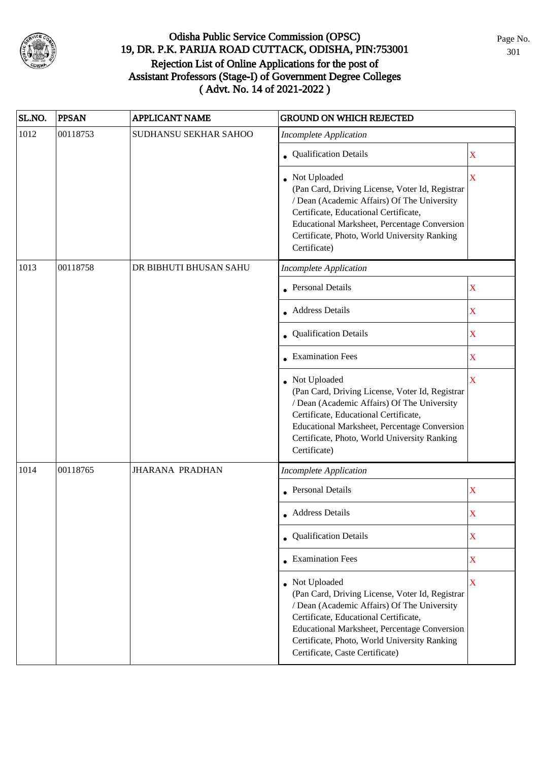

| SL.NO. | <b>PPSAN</b> | <b>APPLICANT NAME</b>  | <b>GROUND ON WHICH REJECTED</b>                                                                                                                                                                                                                                                              |             |
|--------|--------------|------------------------|----------------------------------------------------------------------------------------------------------------------------------------------------------------------------------------------------------------------------------------------------------------------------------------------|-------------|
| 1012   | 00118753     | SUDHANSU SEKHAR SAHOO  | <b>Incomplete Application</b>                                                                                                                                                                                                                                                                |             |
|        |              |                        | • Qualification Details                                                                                                                                                                                                                                                                      | X           |
|        |              |                        | Not Uploaded<br>(Pan Card, Driving License, Voter Id, Registrar<br>/ Dean (Academic Affairs) Of The University<br>Certificate, Educational Certificate,<br>Educational Marksheet, Percentage Conversion<br>Certificate, Photo, World University Ranking<br>Certificate)                      | $\mathbf X$ |
| 1013   | 00118758     | DR BIBHUTI BHUSAN SAHU | <b>Incomplete Application</b>                                                                                                                                                                                                                                                                |             |
|        |              |                        | • Personal Details                                                                                                                                                                                                                                                                           | $\mathbf X$ |
|        |              |                        | • Address Details                                                                                                                                                                                                                                                                            | $\mathbf X$ |
|        |              |                        | Qualification Details                                                                                                                                                                                                                                                                        | $\mathbf X$ |
|        |              |                        | • Examination Fees                                                                                                                                                                                                                                                                           | X           |
|        |              |                        | Not Uploaded<br>(Pan Card, Driving License, Voter Id, Registrar<br>/ Dean (Academic Affairs) Of The University<br>Certificate, Educational Certificate,<br>Educational Marksheet, Percentage Conversion<br>Certificate, Photo, World University Ranking<br>Certificate)                      | $\mathbf X$ |
| 1014   | 00118765     | <b>JHARANA PRADHAN</b> | <b>Incomplete Application</b>                                                                                                                                                                                                                                                                |             |
|        |              |                        | • Personal Details                                                                                                                                                                                                                                                                           | $\mathbf X$ |
|        |              |                        | • Address Details                                                                                                                                                                                                                                                                            | X           |
|        |              |                        | • Qualification Details                                                                                                                                                                                                                                                                      | $\mathbf X$ |
|        |              |                        | • Examination Fees                                                                                                                                                                                                                                                                           | $\mathbf X$ |
|        |              |                        | • Not Uploaded<br>(Pan Card, Driving License, Voter Id, Registrar<br>/ Dean (Academic Affairs) Of The University<br>Certificate, Educational Certificate,<br>Educational Marksheet, Percentage Conversion<br>Certificate, Photo, World University Ranking<br>Certificate, Caste Certificate) | $\mathbf X$ |

Page No. 301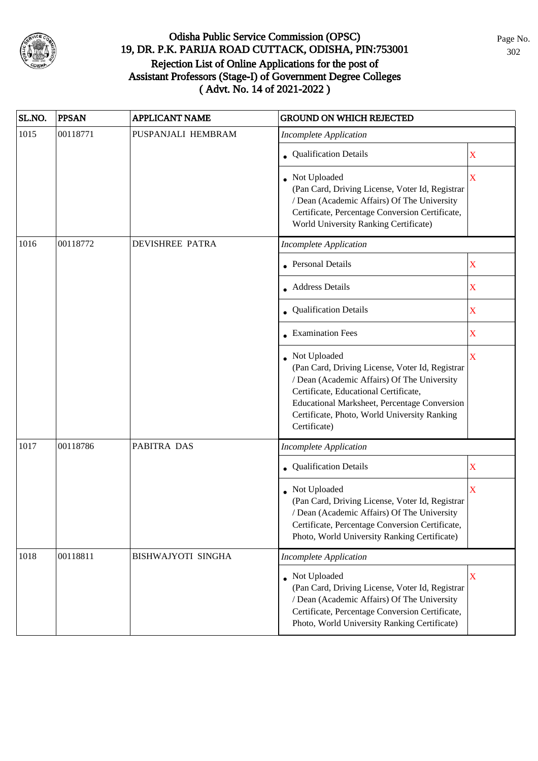

| SL.NO. | <b>PPSAN</b> | <b>APPLICANT NAME</b>     | <b>GROUND ON WHICH REJECTED</b>                                                                                                                                                                                                                                         |                         |
|--------|--------------|---------------------------|-------------------------------------------------------------------------------------------------------------------------------------------------------------------------------------------------------------------------------------------------------------------------|-------------------------|
| 1015   | 00118771     | PUSPANJALI HEMBRAM        | <b>Incomplete Application</b>                                                                                                                                                                                                                                           |                         |
|        |              |                           | • Qualification Details                                                                                                                                                                                                                                                 | X                       |
|        |              |                           | Not Uploaded<br>(Pan Card, Driving License, Voter Id, Registrar<br>/ Dean (Academic Affairs) Of The University<br>Certificate, Percentage Conversion Certificate,<br>World University Ranking Certificate)                                                              | $\overline{\mathbf{X}}$ |
| 1016   | 00118772     | <b>DEVISHREE PATRA</b>    | <b>Incomplete Application</b>                                                                                                                                                                                                                                           |                         |
|        |              |                           | <b>Personal Details</b>                                                                                                                                                                                                                                                 | $\mathbf X$             |
|        |              |                           | <b>Address Details</b>                                                                                                                                                                                                                                                  | X                       |
|        |              |                           | <b>Qualification Details</b>                                                                                                                                                                                                                                            | $\mathbf X$             |
|        |              |                           | • Examination Fees                                                                                                                                                                                                                                                      | X                       |
|        |              |                           | Not Uploaded<br>(Pan Card, Driving License, Voter Id, Registrar<br>/ Dean (Academic Affairs) Of The University<br>Certificate, Educational Certificate,<br>Educational Marksheet, Percentage Conversion<br>Certificate, Photo, World University Ranking<br>Certificate) | $\mathbf X$             |
| 1017   | 00118786     | PABITRA DAS               | <b>Incomplete Application</b>                                                                                                                                                                                                                                           |                         |
|        |              |                           | Qualification Details                                                                                                                                                                                                                                                   | $\mathbf X$             |
|        |              |                           | Not Uploaded<br>(Pan Card, Driving License, Voter Id, Registrar<br>/ Dean (Academic Affairs) Of The University<br>Certificate, Percentage Conversion Certificate,<br>Photo, World University Ranking Certificate)                                                       | X                       |
| 1018   | 00118811     | <b>BISHWAJYOTI SINGHA</b> | <b>Incomplete Application</b>                                                                                                                                                                                                                                           |                         |
|        |              |                           | Not Uploaded<br>(Pan Card, Driving License, Voter Id, Registrar<br>/ Dean (Academic Affairs) Of The University<br>Certificate, Percentage Conversion Certificate,<br>Photo, World University Ranking Certificate)                                                       | X                       |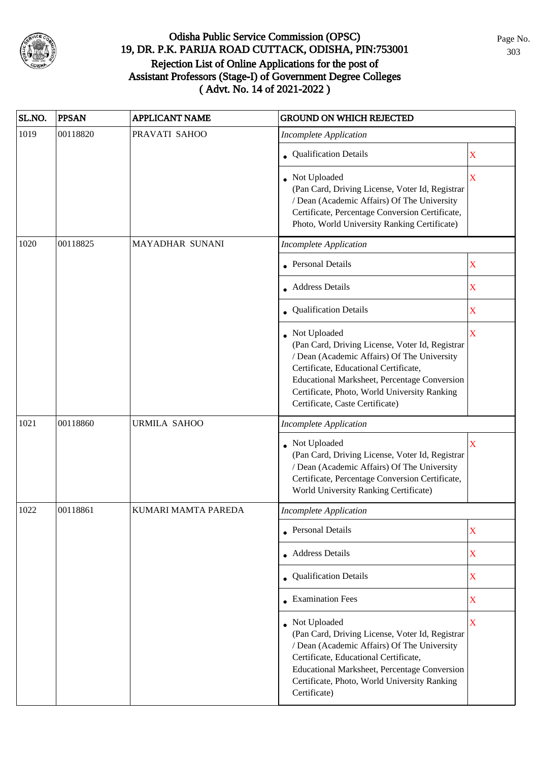

| SL.NO. | <b>PPSAN</b> | <b>APPLICANT NAME</b> | <b>GROUND ON WHICH REJECTED</b>                                                                                                                                                                                                                                                              |             |
|--------|--------------|-----------------------|----------------------------------------------------------------------------------------------------------------------------------------------------------------------------------------------------------------------------------------------------------------------------------------------|-------------|
| 1019   | 00118820     | PRAVATI SAHOO         | <b>Incomplete Application</b>                                                                                                                                                                                                                                                                |             |
|        |              |                       | • Qualification Details                                                                                                                                                                                                                                                                      | $\mathbf X$ |
|        |              |                       | • Not Uploaded<br>(Pan Card, Driving License, Voter Id, Registrar<br>/ Dean (Academic Affairs) Of The University<br>Certificate, Percentage Conversion Certificate,<br>Photo, World University Ranking Certificate)                                                                          | $\mathbf X$ |
| 1020   | 00118825     | MAYADHAR SUNANI       | <b>Incomplete Application</b>                                                                                                                                                                                                                                                                |             |
|        |              |                       | • Personal Details                                                                                                                                                                                                                                                                           | $\mathbf X$ |
|        |              |                       | • Address Details                                                                                                                                                                                                                                                                            | X           |
|        |              |                       | • Qualification Details                                                                                                                                                                                                                                                                      | X           |
|        |              |                       | • Not Uploaded<br>(Pan Card, Driving License, Voter Id, Registrar<br>/ Dean (Academic Affairs) Of The University<br>Certificate, Educational Certificate,<br>Educational Marksheet, Percentage Conversion<br>Certificate, Photo, World University Ranking<br>Certificate, Caste Certificate) | X           |
| 1021   | 00118860     | <b>URMILA SAHOO</b>   | <b>Incomplete Application</b>                                                                                                                                                                                                                                                                |             |
|        |              |                       | • Not Uploaded<br>(Pan Card, Driving License, Voter Id, Registrar<br>/ Dean (Academic Affairs) Of The University<br>Certificate, Percentage Conversion Certificate,<br>World University Ranking Certificate)                                                                                 | X           |
| 1022   | 00118861     | KUMARI MAMTA PAREDA   | <b>Incomplete Application</b>                                                                                                                                                                                                                                                                |             |
|        |              |                       | • Personal Details                                                                                                                                                                                                                                                                           | X           |
|        |              |                       | • Address Details                                                                                                                                                                                                                                                                            | $\mathbf X$ |
|        |              |                       | • Qualification Details                                                                                                                                                                                                                                                                      | $\mathbf X$ |
|        |              |                       | • Examination Fees                                                                                                                                                                                                                                                                           | $\mathbf X$ |
|        |              |                       | Not Uploaded<br>(Pan Card, Driving License, Voter Id, Registrar<br>/ Dean (Academic Affairs) Of The University<br>Certificate, Educational Certificate,<br>Educational Marksheet, Percentage Conversion<br>Certificate, Photo, World University Ranking<br>Certificate)                      | $\mathbf X$ |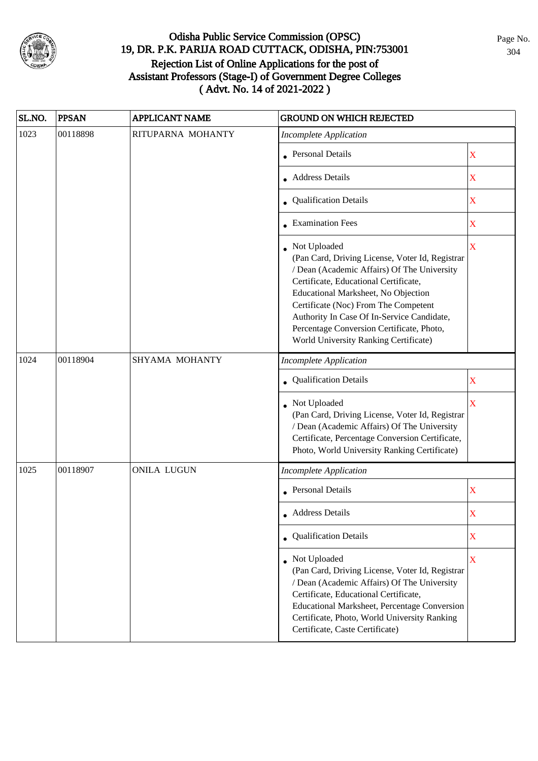

| SL.NO. | <b>PPSAN</b> | <b>APPLICANT NAME</b> | <b>GROUND ON WHICH REJECTED</b>                                                                                                                                                                                                                                                                                                                                            |                         |
|--------|--------------|-----------------------|----------------------------------------------------------------------------------------------------------------------------------------------------------------------------------------------------------------------------------------------------------------------------------------------------------------------------------------------------------------------------|-------------------------|
| 1023   | 00118898     | RITUPARNA MOHANTY     | <b>Incomplete Application</b>                                                                                                                                                                                                                                                                                                                                              |                         |
|        |              |                       | • Personal Details                                                                                                                                                                                                                                                                                                                                                         | $\mathbf X$             |
|        |              |                       | <b>Address Details</b>                                                                                                                                                                                                                                                                                                                                                     | $\mathbf X$             |
|        |              |                       | • Qualification Details                                                                                                                                                                                                                                                                                                                                                    | $\mathbf X$             |
|        |              |                       | • Examination Fees                                                                                                                                                                                                                                                                                                                                                         | $\mathbf X$             |
|        |              |                       | Not Uploaded<br>(Pan Card, Driving License, Voter Id, Registrar<br>/ Dean (Academic Affairs) Of The University<br>Certificate, Educational Certificate,<br>Educational Marksheet, No Objection<br>Certificate (Noc) From The Competent<br>Authority In Case Of In-Service Candidate,<br>Percentage Conversion Certificate, Photo,<br>World University Ranking Certificate) | $\overline{\mathbf{X}}$ |
| 1024   | 00118904     | SHYAMA MOHANTY        | <b>Incomplete Application</b>                                                                                                                                                                                                                                                                                                                                              |                         |
|        |              |                       | • Qualification Details                                                                                                                                                                                                                                                                                                                                                    | $\mathbf X$             |
|        |              |                       | Not Uploaded<br>(Pan Card, Driving License, Voter Id, Registrar<br>/ Dean (Academic Affairs) Of The University<br>Certificate, Percentage Conversion Certificate,<br>Photo, World University Ranking Certificate)                                                                                                                                                          | X                       |
| 1025   | 00118907     | <b>ONILA LUGUN</b>    | <b>Incomplete Application</b>                                                                                                                                                                                                                                                                                                                                              |                         |
|        |              |                       | • Personal Details                                                                                                                                                                                                                                                                                                                                                         | $\mathbf X$             |
|        |              |                       | • Address Details                                                                                                                                                                                                                                                                                                                                                          | X                       |
|        |              |                       | • Qualification Details                                                                                                                                                                                                                                                                                                                                                    | X                       |
|        |              |                       | • Not Uploaded<br>(Pan Card, Driving License, Voter Id, Registrar<br>/ Dean (Academic Affairs) Of The University<br>Certificate, Educational Certificate,<br>Educational Marksheet, Percentage Conversion<br>Certificate, Photo, World University Ranking<br>Certificate, Caste Certificate)                                                                               | X                       |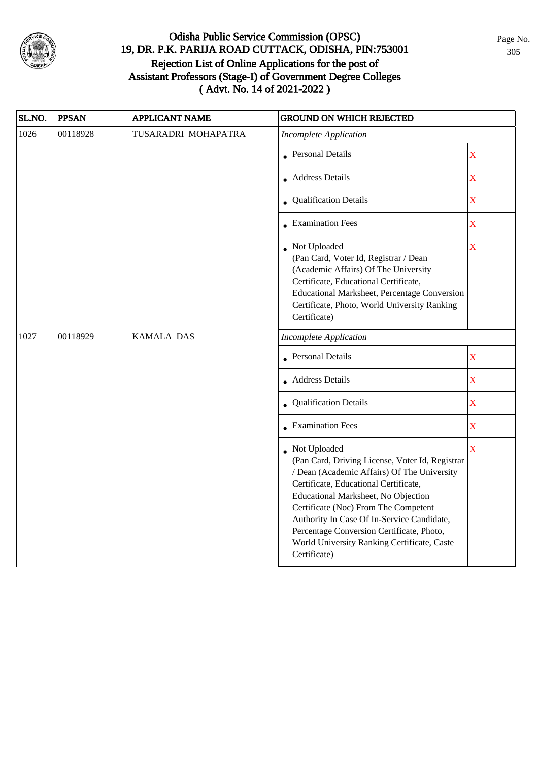

| SL.NO. | <b>PPSAN</b> | <b>APPLICANT NAME</b> | <b>GROUND ON WHICH REJECTED</b>                                                                                                                                                                                                                                                                                                                                                                  |                         |
|--------|--------------|-----------------------|--------------------------------------------------------------------------------------------------------------------------------------------------------------------------------------------------------------------------------------------------------------------------------------------------------------------------------------------------------------------------------------------------|-------------------------|
| 1026   | 00118928     | TUSARADRI MOHAPATRA   | <b>Incomplete Application</b>                                                                                                                                                                                                                                                                                                                                                                    |                         |
|        |              |                       | • Personal Details                                                                                                                                                                                                                                                                                                                                                                               | $\overline{\textbf{X}}$ |
|        |              |                       | • Address Details                                                                                                                                                                                                                                                                                                                                                                                | $\overline{\mathbf{X}}$ |
|        |              |                       | • Qualification Details                                                                                                                                                                                                                                                                                                                                                                          | $\bar{X}$               |
|        |              |                       | • Examination Fees                                                                                                                                                                                                                                                                                                                                                                               | $\overline{\textbf{X}}$ |
|        |              |                       | • Not Uploaded<br>(Pan Card, Voter Id, Registrar / Dean<br>(Academic Affairs) Of The University<br>Certificate, Educational Certificate,<br>Educational Marksheet, Percentage Conversion<br>Certificate, Photo, World University Ranking<br>Certificate)                                                                                                                                         | $\overline{\textbf{X}}$ |
| 1027   | 00118929     | <b>KAMALA DAS</b>     | <b>Incomplete Application</b>                                                                                                                                                                                                                                                                                                                                                                    |                         |
|        |              |                       | <b>Personal Details</b>                                                                                                                                                                                                                                                                                                                                                                          | $\bar{X}$               |
|        |              |                       | • Address Details                                                                                                                                                                                                                                                                                                                                                                                | $\bar{\mathbf{X}}$      |
|        |              |                       | • Qualification Details                                                                                                                                                                                                                                                                                                                                                                          | $\overline{\textbf{X}}$ |
|        |              |                       | $\bullet$ Examination Fees                                                                                                                                                                                                                                                                                                                                                                       | $\mathbf X$             |
|        |              |                       | Not Uploaded<br>(Pan Card, Driving License, Voter Id, Registrar<br>/ Dean (Academic Affairs) Of The University<br>Certificate, Educational Certificate,<br>Educational Marksheet, No Objection<br>Certificate (Noc) From The Competent<br>Authority In Case Of In-Service Candidate,<br>Percentage Conversion Certificate, Photo,<br>World University Ranking Certificate, Caste<br>Certificate) | $\bar{X}$               |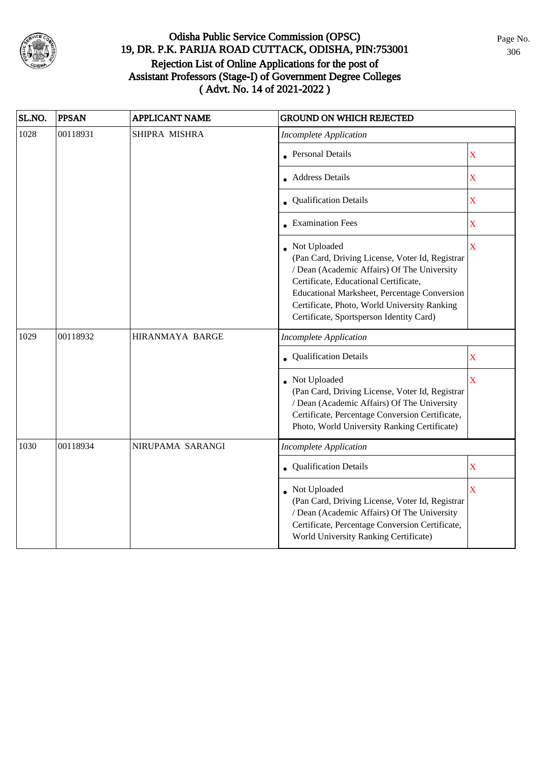

| SL.NO. | <b>PPSAN</b> | <b>APPLICANT NAME</b> | <b>GROUND ON WHICH REJECTED</b>                                                                                                                                                                                                                                                                     |                         |
|--------|--------------|-----------------------|-----------------------------------------------------------------------------------------------------------------------------------------------------------------------------------------------------------------------------------------------------------------------------------------------------|-------------------------|
| 1028   | 00118931     | SHIPRA MISHRA         | <b>Incomplete Application</b>                                                                                                                                                                                                                                                                       |                         |
|        |              |                       | • Personal Details                                                                                                                                                                                                                                                                                  | $\mathbf X$             |
|        |              |                       | • Address Details                                                                                                                                                                                                                                                                                   | $\mathbf X$             |
|        |              |                       | Qualification Details                                                                                                                                                                                                                                                                               | $\mathbf X$             |
|        |              |                       | • Examination Fees                                                                                                                                                                                                                                                                                  | X                       |
|        |              |                       | Not Uploaded<br>(Pan Card, Driving License, Voter Id, Registrar<br>/ Dean (Academic Affairs) Of The University<br>Certificate, Educational Certificate,<br>Educational Marksheet, Percentage Conversion<br>Certificate, Photo, World University Ranking<br>Certificate, Sportsperson Identity Card) | $\bar{\mathbf{X}}$      |
| 1029   | 00118932     | HIRANMAYA BARGE       | Incomplete Application                                                                                                                                                                                                                                                                              |                         |
|        |              |                       | <b>Qualification Details</b>                                                                                                                                                                                                                                                                        | X                       |
|        |              |                       | • Not Uploaded<br>(Pan Card, Driving License, Voter Id, Registrar<br>/ Dean (Academic Affairs) Of The University<br>Certificate, Percentage Conversion Certificate,<br>Photo, World University Ranking Certificate)                                                                                 | X                       |
| 1030   | 00118934     | NIRUPAMA SARANGI      | <b>Incomplete Application</b>                                                                                                                                                                                                                                                                       |                         |
|        |              |                       | Qualification Details                                                                                                                                                                                                                                                                               | $\mathbf X$             |
|        |              |                       | Not Uploaded<br>(Pan Card, Driving License, Voter Id, Registrar<br>/ Dean (Academic Affairs) Of The University<br>Certificate, Percentage Conversion Certificate,<br>World University Ranking Certificate)                                                                                          | $\overline{\mathbf{X}}$ |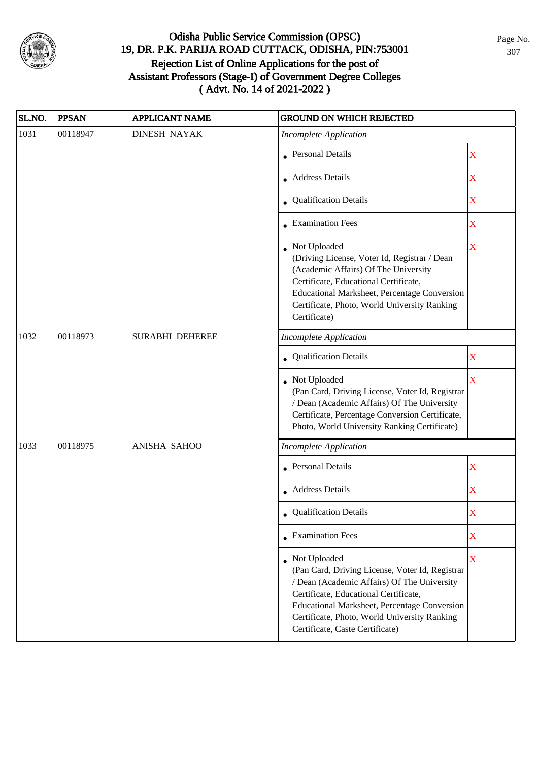

| SL.NO. | <b>PPSAN</b> | <b>APPLICANT NAME</b>  | <b>GROUND ON WHICH REJECTED</b>                                                                                                                                                                                                                                                                     |                         |
|--------|--------------|------------------------|-----------------------------------------------------------------------------------------------------------------------------------------------------------------------------------------------------------------------------------------------------------------------------------------------------|-------------------------|
| 1031   | 00118947     | <b>DINESH NAYAK</b>    | <b>Incomplete Application</b>                                                                                                                                                                                                                                                                       |                         |
|        |              |                        | <b>Personal Details</b>                                                                                                                                                                                                                                                                             | $\mathbf X$             |
|        |              |                        | Address Details                                                                                                                                                                                                                                                                                     | $\mathbf X$             |
|        |              |                        | • Qualification Details                                                                                                                                                                                                                                                                             | $\mathbf X$             |
|        |              |                        | • Examination Fees                                                                                                                                                                                                                                                                                  | $\mathbf X$             |
|        |              |                        | Not Uploaded<br>(Driving License, Voter Id, Registrar / Dean<br>(Academic Affairs) Of The University<br>Certificate, Educational Certificate,<br>Educational Marksheet, Percentage Conversion<br>Certificate, Photo, World University Ranking<br>Certificate)                                       | $\overline{\mathbf{X}}$ |
| 1032   | 00118973     | <b>SURABHI DEHEREE</b> | <b>Incomplete Application</b>                                                                                                                                                                                                                                                                       |                         |
|        |              |                        | • Qualification Details                                                                                                                                                                                                                                                                             | X                       |
|        |              |                        | Not Uploaded<br>(Pan Card, Driving License, Voter Id, Registrar<br>/ Dean (Academic Affairs) Of The University<br>Certificate, Percentage Conversion Certificate,<br>Photo, World University Ranking Certificate)                                                                                   | $\overline{\mathbf{X}}$ |
| 1033   | 00118975     | ANISHA SAHOO           | <b>Incomplete Application</b>                                                                                                                                                                                                                                                                       |                         |
|        |              |                        | <b>Personal Details</b>                                                                                                                                                                                                                                                                             | $\mathbf X$             |
|        |              |                        | • Address Details                                                                                                                                                                                                                                                                                   | $\mathbf X$             |
|        |              |                        | • Qualification Details                                                                                                                                                                                                                                                                             | X                       |
|        |              |                        | $\bullet$ Examination Fees                                                                                                                                                                                                                                                                          | $\mathbf X$             |
|        |              |                        | • Not Uploaded<br>(Pan Card, Driving License, Voter Id, Registrar<br>/ Dean (Academic Affairs) Of The University<br>Certificate, Educational Certificate,<br><b>Educational Marksheet, Percentage Conversion</b><br>Certificate, Photo, World University Ranking<br>Certificate, Caste Certificate) | $\mathbf X$             |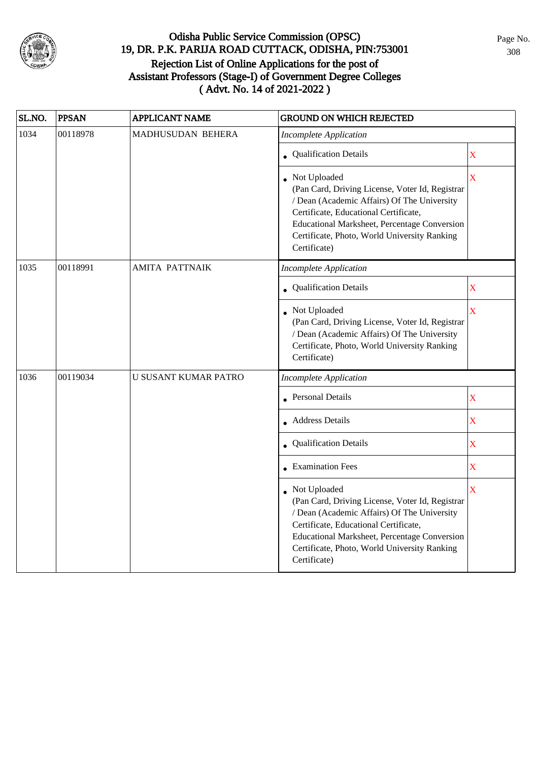

| SL.NO. | <b>PPSAN</b> | <b>APPLICANT NAME</b>       | <b>GROUND ON WHICH REJECTED</b>                                                                                                                                                                                                                                                |                         |
|--------|--------------|-----------------------------|--------------------------------------------------------------------------------------------------------------------------------------------------------------------------------------------------------------------------------------------------------------------------------|-------------------------|
| 1034   | 00118978     | MADHUSUDAN BEHERA           | <b>Incomplete Application</b>                                                                                                                                                                                                                                                  |                         |
|        |              |                             | • Qualification Details                                                                                                                                                                                                                                                        | $\mathbf X$             |
|        |              |                             | Not Uploaded<br>(Pan Card, Driving License, Voter Id, Registrar<br>/ Dean (Academic Affairs) Of The University<br>Certificate, Educational Certificate,<br><b>Educational Marksheet, Percentage Conversion</b><br>Certificate, Photo, World University Ranking<br>Certificate) | $\overline{\mathbf{X}}$ |
| 1035   | 00118991     | <b>AMITA PATTNAIK</b>       | <b>Incomplete Application</b>                                                                                                                                                                                                                                                  |                         |
|        |              |                             | • Qualification Details                                                                                                                                                                                                                                                        | $\mathbf X$             |
|        |              |                             | • Not Uploaded<br>(Pan Card, Driving License, Voter Id, Registrar<br>/ Dean (Academic Affairs) Of The University<br>Certificate, Photo, World University Ranking<br>Certificate)                                                                                               | $\mathbf X$             |
| 1036   | 00119034     | <b>U SUSANT KUMAR PATRO</b> | <b>Incomplete Application</b>                                                                                                                                                                                                                                                  |                         |
|        |              |                             | • Personal Details                                                                                                                                                                                                                                                             | X                       |
|        |              |                             | • Address Details                                                                                                                                                                                                                                                              | X                       |
|        |              |                             | Qualification Details                                                                                                                                                                                                                                                          | $\mathbf X$             |
|        |              |                             | $\bullet$ Examination Fees                                                                                                                                                                                                                                                     | X                       |
|        |              |                             | Not Uploaded<br>(Pan Card, Driving License, Voter Id, Registrar<br>/ Dean (Academic Affairs) Of The University<br>Certificate, Educational Certificate,<br>Educational Marksheet, Percentage Conversion<br>Certificate, Photo, World University Ranking<br>Certificate)        | $\overline{\mathbf{X}}$ |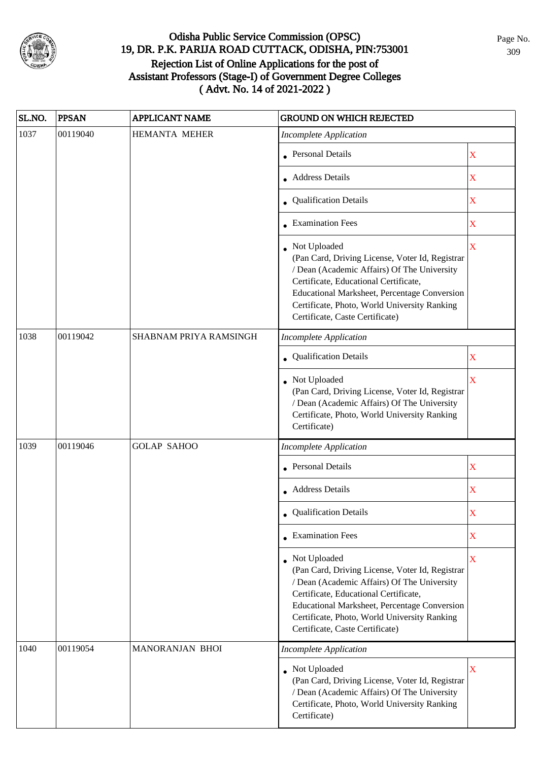

| SL.NO. | <b>PPSAN</b> | <b>APPLICANT NAME</b>  | <b>GROUND ON WHICH REJECTED</b>                                                                                                                                                                                                                                                                     |                         |
|--------|--------------|------------------------|-----------------------------------------------------------------------------------------------------------------------------------------------------------------------------------------------------------------------------------------------------------------------------------------------------|-------------------------|
| 1037   | 00119040     | <b>HEMANTA MEHER</b>   | <b>Incomplete Application</b>                                                                                                                                                                                                                                                                       |                         |
|        |              |                        | • Personal Details                                                                                                                                                                                                                                                                                  | X                       |
|        |              |                        | • Address Details                                                                                                                                                                                                                                                                                   | X                       |
|        |              |                        | • Qualification Details                                                                                                                                                                                                                                                                             | $\mathbf X$             |
|        |              |                        | • Examination Fees                                                                                                                                                                                                                                                                                  | $\mathbf X$             |
|        |              |                        | • Not Uploaded<br>(Pan Card, Driving License, Voter Id, Registrar<br>/ Dean (Academic Affairs) Of The University<br>Certificate, Educational Certificate,<br><b>Educational Marksheet, Percentage Conversion</b><br>Certificate, Photo, World University Ranking<br>Certificate, Caste Certificate) | $\overline{\mathbf{X}}$ |
| 1038   | 00119042     | SHABNAM PRIYA RAMSINGH | <b>Incomplete Application</b>                                                                                                                                                                                                                                                                       |                         |
|        |              |                        | Qualification Details                                                                                                                                                                                                                                                                               | X                       |
|        |              |                        | Not Uploaded<br>(Pan Card, Driving License, Voter Id, Registrar<br>/ Dean (Academic Affairs) Of The University<br>Certificate, Photo, World University Ranking<br>Certificate)                                                                                                                      | $\overline{\mathbf{X}}$ |
| 1039   | 00119046     | <b>GOLAP SAHOO</b>     | <b>Incomplete Application</b>                                                                                                                                                                                                                                                                       |                         |
|        |              |                        | • Personal Details                                                                                                                                                                                                                                                                                  | $\mathbf X$             |
|        |              |                        | Address Details                                                                                                                                                                                                                                                                                     | $\mathbf X$             |
|        |              |                        | • Qualification Details                                                                                                                                                                                                                                                                             | X                       |
|        |              |                        | • Examination Fees                                                                                                                                                                                                                                                                                  | X                       |
|        |              |                        | Not Uploaded<br>(Pan Card, Driving License, Voter Id, Registrar<br>/ Dean (Academic Affairs) Of The University<br>Certificate, Educational Certificate,<br>Educational Marksheet, Percentage Conversion<br>Certificate, Photo, World University Ranking<br>Certificate, Caste Certificate)          | $\overline{\mathbf{X}}$ |
| 1040   | 00119054     | <b>MANORANJAN BHOI</b> | <b>Incomplete Application</b>                                                                                                                                                                                                                                                                       |                         |
|        |              |                        | Not Uploaded<br>(Pan Card, Driving License, Voter Id, Registrar<br>/ Dean (Academic Affairs) Of The University<br>Certificate, Photo, World University Ranking<br>Certificate)                                                                                                                      | $\overline{\textbf{X}}$ |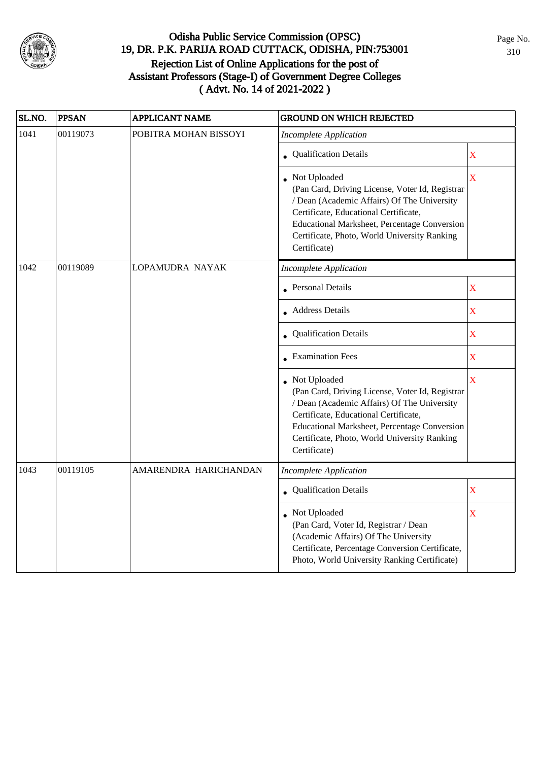

| SL.NO. | <b>PPSAN</b> | <b>APPLICANT NAME</b> | <b>GROUND ON WHICH REJECTED</b>                                                                                                                                                                                                                                           |                         |
|--------|--------------|-----------------------|---------------------------------------------------------------------------------------------------------------------------------------------------------------------------------------------------------------------------------------------------------------------------|-------------------------|
| 1041   | 00119073     | POBITRA MOHAN BISSOYI | <b>Incomplete Application</b>                                                                                                                                                                                                                                             |                         |
|        |              |                       | • Qualification Details                                                                                                                                                                                                                                                   | $\overline{\mathbf{X}}$ |
|        |              |                       | • Not Uploaded<br>(Pan Card, Driving License, Voter Id, Registrar<br>/ Dean (Academic Affairs) Of The University<br>Certificate, Educational Certificate,<br>Educational Marksheet, Percentage Conversion<br>Certificate, Photo, World University Ranking<br>Certificate) | $\overline{\mathbf{X}}$ |
| 1042   | 00119089     | LOPAMUDRA NAYAK       | <b>Incomplete Application</b>                                                                                                                                                                                                                                             |                         |
|        |              |                       | • Personal Details                                                                                                                                                                                                                                                        | $\mathbf X$             |
|        |              |                       | • Address Details                                                                                                                                                                                                                                                         | $\mathbf X$             |
|        |              |                       | • Qualification Details                                                                                                                                                                                                                                                   | $\mathbf X$             |
|        |              |                       | • Examination Fees                                                                                                                                                                                                                                                        | $\mathbf X$             |
|        |              |                       | Not Uploaded<br>(Pan Card, Driving License, Voter Id, Registrar<br>/ Dean (Academic Affairs) Of The University<br>Certificate, Educational Certificate,<br>Educational Marksheet, Percentage Conversion<br>Certificate, Photo, World University Ranking<br>Certificate)   | X                       |
| 1043   | 00119105     | AMARENDRA HARICHANDAN | <b>Incomplete Application</b>                                                                                                                                                                                                                                             |                         |
|        |              |                       | • Qualification Details                                                                                                                                                                                                                                                   | $\overline{\mathbf{X}}$ |
|        |              |                       | • Not Uploaded<br>(Pan Card, Voter Id, Registrar / Dean<br>(Academic Affairs) Of The University<br>Certificate, Percentage Conversion Certificate,<br>Photo, World University Ranking Certificate)                                                                        | $\mathbf X$             |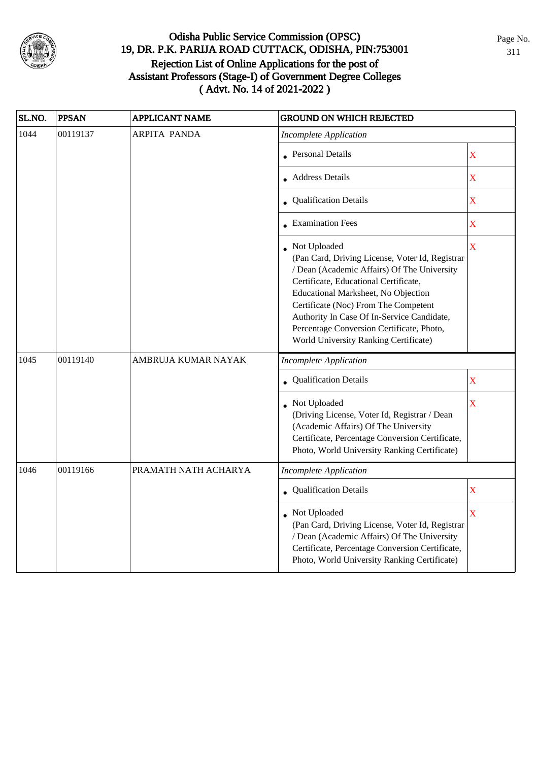

| SL.NO. | <b>PPSAN</b> | <b>APPLICANT NAME</b> | <b>GROUND ON WHICH REJECTED</b>                                                                                                                                                                                                                                                                                                                                            |                         |
|--------|--------------|-----------------------|----------------------------------------------------------------------------------------------------------------------------------------------------------------------------------------------------------------------------------------------------------------------------------------------------------------------------------------------------------------------------|-------------------------|
| 1044   | 00119137     | <b>ARPITA PANDA</b>   | <b>Incomplete Application</b>                                                                                                                                                                                                                                                                                                                                              |                         |
|        |              |                       | <b>Personal Details</b>                                                                                                                                                                                                                                                                                                                                                    | $\overline{\mathbf{X}}$ |
|        |              |                       | • Address Details                                                                                                                                                                                                                                                                                                                                                          | $\mathbf X$             |
|        |              |                       | • Qualification Details                                                                                                                                                                                                                                                                                                                                                    | $\mathbf X$             |
|        |              |                       | $\bullet$ Examination Fees                                                                                                                                                                                                                                                                                                                                                 | $\mathbf X$             |
|        |              |                       | Not Uploaded<br>(Pan Card, Driving License, Voter Id, Registrar<br>/ Dean (Academic Affairs) Of The University<br>Certificate, Educational Certificate,<br>Educational Marksheet, No Objection<br>Certificate (Noc) From The Competent<br>Authority In Case Of In-Service Candidate,<br>Percentage Conversion Certificate, Photo,<br>World University Ranking Certificate) | $\bar{X}$               |
| 1045   | 00119140     | AMBRUJA KUMAR NAYAK   | <b>Incomplete Application</b>                                                                                                                                                                                                                                                                                                                                              |                         |
|        |              |                       | Qualification Details                                                                                                                                                                                                                                                                                                                                                      | $\mathbf X$             |
|        |              |                       | Not Uploaded<br>(Driving License, Voter Id, Registrar / Dean<br>(Academic Affairs) Of The University<br>Certificate, Percentage Conversion Certificate,<br>Photo, World University Ranking Certificate)                                                                                                                                                                    | X                       |
| 1046   | 00119166     | PRAMATH NATH ACHARYA  | <b>Incomplete Application</b>                                                                                                                                                                                                                                                                                                                                              |                         |
|        |              |                       | • Qualification Details                                                                                                                                                                                                                                                                                                                                                    | $\mathbf X$             |
|        |              |                       | • Not Uploaded<br>(Pan Card, Driving License, Voter Id, Registrar<br>/ Dean (Academic Affairs) Of The University<br>Certificate, Percentage Conversion Certificate,<br>Photo, World University Ranking Certificate)                                                                                                                                                        | $\mathbf X$             |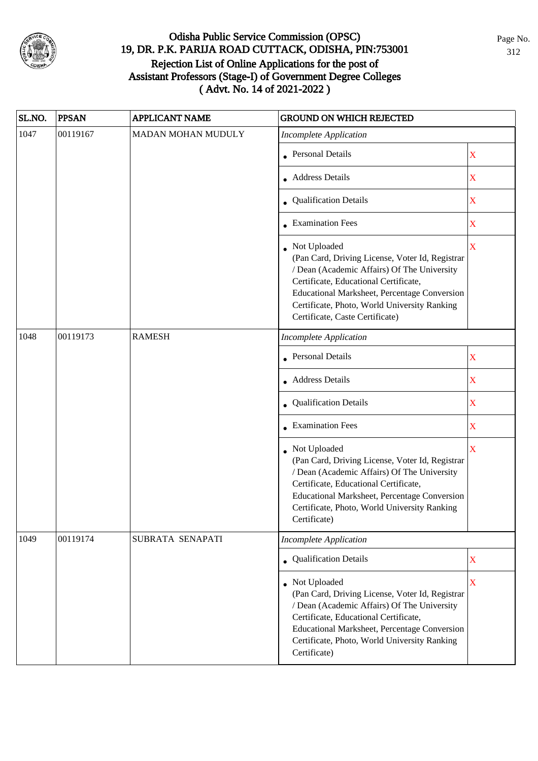

| SL.NO. | <b>PPSAN</b> | APPLICANT NAME            | <b>GROUND ON WHICH REJECTED</b>                                                                                                                                                                                                                                                            |                         |
|--------|--------------|---------------------------|--------------------------------------------------------------------------------------------------------------------------------------------------------------------------------------------------------------------------------------------------------------------------------------------|-------------------------|
| 1047   | 00119167     | <b>MADAN MOHAN MUDULY</b> | <b>Incomplete Application</b>                                                                                                                                                                                                                                                              |                         |
|        |              |                           | • Personal Details                                                                                                                                                                                                                                                                         | X                       |
|        |              |                           | • Address Details                                                                                                                                                                                                                                                                          | X                       |
|        |              |                           | • Qualification Details                                                                                                                                                                                                                                                                    | $\mathbf X$             |
|        |              |                           | • Examination Fees                                                                                                                                                                                                                                                                         | $\mathbf X$             |
|        |              |                           | Not Uploaded<br>(Pan Card, Driving License, Voter Id, Registrar<br>/ Dean (Academic Affairs) Of The University<br>Certificate, Educational Certificate,<br>Educational Marksheet, Percentage Conversion<br>Certificate, Photo, World University Ranking<br>Certificate, Caste Certificate) | $\overline{\mathbf{X}}$ |
| 1048   | 00119173     | <b>RAMESH</b>             | <b>Incomplete Application</b>                                                                                                                                                                                                                                                              |                         |
|        |              |                           | Personal Details                                                                                                                                                                                                                                                                           | X                       |
|        |              |                           | • Address Details                                                                                                                                                                                                                                                                          | $\mathbf X$             |
|        |              |                           | • Qualification Details                                                                                                                                                                                                                                                                    | $\mathbf X$             |
|        |              |                           | • Examination Fees                                                                                                                                                                                                                                                                         | X                       |
|        |              |                           | • Not Uploaded<br>(Pan Card, Driving License, Voter Id, Registrar<br>/ Dean (Academic Affairs) Of The University<br>Certificate, Educational Certificate,<br>Educational Marksheet, Percentage Conversion<br>Certificate, Photo, World University Ranking<br>Certificate)                  | $\overline{\mathbf{X}}$ |
| 1049   | 00119174     | SUBRATA SENAPATI          | <b>Incomplete Application</b>                                                                                                                                                                                                                                                              |                         |
|        |              |                           | • Qualification Details                                                                                                                                                                                                                                                                    | $\mathbf X$             |
|        |              |                           | • Not Uploaded<br>(Pan Card, Driving License, Voter Id, Registrar<br>/ Dean (Academic Affairs) Of The University<br>Certificate, Educational Certificate,<br>Educational Marksheet, Percentage Conversion<br>Certificate, Photo, World University Ranking<br>Certificate)                  | $\overline{\mathbf{X}}$ |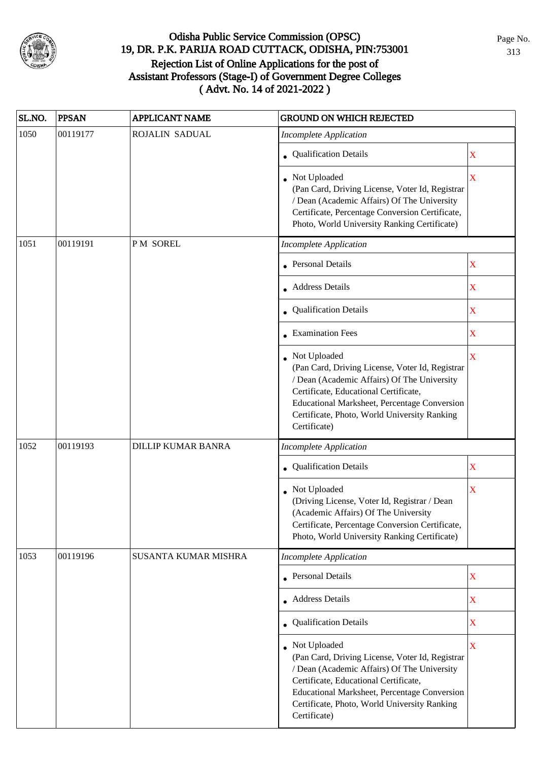

| SL.NO. | <b>PPSAN</b> | APPLICANT NAME              | <b>GROUND ON WHICH REJECTED</b>                                                                                                                                                                                                                                           |                    |
|--------|--------------|-----------------------------|---------------------------------------------------------------------------------------------------------------------------------------------------------------------------------------------------------------------------------------------------------------------------|--------------------|
| 1050   | 00119177     | ROJALIN SADUAL              | <b>Incomplete Application</b>                                                                                                                                                                                                                                             |                    |
|        |              |                             | • Qualification Details                                                                                                                                                                                                                                                   | X                  |
|        |              |                             | • Not Uploaded<br>(Pan Card, Driving License, Voter Id, Registrar<br>/ Dean (Academic Affairs) Of The University<br>Certificate, Percentage Conversion Certificate,<br>Photo, World University Ranking Certificate)                                                       | $\bar{\mathbf{X}}$ |
| 1051   | 00119191     | <b>PM SOREL</b>             | <b>Incomplete Application</b>                                                                                                                                                                                                                                             |                    |
|        |              |                             | • Personal Details                                                                                                                                                                                                                                                        | X                  |
|        |              |                             | • Address Details                                                                                                                                                                                                                                                         | $\mathbf X$        |
|        |              |                             | • Qualification Details                                                                                                                                                                                                                                                   | X                  |
|        |              |                             | $\bullet$ Examination Fees                                                                                                                                                                                                                                                | $\mathbf X$        |
|        |              |                             | Not Uploaded<br>(Pan Card, Driving License, Voter Id, Registrar<br>/ Dean (Academic Affairs) Of The University<br>Certificate, Educational Certificate,<br>Educational Marksheet, Percentage Conversion<br>Certificate, Photo, World University Ranking<br>Certificate)   | X                  |
| 1052   | 00119193     | <b>DILLIP KUMAR BANRA</b>   | <b>Incomplete Application</b>                                                                                                                                                                                                                                             |                    |
|        |              |                             | Qualification Details                                                                                                                                                                                                                                                     | $\mathbf X$        |
|        |              |                             | • Not Uploaded<br>(Driving License, Voter Id, Registrar / Dean<br>(Academic Affairs) Of The University<br>Certificate, Percentage Conversion Certificate,<br>Photo, World University Ranking Certificate)                                                                 | X                  |
| 1053   | 00119196     | <b>SUSANTA KUMAR MISHRA</b> | <b>Incomplete Application</b>                                                                                                                                                                                                                                             |                    |
|        |              |                             | • Personal Details                                                                                                                                                                                                                                                        | $\mathbf X$        |
|        |              |                             | • Address Details                                                                                                                                                                                                                                                         | X                  |
|        |              |                             | • Qualification Details                                                                                                                                                                                                                                                   | X                  |
|        |              |                             | • Not Uploaded<br>(Pan Card, Driving License, Voter Id, Registrar<br>/ Dean (Academic Affairs) Of The University<br>Certificate, Educational Certificate,<br>Educational Marksheet, Percentage Conversion<br>Certificate, Photo, World University Ranking<br>Certificate) | $\bar{\mathbf{X}}$ |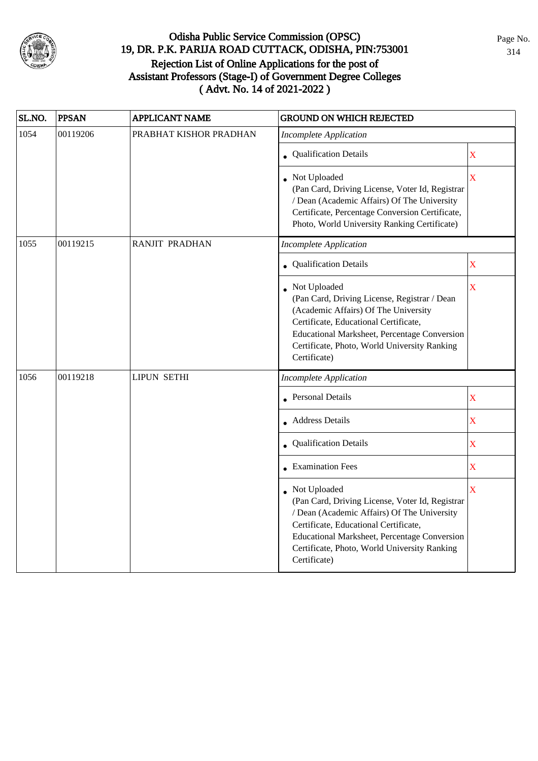

| SL.NO. | <b>PPSAN</b> | <b>APPLICANT NAME</b>  | <b>GROUND ON WHICH REJECTED</b>                                                                                                                                                                                                                                           |                         |
|--------|--------------|------------------------|---------------------------------------------------------------------------------------------------------------------------------------------------------------------------------------------------------------------------------------------------------------------------|-------------------------|
| 1054   | 00119206     | PRABHAT KISHOR PRADHAN | <b>Incomplete Application</b>                                                                                                                                                                                                                                             |                         |
|        |              |                        | • Qualification Details                                                                                                                                                                                                                                                   | $\mathbf X$             |
|        |              |                        | • Not Uploaded<br>(Pan Card, Driving License, Voter Id, Registrar<br>/ Dean (Academic Affairs) Of The University<br>Certificate, Percentage Conversion Certificate,<br>Photo, World University Ranking Certificate)                                                       | $\overline{\mathbf{X}}$ |
| 1055   | 00119215     | <b>RANJIT PRADHAN</b>  | <b>Incomplete Application</b>                                                                                                                                                                                                                                             |                         |
|        |              |                        | • Qualification Details                                                                                                                                                                                                                                                   | X                       |
|        |              |                        | • Not Uploaded<br>(Pan Card, Driving License, Registrar / Dean<br>(Academic Affairs) Of The University<br>Certificate, Educational Certificate,<br><b>Educational Marksheet, Percentage Conversion</b><br>Certificate, Photo, World University Ranking<br>Certificate)    | X                       |
| 1056   | 00119218     | <b>LIPUN SETHI</b>     | <b>Incomplete Application</b>                                                                                                                                                                                                                                             |                         |
|        |              |                        | • Personal Details                                                                                                                                                                                                                                                        | $\mathbf X$             |
|        |              |                        | • Address Details                                                                                                                                                                                                                                                         | $\mathbf X$             |
|        |              |                        | • Qualification Details                                                                                                                                                                                                                                                   | $\overline{\mathbf{X}}$ |
|        |              |                        | $\bullet$ Examination Fees                                                                                                                                                                                                                                                | $\mathbf X$             |
|        |              |                        | • Not Uploaded<br>(Pan Card, Driving License, Voter Id, Registrar<br>/ Dean (Academic Affairs) Of The University<br>Certificate, Educational Certificate,<br>Educational Marksheet, Percentage Conversion<br>Certificate, Photo, World University Ranking<br>Certificate) | $\overline{\mathbf{X}}$ |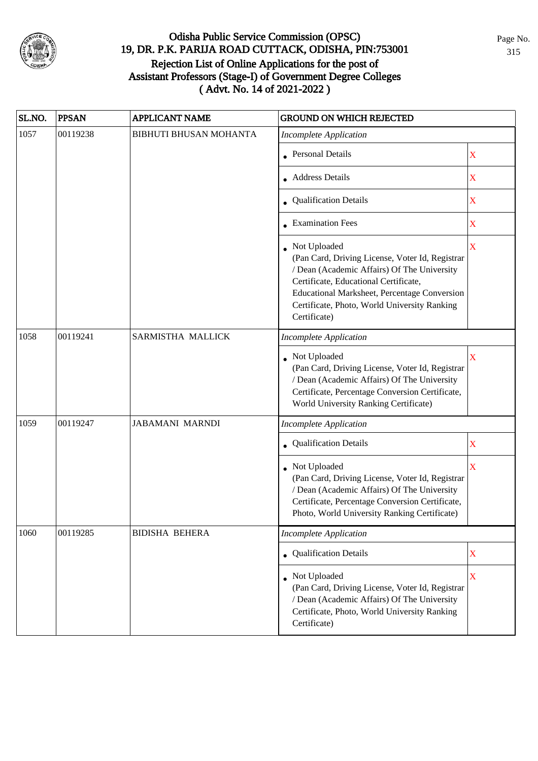

| SL.NO.                                                                 | <b>PPSAN</b> | <b>APPLICANT NAME</b>         | <b>GROUND ON WHICH REJECTED</b>                                                                                                                                                                                                                                           |                         |
|------------------------------------------------------------------------|--------------|-------------------------------|---------------------------------------------------------------------------------------------------------------------------------------------------------------------------------------------------------------------------------------------------------------------------|-------------------------|
| 1057                                                                   | 00119238     | <b>BIBHUTI BHUSAN MOHANTA</b> | <b>Incomplete Application</b>                                                                                                                                                                                                                                             |                         |
|                                                                        |              |                               | • Personal Details                                                                                                                                                                                                                                                        | X                       |
|                                                                        |              |                               | Address Details                                                                                                                                                                                                                                                           | $\mathbf X$             |
|                                                                        |              |                               | • Qualification Details                                                                                                                                                                                                                                                   | $\mathbf X$             |
|                                                                        |              |                               | • Examination Fees                                                                                                                                                                                                                                                        | $\mathbf X$             |
|                                                                        |              |                               | • Not Uploaded<br>(Pan Card, Driving License, Voter Id, Registrar<br>/ Dean (Academic Affairs) Of The University<br>Certificate, Educational Certificate,<br>Educational Marksheet, Percentage Conversion<br>Certificate, Photo, World University Ranking<br>Certificate) | X                       |
| 1058<br>00119241<br>SARMISTHA MALLICK<br><b>Incomplete Application</b> |              |                               |                                                                                                                                                                                                                                                                           |                         |
|                                                                        |              |                               | Not Uploaded<br>(Pan Card, Driving License, Voter Id, Registrar<br>/ Dean (Academic Affairs) Of The University<br>Certificate, Percentage Conversion Certificate,<br>World University Ranking Certificate)                                                                | X                       |
| 1059                                                                   | 00119247     | <b>JABAMANI MARNDI</b>        | <b>Incomplete Application</b>                                                                                                                                                                                                                                             |                         |
|                                                                        |              |                               | Qualification Details                                                                                                                                                                                                                                                     | X                       |
|                                                                        |              |                               | • Not Uploaded<br>(Pan Card, Driving License, Voter Id, Registrar<br>/ Dean (Academic Affairs) Of The University<br>Certificate, Percentage Conversion Certificate,<br>Photo, World University Ranking Certificate)                                                       | $\overline{\mathbf{X}}$ |
| 1060                                                                   | 00119285     | <b>BIDISHA BEHERA</b>         | <b>Incomplete Application</b>                                                                                                                                                                                                                                             |                         |
|                                                                        |              |                               | • Qualification Details                                                                                                                                                                                                                                                   | X                       |
|                                                                        |              |                               | Not Uploaded<br>(Pan Card, Driving License, Voter Id, Registrar<br>/ Dean (Academic Affairs) Of The University<br>Certificate, Photo, World University Ranking<br>Certificate)                                                                                            | $\overline{\textbf{X}}$ |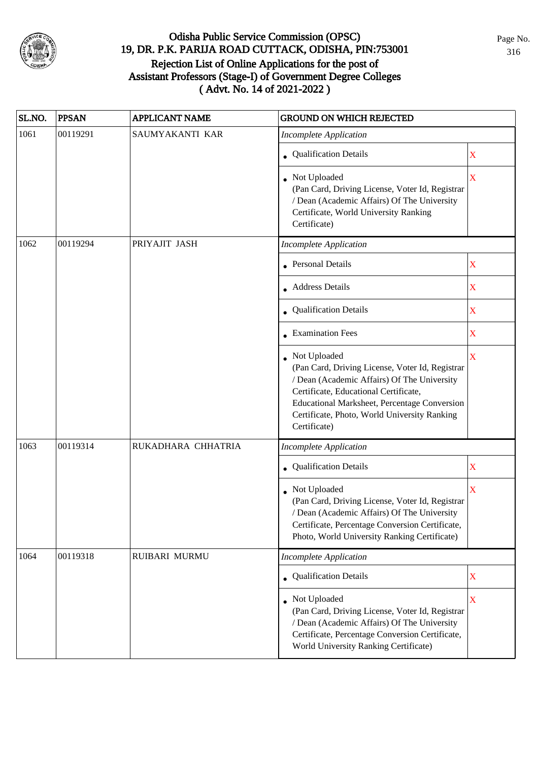

| SL.NO. | <b>PPSAN</b> | <b>APPLICANT NAME</b> | <b>GROUND ON WHICH REJECTED</b>                                                                                                                                                                                                                                           |                         |
|--------|--------------|-----------------------|---------------------------------------------------------------------------------------------------------------------------------------------------------------------------------------------------------------------------------------------------------------------------|-------------------------|
| 1061   | 00119291     | SAUMYAKANTI KAR       | <b>Incomplete Application</b>                                                                                                                                                                                                                                             |                         |
|        |              |                       | • Qualification Details                                                                                                                                                                                                                                                   | $\mathbf X$             |
|        |              |                       | Not Uploaded<br>(Pan Card, Driving License, Voter Id, Registrar<br>/ Dean (Academic Affairs) Of The University<br>Certificate, World University Ranking<br>Certificate)                                                                                                   | $\overline{\mathbf{X}}$ |
| 1062   | 00119294     | PRIYAJIT JASH         | <b>Incomplete Application</b>                                                                                                                                                                                                                                             |                         |
|        |              |                       | • Personal Details                                                                                                                                                                                                                                                        | $\mathbf X$             |
|        |              |                       | • Address Details                                                                                                                                                                                                                                                         | X                       |
|        |              |                       | Qualification Details                                                                                                                                                                                                                                                     | X                       |
|        |              |                       | • Examination Fees                                                                                                                                                                                                                                                        | $\mathbf X$             |
|        |              |                       | • Not Uploaded<br>(Pan Card, Driving License, Voter Id, Registrar<br>/ Dean (Academic Affairs) Of The University<br>Certificate, Educational Certificate,<br>Educational Marksheet, Percentage Conversion<br>Certificate, Photo, World University Ranking<br>Certificate) | $\mathbf X$             |
| 1063   | 00119314     | RUKADHARA CHHATRIA    | <b>Incomplete Application</b>                                                                                                                                                                                                                                             |                         |
|        |              |                       | Qualification Details                                                                                                                                                                                                                                                     | X                       |
|        |              |                       | Not Uploaded<br>(Pan Card, Driving License, Voter Id, Registrar<br>/ Dean (Academic Affairs) Of The University<br>Certificate, Percentage Conversion Certificate,<br>Photo, World University Ranking Certificate)                                                         | X                       |
| 1064   | 00119318     | RUIBARI MURMU         | <b>Incomplete Application</b>                                                                                                                                                                                                                                             |                         |
|        |              |                       | • Qualification Details                                                                                                                                                                                                                                                   | X                       |
|        |              |                       | • Not Uploaded<br>(Pan Card, Driving License, Voter Id, Registrar<br>/ Dean (Academic Affairs) Of The University<br>Certificate, Percentage Conversion Certificate,<br>World University Ranking Certificate)                                                              | $\mathbf X$             |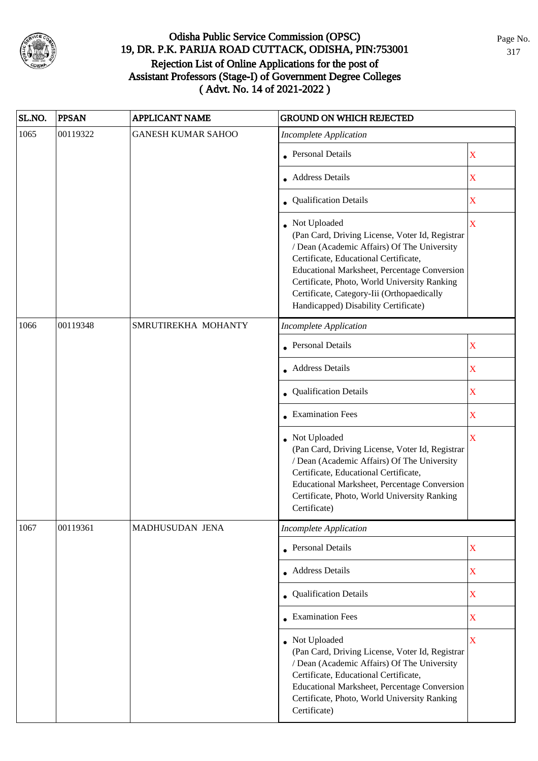

| SL.NO. | <b>PPSAN</b> | <b>APPLICANT NAME</b>     | <b>GROUND ON WHICH REJECTED</b>                                                                                                                                                                                                                                                                                                                 |                         |
|--------|--------------|---------------------------|-------------------------------------------------------------------------------------------------------------------------------------------------------------------------------------------------------------------------------------------------------------------------------------------------------------------------------------------------|-------------------------|
| 1065   | 00119322     | <b>GANESH KUMAR SAHOO</b> | <b>Incomplete Application</b>                                                                                                                                                                                                                                                                                                                   |                         |
|        |              |                           | • Personal Details                                                                                                                                                                                                                                                                                                                              | X                       |
|        |              |                           | • Address Details                                                                                                                                                                                                                                                                                                                               | X                       |
|        |              |                           | • Qualification Details                                                                                                                                                                                                                                                                                                                         | X                       |
|        |              |                           | • Not Uploaded<br>(Pan Card, Driving License, Voter Id, Registrar<br>/ Dean (Academic Affairs) Of The University<br>Certificate, Educational Certificate,<br>Educational Marksheet, Percentage Conversion<br>Certificate, Photo, World University Ranking<br>Certificate, Category-Iii (Orthopaedically<br>Handicapped) Disability Certificate) | $\overline{\mathbf{X}}$ |
| 1066   | 00119348     | SMRUTIREKHA MOHANTY       | <b>Incomplete Application</b>                                                                                                                                                                                                                                                                                                                   |                         |
|        |              |                           | <b>Personal Details</b>                                                                                                                                                                                                                                                                                                                         | $\mathbf X$             |
|        |              |                           | • Address Details                                                                                                                                                                                                                                                                                                                               | $\mathbf X$             |
|        |              |                           | <b>Qualification Details</b>                                                                                                                                                                                                                                                                                                                    | $\mathbf X$             |
|        |              |                           | $\bullet$ Examination Fees                                                                                                                                                                                                                                                                                                                      | $\mathbf X$             |
|        |              |                           | • Not Uploaded<br>(Pan Card, Driving License, Voter Id, Registrar<br>/ Dean (Academic Affairs) Of The University<br>Certificate, Educational Certificate,<br>Educational Marksheet, Percentage Conversion<br>Certificate, Photo, World University Ranking<br>Certificate)                                                                       | $\overline{\mathbf{X}}$ |
| 1067   | 00119361     | MADHUSUDAN JENA           | <b>Incomplete Application</b>                                                                                                                                                                                                                                                                                                                   |                         |
|        |              |                           | <b>Personal Details</b>                                                                                                                                                                                                                                                                                                                         | $\mathbf X$             |
|        |              |                           | Address Details                                                                                                                                                                                                                                                                                                                                 | $\mathbf X$             |
|        |              |                           | • Qualification Details                                                                                                                                                                                                                                                                                                                         | $\mathbf X$             |
|        |              |                           | $\bullet$ Examination Fees                                                                                                                                                                                                                                                                                                                      | $\mathbf X$             |
|        |              |                           | Not Uploaded<br>(Pan Card, Driving License, Voter Id, Registrar<br>/ Dean (Academic Affairs) Of The University<br>Certificate, Educational Certificate,<br>Educational Marksheet, Percentage Conversion<br>Certificate, Photo, World University Ranking<br>Certificate)                                                                         | X                       |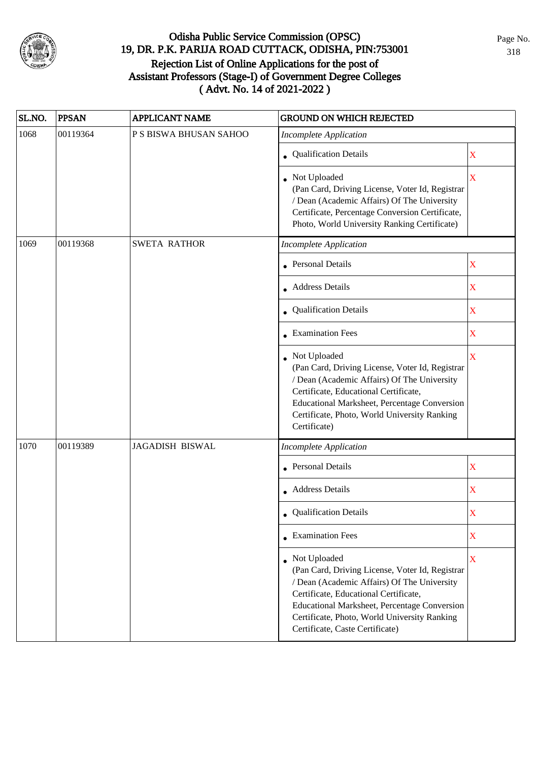

| SL.NO. | <b>PPSAN</b> | <b>APPLICANT NAME</b>  | <b>GROUND ON WHICH REJECTED</b>                                                                                                                                                                                                                                                              |             |
|--------|--------------|------------------------|----------------------------------------------------------------------------------------------------------------------------------------------------------------------------------------------------------------------------------------------------------------------------------------------|-------------|
| 1068   | 00119364     | P S BISWA BHUSAN SAHOO | <b>Incomplete Application</b>                                                                                                                                                                                                                                                                |             |
|        |              |                        | • Qualification Details                                                                                                                                                                                                                                                                      | $\mathbf X$ |
|        |              |                        | • Not Uploaded<br>(Pan Card, Driving License, Voter Id, Registrar<br>/ Dean (Academic Affairs) Of The University<br>Certificate, Percentage Conversion Certificate,<br>Photo, World University Ranking Certificate)                                                                          | X           |
| 1069   | 00119368     | <b>SWETA RATHOR</b>    | <b>Incomplete Application</b>                                                                                                                                                                                                                                                                |             |
|        |              |                        | • Personal Details                                                                                                                                                                                                                                                                           | X           |
|        |              |                        | • Address Details                                                                                                                                                                                                                                                                            | $\mathbf X$ |
|        |              |                        | Qualification Details                                                                                                                                                                                                                                                                        | $\mathbf X$ |
|        |              |                        | • Examination Fees                                                                                                                                                                                                                                                                           | $\mathbf X$ |
|        |              |                        | • Not Uploaded<br>(Pan Card, Driving License, Voter Id, Registrar<br>/ Dean (Academic Affairs) Of The University<br>Certificate, Educational Certificate,<br>Educational Marksheet, Percentage Conversion<br>Certificate, Photo, World University Ranking<br>Certificate)                    | X           |
| 1070   | 00119389     | <b>JAGADISH BISWAL</b> | <b>Incomplete Application</b>                                                                                                                                                                                                                                                                |             |
|        |              |                        | • Personal Details                                                                                                                                                                                                                                                                           | X           |
|        |              |                        | • Address Details                                                                                                                                                                                                                                                                            | $\mathbf X$ |
|        |              |                        | • Qualification Details                                                                                                                                                                                                                                                                      | X           |
|        |              |                        | $\bullet$ Examination Fees                                                                                                                                                                                                                                                                   | $\mathbf X$ |
|        |              |                        | • Not Uploaded<br>(Pan Card, Driving License, Voter Id, Registrar<br>/ Dean (Academic Affairs) Of The University<br>Certificate, Educational Certificate,<br>Educational Marksheet, Percentage Conversion<br>Certificate, Photo, World University Ranking<br>Certificate, Caste Certificate) | $\mathbf X$ |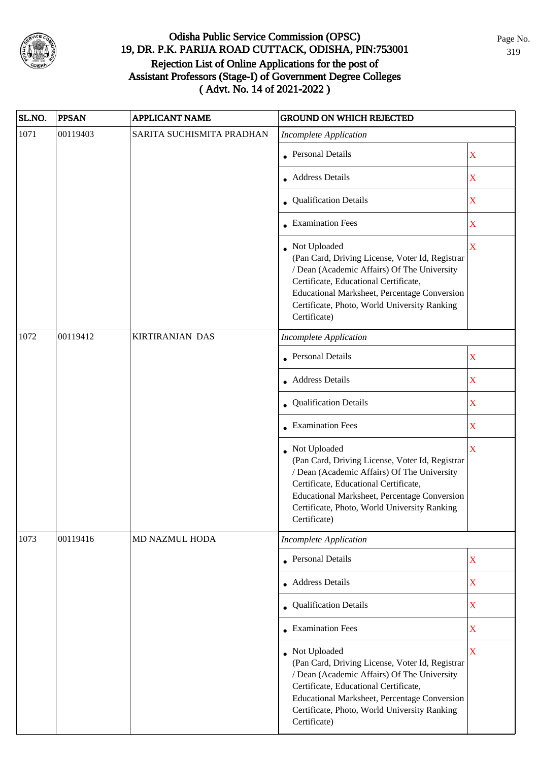

| SL.NO. | <b>PPSAN</b> | <b>APPLICANT NAME</b>     | <b>GROUND ON WHICH REJECTED</b>                                                                                                                                                                                                                                           |                                                                                                    |
|--------|--------------|---------------------------|---------------------------------------------------------------------------------------------------------------------------------------------------------------------------------------------------------------------------------------------------------------------------|----------------------------------------------------------------------------------------------------|
| 1071   | 00119403     | SARITA SUCHISMITA PRADHAN | <b>Incomplete Application</b>                                                                                                                                                                                                                                             |                                                                                                    |
|        |              |                           | • Personal Details                                                                                                                                                                                                                                                        | X                                                                                                  |
|        |              |                           | • Address Details                                                                                                                                                                                                                                                         | $\mathbf X$                                                                                        |
|        |              |                           | • Qualification Details                                                                                                                                                                                                                                                   | $\mathbf X$                                                                                        |
|        |              |                           | • Examination Fees                                                                                                                                                                                                                                                        | $\mathbf X$                                                                                        |
|        |              |                           | • Not Uploaded<br>(Pan Card, Driving License, Voter Id, Registrar<br>/ Dean (Academic Affairs) Of The University<br>Certificate, Educational Certificate,<br>Educational Marksheet, Percentage Conversion<br>Certificate, Photo, World University Ranking<br>Certificate) | $\overline{\mathbf{X}}$                                                                            |
| 1072   | 00119412     | <b>KIRTIRANJAN DAS</b>    | <b>Incomplete Application</b>                                                                                                                                                                                                                                             |                                                                                                    |
|        |              |                           | <b>Personal Details</b>                                                                                                                                                                                                                                                   | X                                                                                                  |
|        |              |                           | • Address Details                                                                                                                                                                                                                                                         | $\mathbf X$                                                                                        |
|        |              |                           | • Qualification Details                                                                                                                                                                                                                                                   | X<br>$\mathbf X$<br>$\overline{\mathbf{X}}$<br>$\mathbf X$<br>$\mathbf X$<br>X<br>$\mathbf X$<br>X |
|        |              |                           | $\bullet$ Examination Fees                                                                                                                                                                                                                                                |                                                                                                    |
|        |              |                           | Not Uploaded<br>(Pan Card, Driving License, Voter Id, Registrar<br>/ Dean (Academic Affairs) Of The University<br>Certificate, Educational Certificate,<br>Educational Marksheet, Percentage Conversion<br>Certificate, Photo, World University Ranking<br>Certificate)   |                                                                                                    |
| 1073   | 00119416     | MD NAZMUL HODA            | <b>Incomplete Application</b>                                                                                                                                                                                                                                             |                                                                                                    |
|        |              |                           | • Personal Details                                                                                                                                                                                                                                                        |                                                                                                    |
|        |              |                           | Address Details                                                                                                                                                                                                                                                           |                                                                                                    |
|        |              |                           | Qualification Details                                                                                                                                                                                                                                                     |                                                                                                    |
|        |              |                           | • Examination Fees                                                                                                                                                                                                                                                        |                                                                                                    |
|        |              |                           | • Not Uploaded<br>(Pan Card, Driving License, Voter Id, Registrar<br>/ Dean (Academic Affairs) Of The University<br>Certificate, Educational Certificate,<br>Educational Marksheet, Percentage Conversion<br>Certificate, Photo, World University Ranking<br>Certificate) |                                                                                                    |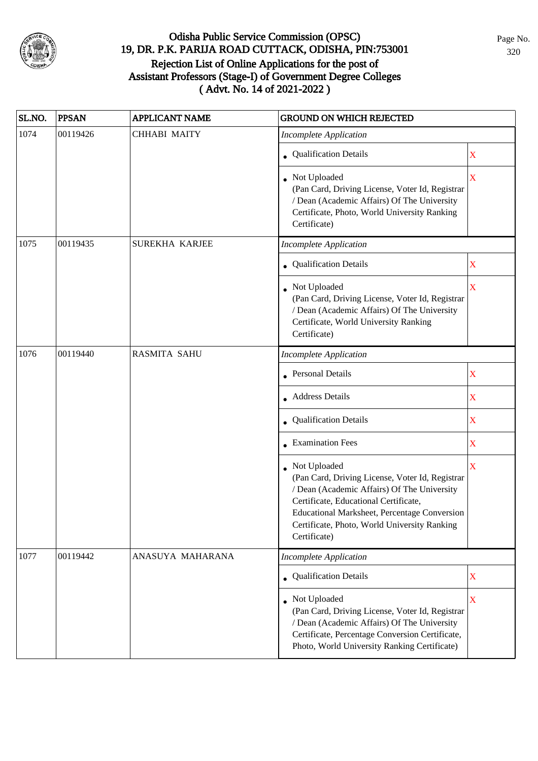

| SL.NO. | <b>PPSAN</b> | <b>APPLICANT NAME</b> | <b>GROUND ON WHICH REJECTED</b>                                                                                                                                                                                                                                         |                         |
|--------|--------------|-----------------------|-------------------------------------------------------------------------------------------------------------------------------------------------------------------------------------------------------------------------------------------------------------------------|-------------------------|
| 1074   | 00119426     | CHHABI MAITY          | <b>Incomplete Application</b>                                                                                                                                                                                                                                           |                         |
|        |              |                       | • Qualification Details                                                                                                                                                                                                                                                 | $\mathbf X$             |
|        |              |                       | • Not Uploaded<br>(Pan Card, Driving License, Voter Id, Registrar<br>/ Dean (Academic Affairs) Of The University<br>Certificate, Photo, World University Ranking<br>Certificate)                                                                                        | $\overline{\mathbf{X}}$ |
| 1075   | 00119435     | SUREKHA KARJEE        | <b>Incomplete Application</b>                                                                                                                                                                                                                                           |                         |
|        |              |                       | • Qualification Details                                                                                                                                                                                                                                                 | $\mathbf X$             |
|        |              |                       | Not Uploaded<br>(Pan Card, Driving License, Voter Id, Registrar<br>/ Dean (Academic Affairs) Of The University<br>Certificate, World University Ranking<br>Certificate)                                                                                                 | $\overline{\textbf{X}}$ |
| 1076   | 00119440     | <b>RASMITA SAHU</b>   | <b>Incomplete Application</b>                                                                                                                                                                                                                                           |                         |
|        |              |                       | <b>Personal Details</b>                                                                                                                                                                                                                                                 | $\mathbf X$             |
|        |              |                       | • Address Details                                                                                                                                                                                                                                                       | $\mathbf X$             |
|        |              |                       | • Qualification Details                                                                                                                                                                                                                                                 | $\mathbf X$             |
|        |              |                       | • Examination Fees                                                                                                                                                                                                                                                      | $\mathbf X$             |
|        |              |                       | Not Uploaded<br>(Pan Card, Driving License, Voter Id, Registrar<br>/ Dean (Academic Affairs) Of The University<br>Certificate, Educational Certificate,<br>Educational Marksheet, Percentage Conversion<br>Certificate, Photo, World University Ranking<br>Certificate) | $\overline{\mathbf{X}}$ |
| 1077   | 00119442     | ANASUYA MAHARANA      | <b>Incomplete Application</b>                                                                                                                                                                                                                                           |                         |
|        |              |                       | • Qualification Details                                                                                                                                                                                                                                                 | $\mathbf X$             |
|        |              |                       | Not Uploaded<br>(Pan Card, Driving License, Voter Id, Registrar<br>/ Dean (Academic Affairs) Of The University<br>Certificate, Percentage Conversion Certificate,<br>Photo, World University Ranking Certificate)                                                       | $\mathbf X$             |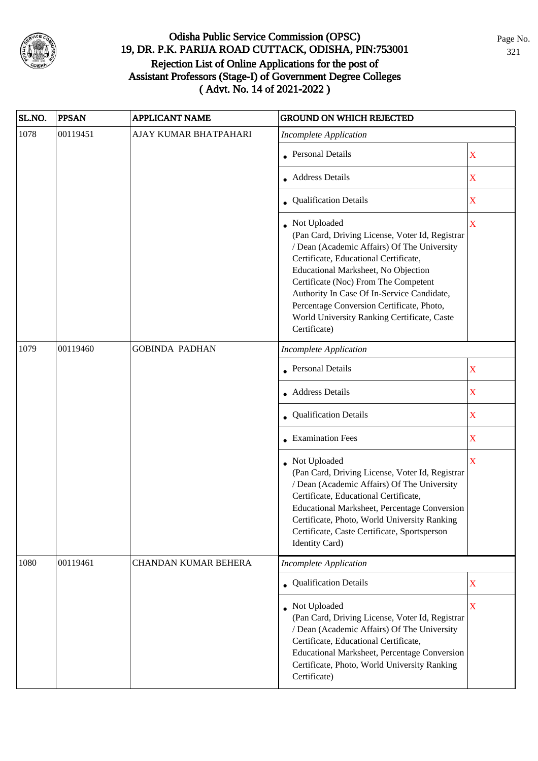

| SL.NO. | <b>PPSAN</b> | <b>APPLICANT NAME</b> | <b>GROUND ON WHICH REJECTED</b>                                                                                                                                                                                                                                                                                                                                                                  |                         |
|--------|--------------|-----------------------|--------------------------------------------------------------------------------------------------------------------------------------------------------------------------------------------------------------------------------------------------------------------------------------------------------------------------------------------------------------------------------------------------|-------------------------|
| 1078   | 00119451     | AJAY KUMAR BHATPAHARI | <b>Incomplete Application</b>                                                                                                                                                                                                                                                                                                                                                                    |                         |
|        |              |                       | • Personal Details                                                                                                                                                                                                                                                                                                                                                                               | $\mathbf X$             |
|        |              |                       | • Address Details                                                                                                                                                                                                                                                                                                                                                                                | $\overline{\mathbf{X}}$ |
|        |              |                       | • Qualification Details                                                                                                                                                                                                                                                                                                                                                                          | $\overline{\text{X}}$   |
|        |              |                       | Not Uploaded<br>(Pan Card, Driving License, Voter Id, Registrar<br>/ Dean (Academic Affairs) Of The University<br>Certificate, Educational Certificate,<br>Educational Marksheet, No Objection<br>Certificate (Noc) From The Competent<br>Authority In Case Of In-Service Candidate,<br>Percentage Conversion Certificate, Photo,<br>World University Ranking Certificate, Caste<br>Certificate) | $\overline{\textbf{X}}$ |
| 1079   | 00119460     | <b>GOBINDA PADHAN</b> | <b>Incomplete Application</b>                                                                                                                                                                                                                                                                                                                                                                    |                         |
|        |              |                       | Personal Details                                                                                                                                                                                                                                                                                                                                                                                 | $\mathbf X$             |
|        |              |                       | • Address Details                                                                                                                                                                                                                                                                                                                                                                                | $\overline{\text{X}}$   |
|        |              |                       | Qualification Details                                                                                                                                                                                                                                                                                                                                                                            | $\overline{\textbf{X}}$ |
|        |              |                       | $\bullet$ Examination Fees                                                                                                                                                                                                                                                                                                                                                                       | X                       |
|        |              |                       | • Not Uploaded<br>(Pan Card, Driving License, Voter Id, Registrar<br>/ Dean (Academic Affairs) Of The University<br>Certificate, Educational Certificate,<br>Educational Marksheet, Percentage Conversion<br>Certificate, Photo, World University Ranking<br>Certificate, Caste Certificate, Sportsperson<br>Identity Card)                                                                      | $\overline{\mathbf{X}}$ |
| 1080   | 00119461     | CHANDAN KUMAR BEHERA  | <b>Incomplete Application</b>                                                                                                                                                                                                                                                                                                                                                                    |                         |
|        |              |                       | • Qualification Details                                                                                                                                                                                                                                                                                                                                                                          | $\mathbf X$             |
|        |              |                       | Not Uploaded<br>(Pan Card, Driving License, Voter Id, Registrar<br>/ Dean (Academic Affairs) Of The University<br>Certificate, Educational Certificate,<br>Educational Marksheet, Percentage Conversion<br>Certificate, Photo, World University Ranking<br>Certificate)                                                                                                                          | $\overline{\mathbf{X}}$ |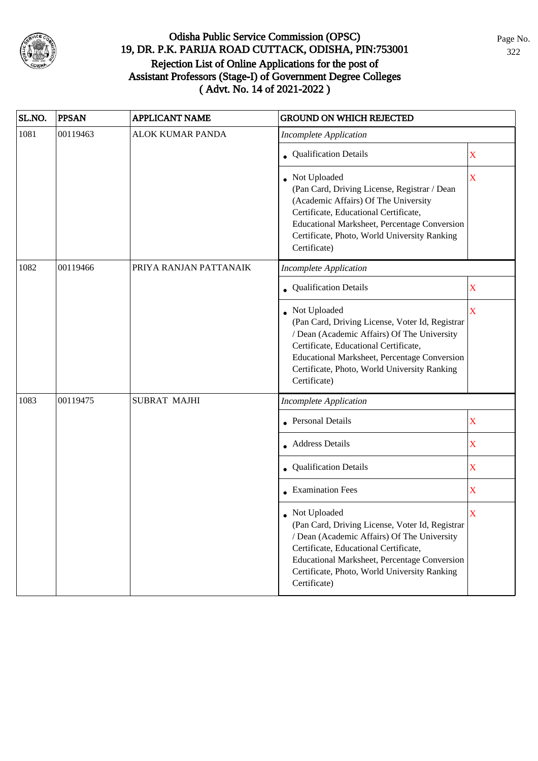

| SL.NO. | <b>PPSAN</b> | <b>APPLICANT NAME</b>   | <b>GROUND ON WHICH REJECTED</b>                                                                                                                                                                                                                                                  |             |
|--------|--------------|-------------------------|----------------------------------------------------------------------------------------------------------------------------------------------------------------------------------------------------------------------------------------------------------------------------------|-------------|
| 1081   | 00119463     | <b>ALOK KUMAR PANDA</b> | <b>Incomplete Application</b>                                                                                                                                                                                                                                                    |             |
|        |              |                         | <b>Qualification Details</b>                                                                                                                                                                                                                                                     | X           |
|        |              |                         | • Not Uploaded<br>(Pan Card, Driving License, Registrar / Dean<br>(Academic Affairs) Of The University<br>Certificate, Educational Certificate,<br><b>Educational Marksheet, Percentage Conversion</b><br>Certificate, Photo, World University Ranking<br>Certificate)           | X           |
| 1082   | 00119466     | PRIYA RANJAN PATTANAIK  | <b>Incomplete Application</b>                                                                                                                                                                                                                                                    |             |
|        |              |                         | <b>Qualification Details</b>                                                                                                                                                                                                                                                     | $\mathbf X$ |
|        |              |                         | Not Uploaded<br>(Pan Card, Driving License, Voter Id, Registrar<br>/ Dean (Academic Affairs) Of The University<br>Certificate, Educational Certificate,<br><b>Educational Marksheet, Percentage Conversion</b><br>Certificate, Photo, World University Ranking<br>Certificate)   | $\mathbf X$ |
| 1083   | 00119475     | <b>SUBRAT MAJHI</b>     | <b>Incomplete Application</b>                                                                                                                                                                                                                                                    |             |
|        |              |                         | <b>Personal Details</b>                                                                                                                                                                                                                                                          | X           |
|        |              |                         | <b>Address Details</b>                                                                                                                                                                                                                                                           | $\mathbf X$ |
|        |              |                         | • Qualification Details                                                                                                                                                                                                                                                          | $\mathbf X$ |
|        |              |                         | • Examination Fees                                                                                                                                                                                                                                                               | $\mathbf X$ |
|        |              |                         | • Not Uploaded<br>(Pan Card, Driving License, Voter Id, Registrar<br>/ Dean (Academic Affairs) Of The University<br>Certificate, Educational Certificate,<br><b>Educational Marksheet, Percentage Conversion</b><br>Certificate, Photo, World University Ranking<br>Certificate) | X           |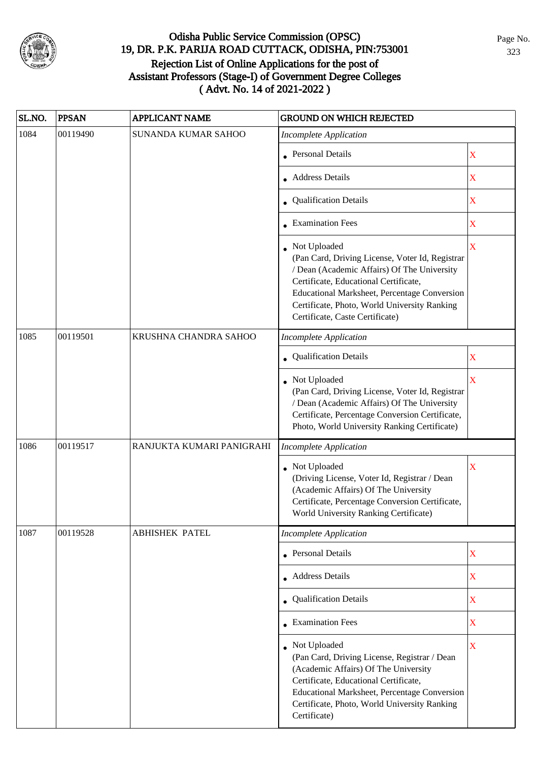

| SL.NO. | <b>PPSAN</b> | <b>APPLICANT NAME</b>     | <b>GROUND ON WHICH REJECTED</b>                                                                                                                                                                                                                                                              |                       |
|--------|--------------|---------------------------|----------------------------------------------------------------------------------------------------------------------------------------------------------------------------------------------------------------------------------------------------------------------------------------------|-----------------------|
| 1084   | 00119490     | SUNANDA KUMAR SAHOO       | <b>Incomplete Application</b>                                                                                                                                                                                                                                                                |                       |
|        |              |                           | • Personal Details                                                                                                                                                                                                                                                                           | $\mathbf X$           |
|        |              |                           | Address Details                                                                                                                                                                                                                                                                              | $\mathbf X$           |
|        |              |                           | • Qualification Details                                                                                                                                                                                                                                                                      | $\mathbf X$           |
|        |              |                           | $\bullet$ Examination Fees                                                                                                                                                                                                                                                                   | $\mathbf X$           |
|        |              |                           | • Not Uploaded<br>(Pan Card, Driving License, Voter Id, Registrar<br>/ Dean (Academic Affairs) Of The University<br>Certificate, Educational Certificate,<br>Educational Marksheet, Percentage Conversion<br>Certificate, Photo, World University Ranking<br>Certificate, Caste Certificate) | $\mathbf X$           |
| 1085   | 00119501     | KRUSHNA CHANDRA SAHOO     | <b>Incomplete Application</b>                                                                                                                                                                                                                                                                |                       |
|        |              |                           | Qualification Details                                                                                                                                                                                                                                                                        | $\overline{\text{X}}$ |
|        |              |                           | Not Uploaded<br>(Pan Card, Driving License, Voter Id, Registrar<br>/ Dean (Academic Affairs) Of The University<br>Certificate, Percentage Conversion Certificate,<br>Photo, World University Ranking Certificate)                                                                            | $\overline{\text{X}}$ |
| 1086   | 00119517     | RANJUKTA KUMARI PANIGRAHI | <b>Incomplete Application</b>                                                                                                                                                                                                                                                                |                       |
|        |              |                           | Not Uploaded<br>(Driving License, Voter Id, Registrar / Dean<br>(Academic Affairs) Of The University<br>Certificate, Percentage Conversion Certificate,<br>World University Ranking Certificate)                                                                                             | X                     |
| 1087   | 00119528     | <b>ABHISHEK PATEL</b>     | <b>Incomplete Application</b>                                                                                                                                                                                                                                                                |                       |
|        |              |                           | <b>Personal Details</b>                                                                                                                                                                                                                                                                      | $\overline{\text{X}}$ |
|        |              |                           | • Address Details                                                                                                                                                                                                                                                                            | $\overline{\text{X}}$ |
|        |              |                           | • Qualification Details                                                                                                                                                                                                                                                                      | $\mathbf X$           |
|        |              |                           | $\bullet$ Examination Fees                                                                                                                                                                                                                                                                   | $\overline{\text{X}}$ |
|        |              |                           | Not Uploaded<br>(Pan Card, Driving License, Registrar / Dean<br>(Academic Affairs) Of The University<br>Certificate, Educational Certificate,<br>Educational Marksheet, Percentage Conversion<br>Certificate, Photo, World University Ranking<br>Certificate)                                | X                     |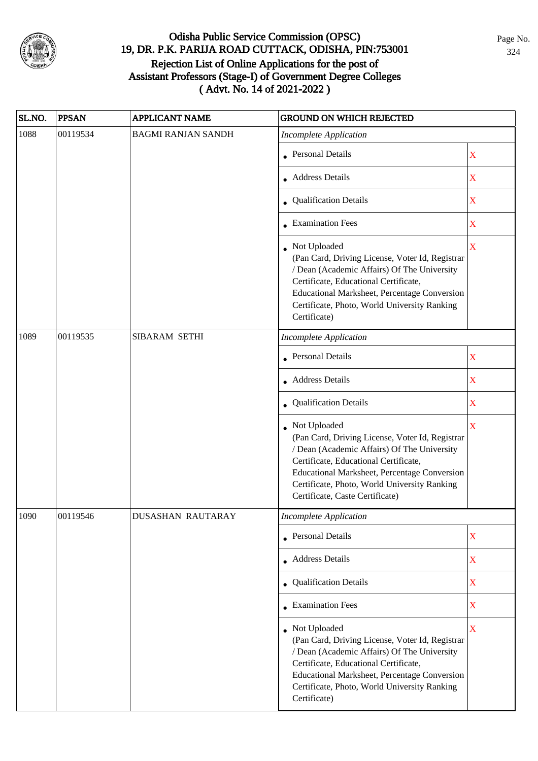

| SL.NO. | <b>PPSAN</b> | <b>APPLICANT NAME</b>     | <b>GROUND ON WHICH REJECTED</b>                                                                                                                                                                                                                                                            |                         |  |
|--------|--------------|---------------------------|--------------------------------------------------------------------------------------------------------------------------------------------------------------------------------------------------------------------------------------------------------------------------------------------|-------------------------|--|
| 1088   | 00119534     | <b>BAGMI RANJAN SANDH</b> | <b>Incomplete Application</b>                                                                                                                                                                                                                                                              |                         |  |
|        |              |                           | • Personal Details                                                                                                                                                                                                                                                                         | $\mathbf X$             |  |
|        |              |                           | • Address Details                                                                                                                                                                                                                                                                          | $\mathbf X$             |  |
|        |              |                           | • Qualification Details                                                                                                                                                                                                                                                                    | $\overline{\mathbf{X}}$ |  |
|        |              |                           | • Examination Fees                                                                                                                                                                                                                                                                         | X                       |  |
|        |              |                           | • Not Uploaded<br>(Pan Card, Driving License, Voter Id, Registrar<br>/ Dean (Academic Affairs) Of The University<br>Certificate, Educational Certificate,<br>Educational Marksheet, Percentage Conversion<br>Certificate, Photo, World University Ranking<br>Certificate)                  | $\overline{\mathbf{X}}$ |  |
| 1089   | 00119535     | SIBARAM SETHI             | <b>Incomplete Application</b>                                                                                                                                                                                                                                                              |                         |  |
|        |              |                           | • Personal Details                                                                                                                                                                                                                                                                         | $\overline{\text{X}}$   |  |
|        |              |                           | • Address Details                                                                                                                                                                                                                                                                          | $\mathbf X$             |  |
|        |              |                           | • Qualification Details                                                                                                                                                                                                                                                                    | $\mathbf X$             |  |
|        |              |                           | Not Uploaded<br>(Pan Card, Driving License, Voter Id, Registrar<br>/ Dean (Academic Affairs) Of The University<br>Certificate, Educational Certificate,<br>Educational Marksheet, Percentage Conversion<br>Certificate, Photo, World University Ranking<br>Certificate, Caste Certificate) | $\overline{\mathbf{X}}$ |  |
| 1090   | 00119546     | DUSASHAN RAUTARAY         | Incomplete Application                                                                                                                                                                                                                                                                     |                         |  |
|        |              |                           | • Personal Details                                                                                                                                                                                                                                                                         | $\mathbf X$             |  |
|        |              |                           | • Address Details                                                                                                                                                                                                                                                                          | $\mathbf X$             |  |
|        |              |                           | • Qualification Details                                                                                                                                                                                                                                                                    | $\mathbf X$             |  |
|        |              |                           | • Examination Fees                                                                                                                                                                                                                                                                         | $\overline{\mathbf{X}}$ |  |
|        |              |                           | • Not Uploaded<br>(Pan Card, Driving License, Voter Id, Registrar<br>/ Dean (Academic Affairs) Of The University<br>Certificate, Educational Certificate,<br>Educational Marksheet, Percentage Conversion<br>Certificate, Photo, World University Ranking<br>Certificate)                  | $\overline{\mathbf{X}}$ |  |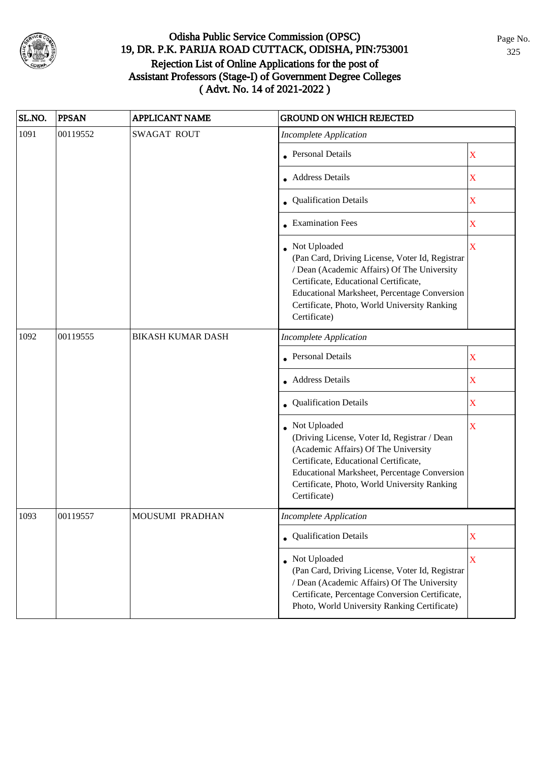

| SL.NO. | <b>PPSAN</b> | <b>APPLICANT NAME</b>    | <b>GROUND ON WHICH REJECTED</b>                                                                                                                                                                                                                                         |                         |
|--------|--------------|--------------------------|-------------------------------------------------------------------------------------------------------------------------------------------------------------------------------------------------------------------------------------------------------------------------|-------------------------|
| 1091   | 00119552     | <b>SWAGAT ROUT</b>       | <b>Incomplete Application</b>                                                                                                                                                                                                                                           |                         |
|        |              |                          | • Personal Details                                                                                                                                                                                                                                                      | $\mathbf X$             |
|        |              |                          | • Address Details                                                                                                                                                                                                                                                       | $\mathbf X$             |
|        |              |                          | • Qualification Details                                                                                                                                                                                                                                                 | $\mathbf X$             |
|        |              |                          | • Examination Fees                                                                                                                                                                                                                                                      | $\mathbf X$             |
|        |              |                          | Not Uploaded<br>(Pan Card, Driving License, Voter Id, Registrar<br>/ Dean (Academic Affairs) Of The University<br>Certificate, Educational Certificate,<br>Educational Marksheet, Percentage Conversion<br>Certificate, Photo, World University Ranking<br>Certificate) | $\overline{\mathbf{X}}$ |
| 1092   | 00119555     | <b>BIKASH KUMAR DASH</b> | <b>Incomplete Application</b>                                                                                                                                                                                                                                           |                         |
|        |              |                          | <b>Personal Details</b>                                                                                                                                                                                                                                                 | X                       |
|        |              |                          | • Address Details                                                                                                                                                                                                                                                       | $\mathbf X$             |
|        |              |                          | • Qualification Details                                                                                                                                                                                                                                                 | $\mathbf X$             |
|        |              |                          | • Not Uploaded<br>(Driving License, Voter Id, Registrar / Dean<br>(Academic Affairs) Of The University<br>Certificate, Educational Certificate,<br>Educational Marksheet, Percentage Conversion<br>Certificate, Photo, World University Ranking<br>Certificate)         | $\mathbf X$             |
| 1093   | 00119557     | <b>MOUSUMI PRADHAN</b>   | Incomplete Application                                                                                                                                                                                                                                                  |                         |
|        |              |                          | • Qualification Details                                                                                                                                                                                                                                                 | $\mathbf X$             |
|        |              |                          | • Not Uploaded<br>(Pan Card, Driving License, Voter Id, Registrar<br>/ Dean (Academic Affairs) Of The University<br>Certificate, Percentage Conversion Certificate,<br>Photo, World University Ranking Certificate)                                                     | X                       |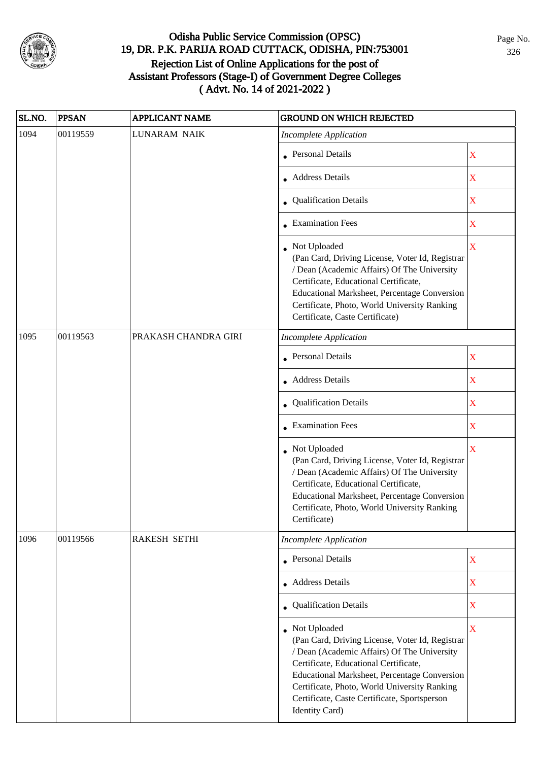

| SL.NO. | <b>PPSAN</b> | <b>APPLICANT NAME</b> | <b>GROUND ON WHICH REJECTED</b>                                                                                                                                                                                                                                                                                             |                         |  |
|--------|--------------|-----------------------|-----------------------------------------------------------------------------------------------------------------------------------------------------------------------------------------------------------------------------------------------------------------------------------------------------------------------------|-------------------------|--|
| 1094   | 00119559     | <b>LUNARAM NAIK</b>   | <b>Incomplete Application</b>                                                                                                                                                                                                                                                                                               |                         |  |
|        |              |                       | • Personal Details                                                                                                                                                                                                                                                                                                          | X                       |  |
|        |              |                       | • Address Details                                                                                                                                                                                                                                                                                                           | $\mathbf X$             |  |
|        |              |                       | • Qualification Details                                                                                                                                                                                                                                                                                                     | X                       |  |
|        |              |                       | <b>Examination Fees</b>                                                                                                                                                                                                                                                                                                     | $\overline{\mathbf{X}}$ |  |
|        |              |                       | Not Uploaded<br>(Pan Card, Driving License, Voter Id, Registrar<br>/ Dean (Academic Affairs) Of The University<br>Certificate, Educational Certificate,<br>Educational Marksheet, Percentage Conversion<br>Certificate, Photo, World University Ranking<br>Certificate, Caste Certificate)                                  | $\overline{\mathbf{X}}$ |  |
| 1095   | 00119563     | PRAKASH CHANDRA GIRI  | <b>Incomplete Application</b>                                                                                                                                                                                                                                                                                               |                         |  |
|        |              |                       | <b>Personal Details</b>                                                                                                                                                                                                                                                                                                     | $\mathbf X$             |  |
|        |              |                       | <b>Address Details</b>                                                                                                                                                                                                                                                                                                      | X                       |  |
|        |              |                       | Qualification Details                                                                                                                                                                                                                                                                                                       | $\mathbf X$             |  |
|        |              |                       | • Examination Fees                                                                                                                                                                                                                                                                                                          | X                       |  |
|        |              |                       | Not Uploaded<br>(Pan Card, Driving License, Voter Id, Registrar<br>/ Dean (Academic Affairs) Of The University<br>Certificate, Educational Certificate,<br>Educational Marksheet, Percentage Conversion<br>Certificate, Photo, World University Ranking<br>Certificate)                                                     | $\overline{\mathbf{X}}$ |  |
| 1096   | 00119566     | <b>RAKESH SETHI</b>   | <b>Incomplete Application</b>                                                                                                                                                                                                                                                                                               |                         |  |
|        |              |                       | <b>Personal Details</b>                                                                                                                                                                                                                                                                                                     | $\mathbf X$             |  |
|        |              |                       | • Address Details                                                                                                                                                                                                                                                                                                           | $\mathbf X$             |  |
|        |              |                       | <b>Qualification Details</b>                                                                                                                                                                                                                                                                                                | $\mathbf X$             |  |
|        |              |                       | • Not Uploaded<br>(Pan Card, Driving License, Voter Id, Registrar<br>/ Dean (Academic Affairs) Of The University<br>Certificate, Educational Certificate,<br>Educational Marksheet, Percentage Conversion<br>Certificate, Photo, World University Ranking<br>Certificate, Caste Certificate, Sportsperson<br>Identity Card) | $\overline{\mathbf{X}}$ |  |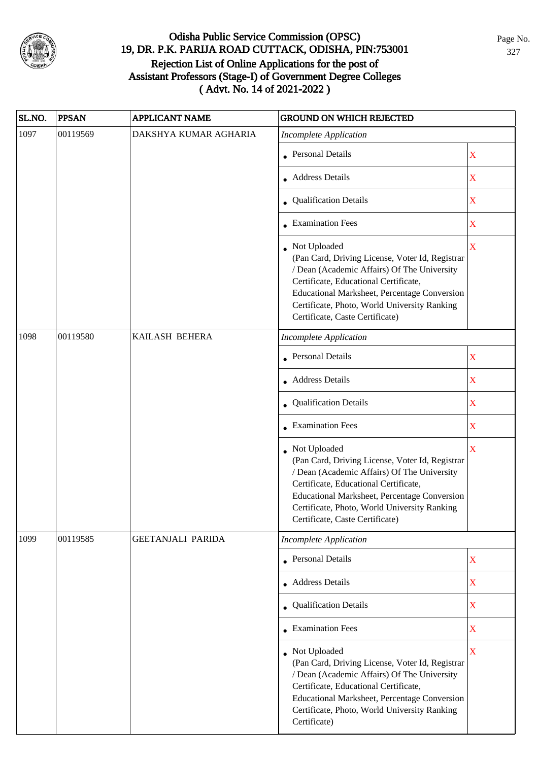

| SL.NO. | <b>PPSAN</b> | <b>APPLICANT NAME</b>    | <b>GROUND ON WHICH REJECTED</b>                                                                                                                                                                                                                                                              |                         |  |
|--------|--------------|--------------------------|----------------------------------------------------------------------------------------------------------------------------------------------------------------------------------------------------------------------------------------------------------------------------------------------|-------------------------|--|
| 1097   | 00119569     | DAKSHYA KUMAR AGHARIA    | <b>Incomplete Application</b>                                                                                                                                                                                                                                                                |                         |  |
|        |              |                          | • Personal Details                                                                                                                                                                                                                                                                           | X                       |  |
|        |              |                          | • Address Details                                                                                                                                                                                                                                                                            | X                       |  |
|        |              |                          | • Qualification Details                                                                                                                                                                                                                                                                      | $\mathbf X$             |  |
|        |              |                          | • Examination Fees                                                                                                                                                                                                                                                                           | $\mathbf X$             |  |
|        |              |                          | • Not Uploaded<br>(Pan Card, Driving License, Voter Id, Registrar<br>/ Dean (Academic Affairs) Of The University<br>Certificate, Educational Certificate,<br>Educational Marksheet, Percentage Conversion<br>Certificate, Photo, World University Ranking<br>Certificate, Caste Certificate) | $\mathbf X$             |  |
| 1098   | 00119580     | KAILASH BEHERA           | <b>Incomplete Application</b>                                                                                                                                                                                                                                                                |                         |  |
|        |              |                          | • Personal Details                                                                                                                                                                                                                                                                           | X                       |  |
|        |              |                          | • Address Details                                                                                                                                                                                                                                                                            | $\mathbf X$             |  |
|        |              |                          | • Qualification Details                                                                                                                                                                                                                                                                      | X                       |  |
|        |              |                          | • Examination Fees                                                                                                                                                                                                                                                                           | $\overline{\mathbf{X}}$ |  |
|        |              |                          | • Not Uploaded<br>(Pan Card, Driving License, Voter Id, Registrar<br>/ Dean (Academic Affairs) Of The University<br>Certificate, Educational Certificate,<br>Educational Marksheet, Percentage Conversion<br>Certificate, Photo, World University Ranking<br>Certificate, Caste Certificate) | $\overline{\mathbf{X}}$ |  |
| 1099   | 00119585     | <b>GEETANJALI PARIDA</b> | <b>Incomplete Application</b>                                                                                                                                                                                                                                                                |                         |  |
|        |              |                          | • Personal Details                                                                                                                                                                                                                                                                           | $\mathbf X$             |  |
|        |              |                          | <b>Address Details</b>                                                                                                                                                                                                                                                                       | $\mathbf X$             |  |
|        |              |                          | • Qualification Details                                                                                                                                                                                                                                                                      | $\mathbf X$             |  |
|        |              |                          | • Examination Fees                                                                                                                                                                                                                                                                           | $\mathbf X$             |  |
|        |              |                          | • Not Uploaded<br>(Pan Card, Driving License, Voter Id, Registrar<br>/ Dean (Academic Affairs) Of The University<br>Certificate, Educational Certificate,<br>Educational Marksheet, Percentage Conversion<br>Certificate, Photo, World University Ranking<br>Certificate)                    | X                       |  |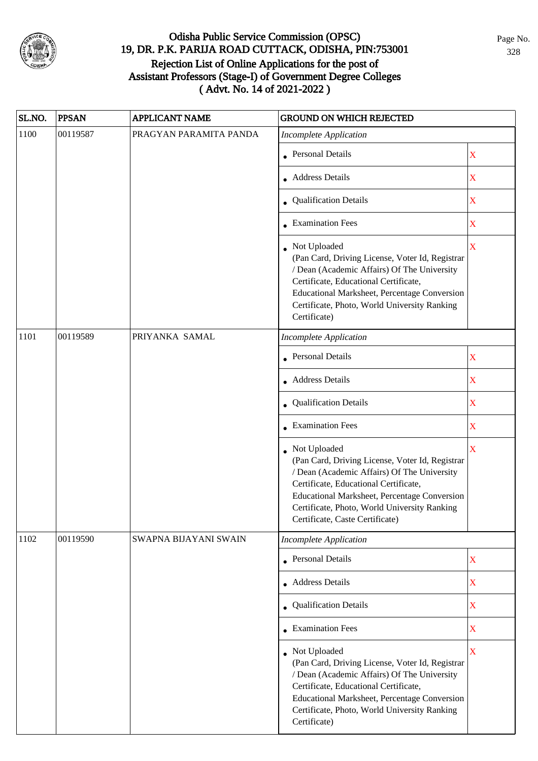

| SL.NO. | <b>PPSAN</b> | <b>APPLICANT NAME</b>  | <b>GROUND ON WHICH REJECTED</b>                                                                                                                                                                                                                                                              |                         |  |
|--------|--------------|------------------------|----------------------------------------------------------------------------------------------------------------------------------------------------------------------------------------------------------------------------------------------------------------------------------------------|-------------------------|--|
| 1100   | 00119587     | PRAGYAN PARAMITA PANDA | <b>Incomplete Application</b>                                                                                                                                                                                                                                                                |                         |  |
|        |              |                        | • Personal Details                                                                                                                                                                                                                                                                           | $\mathbf X$             |  |
|        |              |                        | Address Details                                                                                                                                                                                                                                                                              | $\overline{\text{X}}$   |  |
|        |              |                        | • Qualification Details                                                                                                                                                                                                                                                                      | $\mathbf X$             |  |
|        |              |                        | • Examination Fees                                                                                                                                                                                                                                                                           | $\mathbf X$             |  |
|        |              |                        | • Not Uploaded<br>(Pan Card, Driving License, Voter Id, Registrar<br>/ Dean (Academic Affairs) Of The University<br>Certificate, Educational Certificate,<br>Educational Marksheet, Percentage Conversion<br>Certificate, Photo, World University Ranking<br>Certificate)                    | $\mathbf X$             |  |
| 1101   | 00119589     | PRIYANKA SAMAL         | <b>Incomplete Application</b>                                                                                                                                                                                                                                                                |                         |  |
|        |              |                        | <b>Personal Details</b>                                                                                                                                                                                                                                                                      | $\overline{\mathbf{X}}$ |  |
|        |              |                        | • Address Details                                                                                                                                                                                                                                                                            | $\mathbf X$             |  |
|        |              |                        | • Qualification Details                                                                                                                                                                                                                                                                      | $\overline{\text{X}}$   |  |
|        |              |                        | • Examination Fees                                                                                                                                                                                                                                                                           | $\mathbf X$             |  |
|        |              |                        | • Not Uploaded<br>(Pan Card, Driving License, Voter Id, Registrar<br>/ Dean (Academic Affairs) Of The University<br>Certificate, Educational Certificate,<br>Educational Marksheet, Percentage Conversion<br>Certificate, Photo, World University Ranking<br>Certificate, Caste Certificate) | $\overline{\text{X}}$   |  |
| 1102   | 00119590     | SWAPNA BIJAYANI SWAIN  | <b>Incomplete Application</b>                                                                                                                                                                                                                                                                |                         |  |
|        |              |                        | • Personal Details                                                                                                                                                                                                                                                                           | $\mathbf X$             |  |
|        |              |                        | <b>Address Details</b>                                                                                                                                                                                                                                                                       | $\overline{\text{X}}$   |  |
|        |              |                        | • Qualification Details                                                                                                                                                                                                                                                                      | $\mathbf X$             |  |
|        |              |                        | $\bullet$ Examination Fees                                                                                                                                                                                                                                                                   | $\mathbf X$             |  |
|        |              |                        | • Not Uploaded<br>(Pan Card, Driving License, Voter Id, Registrar<br>/ Dean (Academic Affairs) Of The University<br>Certificate, Educational Certificate,<br>Educational Marksheet, Percentage Conversion<br>Certificate, Photo, World University Ranking<br>Certificate)                    | X                       |  |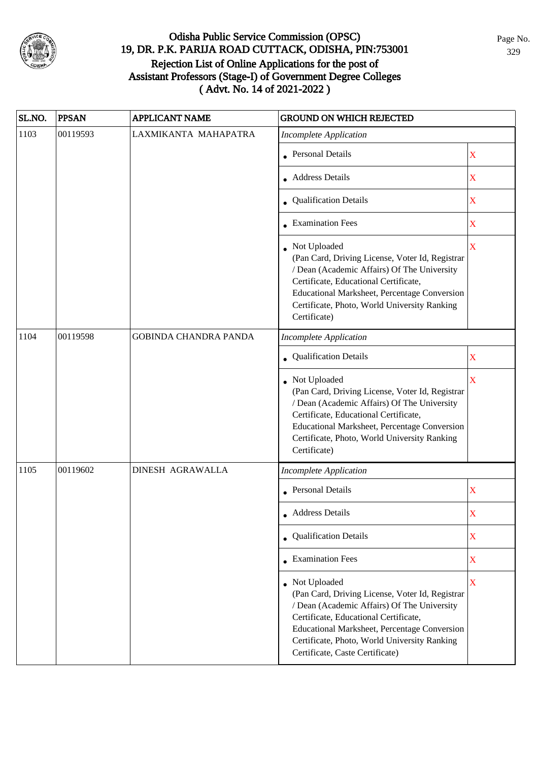

| SL.NO. | <b>PPSAN</b> | <b>APPLICANT NAME</b>        | <b>GROUND ON WHICH REJECTED</b>                                                                                                                                                                                                                                                                     |                         |
|--------|--------------|------------------------------|-----------------------------------------------------------------------------------------------------------------------------------------------------------------------------------------------------------------------------------------------------------------------------------------------------|-------------------------|
| 1103   | 00119593     | LAXMIKANTA MAHAPATRA         | <b>Incomplete Application</b>                                                                                                                                                                                                                                                                       |                         |
|        |              |                              | • Personal Details                                                                                                                                                                                                                                                                                  | X                       |
|        |              |                              | • Address Details                                                                                                                                                                                                                                                                                   | X                       |
|        |              |                              | • Qualification Details                                                                                                                                                                                                                                                                             | X                       |
|        |              |                              | • Examination Fees                                                                                                                                                                                                                                                                                  | X                       |
|        |              |                              | • Not Uploaded<br>(Pan Card, Driving License, Voter Id, Registrar<br>/ Dean (Academic Affairs) Of The University<br>Certificate, Educational Certificate,<br>Educational Marksheet, Percentage Conversion<br>Certificate, Photo, World University Ranking<br>Certificate)                           | X                       |
| 1104   | 00119598     | <b>GOBINDA CHANDRA PANDA</b> | <b>Incomplete Application</b>                                                                                                                                                                                                                                                                       |                         |
|        |              |                              | Qualification Details                                                                                                                                                                                                                                                                               | $\mathbf X$             |
|        |              |                              | • Not Uploaded<br>(Pan Card, Driving License, Voter Id, Registrar<br>/ Dean (Academic Affairs) Of The University<br>Certificate, Educational Certificate,<br>Educational Marksheet, Percentage Conversion<br>Certificate, Photo, World University Ranking<br>Certificate)                           | $\overline{\mathbf{X}}$ |
| 1105   | 00119602     | <b>DINESH AGRAWALLA</b>      | <b>Incomplete Application</b>                                                                                                                                                                                                                                                                       |                         |
|        |              |                              | • Personal Details                                                                                                                                                                                                                                                                                  | X                       |
|        |              |                              | • Address Details                                                                                                                                                                                                                                                                                   | X                       |
|        |              |                              | • Qualification Details                                                                                                                                                                                                                                                                             | $\mathbf X$             |
|        |              |                              | • Examination Fees                                                                                                                                                                                                                                                                                  | $\mathbf X$             |
|        |              |                              | • Not Uploaded<br>(Pan Card, Driving License, Voter Id, Registrar<br>/ Dean (Academic Affairs) Of The University<br>Certificate, Educational Certificate,<br><b>Educational Marksheet, Percentage Conversion</b><br>Certificate, Photo, World University Ranking<br>Certificate, Caste Certificate) | $\overline{\mathbf{X}}$ |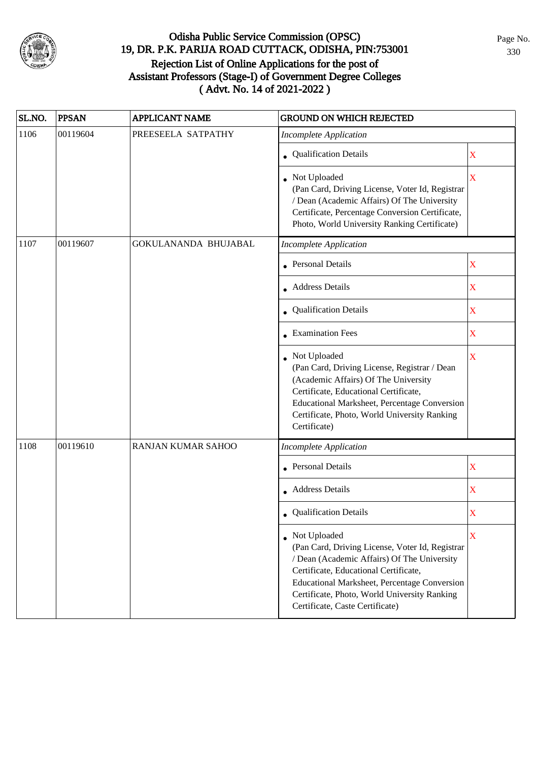

| SL.NO. | <b>PPSAN</b> | <b>APPLICANT NAME</b>       | <b>GROUND ON WHICH REJECTED</b>                                                                                                                                                                                                                                                                     |                         |
|--------|--------------|-----------------------------|-----------------------------------------------------------------------------------------------------------------------------------------------------------------------------------------------------------------------------------------------------------------------------------------------------|-------------------------|
| 1106   | 00119604     | PREESEELA SATPATHY          | <b>Incomplete Application</b>                                                                                                                                                                                                                                                                       |                         |
|        |              |                             | • Qualification Details                                                                                                                                                                                                                                                                             | X                       |
|        |              |                             | • Not Uploaded<br>(Pan Card, Driving License, Voter Id, Registrar<br>/ Dean (Academic Affairs) Of The University<br>Certificate, Percentage Conversion Certificate,<br>Photo, World University Ranking Certificate)                                                                                 | $\overline{\mathbf{X}}$ |
| 1107   | 00119607     | <b>GOKULANANDA BHUJABAL</b> | <b>Incomplete Application</b>                                                                                                                                                                                                                                                                       |                         |
|        |              |                             | • Personal Details                                                                                                                                                                                                                                                                                  | $\mathbf X$             |
|        |              |                             | • Address Details                                                                                                                                                                                                                                                                                   | $\mathbf X$             |
|        |              |                             | • Qualification Details                                                                                                                                                                                                                                                                             | $\mathbf X$             |
|        |              |                             | $\bullet$ Examination Fees                                                                                                                                                                                                                                                                          | $\mathbf X$             |
|        |              |                             | • Not Uploaded<br>(Pan Card, Driving License, Registrar / Dean<br>(Academic Affairs) Of The University<br>Certificate, Educational Certificate,<br>Educational Marksheet, Percentage Conversion<br>Certificate, Photo, World University Ranking<br>Certificate)                                     | $\overline{\mathbf{X}}$ |
| 1108   | 00119610     | RANJAN KUMAR SAHOO          | <b>Incomplete Application</b>                                                                                                                                                                                                                                                                       |                         |
|        |              |                             | • Personal Details                                                                                                                                                                                                                                                                                  | $\mathbf X$             |
|        |              |                             | Address Details                                                                                                                                                                                                                                                                                     | $\mathbf X$             |
|        |              |                             | • Qualification Details                                                                                                                                                                                                                                                                             | X                       |
|        |              |                             | • Not Uploaded<br>(Pan Card, Driving License, Voter Id, Registrar<br>/ Dean (Academic Affairs) Of The University<br>Certificate, Educational Certificate,<br><b>Educational Marksheet, Percentage Conversion</b><br>Certificate, Photo, World University Ranking<br>Certificate, Caste Certificate) | X                       |